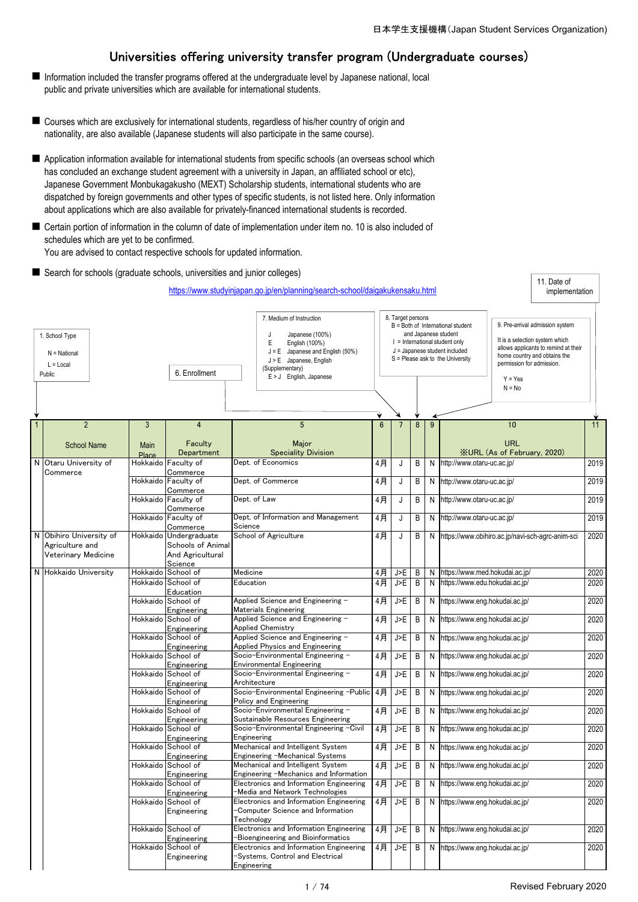# Universities offering university transfer program (Undergraduate courses)

- Information included the transfer programs offered at the undergraduate level by Japanese national, local public and private universities which are available for international students.
- Courses which are exclusively for international students, regardless of his/her country of origin and nationality, are also available (Japanese students will also participate in the same course).
- Application information available for international students from specific schools (an overseas school which has concluded an exchange student agreement with a university in Japan, an affiliated school or etc), Japanese Government Monbukagakusho (MEXT) Scholarship students, international students who are dispatched by foreign governments and other types of specific students, is not listed here. Only information about applications which are also available for privately-financed international students is recorded.
- Certain portion of information in the column of date of implementation under item no. 10 is also included of schedules which are yet to be confirmed.

You are advised to contact respective schools for updated information.

■ Search for schools (graduate schools, universities and junior colleges)

|              |                                                           |              |                                   | https://www.studyinjapan.go.jp/en/planning/search-school/daigakukensaku.html                                                                                                           |                |                   |   |   |                                                                                                                                                                    |                                                                                                                                                                                                 | 11. Date of<br>implementation |      |
|--------------|-----------------------------------------------------------|--------------|-----------------------------------|----------------------------------------------------------------------------------------------------------------------------------------------------------------------------------------|----------------|-------------------|---|---|--------------------------------------------------------------------------------------------------------------------------------------------------------------------|-------------------------------------------------------------------------------------------------------------------------------------------------------------------------------------------------|-------------------------------|------|
|              | 1. School Type<br>$N = National$<br>$L = Local$<br>Public |              | 6. Enrollment                     | 7. Medium of Instruction<br>Japanese (100%)<br>J<br>English (100%)<br>Ε<br>$J = E$ Japanese and English (50%)<br>J > E Japanese, English<br>(Supplementary)<br>E > J English, Japanese |                | 8. Target persons |   |   | B = Both of International student<br>and Japanese student<br>$I = International student only$<br>J = Japanese student included<br>S = Please ask to the University | 9. Pre-arrival admission system<br>It is a selection system which<br>allows applicants to remind at their<br>home country and obtains the<br>permission for admission.<br>$Y = Yes$<br>$N = No$ |                               |      |
|              |                                                           |              |                                   |                                                                                                                                                                                        |                |                   |   |   |                                                                                                                                                                    |                                                                                                                                                                                                 |                               |      |
| $\mathbf{1}$ | $\overline{2}$                                            | 3            | $\overline{4}$                    | $5\phantom{.0}$                                                                                                                                                                        | $6\phantom{1}$ |                   | 8 | 9 |                                                                                                                                                                    | 10                                                                                                                                                                                              |                               | 11   |
|              |                                                           |              |                                   |                                                                                                                                                                                        |                |                   |   |   |                                                                                                                                                                    |                                                                                                                                                                                                 |                               |      |
|              | <b>School Name</b>                                        | Main         | Faculty                           | Major                                                                                                                                                                                  |                |                   |   |   |                                                                                                                                                                    | <b>URL</b>                                                                                                                                                                                      |                               |      |
|              |                                                           | <b>Place</b> | Department                        | <b>Speciality Division</b>                                                                                                                                                             |                |                   |   |   |                                                                                                                                                                    | <b>XURL (As of February, 2020)</b>                                                                                                                                                              |                               |      |
| N            | Otaru University of                                       | Hokkaido     | Faculty of                        | Dept. of Economics                                                                                                                                                                     | 4月             | J                 | B | N | http://www.otaru-uc.ac.jp/                                                                                                                                         |                                                                                                                                                                                                 |                               | 2019 |
|              | Commerce                                                  |              | Commerce                          | Dept. of Commerce                                                                                                                                                                      |                |                   |   |   |                                                                                                                                                                    |                                                                                                                                                                                                 |                               |      |
|              |                                                           | Hokkaido     | Faculty of                        |                                                                                                                                                                                        | 4月             | J                 | B | N | http://www.otaru-uc.ac.jp/                                                                                                                                         |                                                                                                                                                                                                 |                               | 2019 |
|              |                                                           | Hokkaido     | Commerce<br>Faculty of            | Dept. of Law                                                                                                                                                                           | 4月             | J                 | В | Ν | http://www.otaru-uc.ac.jp/                                                                                                                                         |                                                                                                                                                                                                 |                               | 2019 |
|              |                                                           |              | Commerce                          |                                                                                                                                                                                        |                |                   |   |   |                                                                                                                                                                    |                                                                                                                                                                                                 |                               |      |
|              |                                                           |              | Hokkaido Faculty of               | Dept. of Information and Management                                                                                                                                                    | 4月             | J                 | B | N | http://www.otaru-uc.ac.jp/                                                                                                                                         |                                                                                                                                                                                                 |                               | 2019 |
|              |                                                           |              | Commerce                          | Science                                                                                                                                                                                |                |                   |   |   |                                                                                                                                                                    |                                                                                                                                                                                                 |                               |      |
|              | N Obihiro University of                                   |              | Hokkaido Undergraduate            | School of Agriculture                                                                                                                                                                  | 4月             | J                 | B | N |                                                                                                                                                                    | https://www.obihiro.ac.jp/navi-sch-agrc-anim-sci                                                                                                                                                |                               | 2020 |
|              | Agriculture and                                           |              | Schools of Animal                 |                                                                                                                                                                                        |                |                   |   |   |                                                                                                                                                                    |                                                                                                                                                                                                 |                               |      |
|              | Veterinary Medicine                                       |              | And Agricultural                  |                                                                                                                                                                                        |                |                   |   |   |                                                                                                                                                                    |                                                                                                                                                                                                 |                               |      |
|              |                                                           |              | Science                           |                                                                                                                                                                                        |                |                   |   |   |                                                                                                                                                                    |                                                                                                                                                                                                 |                               |      |
|              | N Hokkaido University                                     | Hokkaido     | School of                         | Medicine                                                                                                                                                                               | 4月             | J>E               | B | N | https://www.med.hokudai.ac.jp/                                                                                                                                     |                                                                                                                                                                                                 |                               | 2020 |
|              |                                                           | Hokkaido     | School of                         | Education                                                                                                                                                                              | 4月             | J>E               | B | N | https://www.edu.hokudai.ac.jp/                                                                                                                                     |                                                                                                                                                                                                 |                               | 2020 |
|              |                                                           |              | Education<br>Hokkaido School of   |                                                                                                                                                                                        |                |                   |   |   |                                                                                                                                                                    |                                                                                                                                                                                                 |                               |      |
|              |                                                           |              |                                   | Applied Science and Engineering -<br><b>Materials Engineering</b>                                                                                                                      | 4月             | J>E               | B | N | https://www.eng.hokudai.ac.jp/                                                                                                                                     |                                                                                                                                                                                                 |                               | 2020 |
|              |                                                           |              | Engineering<br>Hokkaido School of | Applied Science and Engineering -                                                                                                                                                      | 4月             | J>E               | B | N | https://www.eng.hokudai.ac.jp/                                                                                                                                     |                                                                                                                                                                                                 |                               | 2020 |
|              |                                                           |              | Engineering                       | <b>Applied Chemistry</b>                                                                                                                                                               |                |                   |   |   |                                                                                                                                                                    |                                                                                                                                                                                                 |                               |      |
|              |                                                           | Hokkaido     | School of                         | Applied Science and Engineering -                                                                                                                                                      | 4月             | J>E               | B | N | https://www.eng.hokudai.ac.jp/                                                                                                                                     |                                                                                                                                                                                                 |                               | 2020 |
|              |                                                           |              | Engineering                       | <b>Applied Physics and Engineering</b>                                                                                                                                                 |                |                   |   |   |                                                                                                                                                                    |                                                                                                                                                                                                 |                               |      |
|              |                                                           | Hokkaido     | School of                         | Socio-Environmental Engineering -                                                                                                                                                      | 4月             | J>E               | B | N | https://www.eng.hokudai.ac.jp/                                                                                                                                     |                                                                                                                                                                                                 |                               | 2020 |
|              |                                                           |              | Engineering                       | <b>Environmental Engineering</b>                                                                                                                                                       |                |                   |   |   |                                                                                                                                                                    |                                                                                                                                                                                                 |                               |      |
|              |                                                           |              | Hokkaido School of                | Socio-Environmental Engineering -                                                                                                                                                      | 4月             | J>E               | B | Ν | https://www.eng.hokudai.ac.jp/                                                                                                                                     |                                                                                                                                                                                                 |                               | 2020 |
|              |                                                           |              | Engineering                       | Architecture                                                                                                                                                                           |                |                   |   |   |                                                                                                                                                                    |                                                                                                                                                                                                 |                               |      |
|              |                                                           |              | Hokkaido School of                | Socio-Environmental Engineering -Public                                                                                                                                                | $4$ 月          | J>E               | B | N | https://www.eng.hokudai.ac.jp/                                                                                                                                     |                                                                                                                                                                                                 |                               | 2020 |
|              |                                                           |              | Engineering<br>Hokkaido School of | Policy and Engineering<br>Socio-Environmental Engineering -                                                                                                                            | 4月             | J>E               | B | N | https://www.eng.hokudai.ac.jp/                                                                                                                                     |                                                                                                                                                                                                 |                               | 2020 |
|              |                                                           |              | Engineering                       | Sustainable Resources Engineering                                                                                                                                                      |                |                   |   |   |                                                                                                                                                                    |                                                                                                                                                                                                 |                               |      |
|              |                                                           |              | Hokkaido School of                | Socio-Environmental Engineering -Civil                                                                                                                                                 | 4月             | J>E               | В | N | https://www.eng.hokudai.ac.jp/                                                                                                                                     |                                                                                                                                                                                                 |                               | 2020 |
|              |                                                           |              | Engineering                       | Engineering                                                                                                                                                                            |                |                   |   |   |                                                                                                                                                                    |                                                                                                                                                                                                 |                               |      |
|              |                                                           | Hokkaido     | School of                         | Mechanical and Intelligent System                                                                                                                                                      | 4月             | J>E               | B | N | https://www.eng.hokudai.ac.jp/                                                                                                                                     |                                                                                                                                                                                                 |                               | 2020 |
|              |                                                           |              | Engineering                       | Engineering -Mechanical Systems                                                                                                                                                        |                |                   |   |   |                                                                                                                                                                    |                                                                                                                                                                                                 |                               |      |
|              |                                                           |              | Hokkaido School of                | Mechanical and Intelligent System                                                                                                                                                      | 4月             | J>E               | B | N | https://www.eng.hokudai.ac.jp/                                                                                                                                     |                                                                                                                                                                                                 |                               | 2020 |
|              |                                                           |              | Engineering                       | Engineering -Mechanics and Information                                                                                                                                                 |                |                   |   |   |                                                                                                                                                                    |                                                                                                                                                                                                 |                               |      |
|              |                                                           |              | Hokkaido School of                | Electronics and Information Engineering<br>-Media and Network Technologies                                                                                                             | 4月             | J>E               | B | N | https://www.eng.hokudai.ac.jp/                                                                                                                                     |                                                                                                                                                                                                 |                               | 2020 |
|              |                                                           |              | Engineering<br>Hokkaido School of | Electronics and Information Engineering                                                                                                                                                | 4月             | J>E               | B | N | https://www.eng.hokudai.ac.jp/                                                                                                                                     |                                                                                                                                                                                                 |                               | 2020 |
|              |                                                           |              | Engineering                       | -Computer Science and Information<br>Technology                                                                                                                                        |                |                   |   |   |                                                                                                                                                                    |                                                                                                                                                                                                 |                               |      |
|              |                                                           |              | Hokkaido School of                | Electronics and Information Engineering                                                                                                                                                | 4月             | J>E               | B | N | https://www.eng.hokudai.ac.jp/                                                                                                                                     |                                                                                                                                                                                                 |                               | 2020 |
|              |                                                           |              | Engineering                       | Bioengineering and Bioinformatics                                                                                                                                                      |                |                   |   |   |                                                                                                                                                                    |                                                                                                                                                                                                 |                               |      |
|              |                                                           |              | Hokkaido School of                | Electronics and Information Engineering                                                                                                                                                | 4月             | J>F               | B |   | N https://www.eng.hokudai.ac.jp/                                                                                                                                   |                                                                                                                                                                                                 |                               | 2020 |
|              |                                                           |              | Engineering                       | -Systems, Control and Electrical<br>Engineering                                                                                                                                        |                |                   |   |   |                                                                                                                                                                    |                                                                                                                                                                                                 |                               |      |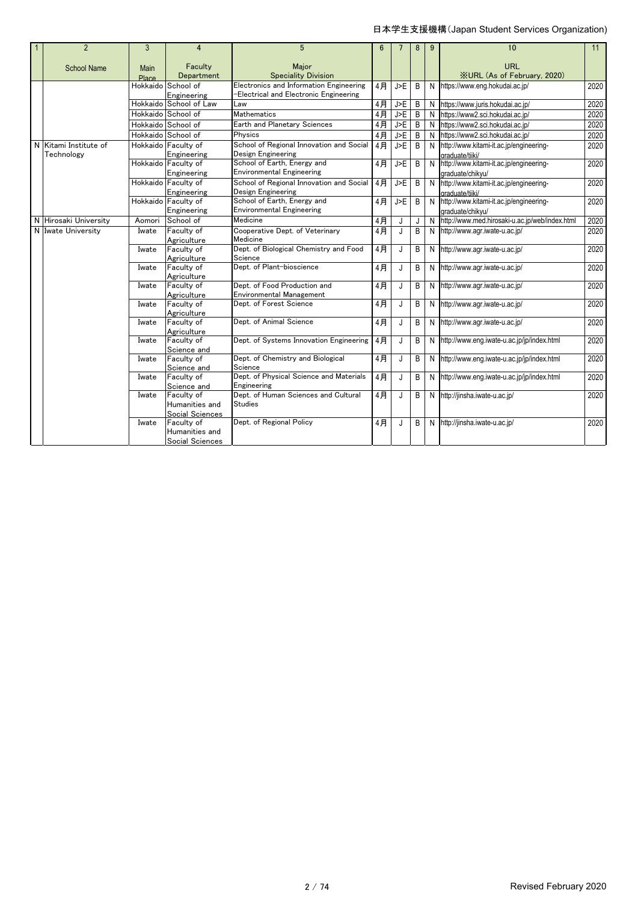| $\overline{2}$        | 3      | 4                                     | $5\overline{5}$                                                                  | $6\phantom{1}$ |     | 8 | 9 | 10                                                            | 11   |
|-----------------------|--------|---------------------------------------|----------------------------------------------------------------------------------|----------------|-----|---|---|---------------------------------------------------------------|------|
|                       |        |                                       |                                                                                  |                |     |   |   |                                                               |      |
| <b>School Name</b>    | Main   | Faculty                               | Maior                                                                            |                |     |   |   | <b>URL</b>                                                    |      |
|                       | Place  | Department                            | <b>Speciality Division</b>                                                       |                |     |   |   | <b>XURL (As of February, 2020)</b>                            |      |
|                       |        | Hokkaido School of                    | Electronics and Information Engineering<br>Electrical and Electronic Engineering | 4月             | J>E | B |   | N https://www.eng.hokudai.ac.jp/                              | 2020 |
|                       |        | Engineering<br>Hokkaido School of Law | _aw                                                                              | 4月             | J>E | B |   | N https://www.juris.hokudai.ac.jp/                            | 2020 |
|                       |        | Hokkaido School of                    | <b>Mathematics</b>                                                               | 4月             | J>E | B | N | https://www2.sci.hokudai.ac.jp/                               | 2020 |
|                       |        | Hokkaido School of                    | Earth and Planetary Sciences                                                     |                |     | B |   | N https://www2.sci.hokudai.ac.jp/                             | 2020 |
|                       |        |                                       | Physics                                                                          | $4$ 月          | J>E |   |   |                                                               |      |
|                       |        | Hokkaido School of                    |                                                                                  | 4月             | J>E | B | N | https://www2.sci.hokudai.ac.jp/                               | 2020 |
| N Kitami Institute of |        | Hokkaido Faculty of                   | School of Regional Innovation and Social                                         | 4月             | J>E | B |   | N http://www.kitami-it.ac.jp/engineering-                     | 2020 |
| Technology            |        | Engineering<br>Hokkaido Faculty of    | Design Engineering<br>School of Earth, Energy and                                | 4月             | J>E | B |   | araduate/tiiki/                                               | 2020 |
|                       |        | Engineering                           | <b>Environmental Engineering</b>                                                 |                |     |   |   | N http://www.kitami-it.ac.jp/engineering-                     |      |
|                       |        | Hokkaido Faculty of                   | School of Regional Innovation and Social                                         | 4月             | J>E | B |   | graduate/chikvu/<br>N http://www.kitami-it.ac.jp/engineering- | 2020 |
|                       |        | Engineering                           | Design Engineering                                                               |                |     |   |   | araduate/tiiki/                                               |      |
|                       |        | Hokkaido Faculty of                   | School of Earth, Energy and                                                      | 4月             | J>E | B |   | N http://www.kitami-it.ac.jp/engineering-                     | 2020 |
|                       |        | Engineering                           | <b>Environmental Engineering</b>                                                 |                |     |   |   | graduate/chikvu/                                              |      |
| N Hirosaki University | Aomori | School of                             | Medicine                                                                         | 4月             | J   | J |   | N http://www.med.hirosaki-u.ac.jp/web/index.html              | 2020 |
| N Iwate University    | Iwate  | Faculty of                            | Cooperative Dept. of Veterinary                                                  | 4月             | J   | B |   | N http://www.agr.iwate-u.ac.jp/                               | 2020 |
|                       |        | Agriculture                           | Medicine                                                                         |                |     |   |   |                                                               |      |
|                       | Iwate  | Faculty of                            | Dept. of Biological Chemistry and Food                                           | 4月             | J   | B | N | http://www.aqr.iwate-u.ac.jp/                                 | 2020 |
|                       |        | Agriculture                           | Science                                                                          |                |     |   |   |                                                               |      |
|                       | Iwate  | Faculty of                            | Dept. of Plant-bioscience                                                        | 4月             | J   | B |   | N http://www.agr.iwate-u.ac.jp/                               | 2020 |
|                       |        | Agriculture                           |                                                                                  |                |     |   |   |                                                               |      |
|                       | Iwate  | Faculty of                            | Dept. of Food Production and                                                     | 4月             | J   | B |   | N http://www.aqr.iwate-u.ac.jp/                               | 2020 |
|                       |        | Agriculture                           | <b>Environmental Management</b>                                                  |                |     |   |   |                                                               |      |
|                       | Iwate  | Faculty of                            | Dept. of Forest Science                                                          | 4月             | J   | B |   | N http://www.agr.iwate-u.ac.jp/                               | 2020 |
|                       |        | Agriculture                           |                                                                                  |                |     |   |   |                                                               |      |
|                       | Iwate  | Faculty of                            | Dept. of Animal Science                                                          | 4月             | J   | B |   | N http://www.aqr.iwate-u.ac.jp/                               | 2020 |
|                       | Iwate  | Agriculture<br>Faculty of             | Dept. of Systems Innovation Engineering                                          | 4月             | J   | B | N | http://www.eng.iwate-u.ac.jp/jp/index.html                    | 2020 |
|                       |        | Science and                           |                                                                                  |                |     |   |   |                                                               |      |
|                       | Iwate  | Faculty of                            | Dept. of Chemistry and Biological                                                | 4月             | J   | B |   | N http://www.eng.iwate-u.ac.jp/jp/index.html                  | 2020 |
|                       |        | Science and                           | Science                                                                          |                |     |   |   |                                                               |      |
|                       | Iwate  | Faculty of                            | Dept. of Physical Science and Materials                                          | 4月             | J   | B |   | N http://www.eng.iwate-u.ac.jp/jp/index.html                  | 2020 |
|                       |        | Science and                           | Engineering                                                                      |                |     |   |   |                                                               |      |
|                       | Iwate  | Faculty of                            | Dept. of Human Sciences and Cultural                                             | 4月             | J   | B |   | N http://jinsha.iwate-u.ac.jp/                                | 2020 |
|                       |        | Humanities and                        | Studies                                                                          |                |     |   |   |                                                               |      |
|                       |        | Social Sciences                       |                                                                                  |                |     |   |   |                                                               |      |
|                       | Iwate  | Faculty of                            | Dept. of Regional Policy                                                         | 4月             | J   | B |   | N http://jinsha.iwate-u.ac.jp/                                | 2020 |
|                       |        | Humanities and                        |                                                                                  |                |     |   |   |                                                               |      |
|                       |        | Social Sciences                       |                                                                                  |                |     |   |   |                                                               |      |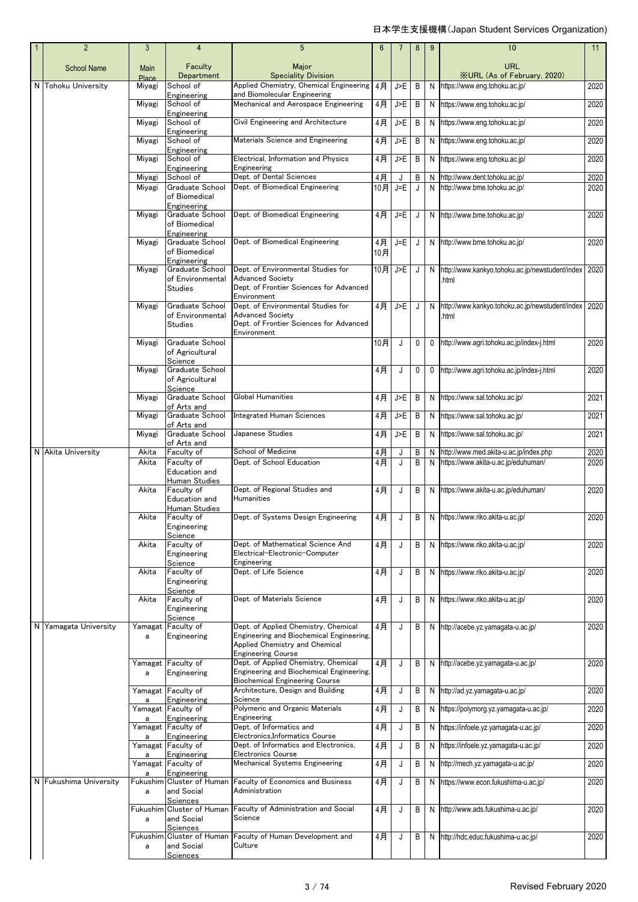| $\overline{2}$         | 3               | 4                                                   | 5                                                                                                                                               | 6         |         | 8 | 9            | 10                                                   | 11   |
|------------------------|-----------------|-----------------------------------------------------|-------------------------------------------------------------------------------------------------------------------------------------------------|-----------|---------|---|--------------|------------------------------------------------------|------|
| <b>School Name</b>     | Main            | Faculty<br>Department                               | Major<br><b>Speciality Division</b>                                                                                                             |           |         |   |              | <b>URL</b><br><b>XURL (As of February, 2020)</b>     |      |
| N Tohoku University    | Place<br>Miyagi | School of                                           | Applied Chemistry, Chemical Engineering                                                                                                         | 4月        | J>E     | B | N            | https://www.eng.tohoku.ac.jp/                        | 2020 |
|                        | Miyagi          | Engineering<br>School of                            | and Biomolecular Engineering<br>Mechanical and Aerospace Engineering                                                                            | 4月        | J>E     | B | N            | https://www.eng.tohoku.ac.jp/                        | 2020 |
|                        |                 | Engineering                                         |                                                                                                                                                 |           |         |   |              |                                                      |      |
|                        | Miyagi          | School of<br>Engineering                            | Civil Engineering and Architecture                                                                                                              | $4$ 月     | J>E     | B | N            | https://www.eng.tohoku.ac.jp/                        | 2020 |
|                        | Miyagi          | School of<br>Engineering                            | Materials Science and Engineering                                                                                                               | 4月        | J>E     | B | N            | https://www.eng.tohoku.ac.jp/                        | 2020 |
|                        | Miyagi          | School of<br>Engineering                            | Electrical, Information and Physics<br>Engineering                                                                                              | 4月        | J>E     | B | N            | https://www.eng.tohoku.ac.jp/                        | 2020 |
|                        | Miyagi          | School of                                           | Dept. of Dental Sciences                                                                                                                        | $4$ 月     | J       | B | N            | http://www.dent.tohoku.ac.jp/                        | 2020 |
|                        | Miyagi          | Graduate School<br>of Biomedical<br>Engineering     | Dept. of Biomedical Engineering                                                                                                                 | 10月       | $J = E$ | J | N            | http://www.bme.tohoku.ac.jp/                         | 2020 |
|                        | Miyagi          | Graduate School<br>of Biomedical<br>Engineering     | Dept. of Biomedical Engineering                                                                                                                 | 4月        | J=E     | J |              | N http://www.bme.tohoku.ac.jp/                       | 2020 |
|                        | Miyagi          | Graduate School<br>of Biomedical<br>Engineering     | Dept. of Biomedical Engineering                                                                                                                 | 4月<br>10月 | J=E     | J |              | N http://www.bme.tohoku.ac.jp/                       | 2020 |
|                        | Miyagi          | Graduate School                                     | Dept. of Environmental Studies for                                                                                                              | 10月       | J>E     | J | N            | http://www.kankyo.tohoku.ac.jp/newstudent/index      | 2020 |
|                        |                 | of Environmental<br><b>Studies</b>                  | <b>Advanced Society</b><br>Dept. of Frontier Sciences for Advanced                                                                              |           |         |   |              | .html                                                |      |
|                        | Miyagi          | Graduate School                                     | Environment<br>Dept. of Environmental Studies for                                                                                               | 4月        | J>E     | J | N.           | http://www.kankyo.tohoku.ac.jp/newstudent/index 2020 |      |
|                        |                 | of Environmental<br><b>Studies</b>                  | <b>Advanced Society</b><br>Dept. of Frontier Sciences for Advanced                                                                              |           |         |   |              | .html                                                |      |
|                        | Miyagi          | Graduate School<br>of Agricultural<br>Science       | Environment                                                                                                                                     | 10月       | J       | 0 | 0            | http://www.agri.tohoku.ac.jp/index-j.html            | 2020 |
|                        | Miyagi          | Graduate School<br>of Agricultural<br>Science       |                                                                                                                                                 | 4月        | J       | 0 | $\mathbf{0}$ | http://www.agri.tohoku.ac.jp/index-j.html            | 2020 |
|                        | Miyagi          | Graduate School<br>of Arts and                      | Global Humanities                                                                                                                               | 4月        | J>E     | B |              | N https://www.sal.tohoku.ac.jp/                      | 2021 |
|                        | Miyagi          | Graduate School<br>of Arts and                      | <b>Integrated Human Sciences</b>                                                                                                                | 4月        | J>E     | B | N            | https://www.sal.tohoku.ac.jp/                        | 2021 |
|                        | Miyagi          | Graduate School                                     | Japanese Studies                                                                                                                                | 4月        | J>E     | B | N            | https://www.sal.tohoku.ac.jp/                        | 2021 |
| N Akita University     | Akita           | of Arts and<br>Faculty of                           | School of Medicine                                                                                                                              | 4月        | J       | Β | N            | http://www.med.akita-u.ac.jp/index.php               | 2020 |
|                        | Akita           | Faculty of                                          | Dept. of School Education                                                                                                                       | 4月        | J       | B | N            | https://www.akita-u.ac.jp/eduhuman/                  | 2020 |
|                        |                 | Education and<br><b>Human Studies</b>               |                                                                                                                                                 |           |         |   |              |                                                      |      |
|                        | Akita           | Faculty of<br>Education and                         | Dept. of Regional Studies and<br>Humanities                                                                                                     | 4月        | J       | B | N            | https://www.akita-u.ac.jp/eduhuman/                  | 2020 |
|                        | Akita           | <b>Human Studies</b><br>Faculty of                  | Dept. of Systems Design Engineering                                                                                                             | 4月        | J       | B |              | N https://www.riko.akita-u.ac.jp/                    | 2020 |
|                        |                 | Engineering                                         |                                                                                                                                                 |           |         |   |              |                                                      |      |
|                        | Akita           | Science<br>Faculty of                               | Dept. of Mathematical Science And                                                                                                               | 4月        | J       | B |              | N https://www.riko.akita-u.ac.jp/                    | 2020 |
|                        |                 | Engineering<br>Science                              | Electrical-Electronic-Computer<br>Engineering                                                                                                   |           |         |   |              |                                                      |      |
|                        | Akita           | Faculty of<br>Engineering                           | Dept. of Life Science                                                                                                                           | 4月        | J       | B |              | N https://www.riko.akita-u.ac.jp/                    | 2020 |
|                        | Akita           | Science<br>Faculty of                               | Dept. of Materials Science                                                                                                                      | 4月        | J       | B |              | N https://www.riko.akita-u.ac.jp/                    | 2020 |
|                        |                 | Engineering<br>Science                              |                                                                                                                                                 |           |         |   |              |                                                      |      |
| N Yamagata University  | Yamagat<br>a    | Faculty of<br>Engineering                           | Dept. of Applied Chemistry, Chemical<br>Engineering and Biochemical Engineering,<br>Applied Chemistry and Chemical<br><b>Engineering Course</b> | 4月        | J       | B |              | N http://acebe.yz.yamagata-u.ac.jp/                  | 2020 |
|                        |                 | Yamagat Faculty of                                  | Dept. of Applied Chemistry, Chemical                                                                                                            | 4月        | J       | B |              | N http://acebe.yz.yamagata-u.ac.jp/                  | 2020 |
|                        | a               | Engineering                                         | Engineering and Biochemical Engineering,<br><b>Biochemical Engineering Course</b>                                                               |           |         |   |              |                                                      |      |
|                        | a               | Yamagat Faculty of<br>Engineering                   | Architecture, Design and Building<br>Science                                                                                                    | 4月        | J       | B | N            | http://ad.yz.yamagata-u.ac.jp/                       | 2020 |
|                        | a               | Yamagat Faculty of<br>Engineering                   | Polymeric and Organic Materials<br>Engineering                                                                                                  | 4月        | J       | B |              | N https://polymorg.yz.yamagata-u.ac.jp/              | 2020 |
|                        | a               | Yamagat Faculty of<br>Engineering                   | Dept. of Informatics and<br>Electronics, Informatics Course                                                                                     | 4月        | J       | B | N            | https://infoele.yz.yamagata-u.ac.jp/                 | 2020 |
|                        | a               | Yamagat Faculty of<br>Engineering                   | Dept. of Informatics and Electronics,<br><b>Electronics Course</b>                                                                              | 4月        | J       | B | N            | https://infoele.yz.yamagata-u.ac.jp/                 | 2020 |
|                        | a               | Yamagat Faculty of<br>Engineering                   | Mechanical Systems Engineering                                                                                                                  | 4月        | J       | B | N            | http://mech.yz.yamagata-u.ac.jp/                     | 2020 |
| N Fukushima University | a               | Fukushim Cluster of Human<br>and Social             | Faculty of Economics and Business<br>Administration                                                                                             | 4月        | J       | B | N            | https://www.econ.fukushima-u.ac.jp/                  | 2020 |
|                        | a               | Sciences<br>Fukushim Cluster of Human<br>and Social | Faculty of Administration and Social<br>Science                                                                                                 | 4月        | J       | B | N            | http://www.ads.fukushima-u.ac.jp/                    | 2020 |
|                        |                 | Sciences                                            |                                                                                                                                                 |           |         |   |              |                                                      |      |
|                        | a               | Fukushim Cluster of Human<br>and Social             | Faculty of Human Development and<br>Culture                                                                                                     | 4月        | J       | B | N            | http://hdc.educ.fukushima-u.ac.jp/                   | 2020 |
|                        |                 | Sciences                                            |                                                                                                                                                 |           |         |   |              |                                                      |      |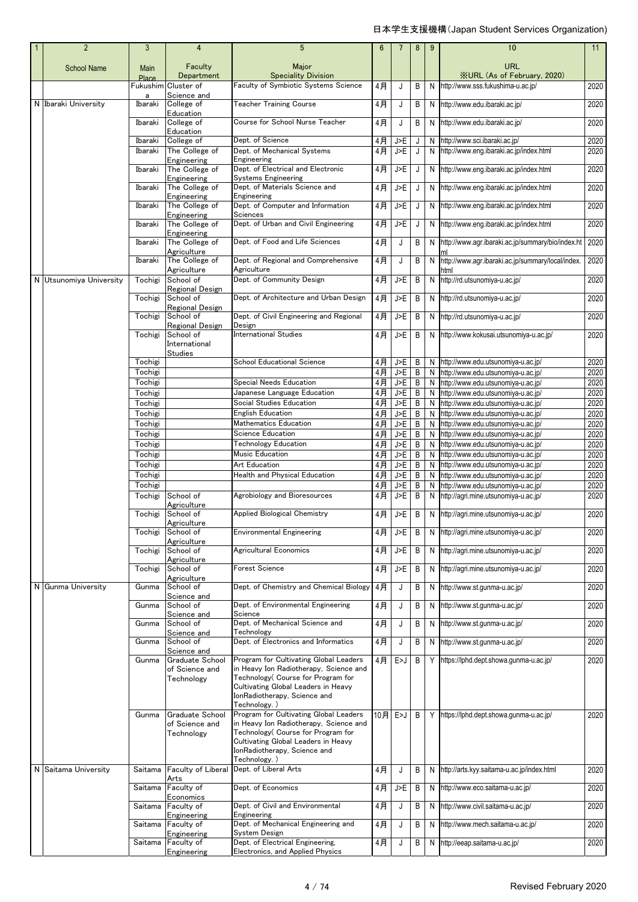| $\overline{2}$          | 3                  | 4                               | $5\phantom{.0}$                                                     | $6\phantom{1}$ | 7          | 8      | 9      | 10                                                                       | 11                                                   |
|-------------------------|--------------------|---------------------------------|---------------------------------------------------------------------|----------------|------------|--------|--------|--------------------------------------------------------------------------|------------------------------------------------------|
| <b>School Name</b>      | Main<br>Place      | Faculty<br>Department           | Major<br><b>Speciality Division</b>                                 |                |            |        |        | <b>URL</b><br><b>XURL (As of February, 2020)</b>                         |                                                      |
|                         | Fukushim           | Cluster of                      | Faculty of Symbiotic Systems Science                                | 4月             | J          | В      | N      | http://www.sss.fukushima-u.ac.jp/                                        | 2020                                                 |
| N Ibaraki University    | a<br>Ibaraki       | Science and<br>College of       | <b>Teacher Training Course</b>                                      | 4月             | J          | В      | N      | http://www.edu.ibaraki.ac.jp/                                            | 2020                                                 |
|                         | Ibaraki            | Education<br>College of         | Course for School Nurse Teacher                                     | 4月             | J          | В      | N      | http://www.edu.ibaraki.ac.jp/                                            | 2020                                                 |
|                         | Ibaraki            | Education<br>College of         | Dept. of Science                                                    | 4月             | J>E        | J      | N      | http://www.sci.ibaraki.ac.jp/                                            | 2020                                                 |
|                         | Ibaraki            | The College of                  | Dept. of Mechanical Systems                                         | 4月             | J>E        | J      | N      | http://www.eng.ibaraki.ac.jp/index.html                                  | 2020                                                 |
|                         | Ibaraki            | Engineering<br>The College of   | Engineering<br>Dept. of Electrical and Electronic                   | 4月             | J>E        | J      | N      | http://www.eng.ibaraki.ac.jp/index.html                                  | 2020                                                 |
|                         |                    | Engineering                     | Systems Engineering                                                 |                |            |        |        |                                                                          |                                                      |
|                         | Ibaraki            | The College of<br>Engineering   | Dept. of Materials Science and<br>Engineering                       | 4月             | J>E        | J      | N      | http://www.eng.ibaraki.ac.jp/index.html                                  | 2020                                                 |
|                         | Ibaraki            | The College of                  | Dept. of Computer and Information                                   | 4月             | J>E        | J      | N      | http://www.eng.ibaraki.ac.jp/index.html                                  | 2020                                                 |
|                         | Ibaraki            | Engineering<br>The College of   | Sciences<br>Dept. of Urban and Civil Engineering                    | 4月             | J>E        | J      | N      | http://www.eng.ibaraki.ac.jp/index.html                                  | 2020                                                 |
|                         |                    | Engineering                     |                                                                     |                |            |        |        |                                                                          |                                                      |
|                         | Ibaraki            | The College of<br>Agriculture   | Dept. of Food and Life Sciences                                     | 4月             | J          | В      | N      | http://www.agr.ibaraki.ac.jp/summary/bio/index.ht                        | 2020                                                 |
|                         | Ibaraki            | The College of<br>Agriculture   | Dept. of Regional and Comprehensive<br>Agriculture                  | 4月             | J          | В      | N      | http://www.aqr.ibaraki.ac.jp/summary/local/index.<br>ntml                | 2020                                                 |
| N Utsunomiya University | Tochigi            | School of<br>Regional Design    | Dept. of Community Design                                           | 4月             | J>E        | В      | N      | http://rd.utsunomiya-u.ac.jp/                                            | 2020                                                 |
|                         | Tochigi            | School of<br>Regional Design    | Dept. of Architecture and Urban Design                              | 4月             | J>E        | В      | N      | http://rd.utsunomiya-u.ac.jp/                                            | 2020                                                 |
|                         | Tochigi            | School of                       | Dept. of Civil Engineering and Regional                             | 4月             | J>E        | В      | N      | http://rd.utsunomiya-u.ac.jp/                                            | 2020                                                 |
|                         | Tochigi            | Regional Design<br>School of    | Design<br><b>International Studies</b>                              | 4月             | J>E        | B      | N      | http://www.kokusai.utsunomiya-u.ac.jp/                                   | 2020                                                 |
|                         |                    | International<br><b>Studies</b> |                                                                     |                |            |        |        |                                                                          |                                                      |
|                         | Tochigi            |                                 | School Educational Science                                          | 4月             | J>E        | В      | N      | http://www.edu.utsunomiya-u.ac.jp/                                       | 2020                                                 |
|                         | Tochigi            |                                 |                                                                     | 4月             | J>E        | B      | N      | http://www.edu.utsunomiya-u.ac.jp/                                       | 2020                                                 |
|                         | Tochigi<br>Tochigi |                                 | Special Needs Education<br>Japanese Language Education              | $4$ 月          | J>E        | B      | N      | http://www.edu.utsunomiya-u.ac.jp/                                       | 2020                                                 |
|                         | Tochigi            |                                 | Social Studies Education                                            | 4月<br>4月       | J>E<br>J>E | В<br>В | N<br>N | http://www.edu.utsunomiya-u.ac.jp/<br>http://www.edu.utsunomiya-u.ac.jp/ | 2020<br>2020                                         |
|                         | Tochigi            |                                 | <b>English Education</b>                                            | 4月             | J>E        | В      | N      | http://www.edu.utsunomiya-u.ac.jp/                                       | 2020                                                 |
|                         | Tochigi            |                                 | <b>Mathematics Education</b>                                        | 4月             | J>E        | B      | N      | http://www.edu.utsunomiya-u.ac.jp/                                       | 2020                                                 |
|                         | Tochigi            |                                 | Science Education                                                   | $4$ 月          | J>E        | В      | N      | http://www.edu.utsunomiya-u.ac.jp/                                       | 2020                                                 |
|                         | Tochigi            |                                 | <b>Technology Education</b>                                         | 4月             | J>E        | В      | N      | http://www.edu.utsunomiya-u.ac.jp/                                       | 2020                                                 |
|                         | Tochigi            |                                 | Music Education                                                     | 4月             | J>E        | В      | N      | http://www.edu.utsunomiya-u.ac.jp/                                       | 2020                                                 |
|                         |                    |                                 |                                                                     |                |            |        |        |                                                                          |                                                      |
|                         |                    |                                 | Art Education                                                       |                |            |        | N      | http://www.edu.utsunomiya-u.ac.jp/                                       |                                                      |
|                         | Tochigi<br>Tochigi |                                 | <b>Health and Physical Education</b>                                | 4月<br>4月       | J>E<br>J>E | В<br>В | N      | http://www.edu.utsunomiya-u.ac.jp/                                       |                                                      |
|                         | Tochigi            |                                 |                                                                     | 4月             | J>E        | В      | N      | http://www.edu.utsunomiya-u.ac.jp/                                       |                                                      |
|                         | Tochigi            | School of                       | Agrobiology and Bioresources                                        | 4月             | J>E        | В      | N      | http://agri.mine.utsunomiya-u.ac.jp/                                     |                                                      |
|                         | Tochigi            | Agriculture<br>School of        | <b>Applied Biological Chemistry</b>                                 | 4月             | J>E        | B      | N      | http://agri.mine.utsunomiya-u.ac.jp/                                     |                                                      |
|                         | Tochigi            | Agriculture<br>School of        | <b>Environmental Engineering</b>                                    | 4月             | J>E        | B      | N      | http://aqri.mine.utsunomiya-u.ac.jp/                                     |                                                      |
|                         | Tochigi            | Agriculture<br>School of        | Agricultural Economics                                              | 4月             | J>E        | В      | N      | http://agri.mine.utsunomiya-u.ac.jp/                                     |                                                      |
|                         | Tochigi            | Agriculture<br>School of        | Forest Science                                                      | 4月             | J>E        | B      | N      | http://agri.mine.utsunomiya-u.ac.jp/                                     | 2020                                                 |
| N Gunma University      | Gunma              | Agriculture<br>School of        | Dept. of Chemistry and Chemical Biology                             | 4月             | J          | В      | N      | http://www.st.qunma-u.ac.jp/                                             |                                                      |
|                         | Gunma              | Science and<br>School of        | Dept. of Environmental Engineering                                  | 4月             | J          | В      | N      | http://www.st.gunma-u.ac.jp/                                             |                                                      |
|                         | Gunma              | Science and<br>School of        | Science<br>Dept. of Mechanical Science and                          |                |            |        |        |                                                                          |                                                      |
|                         |                    | Science and                     | Technology                                                          | 4月             | J          | В      | N      | http://www.st.gunma-u.ac.jp/                                             |                                                      |
|                         | Gunma              | School of<br>Science and        | Dept. of Electronics and Informatics                                | 4月             | J          | В      | N      | http://www.st.gunma-u.ac.jp/                                             |                                                      |
|                         | Gunma              | Graduate School                 | Program for Cultivating Global Leaders                              | 4月             | E>J        | B      |        | Y https://lphd.dept.showa.gunma-u.ac.jp/                                 |                                                      |
|                         |                    | of Science and                  | in Heavy Ion Radiotherapy, Science and                              |                |            |        |        |                                                                          | 2020<br>2020<br>2020<br>2020<br>2020<br>2020<br>2020 |
|                         |                    | Technology                      | Technology( Course for Program for                                  |                |            |        |        |                                                                          |                                                      |
|                         |                    |                                 | Cultivating Global Leaders in Heavy<br>IonRadiotherapy, Science and |                |            |        |        |                                                                          |                                                      |
|                         |                    |                                 | Technology. )                                                       |                |            |        |        |                                                                          |                                                      |
|                         | Gunma              | Graduate School                 | Program for Cultivating Global Leaders                              | 10月 E>J        |            | B      |        | Y https://lphd.dept.showa.gunma-u.ac.jp/                                 | 2020<br>2020<br>2020<br>2020<br>2020<br>2020         |
|                         |                    | of Science and                  | in Heavy Ion Radiotherapy, Science and                              |                |            |        |        |                                                                          |                                                      |
|                         |                    | Technology                      | Technology (Course for Program for                                  |                |            |        |        |                                                                          |                                                      |
|                         |                    |                                 | Cultivating Global Leaders in Heavy<br>IonRadiotherapy, Science and |                |            |        |        |                                                                          |                                                      |
| N Saitama University    | Saitama            | Faculty of Liberal              | Technology. )<br>Dept. of Liberal Arts                              |                | J          | B      |        | N http://arts.kyy.saitama-u.ac.jp/index.html                             |                                                      |
|                         |                    | Arts                            |                                                                     | 4月             |            |        |        |                                                                          |                                                      |
|                         | Saitama            | Faculty of<br>Economics         | Dept. of Economics                                                  | 4月             | J>E        | В      | N.     | http://www.eco.saitama-u.ac.jp/                                          |                                                      |
|                         | Saitama            | Faculty of<br>Engineering       | Dept. of Civil and Environmental<br>Engineering                     | 4月             | J          | В      | N      | http://www.civil.saitama-u.ac.jp/                                        | 2020<br>2020                                         |
|                         | Saitama            | Faculty of                      | Dept. of Mechanical Engineering and                                 | 4月             | J          | В      | N      | http://www.mech.saitama-u.ac.jp/                                         |                                                      |
|                         | Saitama            | Engineering<br>Faculty of       | System Design<br>Dept. of Electrical Engineering,                   | 4月             | J          | В      | N      | http://eeap.saitama-u.ac.jp/                                             | 2020<br>2020<br>2020                                 |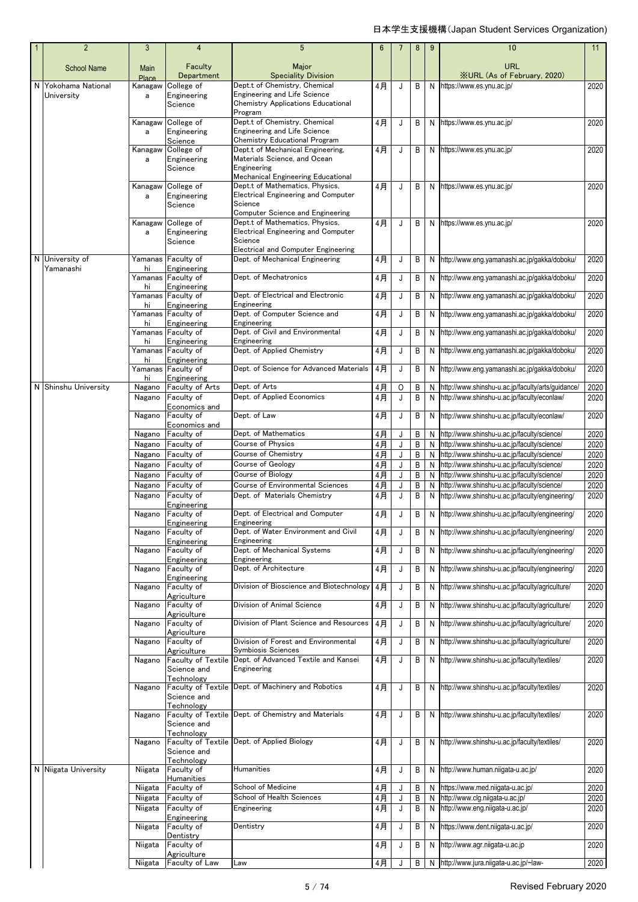| $\overline{2}$       | 3                | $\overline{4}$                           | 5                                                                             | 6        |         | 8      | 9      | 10                                                                                         | 11           |
|----------------------|------------------|------------------------------------------|-------------------------------------------------------------------------------|----------|---------|--------|--------|--------------------------------------------------------------------------------------------|--------------|
| <b>School Name</b>   | Main             | Faculty                                  | Major                                                                         |          |         |        |        | <b>URL</b>                                                                                 |              |
| N Yokohama National  | Place            | Department                               | <b>Speciality Division</b><br>Dept.t of Chemistry, Chemical                   |          |         |        |        | <b>XURL (As of February, 2020)</b>                                                         |              |
| University           | Kanagaw<br>a     | College of<br>Engineering                | <b>Engineering and Life Science</b>                                           | 4月       | J       | B      | N      | https://www.es.ynu.ac.jp/                                                                  | 2020         |
|                      |                  | Science                                  | <b>Chemistry Applications Educational</b><br>Program                          |          |         |        |        |                                                                                            |              |
|                      | Kanagaw<br>a     | College of<br>Engineering                | Dept.t of Chemistry, Chemical<br>Engineering and Life Science                 | 4月       | J       | B      | N      | https://www.es.ynu.ac.jp/                                                                  | 2020         |
|                      | Kanagaw          | Science<br>College of                    | <b>Chemistry Educational Program</b><br>Dept.t of Mechanical Engineering,     | 4月       | J       | B      |        | N https://www.es.ynu.ac.jp/                                                                | 2020         |
|                      | a                | Engineering                              | Materials Science, and Ocean                                                  |          |         |        |        |                                                                                            |              |
|                      |                  | Science                                  | Engineering<br>Mechanical Engineering Educational                             |          |         |        |        |                                                                                            |              |
|                      | Kanagaw          | College of                               | Dept.t of Mathematics, Physics.                                               | 4月       | J       | B      |        | N https://www.es.ynu.ac.jp/                                                                | 2020         |
|                      | a                | Engineering<br>Science                   | <b>Electrical Engineering and Computer</b><br>Science                         |          |         |        |        |                                                                                            |              |
|                      |                  | College of                               | Computer Science and Engineering<br>Dept.t of Mathematics, Physics,           | 4月       |         | B      |        | N https://www.es.ynu.ac.jp/                                                                | 2020         |
|                      | Kanagaw<br>a     | Engineering                              | <b>Electrical Engineering and Computer</b>                                    |          | J       |        |        |                                                                                            |              |
|                      |                  | Science                                  | Science                                                                       |          |         |        |        |                                                                                            |              |
| N University of      | Yamanas          | Faculty of                               | <b>Electrical and Computer Engineering</b><br>Dept. of Mechanical Engineering | 4月       | J       | B      |        | N http://www.eng.yamanashi.ac.jp/gakka/doboku/                                             | 2020         |
| Yamanashi            | hi               | Engineering                              |                                                                               |          |         |        |        |                                                                                            |              |
|                      | hi               | Yamanas Faculty of<br>Engineering        | Dept. of Mechatronics                                                         | 4月       | J       | B      | N      | http://www.eng.yamanashi.ac.jp/gakka/doboku/                                               | 2020         |
|                      | Yamanas          | Faculty of<br>Engineering                | Dept. of Electrical and Electronic<br>Engineering                             | 4月       | J       | B      | N      | http://www.eng.yamanashi.ac.jp/gakka/doboku/                                               | 2020         |
|                      | hi<br>Yamanas    | Faculty of                               | Dept. of Computer Science and                                                 | 4月       | J       | B      | N      | http://www.eng.yamanashi.ac.jp/gakka/doboku/                                               | 2020         |
|                      | hi<br>Yamanas    | Engineering<br>Faculty of                | Engineering<br>Dept. of Civil and Environmental                               | 4月       | J       | B      | N      | http://www.eng.yamanashi.ac.jp/gakka/doboku/                                               | 2020         |
|                      | hi               | Engineering                              | Engineering                                                                   |          |         |        |        |                                                                                            |              |
|                      | hi               | Yamanas Faculty of<br>Engineering        | Dept. of Applied Chemistry                                                    | 4月       | J       | B      | N      | http://www.eng.yamanashi.ac.jp/gakka/doboku/                                               | 2020         |
|                      | Yamanas<br>hi    | Faculty of<br>Engineering                | Dept. of Science for Advanced Materials                                       | 4月       | J       | B      | N      | http://www.eng.yamanashi.ac.jp/gakka/doboku/                                               | 2020         |
| N Shinshu University | Nagano           | Faculty of Arts                          | Dept. of Arts                                                                 | 4月       | $\circ$ | B      | N      | http://www.shinshu-u.ac.jp/faculty/arts/guidance/                                          | 2020         |
|                      | Nagano           | Faculty of                               | Dept. of Applied Economics                                                    | 4月       | J       | B      | N      | http://www.shinshu-u.ac.jp/faculty/econlaw/                                                | 2020         |
|                      | Nagano           | Economics and<br>Faculty of              | Dept. of Law                                                                  | 4月       | J       | B      | N      | http://www.shinshu-u.ac.jp/faculty/econlaw/                                                | 2020         |
|                      |                  | Economics and                            |                                                                               |          |         |        |        |                                                                                            |              |
|                      | Nagano           | Faculty of                               | Dept. of Mathematics                                                          | 4月       | J       | B      | N      | http://www.shinshu-u.ac.jp/faculty/science/                                                | 2020         |
|                      | Nagano<br>Nagano | Faculty of                               | <b>Course of Physics</b><br>Course of Chemistry                               | 4月       | J       | B<br>B | N<br>N | http://www.shinshu-u.ac.jp/faculty/science/                                                | 2020         |
|                      | Nagano           | Faculty of<br>Faculty of                 | Course of Geology                                                             | 4月<br>4月 | J<br>J  | B      | N      | http://www.shinshu-u.ac.jp/faculty/science/<br>http://www.shinshu-u.ac.jp/faculty/science/ | 2020<br>2020 |
|                      | Nagano           | Faculty of                               | Course of Biology                                                             | 4月       | J       | B      | N      | http://www.shinshu-u.ac.jp/faculty/science/                                                | 2020         |
|                      | Nagano           | Faculty of                               | Course of Environmental Sciences                                              | 4月       | J       | B      | N      | http://www.shinshu-u.ac.jp/faculty/science/                                                | 2020         |
|                      | Nagano           | Faculty of                               | Dept. of Materials Chemistry                                                  | 4月       | J       | B      | N      | http://www.shinshu-u.ac.jp/faculty/engineering/                                            | 2020         |
|                      | Nagano           | Engineering<br>Faculty of                | Dept. of Electrical and Computer                                              | 4月       | J       | В      | N      | http://www.shinshu-u.ac.jp/faculty/engineering/                                            | 2020         |
|                      |                  | Engineering                              | Engineering                                                                   |          |         |        |        |                                                                                            |              |
|                      | Nagano           | <b>Faculty of</b><br>Engineering         | Dept. of Water Environment and Civil<br>Engineering                           | 4月       | J       | В      | N      | http://www.shinshu-u.ac.jp/faculty/engineering/                                            | 2020         |
|                      | Nagano           | Faculty of                               | Dept. of Mechanical Systems                                                   | 4月       | J       | В      | N      | http://www.shinshu-u.ac.jp/faculty/engineering/                                            | 2020         |
|                      | Nagano           | Engineering<br>Faculty of                | Engineering<br>Dept. of Architecture                                          | 4月       | J       | В      | N      | http://www.shinshu-u.ac.jp/faculty/engineering/                                            | 2020         |
|                      |                  | Engineering                              |                                                                               |          |         |        |        |                                                                                            |              |
|                      | Nagano           | Faculty of<br>Agriculture                | Division of Bioscience and Biotechnology                                      | 4月       | J       | В      | N      | http://www.shinshu-u.ac.jp/faculty/agriculture/                                            | 2020         |
|                      | Nagano           | Faculty of                               | Division of Animal Science                                                    | 4月       | J       | B      |        | N http://www.shinshu-u.ac.jp/faculty/agriculture/                                          | 2020         |
|                      | Nagano           | Agriculture<br>Faculty of                | Division of Plant Science and Resources                                       | 4月       | J       | B      | N      | http://www.shinshu-u.ac.jp/faculty/agriculture/                                            | 2020         |
|                      | Nagano           | Agriculture<br>Faculty of                | Division of Forest and Environmental                                          | 4月       | J       | B      | N      | http://www.shinshu-u.ac.jp/faculty/agriculture/                                            | 2020         |
|                      |                  | Agriculture                              | Symbiosis Sciences                                                            |          |         |        |        |                                                                                            |              |
|                      | Nagano           | <b>Faculty of Textile</b><br>Science and | Dept. of Advanced Textile and Kansei<br>Engineering                           | 4月       | J       | B      | N      | http://www.shinshu-u.ac.jp/faculty/textiles/                                               | 2020         |
|                      | Nagano           | Technology<br><b>Faculty of Textile</b>  | Dept. of Machinery and Robotics                                               | 4月       | J       | B      |        | N http://www.shinshu-u.ac.jp/faculty/textiles/                                             | 2020         |
|                      |                  | Science and                              |                                                                               |          |         |        |        |                                                                                            |              |
|                      | Nagano           | Technology<br><b>Faculty of Textile</b>  | Dept. of Chemistry and Materials                                              | 4月       | J       | B      |        | N http://www.shinshu-u.ac.jp/faculty/textiles/                                             | 2020         |
|                      |                  | Science and                              |                                                                               |          |         |        |        |                                                                                            |              |
|                      | Nagano           | Technology                               | Faculty of Textile Dept. of Applied Biology                                   | 4月       | J       | B      |        | N http://www.shinshu-u.ac.jp/faculty/textiles/                                             | 2020         |
|                      |                  | Science and<br>Technology                |                                                                               |          |         |        |        |                                                                                            |              |
| N Niigata University | Niigata          | Faculty of<br>Humanities                 | Humanities                                                                    | 4月       | J       | В      |        | N http://www.human.niigata-u.ac.jp/                                                        | 2020         |
|                      | Niigata          | Faculty of                               | School of Medicine                                                            | 4月       | J       | B      | N      | https://www.med.niigata-u.ac.jp/                                                           | 2020         |
|                      | Niigata          | Faculty of                               | School of Health Sciences                                                     | $4$ 月    | J       | B      | N      | http://www.clg.niigata-u.ac.jp/                                                            | 2020         |
|                      | Niigata          | Faculty of                               | Engineering                                                                   | 4月       | J       | B      | N      | http://www.eng.niigata-u.ac.jp/                                                            | 2020         |
|                      | Niigata          | Engineering<br>Faculty of                | Dentistry                                                                     | 4月       | J       | B      | N      | https://www.dent.niigata-u.ac.jp/                                                          | 2020         |
|                      |                  | Dentistry                                |                                                                               |          |         |        |        |                                                                                            |              |
|                      | Niigata          | Faculty of<br>Agriculture                |                                                                               | 4月       | J       | B      |        | N http://www.agr.niigata-u.ac.jp                                                           | 2020         |
|                      | Niigata          | Faculty of Law                           | Law                                                                           | 4月       |         | B      | N      | http://www.jura.niigata-u.ac.jp/~law-                                                      | 2020         |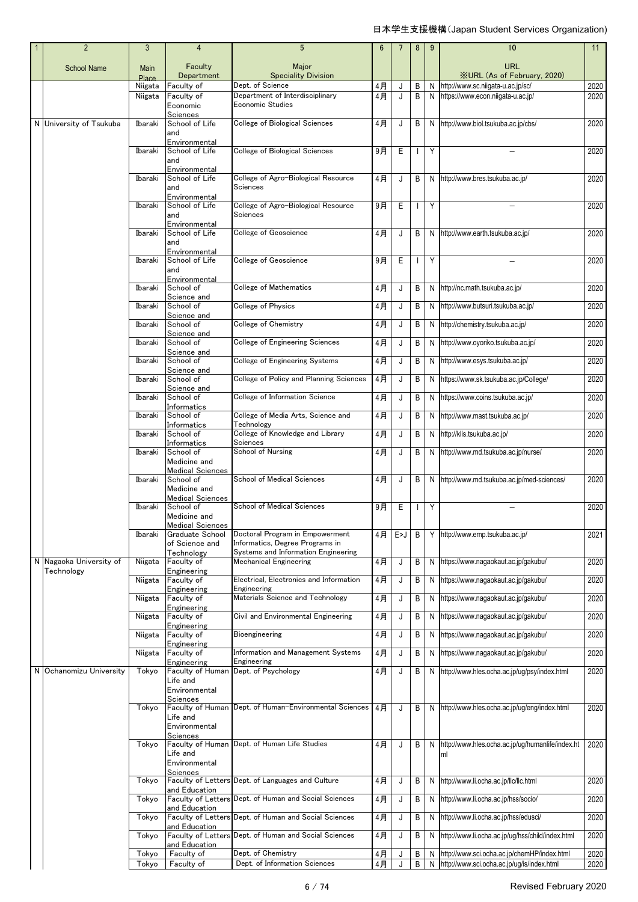| $\overline{2}$          | 3                    | 4                                                                          | 5                                                                                                         | 6     |     | 8            | 9 | 10                                                       | 11   |
|-------------------------|----------------------|----------------------------------------------------------------------------|-----------------------------------------------------------------------------------------------------------|-------|-----|--------------|---|----------------------------------------------------------|------|
| <b>School Name</b>      | Main<br><b>Place</b> | Faculty<br>Department                                                      | Major<br><b>Speciality Division</b>                                                                       |       |     |              |   | <b>URL</b><br><b>XURL (As of February, 2020)</b>         |      |
|                         | Niigata              | Faculty of                                                                 | Dept. of Science                                                                                          | 4月    | J   | B            | Ν | http://www.sc.niigata-u.ac.jp/sc/                        | 2020 |
|                         | Niigata              | Faculty of<br>Economic<br>Sciences                                         | Department of Interdisciplinary<br>Economic Studies                                                       | 4月    | J   | B            | N | https://www.econ.niigata-u.ac.jp/                        | 2020 |
| N University of Tsukuba | Ibaraki              | School of Life<br>and                                                      | College of Biological Sciences                                                                            | 4月    | J   | B            |   | N http://www.biol.tsukuba.ac.jp/cbs/                     | 2020 |
|                         | Ibaraki              | Environmental<br>School of Life<br>and<br>Environmental                    | College of Biological Sciences                                                                            | 9月    | E   | $\mathbf{I}$ | Y |                                                          | 2020 |
|                         | Ibaraki              | School of Life<br>and<br>Environmental                                     | College of Agro-Biological Resource<br>Sciences                                                           | 4月    | J   | B            | N | http://www.bres.tsukuba.ac.jp/                           | 2020 |
|                         | Ibaraki              | School of Life<br>and<br>Environmental                                     | College of Agro-Biological Resource<br>Sciences                                                           | 9月    | E   | $\mathbf{I}$ | Y |                                                          | 2020 |
|                         | Ibaraki              | School of Life<br>and<br>Environmental                                     | College of Geoscience                                                                                     | 4月    | J   | B            | N | http://www.earth.tsukuba.ac.jp/                          | 2020 |
|                         | Ibaraki              | School of Life<br>and                                                      | <b>College of Geoscience</b>                                                                              | 9月    | E   | $\mathbf{I}$ | Y |                                                          | 2020 |
|                         | Ibaraki              | Environmental<br>School of<br>Science and                                  | College of Mathematics                                                                                    | 4月    | J   | B            |   | N http://nc.math.tsukuba.ac.jp/                          | 2020 |
|                         | Ibaraki              | School of                                                                  | College of Physics                                                                                        | 4月    | J   | B            |   | N http://www.butsuri.tsukuba.ac.jp/                      | 2020 |
|                         | Ibaraki              | Science and<br>School of<br>Science and                                    | College of Chemistry                                                                                      | 4月    | J   | B            | N | http://chemistry.tsukuba.ac.jp/                          | 2020 |
|                         | Ibaraki              | School of                                                                  | <b>College of Engineering Sciences</b>                                                                    | 4月    | J   | B            | N | http://www.oyoriko.tsukuba.ac.jp/                        | 2020 |
|                         | Ibaraki              | Science and<br>School of<br>Science and                                    | College of Engineering Systems                                                                            | $4$ 月 | J   | B            | N | http://www.esys.tsukuba.ac.jp/                           | 2020 |
|                         | Ibaraki              | School of                                                                  | College of Policy and Planning Sciences                                                                   | $4$ 月 | J   | B            | N | https://www.sk.tsukuba.ac.jp/College/                    | 2020 |
|                         | Ibaraki              | Science and<br>School of<br>Informatics                                    | College of Information Science                                                                            | $4$ 月 | J   | B            | N | https://www.coins.tsukuba.ac.jp/                         | 2020 |
|                         | Ibaraki              | School of                                                                  | College of Media Arts, Science and                                                                        | 4月    | J   | B            | N | http://www.mast.tsukuba.ac.jp/                           | 2020 |
|                         | Ibaraki              | Informatics<br>School of                                                   | Technology<br>College of Knowledge and Library                                                            | 4月    | J   | B            | N | http://klis.tsukuba.ac.jp/                               | 2020 |
|                         |                      | Informatics<br>School of                                                   | Sciences<br>School of Nursing                                                                             |       |     |              |   | http://www.md.tsukuba.ac.jp/nurse/                       |      |
|                         | Ibaraki              | Medicine and                                                               |                                                                                                           | 4月    | J   | B            | N |                                                          | 2020 |
|                         | Ibaraki              | <b>Medical Sciences</b><br>School of<br>Medicine and                       | School of Medical Sciences                                                                                | 4月    | J   | B            |   | N http://www.md.tsukuba.ac.jp/med-sciences/              | 2020 |
|                         | Ibaraki              | <b>Medical Sciences</b><br>School of<br>Medicine and                       | School of Medical Sciences                                                                                | 9月    | Ε   | H            | Υ |                                                          | 2020 |
|                         | Ibaraki              | <u>Medical Sciences</u><br>Graduate School<br>of Science and<br>Technology | Doctoral Program in Empowerment<br>Informatics, Degree Programs in<br>Systems and Information Engineering | 4月    | E>J | B            |   | Y http://www.emp.tsukuba.ac.jp/                          | 2021 |
| N Nagaoka University of | Niigata              | Faculty of                                                                 | <b>Mechanical Engineering</b>                                                                             | 4月    | J   | B            | N | https://www.nagaokaut.ac.jp/gakubu/                      | 2020 |
| Technology              | Niigata              | Engineering<br>Faculty of                                                  | Electrical, Electronics and Information                                                                   | 4月    | J   | B            | N | https://www.nagaokaut.ac.jp/gakubu/                      | 2020 |
|                         | Niigata              | Engineering<br>Faculty of                                                  | Engineering<br>Materials Science and Technology                                                           | 4月    | J   | B            | N | https://www.naqaokaut.ac.jp/qakubu/                      | 2020 |
|                         | Niigata              | Engineering<br>Faculty of                                                  | Civil and Environmental Engineering                                                                       | 4月    | J   | B            | Ν | https://www.nagaokaut.ac.jp/gakubu/                      | 2020 |
|                         |                      | Engineering                                                                |                                                                                                           |       |     |              |   |                                                          |      |
|                         | Niigata              | Faculty of<br>Engineering                                                  | Bioengineering                                                                                            | 4月    | J   | В            | N | https://www.nagaokaut.ac.jp/gakubu/                      | 2020 |
|                         | Niigata              | Faculty of                                                                 | Information and Management Systems<br>Engineering                                                         | 4月    | J   | В            | N | https://www.naqaokaut.ac.jp/qakubu/                      | 2020 |
| N Ochanomizu University | Tokyo                | Engineering<br>Faculty of Human<br>Life and<br>Environmental               | Dept. of Psychology                                                                                       | 4月    | J   | B            | N | http://www.hles.ocha.ac.jp/ug/psy/index.html             | 2020 |
|                         |                      | Sciences                                                                   |                                                                                                           |       |     |              |   |                                                          |      |
|                         | Tokyo                | Life and<br>Environmental                                                  | Faculty of Human Dept. of Human-Environmental Sciences                                                    | 4月    | J   | B            |   | N http://www.hles.ocha.ac.jp/ug/eng/index.html           | 2020 |
|                         | Tokyo                | Sciences<br>Life and<br>Environmental<br>Sciences                          | Faculty of Human Dept. of Human Life Studies                                                              | 4月    | J   | B            |   | N http://www.hles.ocha.ac.jp/ug/humanlife/index.ht<br>ml | 2020 |
|                         | Tokyo                | and Education                                                              | Faculty of Letters Dept. of Languages and Culture                                                         | 4月    | J   | B            | N | http://www.li.ocha.ac.jp/llc/llc.html                    | 2020 |
|                         | Tokyo                | and Education                                                              | Faculty of Letters Dept. of Human and Social Sciences                                                     | 4月    | J   | В            | N | http://www.li.ocha.ac.jp/hss/socio/                      | 2020 |
|                         | Tokyo                |                                                                            | Faculty of Letters Dept. of Human and Social Sciences                                                     | 4月    | J   | B            | N | http://www.li.ocha.ac.jp/hss/edusci/                     | 2020 |
|                         | Tokyo                | and Education<br>and Education                                             | Faculty of Letters Dept. of Human and Social Sciences                                                     | 4月    | J   | В            | N | http://www.li.ocha.ac.jp/ug/hss/child/index.html         | 2020 |
|                         | Tokyo                | Faculty of                                                                 | Dept. of Chemistry                                                                                        | 4月    |     | B            | N | http://www.sci.ocha.ac.jp/chemHP/index.html              | 2020 |
|                         | Tokyo                | Faculty of                                                                 | Dept. of Information Sciences                                                                             | 4月    |     | B            |   | http://www.sci.ocha.ac.jp/ug/is/index.html               | 2020 |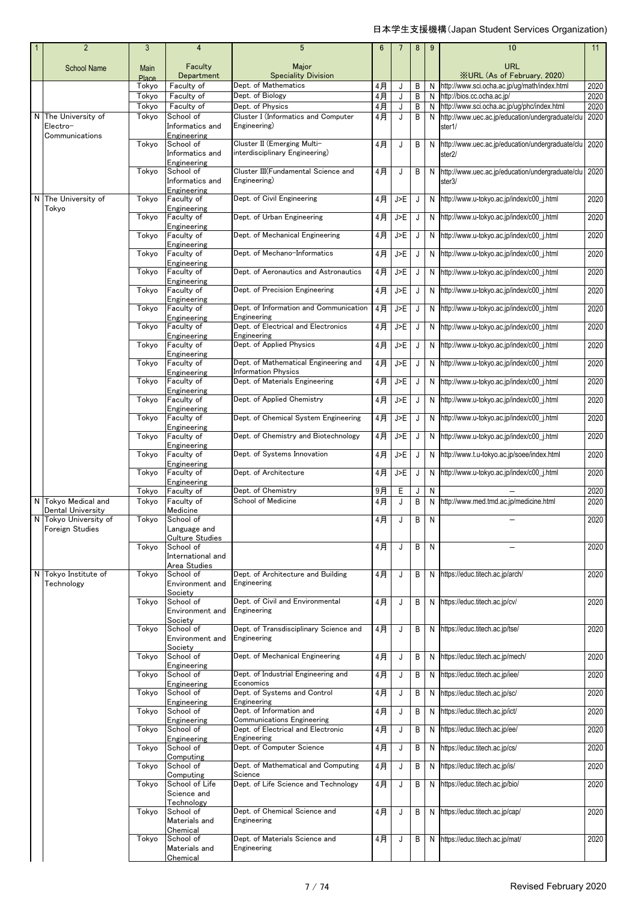| $\overline{2}$                     | 3              | 4                               | $5\phantom{.0}$                                                     | $6\phantom{1}$ | 7      | 8      | 9 | 10                                                                            | 11           |
|------------------------------------|----------------|---------------------------------|---------------------------------------------------------------------|----------------|--------|--------|---|-------------------------------------------------------------------------------|--------------|
| <b>School Name</b>                 | Main<br>Place  | Faculty<br>Department           | Major<br><b>Speciality Division</b>                                 |                |        |        |   | <b>URL</b><br><b>XURL (As of February, 2020)</b>                              |              |
|                                    | Tokyo          | Faculty of                      | Dept. of Mathematics                                                | 4月             | J      | B      | N | http://www.sci.ocha.ac.jp/ug/math/index.html                                  | 2020         |
|                                    | Tokyo<br>Tokyo | Faculty of<br>Faculty of        | Dept. of Biology<br>Dept. of Physics                                | $4$ 月<br>$4$ 月 | J<br>J | B<br>B |   | N http://bios.cc.ocha.ac.jp/<br>N http://www.sci.ocha.ac.jp/ug/phc/index.html | 2020<br>2020 |
| N The University of                | Tokyo          | School of                       | Cluster I (Informatics and Computer                                 | 4月             | J      | B      |   | N http://www.uec.ac.jp/education/undergraduate/clu                            | 2020         |
| Electro-<br>Communications         |                | Informatics and                 | Engineering)                                                        |                |        |        |   | ster1/                                                                        |              |
|                                    | Tokyo          | Engineering<br>School of        | Cluster II (Emerging Multi-                                         | 4月             | J      | B      | N | http://www.uec.ac.jp/education/undergraduate/clu                              | 2020         |
|                                    |                | Informatics and                 | interdisciplinary Engineering)                                      |                |        |        |   | ster2/                                                                        |              |
|                                    | Tokyo          | Engineering<br>School of        | Cluster III(Fundamental Science and                                 | 4月             | J      | B      |   | N http://www.uec.ac.jp/education/undergraduate/clu 2020                       |              |
|                                    |                | Informatics and                 | Engineering)                                                        |                |        |        |   | ster3/                                                                        |              |
| N The University of                | Tokyo          | Engineering<br>Faculty of       | Dept. of Civil Engineering                                          | 4月             | J>E    | J      |   | N http://www.u-tokyo.ac.jp/index/c00_j.html                                   | 2020         |
| Tokyo                              | Tokyo          | Engineering<br>Faculty of       | Dept. of Urban Engineering                                          | 4月             | J>E    | J      |   | N http://www.u-tokyo.ac.jp/index/c00_j.html                                   | 2020         |
|                                    |                | Engineering                     |                                                                     |                |        |        |   |                                                                               |              |
|                                    | Tokyo          | Faculty of<br>Engineering       | Dept. of Mechanical Engineering                                     | 4月             | J>E    | J      |   | N http://www.u-tokyo.ac.jp/index/c00_j.html                                   | 2020         |
|                                    | Tokyo          | Faculty of                      | Dept. of Mechano-Informatics                                        | $4$ 月          | J>E    | J      |   | N http://www.u-tokyo.ac.jp/index/c00_j.html                                   | 2020         |
|                                    | Tokyo          | Engineering<br>Faculty of       | Dept. of Aeronautics and Astronautics                               | $4$ 月          | J>E    | J      |   | N http://www.u-tokyo.ac.jp/index/c00_j.html                                   | 2020         |
|                                    |                | Engineering                     |                                                                     |                |        |        |   |                                                                               |              |
|                                    | Tokyo          | Faculty of<br>Engineering       | Dept. of Precision Engineering                                      | $4$ 月          | J>E    | J      |   | N http://www.u-tokyo.ac.jp/index/c00_j.html                                   | 2020         |
|                                    | Tokyo          | Faculty of                      | Dept. of Information and Communication                              | $4$ 月          | J>F    | J      |   | N http://www.u-tokyo.ac.jp/index/c00_j.html                                   | 2020         |
|                                    | Tokyo          | Engineering<br>Faculty of       | Engineering<br>Dept. of Electrical and Electronics                  | $4$ 月          | J>E    | J      |   | N http://www.u-tokyo.ac.jp/index/c00_j.html                                   | 2020         |
|                                    |                | Engineering                     | Engineering<br>Dept. of Applied Physics                             |                |        |        |   |                                                                               |              |
|                                    | Tokyo          | Faculty of<br>Engineering       |                                                                     | $4$ 月          | J>E    | J      |   | N http://www.u-tokyo.ac.jp/index/c00_j.html                                   | 2020         |
|                                    | Tokyo          | Faculty of<br>Engineering       | Dept. of Mathematical Engineering and<br><b>Information Physics</b> | 4月             | J>E    | J      |   | N http://www.u-tokyo.ac.jp/index/c00_j.html                                   | 2020         |
|                                    | Tokyo          | Faculty of                      | Dept. of Materials Engineering                                      | 4月             | J>E    | J      |   | N http://www.u-tokyo.ac.jp/index/c00_j.html                                   | 2020         |
|                                    | Tokyo          | Engineering<br>Faculty of       | Dept. of Applied Chemistry                                          | $4$ 月          | J>F    | J      |   | N http://www.u-tokyo.ac.jp/index/c00_j.html                                   | 2020         |
|                                    |                | Engineering                     |                                                                     |                |        |        |   |                                                                               |              |
|                                    | Tokyo          | Faculty of<br>Engineering       | Dept. of Chemical System Engineering                                | $4$ 月          | J>E    | J      |   | N http://www.u-tokyo.ac.jp/index/c00_j.html                                   | 2020         |
|                                    | Tokyo          | Faculty of                      | Dept. of Chemistry and Biotechnology                                | 4月             | J>E    | J      |   | N http://www.u-tokyo.ac.jp/index/c00_j.html                                   | 2020         |
|                                    | Tokyo          | Engineering<br>Faculty of       | Dept. of Systems Innovation                                         | 4月             | J>E    | J      |   | N http://www.t.u-tokyo.ac.jp/soee/index.html                                  | 2020         |
|                                    | Tokyo          | Engineering<br>Faculty of       | Dept. of Architecture                                               | 4月             | J>E    | J      |   | N http://www.u-tokyo.ac.jp/index/c00_j.html                                   | 2020         |
|                                    |                | Engineering                     |                                                                     |                |        |        |   |                                                                               |              |
| N Tokyo Medical and                | Tokvo          | Faculty of<br>Faculty of        | Dept. of Chemistry<br>School of Medicine                            | 9月             | E      | J      | N |                                                                               | 2020<br>2020 |
| Dental University                  | Tokyo          | Medicine                        |                                                                     | 4月             | J      | B      |   | N http://www.med.tmd.ac.jp/medicine.html                                      |              |
| N Tokyo University of              | Tokyo          | School of                       |                                                                     | 4月             |        | B      | N |                                                                               | 2020         |
| Foreign Studies                    |                | Language and<br>Culture Studies |                                                                     |                |        |        |   |                                                                               |              |
|                                    | Tokyo          | School of<br>International and  |                                                                     | 4月             | J      | B      | N |                                                                               | 2020         |
|                                    |                | Area Studies                    |                                                                     |                |        |        |   |                                                                               |              |
| N Tokyo Institute of<br>Technology | Tokyo          | School of<br>Environment and    | Dept. of Architecture and Building<br>Engineering                   | 4月             | J      | B      |   | N https://educ.titech.ac.jp/arch/                                             | 2020         |
|                                    |                | Society                         |                                                                     |                |        |        |   |                                                                               |              |
|                                    | Tokyo          | School of<br>Environment and    | Dept. of Civil and Environmental<br>Engineering                     | 4月             | J      | B      |   | N https://educ.titech.ac.jp/cv/                                               | 2020         |
|                                    | Tokvo          | Society                         | Dept. of Transdisciplinary Science and                              |                |        |        |   |                                                                               |              |
|                                    |                | School of<br>Environment and    | Engineering                                                         | 4月             | J      | B      |   | N https://educ.titech.ac.jp/tse/                                              | 2020         |
|                                    | Tokyo          | Society<br>School of            | Dept. of Mechanical Engineering                                     | 4月             | J      | B      |   | N https://educ.titech.ac.jp/mech/                                             | 2020         |
|                                    |                | Engineering                     |                                                                     |                |        |        |   |                                                                               |              |
|                                    | Tokyo          | School of<br>Engineering        | Dept. of Industrial Engineering and<br>Economics                    | $4$ 月          | J      | B      |   | N https://educ.titech.ac.jp/iee/                                              | 2020         |
|                                    | Tokyo          | School of                       | Dept. of Systems and Control                                        | 4月             | J      | B      |   | N https://educ.titech.ac.jp/sc/                                               | 2020         |
|                                    | Tokyo          | Engineering<br>School of        | Engineering<br>Dept. of Information and                             | 4月             | J      | B      |   | N https://educ.titech.ac.jp/ict/                                              | 2020         |
|                                    |                | Engineering                     | Communications Engineering<br>Dept. of Electrical and Electronic    |                |        |        |   |                                                                               |              |
|                                    | Tokyo          | School of<br>Engineering        | Engineering                                                         | 4月             | J      | B      |   | N https://educ.titech.ac.jp/ee/                                               | 2020         |
|                                    | Tokyo          | School of<br>Computing          | Dept. of Computer Science                                           | 4月             | J      | B      |   | N https://educ.titech.ac.jp/cs/                                               | 2020         |
|                                    | Tokyo          | School of                       | Dept. of Mathematical and Computing                                 | 4月             | J      | B      |   | N https://educ.titech.ac.jp/is/                                               | 2020         |
|                                    | Tokyo          | Computing<br>School of Life     | Science<br>Dept. of Life Science and Technology                     | 4月             | J      | B      |   | N https://educ.titech.ac.jp/bio/                                              | 2020         |
|                                    |                | Science and                     |                                                                     |                |        |        |   |                                                                               |              |
|                                    | Tokyo          | Technology<br>School of         | Dept. of Chemical Science and                                       | 4月             | J      | B      |   | N https://educ.titech.ac.jp/cap/                                              | 2020         |
|                                    |                | Materials and<br>Chemical       | Engineering                                                         |                |        |        |   |                                                                               |              |
|                                    | Tokyo          | School of                       | Dept. of Materials Science and                                      | 4月             | J      | B      |   | N https://educ.titech.ac.jp/mat/                                              | 2020         |
|                                    |                | Materials and<br>Chemical       | Engineering                                                         |                |        |        |   |                                                                               |              |
|                                    |                |                                 |                                                                     |                |        |        |   |                                                                               |              |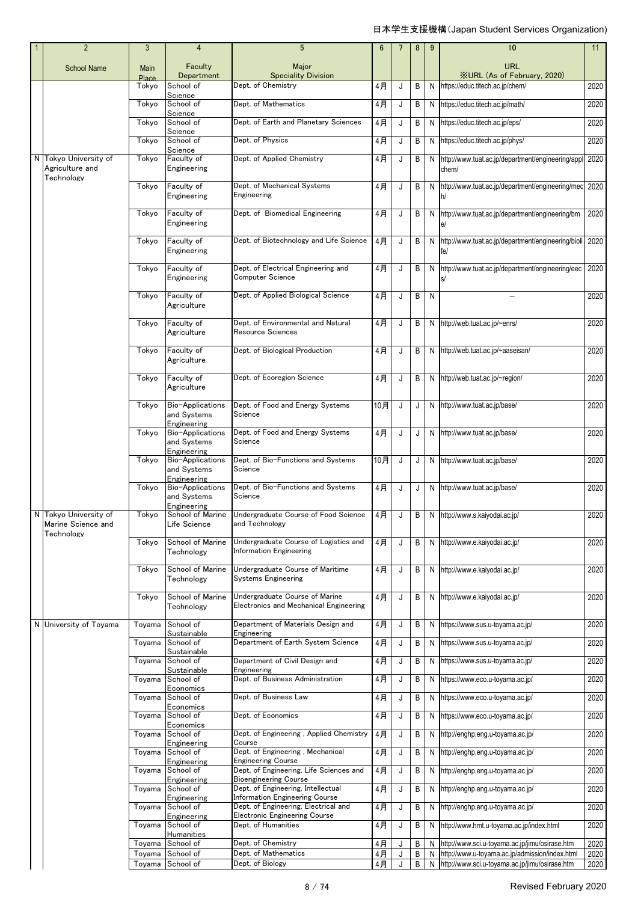| $\overline{2}$                                            | 3                           | 4                                                             | 5                                                                                                    | $6\phantom{1}6$ | $\overline{7}$ | 8      | 9      | 10                                                                                               | 11   |
|-----------------------------------------------------------|-----------------------------|---------------------------------------------------------------|------------------------------------------------------------------------------------------------------|-----------------|----------------|--------|--------|--------------------------------------------------------------------------------------------------|------|
| <b>School Name</b>                                        | <b>Main</b><br><b>Place</b> | Faculty<br>Department                                         | Major<br><b>Speciality Division</b>                                                                  |                 |                |        |        | <b>URL</b><br><b>XURL (As of February, 2020)</b>                                                 |      |
|                                                           | Tokyo                       | School of                                                     | Dept. of Chemistry                                                                                   | 4月              | J              | B      |        | N https://educ.titech.ac.jp/chem/                                                                | 2020 |
|                                                           | Tokyo                       | Science<br>School of                                          | Dept. of Mathematics                                                                                 | 4月              | J              | B      |        | N https://educ.titech.ac.jp/math/                                                                | 2020 |
|                                                           | Tokyo                       | Science<br>School of                                          | Dept. of Earth and Planetary Sciences                                                                | 4月              | J              | B      |        | N https://educ.titech.ac.jp/eps/                                                                 | 2020 |
|                                                           | Tokyo                       | Science<br>School of                                          | Dept. of Physics                                                                                     | 4月              | J              | B      |        | N https://educ.titech.ac.jp/phys/                                                                | 2020 |
| N Tokyo University of                                     | Tokyo                       | Science<br>Faculty of                                         | Dept. of Applied Chemistry                                                                           | 4月              | J              | B      |        | N http://www.tuat.ac.jp/department/engineering/appl 2020                                         |      |
| Agriculture and<br>Technology                             |                             | Engineering                                                   |                                                                                                      |                 |                |        |        | chem/                                                                                            |      |
|                                                           | Tokyo                       | Faculty of<br>Engineering                                     | Dept. of Mechanical Systems<br>Engineering                                                           | 4月              | J              | B      |        | N http://www.tuat.ac.jp/department/engineering/mec 2020<br>lh/                                   |      |
|                                                           | Tokyo                       | Faculty of<br>Engineering                                     | Dept. of Biomedical Engineering                                                                      | 4月              | J              | B      |        | N http://www.tuat.ac.jp/department/engineering/bm<br>e/                                          | 2020 |
|                                                           | Tokyo                       | Faculty of<br>Engineering                                     | Dept. of Biotechnology and Life Science                                                              | 4月              | J              | B      |        | N http://www.tuat.ac.jp/department/engineering/bioli 2020<br>fe/                                 |      |
|                                                           | Tokyo                       | Faculty of<br>Engineering                                     | Dept. of Electrical Engineering and<br>Computer Science                                              | 4月              | J              | B      |        | N http://www.tuat.ac.jp/department/engineering/eec                                               | 2020 |
|                                                           | Tokyo                       | Faculty of<br>Agriculture                                     | Dept. of Applied Biological Science                                                                  | 4月              | J              | B      | N      |                                                                                                  | 2020 |
|                                                           | Tokyo                       | Faculty of<br>Agriculture                                     | Dept. of Environmental and Natural<br>Resource Sciences                                              | 4月              | J              | B      |        | N http://web.tuat.ac.jp/~enrs/                                                                   | 2020 |
|                                                           | Tokyo                       | Faculty of<br>Agriculture                                     | Dept. of Biological Production                                                                       | 4月              | J              | B      |        | N http://web.tuat.ac.jp/~aaseisan/                                                               | 2020 |
|                                                           | Tokyo                       | Faculty of<br>Agriculture                                     | Dept. of Ecoregion Science                                                                           | 4月              | J              | B      |        | N http://web.tuat.ac.jp/~region/                                                                 | 2020 |
|                                                           | Tokyo                       | Bio-Applications<br>and Systems                               | Dept. of Food and Energy Systems<br>Science                                                          | 10月             | J              | J      |        | N http://www.tuat.ac.jp/base/                                                                    | 2020 |
|                                                           | Tokyo                       | Engineering<br>Bio-Applications<br>and Systems                | Dept. of Food and Energy Systems<br>Science                                                          | 4月              | J              | J      |        | N http://www.tuat.ac.jp/base/                                                                    | 2020 |
|                                                           | Tokyo                       | Engineering<br>Bio-Applications<br>and Systems<br>Engineering | Dept. of Bio-Functions and Systems<br>Science                                                        | 10月             | J              | J      |        | N http://www.tuat.ac.jp/base/                                                                    | 2020 |
|                                                           | Tokyo                       | Bio-Applications<br>and Systems<br>Engineering                | Dept. of Bio-Functions and Systems<br>Science                                                        | 4月              | J              | J      |        | N http://www.tuat.ac.jp/base/                                                                    | 2020 |
| N Tokyo University of<br>Marine Science and<br>Technology | Tokyo                       | School of Marine<br>Life Science                              | Undergraduate Course of Food Science<br>and Technology                                               | 4月              | J              | B      |        | N http://www.s.kaiyodai.ac.jp/                                                                   | 2020 |
|                                                           | Tokyo                       | School of Marine<br>Technology                                | Undergraduate Course of Logistics and<br><b>Information Engineering</b>                              | 4月              | J              | B      |        | N http://www.e.kaiyodai.ac.jp/                                                                   | 2020 |
|                                                           | Tokyo                       | School of Marine<br>Technology                                | Undergraduate Course of Maritime<br><b>Systems Engineering</b>                                       | 4月              | J              | B      |        | N http://www.e.kaiyodai.ac.jp/                                                                   | 2020 |
|                                                           | Tokyo                       | School of Marine<br>Technology                                | Undergraduate Course of Marine<br>Electronics and Mechanical Engineering                             | 4月              | J              | B      |        | N http://www.e.kaiyodai.ac.jp/                                                                   | 2020 |
| N University of Toyama                                    | Toyama                      | School of<br>Sustainable                                      | Department of Materials Design and<br>Engineering                                                    | 4月              | J              | B      |        | N https://www.sus.u-toyama.ac.jp/                                                                | 2020 |
|                                                           | Toyama                      | School of<br>Sustainable                                      | Department of Earth System Science                                                                   | 4月              | J              | B      |        | N https://www.sus.u-toyama.ac.jp/                                                                | 2020 |
|                                                           | Toyama                      | School of<br>Sustainable                                      | Department of Civil Design and<br>Engineering                                                        | 4月              | J              | В      |        | N https://www.sus.u-toyama.ac.jp/                                                                | 2020 |
|                                                           | Toyama                      | School of                                                     | Dept. of Business Administration                                                                     | 4月              | J              | B      |        | N https://www.eco.u-toyama.ac.jp/                                                                | 2020 |
|                                                           | Toyama                      | Economics<br>School of<br>Economics                           | Dept. of Business Law                                                                                | 4月              | J              | B      |        | N https://www.eco.u-toyama.ac.jp/                                                                | 2020 |
|                                                           | Toyama                      | School of                                                     | Dept. of Economics                                                                                   | 4月              | J              | B      |        | N https://www.eco.u-toyama.ac.jp/                                                                | 2020 |
|                                                           | Toyama                      | Economics<br>School of<br>Engineering                         | Dept. of Engineering, Applied Chemistry<br>Course                                                    | 4月              | J              | B      |        | N http://enghp.eng.u-toyama.ac.jp/                                                               | 2020 |
|                                                           | Toyama                      | School of                                                     | Dept. of Engineering, Mechanical                                                                     | 4月              | J              | B      |        | N http://enghp.eng.u-toyama.ac.jp/                                                               | 2020 |
|                                                           | Toyama                      | Engineering<br>School of                                      | <b>Engineering Course</b><br>Dept. of Engineering, Life Sciences and<br><b>Bioengineering Course</b> | 4月              | J              | В      |        | N http://enghp.eng.u-toyama.ac.jp/                                                               | 2020 |
|                                                           | Toyama                      | Engineering<br>School of                                      | Dept. of Engineering, Intellectual                                                                   | 4月              | J              | В      |        | N http://enghp.eng.u-toyama.ac.jp/                                                               | 2020 |
|                                                           | Toyama                      | Engineering<br>School of                                      | <b>Information Engineering Course</b><br>Dept. of Engineering, Electrical and                        | 4月              | J              | B      |        | N http://enghp.eng.u-toyama.ac.jp/                                                               | 2020 |
|                                                           |                             | Engineering                                                   | <b>Electronic Engineering Course</b>                                                                 |                 |                |        |        |                                                                                                  |      |
|                                                           | Toyama                      | School of<br>Humanities                                       | Dept. of Humanities                                                                                  | 4月              | J              | B      |        | N http://www.hmt.u-toyama.ac.jp/index.html                                                       | 2020 |
|                                                           | Toyama                      | School of                                                     | Dept. of Chemistry                                                                                   | 4月              | J              | B      |        | N http://www.sci.u-toyama.ac.jp/jimu/osirase.htm                                                 | 2020 |
|                                                           | Toyama                      | School of<br>Toyama School of                                 | Dept. of Mathematics<br>Dept. of Biology                                                             | 4月              | J              | В<br>B | N<br>N | http://www.u-toyama.ac.jp/admission/index.html<br>http://www.sci.u-toyama.ac.jp/jimu/osirase.htm | 2020 |
|                                                           |                             |                                                               |                                                                                                      | 4月              |                |        |        |                                                                                                  | 2020 |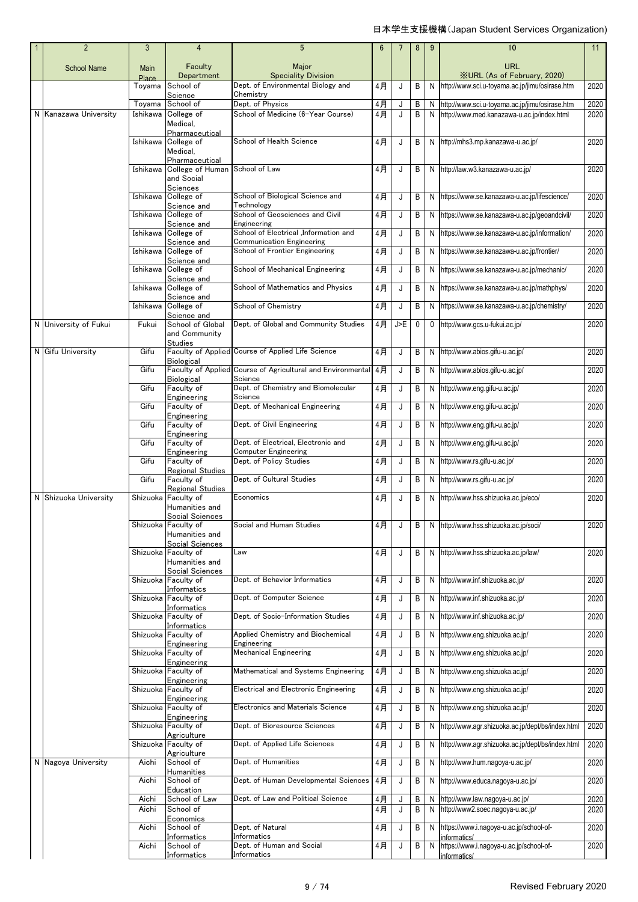| $\overline{2}$        | 3              | 4                                                                            | $5\phantom{.0}$                                                           | 6           | 7      | 8      | 9      | 10                                                                 | 11           |
|-----------------------|----------------|------------------------------------------------------------------------------|---------------------------------------------------------------------------|-------------|--------|--------|--------|--------------------------------------------------------------------|--------------|
| <b>School Name</b>    | Main<br>Place  | Faculty<br>Department                                                        | Major<br><b>Speciality Division</b>                                       |             |        |        |        | <b>URL</b><br><b>XURL (As of February, 2020)</b>                   |              |
|                       | Toyama         | School of                                                                    | Dept. of Environmental Biology and                                        | 4月          | J      | B      | N      | http://www.sci.u-toyama.ac.jp/jimu/osirase.htm                     | 2020         |
|                       | Toyama         | Science<br>School of                                                         | Chemistry<br>Dept. of Physics                                             | 4月          | J      | В      | N      | http://www.sci.u-toyama.ac.jp/jimu/osirase.htm                     | 2020         |
| N Kanazawa University | Ishikawa       | College of<br>Medical.                                                       | School of Medicine (6-Year Course)                                        | 4月          | J      | B      | N      | http://www.med.kanazawa-u.ac.jp/index.html                         | 2020         |
|                       | Ishikawa       | Pharmaceutical<br>College of<br>Medical,<br>Pharmaceutical                   | School of Health Science                                                  | 4月          | J      | В      | N      | http://mhs3.mp.kanazawa-u.ac.jp/                                   | 2020         |
|                       | Ishikawa       | College of Human<br>and Social                                               | School of Law                                                             | 4月          | J      | B      | N      | http://law.w3.kanazawa-u.ac.jp/                                    | 2020         |
|                       | Ishikawa       | Sciences<br>College of<br>Science and                                        | School of Biological Science and<br>Technology                            | 4月          | J      | B      | N      | https://www.se.kanazawa-u.ac.jp/lifescience/                       | 2020         |
|                       | Ishikawa       | College of<br>Science and                                                    | School of Geosciences and Civil<br>Engineering                            | 4月          | J      | В      | N      | https://www.se.kanazawa-u.ac.jp/geoandcivil/                       | 2020         |
|                       | Ishikawa       | College of<br>Science and                                                    | School of Electrical ,Information and<br><b>Communication Engineering</b> | 4月          | J      | В      | N      | https://www.se.kanazawa-u.ac.jp/information/                       | 2020         |
|                       | Ishikawa       | College of<br>Science and                                                    | School of Frontier Engineering                                            | $4$ 月       | J      | В      | N      | https://www.se.kanazawa-u.ac.jp/frontier/                          | 2020         |
|                       | Ishikawa       | College of                                                                   | School of Mechanical Engineering                                          | 4月          | J      | В      | N      | https://www.se.kanazawa-u.ac.jp/mechanic/                          | 2020         |
|                       | Ishikawa       | Science and<br>College of                                                    | School of Mathematics and Physics                                         | 4月          | J      | В      | N      | https://www.se.kanazawa-u.ac.jp/mathphys/                          | 2020         |
|                       | Ishikawa       | Science and<br>College of                                                    | School of Chemistry                                                       | 4月          | J      | В      | N      | https://www.se.kanazawa-u.ac.jp/chemistry/                         | 2020         |
| N University of Fukui | Fukui          | Science and<br>School of Global<br>and Community<br><b>Studies</b>           | Dept. of Global and Community Studies                                     | $4$ 月       | J>E    | 0      | 0      | http://www.gcs.u-fukui.ac.jp/                                      | 2020         |
| N Gifu University     | Gifu           | <b>Biological</b>                                                            | Faculty of Applied Course of Applied Life Science                         | 4月          | J      | В      | N      | http://www.abios.gifu-u.ac.jp/                                     | 2020         |
|                       | Gifu           | Biological                                                                   | Faculty of Applied Course of Agricultural and Environmental<br>Science    | 4月          | J      | B      | N      | http://www.abios.gifu-u.ac.jp/                                     | 2020         |
|                       | Gifu           | Faculty of<br>Engineering                                                    | Dept. of Chemistry and Biomolecular<br>Science                            | 4月          | J      | В      | N      | http://www.eng.gifu-u.ac.jp/                                       | 2020         |
|                       | Gifu           | Faculty of<br>Engineering                                                    | Dept. of Mechanical Engineering                                           | $4$ 月       | J      | В      | N      | http://www.eng.gifu-u.ac.jp/                                       | 2020         |
|                       | Gifu           | Faculty of<br>Engineering                                                    | Dept. of Civil Engineering                                                | 4月          | J      | В      | N      | http://www.eng.gifu-u.ac.jp/                                       | 2020         |
|                       | Gifu           | Faculty of<br>Engineering                                                    | Dept. of Electrical, Electronic and<br><b>Computer Engineering</b>        | 4月          | J      | В      | N      | http://www.eng.gifu-u.ac.jp/                                       | 2020         |
|                       | Gifu           | Faculty of                                                                   | Dept. of Policy Studies                                                   | 4月          | J      | В      | N      | http://www.rs.gifu-u.ac.jp/                                        | 2020         |
|                       | Gifu           | Regional Studies<br>Faculty of                                               | Dept. of Cultural Studies                                                 | 4月          | J      | В      | N      | http://www.rs.gifu-u.ac.jp/                                        | 2020         |
| N Shizuoka University | Shizuoka       | Regional Studies<br>Faculty of                                               | Economics                                                                 | $4$ 月       | J      | B      | N      | http://www.hss.shizuoka.ac.jp/eco/                                 | 2020         |
|                       |                | Humanities and<br>Social Sciences<br>Shizuoka   Faculty of<br>Humanities and | Social and Human Studies                                                  | 4月          | J      |        |        | N http://www.hss.shizuoka.ac.jp/soci/                              | 2020         |
|                       |                | Social Sciences<br>Shizuoka Faculty of                                       | Law                                                                       | 4月          | J      | В      | N      | http://www.hss.shizuoka.ac.jp/law/                                 | 2020         |
|                       |                | Humanities and<br>Social Sciences                                            |                                                                           |             |        |        |        |                                                                    |              |
|                       |                | Shizuoka Faculty of<br>Informatics                                           | Dept. of Behavior Informatics                                             | 4月          | J      | В      | N      | http://www.inf.shizuoka.ac.jp/                                     | 2020         |
|                       |                | Shizuoka Faculty of<br>Informatics                                           | Dept. of Computer Science                                                 | 4月          | J      | В      | N      | http://www.inf.shizuoka.ac.jp/                                     | 2020         |
|                       |                | Shizuoka Faculty of<br>Informatics                                           | Dept. of Socio-Information Studies                                        | 4月          | J      | В      | N      | http://www.inf.shizuoka.ac.jp/                                     | 2020         |
|                       |                | Shizuoka Faculty of<br>Engineering                                           | Applied Chemistry and Biochemical<br>Engineering                          | 4月          | J      | В      | N      | http://www.eng.shizuoka.ac.jp/                                     | 2020         |
|                       |                | Shizuoka Faculty of<br>Engineering                                           | <b>Mechanical Engineering</b>                                             | 4月          | J      | В      | N      | http://www.eng.shizuoka.ac.jp/                                     | 2020         |
|                       |                | Shizuoka Faculty of<br>Engineering                                           | Mathematical and Systems Engineering                                      | 4月          | J      | В      | N      | http://www.eng.shizuoka.ac.jp/                                     | 2020         |
|                       |                | Shizuoka Faculty of<br>Engineering                                           | <b>Electrical and Electronic Engineering</b>                              | 4月          | J      | В      | N      | http://www.eng.shizuoka.ac.jp/                                     | 2020         |
|                       |                | Shizuoka Faculty of<br>Engineering                                           | <b>Electronics and Materials Science</b>                                  | 4月          | J      | В      | N      | http://www.eng.shizuoka.ac.jp/                                     | 2020         |
|                       |                | Shizuoka Faculty of<br>Agriculture                                           | Dept. of Bioresource Sciences                                             | 4月          | J      | В      | N      | http://www.agr.shizuoka.ac.jp/dept/bs/index.html                   | 2020         |
|                       |                | Shizuoka Faculty of<br>Agriculture                                           | Dept. of Applied Life Sciences                                            | 4月          | J      | В      | N      | http://www.agr.shizuoka.ac.jp/dept/bs/index.html                   | 2020         |
| N Nagoya University   | Aichi          | School of<br>Humanities                                                      | Dept. of Humanities                                                       | 4月          | J      | В      | N      | http://www.hum.nagoya-u.ac.jp/                                     | 2020         |
|                       | Aichi          | School of<br>Education                                                       | Dept. of Human Developmental Sciences                                     | $4$ 月       | J      | В      | N      | http://www.educa.nagoya-u.ac.jp/                                   | 2020         |
|                       | Aichi<br>Aichi | School of Law<br>School of<br>Economics                                      | Dept. of Law and Political Science                                        | $4$ 月<br>4月 | J<br>J | В<br>В | N<br>N | http://www.law.nagoya-u.ac.jp/<br>http://www2.soec.nagoya-u.ac.jp/ | 2020<br>2020 |
|                       | Aichi          | School of<br>Informatics                                                     | Dept. of Natural<br>Informatics                                           | 4月          | J      | B      | N      | https://www.i.nagoya-u.ac.jp/school-of-<br>informatics/            | 2020         |
|                       | Aichi          | School of<br>Informatics                                                     | Dept. of Human and Social<br>Informatics                                  | 4月          | J      | В      | N      | https://www.i.nagoya-u.ac.jp/school-of-<br>informatics/            | 2020         |
|                       |                |                                                                              |                                                                           |             |        |        |        |                                                                    |              |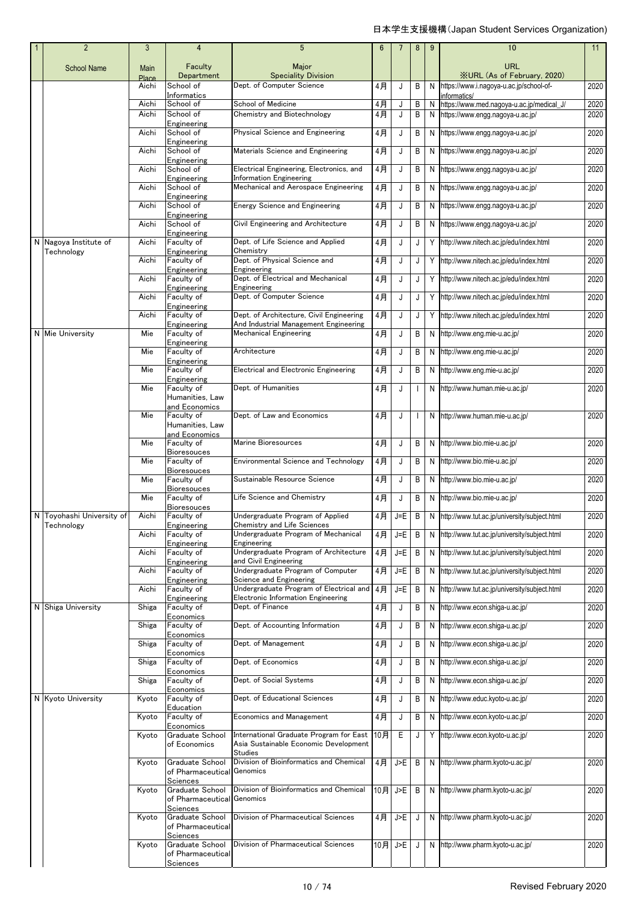|  | $\overline{2}$                      | 3             | 4                                                | $5\phantom{.0}$                                                                                    | 6     | 7       | 8 | 9 | 10                                                        | 11   |
|--|-------------------------------------|---------------|--------------------------------------------------|----------------------------------------------------------------------------------------------------|-------|---------|---|---|-----------------------------------------------------------|------|
|  | <b>School Name</b>                  | Main<br>Place | Faculty<br>Department                            | Major<br><b>Speciality Division</b>                                                                |       |         |   |   | URL<br><b>XURL</b> (As of February, 2020)                 |      |
|  |                                     | Aichi         | School of                                        | Dept. of Computer Science                                                                          | 4月    | J       | В | N | https://www.i.nagoya-u.ac.jp/school-of-                   | 2020 |
|  |                                     | Aichi         | Informatics<br>School of                         | School of Medicine                                                                                 | 4月    | J       | В | N | informatics/<br>https://www.med.naqoya-u.ac.jp/medical J/ | 2020 |
|  |                                     | Aichi         | School of<br>Engineering                         | Chemistry and Biotechnology                                                                        | 4月    | J       | B | N | https://www.engg.nagoya-u.ac.jp/                          | 2020 |
|  |                                     | Aichi         | School of<br>Engineering                         | Physical Science and Engineering                                                                   | 4月    | J       | B | N | https://www.engg.nagoya-u.ac.jp/                          | 2020 |
|  |                                     | Aichi         | School of                                        | Materials Science and Engineering                                                                  | 4月    | J       | B | N | https://www.engg.nagoya-u.ac.jp/                          | 2020 |
|  |                                     | Aichi         | Engineering<br>School of                         | Electrical Engineering, Electronics, and                                                           | 4月    | J       | B | N | https://www.engg.nagoya-u.ac.jp/                          | 2020 |
|  |                                     | Aichi         | Engineering<br>School of                         | Information Engineering<br>Mechanical and Aerospace Engineering                                    | 4月    | J       | B | N | https://www.engg.nagoya-u.ac.jp/                          | 2020 |
|  |                                     | Aichi         | Engineering<br>School of                         | <b>Energy Science and Engineering</b>                                                              | 4月    | J       | B | N | https://www.engg.nagoya-u.ac.jp/                          | 2020 |
|  |                                     |               | Engineering                                      |                                                                                                    |       |         |   |   |                                                           |      |
|  |                                     | Aichi         | School of<br>Engineering                         | Civil Engineering and Architecture                                                                 | 4月    | J       | В | N | https://www.engg.nagoya-u.ac.jp/                          | 2020 |
|  | N Nagoya Institute of<br>Technology | Aichi         | Faculty of<br>Engineering                        | Dept. of Life Science and Applied<br>Chemistry                                                     | 4月    | J       | J | Y | http://www.nitech.ac.jp/edu/index.html                    | 2020 |
|  |                                     | Aichi         | Faculty of<br>Engineering                        | Dept. of Physical Science and<br>Engineering                                                       | 4月    | J       | J | Y | http://www.nitech.ac.jp/edu/index.html                    | 2020 |
|  |                                     | Aichi         | Faculty of                                       | Dept. of Electrical and Mechanical                                                                 | 4月    | J       | J | Y | http://www.nitech.ac.jp/edu/index.html                    | 2020 |
|  |                                     | Aichi         | Engineering<br>Faculty of                        | Engineering<br>Dept. of Computer Science                                                           | $4$ 月 | J       | J | Y | http://www.nitech.ac.jp/edu/index.html                    | 2020 |
|  |                                     | Aichi         | Engineering<br>Faculty of                        | Dept. of Architecture, Civil Engineering                                                           | $4$ 月 | J       | J | Υ | http://www.nitech.ac.jp/edu/index.html                    | 2020 |
|  | N Mie University                    |               | Engineering                                      | And Industrial Management Engineering                                                              |       |         |   |   |                                                           |      |
|  |                                     | Mie           | Faculty of<br>Engineering                        | <b>Mechanical Engineering</b>                                                                      | 4月    | J       | B | N | http://www.eng.mie-u.ac.jp/                               | 2020 |
|  |                                     | Mie           | Faculty of<br>Engineering                        | Architecture                                                                                       | 4月    | J       | B | N | http://www.eng.mie-u.ac.jp/                               | 2020 |
|  |                                     | Mie           | Faculty of<br>Engineering                        | <b>Electrical and Electronic Engineering</b>                                                       | 4月    | J       | B | N | http://www.eng.mie-u.ac.jp/                               | 2020 |
|  |                                     | Mie           | Faculty of<br>Humanities, Law                    | Dept. of Humanities                                                                                | 4月    | J       |   | N | http://www.human.mie-u.ac.jp/                             | 2020 |
|  |                                     |               | and Economics                                    |                                                                                                    |       |         |   |   |                                                           |      |
|  |                                     | Mie           | Faculty of<br>Humanities, Law                    | Dept. of Law and Economics                                                                         | 4月    | J       |   | N | http://www.human.mie-u.ac.jp/                             | 2020 |
|  |                                     | Mie           | and Economics<br>Faculty of                      | Marine Bioresources                                                                                | 4月    | J       | B | N | http://www.bio.mie-u.ac.jp/                               | 2020 |
|  |                                     |               | <b>Bioresouces</b>                               |                                                                                                    |       |         |   |   |                                                           |      |
|  |                                     | Mie           | Faculty of<br><b>Bioresouces</b>                 | Environmental Science and Technology                                                               | 4月    | J       | B | N | http://www.bio.mie-u.ac.jp/                               | 2020 |
|  |                                     | Mie           | Faculty of<br><b>Bioresouces</b>                 | Sustainable Resource Science                                                                       | 4月    | J       | B | N | http://www.bio.mie-u.ac.jp/                               | 2020 |
|  |                                     | Mie           | Faculty of                                       | Life Science and Chemistry                                                                         | 4月    | J       | B | N | http://www.bio.mie-u.ac.jp/                               | 2020 |
|  | N Toyohashi University of           | Aichi         | <b>Bioresouces</b><br>Faculty of                 | Undergraduate Program of Applied                                                                   | $4$ 月 | $J = E$ | B | N | http://www.tut.ac.jp/university/subject.html              | 2020 |
|  | <b>lechnology</b>                   | Aichi         | Engineering<br>Faculty of                        | Chemistry and Life Sciences<br>Undergraduate Program of Mechanical                                 | 4月    | $J = E$ | B | N | http://www.tut.ac.jp/university/subject.html              | 2020 |
|  |                                     | Aichi         | Engineering<br>Faculty of                        | Engineering<br>Undergraduate Program of Architecture                                               | $4$ 月 | $J = E$ | B | N | http://www.tut.ac.jp/university/subject.html              | 2020 |
|  |                                     |               | Engineering                                      | and Civil Engineering                                                                              |       |         |   |   |                                                           |      |
|  |                                     | Aichi         | Faculty of<br>Engineering                        | Undergraduate Program of Computer<br>Science and Engineering                                       | 4月    | J=E     | B | N | http://www.tut.ac.jp/university/subject.html              | 2020 |
|  |                                     | Aichi         | Faculty of<br>Engineering                        | Undergraduate Program of Electrical and<br><b>Electronic Information Engineering</b>               | 4月    | $J = E$ | B | N | http://www.tut.ac.jp/university/subject.html              | 2020 |
|  | N Shiga University                  | Shiga         | Faculty of<br>Economics                          | Dept. of Finance                                                                                   | 4月    | J       | B | N | http://www.econ.shiga-u.ac.jp/                            | 2020 |
|  |                                     | Shiga         | Faculty of                                       | Dept. of Accounting Information                                                                    | 4月    | J       | B | N | http://www.econ.shiga-u.ac.jp/                            | 2020 |
|  |                                     | Shiga         | Economics<br>Faculty of                          | Dept. of Management                                                                                | 4月    | J       | B | N | http://www.econ.shiga-u.ac.jp/                            | 2020 |
|  |                                     | Shiga         | Economics<br>Faculty of                          | Dept. of Economics                                                                                 | 4月    | J       | Β | N | http://www.econ.shiga-u.ac.jp/                            | 2020 |
|  |                                     | Shiga         | Economics<br>Faculty of                          | Dept. of Social Systems                                                                            | 4月    | J       | B | N | http://www.econ.shiga-u.ac.jp/                            | 2020 |
|  | N Kyoto University                  | Kyoto         | Economics<br>Faculty of                          | Dept. of Educational Sciences                                                                      | 4月    | J       | B | N | http://www.educ.kyoto-u.ac.jp/                            | 2020 |
|  |                                     |               | Education                                        | <b>Economics and Management</b>                                                                    |       |         |   |   |                                                           |      |
|  |                                     | Kyoto         | Faculty of<br>Economics                          |                                                                                                    | 4月    | J       | B | N | http://www.econ.kyoto-u.ac.jp/                            | 2020 |
|  |                                     | Kyoto         | Graduate School<br>of Economics                  | International Graduate Program for East<br>Asia Sustainable Economic Development<br><b>Studies</b> | 10月   | Е       |   | Υ | http://www.econ.kyoto-u.ac.jp/                            | 2020 |
|  |                                     | Kyoto         | Graduate School<br>of Pharmaceutical             | Division of Bioinformatics and Chemical<br>Genomics                                                | 4月    | J>E     | B |   | N http://www.pharm.kyoto-u.ac.jp/                         | 2020 |
|  |                                     | Kyoto         | Sciences<br>Graduate School<br>of Pharmaceutical | Division of Bioinformatics and Chemical<br>Genomics                                                | 10月   | J>E     | B |   | N http://www.pharm.kyoto-u.ac.jp/                         | 2020 |
|  |                                     |               | Sciences                                         | Division of Pharmaceutical Sciences                                                                |       |         |   |   |                                                           |      |
|  |                                     | Kyoto         | Graduate School<br>of Pharmaceutical             |                                                                                                    | 4月    | J>E     | J | N | http://www.pharm.kyoto-u.ac.jp/                           | 2020 |
|  |                                     | Kyoto         | Sciences<br>Graduate School                      | Division of Pharmaceutical Sciences                                                                | 10月   | J>E     |   | N | http://www.pharm.kyoto-u.ac.jp/                           | 2020 |
|  |                                     |               | of Pharmaceutical<br>Sciences                    |                                                                                                    |       |         |   |   |                                                           |      |
|  |                                     |               |                                                  |                                                                                                    |       |         |   |   |                                                           |      |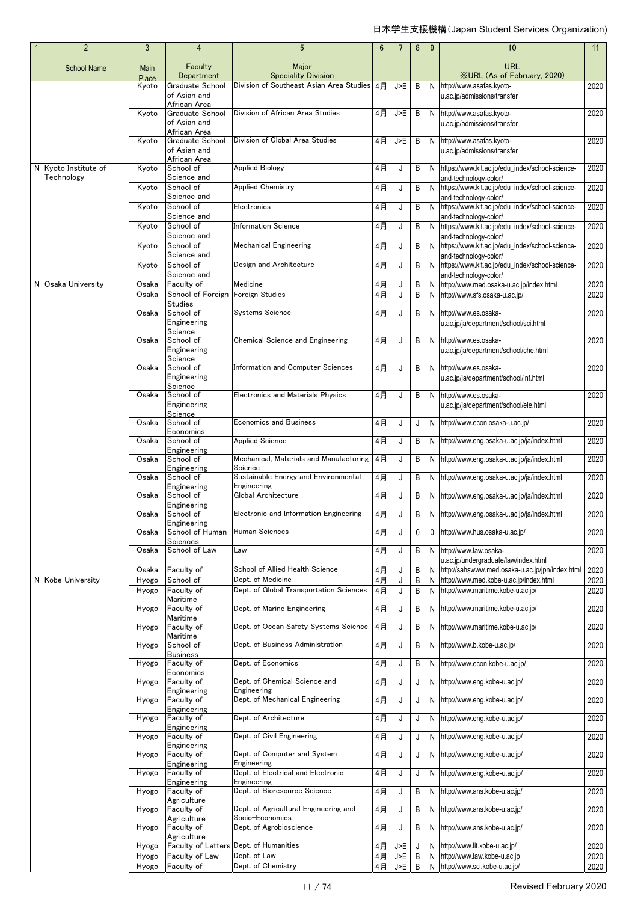| $\overline{2}$                     | 3                    | 4                                                     | 5                                                        | $6\phantom{1}6$ | $\overline{7}$ | 8      | 9 | 10                                                                         | 11                |
|------------------------------------|----------------------|-------------------------------------------------------|----------------------------------------------------------|-----------------|----------------|--------|---|----------------------------------------------------------------------------|-------------------|
| <b>School Name</b>                 | <b>Main</b><br>Place | Faculty<br>Department                                 | Major<br><b>Speciality Division</b>                      |                 |                |        |   | <b>URL</b><br><b>XURL (As of February, 2020)</b>                           |                   |
|                                    | Kyoto                | Graduate School<br>of Asian and                       | Division of Southeast Asian Area Studies                 | 4月              | J>E            | B      |   | N http://www.asafas.kyoto-<br>u.ac.jp/admissions/transfer                  | 2020              |
|                                    | Kyoto                | African Area<br>Graduate School<br>of Asian and       | Division of African Area Studies                         | $4$ 月           | J>E            | B      |   | N http://www.asafas.kyoto-<br>u.ac.jp/admissions/transfer                  | 2020              |
|                                    | Kyoto                | African Area<br>Graduate School<br>of Asian and       | Division of Global Area Studies                          | 4月              | J>E            | B      |   | N http://www.asafas.kyoto-<br>u.ac.jp/admissions/transfer                  | 2020              |
| N Kyoto Institute of<br>Technology | Kyoto                | African Area<br>School of<br>Science and              | <b>Applied Biology</b>                                   | 4月              | J              | B      |   | N https://www.kit.ac.jp/edu_index/school-science-<br>and-technology-color/ | 2020              |
|                                    | Kyoto                | School of<br>Science and                              | <b>Applied Chemistry</b>                                 | 4月              | J              | B      |   | N https://www.kit.ac.jp/edu_index/school-science-<br>and-technology-color/ | 2020              |
|                                    | Kyoto                | School of<br>Science and                              | Electronics                                              | 4月              | J              | B      |   | N https://www.kit.ac.jp/edu_index/school-science-<br>and-technology-color/ | 2020              |
|                                    | Kyoto                | School of<br>Science and                              | <b>Information Science</b>                               | 4月              | J              | B      |   | N https://www.kit.ac.jp/edu_index/school-science-<br>and-technology-color/ | 2020              |
|                                    | Kyoto                | School of<br>Science and                              | <b>Mechanical Engineering</b>                            | 4月              | J              | B      |   | N https://www.kit.ac.jp/edu_index/school-science-<br>and-technology-color/ | 2020              |
|                                    | Kyoto                | School of<br>Science and                              | Design and Architecture                                  | 4月              | J              | B      |   | N https://www.kit.ac.jp/edu_index/school-science-<br>and-technology-color/ | 2020              |
| N Osaka University                 | Osaka                | Faculty of                                            | Medicine                                                 | 4月              | J              | B      | N | http://www.med.osaka-u.ac.jp/index.html                                    | 2020              |
|                                    | Osaka                | School of Foreign Foreign Studies                     |                                                          | 4月              | J              | B      |   | N http://www.sfs.osaka-u.ac.jp/                                            | 2020              |
|                                    | Osaka                | <b>Studies</b><br>School of<br>Engineering<br>Science | <b>Systems Science</b>                                   | 4月              | J              | B      |   | N http://www.es.osaka-<br>u.ac.jp/ja/department/school/sci.html            | 2020              |
|                                    | Osaka                | School of<br>Engineering<br>Science                   | Chemical Science and Engineering                         | 4月              | J              | B      |   | N http://www.es.osaka-<br>u.ac.jp/ja/department/school/che.html            | 2020              |
|                                    | Osaka                | School of<br>Engineering<br>Science                   | Information and Computer Sciences                        | 4月              | J              | B      |   | N http://www.es.osaka-<br>u.ac.jp/ja/department/school/inf.html            | 2020              |
|                                    | Osaka                | School of<br>Engineering<br>Science                   | Electronics and Materials Physics                        | 4月              | J              | B      |   | N http://www.es.osaka-<br>u.ac.jp/ja/department/school/ele.html            | 2020              |
|                                    | Osaka                | School of<br>Economics                                | <b>Economics and Business</b>                            | 4月              | J              | J      |   | N http://www.econ.osaka-u.ac.jp/                                           | 2020              |
|                                    | Osaka                | School of                                             | <b>Applied Science</b>                                   | 4月              | J              | B      |   | N http://www.eng.osaka-u.ac.jp/ja/index.html                               | 2020              |
|                                    | Osaka                | Engineering<br>School of                              | Mechanical, Materials and Manufacturing<br>Science       | 4月              | J              | B      |   | N http://www.eng.osaka-u.ac.jp/ja/index.html                               | 2020              |
|                                    | Osaka                | Engineering<br>School of<br>Engineering               | Sustainable Energy and Environmental<br>Engineering      | 4月              | J              | B      |   | N http://www.eng.osaka-u.ac.jp/ja/index.html                               | 2020              |
|                                    | Osaka                | School of<br>Engineering                              | Global Architecture                                      | $4$ 月           | J              | B      |   | N http://www.eng.osaka-u.ac.jp/ja/index.html                               | 2020              |
|                                    | Osaka                | School of<br>Engineering                              | Electronic and Information Engineering                   | 4月              | J              | B      |   | N http://www.eng.osaka-u.ac.jp/ja/index.html                               | 2020              |
|                                    | Osaka                | School of Human<br>Sciences                           | <b>Human Sciences</b>                                    | 4月              | J              | 0      | 0 | http://www.hus.osaka-u.ac.jp/                                              | 2020              |
|                                    | Osaka                | School of Law                                         | Law                                                      | 4月              | J              | B      |   | N http://www.law.osaka-<br>u.ac.jp/undergraduate/law/index.html            | 2020              |
|                                    | Osaka                | Faculty of                                            | School of Allied Health Science                          | 4月              | J              | Β      | N | http://sahswww.med.osaka-u.ac.jp/jpn/index.html                            | 2020              |
| N Kobe University                  | Hyogo                | School of                                             | Dept. of Medicine                                        | 4月              | J              | B      | N | http://www.med.kobe-u.ac.jp/index.html                                     | 2020              |
|                                    | Hyogo                | Faculty of<br>Maritime                                | Dept. of Global Transportation Sciences                  | 4月              | J              | B      |   | N http://www.maritime.kobe-u.ac.ip/                                        | 2020              |
|                                    | Hyogo                | Faculty of<br>Maritime                                | Dept. of Marine Engineering                              | 4月              | J              | В      |   | N http://www.maritime.kobe-u.ac.jp/                                        | 2020              |
|                                    | Hyogo                | Faculty of<br>Maritime                                | Dept. of Ocean Safety Systems Science                    | 4月              | J              | B      |   | N http://www.maritime.kobe-u.ac.jp/                                        | 2020              |
|                                    | Hyogo                | School of<br><b>Business</b>                          | Dept. of Business Administration                         | 4月              | J              | B      |   | N http://www.b.kobe-u.ac.jp/                                               | 2020              |
|                                    | Hyogo                | Faculty of<br>Economics                               | Dept. of Economics                                       | 4月              | J              | B      |   | N http://www.econ.kobe-u.ac.jp/                                            | 2020              |
|                                    | Hyogo                | Faculty of<br>Engineering                             | Dept. of Chemical Science and<br>Engineering             | 4月              | J              | J      |   | N http://www.eng.kobe-u.ac.jp/                                             | 2020              |
|                                    | Hyogo                | Faculty of<br>Engineering                             | Dept. of Mechanical Engineering<br>Dept. of Architecture | 4月              | J              | J      |   | N http://www.eng.kobe-u.ac.jp/<br>N http://www.eng.kobe-u.ac.jp/           | 2020              |
|                                    | Hyogo                | Faculty of<br>Engineering                             | Dept. of Civil Engineering                               | 4月              | J              | J      |   | N http://www.eng.kobe-u.ac.jp/                                             | 2020<br>2020      |
|                                    | Hyogo                | Faculty of<br>Engineering<br>Faculty of               | Dept. of Computer and System                             | 4月<br>4月        | J<br>J         | J<br>J |   | N http://www.eng.kobe-u.ac.jp/                                             | 2020              |
|                                    | Hyogo<br>Hyogo       | Engineering<br>Faculty of                             | Engineering<br>Dept. of Electrical and Electronic        |                 | J              |        |   | N http://www.eng.kobe-u.ac.jp/                                             | 2020              |
|                                    | Hyogo                | Engineering<br>Faculty of                             | Engineering<br>Dept. of Bioresource Science              | 4月<br>4月        | J              | J<br>В |   | N http://www.ans.kobe-u.ac.jp/                                             | 2020              |
|                                    | Hyogo                | Agriculture<br>Faculty of                             | Dept. of Agricultural Engineering and                    | 4月              | J              | В      |   | N http://www.ans.kobe-u.ac.jp/                                             | 2020              |
|                                    |                      | Agriculture<br>Faculty of                             | Socio-Economics<br>Dept. of Agrobioscience               | 4月              | J              | B      |   | N http://www.ans.kobe-u.ac.jp/                                             | 2020              |
|                                    | Hyogo                | Agriculture<br><b>Faculty of Letters</b>              | Dept. of Humanities                                      |                 |                |        |   |                                                                            | 2020              |
|                                    | Hyogo<br>Hyogo       | Faculty of Law                                        | Dept. of Law                                             | 4月<br>4月        | J>E<br>J>E     | J<br>B |   | N http://www.lit.kobe-u.ac.jp/<br>N http://www.law.kobe-u.ac.jp            | 2020              |
|                                    | Hyogo                | Faculty of                                            | Dept. of Chemistry                                       | 4月              | J>E            | B      | N | http://www.sci.kobe-u.ac.jp/                                               | $\overline{20}20$ |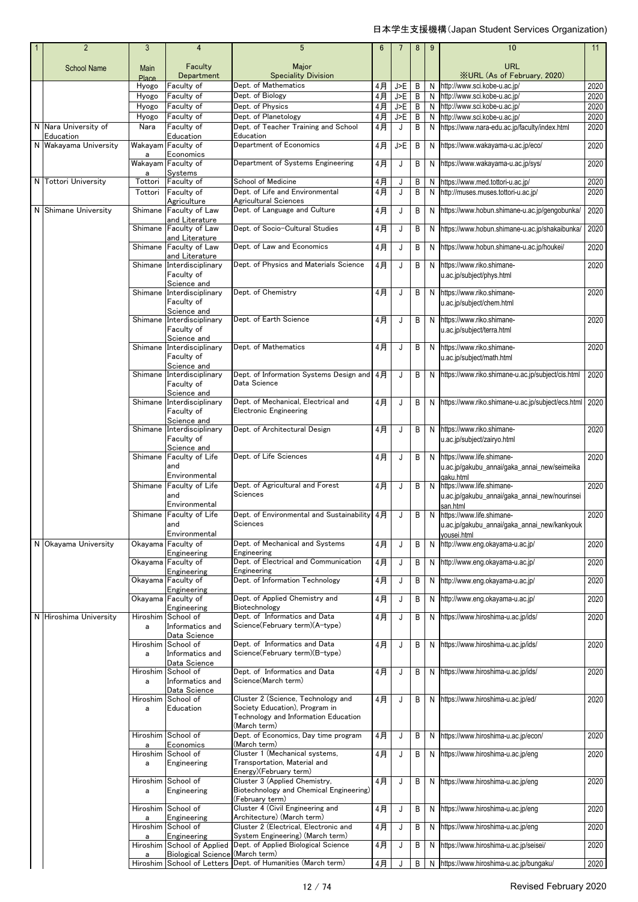| $\vert$ 1 | $\overline{2}$         | 3             | $\overline{4}$                            | 5                                                                       | 6              | 7          | 8      | 9      | 10                                                                            | 11           |
|-----------|------------------------|---------------|-------------------------------------------|-------------------------------------------------------------------------|----------------|------------|--------|--------|-------------------------------------------------------------------------------|--------------|
|           | <b>School Name</b>     | Main          | Faculty                                   | Major                                                                   |                |            |        |        | <b>URL</b>                                                                    |              |
|           |                        | Place         | Department                                | <b>Speciality Division</b>                                              |                |            |        |        | XURL (As of February, 2020)                                                   |              |
|           |                        | Hyogo         | Faculty of                                | Dept. of Mathematics                                                    | 4月             | J>E        | B      | N      | http://www.sci.kobe-u.ac.jp/                                                  | 2020         |
|           |                        | Hyogo         | Faculty of                                | Dept. of Biology                                                        | $4$ 月          | J>F        | B      | N      | http://www.sci.kobe-u.ac.jp/                                                  | 2020         |
|           |                        | Hyogo         | Faculty of                                | Dept. of Physics<br>Dept. of Planetology                                | $4$ 月          | J>F<br>J>E | B      | N      | http://www.sci.kobe-u.ac.jp/                                                  | 2020         |
|           | N Nara University of   | Hyogo<br>Nara | Faculty of<br>Faculty of                  | Dept. of Teacher Training and School                                    | 4月<br>4月       | J          | B<br>B | N<br>N | http://www.sci.kobe-u.ac.jp/<br>https://www.nara-edu.ac.jp/faculty/index.html | 2020<br>2020 |
|           | Education              |               | Education                                 | Education                                                               |                |            |        |        |                                                                               |              |
|           | N Wakayama University  |               | Wakayam Faculty of                        | Department of Economics                                                 | 4月             | J>E        | B      | N      | https://www.wakayama-u.ac.jp/eco/                                             | 2020         |
|           |                        | a             | Economics<br>Wakayam Faculty of           | Department of Systems Engineering                                       | $4$ 月          | J          | В      | N      |                                                                               | 2020         |
|           |                        | a             | Systems                                   |                                                                         |                |            |        |        | https://www.wakayama-u.ac.jp/sys/                                             |              |
|           | N Tottori University   | Tottori       | Faculty of                                | School of Medicine                                                      | 4 <sub>月</sub> | J          | B      | N      | https://www.med.tottori-u.ac.jp/                                              | 2020         |
|           |                        | Tottori       | Faculty of                                | Dept. of Life and Environmental                                         | 4月             | J          | B      | N      | http://muses.muses.tottori-u.ac.jp/                                           | 2020         |
|           | N Shimane University   |               | Agriculture<br>Shimane Faculty of Law     | Agricultural Sciences<br>Dept. of Language and Culture                  | $4$ 月          | J          | В      | N      | https://www.hobun.shimane-u.ac.jp/gengobunka/                                 | 2020         |
|           |                        |               | and Literature                            |                                                                         |                |            |        |        |                                                                               |              |
|           |                        | Shimane       | Faculty of Law                            | Dept. of Socio-Cultural Studies                                         | 4月             | J          | B      | N      | https://www.hobun.shimane-u.ac.jp/shakaibunka/                                | 2020         |
|           |                        |               | and Literature<br>Shimane Faculty of Law  | Dept. of Law and Economics                                              | $4$ 月          | J          | B      |        | N https://www.hobun.shimane-u.ac.jp/houkei/                                   | 2020         |
|           |                        |               | and Literature                            |                                                                         |                |            |        |        |                                                                               |              |
|           |                        |               | Shimane Interdisciplinary                 | Dept. of Physics and Materials Science                                  | 4月             | J          | B      | N      | https://www.riko.shimane-                                                     | 2020         |
|           |                        |               | Faculty of                                |                                                                         |                |            |        |        | u.ac.jp/subject/phys.html                                                     |              |
|           |                        | Shimane       | Science and<br>Interdisciplinary          | Dept. of Chemistry                                                      | 4月             | J          | B      | N      | https://www.riko.shimane-                                                     | 2020         |
|           |                        |               | Faculty of                                |                                                                         |                |            |        |        | u.ac.jp/subject/chem.html                                                     |              |
|           |                        |               | Science and                               |                                                                         |                |            |        |        |                                                                               |              |
|           |                        |               | Shimane Interdisciplinary                 | Dept. of Earth Science                                                  | 4月             | J          | B      | N      | https://www.riko.shimane-                                                     | 2020         |
|           |                        |               | Faculty of<br>Science and                 |                                                                         |                |            |        |        | u.ac.jp/subject/terra.html                                                    |              |
|           |                        |               | Shimane Interdisciplinary                 | Dept. of Mathematics                                                    | 4月             | J          | B      | N      | https://www.riko.shimane-                                                     | 2020         |
|           |                        |               | Faculty of                                |                                                                         |                |            |        |        | u.ac.jp/subject/math.html                                                     |              |
|           |                        |               | Science and<br>Shimane Interdisciplinary  | Dept. of Information Systems Design and 4月                              |                | J          | B      |        | N https://www.riko.shimane-u.ac.jp/subject/cis.html                           | 2020         |
|           |                        |               | Faculty of                                | Data Science                                                            |                |            |        |        |                                                                               |              |
|           |                        |               | Science and                               |                                                                         |                |            |        |        |                                                                               |              |
|           |                        |               | Shimane Interdisciplinary                 | Dept. of Mechanical, Electrical and                                     | 4月             | J          | B      | N      | https://www.riko.shimane-u.ac.jp/subject/ecs.html 2020                        |              |
|           |                        |               | Faculty of<br>Science and                 | <b>Electronic Engineering</b>                                           |                |            |        |        |                                                                               |              |
|           |                        |               | Shimane Interdisciplinary                 | Dept. of Architectural Design                                           | 4月             | J          | B      | N      | https://www.riko.shimane-                                                     | 2020         |
|           |                        |               | Faculty of                                |                                                                         |                |            |        |        | u.ac.jp/subject/zairyo.html                                                   |              |
|           |                        |               | Science and<br>Shimane Faculty of Life    | Dept. of Life Sciences                                                  | 4月             |            |        |        | https://www.life.shimane-                                                     | 2020         |
|           |                        |               | and                                       |                                                                         |                | J          | B      | N      | u.ac.jp/gakubu_annai/gaka_annai_new/seimeika                                  |              |
|           |                        |               | Environmental                             |                                                                         |                |            |        |        | gaku.html                                                                     |              |
|           |                        |               | Shimane Faculty of Life                   | Dept. of Agricultural and Forest                                        | 4月             | J          | В      | N      | https://www.life.shimane-                                                     | 2020         |
|           |                        |               | and                                       | Sciences                                                                |                |            |        |        | u.ac.jp/gakubu_annai/gaka_annai_new/nourinsei                                 |              |
|           |                        |               | Environmental<br>Shimane Faculty of Life  | Dept. of Environmental and Sustainability 4月                            |                |            | B      | N      | san.html<br>https://www.life.shimane-                                         | 2020         |
|           |                        |               | and                                       | Sciences                                                                |                |            |        |        | u.ac.jp/gakubu_annai/gaka_annai_new/kankyouk                                  |              |
|           |                        |               | Environmental                             |                                                                         |                |            |        |        | yousei.html                                                                   |              |
|           | N Okayama University   |               | Okavama Faculty of                        | Dept. of Mechanical and Systems                                         | 4月             | J          | В      | N      | http://www.eng.okayama-u.ac.jp/                                               | 2020         |
|           |                        |               | Engineering<br>Okayama Faculty of         | Engineering<br>Dept. of Electrical and Communication                    | 4月             | J          | Β      | N      | http://www.eng.okayama-u.ac.jp/                                               | 2020         |
|           |                        |               | Engineering                               | Engineering                                                             |                |            |        |        |                                                                               |              |
|           |                        |               | Okayama Faculty of                        | Dept. of Information Technology                                         | 4月             | J          | B      | N      | http://www.eng.okayama-u.ac.jp/                                               | 2020         |
|           |                        |               | Engineering                               |                                                                         |                |            |        |        |                                                                               |              |
|           |                        |               | Okayama Faculty of<br>Engineering         | Dept. of Applied Chemistry and<br>Biotechnology                         | 4月             | J          | В      | N      | http://www.eng.okayama-u.ac.jp/                                               | 2020         |
|           | N Hiroshima University |               | Hiroshim School of                        | Dept. of Informatics and Data                                           | 4月             | J          | B      | N      | https://www.hiroshima-u.ac.jp/ids/                                            | 2020         |
|           |                        | a             | Informatics and                           | Science(February term)(A-type)                                          |                |            |        |        |                                                                               |              |
|           |                        | Hiroshim      | Data Science<br>School of                 | Dept. of Informatics and Data                                           | 4月             | J          | В      |        | N https://www.hiroshima-u.ac.jp/ids/                                          | 2020         |
|           |                        | a             | Informatics and                           | Science(February term)(B-type)                                          |                |            |        |        |                                                                               |              |
|           |                        |               | Data Science                              |                                                                         |                |            |        |        |                                                                               |              |
|           |                        | Hiroshim<br>a | School of<br>Informatics and              | Dept. of Informatics and Data<br>Science(March term)                    | 4月             | J          | B      |        | N https://www.hiroshima-u.ac.jp/ids/                                          | 2020         |
|           |                        |               | Data Science                              |                                                                         |                |            |        |        |                                                                               |              |
|           |                        | Hiroshim      | School of                                 | Cluster 2 (Science, Technology and                                      | 4月             | J          | B      |        | N https://www.hiroshima-u.ac.jp/ed/                                           | 2020         |
|           |                        | a             | Education                                 | Society Education), Program in                                          |                |            |        |        |                                                                               |              |
|           |                        |               |                                           | Technology and Information Education<br>(March term)                    |                |            |        |        |                                                                               |              |
|           |                        |               | Hiroshim School of                        | Dept. of Economics, Day time program                                    | 4月             | J          | В      | N      | https://www.hiroshima-u.ac.jp/econ/                                           | 2020         |
|           |                        | a             | Economics                                 | (March term)                                                            |                |            |        |        |                                                                               |              |
|           |                        |               | Hiroshim School of<br>Engineering         | Cluster 1 (Mechanical systems,<br>Transportation, Material and          | 4月             | J          | B      |        | N https://www.hiroshima-u.ac.jp/eng                                           | 2020         |
|           |                        | a             |                                           | Energy)(February term)                                                  |                |            |        |        |                                                                               |              |
|           |                        |               | Hiroshim School of                        | Cluster 3 (Applied Chemistry,                                           | 4月             | J          | B      | N      | https://www.hiroshima-u.ac.jp/eng                                             | 2020         |
|           |                        | a             | Engineering                               | Biotechnology and Chemical Engineering)                                 |                |            |        |        |                                                                               |              |
|           |                        |               | Hiroshim School of                        | (February term)<br>Cluster 4 (Civil Engineering and                     | 4月             | J          | B      |        | N https://www.hiroshima-u.ac.jp/eng                                           | 2020         |
|           |                        | a             | Engineering                               | Architecture) (March term)                                              |                |            |        |        |                                                                               |              |
|           |                        | Hiroshim      | School of                                 | Cluster 2 (Electrical, Electronic and                                   | 4月             | J          | В      | N      | https://www.hiroshima-u.ac.jp/eng                                             | 2020         |
|           |                        | a             | Engineering<br>Hiroshim School of Applied | System Engineering) (March term)<br>Dept. of Applied Biological Science | 4月             | J          | B      | N      | https://www.hiroshima-u.ac.jp/seisei/                                         | 2020         |
|           |                        | a             | Biological Science (March term)           |                                                                         |                |            |        |        |                                                                               |              |
|           |                        |               |                                           | Hiroshim School of Letters Dept. of Humanities (March term)             | 4月             |            | B      | N      | https://www.hiroshima-u.ac.jp/bungaku/                                        | 2020         |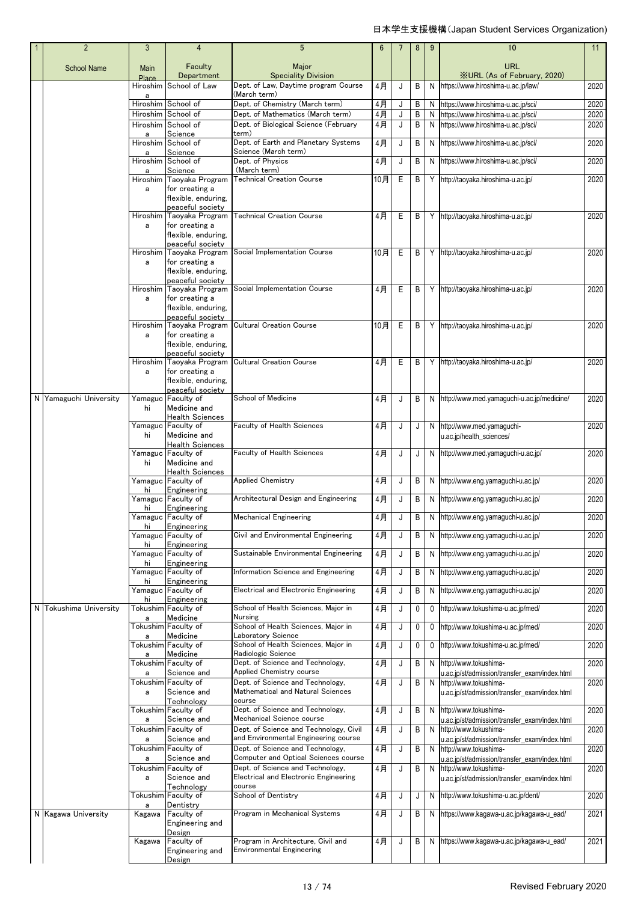| $\overline{2}$         | 3                 | $\overline{4}$                               | 5                                                                        | 6           |        | 8      | 9      | 10                                                                       | 11           |
|------------------------|-------------------|----------------------------------------------|--------------------------------------------------------------------------|-------------|--------|--------|--------|--------------------------------------------------------------------------|--------------|
| <b>School Name</b>     | Main              | Faculty                                      | Major                                                                    |             |        |        |        | <b>URL</b><br><b>XURL (As of February, 2020)</b>                         |              |
|                        | Place<br>Hiroshim | Department<br>School of Law                  | <b>Speciality Division</b><br>Dept. of Law, Daytime program Course       | 4月          | J      | B      | N      | https://www.hiroshima-u.ac.jp/law/                                       | 2020         |
|                        | a                 |                                              | (March term)                                                             |             |        |        |        |                                                                          |              |
|                        |                   | Hiroshim School of<br>Hiroshim School of     | Dept. of Chemistry (March term)<br>Dept. of Mathematics (March term)     | 4月<br>$4$ 月 | J      | B<br>B | N<br>N | https://www.hiroshima-u.ac.jp/sci/<br>https://www.hiroshima-u.ac.jp/sci/ | 2020<br>2020 |
|                        |                   | Hiroshim School of                           | Dept. of Biological Science (February                                    | 4月          | J<br>J | B      | N      | https://www.hiroshima-u.ac.jp/sci/                                       | 2020         |
|                        | a                 | Science                                      | term)                                                                    |             |        |        |        |                                                                          |              |
|                        | Hiroshim          | School of                                    | Dept. of Earth and Planetary Systems                                     | 4月          | J      | B      | N      | https://www.hiroshima-u.ac.jp/sci/                                       | 2020         |
|                        | a                 | Science<br>Hiroshim School of                | Science (March term)<br>Dept. of Physics                                 | 4月          | J      | B      | N      | https://www.hiroshima-u.ac.jp/sci/                                       | 2020         |
|                        | а                 | Science                                      | (March term)                                                             |             |        |        |        |                                                                          |              |
|                        |                   | Hiroshim Taoyaka Program                     | <b>Technical Creation Course</b>                                         | 10月         | E      | B      | Y      | http://taoyaka.hiroshima-u.ac.jp/                                        | 2020         |
|                        | a                 | for creating a<br>flexible, enduring,        |                                                                          |             |        |        |        |                                                                          |              |
|                        |                   | peaceful society                             |                                                                          |             |        |        |        |                                                                          |              |
|                        |                   | Hiroshim Taoyaka Program                     | <b>Technical Creation Course</b>                                         | 4月          | Ε      | B      | Y      | http://taoyaka.hiroshima-u.ac.jp/                                        | 2020         |
|                        | a                 | for creating a<br>flexible, enduring,        |                                                                          |             |        |        |        |                                                                          |              |
|                        |                   | peaceful society                             |                                                                          |             |        |        |        |                                                                          |              |
|                        |                   | Hiroshim Taoyaka Program                     | Social Implementation Course                                             | 10月         | Ε      | B      | Y      | http://taoyaka.hiroshima-u.ac.jp/                                        | 2020         |
|                        | a                 | for creating a<br>flexible, enduring,        |                                                                          |             |        |        |        |                                                                          |              |
|                        |                   | peaceful society                             |                                                                          |             |        |        |        |                                                                          |              |
|                        |                   | Hiroshim Taoyaka Program                     | Social Implementation Course                                             | 4月          | Ε      | B      | Y      | http://taoyaka.hiroshima-u.ac.jp/                                        | 2020         |
|                        | a                 | for creating a<br>flexible, enduring,        |                                                                          |             |        |        |        |                                                                          |              |
|                        |                   | peaceful society                             |                                                                          |             |        |        |        |                                                                          |              |
|                        |                   | Hiroshim Taoyaka Program                     | <b>Cultural Creation Course</b>                                          | 10月         | Е      | B      | Υ      | http://taoyaka.hiroshima-u.ac.jp/                                        | 2020         |
|                        | a                 | for creating a<br>flexible, enduring,        |                                                                          |             |        |        |        |                                                                          |              |
|                        |                   | peaceful society                             |                                                                          |             |        |        |        |                                                                          |              |
|                        | Hiroshim          | Taoyaka Program                              | <b>Cultural Creation Course</b>                                          | 4月          | Е      | B      | Y      | http://taoyaka.hiroshima-u.ac.jp/                                        | 2020         |
|                        | a                 | for creating a<br>flexible, enduring,        |                                                                          |             |        |        |        |                                                                          |              |
|                        |                   | peaceful society                             |                                                                          |             |        |        |        |                                                                          |              |
| N Yamaguchi University |                   | Yamaguc Faculty of                           | School of Medicine                                                       | 4月          | J      | В      | N      | http://www.med.yamaguchi-u.ac.jp/medicine/                               | 2020         |
|                        | hi                | Medicine and<br><b>Health Sciences</b>       |                                                                          |             |        |        |        |                                                                          |              |
|                        |                   | Yamaguc Faculty of                           | Faculty of Health Sciences                                               | 4月          | J      | J      | N      | http://www.med.yamaguchi-                                                | 2020         |
|                        | hi                | Medicine and<br><b>Health Sciences</b>       |                                                                          |             |        |        |        | u.ac.jp/health_sciences/                                                 |              |
|                        |                   | Yamaguc Faculty of                           | Faculty of Health Sciences                                               | 4月          | J      | J      | N      | http://www.med.yamaguchi-u.ac.jp/                                        | 2020         |
|                        | hi                | Medicine and                                 |                                                                          |             |        |        |        |                                                                          |              |
|                        |                   | <b>Health Sciences</b><br>Yamaguc Faculty of | <b>Applied Chemistry</b>                                                 | 4月          | J      | Β      | N      | http://www.eng.yamaguchi-u.ac.jp/                                        | 2020         |
|                        | hi                | Engineering                                  |                                                                          |             |        |        |        |                                                                          |              |
|                        |                   | Yamaguc Faculty of                           | Architectural Design and Engineering                                     | 4月          | J      | B      | N      | http://www.eng.yamaguchi-u.ac.jp/                                        | 2020         |
|                        | hi                | Engineering<br>Yamaguc Faculty of            | <b>Mechanical Engineering</b>                                            | 4月          | J      | B      | N      | http://www.eng.yamaguchi-u.ac.jp/                                        | 2020         |
|                        | hi                | Engineering                                  |                                                                          |             |        |        |        |                                                                          |              |
|                        | hi                | Yamaguc Faculty of<br>Engineering            | Civil and Environmental Engineering                                      | 4月          | J      | B      | N      | http://www.eng.yamaguchi-u.ac.jp/                                        | 2020         |
|                        |                   | Yamaguc Faculty of                           | Sustainable Environmental Engineering                                    | 4月          | J      | B      | N      | http://www.eng.yamaguchi-u.ac.jp/                                        | 2020         |
|                        | hi                | Engineering<br>Yamaguc Faculty of            | Information Science and Engineering                                      | 4月          |        | B      | N      | http://www.eng.yamaquchi-u.ac.jp/                                        | 2020         |
|                        | hi                | Engineering                                  |                                                                          |             | J      |        |        |                                                                          |              |
|                        |                   | Yamaguc Faculty of                           | Electrical and Electronic Engineering                                    | 4月          | J      | B      | N      | http://www.eng.yamaguchi-u.ac.jp/                                        | 2020         |
| N Tokushima University | hi                | Engineering<br>Tokushim Faculty of           | School of Health Sciences, Major in                                      | 4月          | J      | 0      | 0      | http://www.tokushima-u.ac.jp/med/                                        | 2020         |
|                        | а                 | Medicine                                     | Nursing                                                                  |             |        |        |        |                                                                          |              |
|                        |                   | Tokushim Faculty of                          | School of Health Sciences, Maior in                                      | 4月          | J      | 0      | 0      | http://www.tokushima-u.ac.jp/med/                                        | 2020         |
|                        | a                 | Medicine<br>Tokushim Faculty of              | Laboratory Science<br>School of Health Sciences, Major in                | 4月          | J      | 0      | 0      | http://www.tokushima-u.ac.jp/med/                                        | 2020         |
|                        | а                 | Medicine                                     | Radiologic Science                                                       |             |        |        |        |                                                                          |              |
|                        |                   | Tokushim Faculty of<br>Science and           | Dept. of Science and Technology,<br>Applied Chemistry course             | 4月          | J      | B      | N      | http://www.tokushima-                                                    | 2020         |
|                        | a                 | Tokushim Faculty of                          | Dept. of Science and Technology,                                         | 4月          | J      | B      | N      | u.ac.jp/st/admission/transfer_exam/index.html<br>http://www.tokushima-   | 2020         |
|                        | a                 | Science and                                  | Mathematical and Natural Sciences                                        |             |        |        |        | u.ac.jp/st/admission/transfer_exam/index.html                            |              |
|                        |                   | Technology<br>Tokushim Faculty of            | course<br>Dept. of Science and Technology,                               | 4月          | J      | B      | N      | http://www.tokushima-                                                    | 2020         |
|                        | a                 | Science and                                  | Mechanical Science course                                                |             |        |        |        | u.ac.jp/st/admission/transfer exam/index.html                            |              |
|                        |                   | Tokushim Faculty of                          | Dept. of Science and Technology, Civil                                   | 4月          | J      | Β      | N      | http://www.tokushima-                                                    | 2020         |
|                        | a                 | Science and<br>Tokushim Faculty of           | and Environmental Engineering course<br>Dept. of Science and Technology, | 4月          | J      | B      | N      | u.ac.jp/st/admission/transfer_exam/index.html<br>http://www.tokushima-   | 2020         |
|                        | a                 | Science and                                  | Computer and Optical Sciences course                                     |             |        |        |        | u.ac.jp/st/admission/transfer_exam/index.html                            |              |
|                        |                   | Tokushim Faculty of                          | Dept. of Science and Technology,                                         | 4月          | J      | B      | N      | http://www.tokushima-                                                    | 2020         |
|                        | a                 | Science and<br>Technology                    | Electrical and Electronic Engineering<br>course                          |             |        |        |        | u.ac.jp/st/admission/transfer_exam/index.html                            |              |
|                        |                   | Tokushim Faculty of                          | School of Dentistry                                                      | 4月          | J      | J      | N      | http://www.tokushima-u.ac.jp/dent/                                       | 2020         |
| N Kagawa University    | a<br>Kagawa       | Dentistry<br>Faculty of                      | Program in Mechanical Systems                                            | 4月          | J      | B      | N      | https://www.kagawa-u.ac.jp/kagawa-u_ead/                                 | 2021         |
|                        |                   | Engineering and                              |                                                                          |             |        |        |        |                                                                          |              |
|                        |                   | Design                                       |                                                                          |             |        |        |        |                                                                          |              |
|                        | Kagawa            | Faculty of<br>Engineering and                | Program in Architecture, Civil and<br><b>Environmental Engineering</b>   | 4月          | J      | B      | N      | https://www.kagawa-u.ac.jp/kagawa-u_ead/                                 | 2021         |
|                        |                   | Design                                       |                                                                          |             |        |        |        |                                                                          |              |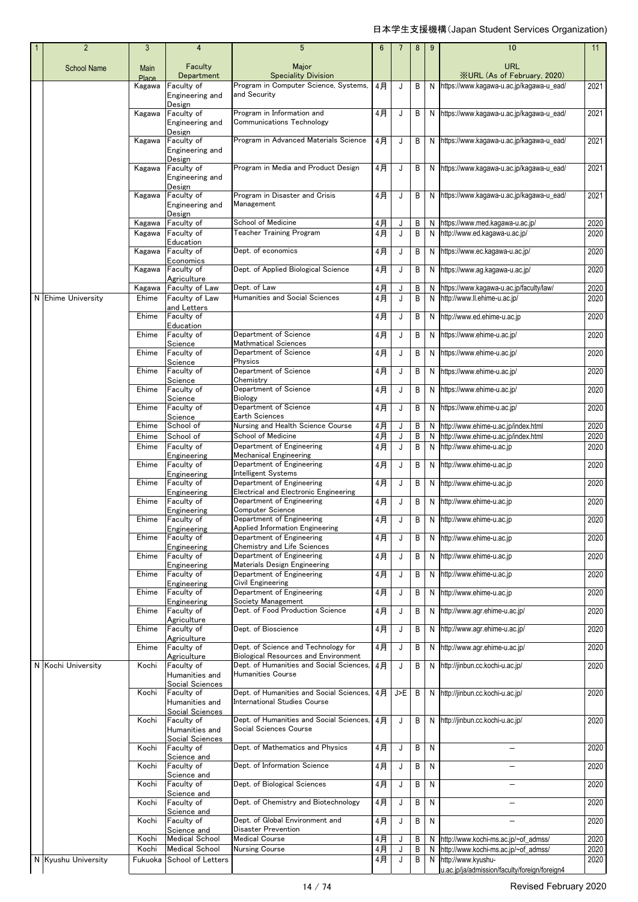| $\overline{2}$      | 3                    | 4                                    | $5\phantom{.0}$                                                                    | $6\phantom{1}6$ |        | 8      | 9      | 10                                                                         | 11           |
|---------------------|----------------------|--------------------------------------|------------------------------------------------------------------------------------|-----------------|--------|--------|--------|----------------------------------------------------------------------------|--------------|
| <b>School Name</b>  | <b>Main</b><br>Place | Faculty<br>Department                | Major<br><b>Speciality Division</b>                                                |                 |        |        |        | <b>URL</b><br><b>XURL (As of February, 2020)</b>                           |              |
|                     | Kagawa               | Faculty of<br>Engineering and        | Program in Computer Science, Systems,<br>and Security                              | 4月              | J      | B      | N      | https://www.kagawa-u.ac.jp/kagawa-u_ead/                                   | 2021         |
|                     |                      | Design                               |                                                                                    |                 |        |        |        |                                                                            |              |
|                     | Kagawa               | Faculty of<br>Engineering and        | Program in Information and<br>Communications Technology                            | 4月              | J      | B      |        | N https://www.kaqawa-u.ac.jp/kaqawa-u ead/                                 | 2021         |
|                     |                      | Design                               | Program in Advanced Materials Science                                              |                 |        |        |        |                                                                            |              |
|                     | Kagawa               | Faculty of<br>Engineering and        |                                                                                    | 4月              | J      | B      |        | N https://www.kagawa-u.ac.jp/kagawa-u_ead/                                 | 2021         |
|                     | Kagawa               | Design<br>Faculty of                 | Program in Media and Product Design                                                | 4月              | J      | B      |        | N https://www.kagawa-u.ac.jp/kagawa-u_ead/                                 | 2021         |
|                     |                      | Engineering and                      |                                                                                    |                 |        |        |        |                                                                            |              |
|                     | Kagawa               | Design<br>Faculty of                 | Program in Disaster and Crisis                                                     | 4月              | J      | B      |        | N https://www.kagawa-u.ac.jp/kagawa-u ead/                                 | 2021         |
|                     |                      | Engineering and<br>Design            | Management                                                                         |                 |        |        |        |                                                                            |              |
|                     | Kagawa               | Faculty of                           | School of Medicine                                                                 | 4月              | J      | B      | N      | https://www.med.kagawa-u.ac.jp/                                            | 2020         |
|                     | Kagawa               | Faculty of<br>Education              | Teacher Training Program                                                           | $4$ 月           | J      | B      | N      | http://www.ed.kagawa-u.ac.jp/                                              | 2020         |
|                     | Kagawa               | Faculty of<br>Economics              | Dept. of economics                                                                 | 4月              | J      | B      | N      | https://www.ec.kaqawa-u.ac.jp/                                             | 2020         |
|                     | Kagawa               | Faculty of                           | Dept. of Applied Biological Science                                                | 4月              | J      | B      | N      | https://www.ag.kagawa-u.ac.jp/                                             | 2020         |
|                     | Kagawa               | Agriculture<br>Faculty of Law        | Dept. of Law                                                                       | 4月              | J      | B      | N      | https://www.kagawa-u.ac.jp/faculty/law/                                    | 2020         |
| N Ehime University  | Ehime                | Faculty of Law                       | <b>Humanities and Social Sciences</b>                                              | 4月              | J      | B      | N      | http://www.ll.ehime-u.ac.jp/                                               | 2020         |
|                     | Ehime                | and Letters<br>Faculty of            |                                                                                    | 4月              | J      | B      | N      | http://www.ed.ehime-u.ac.jp                                                | 2020         |
|                     | Ehime                | Education<br>Faculty of              | Department of Science                                                              | 4月              | J      | B      | N      | https://www.ehime-u.ac.jp/                                                 | 2020         |
|                     |                      | Science                              | Mathmatical Sciences                                                               |                 |        |        |        |                                                                            |              |
|                     | Ehime                | Faculty of<br>Science                | Department of Science<br>Physics                                                   | 4月              | J      | B      | Ν      | https://www.ehime-u.ac.jp/                                                 | 2020         |
|                     | Ehime                | Faculty of<br>Science                | Department of Science<br>Chemistry                                                 | 4月              | J      | B      | N      | https://www.ehime-u.ac.jp/                                                 | 2020         |
|                     | Ehime                | Faculty of                           | Department of Science                                                              | 4月              | J      | B      | N      | https://www.ehime-u.ac.jp/                                                 | 2020         |
|                     | Ehime                | Science<br>Faculty of                | Biology<br>Department of Science                                                   | 4月              | J      | B      | N      | https://www.ehime-u.ac.jp/                                                 | 2020         |
|                     |                      | Science                              | Earth Sciences                                                                     |                 |        |        |        |                                                                            |              |
|                     | Ehime<br>Ehime       | School of<br>School of               | Nursing and Health Science Course<br>School of Medicine                            | 4月<br>4月        | J<br>J | B<br>B | N<br>N | http://www.ehime-u.ac.jp/index.html<br>http://www.ehime-u.ac.jp/index.html | 2020<br>2020 |
|                     | Ehime                | Faculty of                           | Department of Engineering                                                          | 4月              | J      | B      | N      | http://www.ehime-u.ac.jp                                                   | 2020         |
|                     | Ehime                | Engineering<br>Faculty of            | <b>Mechanical Engineering</b><br>Department of Engineering                         | 4月              | J      | B      | N      | http://www.ehime-u.ac.jp                                                   | 2020         |
|                     |                      | Engineering                          | <b>Intelligent Systems</b>                                                         |                 |        |        |        |                                                                            |              |
|                     | Ehime                | Faculty of<br>Engineering            | Department of Engineering<br>Electrical and Electronic Engineering                 | 4月              | J      | B      | Ν      | http://www.ehime-u.ac.jp                                                   | 2020         |
|                     | Ehime                | Faculty of<br>Engineering            | Department of Engineering<br>Computer Science                                      | 4月              | J      | B      | N      | http://www.ehime-u.ac.jp                                                   | 2020         |
|                     | Ehime                | Faculty of                           | Department of Engineering                                                          | 4月              |        | B      |        | N http://www.ehime-u.ac.jp                                                 | 2020         |
|                     | Ehime                | Engineering<br>Faculty of            | <b>Applied Information Engineering</b><br>Department of Engineering                | 4月              | J      | B      | N      | http://www.ehime-u.ac.jp                                                   | 2020         |
|                     | Ehime                | Engineering<br>Faculty of            | Chemistry and Life Sciences<br>Department of Engineering                           | 4月              |        |        |        | http://www.ehime-u.ac.jp                                                   |              |
|                     |                      | Engineering                          | Materials Design Engineering                                                       |                 | J      | B      | N      |                                                                            | 2020         |
|                     | Ehime                | Faculty of<br>Engineering            | Department of Engineering<br>Civil Engineering                                     | $4$ 月           | J      | B      | N      | http://www.ehime-u.ac.jp                                                   | 2020         |
|                     | Ehime                | Faculty of                           | Department of Engineering<br>Society Management                                    | 4月              | J      | B      | N      | http://www.ehime-u.ac.jp                                                   | 2020         |
|                     | Ehime                | Engineering<br>Faculty of            | Dept. of Food Production Science                                                   | $4$ 月           | J      | B      | N      | http://www.agr.ehime-u.ac.jp/                                              | 2020         |
|                     | Ehime                | Agriculture<br>Faculty of            | Dept. of Bioscience                                                                | 4月              | J      | B      | N      | http://www.agr.ehime-u.ac.jp/                                              | 2020         |
|                     |                      | Agriculture                          |                                                                                    |                 |        |        |        |                                                                            |              |
|                     | Ehime                | Faculty of<br>Agriculture            | Dept. of Science and Technology for<br><b>Biological Resources and Environment</b> | 4月              | J      | B      | N      | http://www.agr.ehime-u.ac.jp/                                              | 2020         |
| N Kochi University  | Kochi                | Faculty of<br>Humanities and         | Dept. of Humanities and Social Sciences,<br><b>Humanities Course</b>               | 4 <sup>7</sup>  | J      | B      | N      | http://jinbun.cc.kochi-u.ac.jp/                                            | 2020         |
|                     |                      | Social Sciences                      | Dept. of Humanities and Social Sciences,                                           |                 |        |        |        |                                                                            |              |
|                     | Kochi                | Faculty of<br>Humanities and         | International Studies Course                                                       | 4月              | J>E    | B      | N      | http://jinbun.cc.kochi-u.ac.jp/                                            | 2020         |
|                     | Kochi                | Social Sciences<br>Faculty of        | Dept. of Humanities and Social Sciences,                                           | 4月              | J      | B      | N      | http://jinbun.cc.kochi-u.ac.jp/                                            | 2020         |
|                     |                      | Humanities and                       | Social Sciences Course                                                             |                 |        |        |        |                                                                            |              |
|                     | Kochi                | Social Sciences<br>Faculty of        | Dept. of Mathematics and Physics                                                   | 4月              | J      | B      | N      |                                                                            | 2020         |
|                     | Kochi                | Science and<br>Faculty of            | Dept. of Information Science                                                       | 4月              | J      | B      | N      |                                                                            | 2020         |
|                     |                      | Science and                          |                                                                                    |                 |        |        |        |                                                                            |              |
|                     | Kochi                | Faculty of<br>Science and            | Dept. of Biological Sciences                                                       | 4月              | J      | B      | N      | $\overline{\phantom{0}}$                                                   | 2020         |
|                     | Kochi                | Faculty of<br>Science and            | Dept. of Chemistry and Biotechnology                                               | 4月              | J      | B      | N      |                                                                            | 2020         |
|                     | Kochi                | Faculty of                           | Dept. of Global Environment and                                                    | 4月              | J      | B      | N      | $\overline{\phantom{0}}$                                                   | 2020         |
|                     | Kochi                | Science and<br><b>Medical School</b> | Disaster Prevention<br><b>Medical Course</b>                                       | 4月              | J      | B      | N      | http://www.kochi-ms.ac.jp/~of_admss/                                       | 2020         |
|                     | Kochi                | <b>Medical School</b>                | <b>Nursing Course</b>                                                              | $4$ 月           | J      | B      | N      | http://www.kochi-ms.ac.jp/~of_admss/                                       | 2020         |
| N Kyushu University | Fukuoka              | School of Letters                    |                                                                                    | 4月              | J      | B      |        | N http://www.kyushu-<br>u.ac.jp/ja/admission/faculty/foreign/foreign4      | 2020         |
|                     |                      |                                      |                                                                                    |                 |        |        |        |                                                                            |              |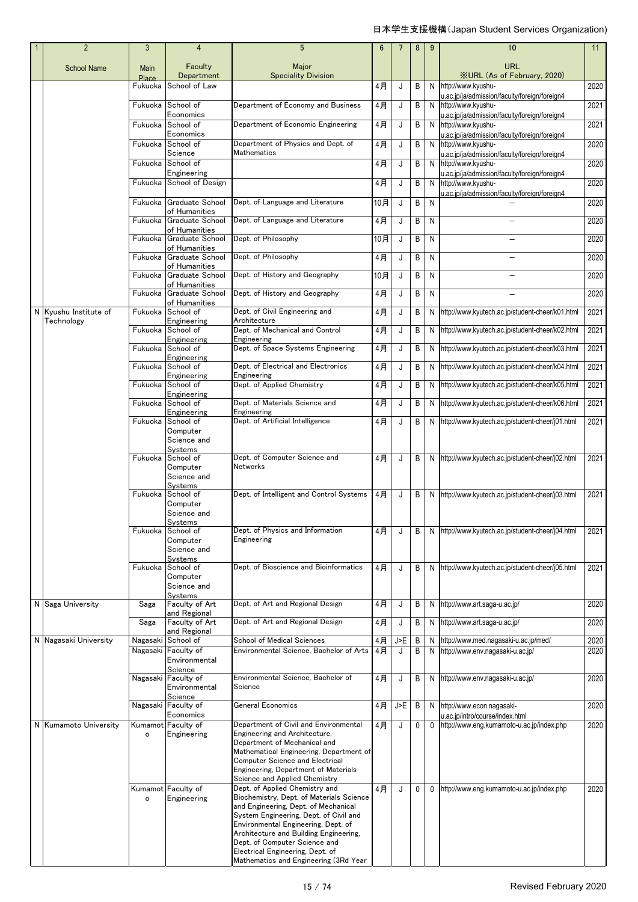| $\overline{2}$                      | 3             | $\overline{4}$                              | $5\phantom{.0}$                                                                | 6        | 7        | 8            | 9           | 10                                                                                                                   | 11                |
|-------------------------------------|---------------|---------------------------------------------|--------------------------------------------------------------------------------|----------|----------|--------------|-------------|----------------------------------------------------------------------------------------------------------------------|-------------------|
| <b>School Name</b>                  | Main<br>Place | Faculty<br>Department                       | Major<br><b>Speciality Division</b>                                            |          |          |              |             | <b>URL</b><br><b>XURL (As of February, 2020)</b>                                                                     |                   |
|                                     | Fukuoka       | School of Law                               |                                                                                | 4月       | J        | В            | N           | http://www.kyushu-                                                                                                   | 2020              |
|                                     | Fukuoka       | School of<br>Economics                      | Department of Economy and Business                                             | 4月       | J        | В            | N           | u.ac.jp/ja/admission/faculty/foreign/foreign4<br>http://www.kyushu-<br>u.ac.jp/ja/admission/faculty/foreign/foreign4 | 2021              |
|                                     | Fukuoka       | School of<br>Economics                      | Department of Economic Engineering                                             | 4月       | J        | B            | N           | http://www.kyushu-                                                                                                   | 2021              |
|                                     | Fukuoka       | School of                                   | Department of Physics and Dept. of                                             | 4月       | J        | B            | N           | u.ac.jp/ja/admission/faculty/foreign/foreign4<br>http://www.kyushu-                                                  | 2020              |
|                                     | Fukuoka       | Science<br>School of                        | Mathematics                                                                    | 4月       | J        | B            | N           | u.ac.jp/ja/admission/faculty/foreign/foreign4<br>http://www.kyushu-                                                  | 2020              |
|                                     | Fukuoka       | Engineering<br>School of Design             |                                                                                | 4月       | J        | B            | N           | u.ac.jp/ja/admission/faculty/foreign/foreign4<br>http://www.kyushu-                                                  | 2020              |
|                                     | Fukuoka       | Graduate School                             | Dept. of Language and Literature                                               | 10月      | J        | B            | N           | J.ac.jp/ja/admission/faculty/foreign/foreign4                                                                        | 2020              |
|                                     | Fukuoka       | of Humanities<br>Graduate School            | Dept. of Language and Literature                                               | 4月       | J        | B            | N           |                                                                                                                      | 2020              |
|                                     | Fukuoka       | of Humanities<br>Graduate School            | Dept. of Philosophy                                                            | 10月      | J        | B            | N           |                                                                                                                      | 2020              |
|                                     |               | of Humanities                               |                                                                                |          |          |              |             |                                                                                                                      |                   |
|                                     | Fukuoka       | Graduate School<br>of Humanities            | Dept. of Philosophy                                                            | 4月       | J        | B            | N           |                                                                                                                      | 2020              |
|                                     | Fukuoka       | Graduate School<br>of Humanities            | Dept. of History and Geography                                                 | 10月      | J        | B            | N           | $\equiv$                                                                                                             | 2020              |
|                                     | Fukuoka       | Graduate School<br>of Humanities            | Dept. of History and Geography                                                 | 4月       | J        | B            | N           |                                                                                                                      | 2020              |
| N Kyushu Institute of<br>Technology | Fukuoka       | School of<br>Engineering                    | Dept. of Civil Engineering and<br>Architecture                                 | 4月       | J        | B            | N           | http://www.kyutech.ac.jp/student-cheer/k01.html                                                                      | 2021              |
|                                     | Fukuoka       | School of<br>Engineering                    | Dept. of Mechanical and Control<br>Engineering                                 | 4月       | J        | B            | N           | http://www.kyutech.ac.jp/student-cheer/k02.html                                                                      | 2021              |
|                                     | Fukuoka       | School of<br>Engineering                    | Dept. of Space Systems Engineering                                             | 4月       | J        | B            | N           | http://www.kyutech.ac.jp/student-cheer/k03.html                                                                      | 2021              |
|                                     | Fukuoka       | School of                                   | Dept. of Electrical and Electronics                                            | 4月       | J        | В            | N           | http://www.kyutech.ac.jp/student-cheer/k04.html                                                                      | 2021              |
|                                     | Fukuoka       | Engineering<br>School of                    | Engineering<br>Dept. of Applied Chemistry                                      | 4月       | J        | B            | N           | http://www.kyutech.ac.jp/student-cheer/k05.html                                                                      | 2021              |
|                                     | Fukuoka       | Engineering<br>School of                    | Dept. of Materials Science and                                                 | 4月       | J        | В            | N           | http://www.kyutech.ac.jp/student-cheer/k06.html                                                                      | 2021              |
|                                     | Fukuoka       | Engineering<br>School of                    | Engineering<br>Dept. of Artificial Intelligence                                | 4月       | J        | B            | N           | http://www.kyutech.ac.jp/student-cheer/j01.html                                                                      | 2021              |
|                                     |               | Computer<br>Science and                     |                                                                                |          |          |              |             |                                                                                                                      |                   |
|                                     | Fukuoka       | Systems<br>School of                        | Dept. of Computer Science and                                                  | 4月       | J        | В            | N           | http://www.kyutech.ac.jp/student-cheer/j02.html                                                                      | 2021              |
|                                     |               | Computer<br>Science and                     | Networks                                                                       |          |          |              |             |                                                                                                                      |                   |
|                                     | Fukuoka       | Systems<br>School of                        | Dept. of Intelligent and Control Systems                                       | 4月       | J        | B            | N           | http://www.kyutech.ac.jp/student-cheer/j03.html                                                                      | 2021              |
|                                     |               | Computer<br>Science and                     |                                                                                |          |          |              |             |                                                                                                                      |                   |
|                                     |               | Systems<br>Fukuoka School of                | Dept. of Physics and Information                                               | 4月       | J        | B            | N.          | http://www.kyutech.ac.jp/student-cheer/j04.html                                                                      | 2021              |
|                                     |               | Computer<br>Science and                     | Engineering                                                                    |          |          |              |             |                                                                                                                      |                   |
|                                     | Fukuoka       | Systems<br>School of                        | Dept. of Bioscience and Bioinformatics                                         | 4月       | J        | В            | N           | http://www.kyutech.ac.jp/student-cheer/j05.html                                                                      | $\overline{20}21$ |
|                                     |               | Computer<br>Science and                     |                                                                                |          |          |              |             |                                                                                                                      |                   |
| N Saga University                   | Saga          | Systems<br>Faculty of Art                   | Dept. of Art and Regional Design                                               | 4月       | J        | В            | N           | http://www.art.saga-u.ac.jp/                                                                                         | 2020              |
|                                     | Saga          | and Regional<br>Faculty of Art              | Dept. of Art and Regional Design                                               |          |          |              |             |                                                                                                                      |                   |
|                                     |               | and Regional                                |                                                                                | 4月       | J        | В            | N           | http://www.art.saga-u.ac.jp/                                                                                         | 2020              |
| N Nagasaki University               | Nagasaki      | School of<br>Nagasaki Faculty of            | School of Medical Sciences<br>Environmental Science, Bachelor of Arts          | 4月<br>4月 | J>E<br>J | B<br>В       | N.<br>N     | http://www.med.nagasaki-u.ac.jp/med/<br>http://www.env.nagasaki-u.ac.jp/                                             | 2020<br>2020      |
|                                     |               | Environmental<br>Science                    |                                                                                |          |          |              |             |                                                                                                                      |                   |
|                                     |               | Nagasaki Faculty of<br>Environmental        | Environmental Science, Bachelor of<br>Science                                  | 4月       | J        | В            | N           | http://www.env.nagasaki-u.ac.jp/                                                                                     | 2020              |
|                                     |               | Science<br>Nagasaki Faculty of<br>Economics | <b>General Economics</b>                                                       | 4月       | J>E      | B            | N           | http://www.econ.nagasaki-                                                                                            | 2020              |
| N Kumamoto University               |               | Kumamot Faculty of                          | Department of Civil and Environmental                                          | 4月       | J        | $\mathbf{0}$ | $\mathbf 0$ | u.ac.jp/intro/course/index.html<br>http://www.eng.kumamoto-u.ac.jp/index.php                                         | 2020              |
|                                     | o             | Engineering                                 | Engineering and Architecture,<br>Department of Mechanical and                  |          |          |              |             |                                                                                                                      |                   |
|                                     |               |                                             | Mathematical Engineering, Department of<br>Computer Science and Electrical     |          |          |              |             |                                                                                                                      |                   |
|                                     |               |                                             | Engineering, Department of Materials<br>Science and Applied Chemistry          |          |          |              |             |                                                                                                                      |                   |
|                                     | o             | Kumamot Faculty of<br>Engineering           | Dept. of Applied Chemistry and<br>Biochemistry, Dept. of Materials Science     | 4月       | J        | 0            | 0           | http://www.eng.kumamoto-u.ac.jp/index.php                                                                            | 2020              |
|                                     |               |                                             | and Engineering, Dept. of Mechanical<br>System Engineering, Dept. of Civil and |          |          |              |             |                                                                                                                      |                   |
|                                     |               |                                             | Environmental Engineering, Dept. of<br>Architecture and Building Engineering,  |          |          |              |             |                                                                                                                      |                   |
|                                     |               |                                             | Dept. of Computer Science and<br>Electrical Engineering, Dept. of              |          |          |              |             |                                                                                                                      |                   |
|                                     |               |                                             | Mathematics and Engineering (3Rd Year                                          |          |          |              |             |                                                                                                                      |                   |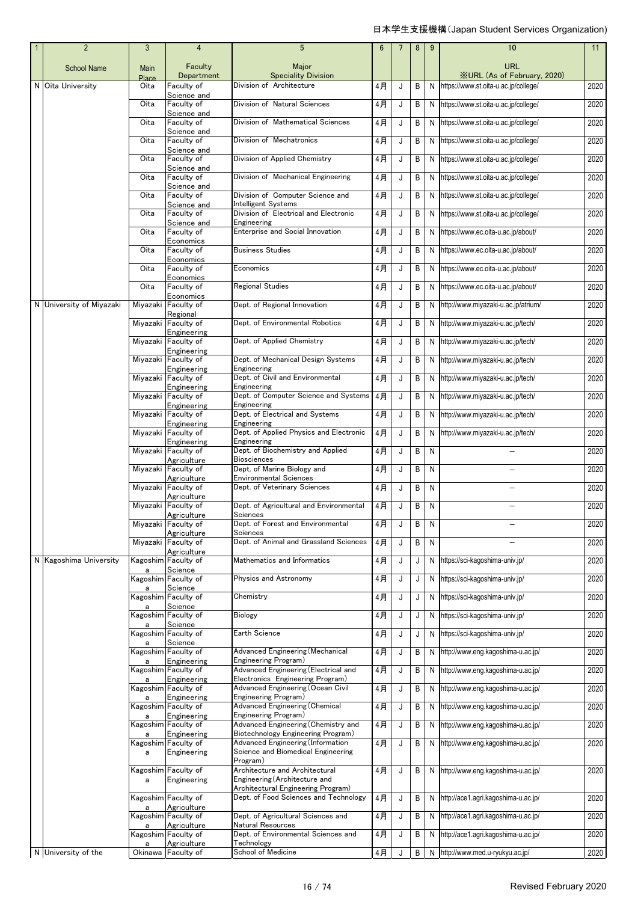| $\overline{2}$           | 3             | $\overline{4}$                           | 5                                                                                   | $6\phantom{1}$ | $\overline{7}$ | 8              | 9              | 10                                               | 11   |
|--------------------------|---------------|------------------------------------------|-------------------------------------------------------------------------------------|----------------|----------------|----------------|----------------|--------------------------------------------------|------|
| <b>School Name</b>       | Main<br>Place | Faculty<br>Department                    | Major<br><b>Speciality Division</b>                                                 |                |                |                |                | <b>URL</b><br><b>XURL (As of February, 2020)</b> |      |
| N Oita University        | Oita          | Faculty of                               | Division of Architecture                                                            | 4月             | J              | B              | N              | https://www.st.oita-u.ac.jp/college/             | 2020 |
|                          | Oita          | Science and<br>Faculty of<br>Science and | Division of Natural Sciences                                                        | 4月             | J              | B              |                | N https://www.st.oita-u.ac.jp/college/           | 2020 |
|                          | Oita          | Faculty of                               | Division of Mathematical Sciences                                                   | 4月             | J              | В              |                | N https://www.st.oita-u.ac.jp/college/           | 2020 |
|                          | Oita          | Science and<br>Faculty of                | Division of Mechatronics                                                            | 4月             | J              | B              |                | N https://www.st.oita-u.ac.jp/college/           | 2020 |
|                          | Oita          | Science and<br>Faculty of                | Division of Applied Chemistry                                                       | 4月             | J              | B              |                | N https://www.st.oita-u.ac.jp/college/           | 2020 |
|                          | Oita          | Science and<br>Faculty of                | Division of Mechanical Engineering                                                  | 4月             | J              | B              |                | N https://www.st.oita-u.ac.jp/college/           | 2020 |
|                          | Oita          | Science and<br>Faculty of                | Division of Computer Science and                                                    | 4月             | J              | B              | N              | https://www.st.oita-u.ac.jp/college/             | 2020 |
|                          | Oita          | Science and<br>Faculty of                | Intelligent Systems<br>Division of Electrical and Electronic                        | $4$ 月          | J              | B              |                | N https://www.st.oita-u.ac.jp/college/           | 2020 |
|                          | Oita          | Science and<br>Faculty of                | Engineering<br>Enterprise and Social Innovation                                     | $4$ 月          | J              | B              |                | N https://www.ec.oita-u.ac.jp/about/             | 2020 |
|                          | Oita          | Economics<br>Faculty of                  | <b>Business Studies</b>                                                             | 4月             | J              | В              |                | N https://www.ec.oita-u.ac.jp/about/             | 2020 |
|                          |               | Economics                                |                                                                                     |                |                |                |                |                                                  |      |
|                          | Oita          | Faculty of<br>Economics                  | Economics                                                                           | 4月             | J              | B              |                | N https://www.ec.oita-u.ac.jp/about/             | 2020 |
|                          | Oita          | Faculty of<br>Economics                  | <b>Regional Studies</b>                                                             | $4$ 月          | J              | B              |                | N https://www.ec.oita-u.ac.jp/about/             | 2020 |
| N University of Miyazaki | Miyazaki      | Faculty of<br>Regional                   | Dept. of Regional Innovation                                                        | 4月             | J              | B              | N              | http://www.miyazaki-u.ac.jp/atrium/              | 2020 |
|                          |               | Miyazaki Faculty of                      | Dept. of Environmental Robotics                                                     | 4月             | J              | B              |                | N http://www.miyazaki-u.ac.jp/tech/              | 2020 |
|                          |               | Engineering<br>Miyazaki Faculty of       | Dept. of Applied Chemistry                                                          | 4月             | J              | В              |                | N http://www.miyazaki-u.ac.jp/tech/              | 2020 |
|                          |               | Engineering<br>Miyazaki Faculty of       | Dept. of Mechanical Design Systems                                                  | 4月             | J              | B              |                | N http://www.miyazaki-u.ac.jp/tech/              | 2020 |
|                          |               | Engineering<br>Miyazaki Faculty of       | Engineering<br>Dept. of Civil and Environmental                                     | 4月             | J              | B              |                | N http://www.miyazaki-u.ac.jp/tech/              | 2020 |
|                          |               | Engineering<br>Miyazaki Faculty of       | Engineering<br>Dept. of Computer Science and Systems                                | $4$ 月          | J              | B              |                | N http://www.miyazaki-u.ac.jp/tech/              | 2020 |
|                          |               | Engineering<br>Miyazaki Faculty of       | Engineering<br>Dept. of Electrical and Systems                                      | 4月             | J              | B              |                | N http://www.miyazaki-u.ac.jp/tech/              | 2020 |
|                          |               | Engineering<br>Miyazaki Faculty of       | Engineering<br>Dept. of Applied Physics and Electronic                              | $4$ 月          | J              | B              |                |                                                  | 2020 |
|                          |               | Engineering                              | Engineering                                                                         |                |                |                |                | N http://www.miyazaki-u.ac.jp/tech/              |      |
|                          |               | Miyazaki Faculty of<br>Agriculture       | Dept. of Biochemistry and Applied<br><b>Biosciences</b>                             | 4月             | J              | B              | N              |                                                  | 2020 |
|                          |               | Miyazaki Faculty of<br>Agriculture       | Dept. of Marine Biology and<br><b>Environmental Sciences</b>                        | 4月             | J              | В              | N              |                                                  | 2020 |
|                          |               | Miyazaki Faculty of<br>Agriculture       | Dept. of Veterinary Sciences                                                        | 4月             | J              | B              | N              |                                                  | 2020 |
|                          |               | Miyazaki Faculty of<br>Agriculture       | Dept. of Agricultural and Environmental<br>Sciences                                 | 4月             | J              | B              | N              |                                                  | 2020 |
|                          |               | Miyazaki Faculty of<br>Agriculture       | Dept. of Forest and Environmental<br>Sciences                                       | 4月             |                | $\overline{B}$ | $\overline{N}$ |                                                  | 2020 |
|                          |               | Miyazaki Faculty of<br>Agriculture       | Dept. of Animal and Grassland Sciences                                              | 4月             | J              | B              | N              |                                                  | 2020 |
| N Kagoshima University   | a             | Kagoshim Faculty of<br>Science           | Mathematics and Informatics                                                         | 4月             | J              | J              |                | N https://sci-kagoshima-univ.jp/                 | 2020 |
|                          | a             | Kagoshim Faculty of<br>Science           | Physics and Astronomy                                                               | 4月             | J              | J              | N              | https://sci-kaqoshima-univ.jp/                   | 2020 |
|                          |               | Kagoshim Faculty of                      | Chemistry                                                                           | 4月             | J              | J              |                | N https://sci-kagoshima-univ.jp/                 | 2020 |
|                          |               | Science<br>Kagoshim Faculty of           | <b>Biology</b>                                                                      | 4月             | J              | J              |                | N https://sci-kagoshima-univ.jp/                 | 2020 |
|                          | a             | Science<br>Kagoshim Faculty of           | Earth Science                                                                       | 4月             | J              | J              |                | N https://sci-kagoshima-univ.jp/                 | 2020 |
|                          |               | Science<br>Kagoshim Faculty of           | Advanced Engineering (Mechanical                                                    | 4月             | J              | B              | N              | http://www.eng.kagoshima-u.ac.jp/                | 2020 |
|                          | a             | Engineering<br>Kagoshim Faculty of       | Engineering Program)<br>Advanced Engineering (Electrical and                        | $4$ 月          | J              | B              | N              | http://www.eng.kagoshima-u.ac.jp/                | 2020 |
|                          | a             | Engineering<br>Kagoshim Faculty of       | Electronics Engineering Program)<br>Advanced Engineering (Ocean Civil               | 4月             | J              | B              |                | N http://www.eng.kagoshima-u.ac.jp/              | 2020 |
|                          | a             | Engineering                              | Engineering Program)                                                                |                |                |                |                |                                                  |      |
|                          | a             | Kagoshim Faculty of<br>Engineering       | <b>Advanced Engineering (Chemical</b><br>Engineering Program)                       | 4月             | J              | В              | N              | http://www.eng.kagoshima-u.ac.jp/                | 2020 |
|                          | a             | Kagoshim Faculty of<br>Engineering       | Advanced Engineering (Chemistry and<br>Biotechnology Engineering Program)           | 4月             | J              | В              |                | N http://www.eng.kagoshima-u.ac.jp/              | 2020 |
|                          | a             | Kagoshim Faculty of<br>Engineering       | Advanced Engineering (Information<br>Science and Biomedical Engineering<br>Program) | 4月             | J              | B              |                | N http://www.eng.kagoshima-u.ac.jp/              | 2020 |
|                          | a             | Kagoshim Faculty of<br>Engineering       | Architecture and Architectural<br>Engineering (Architecture and                     | 4月             | J              | B              |                | N http://www.eng.kagoshima-u.ac.jp/              | 2020 |
|                          |               | Kagoshim Faculty of                      | Architectural Engineering Program)<br>Dept. of Food Sciences and Technology         | 4月             | J              | В              |                | N http://ace1.agri.kagoshima-u.ac.jp/            | 2020 |
|                          | a             | Agriculture<br>Kagoshim Faculty of       | Dept. of Agricultural Sciences and                                                  | 4月             | J              | В              |                | N http://ace1.agri.kagoshima-u.ac.jp/            | 2020 |
|                          | a             | Agriculture<br>Kagoshim Faculty of       | Natural Resources<br>Dept. of Environmental Sciences and                            | 4月             | J              |                |                | N http://ace1.agri.kagoshima-u.ac.jp/            | 2020 |
|                          |               | Agriculture                              | Technology                                                                          |                |                | В              |                |                                                  |      |
| N University of the      |               | Okinawa Faculty of                       | School of Medicine                                                                  | 4月             |                | B              |                | N http://www.med.u-ryukyu.ac.jp/                 | 2020 |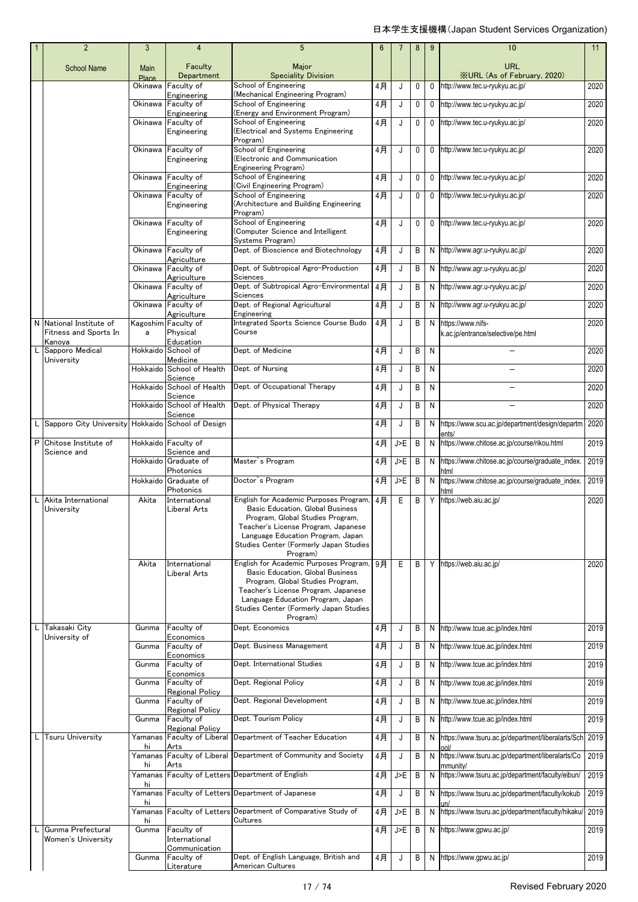|   | $\overline{2}$                                             | 3             | 4                                        | 5                                                                                                                                                                                                                                                          | $6\phantom{1}$ |     | 8           | 9            | 10                                                              | 11   |
|---|------------------------------------------------------------|---------------|------------------------------------------|------------------------------------------------------------------------------------------------------------------------------------------------------------------------------------------------------------------------------------------------------------|----------------|-----|-------------|--------------|-----------------------------------------------------------------|------|
|   | <b>School Name</b>                                         | Main<br>Place | Faculty<br>Department                    | Major<br><b>Speciality Division</b>                                                                                                                                                                                                                        |                |     |             |              | <b>URL</b><br><b>XURL (As of February, 2020)</b>                |      |
|   |                                                            | Okinawa       | Faculty of                               | School of Engineering                                                                                                                                                                                                                                      | 4月             | J   | 0           | $\mathbf{0}$ | http://www.tec.u-ryukyu.ac.jp/                                  | 2020 |
|   |                                                            | Okinawa       | Engineering<br>Faculty of                | (Mechanical Engineering Program)<br>School of Engineering                                                                                                                                                                                                  | 4月             | J   | 0           | $\mathbf 0$  | http://www.tec.u-ryukyu.ac.jp/                                  | 2020 |
|   |                                                            | Okinawa       | Engineering<br>Faculty of                | (Energy and Environment Program)<br>School of Engineering                                                                                                                                                                                                  | 4月             | J   | 0           | 0            | http://www.tec.u-ryukyu.ac.jp/                                  | 2020 |
|   |                                                            |               | Engineering                              | Electrical and Systems Engineering<br>Program)                                                                                                                                                                                                             |                |     |             |              |                                                                 |      |
|   |                                                            | Okinawa       | Faculty of<br>Engineering                | School of Engineering<br>(Electronic and Communication<br>Engineering Program)                                                                                                                                                                             | 4月             | J   | $\mathbf 0$ | 0            | http://www.tec.u-ryukyu.ac.jp/                                  | 2020 |
|   |                                                            |               | Okinawa Faculty of                       | School of Engineering                                                                                                                                                                                                                                      | 4月             | J   | 0           | 0            | http://www.tec.u-ryukyu.ac.jp/                                  | 2020 |
|   |                                                            | Okinawa       | Engineering<br>Faculty of<br>Engineering | (Civil Engineering Program)<br>School of Engineering<br>(Architecture and Building Engineering<br>Program)                                                                                                                                                 | $4$ 月          | J   | 0           | 0            | http://www.tec.u-ryukyu.ac.jp/                                  | 2020 |
|   |                                                            |               | Okinawa Faculty of<br>Engineering        | School of Engineering<br>Computer Science and Intelligent<br>Systems Program)                                                                                                                                                                              | 4月             | J   | 0           | 0            | http://www.tec.u-ryukyu.ac.jp/                                  | 2020 |
|   |                                                            | Okinawa       | Faculty of                               | Dept. of Bioscience and Biotechnology                                                                                                                                                                                                                      | 4月             | J   | B           |              | N http://www.agr.u-ryukyu.ac.jp/                                | 2020 |
|   |                                                            | Okinawa       | Agriculture<br>Faculty of                | Dept. of Subtropical Agro-Production                                                                                                                                                                                                                       | 4月             | J   | B           | N            | http://www.agr.u-ryukyu.ac.jp/                                  | 2020 |
|   |                                                            |               | Agriculture<br>Okinawa Faculty of        | Sciences<br>Dept. of Subtropical Agro-Environmental                                                                                                                                                                                                        | 4月             | J   | B           |              | N http://www.agr.u-ryukyu.ac.jp/                                | 2020 |
|   |                                                            | Okinawa       | Agriculture<br>Faculty of                | Sciences<br>Dept. of Regional Agricultural                                                                                                                                                                                                                 | 4月             | J   | B           |              |                                                                 | 2020 |
|   |                                                            |               | Agriculture                              | Engineering                                                                                                                                                                                                                                                |                |     |             |              | N http://www.agr.u-ryukyu.ac.jp/                                |      |
|   | N National Institute of<br>Fitness and Sports In<br>Kanova | Kagoshim<br>a | Faculty of<br>Physical<br>Education      | Integrated Sports Science Course Budo<br>Course                                                                                                                                                                                                            | 4月             | J   | B           | N            | https://www.nifs-<br>k.ac.jp/entrance/selective/pe.html         | 2020 |
|   | Sapporo Medical<br>University                              |               | Hokkaido School of<br>Medicine           | Dept. of Medicine                                                                                                                                                                                                                                          | 4月             | J   | B           | $\mathsf{N}$ |                                                                 | 2020 |
|   |                                                            |               | Hokkaido School of Health                | Dept. of Nursing                                                                                                                                                                                                                                           | 4月             | J   | B           | N            |                                                                 | 2020 |
|   |                                                            |               | Science<br>Hokkaido School of Health     | Dept. of Occupational Therapy                                                                                                                                                                                                                              | 4月             | J   | B           | N            |                                                                 | 2020 |
|   |                                                            |               | Science<br>Hokkaido School of Health     | Dept. of Physical Therapy                                                                                                                                                                                                                                  | 4月             | J   | B           | N            |                                                                 | 2020 |
|   | L Sapporo City University Hokkaido School of Design        |               | Science                                  |                                                                                                                                                                                                                                                            | $4$ 月          | J   | B           | N            | https://www.scu.ac.jp/department/design/departm                 | 2020 |
| P | Chitose Institute of                                       |               | Hokkaido Faculty of                      |                                                                                                                                                                                                                                                            | $4$ 月          | J>E | B           | N            | ents/<br>https://www.chitose.ac.jp/course/rikou.html            | 2019 |
|   | Science and                                                |               | Science and                              |                                                                                                                                                                                                                                                            |                |     |             |              |                                                                 |      |
|   |                                                            |               | Hokkaido Graduate of<br>Photonics        | Master's Program                                                                                                                                                                                                                                           | 4月             | J>E | B           | N            | https://www.chitose.ac.jp/course/graduate_index.<br>html        | 2019 |
|   |                                                            |               | Hokkaido Graduate of<br>Photonics        | Doctor's Program                                                                                                                                                                                                                                           | 4月             | J>E | B           | N            | https://www.chitose.ac.jp/course/graduate_index.<br>html        | 2019 |
|   | Akita International<br>University                          | Akita         | International<br>Liberal Arts            | English for Academic Purposes Program,<br><b>Basic Education, Global Business</b><br>Program, Global Studies Program,<br>Teacher's License Program, Japanese<br>Language Education Program, Japan<br>Studies Center (Formerly Japan Studies<br>Program)    | 4月             | Е   | B           | Y            | https://web.aiu.ac.jp/                                          | 2020 |
|   |                                                            | Akita         | International<br>Liberal Arts            | English for Academic Purposes Program, 9月<br><b>Basic Education, Global Business</b><br>Program, Global Studies Program.<br>Teacher's License Program, Japanese<br>Language Education Program, Japan<br>Studies Center (Formerly Japan Studies<br>Program) |                | Е   | B           |              | Y https://web.aiu.ac.jp/                                        | 2020 |
|   | Takasaki City                                              | Gunma         | Faculty of<br>Economics                  | Dept. Economics                                                                                                                                                                                                                                            | 4月             | J   | B           | N            | http://www.tcue.ac.jp/index.html                                | 2019 |
|   | University of                                              | Gunma         | Faculty of<br>Economics                  | Dept. Business Management                                                                                                                                                                                                                                  | 4月             | J   | B           |              | N http://www.tcue.ac.jp/index.html                              | 2019 |
|   |                                                            | Gunma         | Faculty of<br>Economics                  | Dept. International Studies                                                                                                                                                                                                                                | 4月             | J   | B           |              | N http://www.tcue.ac.jp/index.html                              | 2019 |
|   |                                                            | Gunma         | Faculty of<br><b>Regional Policy</b>     | Dept. Regional Policy                                                                                                                                                                                                                                      | 4月             | J   | B           | N            | http://www.tcue.ac.jp/index.html                                | 2019 |
|   |                                                            | Gunma         | Faculty of<br><b>Regional Policy</b>     | Dept. Regional Development                                                                                                                                                                                                                                 | 4月             | J   | B           |              | N http://www.tcue.ac.jp/index.html                              | 2019 |
|   |                                                            | Gunma         | Faculty of                               | Dept. Tourism Policy                                                                                                                                                                                                                                       | 4月             | J   | B           | N            | http://www.tcue.ac.jp/index.html                                | 2019 |
| L | <b>Tsuru University</b>                                    | Yamanas       | Regional Policy<br>Faculty of Liberal    | Department of Teacher Education                                                                                                                                                                                                                            | 4月             | J   | B           |              | N https://www.tsuru.ac.jp/department/liberalarts/Sch            | 2019 |
|   |                                                            | hi            | Arts                                     | Yamanas Faculty of Liberal Department of Community and Society                                                                                                                                                                                             | 4月             | J   | B           |              | N https://www.tsuru.ac.jp/department/liberalarts/Co             | 2019 |
|   |                                                            | hi            | Arts                                     | Yamanas Faculty of Letters Department of English                                                                                                                                                                                                           | 4月             | J>E | B           |              | mmunity/<br>N https://www.tsuru.ac.jp/department/faculty/eibun/ | 2019 |
|   |                                                            | hi            |                                          | Yamanas Faculty of Letters Department of Japanese                                                                                                                                                                                                          | 4月             | J   | B           |              | N https://www.tsuru.ac.jp/department/faculty/kokub              | 2019 |
|   |                                                            | hi            |                                          | Yamanas Faculty of Letters Department of Comparative Study of                                                                                                                                                                                              | 4月             | J>E | B           | N            | https://www.tsuru.ac.jp/department/faculty/hikaku/              | 2019 |
| L | Gunma Prefectural                                          | hi<br>Gunma   | Faculty of                               | Cultures                                                                                                                                                                                                                                                   | 4月             | J>E | B           |              | N https://www.gpwu.ac.jp/                                       | 2019 |
|   | Women's University                                         |               | International<br>Communication           |                                                                                                                                                                                                                                                            |                |     |             |              |                                                                 |      |
|   |                                                            | Gunma         | Faculty of<br>Literature                 | Dept. of English Language, British and<br>American Cultures                                                                                                                                                                                                | 4月             | J   | B           |              | N https://www.gpwu.ac.jp/                                       | 2019 |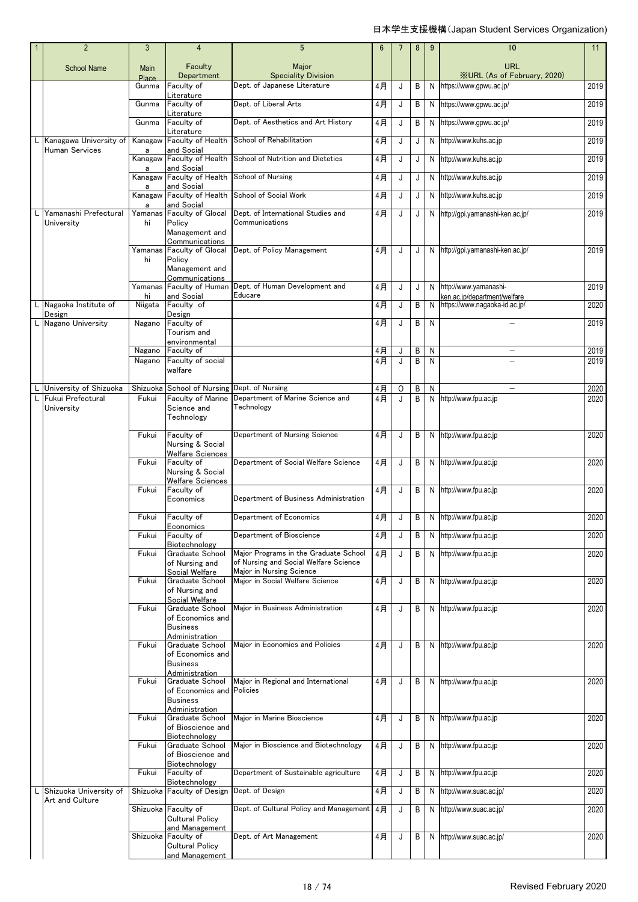| $\overline{2}$                                  | 3                    | $\overline{4}$                                                  | 5                                                                              | 6  | 7       | 8 | 9 | 10                                                            | 11   |
|-------------------------------------------------|----------------------|-----------------------------------------------------------------|--------------------------------------------------------------------------------|----|---------|---|---|---------------------------------------------------------------|------|
| <b>School Name</b>                              | <b>Main</b><br>Place | Faculty<br>Department                                           | Major<br><b>Speciality Division</b>                                            |    |         |   |   | URL<br><b>XURL (As of February, 2020)</b>                     |      |
|                                                 | Gunma                | Faculty of                                                      | Dept. of Japanese Literature                                                   | 4月 | J       | B | N | https://www.gpwu.ac.jp/                                       | 2019 |
|                                                 | Gunma                | Literature<br>Faculty of<br>Literature                          | Dept. of Liberal Arts                                                          | 4月 | J       | B | N | https://www.gpwu.ac.jp/                                       | 2019 |
|                                                 | Gunma                | Faculty of                                                      | Dept. of Aesthetics and Art History                                            | 4月 | J       | B | N | https://www.gpwu.ac.jp/                                       | 2019 |
| Kanagawa University of<br><b>Human Services</b> | Kanagaw<br>a         | Literature<br>Faculty of Health<br>and Social                   | School of Rehabilitation                                                       | 4月 | J       | J | N | http://www.kuhs.ac.jp                                         | 2019 |
|                                                 |                      | Kanagaw Faculty of Health                                       | School of Nutrition and Dietetics                                              | 4月 | J       | J |   | N http://www.kuhs.ac.jp                                       | 2019 |
|                                                 | a<br>Kanagaw         | and Social<br>Faculty of Health                                 | School of Nursing                                                              | 4月 | J       | J |   | N http://www.kuhs.ac.jp                                       | 2019 |
|                                                 | a                    | and Social<br>Kanagaw Faculty of Health                         | School of Social Work                                                          | 4月 | J       | J | N | http://www.kuhs.ac.jp                                         | 2019 |
| Yamanashi Prefectural                           | a                    | and Social<br>Yamanas Faculty of Glocal                         | Dept. of International Studies and                                             | 4月 | J       |   | N |                                                               | 2019 |
| University                                      | hi                   | Policy                                                          | Communications                                                                 |    |         | J |   | http://gpi.yamanashi-ken.ac.jp/                               |      |
|                                                 |                      | Management and<br>Communications                                |                                                                                |    |         |   |   |                                                               |      |
|                                                 | Yamanas<br>hi        | <b>Faculty of Glocal</b><br>Policy                              | Dept. of Policy Management                                                     | 4月 | J       | J |   | N http://gpi.yamanashi-ken.ac.jp/                             | 2019 |
|                                                 |                      | Management and                                                  |                                                                                |    |         |   |   |                                                               |      |
|                                                 | Yamanas              | Communications<br>Faculty of Human                              | Dept. of Human Development and                                                 | 4月 | J       | J |   | N http://www.yamanashi-                                       | 2019 |
| L Nagaoka Institute of                          | hi<br>Niigata        | and Social<br>Faculty of                                        | Educare                                                                        | 4月 | J       | B | N | ken.ac.ip/department/welfare<br>https://www.nagaoka-id.ac.jp/ | 2020 |
| Design                                          |                      | Design                                                          |                                                                                |    |         |   |   |                                                               |      |
| L Nagano University                             | Nagano               | Faculty of<br>Tourism and                                       |                                                                                | 4月 | J       | B | N |                                                               | 2019 |
|                                                 | Nagano               | environmental<br>Faculty of                                     |                                                                                | 4月 | J       | B | N |                                                               | 2019 |
|                                                 | Nagano               | Faculty of social                                               |                                                                                | 4月 | J       | B | N |                                                               | 2019 |
|                                                 |                      | walfare                                                         |                                                                                |    |         |   |   |                                                               |      |
| University of Shizuoka                          | Shizuoka             | School of Nursing                                               | Dept. of Nursing                                                               | 4月 | $\circ$ | B | N |                                                               | 2020 |
| Fukui Prefectural<br>University                 | Fukui                | Faculty of Marine<br>Science and                                | Department of Marine Science and<br>Technology                                 | 4月 | J       | B | N | http://www.fpu.ac.jp                                          | 2020 |
|                                                 |                      | Technology                                                      |                                                                                |    |         |   |   |                                                               |      |
|                                                 | Fukui                | Faculty of<br>Nursing & Social                                  | Department of Nursing Science                                                  | 4月 | J       | B |   | N http://www.fpu.ac.jp                                        | 2020 |
|                                                 | Fukui                | <b>Welfare Sciences</b><br>Faculty of                           | Department of Social Welfare Science                                           | 4月 | J       | B |   | N http://www.fpu.ac.jp                                        | 2020 |
|                                                 |                      | Nursing & Social<br>Welfare Sciences                            |                                                                                |    |         |   |   |                                                               |      |
|                                                 | Fukui                | Faculty of                                                      | Department of Business Administration                                          | 4月 | J       | B |   | N http://www.fpu.ac.jp                                        | 2020 |
|                                                 |                      | Economics                                                       |                                                                                |    |         |   |   |                                                               |      |
|                                                 | Fukui                | Faculty of<br>Economics                                         | Department of Economics                                                        | 4月 | J       | B | N | http://www.fpu.ac.jp                                          | 2020 |
|                                                 | Fukui                | Faculty of<br>Biotechnology                                     | Department of Bioscience                                                       | 4月 | J       | B | N | http://www.fpu.ac.jp                                          | 2020 |
|                                                 | Fukui                | Graduate School<br>of Nursing and                               | Major Programs in the Graduate School<br>of Nursing and Social Welfare Science | 4月 | J       | B | N | http://www.fpu.ac.jp                                          | 2020 |
|                                                 | Fukui                | Social Welfare<br>Graduate School                               | Major in Nursing Science<br>Maior in Social Welfare Science                    | 4月 | J       | B | N | http://www.fpu.ac.jp                                          | 2020 |
|                                                 |                      | of Nursing and<br>Social Welfare                                |                                                                                |    |         |   |   |                                                               |      |
|                                                 | Fukui                | Graduate School<br>of Economics and                             | Maior in Business Administration                                               | 4月 | J       | B |   | N http://www.fpu.ac.jp                                        | 2020 |
|                                                 |                      | <b>Business</b>                                                 |                                                                                |    |         |   |   |                                                               |      |
|                                                 | Fukui                | Administration<br>Graduate School                               | Major in Economics and Policies                                                | 4月 | J       | B |   | N http://www.fpu.ac.jp                                        | 2020 |
|                                                 |                      | of Economics and<br><b>Business</b>                             |                                                                                |    |         |   |   |                                                               |      |
|                                                 |                      | Administration                                                  |                                                                                |    |         |   |   |                                                               |      |
|                                                 | Fukui                | Graduate School<br>of Economics and                             | Major in Regional and International<br>Policies                                | 4月 | J       | B |   | N http://www.fpu.ac.jp                                        | 2020 |
|                                                 |                      | <b>Business</b><br>Administration                               |                                                                                |    |         |   |   |                                                               |      |
|                                                 | Fukui                | Graduate School                                                 | Major in Marine Bioscience                                                     | 4月 | J       | B |   | N http://www.fpu.ac.jp                                        | 2020 |
|                                                 |                      | of Bioscience and<br>Biotechnology                              |                                                                                |    |         |   |   |                                                               |      |
|                                                 | Fukui                | Graduate School<br>of Bioscience and                            | Major in Bioscience and Biotechnology                                          | 4月 | J       | B | N | http://www.fpu.ac.jp                                          | 2020 |
|                                                 | Fukui                | Biotechnology<br>Faculty of                                     | Department of Sustainable agriculture                                          | 4月 | J       | B | N | http://www.fpu.ac.jp                                          | 2020 |
| Shizuoka University of                          |                      | Biotechnology<br>Shizuoka Faculty of Design                     | Dept. of Design                                                                | 4月 | J       | В | N | http://www.suac.ac.jp/                                        | 2020 |
| Art and Culture                                 |                      |                                                                 | Dept. of Cultural Policy and Management   4月                                   |    |         |   |   |                                                               |      |
|                                                 |                      | Shizuoka Faculty of<br><b>Cultural Policy</b><br>and Management |                                                                                |    | J       | В | N | http://www.suac.ac.jp/                                        | 2020 |
|                                                 |                      | Shizuoka Faculty of                                             | Dept. of Art Management                                                        | 4月 | J       | B |   | N http://www.suac.ac.jp/                                      | 2020 |
|                                                 |                      | <b>Cultural Policy</b><br>and Management                        |                                                                                |    |         |   |   |                                                               |      |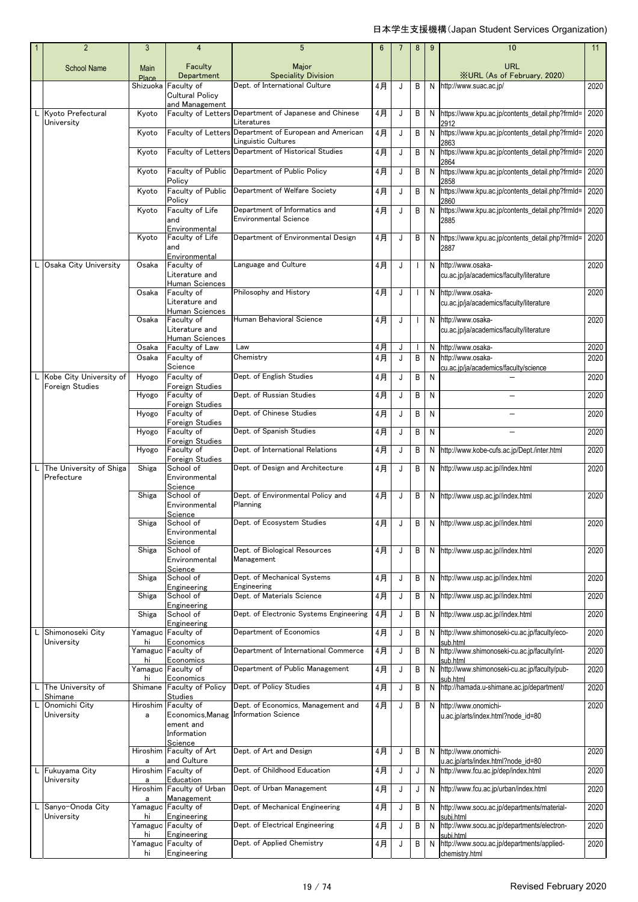|    | $\overline{2}$                             | 3             | 4                                               | 5                                                                                    | 6              |              | 8                        | 9 | 10                                                                        | 11   |
|----|--------------------------------------------|---------------|-------------------------------------------------|--------------------------------------------------------------------------------------|----------------|--------------|--------------------------|---|---------------------------------------------------------------------------|------|
|    | <b>School Name</b>                         | Main<br>Place | Faculty<br>Department                           | Major<br><b>Speciality Division</b>                                                  |                |              |                          |   | <b>URL</b><br><b>XURL</b> (As of February, 2020)                          |      |
|    |                                            | Shizuoka      | Faculty of<br>Cultural Policy<br>and Management | Dept. of International Culture                                                       | 4月             | J            | B                        | N | http://www.suac.ac.jp/                                                    | 2020 |
|    | Kyoto Prefectural<br>University            | Kyoto         |                                                 | Faculty of Letters Department of Japanese and Chinese<br>Literatures                 | 4月             | J            | B                        |   | N https://www.kpu.ac.jp/contents_detail.php?frmld=<br>2912                | 2020 |
|    |                                            | Kyoto         |                                                 | Faculty of Letters Department of European and American<br><b>Linguistic Cultures</b> | 4月             | J            | B                        | N | https://www.kpu.ac.jp/contents_detail.php?frmld=<br>2863                  | 2020 |
|    |                                            | Kyoto         |                                                 | Faculty of Letters Department of Historical Studies                                  | 4月             | J            | B                        | N | https://www.kpu.ac.jp/contents_detail.php?frmld= 2020<br>2864             |      |
|    |                                            | Kyoto         | Faculty of Public<br>Policy                     | Department of Public Policy                                                          | 4月             | J            | B                        | N | https://www.kpu.ac.jp/contents_detail.php?frmld=<br>2858                  | 2020 |
|    |                                            | Kyoto         | Faculty of Public<br>Policy                     | Department of Welfare Society                                                        | 4月             | J            | B                        | N | https://www.kpu.ac.jp/contents_detail.php?frmld=<br>2860                  | 2020 |
|    |                                            | Kyoto         | Faculty of Life<br>and<br>Environmental         | Department of Informatics and<br><b>Environmental Science</b>                        | 4月             | J            | B                        | N | https://www.kpu.ac.jp/contents_detail.php?frmld=<br>2885                  | 2020 |
|    |                                            | Kyoto         | Faculty of Life<br>and                          | Department of Environmental Design                                                   | 4月             | J            | B                        |   | N https://www.kpu.ac.jp/contents_detail.php?frmId=<br>2887                | 2020 |
| L. | Osaka City University                      | Osaka         | Environmental<br>Faculty of<br>Literature and   | Language and Culture                                                                 | 4月             | J            | $\mathbf{I}$             |   | N http://www.osaka-<br>cu.ac.jp/ja/academics/faculty/literature           | 2020 |
|    |                                            | Osaka         | Human Sciences<br>Faculty of                    | Philosophy and History                                                               | 4月             | J            | $\mathbf{I}$             |   | N http://www.osaka-                                                       | 2020 |
|    |                                            |               | Literature and<br>Human Sciences                |                                                                                      |                |              |                          |   | cu.ac.jp/ja/academics/faculty/literature                                  |      |
|    |                                            | Osaka         | Faculty of<br>Literature and<br>Human Sciences  | Human Behavioral Science                                                             | 4月             | J            | $\overline{\phantom{a}}$ |   | N http://www.osaka-<br>cu.ac.jp/ja/academics/faculty/literature           | 2020 |
|    |                                            | Osaka         | Faculty of Law<br>Faculty of                    | Law                                                                                  | 4 <sub>月</sub> | J            |                          | N | http://www.osaka-                                                         | 2020 |
|    |                                            | Osaka         | Science                                         | Chemistry                                                                            | 4月             | J            | B                        | N | http://www.osaka-<br>cu.ac.jp/ja/academics/faculty/science                | 2020 |
| L  | Kobe City University of<br>Foreign Studies | Hyogo         | Faculty of<br>Foreign Studies                   | Dept. of English Studies                                                             | 4月             | J            | B                        | N |                                                                           | 2020 |
|    |                                            | Hyogo         | Faculty of<br>Foreign Studies                   | Dept. of Russian Studies                                                             | 4月             | J            | B                        | N |                                                                           | 2020 |
|    |                                            | Hyogo         | Faculty of<br>Foreign Studies                   | Dept. of Chinese Studies                                                             | 4月             | J            | B                        | N |                                                                           | 2020 |
|    |                                            | Hyogo         | Faculty of<br>Foreign Studies                   | Dept. of Spanish Studies                                                             | 4月             | J            | B                        | N |                                                                           | 2020 |
|    |                                            | Hyogo         | Faculty of<br>Foreign Studies                   | Dept. of International Relations                                                     | 4月             | J            | B                        |   | N http://www.kobe-cufs.ac.jp/Dept./inter.html                             | 2020 |
| L  | The University of Shiga<br>Prefecture      | Shiga         | School of<br>Environmental<br>Science           | Dept. of Design and Architecture                                                     | 4月             | J            | B                        |   | N http://www.usp.ac.jp//index.html                                        | 2020 |
|    |                                            | Shiga         | School of<br>Environmental<br>Science           | Dept. of Environmental Policy and<br>Planning                                        | 4月             | J            | B                        |   | N http://www.usp.ac.jp//index.html                                        | 2020 |
|    |                                            | Shiga         | School of<br>Environmental<br>Science           | Dept. of Ecosystem Studies                                                           | 4月             | $\mathsf{J}$ |                          |   | B N http://www.usp.ac.jp//index.html                                      | 2020 |
|    |                                            | Shiga         | School of<br>Environmental<br>Science           | Dept. of Biological Resources<br>Management                                          | 4月             | J            | B                        |   | N http://www.usp.ac.jp//index.html                                        | 2020 |
|    |                                            | Shiga         | School of<br>Engineering                        | Dept. of Mechanical Systems<br>Engineering                                           | 4月             | J            | B                        |   | N http://www.usp.ac.jp//index.html                                        | 2020 |
|    |                                            | Shiga         | School of<br>Engineering                        | Dept. of Materials Science                                                           | 4月             | J            | B                        |   | N http://www.usp.ac.jp//index.html                                        | 2020 |
|    |                                            | Shiga         | School of<br>Engineering                        | Dept. of Electronic Systems Engineering                                              | 4月             | J            | В                        |   | N http://www.usp.ac.jp//index.html                                        | 2020 |
| L  | Shimonoseki City<br>University             | Yamaguc<br>hi | Faculty of<br>Economics                         | Department of Economics                                                              | 4月             | J            | B                        | N | http://www.shimonoseki-cu.ac.jp/faculty/eco-<br>sub.html                  | 2020 |
|    |                                            |               | Yamaguc Faculty of                              | Department of International Commerce                                                 | 4月             | J            | B                        | N | http://www.shimonoseki-cu.ac.jp/faculty/int-                              | 2020 |
|    |                                            | hi            | Economics<br>Yamaguc Faculty of                 | Department of Public Management                                                      | 4月             | J            | B                        |   | sub html<br>N http://www.shimonoseki-cu.ac.jp/faculty/pub-                | 2020 |
| L  | The University of                          | hi<br>Shimane | Economics<br><b>Faculty of Policy</b>           | Dept. of Policy Studies                                                              | 4月             | J            | B                        |   | sub.html<br>N http://hamada.u-shimane.ac.jp/department/                   | 2020 |
|    | Shimane<br>Onomichi City                   | Hiroshim      | <b>Studies</b><br>Faculty of                    | Dept. of Economics, Management and                                                   | 4月             | J            | B                        |   | N http://www.onomichi-                                                    | 2020 |
|    | University                                 | a             | Economics, Manag<br>ement and<br>Information    | <b>Information Science</b>                                                           |                |              |                          |   | u.ac.jp/arts/index.html?node_id=80                                        |      |
|    |                                            | Hiroshim      | Science<br>Faculty of Art                       | Dept. of Art and Design                                                              | 4月             | J            | B                        | N | http://www.onomichi-                                                      | 2020 |
| L  | Fukuyama City                              | a             | and Culture<br>Hiroshim Faculty of              | Dept. of Childhood Education                                                         | 4月             | J            | J                        | N | u.ac.jp/arts/index.html?node_id=80<br>http://www.fcu.ac.jp/dep/index.html | 2020 |
|    | University                                 | a             | Education<br>Hiroshim Faculty of Urban          | Dept. of Urban Management                                                            | 4月             | J            | J                        |   | N http://www.fcu.ac.jp/urban/index.html                                   | 2020 |
| L  | Sanyo-Onoda City                           | a             | Management<br>Yamaguc Faculty of                | Dept. of Mechanical Engineering                                                      | 4月             | J            | B                        |   | N http://www.socu.ac.jp/departments/material-                             | 2020 |
|    | University                                 | hi<br>Yamaguc | Engineering<br>Faculty of                       | Dept. of Electrical Engineering                                                      | 4月             | J            | B                        | N | subi.html<br>http://www.socu.ac.jp/departments/electron-                  | 2020 |
|    |                                            | hi            | Engineering<br>Yamaguc Faculty of               | Dept. of Applied Chemistry                                                           | 4月             | J            | B                        | N | subi.html<br>http://www.socu.ac.jp/departments/applied-                   | 2020 |
|    |                                            | hi            | Engineering                                     |                                                                                      |                |              |                          |   | chemistry.html                                                            |      |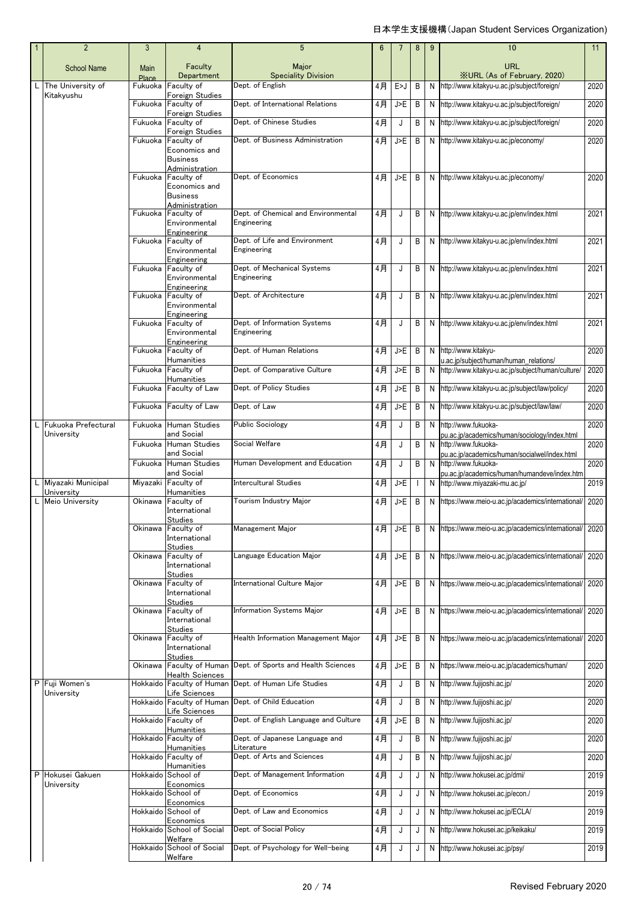|     | $\overline{2}$                   | 3             | 4                                                | 5                                                  | 6     | 7   | 8 | 9 | 10                                                                   | 11   |
|-----|----------------------------------|---------------|--------------------------------------------------|----------------------------------------------------|-------|-----|---|---|----------------------------------------------------------------------|------|
|     | <b>School Name</b>               | Main<br>Place | Faculty<br>Department                            | Major<br><b>Speciality Division</b>                |       |     |   |   | <b>URL</b><br><b>XURL (As of February, 2020)</b>                     |      |
| L I | The University of                | Fukuoka       | Faculty of                                       | Dept. of English                                   | 4月    | E>J | B | N | http://www.kitakyu-u.ac.jp/subject/foreign/                          | 2020 |
|     | Kitakyushu                       | Fukuoka       | Foreign Studies<br>Faculty of<br>Foreign Studies | Dept. of International Relations                   | 4月    | J>E | B | N | http://www.kitakyu-u.ac.jp/subject/foreign/                          | 2020 |
|     |                                  | Fukuoka       | Faculty of                                       | Dept. of Chinese Studies                           | 4月    | J   | B | N | http://www.kitakyu-u.ac.jp/subject/foreign/                          | 2020 |
|     |                                  | Fukuoka       | Foreign Studies<br>Faculty of                    | Dept. of Business Administration                   | 4月    | J>E | B |   | N http://www.kitakyu-u.ac.jp/economy/                                | 2020 |
|     |                                  |               | Economics and<br><b>Business</b>                 |                                                    |       |     |   |   |                                                                      |      |
|     |                                  |               | Administration                                   |                                                    |       |     |   |   |                                                                      |      |
|     |                                  | Fukuoka       | Faculty of<br>Economics and                      | Dept. of Economics                                 | 4月    | J>E | B |   | N http://www.kitakyu-u.ac.jp/economy/                                | 2020 |
|     |                                  |               | <b>Business</b><br>Administration                |                                                    |       |     |   |   |                                                                      |      |
|     |                                  | Fukuoka       | Faculty of                                       | Dept. of Chemical and Environmental<br>Engineering | 4月    | J   | B |   | N http://www.kitakyu-u.ac.jp/env/index.html                          | 2021 |
|     |                                  |               | Environmental<br>Engineering                     |                                                    |       |     |   |   |                                                                      |      |
|     |                                  | Fukuoka       | Faculty of<br>Environmental                      | Dept. of Life and Environment<br>Engineering       | 4月    | J   | B |   | N http://www.kitakyu-u.ac.jp/env/index.html                          | 2021 |
|     |                                  |               | Engineering                                      |                                                    |       |     |   |   |                                                                      |      |
|     |                                  | Fukuoka       | Faculty of<br>Environmental                      | Dept. of Mechanical Systems<br>Engineering         | 4月    | J   | B | N | http://www.kitakyu-u.ac.jp/env/index.html                            | 2021 |
|     |                                  | Fukuoka       | Engineering<br>Faculty of                        | Dept. of Architecture                              | 4月    | J   | B |   | N http://www.kitakyu-u.ac.jp/env/index.html                          | 2021 |
|     |                                  |               | Environmental<br>Engineering                     |                                                    |       |     |   |   |                                                                      |      |
|     |                                  | Fukuoka       | Faculty of                                       | Dept. of Information Systems                       | $4$ 月 | J   | B |   | N http://www.kitakyu-u.ac.jp/env/index.html                          | 2021 |
|     |                                  |               | Environmental<br>Engineering                     | Engineering                                        |       |     |   |   |                                                                      |      |
|     |                                  | Fukuoka       | Faculty of<br><b>Humanities</b>                  | Dept. of Human Relations                           | $4$ 月 | J>E | B | N | http://www.kitakyu-<br>u.ac.jp/subject/human/human relations/        | 2020 |
|     |                                  | Fukuoka       | Faculty of                                       | Dept. of Comparative Culture                       | 4月    | J>E | B | N | http://www.kitakyu-u.ac.jp/subject/human/culture/                    | 2020 |
|     |                                  | Fukuoka       | Humanities<br>Faculty of Law                     | Dept. of Policy Studies                            | 4月    | J>E | B | N | http://www.kitakyu-u.ac.jp/subject/law/policy/                       | 2020 |
|     |                                  | Fukuoka       | Faculty of Law                                   | Dept. of Law                                       | $4$ 月 | J>E | B | N | http://www.kitakyu-u.ac.jp/subject/law/law/                          | 2020 |
|     | Fukuoka Prefectural              | Fukuoka       | <b>Human Studies</b>                             | <b>Public Sociology</b>                            | 4月    | J   | B | N | http://www.fukuoka-                                                  | 2020 |
|     | University                       |               | and Social                                       | Social Welfare                                     |       |     |   |   | pu.ac.jp/academics/human/sociology/index.html                        |      |
|     |                                  | Fukuoka       | Human Studies<br>and Social                      |                                                    | $4$ 月 | J   | B | N | http://www.fukuoka-<br>pu.ac.jp/academics/human/socialwel/index.html | 2020 |
|     |                                  | Fukuoka       | <b>Human Studies</b><br>and Social               | Human Development and Education                    | 4月    | J   | B | N | http://www.fukuoka-<br>pu.ac.jp/academics/human/humandeve/index.htm  | 2020 |
|     | Miyazaki Municipal<br>University | Miyazaki      | Faculty of<br>Humanities                         | <b>Intercultural Studies</b>                       | $4$ 月 | J>E |   | N | http://www.miyazaki-mu.ac.jp/                                        | 2019 |
|     | <b>Meio University</b>           | Okinawa       | Faculty of<br>International                      | Tourism Industry Major                             | 4月    | J>E | B |   | N https://www.meio-u.ac.jp/academics/international/                  | 2020 |
|     |                                  |               | Studies<br>Okinawa Faculty of                    | Management Major                                   | 4月    | J>E | B |   | N https://www.meio-u.ac.jp/academics/international/ 2020             |      |
|     |                                  |               | International<br><b>Studies</b>                  |                                                    |       |     |   |   |                                                                      |      |
|     |                                  | Okinawa       | Faculty of                                       | Language Education Major                           | 4月    | J>E | B | N | https://www.meio-u.ac.jp/academics/international/                    | 2020 |
|     |                                  |               | International<br><b>Studies</b>                  |                                                    |       |     |   |   |                                                                      |      |
|     |                                  | Okinawa       | Faculty of<br>International                      | International Culture Major                        | 4月    | J>E | B |   | N https://www.meio-u.ac.jp/academics/international/                  | 2020 |
|     |                                  | Okinawa       | <b>Studies</b><br>Faculty of                     | Information Systems Major                          | 4月    | J>E | B |   | N https://www.meio-u.ac.jp/academics/international/                  | 2020 |
|     |                                  |               | International                                    |                                                    |       |     |   |   |                                                                      |      |
|     |                                  | Okinawa       | <b>Studies</b><br>Faculty of<br>International    | Health Information Management Major                | 4月    | J>E | B |   | N https://www.meio-u.ac.jp/academics/international/                  | 2020 |
|     |                                  | Okinawa       | <b>Studies</b><br>Faculty of Human               | Dept. of Sports and Health Sciences                | 4月    | J>E | B | N | https://www.meio-u.ac.jp/academics/human/                            | 2020 |
|     |                                  |               | <b>Health Sciences</b>                           |                                                    |       |     |   |   |                                                                      |      |
|     | P Fuji Women's<br>University     | Hokkaido      | Faculty of Human<br>Life Sciences                | Dept. of Human Life Studies                        | 4月    | J   | B | N | http://www.fujijoshi.ac.jp/                                          | 2020 |
|     |                                  |               | Hokkaido Faculty of Human<br>Life Sciences       | Dept. of Child Education                           | $4$ 月 | J   | B | N | http://www.fujijoshi.ac.jp/                                          | 2020 |
|     |                                  |               | Hokkaido Faculty of                              | Dept. of English Language and Culture              | 4月    | J>E | B | N | http://www.fujijoshi.ac.jp/                                          | 2020 |
|     |                                  | Hokkaido      | Humanities<br>Faculty of                         | Dept. of Japanese Language and                     | 4月    | J   | B | N | http://www.fujijoshi.ac.jp/                                          | 2020 |
|     |                                  |               | Humanities<br>Hokkaido Faculty of                | Literature<br>Dept. of Arts and Sciences           | 4月    | J   | B | N | http://www.fujijoshi.ac.jp/                                          | 2020 |
|     |                                  |               | Humanities                                       |                                                    |       |     |   |   |                                                                      |      |
|     | P Hokusei Gakuen<br>University   | Hokkaido      | School of<br>Economics                           | Dept. of Management Information                    | 4月    | J   | J | N | http://www.hokusei.ac.jp/dmi/                                        | 2019 |
|     |                                  | Hokkaido      | School of                                        | Dept. of Economics                                 | 4月    | J   | J | N | http://www.hokusei.ac.jp/econ./                                      | 2019 |
|     |                                  | Hokkaido      | Economics<br>School of                           | Dept. of Law and Economics                         | 4月    | J   | J | N | http://www.hokusei.ac.jp/ECLA/                                       | 2019 |
|     |                                  |               | Economics<br>Hokkaido School of Social           | Dept. of Social Policy                             | 4月    | J   | J | N | http://www.hokusei.ac.jp/keikaku/                                    | 2019 |
|     |                                  |               | Welfare<br>Hokkaido School of Social             | Dept. of Psychology for Well-being                 | 4月    | J   | J | N | http://www.hokusei.ac.jp/psy/                                        | 2019 |
|     |                                  |               | Welfare                                          |                                                    |       |     |   |   |                                                                      |      |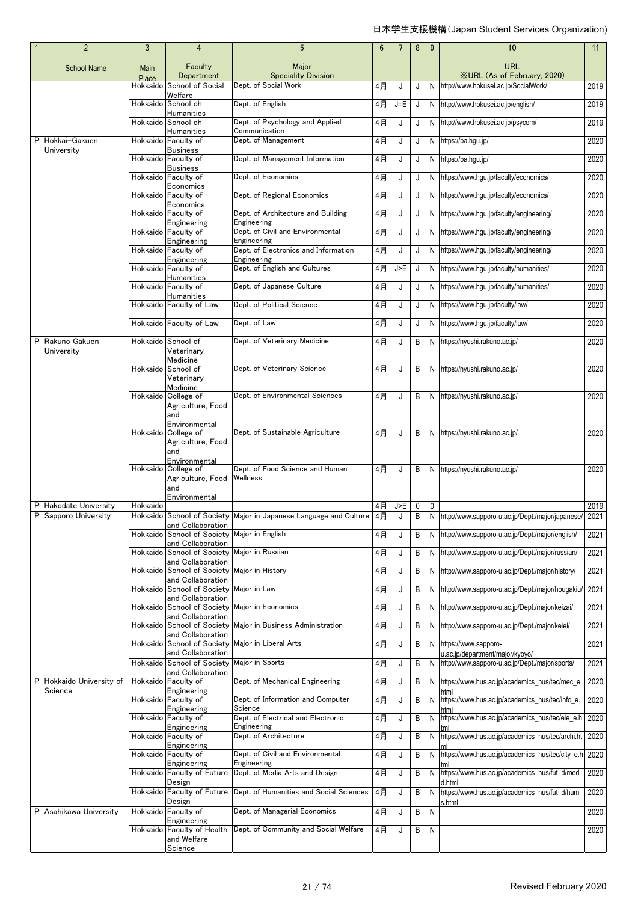|   | $\overline{2}$                    | 3                 | $\overline{4}$                                                   | $5\phantom{.0}$                                                   | 6     | 7       | 8 | 9 | 10                                                                         | 11   |
|---|-----------------------------------|-------------------|------------------------------------------------------------------|-------------------------------------------------------------------|-------|---------|---|---|----------------------------------------------------------------------------|------|
|   | <b>School Name</b>                | Main              | Faculty                                                          | Major                                                             |       |         |   |   | <b>URL</b>                                                                 |      |
|   |                                   | Place<br>Hokkaido | Department<br>School of Social                                   | <b>Speciality Division</b><br>Dept. of Social Work                | 4月    | J       | J | N | <b>XURL (As of February, 2020)</b><br>http://www.hokusei.ac.jp/SocialWork/ | 2019 |
|   |                                   |                   | Welfare                                                          |                                                                   |       |         |   |   |                                                                            |      |
|   |                                   |                   | Hokkaido School oh<br><b>Humanities</b>                          | Dept. of English                                                  | 4月    | $J = E$ | J | N | http://www.hokusei.ac.jp/english/                                          | 2019 |
|   |                                   |                   | Hokkaido School oh<br><b>Humanities</b>                          | Dept. of Psychology and Applied<br>Communication                  | 4月    | J       | J | N | http://www.hokusei.ac.jp/psycom/                                           | 2019 |
| P | Hokkai-Gakuen<br>University       | Hokkaido          | Faculty of<br><b>Business</b>                                    | Dept. of Management                                               | 4月    | J       | J | N | https://ba.hgu.jp/                                                         | 2020 |
|   |                                   |                   | Hokkaido Faculty of<br><b>Business</b>                           | Dept. of Management Information                                   | 4月    | J       | J | N | https://ba.hgu.jp/                                                         | 2020 |
|   |                                   |                   | Hokkaido Faculty of                                              | Dept. of Economics                                                | 4月    | J       | J | N | https://www.hgu.jp/faculty/economics/                                      | 2020 |
|   |                                   |                   | Economics<br>Hokkaido Faculty of                                 | Dept. of Regional Economics                                       | $4$ 月 | J       | J | N | https://www.hgu.jp/faculty/economics/                                      | 2020 |
|   |                                   |                   | Economics<br>Hokkaido Faculty of                                 | Dept. of Architecture and Building                                | $4$ 月 | J       | J | N | https://www.hgu.jp/faculty/engineering/                                    | 2020 |
|   |                                   |                   | Engineering<br>Hokkaido Faculty of                               | Engineering<br>Dept. of Civil and Environmental                   | 4月    | J       | J | N | https://www.hgu.jp/faculty/engineering/                                    | 2020 |
|   |                                   |                   | Engineering<br>Hokkaido Faculty of                               | Engineering<br>Dept. of Electronics and Information               | $4$ 月 | J       | J | N | https://www.hgu.jp/faculty/engineering/                                    | 2020 |
|   |                                   |                   | Engineering<br>Hokkaido Faculty of                               | Engineering<br>Dept. of English and Cultures                      | 4月    | J>E     | J | N | https://www.hgu.jp/faculty/humanities/                                     | 2020 |
|   |                                   |                   | <b>Humanities</b>                                                |                                                                   |       |         |   |   |                                                                            |      |
|   |                                   |                   | Hokkaido Faculty of<br>Humanities                                | Dept. of Japanese Culture                                         | 4月    | J       | J |   | N https://www.hqu.jp/faculty/humanities/                                   | 2020 |
|   |                                   |                   | Hokkaido Faculty of Law                                          | Dept. of Political Science                                        | 4月    | J       | J | N | https://www.hgu.jp/faculty/law/                                            | 2020 |
|   |                                   |                   | Hokkaido Faculty of Law                                          | Dept. of Law                                                      | 4月    | J       | J | N | https://www.hgu.jp/faculty/law/                                            | 2020 |
| P | Rakuno Gakuen<br>University       | Hokkaido          | School of<br>Veterinary<br>Medicine                              | Dept. of Veterinary Medicine                                      | 4月    | J       | B | N | https://nyushi.rakuno.ac.jp/                                               | 2020 |
|   |                                   | Hokkaido          | School of<br>Veterinary                                          | Dept. of Veterinary Science                                       | $4$ 月 | J       | B |   | N https://nyushi.rakuno.ac.jp/                                             | 2020 |
|   |                                   |                   | Medicine<br>Hokkaido College of                                  | Dept. of Environmental Sciences                                   | 4月    | J       | B |   | N https://nyushi.rakuno.ac.jp/                                             | 2020 |
|   |                                   |                   | Agriculture, Food<br>and<br>Environmental                        |                                                                   |       |         |   |   |                                                                            |      |
|   |                                   | Hokkaido          | College of<br>Agriculture, Food                                  | Dept. of Sustainable Agriculture                                  | 4月    | J       | B |   | N https://nyushi.rakuno.ac.jp/                                             | 2020 |
|   |                                   |                   | and                                                              |                                                                   |       |         |   |   |                                                                            |      |
|   |                                   |                   | Environmental<br>Hokkaido College of                             | Dept. of Food Science and Human                                   | 4月    | J       | B |   | N https://nyushi.rakuno.ac.jp/                                             | 2020 |
|   |                                   |                   | Agriculture, Food<br>and                                         | Wellness                                                          |       |         |   |   |                                                                            |      |
| P | Hakodate University               | Hokkaido          | Environmental                                                    |                                                                   | 4月    | J>E     | 0 | 0 |                                                                            | 2019 |
| P | Sapporo University                |                   |                                                                  | Hokkaido School of Society Major in Japanese Language and Culture | 4月    | J       | B | N | http://www.sapporo-u.ac.jp/Dept./major/japanese/                           | 2021 |
|   |                                   |                   | and Collaboration<br>Hokkaido School of Society Major in English |                                                                   | 4月    | J       | B | N | http://www.sapporo-u.ac.jp/Dept./major/english/                            | 2021 |
|   |                                   | Hokkaido          | and Collaboration<br>School of Society                           | Major in Russian                                                  | 4月    | J       | В | N | http://www.sapporo-u.ac.jp/Dept./major/russian/                            | 2021 |
|   |                                   |                   | and Collaboration<br>Hokkaido School of Society Major in History |                                                                   | 4月    | J       | В | N | http://www.sapporo-u.ac.jp/Dept./major/history/                            | 2021 |
|   |                                   |                   | and Collaboration<br>Hokkaido School of Society                  | Major in Law                                                      | 4月    | J       | В | N | http://www.sapporo-u.ac.jp/Dept./major/hougakiu/                           | 2021 |
|   |                                   |                   | and Collaboration<br>School of Society                           | Major in Economics                                                |       |         |   |   |                                                                            | 2021 |
|   |                                   | Hokkaido          | and Collaboration                                                |                                                                   | 4月    | J       | В | N | http://www.sapporo-u.ac.jp/Dept./major/keizai/                             |      |
|   |                                   | Hokkaido          | School of Society<br>and Collaboration                           | Major in Business Administration                                  | 4月    | J       | В | N | http://www.sapporo-u.ac.jp/Dept./major/keiei/                              | 2021 |
|   |                                   |                   | and Collaboration                                                | Hokkaido School of Society Major in Liberal Arts                  | 4月    | J       | B | N | https://www.sapporo-<br>u.ac.jp/department/major/kyoyo/                    | 2021 |
|   |                                   | Hokkaido          | School of Society<br>and Collaboration                           | Major in Sports                                                   | $4$ 月 | J       | В | N | http://www.sapporo-u.ac.jp/Dept./major/sports/                             | 2021 |
| P | Hokkaido University of<br>Science |                   | Hokkaido Faculty of<br>Engineering                               | Dept. of Mechanical Engineering                                   | 4月    | J       | В | N | https://www.hus.ac.jp/academics_hus/tec/mec_e.                             | 2020 |
|   |                                   |                   | Hokkaido Faculty of                                              | Dept. of Information and Computer<br>Science                      | 4月    | J       | Β | N | https://www.hus.ac.jp/academics_hus/tec/info_e.                            | 2020 |
|   |                                   |                   | Engineering<br>Hokkaido Faculty of                               | Dept. of Electrical and Electronic                                | 4月    | J       | В | N | https://www.hus.ac.jp/academics_hus/tec/ele_e.h                            | 2020 |
|   |                                   |                   | Engineering<br>Hokkaido Faculty of                               | Engineering<br>Dept. of Architecture                              | 4月    | J       | B | N | https://www.hus.ac.jp/academics_hus/tec/archi.ht                           | 2020 |
|   |                                   |                   | Engineering<br>Hokkaido Faculty of                               | Dept. of Civil and Environmental                                  | 4月    | J       | B | N | https://www.hus.ac.jp/academics_hus/tec/city_e.h                           | 2020 |
|   |                                   |                   | Engineering<br>Hokkaido Faculty of Future                        | Engineering<br>Dept. of Media Arts and Design                     | 4月    | J       | В | N | https://www.hus.ac.jp/academics_hus/fut_d/med_                             | 2020 |
|   |                                   |                   | Design<br>Hokkaido Faculty of Future                             | Dept. of Humanities and Social Sciences                           | 4月    | J       | B | N | d.html<br>https://www.hus.ac.jp/academics_hus/fut_d/hum_                   | 2020 |
|   | P Asahikawa University            |                   | Design<br>Hokkaido Faculty of                                    | Dept. of Managerial Economics                                     | 4月    | J       | В | N | s.html                                                                     | 2020 |
|   |                                   |                   | Engineering<br>Hokkaido Faculty of Health                        | Dept. of Community and Social Welfare                             | 4月    | J       | B | N |                                                                            | 2020 |
|   |                                   |                   | and Welfare<br>Science                                           |                                                                   |       |         |   |   |                                                                            |      |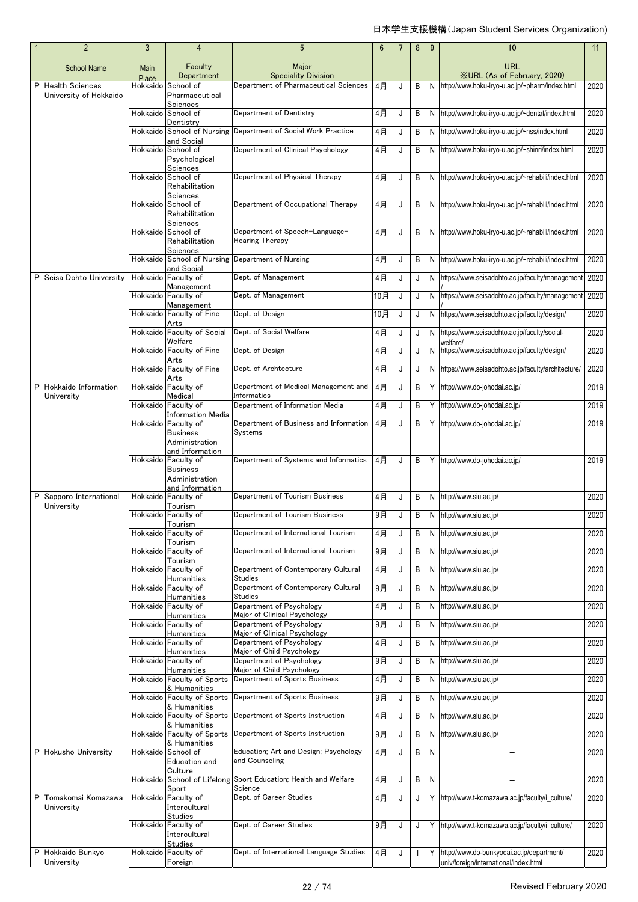| $\overline{2}$                              | 3                           | 4                                                           | $5\phantom{.0}$                                            | 6     |   | 8            | 9         | 10                                                       | 11   |
|---------------------------------------------|-----------------------------|-------------------------------------------------------------|------------------------------------------------------------|-------|---|--------------|-----------|----------------------------------------------------------|------|
| <b>School Name</b>                          | <b>Main</b><br><b>Place</b> | Faculty<br>Department                                       | Major<br><b>Speciality Division</b>                        |       |   |              |           | <b>URL</b><br><b>XURL (As of February, 2020)</b>         |      |
| P Health Sciences<br>University of Hokkaido | Hokkaido                    | School of<br>Pharmaceutical                                 | Department of Pharmaceutical Sciences                      | 4月    | J | B            | N         | http://www.hoku-iryo-u.ac.jp/~pharm/index.html           | 2020 |
|                                             | Hokkaido                    | Sciences<br>School of                                       | Department of Dentistry                                    | 4月    | J | B            | N         | http://www.hoku-iryo-u.ac.jp/~dental/index.html          | 2020 |
|                                             |                             | Dentistry<br>Hokkaido School of Nursing                     | Department of Social Work Practice                         | 4月    | J | B            | N         | http://www.hoku-iryo-u.ac.jp/~nss/index.html             | 2020 |
|                                             | Hokkaido                    | and Social<br>School of<br>Psychological                    | Department of Clinical Psychology                          | $4$ 月 | J | B            | N         | http://www.hoku-iryo-u.ac.jp/~shinri/index.html          | 2020 |
|                                             | Hokkaido                    | Sciences<br>School of<br>Rehabilitation                     | Department of Physical Therapy                             | 4月    | J | В            | N         | http://www.hoku-iryo-u.ac.jp/~rehabili/index.html        | 2020 |
|                                             | Hokkaido                    | Sciences<br>School of<br>Rehabilitation<br>Sciences         | Department of Occupational Therapy                         | 4月    | J | B            | N         | http://www.hoku-iryo-u.ac.jp/~rehabili/index.html        | 2020 |
|                                             | Hokkaido                    | School of<br>Rehabilitation<br>Sciences                     | Department of Speech-Language-<br><b>Hearing Therapy</b>   | 4月    | J | В            | N         | http://www.hoku-iryo-u.ac.jp/~rehabili/index.html        | 2020 |
|                                             | Hokkaido                    | School of Nursing<br>and Social                             | Department of Nursing                                      | 4月    | J | B            | N         | http://www.hoku-iryo-u.ac.jp/~rehabili/index.html        | 2020 |
| Seisa Dohto University<br>P                 | Hokkaido                    | Faculty of                                                  | Dept. of Management                                        | 4月    | J | J            | N         | https://www.seisadohto.ac.jp/faculty/management          | 2020 |
|                                             |                             | Management<br>Hokkaido Faculty of                           | Dept. of Management                                        | 10月   | J | J            | N         | https://www.seisadohto.ac.jp/faculty/management          | 2020 |
|                                             | Hokkaido                    | Management<br>Faculty of Fine<br>Arts                       | Dept. of Design                                            | 10月   | J | J            | N         | https://www.seisadohto.ac.jp/faculty/design/             | 2020 |
|                                             |                             | Hokkaido Faculty of Social<br>Welfare                       | Dept. of Social Welfare                                    | $4$ 月 | J | J            | N         | https://www.seisadohto.ac.jp/faculty/social-             | 2020 |
|                                             |                             | Hokkaido Faculty of Fine                                    | Dept. of Design                                            | 4月    | J | J            | N         | welfare/<br>https://www.seisadohto.ac.jp/faculty/design/ | 2020 |
|                                             |                             | Arts<br>Hokkaido Faculty of Fine                            | Dept. of Archtecture                                       | 4月    | J | J            | N         | https://www.seisadohto.ac.jp/faculty/architecture/       | 2020 |
| P Hokkaido Information                      | Hokkaido                    | Arts<br>Faculty of                                          | Department of Medical Management and                       | 4月    | J | В            | Y         | http://www.do-johodai.ac.jp/                             | 2019 |
| University                                  | Hokkaido                    | Medical<br>Faculty of                                       | Informatics<br>Department of Information Media             | 4月    | J | B            | Y         | http://www.do-johodai.ac.jp/                             | 2019 |
|                                             |                             | Information Media<br>Hokkaido Faculty of<br><b>Business</b> | Department of Business and Information<br>Systems          | 4月    | J | В            | Y         | http://www.do-johodai.ac.jp/                             | 2019 |
|                                             |                             | Administration<br>and Information<br>Hokkaido Faculty of    | Department of Systems and Informatics                      | 4月    | J | B            |           | Y http://www.do-johodai.ac.jp/                           | 2019 |
|                                             |                             | <b>Business</b><br>Administration                           |                                                            |       |   |              |           |                                                          |      |
| P Sapporo International                     |                             | and Information<br>Hokkaido Faculty of                      | Department of Tourism Business                             | 4月    | J | B            | N         | http://www.siu.ac.jp/                                    | 2020 |
| University                                  |                             | Tourism<br>Hokkaido Faculty of                              | Department of Tourism Business                             | 9月    | J | В            | N         | http://www.siu.ac.jp/                                    | 2020 |
|                                             |                             | Tourism<br>Hokkaido Faculty of                              | Department of International Tourism                        | 4月    | J | В            | N         | http://www.siu.ac.jp/                                    | 2020 |
|                                             |                             | Tourism<br>Hokkaido Faculty of                              | Department of International Tourism                        | 9月    | J | B            | N         | http://www.siu.ac.jp/                                    | 2020 |
|                                             | Hokkaido                    | Tourism<br>Faculty of                                       | Department of Contemporary Cultural                        | $4$ 月 | J | B            | N         | http://www.siu.ac.jp/                                    | 2020 |
|                                             |                             | <b>Humanities</b><br>Hokkaido Faculty of                    | Studies<br>Department of Contemporary Cultural             | 9月    | J | В            | N         | http://www.siu.ac.jp/                                    | 2020 |
|                                             |                             | <b>Humanities</b><br>Hokkaido Faculty of                    | <b>Studies</b><br>Department of Psychology                 | 4月    | J | В            | N         | http://www.siu.ac.jp/                                    | 2020 |
|                                             |                             | <b>Humanities</b><br>Hokkaido Faculty of                    | Major of Clinical Psychology<br>Department of Psychology   | 9月    | J | В            | N         | http://www.siu.ac.jp/                                    | 2020 |
|                                             | Hokkaido                    | Humanities<br>Faculty of                                    | Major of Clinical Psychology<br>Department of Psychology   | 4月    | J | B            | N         | http://www.siu.ac.jp/                                    | 2020 |
|                                             | Hokkaido                    | Humanities<br>Faculty of                                    | Major of Child Psychology<br>Department of Psychology      | 9月    | J | В            | N         | http://www.siu.ac.jp/                                    | 2020 |
|                                             |                             | <b>Humanities</b><br>Hokkaido Faculty of Sports             | Major of Child Psychology<br>Department of Sports Business | 4月    | J | B            | ${\sf N}$ | http://www.siu.ac.jp/                                    | 2020 |
|                                             |                             | & Humanities<br>Hokkaido Faculty of Sports                  | Department of Sports Business                              | 9月    | J | B            | N         | http://www.siu.ac.jp/                                    | 2020 |
|                                             |                             | & Humanities<br>Hokkaido Faculty of Sports                  | Department of Sports Instruction                           | 4月    | J | В            | N         | http://www.siu.ac.jp/                                    | 2020 |
|                                             | Hokkaido                    | & Humanities<br>Faculty of Sports                           | Department of Sports Instruction                           | 9月    | J | B            | N         | http://www.siu.ac.jp/                                    | 2020 |
| P Hokusho University                        | Hokkaido                    | & Humanities<br>School of<br>Education and                  | Education; Art and Design; Psychology<br>and Counseling    | 4月    | J | B            | N         |                                                          | 2020 |
|                                             |                             | Culture<br>Hokkaido School of Lifelong                      | Sport Education; Health and Welfare                        | 4月    | J | В            | N         | -                                                        | 2020 |
|                                             |                             | Sport                                                       | Science                                                    |       |   |              |           |                                                          |      |
| Tomakomai Komazawa<br>P<br>University       |                             | Hokkaido Faculty of<br>Intercultural                        | Dept. of Career Studies                                    | 4月    | J | J            | Y         | http://www.t-komazawa.ac.jp/faculty/i_culture/           | 2020 |
|                                             |                             | Studies<br>Hokkaido Faculty of<br>Intercultural             | Dept. of Career Studies                                    | 9月    | J | J            |           | Y http://www.t-komazawa.ac.jp/faculty/i_culture/         | 2020 |
| Hokkaido Bunkyo<br>P                        |                             | Studies<br>Hokkaido Faculty of                              | Dept. of International Language Studies                    | 4月    | J | $\mathbf{I}$ | Y         | http://www.do-bunkyodai.ac.jp/department/                | 2020 |
| University                                  |                             | Foreign                                                     |                                                            |       |   |              |           | univ/foreign/international/index.html                    |      |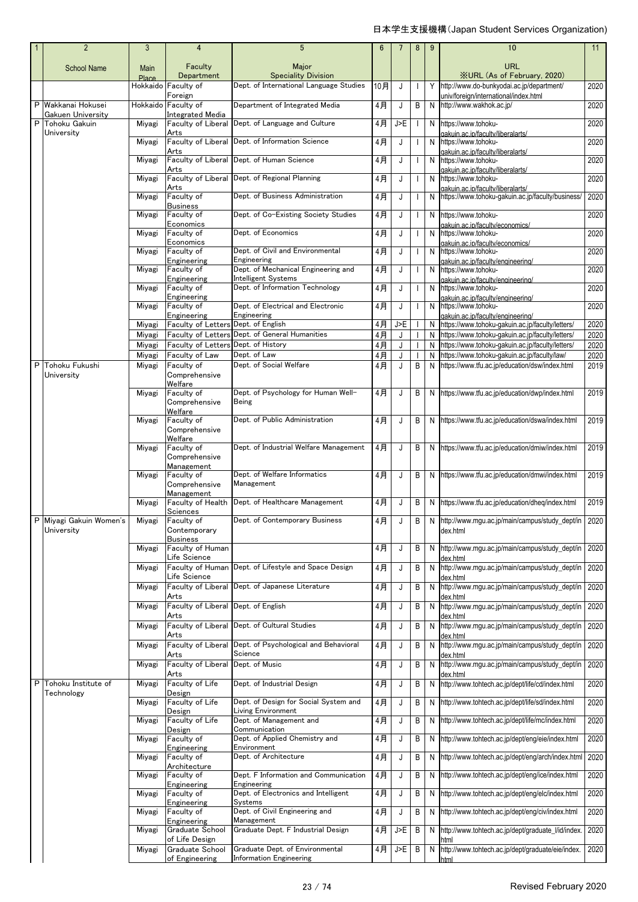|   | $\overline{2}$                        | 3                    | 4                                             | 5                                                           | 6        |     | 8                        | 9      | 10                                                                                                   | 11   |
|---|---------------------------------------|----------------------|-----------------------------------------------|-------------------------------------------------------------|----------|-----|--------------------------|--------|------------------------------------------------------------------------------------------------------|------|
|   | <b>School Name</b>                    | <b>Main</b><br>Place | Faculty<br>Department                         | Major<br><b>Speciality Division</b>                         |          |     |                          |        | URL<br><b>XURL</b> (As of February, 2020)                                                            |      |
|   |                                       |                      | Hokkaido Faculty of                           | Dept. of International Language Studies                     | 10月      | J   |                          | Y      | http://www.do-bunkyodai.ac.jp/department/                                                            | 2020 |
|   | P Wakkanai Hokusei                    |                      | Foreign<br>Hokkaido Faculty of                | Department of Integrated Media                              | $4$ 月    | J   | В                        | N      | univ/foreign/international/index.html<br>http://www.wakhok.ac.jp/                                    | 2020 |
| P | Gakuen University<br>Tohoku Gakuin    | Miyagi               | Integrated Media<br>Faculty of Liberal        | Dept. of Language and Culture                               | 4月       | J>E | $\mathbf{I}$             | N      | https://www.tohoku-                                                                                  | 2020 |
|   | University                            | Miyagi               | Arts<br>Faculty of Liberal                    | Dept. of Information Science                                | 4月       | J   | $\overline{\phantom{a}}$ | N      | dakuin.ac.ip/faculty/liberalarts/<br>https://www.tohoku-                                             | 2020 |
|   |                                       | Miyagi               | Arts<br>Faculty of Liberal                    | Dept. of Human Science                                      | 4月       | J   |                          | N      | gakuin.ac.ip/faculty/liberalarts/<br>https://www.tohoku-                                             | 2020 |
|   |                                       | Mivagi               | Arts<br>Faculty of Liberal                    | Dept. of Regional Planning                                  | 4月       | J   |                          | N      | gakuin.ac.ip/faculty/liberalarts/<br>https://www.tohoku-                                             | 2020 |
|   |                                       | Miyagi               | Arts<br>Faculty of<br><b>Business</b>         | Dept. of Business Administration                            | 4月       | J   | J                        | N      | gakuin.ac.ip/faculty/liberalarts/<br>https://www.tohoku-gakuin.ac.jp/faculty/business/               | 2020 |
|   |                                       | Miyagi               | Faculty of<br>Economics                       | Dept. of Co-Existing Society Studies                        | 4月       | J   | J                        | N      | https://www.tohoku-<br>aakuin.ac.ip/facultv/economics/                                               | 2020 |
|   |                                       | Miyagi               | Faculty of<br>Economics                       | Dept. of Economics                                          | $4$ 月    | J   | $\mathbf{I}$             | N      | https://www.tohoku-<br>qakuin.ac.ip/faculty/economics/                                               | 2020 |
|   |                                       | Miyagi               | Faculty of<br>Engineering                     | Dept. of Civil and Environmental<br>Engineering             | 4月       | J   | J                        | N      | https://www.tohoku-<br>gakuin.ac.ip/faculty/engineering/                                             | 2020 |
|   |                                       | Miyagi               | Faculty of                                    | Dept. of Mechanical Engineering and                         | 4月       | J   | $\mathbf{I}$             | N      | https://www.tohoku-                                                                                  | 2020 |
|   |                                       | Miyagi               | Engineering<br>Faculty of                     | Intelligent Systems<br>Dept. of Information Technology      | 4月       | J   |                          | N      | gakuin.ac.ip/faculty/engineering/<br>https://www.tohoku-                                             | 2020 |
|   |                                       | Miyagi               | Engineering<br>Faculty of                     | Dept. of Electrical and Electronic                          | 4月       | J   |                          | N      | gakuin.ac.ip/faculty/engineering/<br>https://www.tohoku-                                             | 2020 |
|   |                                       |                      | Engineering<br>Faculty of Letters             | Engineering<br>Dept. of English                             |          | J>E |                          |        | gakuin.ac.ip/faculty/engineering/                                                                    | 2020 |
|   |                                       | Miyagi<br>Miyagi     | <b>Faculty of Letters</b>                     | Dept. of General Humanities                                 | 4月<br>4月 | J   |                          | N<br>N | https://www.tohoku-gakuin.ac.jp/faculty/letters/<br>https://www.tohoku-qakuin.ac.jp/faculty/letters/ | 2020 |
|   |                                       | Miyagi               | Faculty of Letters                            | Dept. of History                                            | 4月       | J   |                          | N.     | https://www.tohoku-qakuin.ac.jp/faculty/letters/                                                     | 2020 |
|   |                                       | Miyagi               | Faculty of Law                                | Dept. of Law                                                | $4$ 月    | J   |                          | N      | https://www.tohoku-gakuin.ac.jp/faculty/law/                                                         | 2020 |
| P | Tohoku Fukushi<br>University          | Miyagi               | Faculty of<br>Comprehensive<br>Welfare        | Dept. of Social Welfare                                     | 4月       | J   | В                        | N      | https://www.tfu.ac.jp/education/dsw/index.html                                                       | 2019 |
|   |                                       | Miyagi               | Faculty of<br>Comprehensive<br>Welfare        | Dept. of Psychology for Human Well-<br>Being                | 4月       | J   | В                        | N      | https://www.tfu.ac.jp/education/dwp/index.html                                                       | 2019 |
|   |                                       | Miyagi               | Faculty of<br>Comprehensive<br>Welfare        | Dept. of Public Administration                              | 4月       | J   | В                        | N      | https://www.tfu.ac.jp/education/dswa/index.html                                                      | 2019 |
|   |                                       | Miyagi               | Faculty of<br>Comprehensive<br>Management     | Dept. of Industrial Welfare Management                      | 4月       | J   | В                        | N      | https://www.tfu.ac.jp/education/dmiw/index.html                                                      | 2019 |
|   |                                       | Miyagi               | Faculty of<br>Comprehensive<br>Management     | Dept. of Welfare Informatics<br>Management                  | 4月       | J   | В                        |        | N https://www.tfu.ac.jp/education/dmwi/index.html                                                    | 2019 |
|   |                                       | Miyagi               | Faculty of Health<br>Sciences                 | Dept. of Healthcare Management                              | 4月       | J   | В                        | N      | https://www.tfu.ac.jp/education/dheg/index.html                                                      | 2019 |
|   | P Miyagi Gakuin Women's<br>University | Miyagi               | Faculty of<br>Contemporary<br><b>Business</b> | Dept. of Contemporary Business                              | 4月       |     | B                        |        | N http://www.mgu.ac.jp/main/campus/study_dept/in 2020<br>dex.html                                    |      |
|   |                                       | Miyagi               | Faculty of Human<br>Life Science              |                                                             | 4月       | J   | В                        | N      | http://www.mqu.ac.jp/main/campus/study_dept/in<br>dex.html                                           | 2020 |
|   |                                       | Miyagi               | Faculty of Human<br>Life Science              | Dept. of Lifestyle and Space Design                         | 4月       | J   | В                        | N      | http://www.mgu.ac.jp/main/campus/study_dept/in<br>dex.html                                           | 2020 |
|   |                                       | Miyagi               | Faculty of Liberal<br>Arts                    | Dept. of Japanese Literature                                | 4月       | J   | В                        | N      | http://www.mgu.ac.jp/main/campus/study_dept/in<br>dex.html                                           | 2020 |
|   |                                       | Miyagi               | Faculty of Liberal<br>Arts                    | Dept. of English                                            | 4月       | J   | В                        | N      | http://www.mqu.ac.jp/main/campus/study_dept/in<br>dex.html                                           | 2020 |
|   |                                       | Miyagi               | Faculty of Liberal<br>Arts                    | Dept. of Cultural Studies                                   | $4$ 月    | J   | В                        | N      | http://www.mgu.ac.jp/main/campus/study_dept/in<br>dex.html                                           | 2020 |
|   |                                       | Miyagi               | Faculty of Liberal<br>Arts                    | Dept. of Psychological and Behavioral<br>Science            | 4月       | J   | B                        | N      | http://www.mqu.ac.jp/main/campus/study_dept/in                                                       | 2020 |
|   |                                       | Miyagi               | Faculty of Liberal                            | Dept. of Music                                              | 4月       | J   | B                        | N      | dex.html<br>http://www.mgu.ac.jp/main/campus/study_dept/in                                           | 2020 |
| P | Tohoku Institute of<br>Technology     | Miyagi               | Arts<br>Faculty of Life<br>Design             | Dept. of Industrial Design                                  | 4月       | J   | В                        | N      | dex.html<br>http://www.tohtech.ac.jp/dept/life/cd/index.html                                         | 2020 |
|   |                                       | Miyagi               | Faculty of Life                               | Dept. of Design for Social System and<br>Living Environment | 4月       | J   | В                        | N      | http://www.tohtech.ac.jp/dept/life/sd/index.html                                                     | 2020 |
|   |                                       | Miyagi               | Design<br>Faculty of Life                     | Dept. of Management and<br>Communication                    | 4月       | J   | В                        | N      | http://www.tohtech.ac.jp/dept/life/mc/index.html                                                     | 2020 |
|   |                                       | Miyagi               | Design<br>Faculty of                          | Dept. of Applied Chemistry and                              | 4月       | J   | В                        | N      | http://www.tohtech.ac.jp/dept/eng/eie/index.html                                                     | 2020 |
|   |                                       | Miyagi               | Engineering<br>Faculty of<br>Architecture     | Environment<br>Dept. of Architecture                        | 4月       | J   | В                        | N      | http://www.tohtech.ac.jp/dept/eng/arch/index.html                                                    | 2020 |
|   |                                       | Miyagi               | Faculty of                                    | Dept. F Information and Communication<br>Engineering        | 4月       | J   | В                        | N      | http://www.tohtech.ac.jp/dept/eng/ice/index.html                                                     | 2020 |
|   |                                       | Miyagi               | Engineering<br>Faculty of                     | Dept. of Electronics and Intelligent<br>Systems             | 4月       | J   | В                        | N      | http://www.tohtech.ac.jp/dept/eng/elc/index.html                                                     | 2020 |
|   |                                       | Miyagi               | Engineering<br>Faculty of                     | Dept. of Civil Engineering and                              | 4月       | J   | В                        | N      | http://www.tohtech.ac.jp/dept/eng/civ/index.html                                                     | 2020 |
|   |                                       | Miyagi               | Engineering<br>Graduate School                | Management<br>Graduate Dept. F Industrial Design            | 4月       | J>E | В                        | N      | http://www.tohtech.ac.jp/dept/graduate_l/id/index.                                                   | 2020 |
|   |                                       | Miyagi               | of Life Design<br>Graduate School             | Graduate Dept. of Environmental                             | 4月       | J>E | В                        | N      | ntml<br>http://www.tohtech.ac.jp/dept/graduate/eie/index.                                            | 2020 |
|   |                                       |                      | of Engineering                                | <b>Information Engineering</b>                              |          |     |                          |        | html                                                                                                 |      |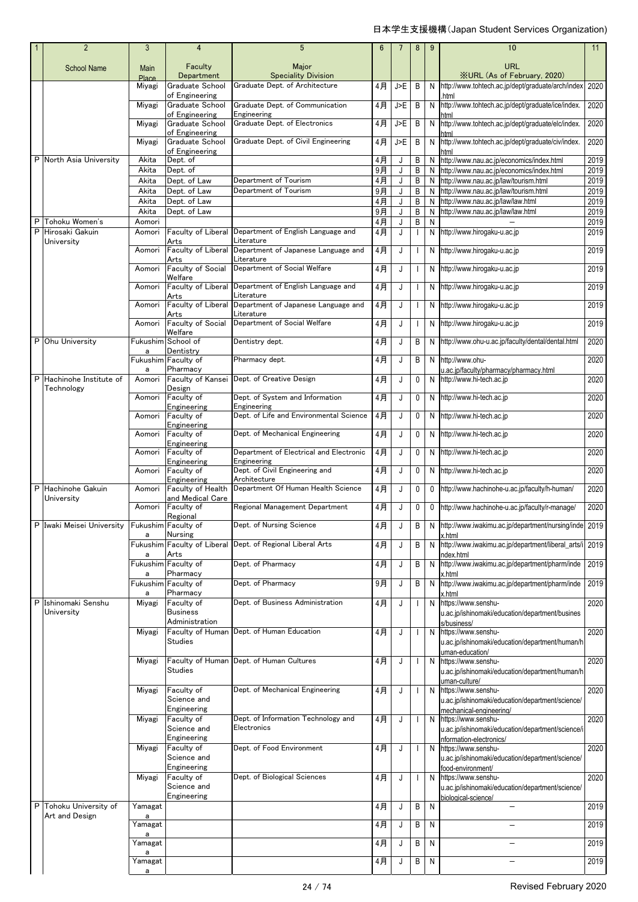|   | $\overline{2}$                  | 3                    | 4                                                      | 5                                                                                 | 6        |             | 8              | 9      | 10                                                                                                                    | 11           |
|---|---------------------------------|----------------------|--------------------------------------------------------|-----------------------------------------------------------------------------------|----------|-------------|----------------|--------|-----------------------------------------------------------------------------------------------------------------------|--------------|
|   | <b>School Name</b>              | <b>Main</b><br>Place | Faculty<br>Department                                  | Major<br><b>Speciality Division</b>                                               |          |             |                |        | URL<br><b>XURL (As of February, 2020)</b>                                                                             |              |
|   |                                 | Miyagi               | Graduate School                                        | Graduate Dept. of Architecture                                                    | 4月       | J>E         | В              |        | N http://www.tohtech.ac.jp/dept/graduate/arch/index                                                                   | 2020         |
|   |                                 | Miyagi               | of Engineering<br>Graduate School<br>of Engineering    | Graduate Dept. of Communication<br>Engineering                                    | 4月       | J>E         | В              | N      | html<br>http://www.tohtech.ac.jp/dept/graduate/ice/index.                                                             | 2020         |
|   |                                 | Miyagi               | Graduate School<br>of Engineering                      | Graduate Dept. of Electronics                                                     | 4月       | J>E         | В              | N      | http://www.tohtech.ac.jp/dept/graduate/elc/index.                                                                     | 2020         |
|   |                                 | Miyagi               | Graduate School<br>of Engineering                      | Graduate Dept. of Civil Engineering                                               | 4月       | J>E         | В              | N      | http://www.tohtech.ac.jp/dept/graduate/civ/index.                                                                     | 2020         |
| P | North Asia University           | Akita                | Dept. of                                               |                                                                                   | 4月       | J           | В              | N      | http://www.nau.ac.jp/economics/index.html                                                                             | 2019         |
|   |                                 | Akita                | Dept. of                                               |                                                                                   | 9月       | J           | В              | N      | http://www.nau.ac.jp/economics/index.html                                                                             | 2019         |
|   |                                 | Akita<br>Akita       | Dept. of Law<br>Dept. of Law                           | Department of Tourism<br>Department of Tourism                                    | 4月<br>9月 | J<br>J      | В<br>В         | N<br>N | http://www.nau.ac.jp/law/tourism.html<br>http://www.nau.ac.jp/law/tourism.html                                        | 2019<br>2019 |
|   |                                 | Akita                | Dept. of Law                                           |                                                                                   | 4月       | J           | В              | N      | http://www.nau.ac.jp/law/law.html                                                                                     | 2019         |
|   |                                 | Akita                | Dept. of Law                                           |                                                                                   | 9月       | J           | В              | N      | http://www.nau.ac.jp/law/law.html                                                                                     | 2019         |
| P | Tohoku Women's                  | Aomori               |                                                        |                                                                                   | 4月       | J           | B              | N      |                                                                                                                       | 2019         |
| P | Hirosaki Gakuin<br>University   | Aomori               | Faculty of Liberal<br>Arts                             | Department of English Language and<br>Literature                                  | 4月       | J           |                |        | N http://www.hirogaku-u.ac.jp                                                                                         | 2019         |
|   |                                 | Aomori               | Faculty of Liberal<br>Arts<br><b>Faculty of Social</b> | Department of Japanese Language and<br>Literature<br>Department of Social Welfare | 4月       | J           |                |        | N http://www.hirogaku-u.ac.jp<br>N http://www.hirogaku-u.ac.jp                                                        | 2019         |
|   |                                 | Aomori<br>Aomori     | Welfare<br>Faculty of Liberal                          | Department of English Language and                                                | 4月<br>4月 | J<br>J      |                |        |                                                                                                                       | 2019<br>2019 |
|   |                                 | Aomori               | Arts<br>Faculty of Liberal                             | Literature<br>Department of Japanese Language and                                 | 4月       | J           | $\mathbf{L}$   |        | N http://www.hirogaku-u.ac.jp<br>N http://www.hirogaku-u.ac.jp                                                        | 2019         |
|   |                                 | Aomori               | Arts<br><b>Faculty of Social</b>                       | Literature<br>Department of Social Welfare                                        | 4月       | J           |                |        | N http://www.hirogaku-u.ac.jp                                                                                         | 2019         |
| P | Ohu University                  |                      | Welfare<br>Fukushim School of                          | Dentistry dept.                                                                   | 4月       | J           | В              |        | N http://www.ohu-u.ac.jp/faculty/dental/dental.html                                                                   | 2020         |
|   |                                 | a                    | Dentistry<br>Fukushim Faculty of                       | Pharmacy dept.                                                                    | 4月       | J           | B              |        | N http://www.ohu-                                                                                                     | 2020         |
| P | Hachinohe Institute of          | a<br>Aomori          | Pharmacy<br>Faculty of Kansei                          | Dept. of Creative Design                                                          | 4月       | J           | 0              |        | u.ac.jp/faculty/pharmacy/pharmacy.html<br>N http://www.hi-tech.ac.jp                                                  | 2020         |
|   | Technology                      |                      | Design                                                 |                                                                                   |          |             |                |        |                                                                                                                       |              |
|   |                                 | Aomori               | Faculty of<br>Engineering                              | Dept. of System and Information<br>Engineering                                    | 4月       | J           | 0              |        | N http://www.hi-tech.ac.jp                                                                                            | 2020         |
|   |                                 | Aomori               | Faculty of<br>Engineering                              | Dept. of Life and Environmental Science                                           | 4月       | J           | 0              |        | N http://www.hi-tech.ac.jp                                                                                            | 2020         |
|   |                                 | Aomori               | Faculty of<br>Engineering                              | Dept. of Mechanical Engineering                                                   | 4月       | J           | 0              |        | N http://www.hi-tech.ac.jp                                                                                            | 2020         |
|   |                                 | Aomori               | Faculty of                                             | Department of Electrical and Electronic                                           | 4月       | J           | 0              |        | N http://www.hi-tech.ac.jp                                                                                            | 2020         |
|   |                                 | Aomori               | Engineering<br>Faculty of                              | Engineering<br>Dept. of Civil Engineering and<br>Architecture                     | 4月       | J           | 0              |        | N http://www.hi-tech.ac.jp                                                                                            | 2020         |
| P | Hachinohe Gakuin                | Aomori               | Engineering<br>Faculty of Health                       | Department Of Human Health Science                                                | 4月       | J           | 0              | 0      | http://www.hachinohe-u.ac.jp/faculty/h-human/                                                                         | 2020         |
|   | University                      | Aomori               | and Medical Care<br>Faculty of                         | Regional Management Department                                                    | 4月       | J           | 0              | 0      | http://www.hachinohe-u.ac.jp/faculty/r-manage/                                                                        | 2020         |
|   | Iwaki Meisei University         | a                    | Regional<br>Fukushim Faculty of<br>Nursing             | Dept. of Nursing Science                                                          | 4月       | J           | $\overline{B}$ |        | N http://www.iwakimu.ac.jp/department/nursing/inde 2019<br>x.html                                                     |              |
|   |                                 |                      | Arts                                                   | Fukushim Faculty of Liberal Dept. of Regional Liberal Arts                        | 4月       | J           | В              | N      | http://www.iwakimu.ac.jp/department/liberal_arts/i 2019                                                               |              |
|   |                                 | a<br>a               | Fukushim Faculty of<br>Pharmacy                        | Dept. of Pharmacy                                                                 | 4月       | J           | В              | N      | ndex.html<br>http://www.iwakimu.ac.jp/department/pharm/inde<br>x.html                                                 | 2019         |
|   |                                 | a                    | Fukushim Faculty of<br>Pharmacy                        | Dept. of Pharmacy                                                                 | 9月       | J           | В              | N      | http://www.iwakimu.ac.jp/department/pharm/inde<br>c.html                                                              | 2019         |
| P | Ishinomaki Senshu<br>University | Miyagi               | Faculty of<br><b>Business</b>                          | Dept. of Business Administration                                                  | 4月       | J           |                | N      | https://www.senshu-                                                                                                   | 2020         |
|   |                                 |                      | Administration                                         |                                                                                   |          |             |                |        | u.ac.jp/ishinomaki/education/department/busines<br>s/business/                                                        |              |
|   |                                 | Miyagi               | Faculty of Human<br><b>Studies</b>                     | Dept. of Human Education                                                          | 4月       | J           |                |        | N https://www.senshu-<br>u.ac.jp/ishinomaki/education/department/human/h                                              | 2020         |
|   |                                 | Miyagi               | Studies                                                | Faculty of Human Dept. of Human Cultures                                          | 4月       | J           |                |        | uman-education/<br>N https://www.senshu-<br>u.ac.jp/ishinomaki/education/department/human/h                           | 2020         |
|   |                                 | Miyagi               | Faculty of<br>Science and<br>Engineering               | Dept. of Mechanical Engineering                                                   | 4月       | J           |                |        | uman-culture/<br>N https://www.senshu-<br>u.ac.jp/ishinomaki/education/department/science/<br>mechanical-engineering/ | 2020         |
|   |                                 | Miyagi               | Faculty of<br>Science and<br>Engineering               | Dept. of Information Technology and<br>Electronics                                | 4月       | J           |                |        | N https://www.senshu-<br>u.ac.jp/ishinomaki/education/department/science/i                                            | 2020         |
|   |                                 | Miyagi               | Faculty of<br>Science and                              | Dept. of Food Environment                                                         | 4月       | J           |                |        | nformation-electronics/<br>N https://www.senshu-<br>u.ac.jp/ishinomaki/education/department/science/                  | 2020         |
|   |                                 | Miyagi               | Engineering<br>Faculty of<br>Science and               | Dept. of Biological Sciences                                                      | 4月       | $\mathsf J$ |                |        | food-environment/<br>N https://www.senshu-<br>u.ac.jp/ishinomaki/education/department/science/                        | 2020         |
| P | Tohoku University of            | Yamagat              | Engineering                                            |                                                                                   | 4月       | J           | В              | N      | biological-science/                                                                                                   | 2019         |
|   | Art and Design                  | a<br>Yamagat         |                                                        |                                                                                   | 4月       | J           | B              | N      | ▃                                                                                                                     | 2019         |
|   |                                 | a<br>Yamagat         |                                                        |                                                                                   | 4月       | J           | В              | N      |                                                                                                                       | 2019         |
|   |                                 | a                    |                                                        |                                                                                   |          |             |                |        |                                                                                                                       |              |
|   |                                 | Yamagat<br>a         |                                                        |                                                                                   | 4月       | J           | B              | N      |                                                                                                                       | 2019         |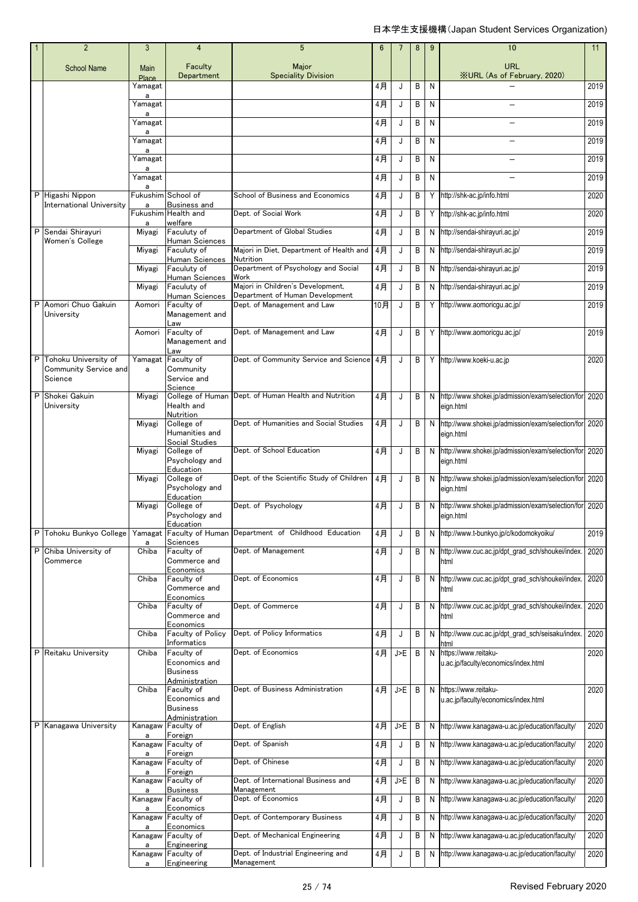|   | $\overline{2}$                   | 3                 | 4                                              | $5\phantom{.0}$                                                      | 6     | 7   | 8 | 9            | 10                                                             | 11   |
|---|----------------------------------|-------------------|------------------------------------------------|----------------------------------------------------------------------|-------|-----|---|--------------|----------------------------------------------------------------|------|
|   | <b>School Name</b>               | Main<br>Place     | Faculty<br>Department                          | Major<br><b>Speciality Division</b>                                  |       |     |   |              | URL<br><b>XURL (As of February, 2020)</b>                      |      |
|   |                                  | Yamagat           |                                                |                                                                      | 4月    | J   | В | N            |                                                                | 2019 |
|   |                                  | a<br>Yamagat<br>a |                                                |                                                                      | 4月    | J   | В | N            |                                                                | 2019 |
|   |                                  | Yamagat           |                                                |                                                                      | 4月    | J   | В | N            | $\equiv$                                                       | 2019 |
|   |                                  | a<br>Yamagat      |                                                |                                                                      | 4月    | J   | В | N            |                                                                | 2019 |
|   |                                  | a<br>Yamagat      |                                                |                                                                      | 4月    | J   | В | N            |                                                                | 2019 |
|   |                                  | a<br>Yamagat      |                                                |                                                                      | 4月    | J   | B | N            |                                                                | 2019 |
|   | P Higashi Nippon                 | a                 | Fukushim School of                             | School of Business and Economics                                     | 4月    | J   | В | Y            | http://shk-ac.jp/info.html                                     | 2020 |
|   | <b>International University</b>  | a                 | Business and<br>Fukushim Health and            | Dept. of Social Work                                                 | 4月    | J   | В | Y            | http://shk-ac.jp/info.html                                     | 2020 |
|   | P Sendai Shirayuri               | a<br>Miyagi       | welfare<br>Faculuty of                         | Department of Global Studies                                         | 4月    | J   | В | N            | http://sendai-shirayuri.ac.jp/                                 | 2019 |
|   | Women's College                  | Miyagi            | Human Sciences<br>Faculuty of                  | Majori in Diet, Department of Health and                             | 4月    | J   | В | N            | http://sendai-shirayuri.ac.jp/                                 | 2019 |
|   |                                  | Miyagi            | Human Sciences<br>Faculuty of                  | Nutrition<br>Department of Psychology and Social                     | 4月    | J   | В | N            | http://sendai-shirayuri.ac.jp/                                 | 2019 |
|   |                                  |                   | Human Sciences                                 | Work                                                                 |       |     |   |              |                                                                |      |
|   |                                  | Miyagi            | Faculuty of<br>Human Sciences                  | Majori in Children's Development,<br>Department of Human Development | $4$ 月 | J   | В | N            | http://sendai-shirayuri.ac.jp/                                 | 2019 |
| P | Aomori Chuo Gakuin<br>University | Aomori            | Faculty of<br>Management and                   | Dept. of Management and Law                                          | 10月   | J   | В | Y            | http://www.aomoricqu.ac.jp/                                    | 2019 |
|   |                                  | Aomori            | Law<br>Faculty of<br>Management and            | Dept. of Management and Law                                          | 4月    | J   | B | Y            | http://www.aomoricgu.ac.jp/                                    | 2019 |
|   | P Tohoku University of           | Yamagat           | Law<br>Faculty of                              | Dept. of Community Service and Science 4月                            |       | J   | B |              | Y http://www.koeki-u.ac.jp                                     | 2020 |
|   | Community Service and<br>Science | a                 | Community<br>Service and                       |                                                                      |       |     |   |              |                                                                |      |
|   | P Shokei Gakuin                  | Miyagi            | Science                                        | College of Human Dept. of Human Health and Nutrition                 | 4月    | J   | B | N            | http://www.shokei.jp/admission/exam/selection/for              | 2020 |
|   | University                       |                   | Health and<br>Nutrition                        |                                                                      |       |     |   |              | eign.html                                                      |      |
|   |                                  | Miyagi            | College of<br>Humanities and<br>Social Studies | Dept. of Humanities and Social Studies                               | 4月    | J   | B | N            | http://www.shokei.jp/admission/exam/selection/for<br>eign.html | 2020 |
|   |                                  | Miyagi            | College of                                     | Dept. of School Education                                            | 4月    | J   | B | N            | http://www.shokei.jp/admission/exam/selection/for              | 2020 |
|   |                                  |                   | Psychology and<br>Education                    |                                                                      |       |     |   |              | eign.html                                                      |      |
|   |                                  | Miyagi            | College of<br>Psychology and<br>Education      | Dept. of the Scientific Study of Children                            | 4月    | J   | B | N            | http://www.shokei.jp/admission/exam/selection/for<br>eign.html | 2020 |
|   |                                  | Miyagi            | College of<br>Psychology and                   | Dept. of Psychology                                                  | 4月    | J   | B | N            | http://www.shokei.jp/admission/exam/selection/for<br>eign.html | 2020 |
|   | P Tohoku Bunkyo College          |                   | Education                                      | Yamagat Faculty of Human Department of Childhood Education           | 4月    | J   | B | N            | http://www.t-bunkyo.jp/c/kodomokyoiku/                         | 2019 |
|   | P Chiba University of            | a<br>Chiba        | Sciences<br>Faculty of                         | Dept. of Management                                                  | 4月    | J   | В | N            | http://www.cuc.ac.jp/dpt_grad_sch/shoukei/index.               | 2020 |
|   | Commerce                         |                   | Commerce and<br>Economics                      |                                                                      |       |     |   |              | html                                                           |      |
|   |                                  | Chiba             | Faculty of<br>Commerce and                     | Dept. of Economics                                                   | 4月    | J   | В | N            | http://www.cuc.ac.jp/dpt_grad_sch/shoukei/index.<br>html       | 2020 |
|   |                                  | Chiba             | Economics<br>Faculty of                        | Dept. of Commerce                                                    | 4月    | J   | В | N            | http://www.cuc.ac.jp/dpt_grad_sch/shoukei/index.               | 2020 |
|   |                                  |                   | Commerce and<br>Economics                      |                                                                      |       |     |   |              | html                                                           |      |
|   |                                  | Chiba             | Faculty of Policy<br>Informatics               | Dept. of Policy Informatics                                          | 4月    | J   | B | N            | http://www.cuc.ac.jp/dpt_grad_sch/seisaku/index.<br>html       | 2020 |
|   | P Reitaku University             | Chiba             | Faculty of                                     | Dept. of Economics                                                   | 4月    | J>E | B | N            | https://www.reitaku-                                           | 2020 |
|   |                                  |                   | Economics and<br><b>Business</b>               |                                                                      |       |     |   |              | u.ac.jp/faculty/economics/index.html                           |      |
|   |                                  | Chiba             | Administration<br>Faculty of                   | Dept. of Business Administration                                     | 4月    | J>E | B | $\mathsf{N}$ | https://www.reitaku-                                           | 2020 |
|   |                                  |                   | Economics and<br><b>Business</b>               |                                                                      |       |     |   |              | u.ac.jp/faculty/economics/index.html                           |      |
|   |                                  |                   | Administration                                 |                                                                      |       |     |   |              |                                                                |      |
|   | P Kanagawa University            | Kanagaw<br>a      | Faculty of<br>Foreign                          | Dept. of English                                                     | 4月    | J>E | B | N            | http://www.kanagawa-u.ac.jp/education/faculty/                 | 2020 |
|   |                                  | а                 | Kanagaw Faculty of<br>Foreign                  | Dept. of Spanish                                                     | 4月    | J   | В | N            | http://www.kanagawa-u.ac.jp/education/faculty/                 | 2020 |
|   |                                  | Kanagaw<br>a      | Faculty of<br>Foreign                          | Dept. of Chinese                                                     | 4月    | J   | В | N            | http://www.kanagawa-u.ac.jp/education/faculty/                 | 2020 |
|   |                                  | Kanagaw           | Faculty of                                     | Dept. of International Business and                                  | 4月    | J>E | B | N            | http://www.kanagawa-u.ac.jp/education/faculty/                 | 2020 |
|   |                                  | a                 | Business<br>Kanagaw Faculty of                 | Management<br>Dept. of Economics                                     | 4月    | J   | В | N            | http://www.kanagawa-u.ac.jp/education/faculty/                 | 2020 |
|   |                                  | a                 | Economics<br>Faculty of                        | Dept. of Contemporary Business                                       | 4月    | J   | В | N            | http://www.kanagawa-u.ac.jp/education/faculty/                 | 2020 |
|   |                                  | Kanagaw<br>a      | Economics                                      |                                                                      |       |     |   |              |                                                                |      |
|   |                                  | Kanagaw<br>a      | Faculty of<br>Engineering                      | Dept. of Mechanical Engineering                                      | 4月    | J   | В | N            | http://www.kanagawa-u.ac.jp/education/faculty/                 | 2020 |
|   |                                  | a                 | Kanagaw Faculty of<br>Engineering              | Dept. of Industrial Engineering and<br>Management                    | 4月    | J   | B | N            | http://www.kanagawa-u.ac.jp/education/faculty/                 | 2020 |
|   |                                  |                   |                                                |                                                                      |       |     |   |              |                                                                |      |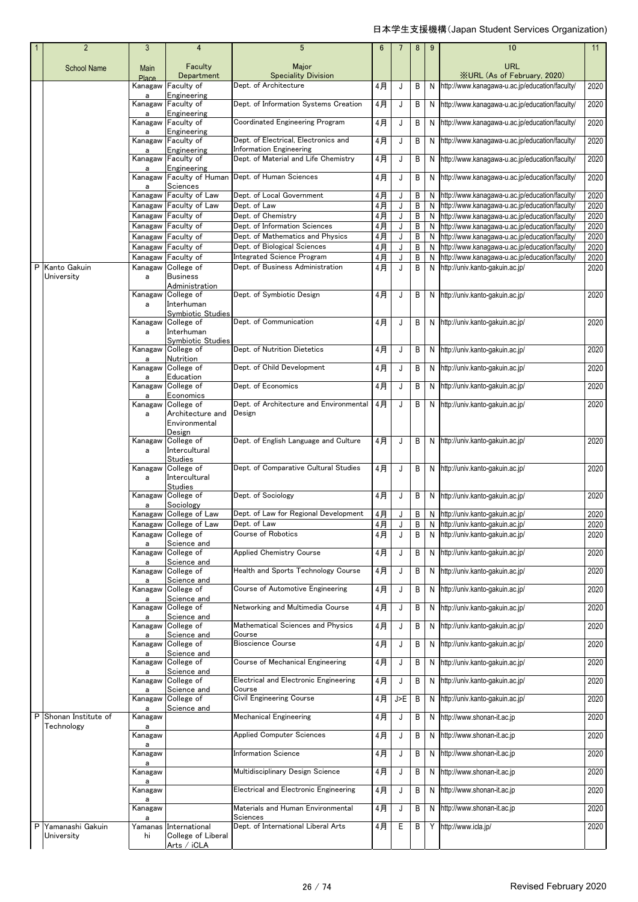|   | $\overline{2}$                 | $\mathbf{3}$      | $\overline{4}$                                                    | 5                                                                      | $6\phantom{1}$ | 7   | 8 | 9  | 10                                               | 11   |
|---|--------------------------------|-------------------|-------------------------------------------------------------------|------------------------------------------------------------------------|----------------|-----|---|----|--------------------------------------------------|------|
|   | <b>School Name</b>             | Main<br>Place     | Faculty<br>Department                                             | Major<br><b>Speciality Division</b>                                    |                |     |   |    | URL<br><b>XURL (As of February, 2020)</b>        |      |
|   |                                | Kanagaw           | Faculty of                                                        | Dept. of Architecture                                                  | 4月             | J   | B | N  | http://www.kanagawa-u.ac.jp/education/faculty/   | 2020 |
|   |                                | a<br>Kanagaw      | Engineering<br>Faculty of                                         | Dept. of Information Systems Creation                                  | 4月             | J   | B |    | N http://www.kanagawa-u.ac.jp/education/faculty/ | 2020 |
|   |                                | a<br>Kanagaw      | Engineering<br>Faculty of                                         | Coordinated Engineering Program                                        | 4月             | J   | B | N  | http://www.kanagawa-u.ac.jp/education/faculty/   | 2020 |
|   |                                | a<br>Kanagaw<br>a | Engineering<br>Faculty of<br>Engineering                          | Dept. of Electrical, Electronics and<br><b>Information Engineering</b> | 4月             | J   | B | N  | http://www.kanagawa-u.ac.jp/education/faculty/   | 2020 |
|   |                                | a                 | Kanagaw Faculty of<br>Engineering                                 | Dept. of Material and Life Chemistry                                   | 4月             | J   | В |    | N http://www.kanagawa-u.ac.jp/education/faculty/ | 2020 |
|   |                                | Kanagaw<br>a      | Faculty of Human<br>Sciences                                      | Dept. of Human Sciences                                                | 4月             | J   | B |    | N http://www.kanagawa-u.ac.jp/education/faculty/ | 2020 |
|   |                                | Kanagaw           | Faculty of Law                                                    | Dept. of Local Government                                              | 4月             | J   | В | N  | http://www.kanagawa-u.ac.jp/education/faculty/   | 2020 |
|   |                                |                   | Kanagaw Faculty of Law                                            | Dept. of Law                                                           | 4月             | J   | B | N  | http://www.kanagawa-u.ac.jp/education/faculty/   | 2020 |
|   |                                |                   | Kanagaw Faculty of                                                | Dept. of Chemistry                                                     | 4月             | J   | B | N  | http://www.kanagawa-u.ac.jp/education/faculty/   | 2020 |
|   |                                |                   | Kanagaw Faculty of                                                | Dept. of Information Sciences                                          | $4$ 月          | J   | B | N  | http://www.kanagawa-u.ac.jp/education/faculty/   | 2020 |
|   |                                |                   | Kanagaw Faculty of                                                | Dept. of Mathematics and Physics                                       | 4月             | J   | B | N  | http://www.kanagawa-u.ac.jp/education/faculty/   | 2020 |
|   |                                |                   | Kanagaw Faculty of                                                | Dept. of Biological Sciences                                           | $4$ 月          | J   | B | N  | http://www.kanagawa-u.ac.jp/education/faculty/   | 2020 |
|   |                                | Kanagaw           | Faculty of                                                        | <b>Integrated Science Program</b><br>Dept. of Business Administration  | 4月             | J   | B | N  | http://www.kanagawa-u.ac.jp/education/faculty/   | 2020 |
| P | Kanto Gakuin<br>University     | Kanagaw<br>a      | College of<br><b>Business</b><br>Administration                   |                                                                        | 4月             | J   | B | N  | http://univ.kanto-gakuin.ac.jp/                  | 2020 |
|   |                                | Kanagaw           | College of                                                        | Dept. of Symbiotic Design                                              | 4月             | J   | B |    | N http://univ.kanto-gakuin.ac.jp/                | 2020 |
|   |                                | a                 | Interhuman<br>Svmbiotic Studies                                   |                                                                        |                |     |   |    |                                                  |      |
|   |                                | Kanagaw<br>a      | College of<br>Interhuman                                          | Dept. of Communication                                                 | 4月             | J   | B |    | N http://univ.kanto-gakuin.ac.jp/                | 2020 |
|   |                                | Kanagaw           | <b>Symbiotic Studies</b><br>College of                            | Dept. of Nutrition Dietetics                                           | 4月             | J   | B |    | N http://univ.kanto-gakuin.ac.jp/                | 2020 |
|   |                                | a<br>Kanagaw      | Nutrition<br>College of                                           | Dept. of Child Development                                             | 4月             | J   | B |    | N http://univ.kanto-gakuin.ac.jp/                | 2020 |
|   |                                | a<br>Kanagaw      | Education<br>College of                                           | Dept. of Economics                                                     | 4月             | J   | B | N  | http://univ.kanto-gakuin.ac.jp/                  | 2020 |
|   |                                | a<br>Kanagaw      | Economics<br>College of                                           | Dept. of Architecture and Environmental                                | 4月             | J   | B |    | N http://univ.kanto-gakuin.ac.jp/                | 2020 |
|   |                                | a                 | Architecture and                                                  | Design                                                                 |                |     |   |    |                                                  |      |
|   |                                |                   | Environmental<br>Design                                           |                                                                        |                |     |   |    |                                                  |      |
|   |                                | Kanagaw           | College of                                                        | Dept. of English Language and Culture                                  | 4月             | J   | B |    | N http://univ.kanto-gakuin.ac.jp/                | 2020 |
|   |                                | a                 | Intercultural<br><b>Studies</b>                                   |                                                                        |                |     |   |    |                                                  |      |
|   |                                | Kanagaw<br>a      | College of<br>Intercultural<br><b>Studies</b>                     | Dept. of Comparative Cultural Studies                                  | 4月             | J   | B |    | N http://univ.kanto-gakuin.ac.jp/                | 2020 |
|   |                                | Kanagaw<br>а      | College of<br>Sociology                                           | Dept. of Sociology                                                     | 4月             | J   | B |    | N http://univ.kanto-gakuin.ac.jp/                | 2020 |
|   |                                |                   | Kanagaw College of Law                                            | Dept. of Law for Regional Development                                  | 4月             | J   | В |    | N http://univ.kanto-gakuin.ac.jp/                | 2020 |
|   |                                |                   | Kanagaw College of Law                                            | Dept. of Law                                                           | $4$ 月          | J   | B |    | N http://univ.kanto-gakuin.ac.jp/                | 2020 |
|   |                                |                   | Kanagaw College of                                                | <b>Course of Robotics</b>                                              | 4月             | J   | B | N. | http://univ.kanto-gakuin.ac.jp/                  | 2020 |
|   |                                | a<br>a            | Science and<br>Kanagaw College of<br>Science and                  | <b>Applied Chemistry Course</b>                                        | 4月             | J   | B |    | N http://univ.kanto-gakuin.ac.jp/                | 2020 |
|   |                                | Kanagaw<br>a      | College of<br>Science and                                         | Health and Sports Technology Course                                    | 4月             | J   | В |    | N http://univ.kanto-gakuin.ac.jp/                | 2020 |
|   |                                |                   | Kanagaw College of                                                | Course of Automotive Engineering                                       | 4月             | J   | В |    | N http://univ.kanto-gakuin.ac.jp/                | 2020 |
|   |                                | a<br>Kanagaw      | Science and<br>College of                                         | Networking and Multimedia Course                                       | 4月             | J   | B |    | N http://univ.kanto-gakuin.ac.jp/                | 2020 |
|   |                                | Kanagaw           | Science and<br>College of                                         | Mathematical Sciences and Physics                                      | 4月             | J   | B | N  | http://univ.kanto-gakuin.ac.jp/                  | 2020 |
|   |                                | a                 | Science and<br>Kanagaw College of                                 | Course<br><b>Bioscience Course</b>                                     | 4月             | J   | B |    | N http://univ.kanto-gakuin.ac.jp/                | 2020 |
|   |                                | a<br>Kanagaw      | Science and<br>College of                                         | Course of Mechanical Engineering                                       | 4月             | J   | B | N  | http://univ.kanto-gakuin.ac.jp/                  | 2020 |
|   |                                | a                 | Science and<br>Kanagaw College of                                 | <b>Electrical and Electronic Engineering</b>                           | 4月             | J   | В |    | N http://univ.kanto-gakuin.ac.jp/                | 2020 |
|   |                                | a<br>Kanagaw      | Science and<br>College of                                         | Course<br><b>Civil Engineering Course</b>                              | 4月             | J>E | B |    | N http://univ.kanto-gakuin.ac.jp/                | 2020 |
|   | P Shonan Institute of          | а<br>Kanagaw      | Science and                                                       | <b>Mechanical Engineering</b>                                          | 4月             | J   | B |    | N http://www.shonan-it.ac.jp                     | 2020 |
|   | Technology                     | a<br>Kanagaw      |                                                                   | <b>Applied Computer Sciences</b>                                       | 4月             | J   | B | N  | http://www.shonan-it.ac.jp                       | 2020 |
|   |                                | a<br>Kanagaw      |                                                                   | <b>Information Science</b>                                             | 4月             | J   | B |    | N http://www.shonan-it.ac.jp                     | 2020 |
|   |                                | а<br>Kanagaw      |                                                                   | Multidisciplinary Design Science                                       | 4月             | J   | B | N  | http://www.shonan-it.ac.jp                       | 2020 |
|   |                                | a                 |                                                                   | Electrical and Electronic Engineering                                  | 4月             |     |   | N  | http://www.shonan-it.ac.jp                       | 2020 |
|   |                                | Kanagaw<br>a      |                                                                   | Materials and Human Environmental                                      |                | J   | В |    | http://www.shonan-it.ac.jp                       |      |
|   |                                | Kanagaw<br>a      |                                                                   | Sciences                                                               | 4月             | J   | В | N  |                                                  | 2020 |
| P | Yamanashi Gakuin<br>University | hi                | Yamanas International<br>College of Liberal<br><u>Arts / iCLA</u> | Dept. of International Liberal Arts                                    | 4月             | Е   | B |    | Y http://www.icla.jp/                            | 2020 |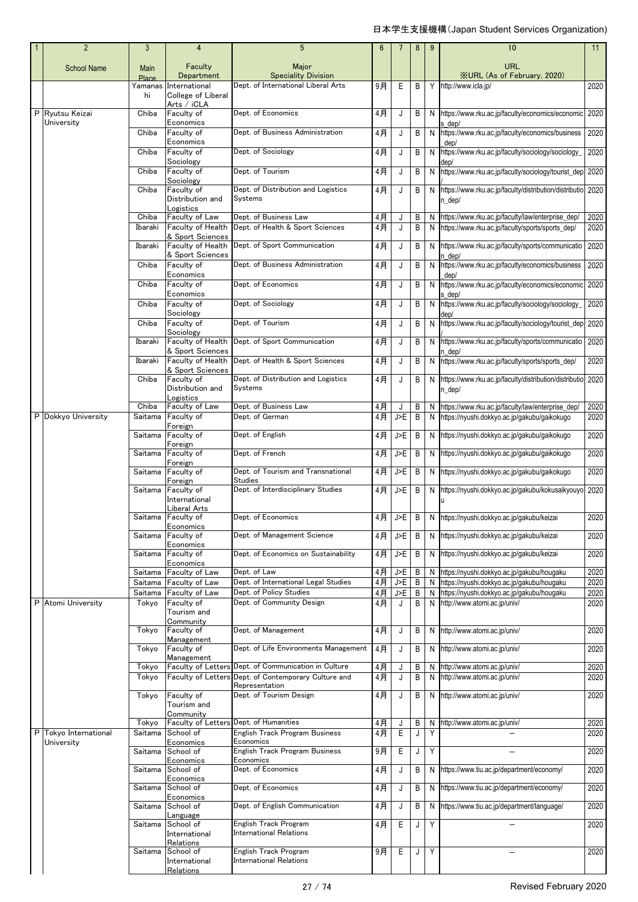| $\overline{2}$                | 3                  | 4                                     | 5                                                       | 6           |            | 8      | 9      | 10                                                                                       | 11           |
|-------------------------------|--------------------|---------------------------------------|---------------------------------------------------------|-------------|------------|--------|--------|------------------------------------------------------------------------------------------|--------------|
| <b>School Name</b>            | Main               | Faculty                               | Major                                                   |             |            |        |        | <b>URL</b>                                                                               |              |
|                               | Place              | Department                            | <b>Speciality Division</b>                              |             |            |        |        | <b>XURL (As of February, 2020)</b>                                                       |              |
|                               | Yamanas<br>hi      | International<br>College of Liberal   | Dept. of International Liberal Arts                     | 9月          | Е          | B      | Y      | http://www.icla.jp/                                                                      | 2020         |
|                               |                    | Arts / iCLA                           |                                                         |             |            |        |        |                                                                                          |              |
| P Ryutsu Keizai<br>University | Chiba              | Faculty of<br>Economics               | Dept. of Economics                                      | 4月          | J          | B      | N      | https://www.rku.ac.jp/faculty/economics/economic<br>s dep/                               | 2020         |
|                               | Chiba              | Faculty of                            | Dept. of Business Administration                        | 4月          | J          | В      | N      | https://www.rku.ac.jp/faculty/economics/business                                         | 2020         |
|                               | Chiba              | Economics<br>Faculty of               | Dept. of Sociology                                      | 4月          | J          | В      | N      | den/<br>https://www.rku.ac.jp/faculty/sociology/sociology_                               | 2020         |
|                               |                    | Sociology                             |                                                         |             |            |        |        | dep/                                                                                     |              |
|                               | Chiba              | Faculty of                            | Dept. of Tourism                                        | 4月          | J          | В      | N      | https://www.rku.ac.jp/faculty/sociology/tourist_dep                                      | 2020         |
|                               | Chiba              | Sociology<br>Faculty of               | Dept. of Distribution and Logistics                     | 4月          | J          | В      | N      | https://www.rku.ac.jp/faculty/distribution/distributio 2020                              |              |
|                               |                    | Distribution and                      | Systems                                                 |             |            |        |        | n dep/                                                                                   |              |
|                               | Chiba              | Logistics<br>Faculty of Law           | Dept. of Business Law                                   | 4月          | J          | В      | N      | https://www.rku.ac.jp/faculty/law/enterprise_dep/                                        | 2020         |
|                               | Ibaraki            | Faculty of Health                     | Dept. of Health & Sport Sciences                        | 4月          | J          | В      | N      | https://www.rku.ac.jp/faculty/sports/sports_dep/                                         | 2020         |
|                               | Ibaraki            | & Sport Sciences<br>Faculty of Health | Dept. of Sport Communication                            | 4月          | J          | В      | N      | https://www.rku.ac.jp/faculty/sports/communicatio                                        | 2020         |
|                               |                    | & Sport Sciences                      |                                                         |             |            |        |        | n dep/                                                                                   |              |
|                               | Chiba              | Faculty of<br>Economics               | Dept. of Business Administration                        | 4月          | J          | B      | N      | https://www.rku.ac.jp/faculty/economics/business<br>dep/                                 | 2020         |
|                               | Chiba              | Faculty of                            | Dept. of Economics                                      | 4月          | J          | В      | N      | https://www.rku.ac.jp/faculty/economics/economic                                         | 2020         |
|                               |                    | Economics                             |                                                         |             |            |        |        | s dep/<br>https://www.rku.ac.jp/faculty/sociology/sociology                              |              |
|                               | Chiba              | Faculty of<br>Sociology               | Dept. of Sociology                                      | 4月          | J          | В      | N      | dep/                                                                                     | 2020         |
|                               | Chiba              | Faculty of                            | Dept. of Tourism                                        | 4月          | J          | В      | N      | https://www.rku.ac.jp/faculty/sociology/tourist_dep                                      | 2020         |
|                               | Ibaraki            | Sociology<br>Faculty of Health        | Dept. of Sport Communication                            | 4月          | J          | В      | N      | https://www.rku.ac.jp/faculty/sports/communicatio                                        | 2020         |
|                               | Ibaraki            | & Sport Sciences<br>Faculty of Health | Dept. of Health & Sport Sciences                        |             |            |        | N      | n dep/<br>https://www.rku.ac.jp/faculty/sports/sports_dep/                               | 2020         |
|                               |                    | & Sport Sciences                      |                                                         | 4月          | J          | В      |        |                                                                                          |              |
|                               | Chiba              | Faculty of<br>Distribution and        | Dept. of Distribution and Logistics<br>Systems          | 4月          | J          | В      | N      | https://www.rku.ac.jp/faculty/distribution/distributio                                   | 2020         |
|                               |                    | Logistics                             |                                                         |             |            |        |        | n_dep/                                                                                   |              |
|                               | Chiba              | Faculty of Law                        | Dept. of Business Law<br>Dept. of German                | 4月          | J          | В      | N      | https://www.rku.ac.jp/faculty/law/enterprise_dep/                                        | 2020         |
| P Dokkyo University           | Saitama            | Faculty of<br>Foreign                 |                                                         | $4$ 月       | J>E        | B      | N      | https://nyushi.dokkyo.ac.jp/gakubu/gaikokugo                                             | 2020         |
|                               | Saitama            | Faculty of                            | Dept. of English                                        | 4月          | J>E        | В      | N      | https://nyushi.dokkyo.ac.jp/gakubu/gaikokugo                                             | 2020         |
|                               | Saitama            | Foreign<br>Faculty of                 | Dept. of French                                         | 4月          | J>E        | B      | N      | https://nyushi.dokkyo.ac.jp/gakubu/gaikokugo                                             | 2020         |
|                               | Saitama            | Foreign<br>Faculty of                 | Dept. of Tourism and Transnational                      | 4月          | J>E        | B      | N      | https://nyushi.dokkyo.ac.jp/gakubu/gaikokugo                                             | 2020         |
|                               |                    | Foreign                               | Studies                                                 |             |            |        |        |                                                                                          |              |
|                               | Saitama            | Faculty of<br>International           | Dept. of Interdisciplinary Studies                      | 4月          | J>E        | В      | N      | https://nyushi.dokkyo.ac.jp/gakubu/kokusaikyouyo                                         | 2020         |
|                               |                    | Liberal Arts                          |                                                         |             |            |        |        |                                                                                          |              |
|                               |                    | Saitama Faculty of<br>Economics       | Dept. of Economics                                      | 4月          | J>E        | B      | N      | https://nyushi.dokkyo.ac.jp/gakubu/keizai                                                | 2020         |
|                               | Saitama            | Faculty of                            | Dept. of Management Science                             | 4月          | J>E        | B      | N      | https://nyushi.dokkyo.ac.jp/gakubu/keizai                                                | 2020         |
|                               | Saitama            | Economics<br>Faculty of               | Dept. of Economics on Sustainability                    | $4$ 月       | J>E        | В      | N      | https://nyushi.dokkyo.ac.jp/gakubu/keizai                                                | 2020         |
|                               |                    | Economics                             |                                                         |             |            |        |        |                                                                                          |              |
|                               | Saitama<br>Saitama | Faculty of Law<br>Faculty of Law      | Dept. of Law<br>Dept. of International Legal Studies    | 4月<br>$4$ 月 | J>E<br>J>E | В<br>Β | N<br>N | https://nyushi.dokkyo.ac.jp/gakubu/hougaku<br>https://nyushi.dokkyo.ac.jp/gakubu/hougaku | 2020<br>2020 |
|                               | Saitama            | Faculty of Law                        | Dept. of Policy Studies                                 | $4$ 月       | J>E        | В      | N      | https://nyushi.dokkyo.ac.jp/gakubu/hougaku                                               | 2020         |
| P Atomi University            | Tokyo              | Faculty of<br>Tourism and             | Dept. of Community Design                               | 4月          | J          | В      | N      | http://www.atomi.ac.jp/univ/                                                             | 2020         |
|                               |                    | Community                             |                                                         |             |            |        |        |                                                                                          |              |
|                               | Tokyo              | Faculty of<br>Management              | Dept. of Management                                     | 4月          | J          | В      | N      | http://www.atomi.ac.jp/univ/                                                             | 2020         |
|                               | Tokyo              | Faculty of                            | Dept. of Life Environments Management                   | 4月          | J          | В      | N      | http://www.atomi.ac.jp/univ/                                                             | 2020         |
|                               | Tokyo              | Management<br>Faculty of Letters      | Dept. of Communication in Culture                       | 4月          | J          | В      | N      | http://www.atomi.ac.jp/univ/                                                             | 2020         |
|                               | Tokyo              | <b>Faculty of Letters</b>             | Dept. of Contemporary Culture and                       | $4$ 月       | J          | B      | N      | http://www.atomi.ac.jp/univ/                                                             | 2020         |
|                               | Tokyo              | Faculty of                            | Representation<br>Dept. of Tourism Design               | 4月          | J          | B      | N      | http://www.atomi.ac.jp/univ/                                                             | 2020         |
|                               |                    | Tourism and                           |                                                         |             |            |        |        |                                                                                          |              |
|                               | Tokyo              | Community<br>Faculty of Letters       | Dept. of Humanities                                     | 4月          | J          | Β      | N      | http://www.atomi.ac.jp/univ/                                                             | 2020         |
| P Tokyo International         | Saitama            | School of                             | English Track Program Business                          | 4月          | E          | J      | Y      |                                                                                          | 2020         |
| University                    | Saitama            | Economics<br>School of                | Economics<br>English Track Program Business             | 9月          | Ε          | J      | Y      |                                                                                          | 2020         |
|                               |                    | Economics                             | Economics                                               |             |            |        |        |                                                                                          |              |
|                               | Saitama            | School of<br>Economics                | Dept. of Economics                                      | 4月          | J          | В      | N      | https://www.tiu.ac.jp/department/economy/                                                | 2020         |
|                               | Saitama            | School of                             | Dept. of Economics                                      | 4月          | J          | В      | N      | https://www.tiu.ac.jp/department/economy/                                                | 2020         |
|                               | Saitama            | Economics<br>School of                | Dept. of English Communication                          | $4$ 月       | J          | В      | N      | https://www.tiu.ac.jp/department/language/                                               | 2020         |
|                               |                    | Language                              |                                                         |             |            |        |        |                                                                                          |              |
|                               | Saitama            | School of<br>International            | English Track Program<br><b>International Relations</b> | 4月          | E          | J      | Y      |                                                                                          | 2020         |
|                               |                    | Relations                             |                                                         |             |            |        |        |                                                                                          |              |
|                               | Saitama            | School of<br>International            | English Track Program<br><b>International Relations</b> | 9月          | Ε          | J      | Y      |                                                                                          | 2020         |
|                               |                    | Relations                             |                                                         |             |            |        |        |                                                                                          |              |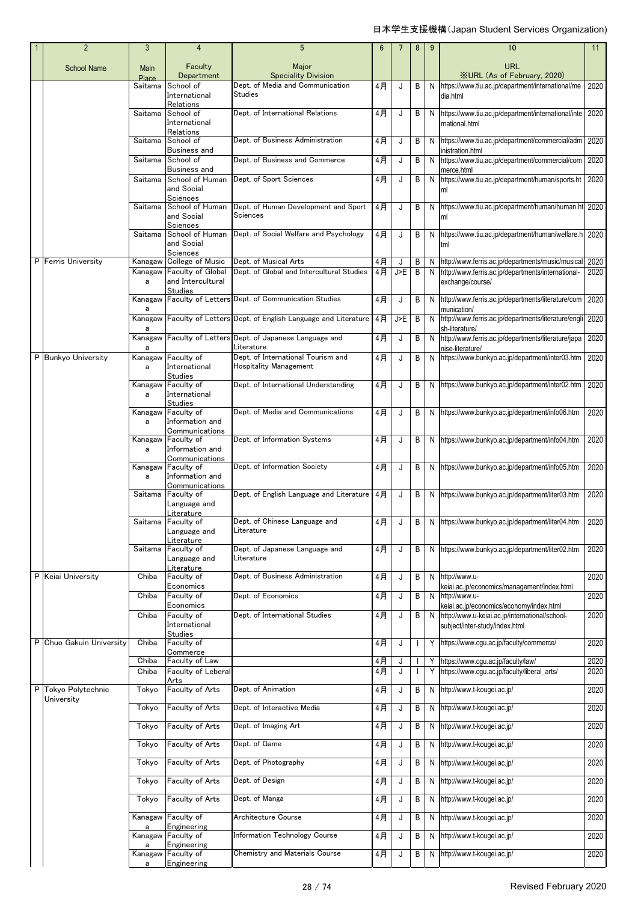|   | $\overline{2}$         | 3                    | 4                                                               | $5\phantom{.0}$                                                     | 6        |        | 8                 | 9      | 10                                                                                                                           | 11           |
|---|------------------------|----------------------|-----------------------------------------------------------------|---------------------------------------------------------------------|----------|--------|-------------------|--------|------------------------------------------------------------------------------------------------------------------------------|--------------|
|   | <b>School Name</b>     | Main<br><b>Place</b> | Faculty<br>Department                                           | Major<br><b>Speciality Division</b>                                 |          |        |                   |        | <b>URL</b><br><b>XURL (As of February, 2020)</b>                                                                             |              |
|   |                        | Saitama              | School of<br>International                                      | Dept. of Media and Communication<br>Studies                         | 4月       | J      | B                 | N      | https://www.tiu.ac.jp/department/international/me<br>dia.html                                                                | 2020         |
|   |                        | Saitama              | Relations<br>School of<br>International                         | Dept. of International Relations                                    | 4月       | J      | B                 |        | N https://www.tiu.ac.jp/department/international/inte<br>rnational.html                                                      | 2020         |
|   |                        | Saitama              | Relations<br>School of<br>Business and                          | Dept. of Business Administration                                    | 4月       | J      | B                 | N      | https://www.tiu.ac.jp/department/commercial/adm<br>inistration.html                                                          | 2020         |
|   |                        | Saitama              | School of<br>Business and                                       | Dept. of Business and Commerce                                      | 4月       | J      | B                 | N      | https://www.tiu.ac.jp/department/commercial/com<br>merce.html                                                                | 2020         |
|   |                        | Saitama              | School of Human<br>and Social                                   | Dept. of Sport Sciences                                             | 4月       | J      | B                 | N      | https://www.tiu.ac.jp/department/human/sports.ht                                                                             | 2020         |
|   |                        | Saitama              | Sciences<br>School of Human<br>and Social                       | Dept. of Human Development and Sport<br>Sciences                    | 4月       | J      | B                 | N      | https://www.tiu.ac.jp/department/human/human.ht 2020<br>ml                                                                   |              |
|   |                        | Saitama              | Sciences<br>School of Human<br>and Social                       | Dept. of Social Welfare and Psychology                              | 4月       | J      | B                 | N      | https://www.tiu.ac.jp/department/human/welfare.h 2020<br>tml                                                                 |              |
|   | P Ferris University    | Kanagaw              | Sciences<br>College of Music                                    | Dept. of Musical Arts                                               | 4月       | J      | B                 | N      | http://www.ferris.ac.jp/departments/music/musical                                                                            | 2020         |
|   |                        | Kanagaw<br>a         | <b>Faculty of Global</b><br>and Intercultural                   | Dept. of Global and Intercultural Studies                           | 4月       | J>E    | B                 | N      | http://www.ferris.ac.jp/departments/international-<br>exchange/course/                                                       | 2020         |
|   |                        | Kanagaw              | <b>Studies</b>                                                  | Faculty of Letters Dept. of Communication Studies                   | 4月       | J      | B                 | N      | http://www.ferris.ac.jp/departments/literature/com                                                                           | 2020         |
|   |                        | а<br>Kanagaw         |                                                                 | Faculty of Letters Dept. of English Language and Literature         | 4月       | J>E    | B                 | N      | munication/<br>http://www.ferris.ac.jp/departments/literature/engli                                                          | 2020         |
|   |                        | a<br>Kanagaw<br>a    |                                                                 | Faculty of Letters Dept. of Japanese Language and<br>Literature     | 4月       | J      | В                 | N      | sh-literature/<br>http://www.ferris.ac.jp/departments/literature/japa<br>nise-literature/                                    | 2020         |
|   | P Bunkyo University    | Kanagaw<br>a         | Faculty of<br>International                                     | Dept. of International Tourism and<br><b>Hospitality Management</b> | 4月       | J      | В                 | N      | https://www.bunkyo.ac.jp/department/inter03.htm                                                                              | 2020         |
|   |                        | Kanagaw<br>a         | <b>Studies</b><br>Faculty of<br>International<br><b>Studies</b> | Dept. of International Understanding                                | 4月       | J      | B                 |        | N https://www.bunkyo.ac.jp/department/inter02.htm                                                                            | 2020         |
|   |                        | Kanagaw<br>a         | Faculty of<br>Information and                                   | Dept. of Media and Communications                                   | 4月       | J      | B                 |        | N https://www.bunkyo.ac.jp/department/info06.htm                                                                             | 2020         |
|   |                        | Kanagaw<br>a         | Communications<br>Faculty of<br>Information and                 | Dept. of Information Systems                                        | 4月       | J      | В                 |        | N https://www.bunkyo.ac.jp/department/info04.htm                                                                             | 2020         |
|   |                        | Kanagaw<br>a         | Communications<br>Faculty of<br>Information and                 | Dept. of Information Society                                        | 4月       | J      | В                 |        | N https://www.bunkyo.ac.jp/department/info05.htm                                                                             | 2020         |
|   |                        | Saitama              | Communications<br>Faculty of<br>Language and                    | Dept. of English Language and Literature                            | 4月       | J      | B                 |        | N https://www.bunkyo.ac.jp/department/liter03.htm                                                                            | 2020         |
|   |                        |                      | Literature<br>Saitama Faculty of<br>Language and<br>Literature  | Dept. of Chinese Language and<br>Literature                         | 4月       |        |                   |        | B   N   https://www.bunkyo.ac.jp/department/liter04.htm 2020                                                                 |              |
|   |                        | Saitama              | Faculty of<br>Language and                                      | Dept. of Japanese Language and<br>Literature                        | 4月       | J      | B                 |        | N https://www.bunkyo.ac.jp/department/liter02.htm                                                                            | 2020         |
|   | P Keiai University     | Chiba                | Literature<br>Faculty of<br>Economics                           | Dept. of Business Administration                                    | 4月       | J      | В                 | N      | http://www.u-                                                                                                                | 2020         |
|   |                        | Chiba                | Faculty of<br>Economics                                         | Dept. of Economics                                                  | 4月       | J      | В                 | N      | keiai.ac.jp/economics/management/index.html<br>http://www.u-                                                                 | 2020         |
|   |                        | Chiba                | Faculty of<br>International<br>Studies                          | Dept. of International Studies                                      | 4月       | J      | В                 | N      | keiai.ac.jp/economics/economy/index.html<br>http://www.u-keiai.ac.jp/international/school-<br>subject/inter-study/index.html | 2020         |
| P | Chuo Gakuin University | Chiba                | Faculty of<br>Commerce                                          |                                                                     | 4月       | J      | $\mathbf{I}$      |        | Y https://www.cgu.ac.jp/faculty/commerce/                                                                                    | 2020         |
|   |                        | Chiba                | Faculty of Law<br>Faculty of Leberal                            |                                                                     | 4月<br>4月 | J<br>J |                   | Y<br>Y | https://www.cgu.ac.jp/faculty/law/<br>https://www.cgu.ac.jp/faculty/liberal_arts/                                            | 2020         |
| P | Tokyo Polytechnic      | Chiba<br>Tokyo       | Arts<br>Faculty of Arts                                         | Dept. of Animation                                                  | 4月       | J      | $\mathbf{I}$<br>В | N      | http://www.t-kougei.ac.jp/                                                                                                   | 2020<br>2020 |
|   | University             | Tokyo                | Faculty of Arts                                                 | Dept. of Interactive Media                                          | 4月       | J      | В                 | N      | http://www.t-kougei.ac.jp/                                                                                                   | 2020         |
|   |                        | Tokyo                | Faculty of Arts                                                 | Dept. of Imaging Art                                                | 4月       | J      | В                 | N      | http://www.t-kougei.ac.jp/                                                                                                   | 2020         |
|   |                        | Tokyo                | Faculty of Arts                                                 | Dept. of Game                                                       | 4月       | J      | Β                 | N      | http://www.t-kougei.ac.jp/                                                                                                   | 2020         |
|   |                        | Tokyo                | Faculty of Arts                                                 | Dept. of Photography                                                | 4月       | J      | В                 | N      | http://www.t-kougei.ac.jp/                                                                                                   | 2020         |
|   |                        | Tokyo                | Faculty of Arts                                                 | Dept. of Design                                                     | 4月       | J      | В                 | N      | http://www.t-kougei.ac.jp/                                                                                                   | 2020         |
|   |                        | Tokyo                | Faculty of Arts                                                 | Dept. of Manga                                                      | 4月       | J      | В                 | N      | http://www.t-kougei.ac.jp/                                                                                                   | 2020         |
|   |                        | Kanagaw              | Faculty of                                                      | Architecture Course                                                 | $4$ 月    | J      | В                 | N      | http://www.t-kougei.ac.jp/                                                                                                   | 2020         |
|   |                        | a<br>Kanagaw         | Engineering<br>Faculty of<br>Engineering                        | <b>Information Technology Course</b>                                | 4月       | J      | В                 | N      | http://www.t-kougei.ac.jp/                                                                                                   | 2020         |
|   |                        | a<br>Kanagaw<br>a    | Faculty of<br>Engineering                                       | <b>Chemistry and Materials Course</b>                               | 4月       | J      | В                 | N      | http://www.t-kougei.ac.jp/                                                                                                   | 2020         |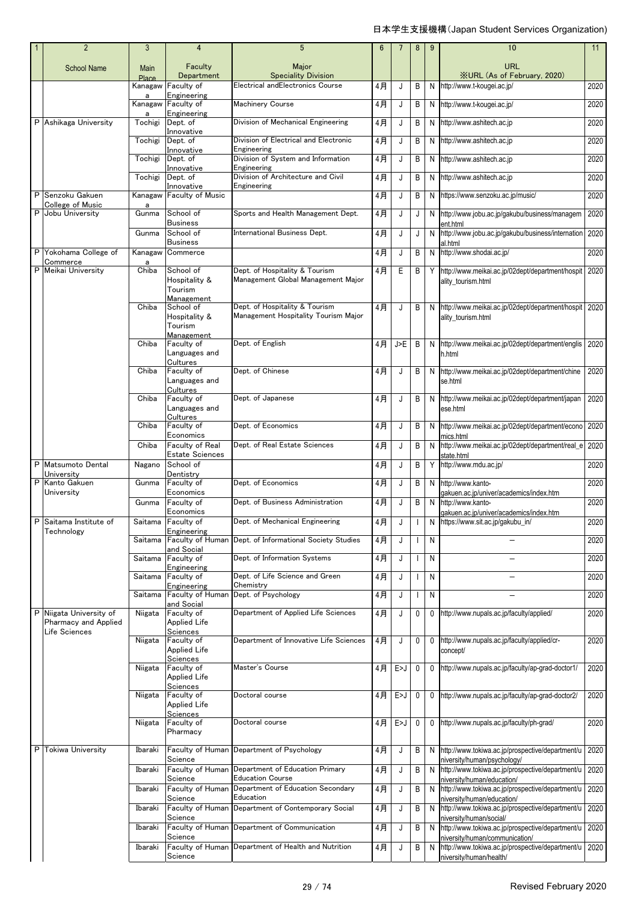| $\overline{2}$                        | 3             | 4                                                   | 5                                                                             | 6  | $\overline{7}$ | 8 | 9            | 10                                                                                 | 11   |
|---------------------------------------|---------------|-----------------------------------------------------|-------------------------------------------------------------------------------|----|----------------|---|--------------|------------------------------------------------------------------------------------|------|
| <b>School Name</b>                    | Main<br>Place | Faculty<br>Department                               | Major<br><b>Speciality Division</b>                                           |    |                |   |              | URL<br><b>XURL (As of February, 2020)</b>                                          |      |
|                                       | Kanagaw       | Faculty of                                          | Electrical andElectronics Course                                              | 4月 | J              | B | N            | http://www.t-kougei.ac.jp/                                                         | 2020 |
|                                       | a<br>Kanagaw  | Engineering<br>Faculty of                           | <b>Machinery Course</b>                                                       | 4月 | J              | В | N            | http://www.t-kougei.ac.jp/                                                         | 2020 |
| P Ashikaga University                 | a<br>Tochigi  | Engineering<br>Dept. of                             | Division of Mechanical Engineering                                            | 4月 | J              | В | N            | http://www.ashitech.ac.jp                                                          | 2020 |
|                                       | Tochigi       | Innovative<br>Dept. of                              | Division of Electrical and Electronic                                         | 4月 | J              | В | N            | http://www.ashitech.ac.jp                                                          | 2020 |
|                                       | Tochigi       | Innovative<br>Dept. of                              | Engineering<br>Division of System and Information                             | 4月 | J              | B | N            | http://www.ashitech.ac.jp                                                          | 2020 |
|                                       |               | Innovative                                          | Engineering                                                                   |    |                |   |              |                                                                                    |      |
|                                       | Tochigi       | Dept. of<br>Innovative                              | Division of Architecture and Civil<br>Engineering                             | 4月 | J              | В | N            | http://www.ashitech.ac.jp                                                          | 2020 |
| P Senzoku Gakuen<br>College of Music  | Kanagaw<br>a  | <b>Faculty of Music</b>                             |                                                                               | 4月 | J              | В | N            | https://www.senzoku.ac.jp/music/                                                   | 2020 |
| P Jobu University                     | Gunma         | School of<br>Business                               | Sports and Health Management Dept.                                            | 4月 | J              | J | N            | http://www.jobu.ac.jp/gakubu/business/managem<br>ent.html                          | 2020 |
|                                       | Gunma         | School of<br><b>Business</b>                        | International Business Dept.                                                  | 4月 | J              | J | N            | http://www.jobu.ac.jp/gakubu/business/internation<br>al.html                       | 2020 |
| P Yokohama College of<br>Commerce     | Kanagaw<br>a  | Commerce                                            |                                                                               | 4月 | J              | В | N            | http://www.shodai.ac.jp/                                                           | 2020 |
| P Meikai University                   | Chiba         | School of<br>Hospitality &<br>Tourism<br>Management | Dept. of Hospitality & Tourism<br>Management Global Management Major          | 4月 | Ε              | В | Y            | http://www.meikai.ac.jp/02dept/department/hospit<br>ality_tourism.html             | 2020 |
|                                       | Chiba         | School of<br>Hospitality &                          | Dept. of Hospitality & Tourism<br>Management Hospitality Tourism Major        | 4月 | J              | B | <sup>N</sup> | http://www.meikai.ac.jp/02dept/department/hospit<br>ality_tourism.html             | 2020 |
|                                       |               | Tourism<br>Management                               |                                                                               |    |                |   |              |                                                                                    |      |
|                                       | Chiba         | Faculty of<br>Languages and                         | Dept. of English                                                              | 4月 | J>E            | B | N            | http://www.meikai.ac.jp/02dept/department/englis<br>h.html                         | 2020 |
|                                       | Chiba         | Cultures<br>Faculty of<br>Languages and             | Dept. of Chinese                                                              | 4月 | J              | B | N            | http://www.meikai.ac.jp/02dept/department/chine<br>se.html                         | 2020 |
|                                       | Chiba         | Cultures<br>Faculty of<br>Languages and             | Dept. of Japanese                                                             | 4月 | J              | B | N            | http://www.meikai.ac.jp/02dept/department/japan<br>ese.html                        | 2020 |
|                                       | Chiba         | Cultures<br>Faculty of                              | Dept. of Economics                                                            | 4月 | J              | В | $\mathsf{N}$ | http://www.meikai.ac.jp/02dept/department/econo                                    | 2020 |
|                                       | Chiba         | Economics<br>Faculty of Real                        | Dept. of Real Estate Sciences                                                 | 4月 | J              | В | N            | mics.html<br>http://www.meikai.ac.jp/02dept/department/real_e                      | 2020 |
| P Matsumoto Dental                    | Nagano        | <b>Estate Sciences</b><br>School of                 |                                                                               | 4月 | J              | В | Y            | state.html<br>http://www.mdu.ac.jp/                                                | 2020 |
| University<br>P Kanto Gakuen          | Gunma         | Dentistry<br>Faculty of                             | Dept. of Economics                                                            | 4月 | J              | В | N            | http://www.kanto-                                                                  | 2020 |
| University                            | Gunma         | Economics<br>Faculty of                             | Dept. of Business Administration                                              | 4月 | J              | В | $\mathsf{N}$ | gakuen.ac.jp/univer/academics/index.htm<br>http://www.kanto-                       | 2020 |
| P Saitama Institute of                |               | Economics<br>Saitama Faculty of                     | Dept. of Mechanical Engineering                                               | 4月 |                |   | N            | qakuen.ac.jp/univer/academics/index.htm<br>https://www.sit.ac.jp/gakubu_in/        | 2020 |
| Technology                            | Saitama       | Engineering                                         | Faculty of Human Dept. of Informational Society Studies                       | 4月 | J              |   | N            | $\equiv$                                                                           | 2020 |
|                                       | Saitama       | and Social<br>Faculty of                            | Dept. of Information Systems                                                  | 4月 | J              |   | N            | $\overline{\phantom{0}}$                                                           | 2020 |
|                                       | Saitama       | Engineering<br>Faculty of                           | Dept. of Life Science and Green                                               | 4月 | J              |   | N            |                                                                                    | 2020 |
|                                       | Saitama       | Engineering<br>Faculty of Human                     | Chemistry<br>Dept. of Psychology                                              | 4月 | J              |   | N            |                                                                                    | 2020 |
| P Niigata University of               | Niigata       | and Social<br>Faculty of                            | Department of Applied Life Sciences                                           | 4月 | J              | 0 | 0            | http://www.nupals.ac.jp/faculty/applied/                                           | 2020 |
| Pharmacy and Applied<br>Life Sciences |               | Applied Life<br>Sciences                            |                                                                               |    |                |   |              |                                                                                    |      |
|                                       | Niigata       | Faculty of<br>Applied Life<br>Sciences              | Department of Innovative Life Sciences                                        | 4月 | J              | 0 | $\mathbf 0$  | http://www.nupals.ac.jp/faculty/applied/cr-<br>concept/                            | 2020 |
|                                       | Niigata       | Faculty of<br>Applied Life<br>Sciences              | Master's Course                                                               | 4月 | E>J            | 0 | 0            | http://www.nupals.ac.jp/faculty/ap-grad-doctor1/                                   | 2020 |
|                                       | Niigata       | Faculty of<br>Applied Life                          | Doctoral course                                                               | 4月 | E>J            | 0 | 0            | http://www.nupals.ac.jp/faculty/ap-grad-doctor2/                                   | 2020 |
|                                       | Niigata       | Sciences<br>Faculty of<br>Pharmacy                  | Doctoral course                                                               | 4月 | E>J            | 0 | 0            | http://www.nupals.ac.jp/faculty/ph-grad/                                           | 2020 |
| P Tokiwa University                   | Ibaraki       | Science                                             | Faculty of Human Department of Psychology                                     | 4月 | J              | B | <sup>N</sup> | http://www.tokiwa.ac.jp/prospective/department/u<br>hiversity/human/psychology/    | 2020 |
|                                       | Ibaraki       |                                                     | Faculty of Human Department of Education Primary                              | 4月 | J              | B | N            | http://www.tokiwa.ac.jp/prospective/department/u                                   | 2020 |
|                                       | Ibaraki       | Science                                             | <b>Education Course</b><br>Faculty of Human Department of Education Secondary | 4月 | J              | B | N            | hiversity/human/education/<br>http://www.tokiwa.ac.jp/prospective/department/u     | 2020 |
|                                       | Ibaraki       | Science                                             | Education<br>Faculty of Human Department of Contemporary Social               |    |                |   |              | niversity/human/education/                                                         | 2020 |
|                                       |               | Science                                             |                                                                               | 4月 | J              | B | N            | http://www.tokiwa.ac.jp/prospective/department/u<br>niversity/human/social/        |      |
|                                       | Ibaraki       | Science                                             | Faculty of Human Department of Communication                                  | 4月 | J              | B | N            | http://www.tokiwa.ac.jp/prospective/department/u<br>niversity/human/communication/ | 2020 |
|                                       | Ibaraki       | Science                                             | Faculty of Human Department of Health and Nutrition                           | 4月 | J              | В | N            | http://www.tokiwa.ac.jp/prospective/department/u<br>niversity/human/health/        | 2020 |
|                                       |               |                                                     |                                                                               |    |                |   |              |                                                                                    |      |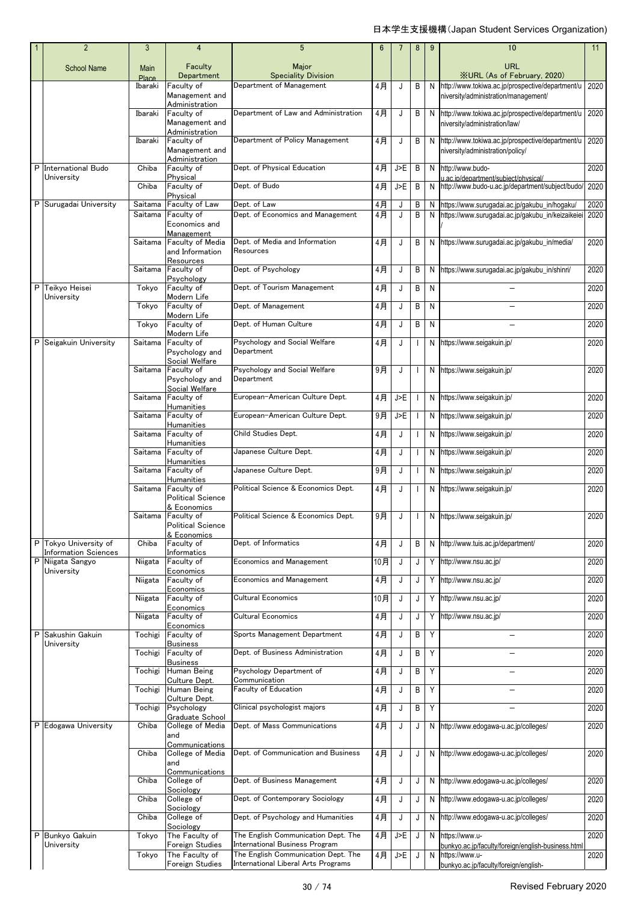|   | $\overline{2}$                                       | $\mathbf{3}$  | $\overline{4}$                                                     | 5                                                                                                            | 6     | 7   | 8                        | 9 | 10                                                                                                            | 11   |
|---|------------------------------------------------------|---------------|--------------------------------------------------------------------|--------------------------------------------------------------------------------------------------------------|-------|-----|--------------------------|---|---------------------------------------------------------------------------------------------------------------|------|
|   | <b>School Name</b>                                   | Main<br>Place | Faculty<br>Department                                              | Major<br><b>Speciality Division</b>                                                                          |       |     |                          |   | URL<br><b>XURL</b> (As of February, 2020)                                                                     |      |
|   |                                                      | Ibaraki       | Faculty of<br>Management and                                       | Department of Management                                                                                     | 4月    | J   | B                        | N | http://www.tokiwa.ac.jp/prospective/department/u<br>niversity/administration/management/                      | 2020 |
|   |                                                      | Ibaraki       | Administration<br>Faculty of<br>Management and<br>Administration   | Department of Law and Administration                                                                         | 4月    | J   | B                        |   | N http://www.tokiwa.ac.jp/prospective/department/u<br>niversity/administration/law/                           | 2020 |
|   |                                                      | Ibaraki       | Faculty of<br>Management and<br>Administration                     | Department of Policy Management                                                                              | 4月    | J   | B                        | N | http://www.tokiwa.ac.jp/prospective/department/u<br>niversity/administration/policy/                          | 2020 |
| P | International Budo                                   | Chiba         | Faculty of                                                         | Dept. of Physical Education                                                                                  | 4月    | J>E | B                        | N | http://www.budo-                                                                                              | 2020 |
|   | University                                           | Chiba         | Physical<br>Faculty of                                             | Dept. of Budo                                                                                                | 4月    | J>E | B                        | N | u.ac.ip/department/subiect/physical/<br>http://www.budo-u.ac.jp/department/subject/budo/                      | 2020 |
|   | P Surugadai University                               | Saitama       | Physical<br>Faculty of Law                                         | Dept. of Law                                                                                                 | 4月    | J   | B                        | N | https://www.surugadai.ac.jp/gakubu_in/hogaku/                                                                 | 2020 |
|   |                                                      | Saitama       | Faculty of                                                         | Dept. of Economics and Management                                                                            | $4$ 月 | J   | B                        | N | https://www.surugadai.ac.jp/gakubu_in/keizaikeiei                                                             | 2020 |
|   |                                                      | Saitama       | Economics and<br>Management<br>Faculty of Media<br>and Information | Dept. of Media and Information<br>Resources                                                                  | 4月    | J   | B                        |   | N https://www.surugadai.ac.jp/gakubu_in/media/                                                                | 2020 |
|   |                                                      | Saitama       | Resources<br>Faculty of                                            | Dept. of Psychology                                                                                          | 4月    | J   | B                        | N | https://www.surugadai.ac.jp/gakubu_in/shinri/                                                                 | 2020 |
| P | Teikyo Heisei                                        | Tokyo         | Psychology<br>Faculty of<br>Modern Life                            | Dept. of Tourism Management                                                                                  | 4月    | J   | В                        | N |                                                                                                               | 2020 |
|   | University                                           | Tokyo         | Faculty of<br>Modern Life                                          | Dept. of Management                                                                                          | 4月    | J   | B                        | N |                                                                                                               | 2020 |
|   |                                                      | Tokyo         | Faculty of                                                         | Dept. of Human Culture                                                                                       | 4月    | J   | B                        | N |                                                                                                               | 2020 |
| P | Seigakuin University                                 | Saitama       | Modern Life<br>Faculty of<br>Psychology and                        | Psychology and Social Welfare<br>Department                                                                  | 4月    | J   | $\overline{\phantom{a}}$ | N | https://www.seigakuin.jp/                                                                                     | 2020 |
|   |                                                      | Saitama       | Social Welfare<br>Faculty of<br>Psychology and<br>Social Welfare   | Psychology and Social Welfare<br>Department                                                                  | 9月    | J   | $\overline{\phantom{a}}$ |   | N https://www.seigakuin.jp/                                                                                   | 2020 |
|   |                                                      | Saitama       | Faculty of                                                         | European-American Culture Dept.                                                                              | 4月    | J>E | H                        | N | https://www.seigakuin.jp/                                                                                     | 2020 |
|   |                                                      | Saitama       | Humanities<br>Faculty of                                           | European-American Culture Dept.                                                                              | 9月    | J>E | H                        |   | N https://www.seigakuin.jp/                                                                                   | 2020 |
|   |                                                      | Saitama       | Humanities<br>Faculty of                                           | Child Studies Dept.                                                                                          | 4月    | J   | H                        | N | https://www.seigakuin.jp/                                                                                     | 2020 |
|   |                                                      | Saitama       | <b>Humanities</b><br>Faculty of                                    | Japanese Culture Dept.                                                                                       | 4月    | J   | $\mathbf{I}$             | N | https://www.seigakuin.jp/                                                                                     | 2020 |
|   |                                                      |               | Humanities                                                         |                                                                                                              |       |     |                          |   |                                                                                                               |      |
|   |                                                      | Saitama       | Faculty of<br>Humanities                                           | Japanese Culture Dept.                                                                                       | 9月    | J   | $\overline{\phantom{a}}$ | N | https://www.seigakuin.jp/                                                                                     | 2020 |
|   |                                                      | Saitama       | Faculty of<br><b>Political Science</b><br>& Economics              | Political Science & Economics Dept.                                                                          | 4月    | J   | $\overline{\phantom{a}}$ | N | https://www.seigakuin.jp/                                                                                     | 2020 |
|   |                                                      |               | Saitama Faculty of<br>Political Science<br>& Economics             | Political Science & Economics Dept.                                                                          | 9月    | J   |                          | N | https://www.seigakuin.jp/                                                                                     | 2020 |
|   | P Tokyo University of<br><b>Information Sciences</b> | Chiba         | Faculty of<br>Informatics                                          | Dept. of Informatics                                                                                         | 4月    | J   | В                        |   | N http://www.tuis.ac.jp/department/                                                                           | 2020 |
| P | Niigata Sangyo<br>University                         | Niigata       | Faculty of<br>Economics                                            | <b>Economics and Management</b>                                                                              | 10月   | J   | J                        |   | Y http://www.nsu.ac.jp/                                                                                       | 2020 |
|   |                                                      | Niigata       | Faculty of<br>Economics                                            | <b>Economics and Management</b>                                                                              | $4$ 月 | J   | J                        |   | Y http://www.nsu.ac.jp/                                                                                       | 2020 |
|   |                                                      | Niigata       | Faculty of                                                         | Cultural Economics                                                                                           | 10月   | J   | J                        | Y | http://www.nsu.ac.jp/                                                                                         | 2020 |
|   |                                                      | Niigata       | Economics<br>Faculty of                                            | <b>Cultural Economics</b>                                                                                    | 4月    | J   | J                        | Υ | http://www.nsu.ac.jp/                                                                                         | 2020 |
| P | Sakushin Gakuin                                      | Tochigi       | Economics<br>Faculty of                                            | Sports Management Department                                                                                 | 4月    | J   | В                        | Y |                                                                                                               | 2020 |
|   | University                                           | Tochigi       | <b>Business</b><br>Faculty of                                      | Dept. of Business Administration                                                                             | 4月    | J   | В                        | Y |                                                                                                               | 2020 |
|   |                                                      | Tochigi       | <b>Business</b><br>Human Being                                     | Psychology Department of                                                                                     | 4月    | J   | B                        | Y | $\overline{\phantom{0}}$                                                                                      | 2020 |
|   |                                                      | Tochigi       | Culture Dept.<br>Human Being                                       | Communication<br>Faculty of Education                                                                        | 4月    | J   | B                        | Υ |                                                                                                               | 2020 |
|   |                                                      | Tochigi       | Culture Dept.<br>Psychology                                        | Clinical psychologist majors                                                                                 | 4月    | J   | В                        | Υ |                                                                                                               | 2020 |
|   | P Edogawa University                                 | Chiba         | Graduate School<br>College of Media                                | Dept. of Mass Communications                                                                                 | 4月    | J   | J                        | N | http://www.edogawa-u.ac.jp/colleges/                                                                          | 2020 |
|   |                                                      |               | and<br>Communications                                              |                                                                                                              |       |     |                          |   |                                                                                                               |      |
|   |                                                      | Chiba         | College of Media<br>and<br>Communications                          | Dept. of Communication and Business                                                                          | $4$ 月 | J   | J                        |   | N http://www.edogawa-u.ac.jp/colleges/                                                                        | 2020 |
|   |                                                      | Chiba         | College of<br>Sociology                                            | Dept. of Business Management                                                                                 | 4月    | J   | J                        |   | N http://www.edogawa-u.ac.jp/colleges/                                                                        | 2020 |
|   |                                                      | Chiba         | College of<br>Sociology                                            | Dept. of Contemporary Sociology                                                                              | 4月    | J   | J                        | N | http://www.edogawa-u.ac.jp/colleges/                                                                          | 2020 |
|   |                                                      | Chiba         | College of<br>Sociology                                            | Dept. of Psychology and Humanities                                                                           | $4$ 月 | J   | J                        | N | http://www.edogawa-u.ac.jp/colleges/                                                                          | 2020 |
| P | Bunkyo Gakuin                                        | Tokyo         | The Faculty of                                                     | The English Communication Dept. The                                                                          | 4月    | J>E | J                        | N | https://www.u-                                                                                                | 2020 |
|   | University                                           | Tokyo         | Foreign Studies<br>The Faculty of<br>Foreign Studies               | International Business Program<br>The English Communication Dept. The<br>International Liberal Arts Programs | $4$ 月 | J>E | J                        | N | bunkyo.ac.jp/faculty/foreign/english-business.html<br>https://www.u-<br>bunkyo.ac.jp/faculty/foreign/english- | 2020 |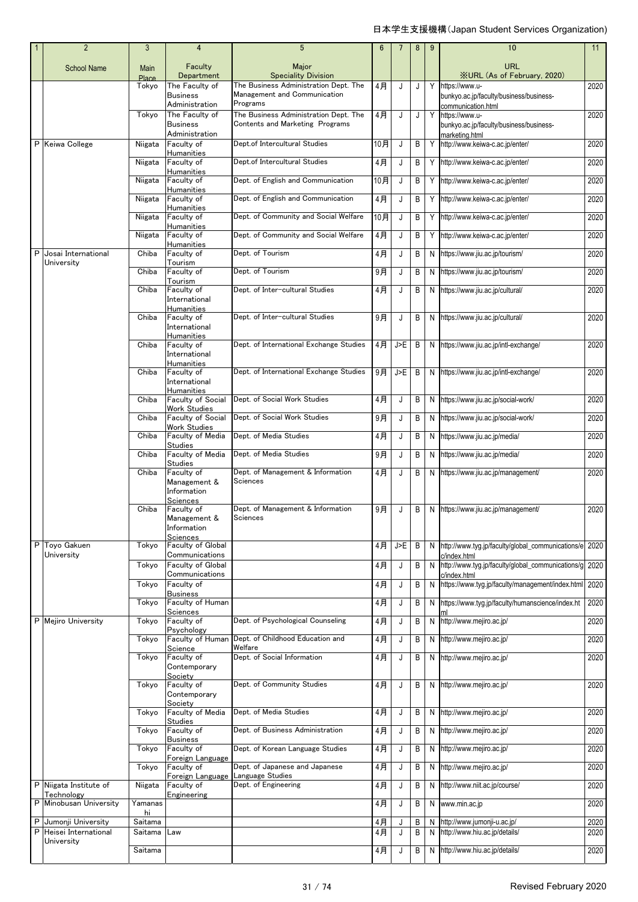|   | $\overline{2}$                     | 3                    | $\overline{4}$                                                        | $5\phantom{.0}$                                                                   | $6\phantom{1}$ | 7   | 8 | 9  | 10                                                                                                  | 11   |
|---|------------------------------------|----------------------|-----------------------------------------------------------------------|-----------------------------------------------------------------------------------|----------------|-----|---|----|-----------------------------------------------------------------------------------------------------|------|
|   | <b>School Name</b>                 | Main<br><b>Place</b> | Faculty<br>Department                                                 | Major<br><b>Speciality Division</b>                                               |                |     |   |    | <b>URL</b><br><b>XURL (As of February, 2020)</b>                                                    |      |
|   |                                    | Tokyo                | The Faculty of<br><b>Business</b>                                     | The Business Administration Dept. The<br>Management and Communication<br>Programs | 4月             | J   | J | Y  | https://www.u-<br>bunkyo.ac.jp/faculty/business/business-                                           | 2020 |
|   |                                    | Tokyo                | Administration<br>The Faculty of<br><b>Business</b><br>Administration | The Business Administration Dept. The<br>Contents and Marketing Programs          | 4月             | J   | J |    | communication.html<br>Y https://www.u-<br>bunkyo.ac.jp/faculty/business/business-<br>marketing.html | 2020 |
|   | P Keiwa College                    | Niigata              | Faculty of<br>Humanities                                              | Dept.of Intercultural Studies                                                     | 10月            | J   | В |    | Y http://www.keiwa-c.ac.jp/enter/                                                                   | 2020 |
|   |                                    | Niigata              | Faculty of<br><b>Humanities</b>                                       | Dept.of Intercultural Studies                                                     | 4月             | J   | В |    | Y http://www.keiwa-c.ac.jp/enter/                                                                   | 2020 |
|   |                                    | Niigata              | Faculty of<br>Humanities                                              | Dept. of English and Communication                                                | 10月            | J   | В | Y. | http://www.keiwa-c.ac.jp/enter/                                                                     | 2020 |
|   |                                    | Niigata              | Faculty of<br>Humanities                                              | Dept. of English and Communication                                                | $4$ 月          | J   | В | Y  | http://www.keiwa-c.ac.jp/enter/                                                                     | 2020 |
|   |                                    | Niigata              | Faculty of<br>Humanities                                              | Dept. of Community and Social Welfare                                             | 10月            | J   | В | Υ  | http://www.keiwa-c.ac.jp/enter/                                                                     | 2020 |
|   |                                    | Niigata              | Faculty of<br>Humanities                                              | Dept. of Community and Social Welfare                                             | 4月             | J   | В | Y  | http://www.keiwa-c.ac.jp/enter/                                                                     | 2020 |
| P | Josai International<br>University  | Chiba                | Faculty of<br>Tourism                                                 | Dept. of Tourism                                                                  | 4月             | J   | В | N  | https://www.jiu.ac.jp/tourism/                                                                      | 2020 |
|   |                                    | Chiba                | Faculty of<br>Tourism                                                 | Dept. of Tourism                                                                  | 9月             | J   | B | N  | https://www.jiu.ac.jp/tourism/                                                                      | 2020 |
|   |                                    | Chiba                | Faculty of                                                            | Dept. of Inter-cultural Studies                                                   | 4月             | J   | В | N  | https://www.jiu.ac.jp/cultural/                                                                     | 2020 |
|   |                                    | Chiba                | International<br>Humanities<br>Faculty of<br>International            | Dept. of Inter-cultural Studies                                                   | 9月             | J   | В |    | N https://www.jiu.ac.jp/cultural/                                                                   | 2020 |
|   |                                    | Chiba                | Humanities<br>Faculty of<br>International                             | Dept. of International Exchange Studies                                           | 4月             | J>E | B |    | N https://www.jiu.ac.jp/intl-exchange/                                                              | 2020 |
|   |                                    | Chiba                | Humanities<br>Faculty of<br>International                             | Dept. of International Exchange Studies                                           | 9月             | J>E | В |    | N https://www.jiu.ac.jp/intl-exchange/                                                              | 2020 |
|   |                                    | Chiba                | Humanities<br><b>Faculty of Social</b><br><b>Work Studies</b>         | Dept. of Social Work Studies                                                      | 4月             | J   | В | N  | https://www.jiu.ac.jp/social-work/                                                                  | 2020 |
|   |                                    | Chiba                | Faculty of Social<br><b>Work Studies</b>                              | Dept. of Social Work Studies                                                      | 9月             | J   | В | N  | https://www.jiu.ac.jp/social-work/                                                                  | 2020 |
|   |                                    | Chiba                | Faculty of Media                                                      | Dept. of Media Studies                                                            | $4$ 月          | J   | В | N  | https://www.jiu.ac.jp/media/                                                                        | 2020 |
|   |                                    | Chiba                | <b>Studies</b><br>Faculty of Media                                    | Dept. of Media Studies                                                            | 9月             | J   | В | N  | https://www.jiu.ac.jp/media/                                                                        | 2020 |
|   |                                    | Chiba                | <b>Studies</b><br>Faculty of<br>Management &<br>Information           | Dept. of Management & Information<br>Sciences                                     | 4月             | J   | В | N  | https://www.jiu.ac.jp/management/                                                                   | 2020 |
|   |                                    | Chiba                | Sciences<br>Faculty of<br>Management &<br>Information                 | Dept. of Management & Information<br>Sciences                                     | 9月             | J   | В |    | N https://www.jiu.ac.jp/management/                                                                 | 2020 |
|   | P Toyo Gakuen                      | Tokyo                | Sciences<br><b>Faculty of Global</b>                                  |                                                                                   | 4月             | J>E | B |    | N http://www.tyg.jp/faculty/global_communications/e 2020                                            |      |
|   | University                         | Tokyo                | Communications<br>Faculty of Global                                   |                                                                                   | 4月             | J   | В |    | c/index.html<br>N http://www.tyg.jp/faculty/global_communications/g 2020                            |      |
|   |                                    | Tokyo                | Communications<br>Faculty of                                          |                                                                                   | $4$ 月          | J   | В | N  | c/index.html<br>https://www.tyg.jp/faculty/management/index.html                                    | 2020 |
|   |                                    | Tokyo                | <b>Business</b><br>Faculty of Human                                   |                                                                                   | 4月             | J   | В | N  | https://www.tyg.jp/faculty/humanscience/index.ht                                                    | 2020 |
|   | P Mejiro University                | Tokyo                | Sciences<br>Faculty of                                                | Dept. of Psychological Counseling                                                 | 4月             | J   | В | N  | http://www.mejiro.ac.jp/                                                                            | 2020 |
|   |                                    | Tokyo                | Psychology<br>Faculty of Human                                        | Dept. of Childhood Education and                                                  | 4月             | J   | В | N  | http://www.mejiro.ac.jp/                                                                            | 2020 |
|   |                                    | Tokyo                | Science<br>Faculty of<br>Contemporary                                 | Welfare<br>Dept. of Social Information                                            | 4月             | J   | В | N  | http://www.mejiro.ac.jp/                                                                            | 2020 |
|   |                                    | Tokyo                | Society<br>Faculty of<br>Contemporary                                 | Dept. of Community Studies                                                        | 4月             | J   | В | N  | http://www.mejiro.ac.jp/                                                                            | 2020 |
|   |                                    | Tokyo                | Society<br>Faculty of Media                                           | Dept. of Media Studies                                                            | 4月             | J   | В | N  | http://www.mejiro.ac.jp/                                                                            | 2020 |
|   |                                    | Tokyo                | <b>Studies</b><br>Faculty of                                          | Dept. of Business Administration                                                  | 4月             | J   | В | N  | http://www.mejiro.ac.jp/                                                                            | 2020 |
|   |                                    | Tokyo                | <b>Business</b><br>Faculty of                                         | Dept. of Korean Language Studies                                                  | 4月             | J   | B | N  | http://www.mejiro.ac.jp/                                                                            | 2020 |
|   |                                    | Tokyo                | Foreign Language<br>Faculty of                                        | Dept. of Japanese and Japanese                                                    | 4月             | J   | В | N  | http://www.mejiro.ac.jp/                                                                            | 2020 |
|   | P Niigata Institute of             | Niigata              | Foreign Language<br>Faculty of                                        | Language Studies<br>Dept. of Engineering                                          | 4月             | J   | В | N  | http://www.niit.ac.jp/course/                                                                       | 2020 |
| P | Technology<br>Minobusan University | Yamanas              | Engineering                                                           |                                                                                   | 4月             | J   | В | N  | www.min.ac.jp                                                                                       | 2020 |
| P | Jumonji University                 | hi<br>Saitama        |                                                                       |                                                                                   | 4月             | J   | В | N  | http://www.jumonji-u.ac.jp/                                                                         | 2020 |
| P | Heisei International<br>University | Saitama              | Law                                                                   |                                                                                   | 4月             | J   | В | N  | http://www.hiu.ac.jp/details/                                                                       | 2020 |
|   |                                    | Saitama              |                                                                       |                                                                                   | 4月             | J   | В | N  | http://www.hiu.ac.jp/details/                                                                       | 2020 |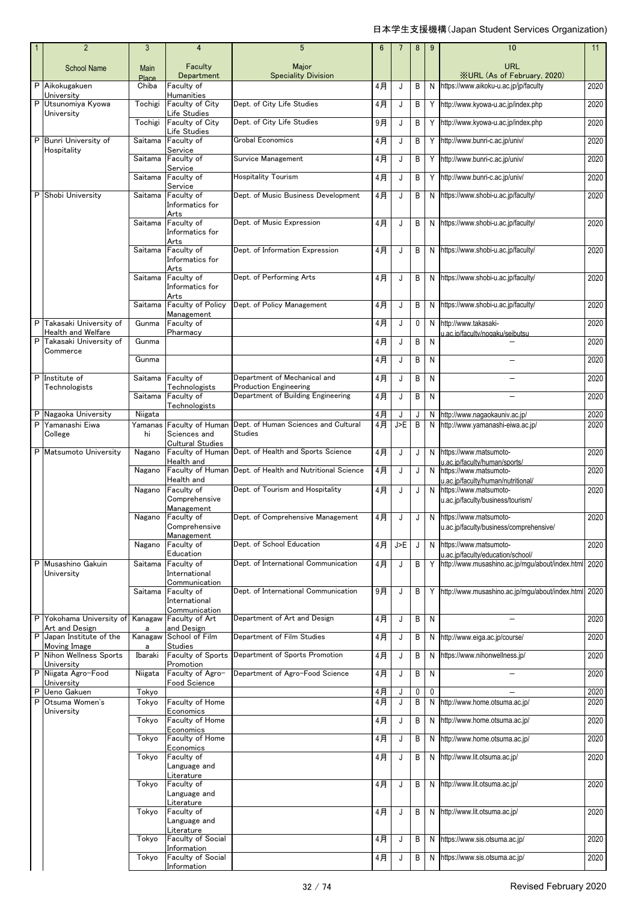|        | $\overline{2}$                               | 3                  | $\overline{4}$                                     | 5                                                                             | $6\phantom{1}$       | $\overline{7}$ | 8           | $9\,$  | 10                                                                                    | 11           |
|--------|----------------------------------------------|--------------------|----------------------------------------------------|-------------------------------------------------------------------------------|----------------------|----------------|-------------|--------|---------------------------------------------------------------------------------------|--------------|
|        | <b>School Name</b>                           | Main<br>Place      | Faculty<br>Department                              | Major<br><b>Speciality Division</b>                                           |                      |                |             |        | URL<br><b>XURL (As of February, 2020)</b>                                             |              |
| P      | Aikokugakuen<br>University                   | Chiba              | Faculty of<br>Humanities                           |                                                                               | 4月                   | J              | B           |        | N https://www.aikoku-u.ac.jp/jp/faculty                                               | 2020         |
|        | P Utsunomiya Kyowa<br>University             | Tochigi            | Faculty of City<br>Life Studies                    | Dept. of City Life Studies                                                    | 4月                   | J              | B           |        | Y http://www.kyowa-u.ac.jp/index.php                                                  | 2020         |
|        |                                              | Tochigi            | Faculty of City<br>Life Studies                    | Dept. of City Life Studies                                                    | 9月                   | J              | B           |        | Y http://www.kyowa-u.ac.jp/index.php                                                  | 2020         |
|        | P Bunri University of<br>Hospitality         | Saitama            | Faculty of<br>Service                              | <b>Grobal Economics</b>                                                       | 4月                   | J              | B           |        | Y http://www.bunri-c.ac.jp/univ/                                                      | 2020         |
|        |                                              | Saitama            | Faculty of<br>Service                              | Survice Management                                                            | 4月                   | J              | B           |        | Y http://www.bunri-c.ac.jp/univ/                                                      | 2020         |
|        |                                              | Saitama            | Faculty of<br>Service                              | <b>Hospitality Tourism</b>                                                    | 4月                   | J              | B           |        | Y http://www.bunri-c.ac.jp/univ/                                                      | 2020         |
|        | P Shobi University                           | Saitama            | Faculty of<br>Informatics for<br>Arts              | Dept. of Music Business Development                                           | 4月                   | J              | B           |        | N https://www.shobi-u.ac.jp/faculty/                                                  | 2020         |
|        |                                              | Saitama            | Faculty of<br>Informatics for                      | Dept. of Music Expression                                                     | 4月                   | J              | B           |        | N https://www.shobi-u.ac.jp/faculty/                                                  | 2020         |
|        |                                              | Saitama            | Arts<br>Faculty of<br>Informatics for<br>Arts      | Dept. of Information Expression                                               | 4月                   | J              | B           |        | N https://www.shobi-u.ac.jp/faculty/                                                  | 2020         |
|        |                                              | Saitama            | Faculty of<br>Informatics for<br>Arts              | Dept. of Performing Arts                                                      | 4月                   | J              | B           |        | N https://www.shobi-u.ac.jp/faculty/                                                  | 2020         |
|        |                                              | Saitama            | Faculty of Policy<br>Management                    | Dept. of Policy Management                                                    | 4月                   | J              | B           |        | N https://www.shobi-u.ac.jp/faculty/                                                  | 2020         |
| P      | Takasaki University of<br>Health and Welfare | Gunma              | Faculty of<br>Pharmacy                             |                                                                               | 4月                   | J              | $\mathbf 0$ |        | N http://www.takasaki-<br>u.ac.ip/faculty/nogaku/seibutsu                             | 2020         |
| P      | Takasaki University of<br>Commerce           | Gunma              |                                                    |                                                                               | 4月                   | J              | В           | N      |                                                                                       | 2020         |
|        |                                              | Gunma              |                                                    |                                                                               | 4月                   | J              | B           | N      |                                                                                       | 2020         |
|        | P Institute of<br>Technologists              | Saitama            | Faculty of<br>Technologists                        | Department of Mechanical and<br><b>Production Engineering</b>                 | 4月                   | J              | В           | N      | $\overline{\phantom{0}}$                                                              | 2020         |
|        |                                              | Saitama            | Faculty of<br>Technologists                        | Department of Building Engineering                                            | 4月                   | J              | B           | N      |                                                                                       | 2020         |
| P      | P Nagaoka University<br>Yamanashi Eiwa       | Niigata<br>Yamanas | Faculty of Human                                   | Dept. of Human Sciences and Cultural                                          | 4月<br>4月             | J<br>J>E       | J<br>B      |        | N http://www.nagaokauniv.ac.jp/<br>N http://www.yamanashi-eiwa.ac.jp/                 | 2020<br>2020 |
|        | College                                      | hi                 | Sciences and<br><b>Cultural Studies</b>            | <b>Studies</b>                                                                |                      |                |             |        |                                                                                       |              |
|        | P Matsumoto University                       | Nagano<br>Nagano   | Faculty of Human<br>Health and<br>Faculty of Human | Dept. of Health and Sports Science<br>Dept. of Health and Nutritional Science | 4月<br>4月             | J<br>J         | J<br>J      |        | N https://www.matsumoto-<br>u.ac.ip/faculty/human/sports/<br>N https://www.matsumoto- | 2020<br>2020 |
|        |                                              | Nagano             | Health and<br>Faculty of                           | Dept. of Tourism and Hospitality                                              | 4月                   | J              | J           |        | u.ac.jp/faculty/human/nutritional/<br>N https://www.matsumoto-                        | 2020         |
|        |                                              |                    | Comprehensive<br>Management                        |                                                                               |                      |                |             |        | u.ac.jp/faculty/business/tourism/                                                     |              |
|        |                                              | Nagano             | Faculty of<br>Comprehensive                        | Dept. of Comprehensive Management                                             | 4月                   | J              | J           |        | N https://www.matsumoto-<br>u.ac.jp/faculty/business/comprehensive/                   | 2020         |
|        |                                              | Nagano             | Management<br>Faculty of<br>Education              | Dept. of School Education                                                     | 4月                   | J>E            | J           |        | N https://www.matsumoto-<br>u.ac.jp/faculty/education/school/                         | 2020         |
| P      | Musashino Gakuin<br>University               | Saitama            | Faculty of<br>International<br>Communication       | Dept. of International Communication                                          | 4月                   | J              | B           |        | Y http://www.musashino.ac.jp/mqu/about/index.html                                     | 2020         |
|        |                                              | Saitama            | Faculty of<br>International<br>Communication       | Dept. of International Communication                                          | 9月                   | J              | B           |        | Y http://www.musashino.ac.jp/mgu/about/index.html 2020                                |              |
| P      | Yokohama University of<br>Art and Design     | a                  | Kanagaw Faculty of Art<br>and Design               | Department of Art and Design                                                  | 4月                   | J              | B           | N      |                                                                                       | 2020         |
| P      | Japan Institute of the<br>Moving Image       | Kanagaw<br>a       | School of Film<br>Studies                          | Department of Film Studies                                                    | 4月                   | J              | B           | N      | http://www.eiga.ac.jp/course/                                                         | 2020         |
|        | P Nihon Wellness Sports<br>University        | Ibaraki            | Faculty of Sports<br>Promotion                     | Department of Sports Promotion                                                | 4月                   | J              | B           | N      | https://www.nihonwellness.jp/                                                         | 2020         |
|        | P Niigata Agro-Food<br>University            | Niigata            | Faculty of Agro-<br>Food Science                   | Department of Agro-Food Science                                               | 4月                   | J              | B           | N      |                                                                                       | 2020         |
| P<br>P | Ueno Gakuen<br>Otsuma Women's                | Tokyo<br>Tokyo     | Faculty of Home                                    |                                                                               | 4 <sub>月</sub><br>4月 | J<br>J         | 0<br>B      | 0<br>N | http://www.home.otsuma.ac.jp/                                                         | 2020<br>2020 |
|        | University                                   | Tokyo              | Economics<br>Faculty of Home                       |                                                                               | 4月                   | J              | B           | N      | http://www.home.otsuma.ac.jp/                                                         | 2020         |
|        |                                              | Tokyo              | Economics<br>Faculty of Home                       |                                                                               | 4月                   | J              | B           |        | N http://www.home.otsuma.ac.jp/                                                       | 2020         |
|        |                                              |                    | Economics<br>Faculty of                            |                                                                               |                      |                |             |        |                                                                                       |              |
|        |                                              | Tokyo              | Language and<br>Literature                         |                                                                               | 4月                   | J              | B           |        | N http://www.lit.otsuma.ac.jp/                                                        | 2020         |
|        |                                              | Tokyo              | Faculty of<br>Language and<br>Literature           |                                                                               | 4月                   | J              | B           |        | N http://www.lit.otsuma.ac.jp/                                                        | 2020         |
|        |                                              | Tokyo              | Faculty of                                         |                                                                               | 4月                   | J              | B           |        | N http://www.lit.otsuma.ac.jp/                                                        | 2020         |
|        |                                              |                    | Language and<br>Literature<br>Faculty of Social    |                                                                               | 4月                   |                |             |        | N https://www.sis.otsuma.ac.jp/                                                       | 2020         |
|        |                                              | Tokyo              | Information                                        |                                                                               |                      | J              | B           |        |                                                                                       |              |
|        |                                              | Tokyo              | Faculty of Social<br>Information                   |                                                                               | 4月                   | J              | B           |        | N https://www.sis.otsuma.ac.jp/                                                       | 2020         |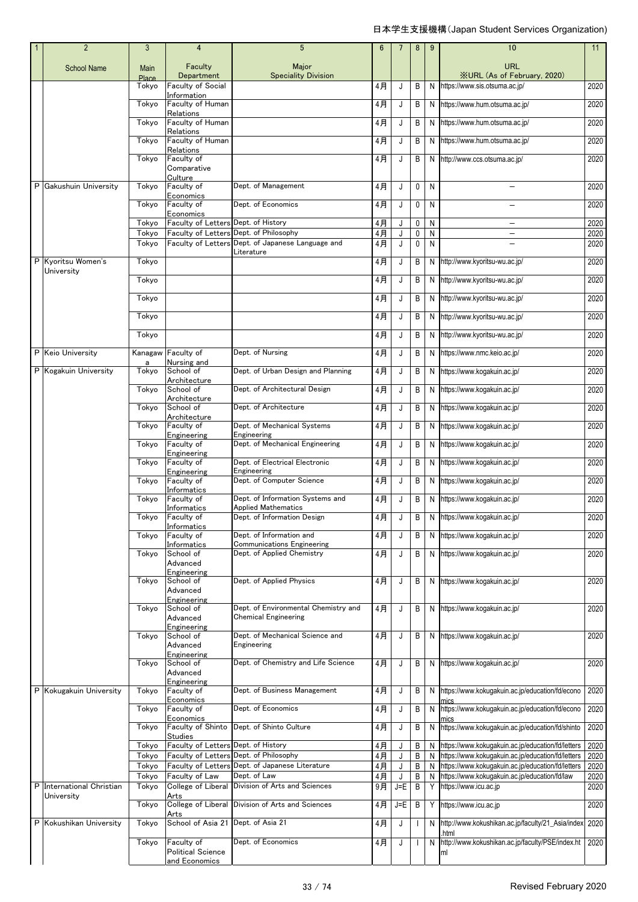| $\overline{2}$                          | 3                    | 4                                                     | $5\phantom{.0}$                                                                           | 6              | 7       | 8              | 9                         | 10                                                                                                     | 11           |
|-----------------------------------------|----------------------|-------------------------------------------------------|-------------------------------------------------------------------------------------------|----------------|---------|----------------|---------------------------|--------------------------------------------------------------------------------------------------------|--------------|
| <b>School Name</b>                      | <b>Main</b><br>Place | Faculty<br>Department                                 | Major<br><b>Speciality Division</b>                                                       |                |         |                |                           | <b>URL</b><br><b>XURL (As of February, 2020)</b>                                                       |              |
|                                         | Tokvo                | <b>Faculty of Social</b>                              |                                                                                           | 4月             | J       | B              | N                         | https://www.sis.otsuma.ac.jp/                                                                          | 2020         |
|                                         | Tokyo                | Information<br>Faculty of Human                       |                                                                                           | 4月             | J       | B              | N                         | https://www.hum.otsuma.ac.jp/                                                                          | 2020         |
|                                         | Tokyo                | Relations<br>Faculty of Human                         |                                                                                           | 4月             | J       | B              | N                         | https://www.hum.otsuma.ac.jp/                                                                          | 2020         |
|                                         | Tokyo                | Relations<br>Faculty of Human                         |                                                                                           | 4月             | J       | B              | N                         | https://www.hum.otsuma.ac.jp/                                                                          | 2020         |
|                                         | Tokyo                | Relations<br>Faculty of<br>Comparative                |                                                                                           | 4月             | J       | B              | N                         | http://www.ccs.otsuma.ac.jp/                                                                           | 2020         |
| P Gakushuin University                  | Tokyo                | Culture<br>Faculty of                                 | Dept. of Management                                                                       | 4月             | J       | 0              | N                         | $\equiv$                                                                                               | 2020         |
|                                         |                      | Economics                                             |                                                                                           |                |         |                |                           |                                                                                                        |              |
|                                         | Tokyo                | Faculty of<br>Economics                               | Dept. of Economics                                                                        | 4月             | J       | 0              | N                         |                                                                                                        | 2020         |
|                                         | Tokyo<br>Tokyo       | Faculty of Letters Dept. of History                   | Faculty of Letters Dept. of Philosophy                                                    | 4月<br>4月       | J<br>J  | 0<br>$\pmb{0}$ | $\mathsf{N}$<br>${\sf N}$ | -<br>$\overline{\phantom{0}}$                                                                          | 2020<br>2020 |
|                                         | Tokyo                |                                                       | Faculty of Letters Dept. of Japanese Language and                                         | 4月             | J       | 0              | N                         |                                                                                                        | 2020         |
| P Kyoritsu Women's                      | Tokyo                |                                                       | Literature                                                                                | 4月             | J       | B              | N                         | http://www.kyoritsu-wu.ac.jp/                                                                          | 2020         |
| University                              | Tokyo                |                                                       |                                                                                           | $4$ 月          | J       | B              | N                         | http://www.kyoritsu-wu.ac.jp/                                                                          | 2020         |
|                                         | Tokyo                |                                                       |                                                                                           | 4月             | J       | B              | N                         | http://www.kyoritsu-wu.ac.jp/                                                                          | 2020         |
|                                         | Tokyo                |                                                       |                                                                                           | 4月             | J       | B              | N                         | http://www.kyoritsu-wu.ac.jp/                                                                          | 2020         |
|                                         | Tokyo                |                                                       |                                                                                           | 4月             | J       | B              | N                         | http://www.kyoritsu-wu.ac.jp/                                                                          | 2020         |
| P Keio University                       |                      | Kanagaw Faculty of                                    | Dept. of Nursing                                                                          | 4月             | J       | B              | N                         | https://www.nmc.keio.ac.jp/                                                                            | 2020         |
| P Kogakuin University                   | a<br>Tokyo           | Nursing and<br>School of                              | Dept. of Urban Design and Planning                                                        | 4月             | J       | B              | N                         | https://www.kogakuin.ac.jp/                                                                            | 2020         |
|                                         | Tokyo                | Architecture<br>School of                             | Dept. of Architectural Design                                                             | 4月             | J       | B              | N                         | https://www.kogakuin.ac.jp/                                                                            | 2020         |
|                                         | Tokyo                | Architecture<br>School of                             | Dept. of Architecture                                                                     | 4月             | J       | B              | N                         | https://www.kogakuin.ac.jp/                                                                            | 2020         |
|                                         | Tokyo                | Architecture<br>Faculty of                            | Dept. of Mechanical Systems                                                               | $4$ 月          | J       | B              | N                         | https://www.kogakuin.ac.jp/                                                                            | 2020         |
|                                         | Tokyo                | Engineering<br>Faculty of                             | Engineering<br>Dept. of Mechanical Engineering                                            | $4$ 月          | J       | B              | N                         | https://www.kogakuin.ac.jp/                                                                            | 2020         |
|                                         | Tokyo                | Engineering<br>Faculty of                             | Dept. of Electrical Electronic                                                            | 4月             | J       | B              | N                         | https://www.kogakuin.ac.jp/                                                                            | 2020         |
|                                         | Tokyo                | Engineering<br>Faculty of                             | Engineering<br>Dept. of Computer Science                                                  | 4月             | J       | B              | N                         | https://www.kogakuin.ac.jp/                                                                            | 2020         |
|                                         | Tokyo                | Informatics<br>Faculty of                             | Dept. of Information Systems and                                                          | 4月             | J       | B              | N                         | https://www.kogakuin.ac.jp/                                                                            | 2020         |
|                                         | Tokyo                | Informatics<br>Faculty of                             | <b>Applied Mathematics</b><br>Dept. of Information Design                                 | $4$ 月          | J       | B              | N                         | https://www.kogakuin.ac.jp/                                                                            | 2020         |
|                                         | Tokyo                | Informatics<br>Faculty of                             | Dept. of Information and                                                                  | 4月             | J       | B              | N                         | https://www.kogakuin.ac.jp/                                                                            | 2020         |
|                                         | Tokyo                | Informatics<br>School of                              | <b>Communications Engineering</b><br>Dept. of Applied Chemistry                           | 4月             | J       | B              | N                         | https://www.kogakuin.ac.jp/                                                                            | 2020         |
|                                         |                      | Advanced<br>Engineering                               |                                                                                           |                |         |                |                           |                                                                                                        |              |
|                                         | Tokyo                | School of<br>Advanced                                 | Dept. of Applied Physics                                                                  | 4月             | J       | B              | N                         | https://www.kogakuin.ac.jp/                                                                            | 2020         |
|                                         | Tokyo                | Engineering<br>School of                              | Dept. of Environmental Chemistry and                                                      | 4月             | J       | B              | N                         | https://www.kogakuin.ac.jp/                                                                            | 2020         |
|                                         |                      | Advanced<br>Engineering                               | <b>Chemical Engineering</b>                                                               |                |         |                |                           |                                                                                                        |              |
|                                         | Tokyo                | School of<br>Advanced                                 | Dept. of Mechanical Science and<br>Engineering                                            | 4月             | J       | B              |                           | N https://www.kogakuin.ac.jp/                                                                          | 2020         |
|                                         | Tokyo                | Engineering<br>School of<br>Advanced<br>Engineering   | Dept. of Chemistry and Life Science                                                       | 4月             | J       | В              | N                         | https://www.kogakuin.ac.jp/                                                                            | 2020         |
| P Kokugakuin University                 | Tokyo                | Faculty of                                            | Dept. of Business Management                                                              | 4月             | J       | Β              | N                         | https://www.kokugakuin.ac.jp/education/fd/econo                                                        | 2020         |
|                                         | Tokyo                | Economics<br>Faculty of                               | Dept. of Economics                                                                        | 4月             | J       | B              | N                         | https://www.kokugakuin.ac.jp/education/fd/econo                                                        | 2020         |
|                                         | Tokyo                | Economics<br>Faculty of Shinto                        | Dept. of Shinto Culture                                                                   | 4月             | J       | B              | N                         | https://www.kokugakuin.ac.jp/education/fd/shinto                                                       | 2020         |
|                                         | Tokyo                | <b>Studies</b><br>Faculty of Letters Dept. of History |                                                                                           | 4月             | J       | Β              | N                         | https://www.kokugakuin.ac.jp/education/fd/letters                                                      | 2020         |
|                                         | Tokyo<br>Tokyo       |                                                       | Faculty of Letters Dept. of Philosophy<br>Faculty of Letters Dept. of Japanese Literature | $4$ 月<br>$4$ 月 | J<br>J  | B<br>B         | N<br>N                    | https://www.kokugakuin.ac.jp/education/fd/letters<br>https://www.kokugakuin.ac.jp/education/fd/letters | 2020<br>2020 |
|                                         | Tokyo                | Faculty of Law                                        | Dept. of Law                                                                              | $4$ 月          | J       | B              | N                         | https://www.kokugakuin.ac.jp/education/fd/law                                                          | 2020         |
| P International Christian<br>University | Tokyo                | College of Liberal<br>Arts                            | Division of Arts and Sciences                                                             | 9月             | $J = E$ | B              | Y                         | https://www.icu.ac.jp                                                                                  | 2020         |
|                                         | Tokyo                | College of Liberal<br>Arts                            | Division of Arts and Sciences                                                             | $4$ 月          | $J = E$ | B              | Y                         | https://www.icu.ac.jp                                                                                  | 2020         |
| P Kokushikan University                 | Tokyo                | School of Asia 21                                     | Dept. of Asia 21                                                                          | 4月             | J       | H              | N                         | http://www.kokushikan.ac.jp/faculty/21_Asia/index<br>.html                                             | 2020         |
|                                         | Tokyo                | Faculty of<br><b>Political Science</b>                | Dept. of Economics                                                                        | 4月             | J       |                | N                         | http://www.kokushikan.ac.jp/faculty/PSE/index.ht<br>ml                                                 | 2020         |
|                                         |                      | and Economics                                         |                                                                                           |                |         |                |                           |                                                                                                        |              |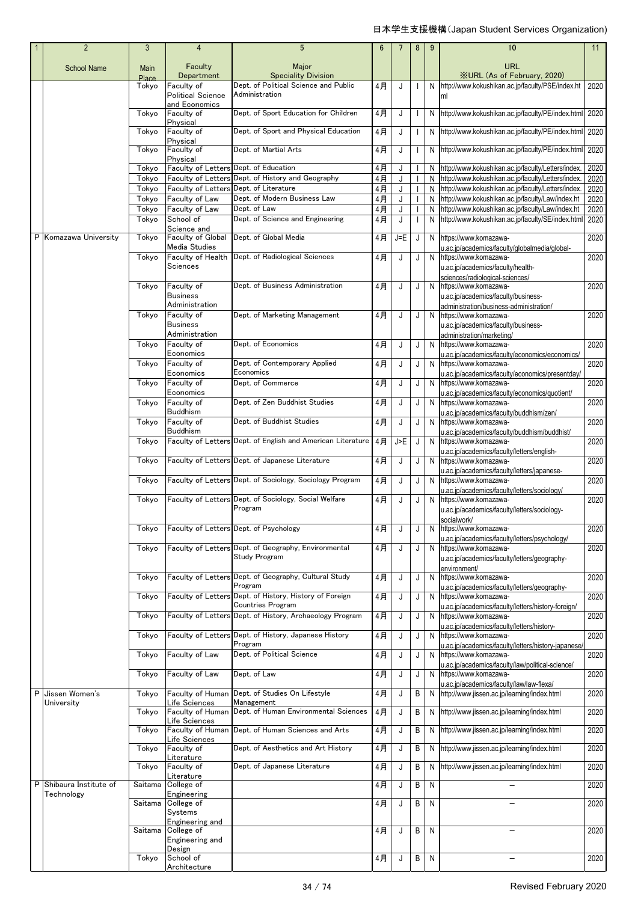|   | $\overline{2}$                      | $\mathbf{3}$         | $\overline{4}$                                    | 5                                                                            | $6\phantom{1}$ | 7       | 8            | 9            | 10                                                                                                             | 11   |
|---|-------------------------------------|----------------------|---------------------------------------------------|------------------------------------------------------------------------------|----------------|---------|--------------|--------------|----------------------------------------------------------------------------------------------------------------|------|
|   | <b>School Name</b>                  | Main<br><b>Place</b> | Faculty<br>Department                             | Major<br><b>Speciality Division</b>                                          |                |         |              |              | URL<br><b>XURL</b> (As of February, 2020)                                                                      |      |
|   |                                     | Tokyo                | Faculty of                                        | Dept. of Political Science and Public                                        | 4月             | J       |              |              | N http://www.kokushikan.ac.jp/faculty/PSE/index.ht                                                             | 2020 |
|   |                                     |                      | <b>Political Science</b><br>and Economics         | Administration                                                               |                |         |              |              | ml                                                                                                             |      |
|   |                                     | Tokyo                | Faculty of<br>Physical                            | Dept. of Sport Education for Children                                        | 4月             | J       |              |              | N http://www.kokushikan.ac.jp/faculty/PE/index.html 2020                                                       |      |
|   |                                     | Tokyo                | Faculty of                                        | Dept. of Sport and Physical Education                                        | 4月             | J       | $\mathbf{I}$ |              | N http://www.kokushikan.ac.jp/faculty/PE/index.html 2020                                                       |      |
|   |                                     | Tokyo                | Physical<br>Faculty of                            | Dept. of Martial Arts                                                        | 4月             | J       | $\mathbf{I}$ |              | N http://www.kokushikan.ac.jp/faculty/PE/index.html 2020                                                       |      |
|   |                                     | Tokyo                | Physical<br>Faculty of Letters Dept. of Education |                                                                              | 4月             | J       |              |              | N http://www.kokushikan.ac.jp/faculty/Letters/index.                                                           | 2020 |
|   |                                     | Tokyo                |                                                   | Faculty of Letters Dept. of History and Geography                            | 4月             | J       |              |              | N http://www.kokushikan.ac.jp/faculty/Letters/index.                                                           | 2020 |
|   |                                     | Tokyo                | <b>Faculty of Letters</b>                         | Dept. of Literature                                                          | $4$ 月          | J       |              |              | N http://www.kokushikan.ac.jp/faculty/Letters/index.                                                           | 2020 |
|   |                                     | Tokyo                | Faculty of Law                                    | Dept. of Modern Business Law                                                 | 4月             | J       |              |              | N http://www.kokushikan.ac.jp/faculty/Law/index.ht                                                             | 2020 |
|   |                                     | Tokyo<br>Tokyo       | Faculty of Law<br>School of                       | Dept. of Law<br>Dept. of Science and Engineering                             | 4月<br>4月       | J<br>J  |              |              | N http://www.kokushikan.ac.jp/faculty/Law/index.ht<br>N http://www.kokushikan.ac.jp/faculty/SE/index.html 2020 | 2020 |
|   |                                     |                      | Science and                                       |                                                                              |                |         |              |              |                                                                                                                |      |
|   | P Komazawa University               | Tokyo                | Faculty of Global<br>Media Studies                | Dept. of Global Media                                                        | 4月             | $J = E$ | J            |              | N https://www.komazawa-<br>u.ac.jp/academics/faculty/globalmedia/global-                                       | 2020 |
|   |                                     | Tokyo                | Faculty of Health                                 | Dept. of Radiological Sciences                                               | 4月             | J       | J            |              | N https://www.komazawa-                                                                                        | 2020 |
|   |                                     |                      | Sciences                                          |                                                                              |                |         |              |              | u.ac.jp/academics/faculty/health-<br>sciences/radiological-sciences/                                           |      |
|   |                                     | Tokyo                | Faculty of                                        | Dept. of Business Administration                                             | 4月             | J       | J            |              | N https://www.komazawa-                                                                                        | 2020 |
|   |                                     |                      | <b>Business</b><br>Administration                 |                                                                              |                |         |              |              | u.ac.jp/academics/faculty/business-                                                                            |      |
|   |                                     | Tokyo                | Faculty of                                        | Dept. of Marketing Management                                                | 4月             | J       | J            |              | administration/business-administration/<br>N https://www.komazawa-                                             | 2020 |
|   |                                     |                      | <b>Business</b>                                   |                                                                              |                |         |              |              | u.ac.jp/academics/faculty/business-                                                                            |      |
|   |                                     |                      | Administration<br>Faculty of                      | Dept. of Economics                                                           |                |         |              |              | administration/marketing/                                                                                      |      |
|   |                                     | Tokyo                | Economics                                         |                                                                              | 4月             | J       | J            |              | N https://www.komazawa-<br>u.ac.jp/academics/faculty/economics/economics/                                      | 2020 |
|   |                                     | Tokyo                | Faculty of                                        | Dept. of Contemporary Applied<br>Economics                                   | 4月             | J       | J            |              | N https://www.komazawa-                                                                                        | 2020 |
|   |                                     | Tokyo                | Economics<br>Faculty of                           | Dept. of Commerce                                                            | 4月             | J       | J            |              | u.ac.jp/academics/faculty/economics/presentday/<br>N https://www.komazawa-                                     | 2020 |
|   |                                     |                      | Economics                                         |                                                                              |                |         |              |              | u.ac.jp/academics/faculty/economics/quotient/                                                                  |      |
|   |                                     | Tokyo                | Faculty of<br><b>Buddhism</b>                     | Dept. of Zen Buddhist Studies                                                | 4月             | J       | J            |              | N https://www.komazawa-<br>u.ac.jp/academics/faculty/buddhism/zen/                                             | 2020 |
|   |                                     | Tokyo                | Faculty of<br><b>Buddhism</b>                     | Dept. of Buddhist Studies                                                    | 4月             | J       | J            |              | N https://www.komazawa-<br>u.ac.jp/academics/faculty/buddhism/buddhist/                                        | 2020 |
|   |                                     | Tokyo                |                                                   | Faculty of Letters Dept. of English and American Literature                  | 4月             | J>E     | J            |              | N https://www.komazawa-                                                                                        | 2020 |
|   |                                     | Tokyo                |                                                   | Faculty of Letters Dept. of Japanese Literature                              | 4月             | J       | J            |              | u.ac.jp/academics/faculty/letters/english-<br>N https://www.komazawa-                                          | 2020 |
|   |                                     | Tokyo                |                                                   | Faculty of Letters Dept. of Sociology, Sociology Program                     | 4月             | J       | J            |              | u.ac.jp/academics/faculty/letters/japanese-<br>N https://www.komazawa-                                         | 2020 |
|   |                                     |                      |                                                   |                                                                              |                |         |              |              | u.ac.jp/academics/faculty/letters/sociology/                                                                   |      |
|   |                                     | Tokyo                |                                                   | Faculty of Letters Dept. of Sociology, Social Welfare<br>Program             | 4月             | J       | J            |              | N https://www.komazawa-<br>u.ac.jp/academics/faculty/letters/sociology-                                        | 2020 |
|   |                                     | Tokyo                |                                                   | Faculty of Letters Dept. of Psychology                                       | 4月             | J       | J            |              | socialwork/<br>N https://www.komazawa-                                                                         | 2020 |
|   |                                     |                      |                                                   |                                                                              |                |         |              |              | u.ac.jp/academics/faculty/letters/psychology/                                                                  |      |
|   |                                     | Tokyo                |                                                   | Faculty of Letters Dept. of Geography, Environmental<br>Study Program        | 4月             | J       | J            |              | N https://www.komazawa-<br>u.ac.jp/academics/faculty/letters/geography-                                        | 2020 |
|   |                                     |                      |                                                   |                                                                              |                |         |              |              | environment/                                                                                                   |      |
|   |                                     | Tokyo                |                                                   | Faculty of Letters Dept. of Geography, Cultural Study<br>Program             | 4月             | J       | J            |              | N https://www.komazawa-<br>u.ac.jp/academics/faculty/letters/geography-                                        | 2020 |
|   |                                     | Tokyo                |                                                   | Faculty of Letters Dept. of History, History of Foreign<br>Countries Program | 4月             | J       | J            |              | N https://www.komazawa-<br>u.ac.jp/academics/faculty/letters/history-foreign/                                  | 2020 |
|   |                                     | Tokyo                |                                                   | Faculty of Letters Dept. of History, Archaeology Program                     | 4月             | J       | J            |              | N https://www.komazawa-                                                                                        | 2020 |
|   |                                     | Tokyo                |                                                   | Faculty of Letters Dept. of History, Japanese History                        | 4月             | J       | J            |              | u.ac.jp/academics/faculty/letters/history-<br>N https://www.komazawa-                                          | 2020 |
|   |                                     | Tokyo                | Faculty of Law                                    | Program<br>Dept. of Political Science                                        | 4月             | J       | J            |              | u.ac.jp/academics/faculty/letters/history-japanese<br>N https://www.komazawa-                                  | 2020 |
|   |                                     | Tokyo                | Faculty of Law                                    | Dept. of Law                                                                 | 4月             | J       | J            |              | u.ac.jp/academics/faculty/law/political-science/<br>N https://www.komazawa-                                    | 2020 |
| P | Jissen Women's                      | Tokyo                | Faculty of Human                                  | Dept. of Studies On Lifestyle                                                | 4月             | J       | B            |              | u.ac.jp/academics/faculty/law/law-flexa/<br>N http://www.jissen.ac.jp/learning/index.html                      | 2020 |
|   | University                          |                      | Life Sciences                                     | Management                                                                   |                |         |              |              |                                                                                                                |      |
|   |                                     | Tokyo                | Faculty of Human<br>Life Sciences                 | Dept. of Human Environmental Sciences                                        | 4月             | J       | B            |              | N http://www.jissen.ac.jp/learning/index.html                                                                  | 2020 |
|   |                                     | Tokyo                | Life Sciences                                     | Faculty of Human Dept. of Human Sciences and Arts                            | 4月             | J       | В            |              | N http://www.jissen.ac.jp/learning/index.html                                                                  | 2020 |
|   |                                     | Tokyo                | Faculty of                                        | Dept. of Aesthetics and Art History                                          | 4月             | J       | B            |              | N http://www.jissen.ac.jp/learning/index.html                                                                  | 2020 |
|   |                                     | Tokyo                | Literature<br>Faculty of                          | Dept. of Japanese Literature                                                 | 4月             | J       | B            |              | N http://www.jissen.ac.jp/learning/index.html                                                                  | 2020 |
|   |                                     |                      | Literature                                        |                                                                              |                |         |              |              |                                                                                                                |      |
| P | Shibaura Institute of<br>Technology | Saitama              | College of<br>Engineering                         |                                                                              | 4月             | J       | B            | ${\sf N}$    | $\equiv$                                                                                                       | 2020 |
|   |                                     | Saitama              | College of                                        |                                                                              | 4月             | J       | B            | N            |                                                                                                                | 2020 |
|   |                                     |                      | Systems<br>Engineering and                        |                                                                              |                |         |              |              |                                                                                                                |      |
|   |                                     | Saitama              | College of<br>Engineering and                     |                                                                              | 4月             | J       | В            | $\mathsf{N}$ | $\overline{\phantom{0}}$                                                                                       | 2020 |
|   |                                     |                      | Design                                            |                                                                              |                |         |              |              |                                                                                                                |      |
|   |                                     | Tokyo                | School of<br>Architecture                         |                                                                              | 4月             | J       | B            | N            |                                                                                                                | 2020 |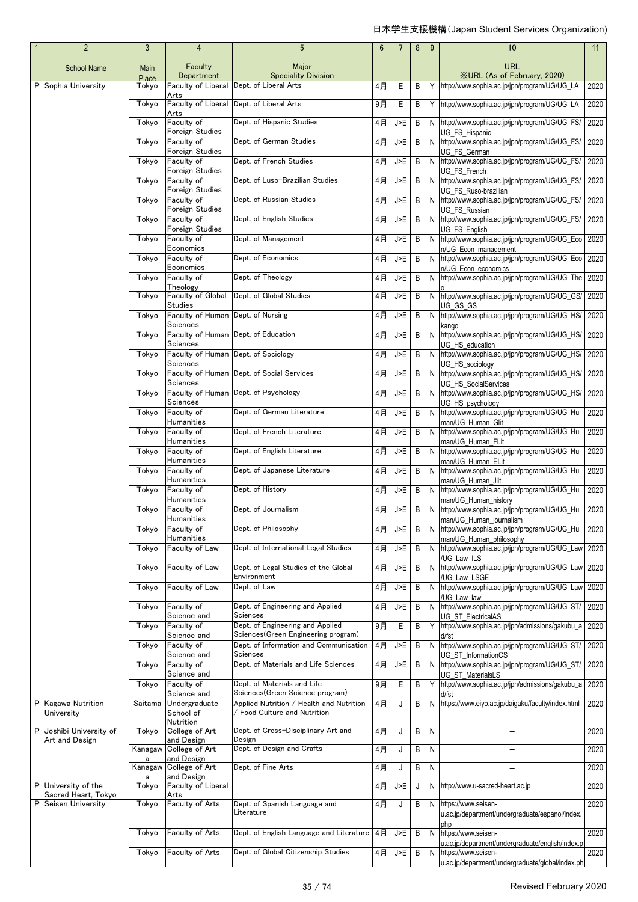| $\mathbf{1}$ | $\overline{2}$                   | 3                    | 4                                   | 5                                                                       | 6     | $\overline{7}$ | 8 | $9\,$ | 10                                                                            | 11   |
|--------------|----------------------------------|----------------------|-------------------------------------|-------------------------------------------------------------------------|-------|----------------|---|-------|-------------------------------------------------------------------------------|------|
|              | <b>School Name</b>               | Main<br><b>Place</b> | Faculty<br>Department               | Major<br><b>Speciality Division</b>                                     |       |                |   |       | <b>URL</b><br><b>XURL (As of February, 2020)</b>                              |      |
|              | P Sophia University              | Tokyo                | Faculty of Liberal                  | Dept. of Liberal Arts                                                   | 4月    | Ε              | B | Y     | http://www.sophia.ac.jp/jpn/program/UG/UG_LA                                  | 2020 |
|              |                                  | Tokyo                | Arts<br>Faculty of Liberal<br>Arts  | Dept. of Liberal Arts                                                   | 9月    | Е              | B | Y     | http://www.sophia.ac.jp/jpn/program/UG/UG_LA                                  | 2020 |
|              |                                  | Tokyo                | Faculty of<br>Foreign Studies       | Dept. of Hispanic Studies                                               | $4$ 月 | J>E            | B | N     | http://www.sophia.ac.jp/jpn/program/UG/UG_FS/<br>UG FS Hispanic               | 2020 |
|              |                                  | Tokyo                | Faculty of<br>Foreign Studies       | Dept. of German Studies                                                 | $4$ 月 | J>E            | B | N     | http://www.sophia.ac.jp/jpn/program/UG/UG_FS/<br>UG FS German                 | 2020 |
|              |                                  | Tokyo                | Faculty of<br>Foreign Studies       | Dept. of French Studies                                                 | 4月    | J>E            | B | N     | http://www.sophia.ac.jp/jpn/program/UG/UG_FS/<br>UG FS French                 | 2020 |
|              |                                  | Tokyo                | Faculty of<br>Foreign Studies       | Dept. of Luso-Brazilian Studies                                         | $4$ 月 | J>E            | B | N     | http://www.sophia.ac.jp/jpn/program/UG/UG FS/<br>UG FS Ruso-brazilian         | 2020 |
|              |                                  | Tokyo                | Faculty of<br>Foreign Studies       | Dept. of Russian Studies                                                | 4月    | J>E            | B | N     | http://www.sophia.ac.jp/jpn/program/UG/UG_FS/<br>UG FS Russian                | 2020 |
|              |                                  | Tokyo                | Faculty of<br>Foreign Studies       | Dept. of English Studies                                                | $4$ 月 | J>E            | B | N     | http://www.sophia.ac.jp/jpn/program/UG/UG_FS/<br>UG FS English                | 2020 |
|              |                                  | Tokyo                | Faculty of<br>Economics             | Dept. of Management                                                     | $4$ 月 | J>E            | B | N     | http://www.sophia.ac.jp/jpn/program/UG/UG_Eco<br>n/UG_Econ_management         | 2020 |
|              |                                  | Tokyo                | Faculty of<br>Economics             | Dept. of Economics                                                      | $4$ 月 | J>E            | B | N     | http://www.sophia.ac.jp/jpn/program/UG/UG_Eco                                 | 2020 |
|              |                                  | Tokyo                | Faculty of<br>Theology              | Dept. of Theology                                                       | $4$ 月 | J>E            | B | N     | n/UG Econ economics<br>http://www.sophia.ac.jp/jpn/program/UG/UG_The          | 2020 |
|              |                                  | Tokyo                | Faculty of Global<br><b>Studies</b> | Dept. of Global Studies                                                 | 4月    | J>E            | B | N     | http://www.sophia.ac.jp/jpn/program/UG/UG_GS/<br>UG GS GS                     | 2020 |
|              |                                  | Tokyo                | Faculty of Human<br>Sciences        | Dept. of Nursing                                                        | 4月    | J>E            | B | N     | http://www.sophia.ac.jp/jpn/program/UG/UG HS/<br>kango                        | 2020 |
|              |                                  | Tokvo                | Faculty of Human<br>Sciences        | Dept. of Education                                                      | $4$ 月 | J>E            | B | N     | http://www.sophia.ac.jp/jpn/program/UG/UG_HS/<br>UG HS education              | 2020 |
|              |                                  | Tokyo                | Faculty of Human<br>Sciences        | Dept. of Sociology                                                      | 4月    | J>E            | B | N     | http://www.sophia.ac.jp/jpn/program/UG/UG_HS/<br>UG HS sociology              | 2020 |
|              |                                  | Tokyo                | Faculty of Human<br>Sciences        | Dept. of Social Services                                                | 4月    | J>E            | B | N     | http://www.sophia.ac.jp/jpn/program/UG/UG_HS/<br>UG HS SocialServices         | 2020 |
|              |                                  | Tokyo                | Faculty of Human<br>Sciences        | Dept. of Psychology                                                     | $4$ 月 | J>E            | B | N     | http://www.sophia.ac.jp/jpn/program/UG/UG_HS/<br>UG_HS_psychology             | 2020 |
|              |                                  | Tokyo                | Faculty of<br>Humanities            | Dept. of German Literature                                              | $4$ 月 | J>E            | B | N     | http://www.sophia.ac.jp/jpn/program/UG/UG_Hu<br>man/UG Human Glit             | 2020 |
|              |                                  | Tokyo                | Faculty of<br>Humanities            | Dept. of French Literature                                              | 4月    | J>E            | B | N     | http://www.sophia.ac.jp/jpn/program/UG/UG_Hu<br>man/UG Human FLit             | 2020 |
|              |                                  | Tokyo                | Faculty of<br>Humanities            | Dept. of English Literature                                             | $4$ 月 | J>E            | B | N     | http://www.sophia.ac.jp/jpn/program/UG/UG_Hu<br>man/UG Human ELit             | 2020 |
|              |                                  | Tokyo                | Faculty of<br>Humanities            | Dept. of Japanese Literature                                            | 4月    | J>E            | В | N     | http://www.sophia.ac.jp/jpn/program/UG/UG_Hu<br>man/UG Human Jlit             | 2020 |
|              |                                  | Tokyo                | Faculty of<br>Humanities            | Dept. of History                                                        | 4月    | J>E            | B | N     | http://www.sophia.ac.jp/jpn/program/UG/UG_Hu<br>man/UG Human history          | 2020 |
|              |                                  | Tokyo                | Faculty of<br>Humanities            | Dept. of Journalism                                                     | 4月    | J>E            | B | N     | http://www.sophia.ac.jp/jpn/program/UG/UG_Hu<br>man/UG_Human_journalism       | 2020 |
|              |                                  | Tokyo                | Faculty of<br>Humanities            | Dept. of Philosophy                                                     | 4月    | J>E            | B |       | N http://www.sophia.ac.jp/jpn/program/UG/UG_Hu<br>man/UG Human philosophy     | 2020 |
|              |                                  | Tokyo                | Faculty of Law                      | Dept. of International Legal Studies                                    | 4月    | J>E            | B | N     | http://www.sophia.ac.jp/jpn/program/UG/UG_Law<br>/UG Law ILS                  | 2020 |
|              |                                  | Tokyo                | Faculty of Law                      | Dept. of Legal Studies of the Global<br>Environment                     | $4$ 月 | J>F            | B | N     | http://www.sophia.ac.jp/jpn/program/UG/UG Law<br>/UG Law LSGE                 | 2020 |
|              |                                  | Tokyo                | Faculty of Law                      | Dept. of Law                                                            | $4$ 月 | J>E            | B | N     | http://www.sophia.ac.jp/jpn/program/UG/UG_Law<br>/UG Law law                  | 2020 |
|              |                                  | Tokyo                | Faculty of<br>Science and           | Dept. of Engineering and Applied<br>Sciences                            | 4月    | J>E            | B | N     | http://www.sophia.ac.jp/jpn/program/UG/UG_ST/<br><b>UG ST ElectricalAS</b>    | 2020 |
|              |                                  | Tokyo                | Faculty of<br>Science and           | Dept. of Engineering and Applied<br>Sciences(Green Engineering program) | $9$ 月 | $\mathsf E$    | B | Y     | http://www.sophia.ac.jp/jpn/admissions/gakubu_a<br>d/fst                      | 2020 |
|              |                                  | Tokyo                | Faculty of<br>Science and           | Dept. of Information and Communication<br>Sciences                      | $4$ 月 | J>E            | B | N     | http://www.sophia.ac.jp/jpn/program/UG/UG_ST/<br>UG ST InformationCS          | 2020 |
|              |                                  | Tokyo                | Faculty of<br>Science and           | Dept. of Materials and Life Sciences                                    | 4月    | J>E            | B | N     | http://www.sophia.ac.jp/jpn/program/UG/UG_ST/<br>UG ST MaterialsLS            | 2020 |
|              |                                  | Tokyo                | Faculty of<br>Science and           | Dept. of Materials and Life<br>Sciences(Green Science program)          | 9月    | E              | B | Y     | http://www.sophia.ac.jp/jpn/admissions/gakubu_a<br>d/fst                      | 2020 |
|              | P Kagawa Nutrition<br>University | Saitama              | Undergraduate<br>School of          | Applied Nutrition / Health and Nutrition<br>Food Culture and Nutrition  | 4月    | J              | B | N     | https://www.eiyo.ac.jp/daigaku/faculty/index.html                             | 2020 |
|              | P Joshibi University of          | Tokyo                | Nutrition<br>College of Art         | Dept. of Cross-Disciplinary Art and                                     | 4月    | J              | B | N     |                                                                               | 2020 |
|              | Art and Design                   | Kanagaw              | and Design<br>College of Art        | Design<br>Dept. of Design and Crafts                                    | 4月    | J              | B | N     |                                                                               | 2020 |
|              |                                  | Kanagaw              | and Design<br>College of Art        | Dept. of Fine Arts                                                      | $4$ 月 | J              | B | N     |                                                                               | 2020 |
|              | P University of the              | a<br>Tokyo           | and Design<br>Faculty of Liberal    |                                                                         | 4月    | $\overline{5}$ | J | N     | http://www.u-sacred-heart.ac.jp                                               | 2020 |
|              | Sacred Heart, Tokyo              |                      | Arts                                |                                                                         |       |                |   |       |                                                                               |      |
| P            | Seisen University                | Tokyo                | Faculty of Arts                     | Dept. of Spanish Language and<br>Literature                             | 4月    | J              | B | N     | https://www.seisen-<br>u.ac.jp/department/undergraduate/espanol/index.<br>oho | 2020 |
|              |                                  | Tokyo                | Faculty of Arts                     | Dept. of English Language and Literature                                | 4月    | J>E            | B | N     | https://www.seisen-                                                           | 2020 |
|              |                                  | Tokyo                | Faculty of Arts                     | Dept. of Global Citizenship Studies                                     | 4月    | J>E            | B | N     | u.ac.jp/department/undergraduate/english/index.p<br>https://www.seisen-       | 2020 |
|              |                                  |                      |                                     |                                                                         |       |                |   |       | u.ac.jp/department/undergraduate/global/index.ph                              |      |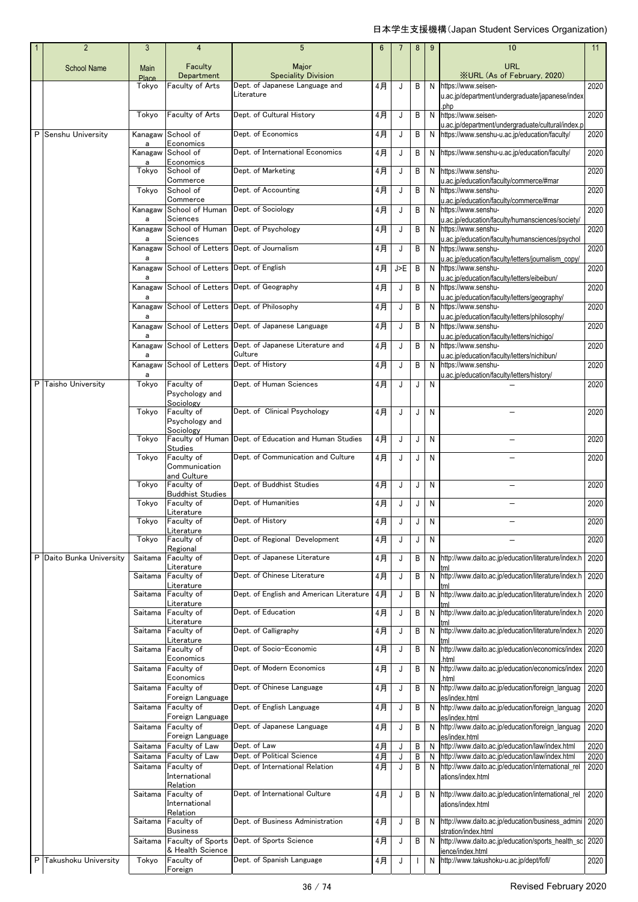| $\overline{2}$           | $\mathbf{3}$         | $\overline{4}$                             | $5\phantom{.0}$                                                       | $6\phantom{1}$ | 7   | 8            | 9         | 10                                                                                                    | 11           |
|--------------------------|----------------------|--------------------------------------------|-----------------------------------------------------------------------|----------------|-----|--------------|-----------|-------------------------------------------------------------------------------------------------------|--------------|
| <b>School Name</b>       | Main<br><b>Place</b> | Faculty<br>Department                      | Major<br><b>Speciality Division</b>                                   |                |     |              |           | <b>URL</b><br><b>XURL (As of February, 2020)</b>                                                      |              |
|                          | Tokyo                | Faculty of Arts                            | Dept. of Japanese Language and<br>Literature                          | 4月             | J   | B            | N         | https://www.seisen-<br>u.ac.jp/department/undergraduate/japanese/index                                | 2020         |
|                          | Tokyo                | Faculty of Arts                            | Dept. of Cultural History                                             | 4月             | J   | B            | N         | oho<br>https://www.seisen-                                                                            | 2020         |
| P Senshu University      |                      | Kanagaw School of                          | Dept. of Economics                                                    | 4月             | J   | B            | N         | u.ac.jp/department/undergraduate/cultural/index.p<br>https://www.senshu-u.ac.jp/education/faculty/    | 2020         |
|                          | a                    | Economics<br>Kanagaw School of             | Dept. of International Economics                                      | $4$ 月          | J   | B            | N         | https://www.senshu-u.ac.jp/education/faculty/                                                         | 2020         |
|                          | a<br>Tokyo           | Economics<br>School of                     | Dept. of Marketing                                                    | 4月             | J   | B            | N         | https://www.senshu-                                                                                   | 2020         |
|                          | Tokyo                | Commerce<br>School of                      | Dept. of Accounting                                                   | 4月             | J   | B            | N         | u.ac.jp/education/faculty/commerce/#mar<br>https://www.senshu-                                        | 2020         |
|                          | Kanagaw              | Commerce<br>School of Human                | Dept. of Sociology                                                    | 4月             | J   | B            | N         | u.ac.jp/education/faculty/commerce/#mar<br>https://www.senshu-                                        | 2020         |
|                          | a<br>Kanagaw         | Sciences<br>School of Human                | Dept. of Psychology                                                   | 4月             | J   | B            | N         | u.ac.jp/education/faculty/humansciences/society/<br>https://www.senshu-                               | 2020         |
|                          | a                    | Sciences                                   |                                                                       |                |     |              |           | u.ac.jp/education/faculty/humansciences/psychol                                                       |              |
|                          | a                    | Kanagaw School of Letters                  | Dept. of Journalism                                                   | 4月             | J   | B            | N         | https://www.senshu-<br>u.ac.jp/education/faculty/letters/journalism_copy/                             | 2020         |
|                          | a                    | Kanagaw School of Letters                  | Dept. of English                                                      | 4月             | J>E | B            | N         | https://www.senshu-<br>u.ac.jp/education/faculty/letters/eibeibun/                                    | 2020         |
|                          | a                    |                                            | Kanagaw School of Letters Dept. of Geography                          | 4月             | J   | B            | N         | https://www.senshu-<br>u.ac.jp/education/faculty/letters/geography/                                   | 2020         |
|                          | a                    |                                            | Kanagaw School of Letters Dept. of Philosophy                         | $4$ 月          | J   | B            | N         | https://www.senshu-<br>u.ac.jp/education/faculty/letters/philosophy/                                  | 2020         |
|                          | a                    |                                            | Kanagaw School of Letters Dept. of Japanese Language                  | 4月             | J   | B            | N         | https://www.senshu-<br>u.ac.jp/education/faculty/letters/nichigo/                                     | 2020         |
|                          | a                    |                                            | Kanagaw School of Letters Dept. of Japanese Literature and<br>Culture | 4月             | J   | B            | N         | https://www.senshu-<br>u.ac.jp/education/faculty/letters/nichibun/                                    | 2020         |
|                          |                      | Kanagaw School of Letters                  | Dept. of History                                                      | 4月             | J   | B            | N         | https://www.senshu-                                                                                   | 2020         |
| P Taisho University      | a<br>Tokyo           | Faculty of<br>Psychology and               | Dept. of Human Sciences                                               | 4月             | J   | J            | N         | u.ac.jp/education/faculty/letters/history/                                                            | 2020         |
|                          | Tokyo                | Sociology<br>Faculty of                    | Dept. of Clinical Psychology                                          | 4月             | J   | J            | N         |                                                                                                       | 2020         |
|                          |                      | Psychology and<br>Sociology                |                                                                       |                |     |              |           |                                                                                                       |              |
|                          | Tokyo                | <b>Studies</b>                             | Faculty of Human Dept. of Education and Human Studies                 | 4月             | J   | J            | N         |                                                                                                       | 2020         |
|                          | Tokyo                | Faculty of<br>Communication<br>and Culture | Dept. of Communication and Culture                                    | 4月             | J   | J            | N         |                                                                                                       | 2020         |
|                          | Tokyo                | Faculty of                                 | Dept. of Buddhist Studies                                             | 4月             | J   | J            | N         |                                                                                                       | 2020         |
|                          | Tokyo                | <b>Buddhist Studies</b><br>Faculty of      | Dept. of Humanities                                                   | 4月             | J   | J            | N         |                                                                                                       | 2020         |
|                          |                      | Literature<br>Tokyo Faculty of             | Dept. of History                                                      | $4$ 月          |     |              | ${\sf N}$ |                                                                                                       | 2020         |
|                          | Tokyo                | Literature<br>Faculty of                   | Dept. of Regional Development                                         | 4月             | J   | J            | N         |                                                                                                       | 2020         |
| P Daito Bunka University | Saitama              | Regional<br>Faculty of                     | Dept. of Japanese Literature                                          | 4月             | J   | B            | N         | http://www.daito.ac.jp/education/literature/index.h                                                   | 2020         |
|                          | Saitama              | Literature<br>Faculty of                   | Dept. of Chinese Literature                                           | 4月             | J   | B            | N         | http://www.daito.ac.jp/education/literature/index.h                                                   | 2020         |
|                          | Saitama              | Literature<br>Faculty of                   | Dept. of English and American Literature                              | 4月             | J   | B            | N         | http://www.daito.ac.jp/education/literature/index.h 2020                                              |              |
|                          |                      | Literature                                 |                                                                       |                |     |              |           |                                                                                                       |              |
|                          | Saitama              | Faculty of<br>Literature                   | Dept. of Education                                                    | 4月             | J   | B            | N         | http://www.daito.ac.jp/education/literature/index.h                                                   | 2020         |
|                          | Saitama              | Faculty of<br>Literature                   | Dept. of Calligraphy                                                  | 4月             | J   | Β            | N         | http://www.daito.ac.jp/education/literature/index.h                                                   | 2020         |
|                          | Saitama              | Faculty of<br>Economics                    | Dept. of Socio-Economic                                               | 4月             | J   | B            | N         | http://www.daito.ac.jp/education/economics/index<br>html                                              | 2020         |
|                          | Saitama              | Faculty of<br>Economics                    | Dept. of Modern Economics                                             | 4月             | J   | B            | N         | http://www.daito.ac.jp/education/economics/index<br>html                                              | 2020         |
|                          | Saitama              | Faculty of<br>Foreign Language             | Dept. of Chinese Language                                             | 4月             | J   | B            | N         | http://www.daito.ac.jp/education/foreign_languag<br>es/index.html                                     | 2020         |
|                          | Saitama              | Faculty of<br>Foreign Language             | Dept. of English Language                                             | 4月             | J   | B            | N         | http://www.daito.ac.jp/education/foreign_languag<br>es/index.html                                     | 2020         |
|                          | Saitama              | Faculty of<br>Foreign Language             | Dept. of Japanese Language                                            | 4月             | J   | B            | N         | http://www.daito.ac.jp/education/foreign_languag<br>es/index.html                                     | 2020         |
|                          | Saitama              | Faculty of Law                             | Dept. of Law                                                          | 4月             | J   | B            | N         | http://www.daito.ac.jp/education/law/index.html                                                       | 2020         |
|                          | Saitama<br>Saitama   | Faculty of Law<br>Faculty of               | Dept. of Political Science<br>Dept. of International Relation         | $4$ 月<br>$4$ 月 | J   | B<br>Β       | N<br>N    | http://www.daito.ac.jp/education/law/index.html<br>http://www.daito.ac.jp/education/international_rel | 2020<br>2020 |
|                          |                      | International<br>Relation                  |                                                                       |                |     |              |           | ations/index.html                                                                                     |              |
|                          | Saitama              | Faculty of<br>International                | Dept. of International Culture                                        | 4月             | J   | B            | N         | http://www.daito.ac.jp/education/international_rel<br>ations/index.html                               | 2020         |
|                          | Saitama              | Relation<br>Faculty of                     | Dept. of Business Administration                                      | 4月             | J   | В            | N         | http://www.daito.ac.jp/education/business_admini 2020                                                 |              |
|                          | Saitama              | <b>Business</b><br>Faculty of Sports       | Dept. of Sports Science                                               | 4月             | J   | В            | N         | stration/index.html<br>http://www.daito.ac.jp/education/sports_health_sc                              | 2020         |
| P Takushoku University   | Tokyo                | & Health Science<br>Faculty of             | Dept. of Spanish Language                                             | 4月             | J   | $\mathbf{I}$ | N         | ience/index.html<br>http://www.takushoku-u.ac.jp/dept/fofl/                                           | 2020         |
|                          |                      | Foreign                                    |                                                                       |                |     |              |           |                                                                                                       |              |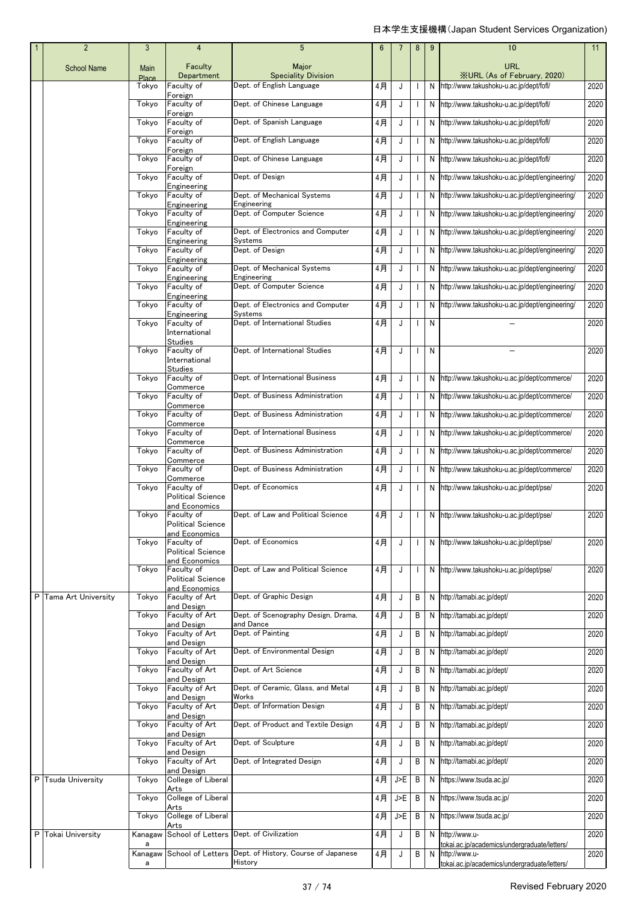| $\overline{2}$        | 3                    | 4                                                       | $5\phantom{.0}$                                  | 6     | 7   | 8 | 9 | 10                                                            | 11   |
|-----------------------|----------------------|---------------------------------------------------------|--------------------------------------------------|-------|-----|---|---|---------------------------------------------------------------|------|
| <b>School Name</b>    | Main<br><b>Place</b> | Faculty<br>Department                                   | Major<br><b>Speciality Division</b>              |       |     |   |   | <b>URL</b><br><b>XURL (As of February, 2020)</b>              |      |
|                       | Tokyo                | Faculty of                                              | Dept. of English Language                        | 4月    | J   |   | N | http://www.takushoku-u.ac.jp/dept/fofl/                       | 2020 |
|                       | Tokyo                | Foreign<br>Faculty of<br>Foreign                        | Dept. of Chinese Language                        | 4月    | J   |   | N | http://www.takushoku-u.ac.jp/dept/fofl/                       | 2020 |
|                       | Tokyo                | Faculty of<br>Foreign                                   | Dept. of Spanish Language                        | 4月    | J   |   | N | http://www.takushoku-u.ac.jp/dept/fofl/                       | 2020 |
|                       | Tokyo                | Faculty of                                              | Dept. of English Language                        | 4月    | J   |   | N | http://www.takushoku-u.ac.jp/dept/fofl/                       | 2020 |
|                       | Tokyo                | Foreign<br>Faculty of                                   | Dept. of Chinese Language                        | 4月    | J   |   | N | http://www.takushoku-u.ac.jp/dept/fofl/                       | 2020 |
|                       | Tokyo                | Foreign<br>Faculty of                                   | Dept. of Design                                  | 4月    | J   |   | N | http://www.takushoku-u.ac.jp/dept/engineering/                | 2020 |
|                       | Tokyo                | Engineering<br>Faculty of                               | Dept. of Mechanical Systems                      | 4月    | J   |   | N | http://www.takushoku-u.ac.jp/dept/engineering/                | 2020 |
|                       | Tokyo                | Engineering<br>Faculty of                               | Engineering<br>Dept. of Computer Science         | 4月    | J   |   | N | http://www.takushoku-u.ac.jp/dept/engineering/                | 2020 |
|                       | Tokyo                | Engineering<br>Faculty of                               | Dept. of Electronics and Computer                | 4月    | J   |   | N | http://www.takushoku-u.ac.jp/dept/engineering/                | 2020 |
|                       | Tokyo                | Engineering<br>Faculty of                               | Systems<br>Dept. of Design                       | 4月    | J   |   | N | http://www.takushoku-u.ac.jp/dept/engineering/                | 2020 |
|                       | Tokyo                | Engineering<br>Faculty of                               | Dept. of Mechanical Systems                      | 4月    | J   |   | N | http://www.takushoku-u.ac.jp/dept/engineering/                | 2020 |
|                       | Tokyo                | Engineering<br>Faculty of                               | Engineering<br>Dept. of Computer Science         | 4月    | J   |   | N | http://www.takushoku-u.ac.jp/dept/engineering/                | 2020 |
|                       | Tokyo                | Engineering<br>Faculty of                               | Dept. of Electronics and Computer                | 4月    | J   |   | N | http://www.takushoku-u.ac.jp/dept/engineering/                | 2020 |
|                       | Tokyo                | Engineering<br>Faculty of                               | Systems<br>Dept. of International Studies        | $4$ 月 | J   |   | N |                                                               | 2020 |
|                       |                      | International<br>Studies                                |                                                  |       |     |   |   |                                                               |      |
|                       | Tokyo                | Faculty of<br>International<br><b>Studies</b>           | Dept. of International Studies                   | 4月    | J   |   | N |                                                               | 2020 |
|                       | Tokyo                | Faculty of<br>Commerce                                  | Dept. of International Business                  | 4月    | J   |   | N | http://www.takushoku-u.ac.jp/dept/commerce/                   | 2020 |
|                       | Tokyo                | Faculty of<br>Commerce                                  | Dept. of Business Administration                 | 4月    | J   |   | N | http://www.takushoku-u.ac.jp/dept/commerce/                   | 2020 |
|                       | Tokyo                | Faculty of<br>Commerce                                  | Dept. of Business Administration                 | 4月    | J   |   | N | http://www.takushoku-u.ac.jp/dept/commerce/                   | 2020 |
|                       | Tokyo                | Faculty of<br>Commerce                                  | Dept. of International Business                  | 4月    | J   |   | N | http://www.takushoku-u.ac.jp/dept/commerce/                   | 2020 |
|                       | Tokyo                | Faculty of<br>Commerce                                  | Dept. of Business Administration                 | 4月    | J   |   | N | http://www.takushoku-u.ac.jp/dept/commerce/                   | 2020 |
|                       | Tokyo                | Faculty of<br>Commerce                                  | Dept. of Business Administration                 | 4月    | J   |   | N | http://www.takushoku-u.ac.jp/dept/commerce/                   | 2020 |
|                       | Tokyo                | Faculty of<br><b>Political Science</b>                  | Dept. of Economics                               | 4月    | J   |   | N | http://www.takushoku-u.ac.jp/dept/pse/                        | 2020 |
|                       | Tokyo                | and Economics<br>Faculty of<br><b>Political Science</b> | Dept. of Law and Political Science               | 4月    | J   |   | N | http://www.takushoku-u.ac.jp/dept/pse/                        | 2020 |
|                       | Tokyo                | and Economics<br>Faculty of<br><b>Political Science</b> | Dept. of Economics                               | 4月    | J   |   | N | http://www.takushoku-u.ac.jp/dept/pse/                        | 2020 |
|                       | Tokyo                | and Economics<br>Faculty of                             | Dept. of Law and Political Science               | 4月    | J   |   | N | http://www.takushoku-u.ac.jp/dept/pse/                        | 2020 |
|                       |                      | <b>Political Science</b><br>and Economics               |                                                  |       |     |   |   |                                                               |      |
| P Tama Art University | Tokyo                | Faculty of Art<br>and Design                            | Dept. of Graphic Design                          | 4月    | J   | В | N | http://tamabi.ac.jp/dept/                                     | 2020 |
|                       | Tokyo                | Faculty of Art<br>and Design                            | Dept. of Scenography Design, Drama,<br>and Dance | 4月    | J   | В | N | http://tamabi.ac.jp/dept/                                     | 2020 |
|                       | Tokyo                | Faculty of Art<br>and Design                            | Dept. of Painting                                | 4月    | J   | В | N | http://tamabi.ac.jp/dept/                                     | 2020 |
|                       | Tokyo                | Faculty of Art<br>and Design                            | Dept. of Environmental Design                    | 4月    | J   | В | N | http://tamabi.ac.jp/dept/                                     | 2020 |
|                       | Tokyo                | Faculty of Art<br>and Design                            | Dept. of Art Science                             | 4月    | J   | В | N | http://tamabi.ac.jp/dept/                                     | 2020 |
|                       | Tokyo                | Faculty of Art<br>and Design                            | Dept. of Ceramic, Glass, and Metal<br>Works      | 4月    | J   | В | N | http://tamabi.ac.jp/dept/                                     | 2020 |
|                       | Tokyo                | Faculty of Art<br>and Design                            | Dept. of Information Design                      | 4月    | J   | В | N | http://tamabi.ac.jp/dept/                                     | 2020 |
|                       | Tokyo                | Faculty of Art<br>and Design                            | Dept. of Product and Textile Design              | 4月    | J   | В | N | http://tamabi.ac.jp/dept/                                     | 2020 |
|                       | Tokyo                | Faculty of Art<br>and Design                            | Dept. of Sculpture                               | 4月    | J   | В | N | http://tamabi.ac.jp/dept/                                     | 2020 |
|                       | Tokyo                | Faculty of Art<br>and Design                            | Dept. of Integrated Design                       | 4月    | J   | В | N | http://tamabi.ac.jp/dept/                                     | 2020 |
| P Tsuda University    | Tokyo                | College of Liberal<br>Arts                              |                                                  | 4月    | J>E | В | N | https://www.tsuda.ac.jp/                                      | 2020 |
|                       | Tokyo                | College of Liberal<br>Arts                              |                                                  | 4月    | J>E | Β | N | https://www.tsuda.ac.jp/                                      | 2020 |
|                       | Tokyo                | College of Liberal<br>Arts                              |                                                  | 4月    | J>E | Β | N | https://www.tsuda.ac.jp/                                      | 2020 |
| P Tokai University    | Kanagaw<br>a         |                                                         | School of Letters Dept. of Civilization          | 4月    | J   | В | N | http://www.u-<br>tokai.ac.jp/academics/undergraduate/letters/ | 2020 |
|                       | Kanagaw<br>а         | School of Letters                                       | Dept. of History, Course of Japanese<br>History  | 4月    | J   | В | N | http://www.u-<br>tokai.ac.jp/academics/undergraduate/letters/ | 2020 |
|                       |                      |                                                         |                                                  |       |     |   |   |                                                               |      |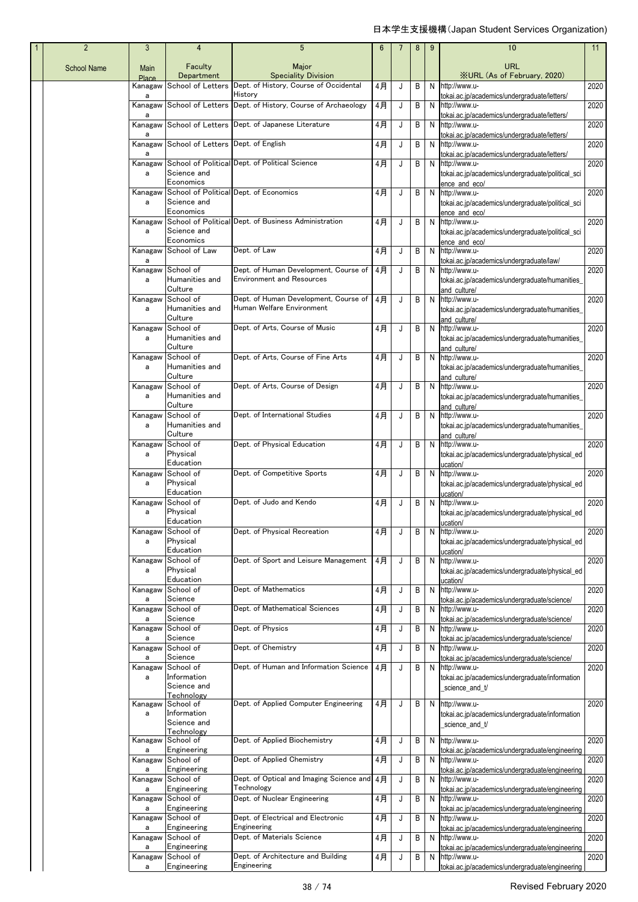| $\mathbf{1}$ | $\overline{2}$     | $\mathbf{3}$     | 4                                  | 5                                                                                      | 6  |   | 8 | 9 | 10                                                                 | 11   |
|--------------|--------------------|------------------|------------------------------------|----------------------------------------------------------------------------------------|----|---|---|---|--------------------------------------------------------------------|------|
|              | <b>School Name</b> | Main             | Faculty                            | Major                                                                                  |    |   |   |   | URL                                                                |      |
|              |                    | Place<br>Kanagaw | Department                         | <b>Speciality Division</b><br>School of Letters Dept. of History, Course of Occidental | 4月 | J | В |   | <b>XURL (As of February, 2020)</b><br>N http://www.u-              | 2020 |
|              |                    | а                |                                    | History                                                                                |    |   |   |   | tokai.ac.jp/academics/undergraduate/letters/                       |      |
|              |                    | Kanagaw          |                                    | School of Letters Dept. of History, Course of Archaeology                              | 4月 | J | B |   | N http://www.u-                                                    | 2020 |
|              |                    | a<br>Kanagaw     |                                    | School of Letters Dept. of Japanese Literature                                         | 4月 | J | В |   | tokai.ac.jp/academics/undergraduate/letters/<br>N http://www.u-    | 2020 |
|              |                    | a                |                                    |                                                                                        |    |   |   |   | tokai.ac.jp/academics/undergraduate/letters/                       |      |
|              |                    | Kanagaw<br>a     | School of Letters Dept. of English |                                                                                        | 4月 | J | В |   | N http://www.u-<br>tokai.ac.jp/academics/undergraduate/letters/    | 2020 |
|              |                    | Kanagaw          |                                    | School of Political Dept. of Political Science                                         | 4月 | J | В |   | N http://www.u-                                                    | 2020 |
|              |                    | a                | Science and<br>Economics           |                                                                                        |    |   |   |   | tokai.ac.jp/academics/undergraduate/political_sci<br>ence and eco/ |      |
|              |                    | Kanagaw          |                                    | School of Political Dept. of Economics                                                 | 4月 | J | В |   | N http://www.u-                                                    | 2020 |
|              |                    | a                | Science and<br>Economics           |                                                                                        |    |   |   |   | tokai.ac.jp/academics/undergraduate/political_sci<br>ence and eco/ |      |
|              |                    | Kanagaw          |                                    | School of Political Dept. of Business Administration                                   | 4月 | J | В |   | N http://www.u-                                                    | 2020 |
|              |                    | a                | Science and<br>Economics           |                                                                                        |    |   |   |   | tokai.ac.jp/academics/undergraduate/political_sci<br>ence and eco/ |      |
|              |                    | Kanagaw          | School of Law                      | Dept. of Law                                                                           | 4月 | J | В |   | N http://www.u-                                                    | 2020 |
|              |                    | a<br>Kanagaw     | School of                          | Dept. of Human Development, Course of                                                  | 4月 | J | В |   | tokai.ac.jp/academics/undergraduate/law/<br>N http://www.u-        | 2020 |
|              |                    | a                | Humanities and                     | <b>Environment and Resources</b>                                                       |    |   |   |   | tokai.ac.jp/academics/undergraduate/humanities_                    |      |
|              |                    | Kanagaw          | Culture<br>School of               | Dept. of Human Development, Course of                                                  | 4月 | J | B |   | and culture/<br>N http://www.u-                                    | 2020 |
|              |                    | a                | Humanities and                     | Human Welfare Environment                                                              |    |   |   |   | tokai.ac.jp/academics/undergraduate/humanities_                    |      |
|              |                    | Kanagaw          | Culture<br>School of               | Dept. of Arts, Course of Music                                                         | 4月 | J | В |   | and culture/<br>N http://www.u-                                    | 2020 |
|              |                    | a                | Humanities and                     |                                                                                        |    |   |   |   | tokai.ac.jp/academics/undergraduate/humanities_                    |      |
|              |                    | Kanagaw          | Culture<br>School of               | Dept. of Arts, Course of Fine Arts                                                     | 4月 | J | B |   | and culture/<br>N http://www.u-                                    | 2020 |
|              |                    | a                | Humanities and                     |                                                                                        |    |   |   |   | tokai.ac.jp/academics/undergraduate/humanities_                    |      |
|              |                    | Kanagaw          | Culture<br>School of               | Dept. of Arts, Course of Design                                                        | 4月 | J | B |   | and culture/<br>N http://www.u-                                    | 2020 |
|              |                    | a                | Humanities and                     |                                                                                        |    |   |   |   | tokai.ac.jp/academics/undergraduate/humanities_                    |      |
|              |                    | Kanagaw          | Culture<br>School of               | Dept. of International Studies                                                         | 4月 | J | В |   | and culture/<br>N http://www.u-                                    | 2020 |
|              |                    | a                | Humanities and                     |                                                                                        |    |   |   |   | tokai.ac.jp/academics/undergraduate/humanities_                    |      |
|              |                    | Kanagaw          | Culture<br>School of               | Dept. of Physical Education                                                            | 4月 | J | В |   | and culture/<br>N http://www.u-                                    | 2020 |
|              |                    | a                | Physical                           |                                                                                        |    |   |   |   | tokai.ac.jp/academics/undergraduate/physical_ed                    |      |
|              |                    | Kanagaw          | Education<br>School of             | Dept. of Competitive Sports                                                            | 4月 | J | B |   | ucation/<br>N http://www.u-                                        | 2020 |
|              |                    | a                | Physical<br>Education              |                                                                                        |    |   |   |   | tokai.ac.jp/academics/undergraduate/physical ed                    |      |
|              |                    | Kanagaw          | School of                          | Dept. of Judo and Kendo                                                                | 4月 | J | В |   | ucation/<br>N http://www.u-                                        | 2020 |
|              |                    | a                | Physical<br>Education              |                                                                                        |    |   |   |   | tokai.ac.jp/academics/undergraduate/physical ed                    |      |
|              |                    | Kanagaw          | School of                          | Dept. of Physical Recreation                                                           | 4月 |   | B |   | ucation/<br>N http://www.u-                                        | 2020 |
|              |                    | a                | Physical<br>Education              |                                                                                        |    |   |   |   | tokai.ac.jp/academics/undergraduate/physical ed<br>ucation/        |      |
|              |                    | Kanagaw          | School of                          | Dept. of Sport and Leisure Management                                                  | 4月 | J | В |   | N http://www.u-                                                    | 2020 |
|              |                    | a                | Physical<br>Education              |                                                                                        |    |   |   |   | tokai.ac.jp/academics/undergraduate/physical_ed                    |      |
|              |                    | Kanagaw          | School of                          | Dept. of Mathematics                                                                   | 4月 | J | B |   | ucation/<br>N http://www.u-                                        | 2020 |
|              |                    | a<br>Kanagaw     | Science<br>School of               | Dept. of Mathematical Sciences                                                         | 4月 | J | В |   | tokai.ac.jp/academics/undergraduate/science/<br>N http://www.u-    | 2020 |
|              |                    | а                | Science                            |                                                                                        |    |   |   |   | tokai.ac.jp/academics/undergraduate/science/                       |      |
|              |                    | Kanagaw<br>а     | School of<br>Science               | Dept. of Physics                                                                       | 4月 | J | В | N | http://www.u-<br>tokai.ac.jp/academics/undergraduate/science/      | 2020 |
|              |                    | Kanagaw          | School of                          | Dept. of Chemistry                                                                     | 4月 | J | В |   | N http://www.u-                                                    | 2020 |
|              |                    | a<br>Kanagaw     | Science<br>School of               | Dept. of Human and Information Science                                                 | 4月 | J | В |   | tokai.ac.jp/academics/undergraduate/science/<br>N http://www.u-    | 2020 |
|              |                    | a                | Information                        |                                                                                        |    |   |   |   | tokai.ac.jp/academics/undergraduate/information                    |      |
|              |                    |                  | Science and<br>Technology          |                                                                                        |    |   |   |   | science_and_t/                                                     |      |
|              |                    | Kanagaw<br>a     | School of<br>Information           | Dept. of Applied Computer Engineering                                                  | 4月 | J | B |   | N http://www.u-                                                    | 2020 |
|              |                    |                  | Science and                        |                                                                                        |    |   |   |   | tokai.ac.jp/academics/undergraduate/information<br>science_and_t/  |      |
|              |                    | Kanagaw          | Technology<br>School of            | Dept. of Applied Biochemistry                                                          | 4月 | J | В |   | N http://www.u-                                                    | 2020 |
|              |                    | a                | Engineering                        |                                                                                        |    |   |   |   | tokai.ac.jp/academics/undergraduate/engineering                    |      |
|              |                    | Kanagaw<br>а     | School of<br>Engineering           | Dept. of Applied Chemistry                                                             | 4月 | J | В |   | N http://www.u-<br>tokai.ac.jp/academics/undergraduate/engineering | 2020 |
|              |                    | Kanagaw          | School of                          | Dept. of Optical and Imaging Science and                                               | 4月 | J | В |   | N http://www.u-                                                    | 2020 |
|              |                    | a<br>Kanagaw     | Engineering<br>School of           | Technology<br>Dept. of Nuclear Engineering                                             | 4月 | J | В |   | tokai.ac.jp/academics/undergraduate/engineering<br>N http://www.u- | 2020 |
|              |                    | a                | Engineering                        |                                                                                        |    |   |   |   | tokai.ac.jp/academics/undergraduate/engineering                    |      |
|              |                    | Kanagaw<br>a     | School of<br>Engineering           | Dept. of Electrical and Electronic<br>Engineering                                      | 4月 | J | В |   | N http://www.u-<br>tokai.ac.jp/academics/undergraduate/engineering | 2020 |
|              |                    | Kanagaw<br>а     | School of<br>Engineering           | Dept. of Materials Science                                                             | 4月 | J | В |   | N http://www.u-                                                    | 2020 |
|              |                    | Kanagaw          | School of                          | Dept. of Architecture and Building                                                     | 4月 | J | В |   | tokai.ac.jp/academics/undergraduate/engineering<br>N http://www.u- | 2020 |
|              |                    | a                | Engineering                        | Engineering                                                                            |    |   |   |   | tokai.ac.jp/academics/undergraduate/engineering                    |      |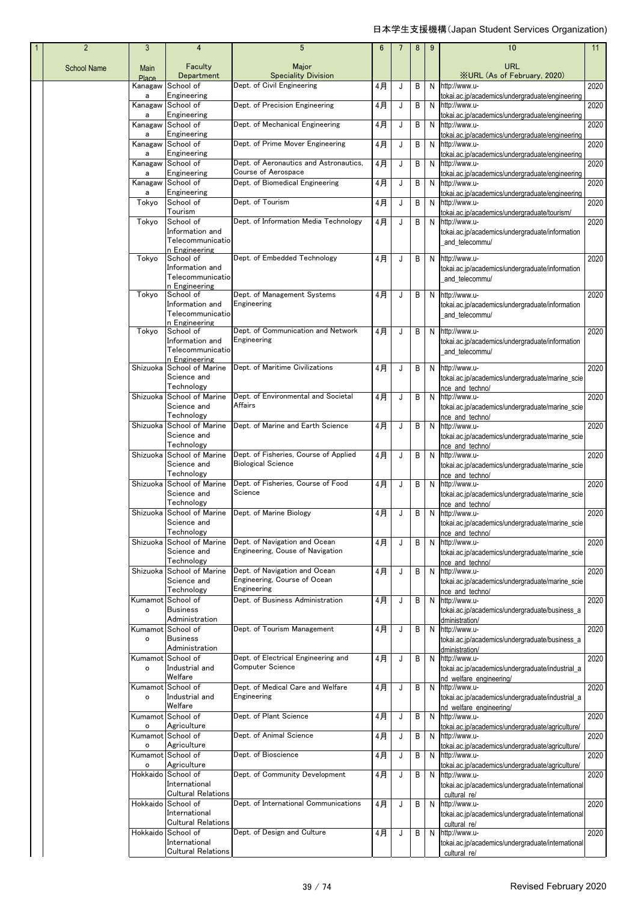| $\mathbf{1}$ | $\overline{2}$     | 3                  | 4                                               | 5                                                                  | 6  |   | 8 | 9 | 10                                                                          | 11   |
|--------------|--------------------|--------------------|-------------------------------------------------|--------------------------------------------------------------------|----|---|---|---|-----------------------------------------------------------------------------|------|
|              | <b>School Name</b> | Main<br>Place      | Faculty<br>Department                           | Major<br><b>Speciality Division</b>                                |    |   |   |   | <b>URL</b><br><b>XURL (As of February, 2020)</b>                            |      |
|              |                    | Kanagaw<br>a       | School of<br>Engineering                        | Dept. of Civil Engineering                                         | 4月 | J | В | N | http://www.u-<br>tokai.ac.jp/academics/undergraduate/engineering            | 2020 |
|              |                    | Kanagaw            | School of                                       | Dept. of Precision Engineering                                     | 4月 | J | В | N | http://www.u-                                                               | 2020 |
|              |                    | a<br>Kanagaw       | Engineering<br>School of                        | Dept. of Mechanical Engineering                                    | 4月 | J | В | N | tokai.ac.jp/academics/undergraduate/engineering<br>http://www.u-            | 2020 |
|              |                    | a<br>Kanagaw       | Engineering<br>School of                        | Dept. of Prime Mover Engineering                                   | 4月 | J | В | N | tokai.ac.jp/academics/undergraduate/engineering<br>http://www.u-            | 2020 |
|              |                    | a<br>Kanagaw       | Engineering<br>School of                        | Dept. of Aeronautics and Astronautics,                             | 4月 | J | B |   | tokai.ac.jp/academics/undergraduate/engineering<br>N http://www.u-          | 2020 |
|              |                    | a<br>Kanagaw       | Engineering<br>School of                        | Course of Aerospace<br>Dept. of Biomedical Engineering             | 4月 | J | B |   | tokai.ac.jp/academics/undergraduate/engineering<br>N http://www.u-          | 2020 |
|              |                    | a                  | Engineering                                     |                                                                    |    |   |   |   | tokai.ac.jp/academics/undergraduate/engineering                             |      |
|              |                    | Tokyo              | School of<br>Tourism                            | Dept. of Tourism                                                   | 4月 | J | В |   | N http://www.u-<br>tokai.ac.jp/academics/undergraduate/tourism/             | 2020 |
|              |                    | Tokyo              | School of<br>Information and                    | Dept. of Information Media Technology                              | 4月 | J | B |   | N http://www.u-<br>tokai.ac.jp/academics/undergraduate/information          | 2020 |
|              |                    |                    | Telecommunicatio<br>n Engineering               |                                                                    |    |   |   |   | and_telecommu/                                                              |      |
|              |                    | Tokyo              | School of<br>Information and                    | Dept. of Embedded Technology                                       | 4月 | J | В |   | N http://www.u-<br>tokai.ac.jp/academics/undergraduate/information          | 2020 |
|              |                    |                    | Telecommunicatio<br>n Engineering               |                                                                    |    |   |   |   | and_telecommu/                                                              |      |
|              |                    | Tokyo              | School of<br>Information and                    | Dept. of Management Systems<br>Engineering                         | 4月 | J | В | N | http://www.u-<br>tokai.ac.jp/academics/undergraduate/information            | 2020 |
|              |                    |                    | Telecommunicatio<br>n Engineering               |                                                                    |    |   |   |   | and_telecommu/                                                              |      |
|              |                    | Tokyo              | School of<br>Information and                    | Dept. of Communication and Network<br>Engineering                  | 4月 | J | B |   | N http://www.u-                                                             | 2020 |
|              |                    |                    | Telecommunicatio<br>n Engineering               |                                                                    |    |   |   |   | tokai.ac.jp/academics/undergraduate/information<br>and_telecommu/           |      |
|              |                    | Shizuoka           | School of Marine<br>Science and                 | Dept. of Maritime Civilizations                                    | 4月 | J | В |   | N http://www.u-<br>tokai.ac.jp/academics/undergraduate/marine_scie          | 2020 |
|              |                    | Shizuoka           | Technology<br>School of Marine                  | Dept. of Environmental and Societal                                | 4月 | J | В | N | nce and techno/<br>http://www.u-                                            | 2020 |
|              |                    |                    | Science and                                     | Affairs                                                            |    |   |   |   | tokai.ac.jp/academics/undergraduate/marine_scie                             |      |
|              |                    | Shizuoka           | Technology<br>School of Marine                  | Dept. of Marine and Earth Science                                  | 4月 | J | В |   | nce and techno/<br>N http://www.u-                                          | 2020 |
|              |                    |                    | Science and<br>Technology                       |                                                                    |    |   |   |   | tokai.ac.jp/academics/undergraduate/marine_scie<br>nce and techno/          |      |
|              |                    | Shizuoka           | School of Marine<br>Science and                 | Dept. of Fisheries, Course of Applied<br><b>Biological Science</b> | 4月 | J | B |   | N http://www.u-<br>tokai.ac.jp/academics/undergraduate/marine_scie          | 2020 |
|              |                    | Shizuoka           | Technology<br>School of Marine                  | Dept. of Fisheries, Course of Food                                 | 4月 | J | В |   | nce and techno/<br>N http://www.u-                                          | 2020 |
|              |                    |                    | Science and                                     | Science                                                            |    |   |   |   | tokai.ac.jp/academics/undergraduate/marine_scie                             |      |
|              |                    | Shizuoka           | Technology<br>School of Marine                  | Dept. of Marine Biology                                            | 4月 | J | B | N | nce and techno/<br>http://www.u-                                            | 2020 |
|              |                    |                    | Science and<br>Technology                       |                                                                    |    |   |   |   | tokai.ac.jp/academics/undergraduate/marine_scie<br>nce and techno/          |      |
|              |                    | Shizuoka           | School of Marine<br>Science and                 | Dept. of Navigation and Ocean<br>Engineering, Couse of Navigation  | 4月 | J | В |   | N http://www.u-<br>tokai.ac.jp/academics/undergraduate/marine_scie          | 2020 |
|              |                    | Shizuoka           | Technology<br>School of Marine                  | Dept. of Navigation and Ocean                                      | 4月 | J | B | N | nce and techno/<br>http://www.u-                                            | 2020 |
|              |                    |                    | Science and                                     | Engineering, Course of Ocean<br>Engineering                        |    |   |   |   | tokai.ac.jp/academics/undergraduate/marine_scie                             |      |
|              |                    | Kumamot            | Technology<br>School of                         | Dept. of Business Administration                                   | 4月 | J | В | N | nce and techno/<br>http://www.u-                                            | 2020 |
|              |                    | $\circ$            | <b>Business</b><br>Administration               |                                                                    |    |   |   |   | tokai.ac.jp/academics/undergraduate/business_a<br>dministration/            |      |
|              |                    | Kumamot<br>o       | School of<br><b>Business</b>                    | Dept. of Tourism Management                                        | 4月 | J | В |   | N http://www.u-<br>tokai.ac.jp/academics/undergraduate/business_a           | 2020 |
|              |                    |                    | Administration<br>Kumamot School of             | Dept. of Electrical Engineering and                                | 4月 | J | В |   | dministration/<br>N http://www.u-                                           | 2020 |
|              |                    | o                  | Industrial and<br>Welfare                       | <b>Computer Science</b>                                            |    |   |   |   | tokai.ac.jp/academics/undergraduate/industrial_a                            |      |
|              |                    | Kumamot            | School of                                       | Dept. of Medical Care and Welfare                                  | 4月 | J | B | N | nd welfare engineering/<br>http://www.u-                                    | 2020 |
|              |                    | $\circ$            | Industrial and<br>Welfare                       | Engineering                                                        |    |   |   |   | tokai.ac.jp/academics/undergraduate/industrial_a<br>nd welfare engineering/ |      |
|              |                    | Kumamot<br>o       | School of<br>Agriculture                        | Dept. of Plant Science                                             | 4月 | J | B |   | N http://www.u-<br>tokai.ac.jp/academics/undergraduate/agriculture/         | 2020 |
|              |                    | Kumamot<br>$\circ$ | School of<br>Agriculture                        | Dept. of Animal Science                                            | 4月 | J | B |   | N http://www.u-<br>tokai.ac.jp/academics/undergraduate/agriculture/         | 2020 |
|              |                    | Kumamot<br>o       | School of<br>Agriculture                        | Dept. of Bioscience                                                | 4月 | J | В | N | http://www.u-<br>tokai.ac.jp/academics/undergraduate/agriculture/           | 2020 |
|              |                    | Hokkaido           | School of<br>International                      | Dept. of Community Development                                     | 4月 | J | B |   | N http://www.u-                                                             | 2020 |
|              |                    |                    | <b>Cultural Relations</b>                       |                                                                    |    |   |   |   | tokai.ac.jp/academics/undergraduate/international<br>cultural re/           |      |
|              |                    | Hokkaido           | School of<br>International                      | Dept. of International Communications                              | 4月 | J | В |   | N http://www.u-<br>tokai.ac.jp/academics/undergraduate/international        | 2020 |
|              |                    |                    | <b>Cultural Relations</b><br>Hokkaido School of | Dept. of Design and Culture                                        | 4月 | J | B |   | cultural re/<br>N http://www.u-                                             | 2020 |
|              |                    |                    | International<br>Cultural Relations             |                                                                    |    |   |   |   | tokai.ac.jp/academics/undergraduate/international<br>cultural re/           |      |
|              |                    |                    |                                                 |                                                                    |    |   |   |   |                                                                             |      |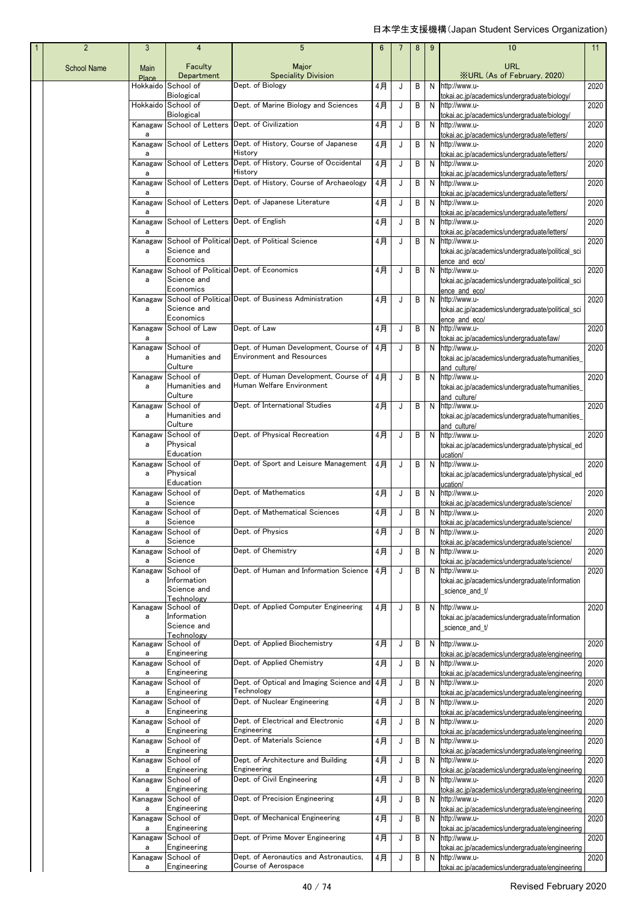| $\mathbf{1}$ | $\overline{2}$     | 3                 | 4                                               | 5                                                                         | $6\phantom{1}6$ |   | 8 | 9 | 10                                                                                                                    | 11   |
|--------------|--------------------|-------------------|-------------------------------------------------|---------------------------------------------------------------------------|-----------------|---|---|---|-----------------------------------------------------------------------------------------------------------------------|------|
|              | <b>School Name</b> | Main              | Faculty<br>Department                           | Major<br><b>Speciality Division</b>                                       |                 |   |   |   | URL<br><b>XURL (As of February, 2020)</b>                                                                             |      |
|              |                    | Place<br>Hokkaido | School of                                       | Dept. of Biology                                                          | 4月              | J | В |   | N http://www.u-                                                                                                       | 2020 |
|              |                    |                   | Biological<br>Hokkaido School of                | Dept. of Marine Biology and Sciences                                      | 4月              | J | В |   | tokai.ac.jp/academics/undergraduate/biology/<br>N http://www.u-                                                       | 2020 |
|              |                    | Kanagaw           | <b>Biological</b>                               | School of Letters Dept. of Civilization                                   | 4月              | J | B |   | tokai.ac.jp/academics/undergraduate/biology/<br>N http://www.u-                                                       | 2020 |
|              |                    | a<br>Kanagaw      |                                                 | School of Letters Dept. of History, Course of Japanese<br>History         | 4月              | J | В |   | tokai.ac.jp/academics/undergraduate/letters/<br>N http://www.u-                                                       | 2020 |
|              |                    | a<br>Kanagaw<br>a |                                                 | School of Letters Dept. of History, Course of Occidental<br>History       | 4月              | J | В |   | tokai.ac.jp/academics/undergraduate/letters/<br>N http://www.u-<br>tokai.ac.jp/academics/undergraduate/letters/       | 2020 |
|              |                    | Kanagaw           |                                                 | School of Letters Dept. of History, Course of Archaeology                 | 4月              | J | В |   | N http://www.u-                                                                                                       | 2020 |
|              |                    | a<br>Kanagaw<br>a |                                                 | School of Letters Dept. of Japanese Literature                            | 4月              | J | B |   | tokai.ac.jp/academics/undergraduate/letters/<br>N http://www.u-<br>tokai.ac.jp/academics/undergraduate/letters/       | 2020 |
|              |                    | Kanagaw<br>a      | School of Letters Dept. of English              |                                                                           | 4月              | J | B |   | N http://www.u-<br>tokai.ac.jp/academics/undergraduate/letters/                                                       | 2020 |
|              |                    | Kanagaw<br>a      | Science and<br>Economics                        | School of Political Dept. of Political Science                            | 4月              | J | B |   | N http://www.u-<br>tokai.ac.jp/academics/undergraduate/political_sci                                                  | 2020 |
|              |                    | Kanagaw<br>a      | Science and                                     | School of Political Dept. of Economics                                    | 4月              | J | B |   | ence and eco/<br>N http://www.u-<br>tokai.ac.jp/academics/undergraduate/political_sci                                 | 2020 |
|              |                    | Kanagaw<br>a      | Economics<br>Science and                        | School of Political Dept. of Business Administration                      | 4月              | J | В |   | ence and eco/<br>N http://www.u-<br>tokai.ac.jp/academics/undergraduate/political_sci                                 | 2020 |
|              |                    | Kanagaw           | Economics<br>School of Law                      | Dept. of Law                                                              | 4月              | J | B |   | ence and eco/<br>N http://www.u-                                                                                      | 2020 |
|              |                    | a<br>Kanagaw<br>a | School of<br>Humanities and                     | Dept. of Human Development, Course of<br><b>Environment and Resources</b> | 4月              | J | B |   | tokai.ac.jp/academics/undergraduate/law/<br>N http://www.u-<br>tokai.ac.jp/academics/undergraduate/humanities_        | 2020 |
|              |                    | Kanagaw<br>a      | Culture<br>School of<br>Humanities and          | Dept. of Human Development, Course of<br>Human Welfare Environment        | 4月              | J | B |   | and culture/<br>N http://www.u-<br>tokai.ac.jp/academics/undergraduate/humanities_                                    | 2020 |
|              |                    | Kanagaw           | Culture<br>School of                            | Dept. of International Studies                                            | 4月              | J | B |   | and culture/<br>N http://www.u-                                                                                       | 2020 |
|              |                    | a<br>Kanagaw      | Humanities and<br>Culture<br>School of          | Dept. of Physical Recreation                                              | 4月              | J | B |   | tokai.ac.jp/academics/undergraduate/humanities_<br>and culture/<br>N http://www.u-                                    | 2020 |
|              |                    | a                 | Physical<br>Education                           |                                                                           |                 |   |   |   | tokai.ac.jp/academics/undergraduate/physical_ed<br>ucation/                                                           |      |
|              |                    | Kanagaw<br>a      | School of<br>Physical<br>Education              | Dept. of Sport and Leisure Management                                     | 4月              | J | B |   | N http://www.u-<br>tokai.ac.jp/academics/undergraduate/physical_ed<br>ucation/                                        | 2020 |
|              |                    | Kanagaw<br>a      | School of<br>Science                            | Dept. of Mathematics                                                      | 4月              | J | B |   | N http://www.u-<br>tokai.ac.jp/academics/undergraduate/science/                                                       | 2020 |
|              |                    | а                 | Kanagaw School of<br>Science                    | Dept. of Mathematical Sciences                                            | 4月              | J | B | N | http://www.u-<br>tokaj.ac.ip/academics/undergraduate/science/                                                         | 2020 |
|              |                    | а                 | Kanagaw School of<br>Science                    | Dept. of Physics                                                          | 4月              | J | В | N | http://www.u-<br>tokai.ac.ip/academics/undergraduate/science/                                                         | 2020 |
|              |                    | Kanagaw<br>а      | School of<br>Science                            | Dept. of Chemistry                                                        | 4月              | J | B |   | N http://www.u-<br>tokai.ac.jp/academics/undergraduate/science/                                                       | 2020 |
|              |                    | Kanagaw           | School of                                       | Dept. of Human and Information Science                                    | 4月              | J | B |   | N http://www.u-                                                                                                       | 2020 |
|              |                    | a                 | Information<br>Science and<br><b>Technology</b> |                                                                           |                 |   |   |   | tokai.ac.jp/academics/undergraduate/information<br>science_and_t/                                                     |      |
|              |                    | Kanagaw<br>a      | School of<br>Information<br>Science and         | Dept. of Applied Computer Engineering                                     | 4月              | J | B |   | N http://www.u-<br>tokai.ac.jp/academics/undergraduate/information                                                    | 2020 |
|              |                    | Kanagaw           | Technology<br>School of                         | Dept. of Applied Biochemistry                                             | 4月              | J | B |   | science_and_t/<br>N http://www.u-                                                                                     | 2020 |
|              |                    | a<br>Kanagaw      | Engineering<br>School of                        | Dept. of Applied Chemistry                                                | 4月              | J | В |   | tokai.ac.jp/academics/undergraduate/engineering<br>N http://www.u-                                                    | 2020 |
|              |                    | а<br>Kanagaw      | Engineering<br>School of                        | Dept. of Optical and Imaging Science and                                  | 4月              | J | В |   | tokai.ac.jp/academics/undergraduate/engineering<br>N http://www.u-                                                    | 2020 |
|              |                    | a<br>Kanagaw      | Engineering<br>School of                        | Technology<br>Dept. of Nuclear Engineering                                | 4月              | J | В |   | tokai.ac.jp/academics/undergraduate/engineering<br>N http://www.u-                                                    | 2020 |
|              |                    | a<br>Kanagaw      | Engineering<br>School of                        | Dept. of Electrical and Electronic<br>Engineering                         | 4月              | J | В |   | tokai.ac.jp/academics/undergraduate/engineering<br>N http://www.u-                                                    | 2020 |
|              |                    | a<br>Kanagaw<br>a | Engineering<br>School of<br>Engineering         | Dept. of Materials Science                                                | 4月              | J | В |   | tokai.ac.jp/academics/undergraduate/engineering<br>N http://www.u-<br>tokai.ac.jp/academics/undergraduate/engineering | 2020 |
|              |                    | Kanagaw<br>a      | School of<br>Engineering                        | Dept. of Architecture and Building<br>Engineering                         | 4月              | J | В |   | N http://www.u-<br>tokai.ac.jp/academics/undergraduate/engineering                                                    | 2020 |
|              |                    | Kanagaw<br>a      | School of<br>Engineering                        | Dept. of Civil Engineering                                                | 4月              | J | В |   | N http://www.u-<br>tokai.ac.jp/academics/undergraduate/engineering                                                    | 2020 |
|              |                    | Kanagaw<br>a      | School of<br>Engineering                        | Dept. of Precision Engineering                                            | 4月              | J | В |   | N http://www.u-<br>tokai.ac.jp/academics/undergraduate/engineering                                                    | 2020 |
|              |                    | Kanagaw<br>a      | School of<br>Engineering                        | Dept. of Mechanical Engineering                                           | 4月              | J | В |   | N http://www.u-<br>tokai.ac.jp/academics/undergraduate/engineering                                                    | 2020 |
|              |                    | Kanagaw<br>a      | School of<br>Engineering                        | Dept. of Prime Mover Engineering                                          | 4月              | J | В |   | N http://www.u-<br>tokai.ac.jp/academics/undergraduate/engineering                                                    | 2020 |
|              |                    | Kanagaw<br>a      | School of<br>Engineering                        | Dept. of Aeronautics and Astronautics,<br>Course of Aerospace             | 4月              | J | В |   | N http://www.u-<br>tokai.ac.jp/academics/undergraduate/engineering                                                    | 2020 |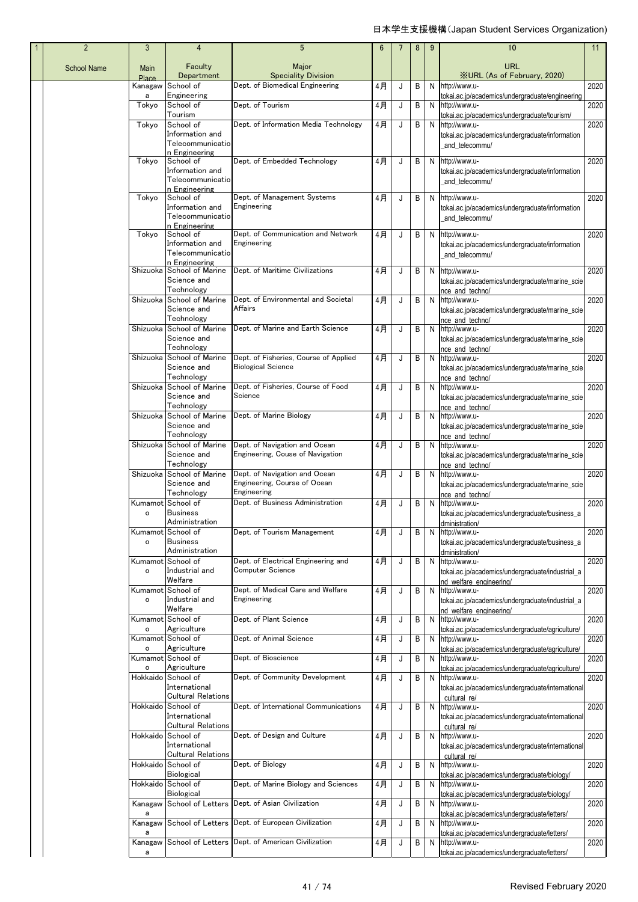| $\mathbf{1}$ | $\overline{2}$     | 3                         | 4                                          | 5                                                       | $6\phantom{1}6$ |             | 8 | 9 | 10                                                                          | 11   |
|--------------|--------------------|---------------------------|--------------------------------------------|---------------------------------------------------------|-----------------|-------------|---|---|-----------------------------------------------------------------------------|------|
|              | <b>School Name</b> | Main<br>Place             | Faculty<br>Department                      | Major<br><b>Speciality Division</b>                     |                 |             |   |   | URL<br><b>XURL (As of February, 2020)</b>                                   |      |
|              |                    | Kanagaw                   | School of                                  | Dept. of Biomedical Engineering                         | 4月              | J           | В | N | http://www.u-                                                               | 2020 |
|              |                    | a                         | Engineering                                | Dept. of Tourism                                        |                 |             |   |   | tokai.ac.jp/academics/undergraduate/engineering                             |      |
|              |                    | Tokyo                     | School of<br>Tourism                       |                                                         | 4月              | J           | В | N | http://www.u-<br>tokai.ac.jp/academics/undergraduate/tourism/               | 2020 |
|              |                    | Tokyo                     | School of                                  | Dept. of Information Media Technology                   | 4月              | J           | В | N | http://www.u-                                                               | 2020 |
|              |                    |                           | Information and<br>Telecommunicatio        |                                                         |                 |             |   |   | tokai.ac.jp/academics/undergraduate/information                             |      |
|              |                    |                           | n Engineering                              |                                                         |                 |             |   |   | and_telecommu/                                                              |      |
|              |                    | Tokyo                     | School of                                  | Dept. of Embedded Technology                            | 4月              | J           | В | N | http://www.u-                                                               | 2020 |
|              |                    |                           | Information and<br>Telecommunicatio        |                                                         |                 |             |   |   | tokai.ac.jp/academics/undergraduate/information<br>and telecommu/           |      |
|              |                    |                           | n Engineering                              |                                                         |                 |             |   |   |                                                                             |      |
|              |                    | Tokyo                     | School of<br>Information and               | Dept. of Management Systems<br>Engineering              | 4月              | J           | В | N | http://www.u-<br>tokai.ac.jp/academics/undergraduate/information            | 2020 |
|              |                    |                           | Telecommunicatio                           |                                                         |                 |             |   |   | and_telecommu/                                                              |      |
|              |                    | Tokyo                     | n Engineering<br>School of                 | Dept. of Communication and Network                      | 4月              | J           | В | N | http://www.u-                                                               | 2020 |
|              |                    |                           | Information and                            | Engineering                                             |                 |             |   |   | tokai.ac.jp/academics/undergraduate/information                             |      |
|              |                    |                           | Telecommunicatio<br>n Engineering          |                                                         |                 |             |   |   | and_telecommu/                                                              |      |
|              |                    | Shizuoka                  | School of Marine                           | Dept. of Maritime Civilizations                         | 4月              | J           | В | N | http://www.u-                                                               | 2020 |
|              |                    |                           | Science and<br>Technology                  |                                                         |                 |             |   |   | tokai.ac.jp/academics/undergraduate/marine_scie<br>nce and technol          |      |
|              |                    | Shizuoka                  | School of Marine                           | Dept. of Environmental and Societal                     | 4月              | J           | В | N | http://www.u-                                                               | 2020 |
|              |                    |                           | Science and<br>Technology                  | Affairs                                                 |                 |             |   |   | tokai.ac.jp/academics/undergraduate/marine_scie<br>nce and techno/          |      |
|              |                    | Shizuoka                  | School of Marine                           | Dept. of Marine and Earth Science                       | 4月              | J           | В | N | http://www.u-                                                               | 2020 |
|              |                    |                           | Science and<br>Technology                  |                                                         |                 |             |   |   | tokai.ac.jp/academics/undergraduate/marine_scie<br>nce and techno/          |      |
|              |                    | Shizuoka                  | School of Marine                           | Dept. of Fisheries, Course of Applied                   | 4月              | J           | В | N | http://www.u-                                                               | 2020 |
|              |                    |                           | Science and<br>Technology                  | <b>Biological Science</b>                               |                 |             |   |   | tokai.ac.jp/academics/undergraduate/marine_scie                             |      |
|              |                    | Shizuoka                  | School of Marine                           | Dept. of Fisheries, Course of Food                      | 4月              | J           | В | N | nce and techno/<br>http://www.u-                                            | 2020 |
|              |                    |                           | Science and                                | Science                                                 |                 |             |   |   | tokai.ac.jp/academics/undergraduate/marine_scie                             |      |
|              |                    | Shizuoka                  | Technology<br>School of Marine             | Dept. of Marine Biology                                 | 4月              | J           | В | N | nce and techno/<br>http://www.u-                                            | 2020 |
|              |                    |                           | Science and                                |                                                         |                 |             |   |   | tokai.ac.jp/academics/undergraduate/marine_scie                             |      |
|              |                    | Shizuoka                  | Technology<br>School of Marine             | Dept. of Navigation and Ocean                           | 4月              | J           | В | N | nce and techno/<br>http://www.u-                                            | 2020 |
|              |                    |                           | Science and                                | Engineering, Couse of Navigation                        |                 |             |   |   | tokai.ac.jp/academics/undergraduate/marine_scie                             |      |
|              |                    | Shizuoka                  | Technology<br>School of Marine             | Dept. of Navigation and Ocean                           | 4月              | J           | B | N | nce and techno/<br>http://www.u-                                            | 2020 |
|              |                    |                           | Science and                                | Engineering, Course of Ocean                            |                 |             |   |   | tokai.ac.jp/academics/undergraduate/marine_scie                             |      |
|              |                    |                           | Technology                                 | Engineering                                             |                 |             |   |   | nce and techno/                                                             |      |
|              |                    | Kumamot<br>$\circ$        | School of<br><b>Business</b>               | Dept. of Business Administration                        | 4月              | J           | В | N | http://www.u-<br>tokai.ac.jp/academics/undergraduate/business_a             | 2020 |
|              |                    |                           | Administration                             |                                                         |                 |             |   |   | dministration/                                                              |      |
|              |                    | $\mathsf{o}\,$            | Kumamot School of<br><b>Business</b>       | Dept. of Tourism Management                             | 4月              | J           | B | N | http://www.u-<br>tokai.ac.jp/academics/undergraduate/business_a             | 2020 |
|              |                    |                           | Administration                             |                                                         |                 |             |   |   | dministration/                                                              |      |
|              |                    | Kumamot<br>$\mathsf{o}\,$ | School of<br>Industrial and                | Dept. of Electrical Engineering and<br>Computer Science | 4月              | J           | В | N | http://www.u-<br>tokai.ac.jp/academics/undergraduate/industrial_a           | 2020 |
|              |                    |                           | Welfare                                    |                                                         |                 |             |   |   | nd welfare engineering/                                                     |      |
|              |                    | Kumamot<br>$\mathsf{o}\,$ | School of<br>Industrial and                | Dept. of Medical Care and Welfare<br>Engineering        | 4月              | J           | В | N | http://www.u-                                                               | 2020 |
|              |                    |                           | Welfare                                    |                                                         |                 |             |   |   | tokai.ac.jp/academics/undergraduate/industrial_a<br>nd welfare engineering/ |      |
|              |                    |                           | Kumamot School of                          | Dept. of Plant Science                                  | 4月              | J           | В | N | http://www.u-                                                               | 2020 |
|              |                    | $\mathsf{o}\,$<br>Kumamot | Agriculture<br>School of                   | Dept. of Animal Science                                 | 4月              | J           | В | N | tokai.ac.jp/academics/undergraduate/agriculture/<br>http://www.u-           | 2020 |
|              |                    | $\circ$                   | Agriculture                                |                                                         |                 |             |   |   | tokai.ac.jp/academics/undergraduate/agriculture/                            |      |
|              |                    | o                         | Kumamot School of<br>Agriculture           | Dept. of Bioscience                                     | 4月              | J           | В | N | http://www.u-<br>tokai.ac.jp/academics/undergraduate/agriculture/           | 2020 |
|              |                    | Hokkaido                  | School of                                  | Dept. of Community Development                          | 4月              | J           | B | N | http://www.u-                                                               | 2020 |
|              |                    |                           | International<br><b>Cultural Relations</b> |                                                         |                 |             |   |   | tokai.ac.jp/academics/undergraduate/international<br>cultural re/           |      |
|              |                    | Hokkaido                  | School of                                  | Dept. of International Communications                   | 4月              | J           | В | N | http://www.u-                                                               | 2020 |
|              |                    |                           | International<br><b>Cultural Relations</b> |                                                         |                 |             |   |   | tokai.ac.jp/academics/undergraduate/international<br>cultural re/           |      |
|              |                    | Hokkaido                  | School of                                  | Dept. of Design and Culture                             | 4月              | J           | В | N | http://www.u-                                                               | 2020 |
|              |                    |                           | International<br><b>Cultural Relations</b> |                                                         |                 |             |   |   | tokai.ac.jp/academics/undergraduate/international<br>cultural re/           |      |
|              |                    | Hokkaido                  | School of                                  | Dept. of Biology                                        | 4月              | $\mathsf J$ | В | N | http://www.u-                                                               | 2020 |
|              |                    | Hokkaido                  | Biological<br>School of                    | Dept. of Marine Biology and Sciences                    | 4月              | J           | В | N | lokai.ac.jp/academics/undergraduate/biology/<br>http://www.u-               | 2020 |
|              |                    |                           | <b>Biological</b>                          |                                                         |                 |             |   |   | lokai.ac.jp/academics/undergraduate/biology/                                |      |
|              |                    | Kanagaw<br>а              |                                            | School of Letters Dept. of Asian Civilization           | 4月              | J           | В | N | http://www.u-                                                               | 2020 |
|              |                    | Kanagaw                   |                                            | School of Letters Dept. of European Civilization        | 4月              | J           | В | N | tokai.ac.jp/academics/undergraduate/letters/<br>http://www.u-               | 2020 |
|              |                    | a                         |                                            |                                                         |                 |             |   |   | tokai.ac.jp/academics/undergraduate/letters/                                |      |
|              |                    | Kanagaw                   |                                            | School of Letters Dept. of American Civilization        | 4月              | J           | В | N | http://www.u-<br>tokai.ac.jp/academics/undergraduate/letters/               | 2020 |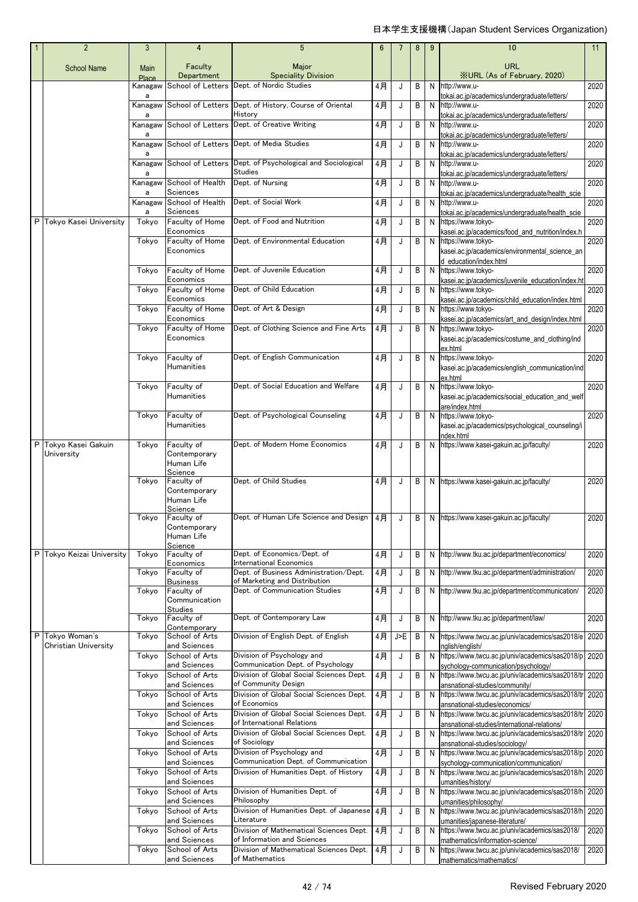| $\overline{2}$                          | 3                       | $\overline{4}$                  | 5                                                                               | $6\phantom{1}$ |     | 8 | 9 | 10                                                                                               | 11   |
|-----------------------------------------|-------------------------|---------------------------------|---------------------------------------------------------------------------------|----------------|-----|---|---|--------------------------------------------------------------------------------------------------|------|
| <b>School Name</b>                      | Main                    | Faculty                         | Major                                                                           |                |     |   |   | <b>URL</b>                                                                                       |      |
|                                         | <b>Place</b><br>Kanagaw | Department                      | <b>Speciality Division</b><br>School of Letters Dept. of Nordic Studies         | 4月             | J   | В | N | <b>XURL (As of February, 2020)</b><br>http://www.u-                                              | 2020 |
|                                         | a                       |                                 | School of Letters Dept. of History, Course of Oriental                          | 4月             | J   | В | N | tokai.ac.jp/academics/undergraduate/letters/                                                     | 2020 |
|                                         | Kanagaw<br>a            |                                 | History                                                                         |                |     |   |   | http://www.u-<br>tokai.ac.jp/academics/undergraduate/letters/                                    |      |
|                                         | Kanagaw<br>a            | School of Letters               | Dept. of Creative Writing                                                       | 4月             | J   | В | N | http://www.u-<br>tokai.ac.jp/academics/undergraduate/letters/                                    | 2020 |
|                                         | Kanagaw                 |                                 | School of Letters Dept. of Media Studies                                        | 4月             | J   | В | N | http://www.u-                                                                                    | 2020 |
|                                         | a                       |                                 | Kanagaw School of Letters Dept. of Psychological and Sociological               | 4月             | J   | В | N | tokai.ac.jp/academics/undergraduate/letters/<br>http://www.u-                                    | 2020 |
|                                         | a                       | Kanagaw School of Health        | <b>Studies</b><br>Dept. of Nursing                                              | 4月             | J   | В | N | tokai.ac.jp/academics/undergraduate/letters/<br>http://www.u-                                    | 2020 |
|                                         | a                       | Sciences                        |                                                                                 |                |     |   |   | tokai.ac.jp/academics/undergraduate/health_scie                                                  |      |
|                                         | Kanagaw<br>a            | School of Health<br>Sciences    | Dept. of Social Work                                                            | 4月             | J   | В | N | http://www.u-<br>tokai.ac.jp/academics/undergraduate/health_scie                                 | 2020 |
| P Tokyo Kasei University                | Tokyo                   | Faculty of Home<br>Economics    | Dept. of Food and Nutrition                                                     | 4月             | J   | В | N | https://www.tokyo-                                                                               | 2020 |
|                                         | Tokyo                   | Faculty of Home                 | Dept. of Environmental Education                                                | 4月             | J   | В | N | kasei.ac.jp/academics/food_and_nutrition/index.h<br>https://www.tokyo-                           | 2020 |
|                                         |                         | Economics                       |                                                                                 |                |     |   |   | kasei.ac.jp/academics/environmental_science_an<br>d education/index.html                         |      |
|                                         | Tokyo                   | Faculty of Home                 | Dept. of Juvenile Education                                                     | 4月             | J   | В | N | https://www.tokyo-                                                                               | 2020 |
|                                         | Tokyo                   | Economics<br>Faculty of Home    | Dept. of Child Education                                                        | 4月             | J   | В | N | kasei.ac.jp/academics/juvenile_education/index.ht<br>https://www.tokvo-                          | 2020 |
|                                         | Tokyo                   | Economics<br>Faculty of Home    | Dept. of Art & Design                                                           | 4月             | J   | В | N | kasei.ac.jp/academics/child_education/index.html<br>https://www.tokyo-                           | 2020 |
|                                         |                         | Economics                       |                                                                                 |                |     |   |   | kasei.ac.jp/academics/art_and_design/index.html                                                  |      |
|                                         | Tokyo                   | Faculty of Home<br>Economics    | Dept. of Clothing Science and Fine Arts                                         | 4月             | J   | В | N | https://www.tokyo-<br>kasei.ac.jp/academics/costume and clothing/ind                             | 2020 |
|                                         | Tokyo                   | Faculty of                      | Dept. of English Communication                                                  | 4月             | J   | В | N | ex.html<br>https://www.tokyo-                                                                    | 2020 |
|                                         |                         | Humanities                      |                                                                                 |                |     |   |   | kasei.ac.jp/academics/english_communication/ind                                                  |      |
|                                         | Tokyo                   | Faculty of                      | Dept. of Social Education and Welfare                                           | 4月             | J   | В | N | ex.html<br>https://www.tokyo-                                                                    | 2020 |
|                                         |                         | Humanities                      |                                                                                 |                |     |   |   | kasei.ac.jp/academics/social_education_and_welf                                                  |      |
|                                         | Tokyo                   | Faculty of                      | Dept. of Psychological Counseling                                               | 4月             | J   | В | N | are/index.html<br>https://www.tokyo-                                                             | 2020 |
|                                         |                         | Humanities                      |                                                                                 |                |     |   |   | kasei.ac.jp/academics/psychological_counseling/i<br>ndex.html                                    |      |
| P Tokyo Kasei Gakuin                    | Tokyo                   | Faculty of                      | Dept. of Modern Home Economics                                                  | 4月             | J   | B | N | https://www.kasei-gakuin.ac.jp/faculty/                                                          | 2020 |
| University                              |                         | Contemporary<br>Human Life      |                                                                                 |                |     |   |   |                                                                                                  |      |
|                                         | Tokyo                   | Science<br>Faculty of           | Dept. of Child Studies                                                          | 4月             | J   | В |   | N https://www.kasei-gakuin.ac.jp/faculty/                                                        | 2020 |
|                                         |                         | Contemporary<br>Human Life      |                                                                                 |                |     |   |   |                                                                                                  |      |
|                                         |                         | Science                         |                                                                                 |                |     |   |   |                                                                                                  |      |
|                                         | Tokyo                   | Faculty of<br>Contemporary      | Dept. of Human Life Science and Design   4月                                     |                | J   | В | N | https://www.kasei-gakuin.ac.ip/faculty/                                                          | 2020 |
|                                         |                         | Human Life<br>Science           |                                                                                 |                |     |   |   |                                                                                                  |      |
| P Tokyo Keizai University               | Tokyo                   | Faculty of<br>Economics         | Dept. of Economics/Dept. of<br><b>International Economics</b>                   | 4月             | J   | В |   | N http://www.tku.ac.jp/department/economics/                                                     | 2020 |
|                                         | Tokyo                   | Faculty of                      | Dept. of Business Administration/Dept.                                          | 4月             | J   | В | N | http://www.tku.ac.jp/department/administration/                                                  | 2020 |
|                                         | Tokyo                   | <b>Business</b><br>Faculty of   | of Marketing and Distribution<br>Dept. of Communication Studies                 | 4月             | J   | В | N | http://www.tku.ac.jp/department/communication/                                                   | 2020 |
|                                         |                         | Communication<br><b>Studies</b> |                                                                                 |                |     |   |   |                                                                                                  |      |
|                                         | Tokyo                   | Faculty of<br>Contemporary      | Dept. of Contemporary Law                                                       | 4月             | J   | В |   | N http://www.tku.ac.jp/department/law/                                                           | 2020 |
| P Tokyo Woman's<br>Christian University | Tokyo                   | School of Arts<br>and Sciences  | Division of English Dept. of English                                            | 4月             | J>E | В | N | https://www.twcu.ac.jp/univ/academics/sas2018/e                                                  | 2020 |
|                                         | Tokyo                   | School of Arts                  | Division of Psychology and                                                      | 4月             | J   | В | N | nglish/english/<br>https://www.twcu.ac.jp/univ/academics/sas2018/p                               | 2020 |
|                                         | Tokyo                   | and Sciences<br>School of Arts  | Communication Dept. of Psychology<br>Division of Global Social Sciences Dept.   | 4月             | J   | В | N | sychology-communication/psychology/<br>https://www.twcu.ac.jp/univ/academics/sas2018/tr          | 2020 |
|                                         |                         | and Sciences                    | of Community Design                                                             |                |     |   |   | ansnational-studies/community/                                                                   |      |
|                                         | Tokyo                   | School of Arts<br>and Sciences  | Division of Global Social Sciences Dept.<br>of Economics                        | 4月             | J   | В | N | https://www.twcu.ac.jp/univ/academics/sas2018/tr<br>ansnational-studies/economics/               | 2020 |
|                                         | Tokyo                   | School of Arts<br>and Sciences  | Division of Global Social Sciences Dept.<br>of International Relations          | 4月             | J   | В | N | https://www.twcu.ac.jp/univ/academics/sas2018/tr<br>ansnational-studies/international-relations/ | 2020 |
|                                         | Tokyo                   | School of Arts                  | Division of Global Social Sciences Dept.                                        | 4月             | J   | В | N | https://www.twcu.ac.jp/univ/academics/sas2018/tr                                                 | 2020 |
|                                         | Tokyo                   | and Sciences<br>School of Arts  | of Sociology<br>Division of Psychology and                                      | 4月             | J   | В | N | ansnational-studies/sociology/<br>https://www.twcu.ac.jp/univ/academics/sas2018/p                | 2020 |
|                                         | Tokyo                   | and Sciences<br>School of Arts  | Communication Dept. of Communication<br>Division of Humanities Dept. of History | 4月             | J   | В | N | sychology-communication/communication/<br>https://www.twcu.ac.jp/univ/academics/sas2018/h        | 2020 |
|                                         |                         | and Sciences                    |                                                                                 |                |     |   |   | umanities/history/                                                                               |      |
|                                         | Tokyo                   | School of Arts<br>and Sciences  | Division of Humanities Dept. of<br>Philosophy                                   | 4月             | J   | В | N | https://www.twcu.ac.jp/univ/academics/sas2018/h<br>umanities/philosophy/                         | 2020 |
|                                         | Tokyo                   | School of Arts<br>and Sciences  | Division of Humanities Dept. of Japanese<br>Literature                          | 4月             | J   | В | N | https://www.twcu.ac.jp/univ/academics/sas2018/h                                                  | 2020 |
|                                         | Tokyo                   | School of Arts                  | Division of Mathematical Sciences Dept.                                         | 4月             | J   | В | N | umanities/japanese-literature/<br>https://www.twcu.ac.jp/univ/academics/sas2018/                 | 2020 |
|                                         | Tokyo                   | and Sciences<br>School of Arts  | of Information and Sciences<br>Division of Mathematical Sciences Dept.          | 4月             | J   | В | N | mathematics/information-science/<br>https://www.twcu.ac.jp/univ/academics/sas2018/               | 2020 |
|                                         |                         | and Sciences                    | of Mathematics                                                                  |                |     |   |   | mathematics/mathematics/                                                                         |      |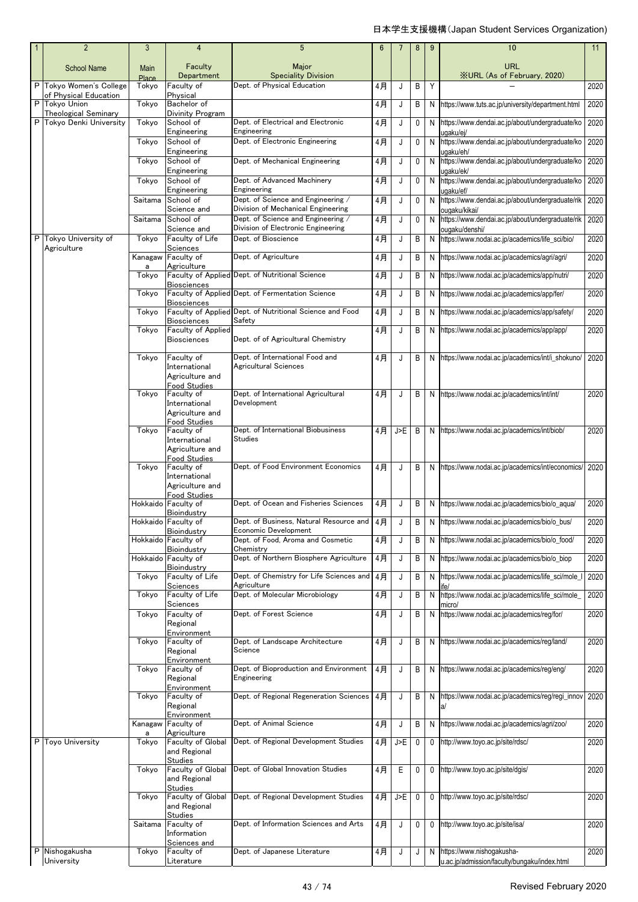|  | $\overline{2}$                                   | 3                    | 4                                          | $5\phantom{.0}$                                                          | 6   | 7   | 8         | 9 | 10                                                                  | 11   |
|--|--------------------------------------------------|----------------------|--------------------------------------------|--------------------------------------------------------------------------|-----|-----|-----------|---|---------------------------------------------------------------------|------|
|  | <b>School Name</b>                               | Main<br><b>Place</b> | Faculty<br>Department                      | Major<br><b>Speciality Division</b>                                      |     |     |           |   | <b>URL</b><br><b>XURL (As of February, 2020)</b>                    |      |
|  | P Tokyo Women's College<br>of Physical Education | Tokyo                | Faculty of<br>Physical                     | Dept. of Physical Education                                              | 4月  | J   | B         | Y |                                                                     | 2020 |
|  | P Tokvo Union<br><b>Theological Seminary</b>     | Tokyo                | Bachelor of<br>Divinity Program            |                                                                          | 4月  | J   | B         |   | N https://www.tuts.ac.jp/university/department.html                 | 2020 |
|  | Tokvo Denki University                           | Tokyo                | School of<br>Engineering                   | Dept. of Electrical and Electronic<br>Engineering                        | 4月  | J   | 0         |   | N https://www.dendai.ac.jp/about/undergraduate/ko<br>uqaku/ej/      | 2020 |
|  |                                                  | Tokyo                | School of<br>Engineering                   | Dept. of Electronic Engineering                                          | 4月  | J   | $\pmb{0}$ |   | N https://www.dendai.ac.jp/about/undergraduate/ko<br>ugaku/eh/      | 2020 |
|  |                                                  | Tokyo                | School of                                  | Dept. of Mechanical Engineering                                          | 4月  | J   | $\pmb{0}$ | N | https://www.dendai.ac.jp/about/undergraduate/ko                     | 2020 |
|  |                                                  | Tokyo                | Engineering<br>School of                   | Dept. of Advanced Machinery                                              | 4月  | J   | 0         | N | uqaku/ek/<br>https://www.dendai.ac.jp/about/undergraduate/ko        | 2020 |
|  |                                                  | Saitama              | Engineering<br>School of                   | Engineering<br>Dept. of Science and Engineering /                        | 4月  | J   | 0         | N | uqaku/ef/<br>https://www.dendai.ac.jp/about/undergraduate/rik       | 2020 |
|  |                                                  | Saitama              | Science and<br>School of                   | Division of Mechanical Engineering<br>Dept. of Science and Engineering / | 4月  | J   | 0         |   | ouqaku/kikai/<br>N https://www.dendai.ac.jp/about/undergraduate/rik | 2020 |
|  | P Tokyo University of                            | Tokyo                | Science and<br>Faculty of Life             | Division of Electronic Engineering<br>Dept. of Bioscience                | 4月  | J   | B         |   | ougaku/denshi/<br>N https://www.nodai.ac.jp/academics/life_sci/bio/ | 2020 |
|  | Agriculture                                      | Kanagaw              | Sciences<br>Faculty of                     | Dept. of Agriculture                                                     | 4月  | J   | B         |   | N https://www.nodai.ac.jp/academics/agri/agri/                      | 2020 |
|  |                                                  | a                    | Agriculture                                |                                                                          |     |     |           |   |                                                                     |      |
|  |                                                  | Tokyo                | <b>Biosciences</b>                         | Faculty of Applied Dept. of Nutritional Science                          | 4月  | J   | B         | N | https://www.nodai.ac.jp/academics/app/nutri/                        | 2020 |
|  |                                                  | Tokyo                | <b>Biosciences</b>                         | Faculty of Applied Dept. of Fermentation Science                         | 4月  | J   | B         |   | N https://www.nodai.ac.jp/academics/app/fer/                        | 2020 |
|  |                                                  | Tokyo                | <b>Biosciences</b>                         | Faculty of Applied Dept. of Nutritional Science and Food<br>Safety       | 4月  | J   | B         |   | N https://www.nodai.ac.jp/academics/app/safety/                     | 2020 |
|  |                                                  | Tokyo                | Faculty of Applied<br><b>Biosciences</b>   | Dept. of of Agricultural Chemistry                                       | 4月  | J   | B         |   | N https://www.nodai.ac.jp/academics/app/app/                        | 2020 |
|  |                                                  | Tokyo                | Faculty of                                 | Dept. of International Food and                                          | 4月  | J   | B         |   | N https://www.nodai.ac.jp/academics/int/i_shokuno/                  | 2020 |
|  |                                                  |                      | International<br>Agriculture and           | <b>Agricultural Sciences</b>                                             |     |     |           |   |                                                                     |      |
|  |                                                  | Tokyo                | <b>Food Studies</b><br>Faculty of          | Dept. of International Agricultural                                      | 4月  | J   | B         |   | N https://www.nodai.ac.jp/academics/int/int/                        | 2020 |
|  |                                                  |                      | International<br>Agriculture and           | Development                                                              |     |     |           |   |                                                                     |      |
|  |                                                  | Tokyo                | Food Studies<br>Faculty of                 | Dept. of International Biobusiness                                       | 4月丨 | J>E | B         |   | N https://www.nodai.ac.jp/academics/int/biob/                       | 2020 |
|  |                                                  |                      | International<br>Agriculture and           | <b>Studies</b>                                                           |     |     |           |   |                                                                     |      |
|  |                                                  | Tokyo                | <b>Food Studies</b><br>Faculty of          | Dept. of Food Environment Economics                                      | 4月  | J   | B         |   | N https://www.nodai.ac.jp/academics/int/economics/                  | 2020 |
|  |                                                  |                      | International<br>Agriculture and           |                                                                          |     |     |           |   |                                                                     |      |
|  |                                                  |                      | <b>Food Studies</b><br>Hokkaido Faculty of | Dept. of Ocean and Fisheries Sciences                                    | 4月  | J   | B         |   | N https://www.nodai.ac.jp/academics/bio/o_aqua/                     | 2020 |
|  |                                                  |                      | Bioindustry<br>Hokkaido Faculty of         | Dept. of Business, Natural Resource and   4月                             |     |     | B         |   | N https://www.nodai.ac.jp/academics/bio/o_bus/                      | 2020 |
|  |                                                  |                      | Bioindustry<br>Hokkaido Faculty of         | Economic Development<br>Dept. of Food. Aroma and Cosmetic                | 4月  | J   | B         |   | N https://www.nodai.ac.jp/academics/bio/o_food/                     | 2020 |
|  |                                                  |                      | Bioindustry                                | Chemistry<br>Dept. of Northern Biosphere Agriculture                     |     |     |           |   |                                                                     |      |
|  |                                                  |                      | Hokkaido Faculty of<br>Bioindustry         |                                                                          | 4月  | J   | В         | N | https://www.nodai.ac.jp/academics/bio/o_biop                        | 2020 |
|  |                                                  | Tokyo                | Faculty of Life<br>Sciences                | Dept. of Chemistry for Life Sciences and<br>Agriculture                  | 4月  | J   | В         |   | N https://www.nodai.ac.jp/academics/life_sci/mole_l                 | 2020 |
|  |                                                  | Tokvo                | Faculty of Life<br>Sciences                | Dept. of Molecular Microbiology                                          | 4月  | J   | Β         | N | https://www.nodai.ac.jp/academics/life sci/mole<br>micro/           | 2020 |
|  |                                                  | Tokyo                | Faculty of<br>Regional                     | Dept. of Forest Science                                                  | 4月  | J   | B         |   | N https://www.nodai.ac.jp/academics/reg/for/                        | 2020 |
|  |                                                  | Tokyo                | Environment<br>Faculty of                  | Dept. of Landscape Architecture                                          | 4月  | J   | B         |   | N https://www.nodai.ac.jp/academics/reg/land/                       | 2020 |
|  |                                                  |                      | Regional<br>Environment                    | Science                                                                  |     |     |           |   |                                                                     |      |
|  |                                                  | Tokyo                | Faculty of<br>Regional                     | Dept. of Bioproduction and Environment<br>Engineering                    | 4月  | J   | B         |   | N https://www.nodai.ac.jp/academics/reg/eng/                        | 2020 |
|  |                                                  | Tokyo                | Environment<br>Faculty of                  | Dept. of Regional Regeneration Sciences                                  | 4月  | J   | B         |   | N https://www.nodai.ac.jp/academics/reg/regi_innov                  | 2020 |
|  |                                                  |                      | Regional<br>Environment                    |                                                                          |     |     |           |   | a/                                                                  |      |
|  |                                                  | Kanagaw              | Faculty of<br>Agriculture                  | Dept. of Animal Science                                                  | 4月  | J   | B         |   | N https://www.nodai.ac.jp/academics/agri/zoo/                       | 2020 |
|  | P Toyo University                                | а<br>Tokyo           | Faculty of Global<br>and Regional          | Dept. of Regional Development Studies                                    | 4月  | J>E | 0         | 0 | http://www.toyo.ac.jp/site/rdsc/                                    | 2020 |
|  |                                                  |                      | <b>Studies</b>                             | Dept. of Global Innovation Studies                                       |     |     |           |   |                                                                     |      |
|  |                                                  | Tokyo                | Faculty of Global<br>and Regional          |                                                                          | 4月  | Ε   | 0         | 0 | http://www.toyo.ac.jp/site/dgis/                                    | 2020 |
|  |                                                  | Tokyo                | <b>Studies</b><br>Faculty of Global        | Dept. of Regional Development Studies                                    | 4月  | J>E | 0         | 0 | http://www.toyo.ac.jp/site/rdsc/                                    | 2020 |
|  |                                                  |                      | and Regional<br>Studies                    |                                                                          |     |     |           |   |                                                                     |      |
|  |                                                  | Saitama              | Faculty of<br>Information                  | Dept. of Information Sciences and Arts                                   | 4月  | J   | 0         | 0 | http://www.toyo.ac.jp/site/isa/                                     | 2020 |
|  | P Nishogakusha                                   | Tokyo                | Sciences and<br>Faculty of                 | Dept. of Japanese Literature                                             | 4月  | J   | J         |   | N https://www.nishogakusha-                                         | 2020 |
|  | University                                       |                      | Literature                                 |                                                                          |     |     |           |   | u.ac.jp/admission/faculty/bungaku/index.html                        |      |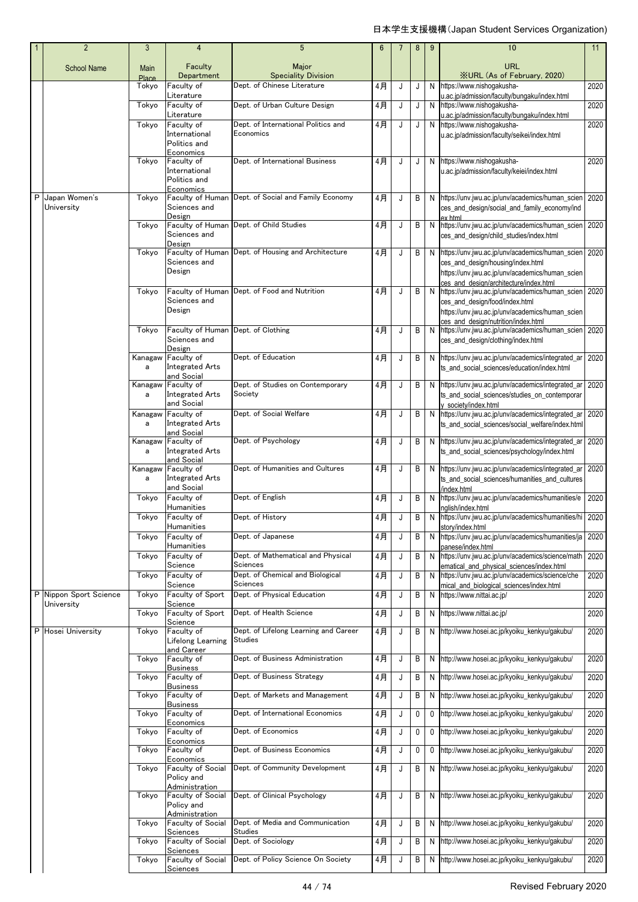|   | $\overline{2}$              | 3                    | 4                                                                     | 5                                                | $6\phantom{1}6$ | $\overline{7}$ | 8 | 9 | 10                                                                                                                                                                                | 11   |
|---|-----------------------------|----------------------|-----------------------------------------------------------------------|--------------------------------------------------|-----------------|----------------|---|---|-----------------------------------------------------------------------------------------------------------------------------------------------------------------------------------|------|
|   | <b>School Name</b>          | Main<br><b>Place</b> | Faculty<br>Department                                                 | Major<br><b>Speciality Division</b>              |                 |                |   |   | <b>URL</b><br><b>XURL (As of February, 2020)</b>                                                                                                                                  |      |
|   |                             | Tokyo                | Faculty of<br>Literature                                              | Dept. of Chinese Literature                      | 4月              | J              | J | N | https://www.nishogakusha-<br>u.ac.jp/admission/faculty/bungaku/index.html                                                                                                         | 2020 |
|   |                             | Tokyo                | Faculty of                                                            | Dept. of Urban Culture Design                    | 4月              | J              | J | N | https://www.nishogakusha-                                                                                                                                                         | 2020 |
|   |                             | Tokyo                | Literature<br>Faculty of<br>International<br>Politics and             | Dept. of International Politics and<br>Economics | 4月              | J              | J | N | u.ac.jp/admission/faculty/bungaku/index.html<br>https://www.nishogakusha-<br>u.ac.jp/admission/faculty/seikei/index.html                                                          | 2020 |
|   |                             | Tokyo                | Economics<br>Faculty of<br>International<br>Politics and<br>Economics | Dept. of International Business                  | 4月              | J              | J | N | https://www.nishogakusha-<br>u.ac.jp/admission/faculty/keiei/index.html                                                                                                           | 2020 |
| P | Japan Women's<br>University | Tokyo                | Faculty of Human<br>Sciences and<br>Design                            | Dept. of Social and Family Economy               | 4月              | J              | В | N | https://unv.jwu.ac.jp/unv/academics/human_scien<br>ces_and_design/social_and_family_economy/ind                                                                                   | 2020 |
|   |                             | Tokyo                | Sciences and                                                          | Faculty of Human Dept. of Child Studies          | 4月              | J              | В | N | ex html<br>https://unv.jwu.ac.jp/unv/academics/human_scien<br>ces_and_design/child_studies/index.html                                                                             | 2020 |
|   |                             | Tokyo                | Design<br>Faculty of Human<br>Sciences and<br>Design                  | Dept. of Housing and Architecture                | 4月              | J              | В | N | https://unv.jwu.ac.jp/unv/academics/human_scien<br>ces_and_design/housing/index.html<br>https://unv.jwu.ac.jp/unv/academics/human_scien<br>ces and design/architecture/index.html | 2020 |
|   |                             | Tokyo                | Faculty of Human<br>Sciences and<br>Design                            | Dept. of Food and Nutrition                      | 4月              | J              | В | N | https://unv.jwu.ac.jp/unv/academics/human_scien<br>ces_and_design/food/index.html<br>https://unv.jwu.ac.jp/unv/academics/human_scien<br>ces and design/nutrition/index.html       | 2020 |
|   |                             | Tokvo                | Faculty of Human<br>Sciences and<br>Design                            | Dept. of Clothing                                | 4月              | J              | В | N | https://unv.jwu.ac.jp/unv/academics/human_scien<br>ces_and_design/clothing/index.html                                                                                             | 2020 |
|   |                             | Kanagaw<br>a         | Faculty of<br><b>Integrated Arts</b><br>and Social                    | Dept. of Education                               | 4月              | J              | В | N | https://unv.jwu.ac.jp/unv/academics/integrated_ar<br>ts_and_social_sciences/education/index.html                                                                                  | 2020 |
|   |                             | Kanagaw<br>a         | Faculty of<br><b>Integrated Arts</b><br>and Social                    | Dept. of Studies on Contemporary<br>Society      | 4月              | J              | В |   | N https://unv.jwu.ac.jp/unv/academics/integrated_ar<br>ts_and_social_sciences/studies_on_contemporar<br>v society/index.html                                                      | 2020 |
|   |                             | Kanagaw<br>a         | Faculty of<br><b>Integrated Arts</b><br>and Social                    | Dept. of Social Welfare                          | 4月              | J              | В |   | N https://unv.jwu.ac.jp/unv/academics/integrated_ar<br>ts_and_social_sciences/social_welfare/index.html                                                                           | 2020 |
|   |                             | Kanagaw<br>a         | Faculty of<br><b>Integrated Arts</b><br>and Social                    | Dept. of Psychology                              | 4月              | J              | В |   | N https://unv.jwu.ac.jp/unv/academics/integrated_ar<br>ts_and_social_sciences/psychology/index.html                                                                               | 2020 |
|   |                             | Kanagaw<br>a         | Faculty of<br><b>Integrated Arts</b><br>and Social                    | Dept. of Humanities and Cultures                 | 4月              | J              | В |   | N https://unv.jwu.ac.jp/unv/academics/integrated_ar<br>ts_and_social_sciences/humanities_and_cultures<br>index.html                                                               | 2020 |
|   |                             | Tokyo                | Faculty of                                                            | Dept. of English                                 | 4月              | J              | В | N | https://unv.jwu.ac.jp/unv/academics/humanities/e                                                                                                                                  | 2020 |
|   |                             | Tokyo                | Humanities<br>Faculty of                                              | Dept. of History                                 | 4月              | J              | В | N | nglish/index.html<br>https://unv.jwu.ac.jp/unv/academics/humanities/hi 2020                                                                                                       |      |
|   |                             | Tokyo                | Humanıtıes<br>Faculty of                                              | Dept. of Japanese                                | 4月              | J              | В | N | story/index.html<br>https://unv.jwu.ac.jp/unv/academics/humanities/ja                                                                                                             | 2020 |
|   |                             | Tokyo                | Humanities<br>Faculty of                                              | Dept. of Mathematical and Physical               | 4月              | J              | В | N | panese/index.html<br>https://unv.jwu.ac.jp/unv/academics/science/math                                                                                                             | 2020 |
|   |                             | Tokyo                | Science<br>Faculty of                                                 | Sciences<br>Dept. of Chemical and Biological     | 4月              | J              | В | N | ematical_and_physical_sciences/index.html<br>https://unv.jwu.ac.jp/unv/academics/science/che                                                                                      | 2020 |
|   | P Nippon Sport Science      | Tokyo                | Science<br>Faculty of Sport                                           | Sciences<br>Dept. of Physical Education          | 4月              | J              | В | N | mical and biological sciences/index.html<br>https://www.nittai.ac.jp/                                                                                                             | 2020 |
|   | University                  | Tokyo                | Science<br>Faculty of Sport                                           | Dept. of Health Science                          | 4月              | J              | В | N | https://www.nittai.ac.jp/                                                                                                                                                         | 2020 |
|   | P Hosei University          | Tokyo                | Science<br>Faculty of<br>Lifelong Learning                            | Dept. of Lifelong Learning and Career<br>Studies | 4月              | J              | В | N | http://www.hosei.ac.jp/kyoiku kenkyu/gakubu/                                                                                                                                      | 2020 |
|   |                             | Tokyo                | and Career<br>Faculty of<br><b>Business</b>                           | Dept. of Business Administration                 | 4月              | J              | В | N | http://www.hosei.ac.jp/kyoiku_kenkyu/gakubu/                                                                                                                                      | 2020 |
|   |                             | Tokyo                | Faculty of<br><b>Business</b>                                         | Dept. of Business Strategy                       | 4月              | J              | В | N | http://www.hosei.ac.jp/kyoiku_kenkyu/gakubu/                                                                                                                                      | 2020 |
|   |                             | Tokyo                | Faculty of<br><b>Business</b>                                         | Dept. of Markets and Management                  | 4月              | J              | В | Ν | http://www.hosei.ac.jp/kyoiku_kenkyu/gakubu/                                                                                                                                      | 2020 |
|   |                             | Tokyo                | Faculty of<br>Economics                                               | Dept. of International Economics                 | 4月              | J              | 0 | 0 | http://www.hosei.ac.jp/kyoiku_kenkyu/gakubu/                                                                                                                                      | 2020 |
|   |                             | Tokyo                | Faculty of                                                            | Dept. of Economics                               | 4月              | J              | 0 | 0 | http://www.hosei.ac.jp/kyoiku_kenkyu/gakubu/                                                                                                                                      | 2020 |
|   |                             | Tokyo                | Economics<br>Faculty of<br>Economics                                  | Dept. of Business Economics                      | 4月              | J              | 0 | 0 | http://www.hosei.ac.jp/kyoiku_kenkyu/gakubu/                                                                                                                                      | 2020 |
|   |                             | Tokyo                | Faculty of Social<br>Policy and                                       | Dept. of Community Development                   | 4月              | J              | В | N | http://www.hosei.ac.jp/kyoiku_kenkyu/gakubu/                                                                                                                                      | 2020 |
|   |                             | Tokyo                | Administration<br>Faculty of Social<br>Policy and                     | Dept. of Clinical Psychology                     | 4月              | J              | В | N | http://www.hosei.ac.jp/kyoiku_kenkyu/gakubu/                                                                                                                                      | 2020 |
|   |                             | Tokyo                | Administration<br>Faculty of Social<br>Sciences                       | Dept. of Media and Communication<br>Studies      | 4月              | J              | В | Ν | http://www.hosei.ac.jp/kyoiku_kenkyu/gakubu/                                                                                                                                      | 2020 |
|   |                             | Tokyo                | Faculty of Social<br>Sciences                                         | Dept. of Sociology                               | 4月              | J              | В | N | http://www.hosei.ac.jp/kyoiku_kenkyu/gakubu/                                                                                                                                      | 2020 |
|   |                             | Tokyo                | Faculty of Social<br>Sciences                                         | Dept. of Policy Science On Society               | 4月              | J              | В | N | http://www.hosei.ac.jp/kyoiku_kenkyu/gakubu/                                                                                                                                      | 2020 |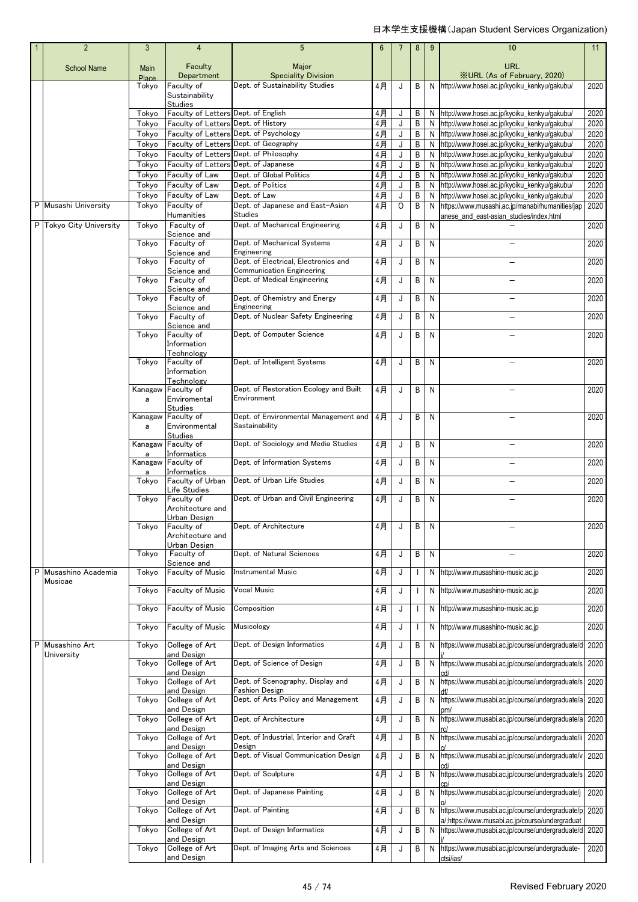## 日本学生支援機構(Japan Student Services Organization)

|   | $\overline{2}$              | 3              | $\overline{4}$                       | $5\phantom{.0}$                                                                 | $6\phantom{1}6$ | $\overline{7}$ | 8                        | 9            | 10                                                                                                 | 11           |
|---|-----------------------------|----------------|--------------------------------------|---------------------------------------------------------------------------------|-----------------|----------------|--------------------------|--------------|----------------------------------------------------------------------------------------------------|--------------|
|   | <b>School Name</b>          | Main           | Faculty                              | Major                                                                           |                 |                |                          |              | <b>URL</b>                                                                                         |              |
|   |                             | Place          | Department                           | <b>Speciality Division</b>                                                      |                 |                |                          |              | <b>XURL (As of February, 2020)</b>                                                                 |              |
|   |                             | Tokyo          | Faculty of                           | Dept. of Sustainability Studies                                                 | 4月              | J              | B                        | N            | http://www.hosei.ac.jp/kyoiku_kenkyu/gakubu/                                                       | 2020         |
|   |                             |                | Sustainability<br><b>Studies</b>     |                                                                                 |                 |                |                          |              |                                                                                                    |              |
|   |                             | Tokyo          | Faculty of Letters Dept. of English  |                                                                                 | 4月              | J              | B                        | N            | http://www.hosei.ac.jp/kyoiku kenkyu/gakubu/                                                       | 2020         |
|   |                             | Tokyo          | Faculty of Letters Dept. of History  |                                                                                 | $4$ 月           | J              | B                        | N            | http://www.hosei.ac.jp/kyoiku_kenkyu/gakubu/                                                       | 2020         |
|   |                             | Tokyo          |                                      | Faculty of Letters Dept. of Psychology<br>Faculty of Letters Dept. of Geography | 4月              | J              | B                        |              | N http://www.hosei.ac.jp/kyoiku_kenkyu/gakubu/                                                     | 2020         |
|   |                             | Tokyo<br>Tokyo |                                      | Faculty of Letters Dept. of Philosophy                                          | 4月<br>$4$ 月     | J<br>J         | B<br>B                   | N.<br>N      | http://www.hosei.ac.jp/kyoiku_kenkyu/gakubu/<br>http://www.hosei.ac.jp/kyoiku_kenkyu/gakubu/       | 2020<br>2020 |
|   |                             | Tokyo          | Faculty of Letters Dept. of Japanese |                                                                                 | 4月              | J              | B                        | N            | http://www.hosei.ac.jp/kyoiku kenkyu/gakubu/                                                       | 2020         |
|   |                             | Tokyo          | Faculty of Law                       | Dept. of Global Politics                                                        | $4$ 月           | J              | B                        | N            | http://www.hosei.ac.jp/kyoiku_kenkyu/gakubu/                                                       | 2020         |
|   |                             | Tokyo          | Faculty of Law                       | Dept. of Politics                                                               | 4月              | J              | B                        |              | N http://www.hosei.ac.jp/kyoiku_kenkyu/gakubu/                                                     | 2020         |
|   | P Musashi University        | Tokyo<br>Tokyo | Faculty of Law<br>Faculty of         | Dept. of Law<br>Dept. of Japanese and East-Asian                                | 4月<br>4月        | J<br>O         | В<br>B                   | N<br>N       | http://www.hosei.ac.jp/kyoiku_kenkyu/gakubu/                                                       | 2020<br>2020 |
|   |                             |                | Humanities                           | <b>Studies</b>                                                                  |                 |                |                          |              | https://www.musashi.ac.jp/manabi/humanities/jap<br>anese_and_east-asian_studies/index.html         |              |
|   | P Tokyo City University     | Tokyo          | Faculty of                           | Dept. of Mechanical Engineering                                                 | 4月              | J              | B                        | N            |                                                                                                    | 2020         |
|   |                             | Tokyo          | Science and<br>Faculty of            | Dept. of Mechanical Systems                                                     | 4月              | J              | B                        | $\mathsf{N}$ | $\overline{\phantom{0}}$                                                                           | 2020         |
|   |                             |                | Science and                          | Engineering                                                                     |                 |                |                          |              |                                                                                                    |              |
|   |                             | Tokyo          | Faculty of                           | Dept. of Electrical, Electronics and                                            | 4月              | J              | B                        | N            |                                                                                                    | 2020         |
|   |                             | Tokyo          | Science and<br>Faculty of            | <b>Communication Engineering</b><br>Dept. of Medical Engineering                | 4月              | J              | B                        | N            |                                                                                                    | 2020         |
|   |                             |                | Science and                          |                                                                                 |                 |                |                          |              |                                                                                                    |              |
|   |                             | Tokyo          | Faculty of                           | Dept. of Chemistry and Energy                                                   | 4月              | J              | B                        | $\mathsf{N}$ | -                                                                                                  | 2020         |
|   |                             | Tokyo          | Science and<br>Faculty of            | Engineering<br>Dept. of Nuclear Safety Engineering                              | 4月              | J              | B                        | N            |                                                                                                    | 2020         |
|   |                             |                | Science and                          |                                                                                 |                 |                |                          |              |                                                                                                    |              |
|   |                             | Tokyo          | Faculty of                           | Dept. of Computer Science                                                       | 4月              | J              | B                        | N            |                                                                                                    | 2020         |
|   |                             |                | Information<br>Technology            |                                                                                 |                 |                |                          |              |                                                                                                    |              |
|   |                             | Tokyo          | Faculty of                           | Dept. of Intelligent Systems                                                    | 4月              | J              | B                        | $\mathsf{N}$ |                                                                                                    | 2020         |
|   |                             |                | Information                          |                                                                                 |                 |                |                          |              |                                                                                                    |              |
|   |                             | Kanagaw        | Technology<br>Faculty of             | Dept. of Restoration Ecology and Built                                          | 4月              | J              | B                        | N            |                                                                                                    | 2020         |
|   |                             | a              | Enviromental                         | Environment                                                                     |                 |                |                          |              |                                                                                                    |              |
|   |                             | Kanagaw        | <b>Studies</b><br>Faculty of         | Dept. of Environmental Management and                                           | 4月              | J              | B                        | $\mathsf{N}$ |                                                                                                    | 2020         |
|   |                             | a              | Environmental                        | Sastainability                                                                  |                 |                |                          |              |                                                                                                    |              |
|   |                             |                | <b>Studies</b>                       |                                                                                 |                 |                |                          |              |                                                                                                    |              |
|   |                             | Kanagaw<br>a   | Faculty of<br>Informatics            | Dept. of Sociology and Media Studies                                            | 4月              | J              | B                        | N            |                                                                                                    | 2020         |
|   |                             |                | Kanagaw Faculty of                   | Dept. of Information Systems                                                    | 4月              | J              | B                        | $\mathsf{N}$ |                                                                                                    | 2020         |
|   |                             | a              | Informatics                          | Dept. of Urban Life Studies                                                     |                 |                |                          |              |                                                                                                    |              |
|   |                             | Tokyo          | Faculty of Urban<br>Life Studies     |                                                                                 | 4月              | J              | B                        | N            |                                                                                                    | 2020         |
|   |                             | Tokyo          | Faculty of                           | Dept. of Urban and Civil Engineering                                            | 4月              | J              | B                        | N            |                                                                                                    | 2020         |
|   |                             |                | Architecture and<br>Urban Design     |                                                                                 |                 |                |                          |              |                                                                                                    |              |
|   |                             | Tokyo          | Faculty of                           | Dept. of Architecture                                                           | 4月              | J              | В                        | N            |                                                                                                    | 2020         |
|   |                             |                | Architecture and                     |                                                                                 |                 |                |                          |              |                                                                                                    |              |
|   |                             | Tokyo          | Urban Design<br>Faculty of           | Dept. of Natural Sciences                                                       | $4$ 月           | J              | B                        | N            |                                                                                                    | 2020         |
|   |                             |                | Science and                          |                                                                                 |                 |                |                          |              |                                                                                                    |              |
|   | P Musashino Academia        | Tokyo          | Faculty of Music                     | Instrumental Music                                                              | 4月              | J              | $\mathbf{I}$             | N            | http://www.musashino-music.ac.jp                                                                   | 2020         |
|   | Musicae                     | Tokyo          | Faculty of Music                     | Vocal Music                                                                     | $4$ 月           | J              | $\mathbf{I}$             | N            | http://www.musashino-music.ac.jp                                                                   | 2020         |
|   |                             |                |                                      |                                                                                 |                 |                |                          |              |                                                                                                    |              |
|   |                             | Tokyo          | Faculty of Music                     | Composition                                                                     | 4月              | J              | $\overline{\phantom{a}}$ | N            | http://www.musashino-music.ac.jp                                                                   | 2020         |
|   |                             | Tokyo          | Faculty of Music                     | Musicology                                                                      | 4月              | J              | $\mathbf{I}$             | N            | http://www.musashino-music.ac.jp                                                                   | 2020         |
|   |                             |                |                                      |                                                                                 |                 |                |                          |              |                                                                                                    |              |
| P | Musashino Art<br>University | Tokyo          | College of Art<br>and Design         | Dept. of Design Informatics                                                     | 4月              | J              | B                        | N            | https://www.musabi.ac.jp/course/undergraduate/d                                                    | 2020         |
|   |                             | Tokyo          | College of Art                       | Dept. of Science of Design                                                      | 4月              | J              | B                        | N            | https://www.musabi.ac.jp/course/undergraduate/s 2020                                               |              |
|   |                             |                | and Design<br>College of Art         | Dept. of Scenography, Display and                                               | 4月              |                | B                        |              |                                                                                                    |              |
|   |                             | Tokyo          | and Design                           | <b>Fashion Design</b>                                                           |                 | J              |                          | Ν            | https://www.musabi.ac.jp/course/undergraduate/s                                                    | 2020         |
|   |                             | Tokyo          | College of Art                       | Dept. of Arts Policy and Management                                             | $4$ 月           | J              | B                        | N            | https://www.musabi.ac.jp/course/undergraduate/a                                                    | 2020         |
|   |                             |                | and Design                           |                                                                                 |                 |                |                          |              |                                                                                                    |              |
|   |                             | Tokyo          | College of Art<br>and Design         | Dept. of Architecture                                                           | 4月              | J              | B                        | N            | https://www.musabi.ac.jp/course/undergraduate/a 2020                                               |              |
|   |                             | Tokyo          | College of Art                       | Dept. of Industrial, Interior and Craft                                         | 4月              | J              | B                        | N            | https://www.musabi.ac.jp/course/undergraduate/ii                                                   | 2020         |
|   |                             | Tokyo          | and Design<br>College of Art         | Design<br>Dept. of Visual Communication Design                                  | 4月              | J              | B                        | N            | https://www.musabi.ac.jp/course/undergraduate/v                                                    | 2020         |
|   |                             |                | and Design                           |                                                                                 |                 |                |                          |              |                                                                                                    |              |
|   |                             | Tokyo          | College of Art                       | Dept. of Sculpture                                                              | 4月              | J              | B                        | N            | https://www.musabi.ac.jp/course/undergraduate/s                                                    | 2020         |
|   |                             | Tokyo          | and Design<br>College of Art         | Dept. of Japanese Painting                                                      | 4月              | J              | B                        | N            | https://www.musabi.ac.jp/course/undergraduate/j                                                    | 2020         |
|   |                             |                | and Design                           |                                                                                 |                 |                |                          |              |                                                                                                    |              |
|   |                             | Tokyo          | College of Art                       | Dept. of Painting                                                               | 4月              | J              | B                        | N            | https://www.musabi.ac.jp/course/undergraduate/p                                                    | 2020         |
|   |                             | Tokyo          | and Design<br>College of Art         | Dept. of Design Informatics                                                     | 4月              | J              | B                        | N            | a/;https://www.musabi.ac.jp/course/undergraduat<br>https://www.musabi.ac.jp/course/undergraduate/d | 2020         |
|   |                             |                | and Design                           |                                                                                 |                 |                |                          |              |                                                                                                    |              |
|   |                             | Tokyo          | College of Art                       | Dept. of Imaging Arts and Sciences                                              | 4月              | J              | B                        | N            | https://www.musabi.ac.jp/course/undergraduate-                                                     | 2020         |
|   |                             |                | and Design                           |                                                                                 |                 |                |                          |              | ctsi/ias/                                                                                          |              |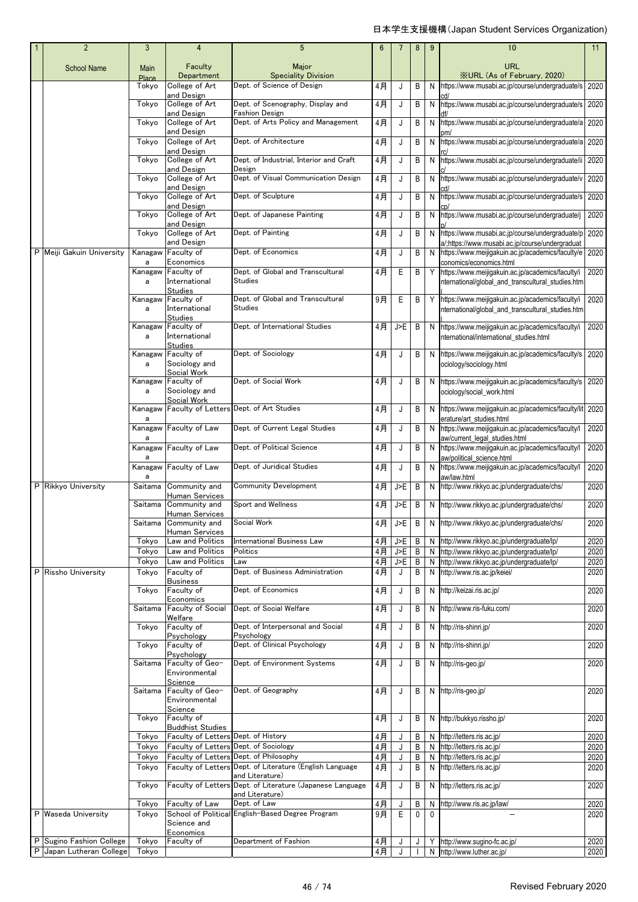| $\overline{2}$            | 3              | $\overline{4}$                                                 | 5                                                                                                  | $6\phantom{1}6$ |            | 8      | 9            | 10                                                                                                        | 11           |
|---------------------------|----------------|----------------------------------------------------------------|----------------------------------------------------------------------------------------------------|-----------------|------------|--------|--------------|-----------------------------------------------------------------------------------------------------------|--------------|
| <b>School Name</b>        | Main           | Faculty                                                        | Major                                                                                              |                 |            |        |              | <b>URL</b>                                                                                                |              |
|                           | Place<br>Tokyo | Department<br>College of Art                                   | <b>Speciality Division</b><br>Dept. of Science of Design                                           | 4月              | J          | B      | N            | <b>XURL (As of February, 2020)</b><br>https://www.musabi.ac.jp/course/undergraduate/s                     | 2020         |
|                           |                | and Design                                                     |                                                                                                    |                 |            |        |              |                                                                                                           |              |
|                           | Tokyo          | College of Art<br>and Design                                   | Dept. of Scenography, Display and<br><b>Fashion Design</b>                                         | 4月              | J          | B      | N            | https://www.musabi.ac.jp/course/undergraduate/s                                                           | 2020         |
|                           | Tokyo          | College of Art<br>and Design                                   | Dept. of Arts Policy and Management                                                                | 4月              | J          | B      | N            | https://www.musabi.ac.jp/course/undergraduate/a                                                           | 2020         |
|                           | Tokyo          | College of Art                                                 | Dept. of Architecture                                                                              | $4$ 月           | J          | B      | N            | https://www.musabi.ac.jp/course/undergraduate/a                                                           | 2020         |
|                           | Tokyo          | and Design<br>College of Art                                   | Dept. of Industrial, Interior and Craft                                                            | 4月              | J          | B      | N            | https://www.musabi.ac.jp/course/undergraduate/ii                                                          | 2020         |
|                           | Tokyo          | and Design<br>College of Art                                   | Design<br>Dept. of Visual Communication Design                                                     | $4$ 月           | J          | B      | N            | https://www.musabi.ac.jp/course/undergraduate/v                                                           | 2020         |
|                           |                | and Design                                                     |                                                                                                    |                 |            |        |              |                                                                                                           |              |
|                           | Tokyo          | College of Art<br>and Design                                   | Dept. of Sculpture                                                                                 | 4月              | J          | B      | N            | https://www.musabi.ac.jp/course/undergraduate/s                                                           | 2020         |
|                           | Tokyo          | College of Art<br>and Design                                   | Dept. of Japanese Painting                                                                         | 4月              | J          | B      | N            | https://www.musabi.ac.jp/course/undergraduate/j                                                           | 2020         |
|                           | Tokyo          | College of Art                                                 | Dept. of Painting                                                                                  | 4月              | J          | B      | N            | https://www.musabi.ac.jp/course/undergraduate/p                                                           | 2020         |
| P Meiji Gakuin University | Kanagaw        | and Design<br>Faculty of                                       | Dept. of Economics                                                                                 | 4月              | J          | B      | N            | a/;https://www.musabi.ac.jp/course/undergraduat<br>https://www.meijigakuin.ac.jp/academics/faculty/e 2020 |              |
|                           | a<br>Kanagaw   | Economics<br>Faculty of                                        | Dept. of Global and Transcultural                                                                  | 4月              | E          | B      |              | conomics/economics.html<br>Y https://www.meijigakuin.ac.jp/academics/faculty/i                            | 2020         |
|                           | a              | International<br><b>Studies</b>                                | <b>Studies</b>                                                                                     |                 |            |        |              | nternational/global_and_transcultural_studies.htm                                                         |              |
|                           | Kanagaw        | Faculty of                                                     | Dept. of Global and Transcultural                                                                  | 9月              | Ε          | B      |              | Y https://www.meijigakuin.ac.jp/academics/faculty/i                                                       | 2020         |
|                           | a              | International<br><b>Studies</b>                                | <b>Studies</b>                                                                                     |                 |            |        |              | nternational/global and transcultural studies.htm                                                         |              |
|                           | a              | Kanagaw Faculty of<br>International                            | Dept. of International Studies                                                                     | 4月              | J>E        | B      |              | N https://www.meijigakuin.ac.jp/academics/faculty/i<br>nternational/international studies.html            | 2020         |
|                           |                | <b>Studies</b>                                                 |                                                                                                    |                 |            |        |              |                                                                                                           |              |
|                           | Kanagaw<br>a   | Faculty of<br>Sociology and                                    | Dept. of Sociology                                                                                 | 4月              | J          | B      | N            | https://www.meijigakuin.ac.jp/academics/faculty/s<br>ociology/sociology.html                              | 2020         |
|                           | Kanagaw        | Social Work<br>Faculty of                                      | Dept. of Social Work                                                                               | 4月              | J          | B      |              | N https://www.meijigakuin.ac.jp/academics/faculty/s 2020                                                  |              |
|                           | a              | Sociology and                                                  |                                                                                                    |                 |            |        |              | ociology/social_work.html                                                                                 |              |
|                           | Kanagaw        | Social Work                                                    | Faculty of Letters Dept. of Art Studies                                                            | 4月              | J          | B      | N            | https://www.meijigakuin.ac.jp/academics/faculty/lit                                                       | 2020         |
|                           | a              |                                                                |                                                                                                    |                 |            |        |              | erature/art studies.html                                                                                  |              |
|                           | a              | Kanagaw Faculty of Law                                         | Dept. of Current Legal Studies                                                                     | 4月              | J          | B      | N            | https://www.meijigakuin.ac.jp/academics/faculty/l<br>aw/current_legal_studies.html                        | 2020         |
|                           | a              | Kanagaw Faculty of Law                                         | Dept. of Political Science                                                                         | 4月              | J          | B      | N            | https://www.meijigakuin.ac.jp/academics/faculty/l<br>aw/political science.html                            | 2020         |
|                           | a              | Kanagaw Faculty of Law                                         | Dept. of Juridical Studies                                                                         | 4月              | J          | B      | N            | https://www.meijigakuin.ac.jp/academics/faculty/l<br>aw/law.html                                          | 2020         |
| P Rikkyo University       | Saitama        | Community and                                                  | <b>Community Development</b>                                                                       | 4月              | J>E        | B      |              | N http://www.rikkyo.ac.jp/undergraduate/chs/                                                              | 2020         |
|                           | Saitama        | Human Services<br>Community and                                | Sport and Wellness                                                                                 | 4月              | J>E        | B      |              | N http://www.rikkyo.ac.jp/undergraduate/chs/                                                              | 2020         |
|                           |                | <b>Human Services</b><br>Saitama Community and                 | Social Work                                                                                        |                 | 4月 J>E     |        |              | B N http://www.rikkyo.ac.jp/undergraduate/chs/                                                            | 2020         |
|                           |                | Human Services                                                 |                                                                                                    |                 |            |        |              |                                                                                                           |              |
|                           | Tokyo<br>Tokyo | Law and Politics<br>Law and Politics                           | International Business Law<br>Politics                                                             | 4月<br>4月        | J>E<br>J>E | B<br>B | N            | N http://www.rikkyo.ac.jp/undergraduate/lp/<br>http://www.rikkyo.ac.jp/undergraduate/lp/                  | 2020<br>2020 |
|                           | Tokvo          | Law and Politics                                               | Law                                                                                                | $4$ 月           | J>E        | B      | N            | http://www.rikkyo.ac.jp/undergraduate/lp/                                                                 | 2020         |
| P Rissho University       | Tokyo          | Faculty of<br><b>Business</b>                                  | Dept. of Business Administration                                                                   | 4月              | J          | B      | N            | http://www.ris.ac.jp/keiei/                                                                               | 2020         |
|                           | Tokyo          | Faculty of<br>Economics                                        | Dept. of Economics                                                                                 | 4月              | J          | B      | N            | http://keizai.ris.ac.jp/                                                                                  | 2020         |
|                           | Saitama        | Faculty of Social                                              | Dept. of Social Welfare                                                                            | 4月              | J          | B      |              | N http://www.ris-fuku.com/                                                                                | 2020         |
|                           | Tokyo          | Welfare<br>Faculty of                                          | Dept. of Interpersonal and Social                                                                  | 4月              | J          | В      | N            | http://ris-shinri.jp/                                                                                     | 2020         |
|                           | Tokyo          | Psychology<br>Faculty of                                       | Psychology<br>Dept. of Clinical Psychology                                                         | 4月              | J          | B      |              | N http://ris-shinri.jp/                                                                                   | 2020         |
|                           |                | Psychology                                                     |                                                                                                    |                 |            |        |              |                                                                                                           |              |
|                           | Saitama        | Faculty of Geo-<br>Environmental                               | Dept. of Environment Systems                                                                       | 4月              | J          | B      |              | N http://ris-geo.jp/                                                                                      | 2020         |
|                           | Saitama        | Science<br>Faculty of Geo-                                     | Dept. of Geography                                                                                 | 4月              | J          | B      |              | N http://ris-geo.jp/                                                                                      | 2020         |
|                           |                | Environmental<br>Science                                       |                                                                                                    |                 |            |        |              |                                                                                                           |              |
|                           | Tokyo          | Faculty of                                                     |                                                                                                    | 4月              | J          | В      |              | N http://bukkyo.rissho.jp/                                                                                | 2020         |
|                           | Tokyo          | <b>Buddhist Studies</b><br>Faculty of Letters Dept. of History |                                                                                                    | 4 <sub>月</sub>  | J          | Β      | N            | http://letters.ris.ac.jp/                                                                                 | 2020         |
|                           | Tokyo          | Faculty of Letters Dept. of Sociology                          |                                                                                                    | $4$ 月           | J          | B      | N            | http://letters.ris.ac.jp/                                                                                 | 2020         |
|                           | Tokyo          |                                                                | Faculty of Letters Dept. of Philosophy<br>Faculty of Letters Dept. of Literature (English Language | 4月              | J          | B      | N            | http://letters.ris.ac.jp/                                                                                 | 2020         |
|                           | Tokyo          |                                                                | and Literature)                                                                                    | 4月              | J          | B      | N            | http://letters.ris.ac.jp/                                                                                 | 2020         |
|                           | Tokyo          |                                                                | Faculty of Letters Dept. of Literature (Japanese Language<br>and Literature)                       | $4$ 月           | J          | B      |              | N http://letters.ris.ac.jp/                                                                               | 2020         |
|                           | Tokyo          | Faculty of Law                                                 | Dept. of Law                                                                                       | $4$ 月           | J          | B      | N            | http://www.ris.ac.jp/law/                                                                                 | 2020         |
| P Waseda University       | Tokyo          | Science and                                                    | School of Political English-Based Degree Program                                                   | 9月              | E          | 0      | $\mathbf{0}$ |                                                                                                           | 2020         |
| P Sugino Fashion College  | Tokyo          | Economics<br>Faculty of                                        | Department of Fashion                                                                              | 4月              | J          | J      |              | Y http://www.sugino-fc.ac.jp/                                                                             | 2020         |
| P Japan Lutheran College  | Tokyo          |                                                                |                                                                                                    | 4月              |            |        | N            | http://www.luther.ac.jp/                                                                                  | 2020         |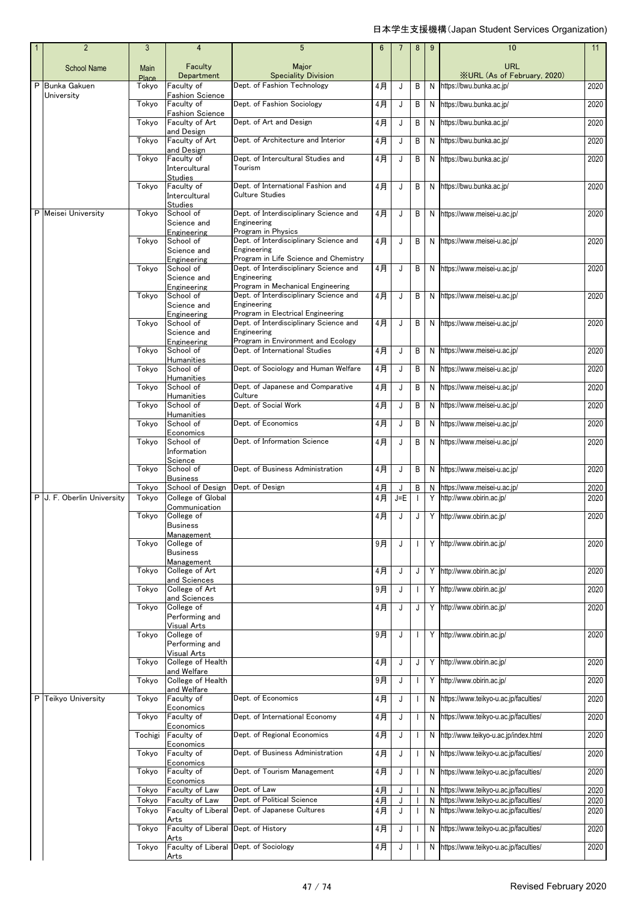| $\overline{2}$             | 3                           | 4                                       | 5                                                                               | 6     | 7     | 8   | 9              | 10                                               | 11   |
|----------------------------|-----------------------------|-----------------------------------------|---------------------------------------------------------------------------------|-------|-------|-----|----------------|--------------------------------------------------|------|
| <b>School Name</b>         | <b>Main</b><br><b>Place</b> | Faculty<br>Department                   | Major<br><b>Speciality Division</b>                                             |       |       |     |                | <b>URL</b><br><b>XURL (As of February, 2020)</b> |      |
| P Bunka Gakuen             | Tokvo                       | Faculty of                              | Dept. of Fashion Technology                                                     | 4月    | J     | В   | N              | https://bwu.bunka.ac.jp/                         | 2020 |
| University                 | Tokyo                       | <b>Fashion Science</b><br>Faculty of    | Dept. of Fashion Sociology                                                      | 4月    | J     | В   | N              | https://bwu.bunka.ac.jp/                         | 2020 |
|                            |                             | <b>Fashion Science</b>                  |                                                                                 |       |       |     |                |                                                  |      |
|                            | Tokyo                       | Faculty of Art<br>and Design            | Dept. of Art and Design                                                         | 4月    | J     | В   | N              | https://bwu.bunka.ac.jp/                         | 2020 |
|                            | Tokyo                       | Faculty of Art                          | Dept. of Architecture and Interior                                              | 4月    | J     | В   | N              | https://bwu.bunka.ac.jp/                         | 2020 |
|                            | Tokyo                       | and Design<br>Faculty of                | Dept. of Intercultural Studies and                                              | 4月    | J     | В   | N              | https://bwu.bunka.ac.jp/                         | 2020 |
|                            |                             | Intercultural<br>Studies                | Tourism                                                                         |       |       |     |                |                                                  |      |
|                            | Tokyo                       | Faculty of                              | Dept. of International Fashion and                                              | 4月    | J     | B   | N              | https://bwu.bunka.ac.jp/                         | 2020 |
|                            |                             | Intercultural<br>Studies                | <b>Culture Studies</b>                                                          |       |       |     |                |                                                  |      |
| P Meisei University        | Tokyo                       | School of                               | Dept. of Interdisciplinary Science and                                          | 4月    | J     | B   | N              | https://www.meisei-u.ac.jp/                      | 2020 |
|                            |                             | Science and                             | Engineering<br>Program in Physics                                               |       |       |     |                |                                                  |      |
|                            | Tokyo                       | Engineering<br>School of                | Dept. of Interdisciplinary Science and                                          | 4月    | J     | B   | N              | https://www.meisei-u.ac.jp/                      | 2020 |
|                            |                             | Science and                             | Engineering                                                                     |       |       |     |                |                                                  |      |
|                            | Tokyo                       | Engineering<br>School of                | Program in Life Science and Chemistry<br>Dept. of Interdisciplinary Science and | 4月    | J     | B I | N <sub>1</sub> | https://www.meisei-u.ac.jp/                      | 2020 |
|                            |                             | Science and                             | Engineering                                                                     |       |       |     |                |                                                  |      |
|                            | Tokyo                       | Engineering<br>School of                | Program in Mechanical Engineering<br>Dept. of Interdisciplinary Science and     | 4月    | J     | В   | N              | https://www.meisei-u.ac.jp/                      | 2020 |
|                            |                             | Science and                             | Engineering                                                                     |       |       |     |                |                                                  |      |
|                            | Tokyo                       | Engineering<br>School of                | Program in Electrical Engineering<br>Dept. of Interdisciplinary Science and     | 4月    | J     | B   | N              | https://www.meisei-u.ac.jp/                      | 2020 |
|                            |                             | Science and                             | Engineering                                                                     |       |       |     |                |                                                  |      |
|                            | Tokyo                       | Engineering<br>School of                | Program in Environment and Ecology<br>Dept. of International Studies            | 4月    | J     | B   | N              | https://www.meisei-u.ac.jp/                      | 2020 |
|                            |                             | Humanities                              |                                                                                 |       |       |     |                |                                                  |      |
|                            | Tokyo                       | School of<br><b>Humanities</b>          | Dept. of Sociology and Human Welfare                                            | 4月    | J     | B   | N              | https://www.meisei-u.ac.jp/                      | 2020 |
|                            | Tokyo                       | School of<br>Humanities                 | Dept. of Japanese and Comparative<br>Culture                                    | 4月    | J     | В   | N              | https://www.meisei-u.ac.jp/                      | 2020 |
|                            | Tokyo                       | School of                               | Dept. of Social Work                                                            | 4月    | J     | В   | N              | https://www.meisei-u.ac.jp/                      | 2020 |
|                            | Tokyo                       | <b>Humanities</b><br>School of          | Dept. of Economics                                                              | 4月    | J     | В   | N              | https://www.meisei-u.ac.jp/                      | 2020 |
|                            | Tokyo                       | Economics<br>School of                  | Dept. of Information Science                                                    | 4月    | J     | B   | N              | https://www.meisei-u.ac.jp/                      | 2020 |
|                            |                             | Information                             |                                                                                 |       |       |     |                |                                                  |      |
|                            | Tokyo                       | Science<br>School of<br><b>Business</b> | Dept. of Business Administration                                                | 4月    | J     | В   | N              | https://www.meisei-u.ac.jp/                      | 2020 |
|                            | Tokyo                       | School of Design                        | Dept. of Design                                                                 | 4月    | J     | В   | N              | https://www.meisei-u.ac.jp/                      | 2020 |
| P J. F. Oberlin University | Tokyo                       | College of Global                       |                                                                                 | 4月    | $J=E$ |     | Y              | http://www.obirin.ac.jp/                         | 2020 |
|                            | Tokyo                       | Communication<br>College of             |                                                                                 | 4月    | J     | J   |                | Y http://www.obirin.ac.jp/                       | 2020 |
|                            |                             | Business                                |                                                                                 |       |       |     |                |                                                  |      |
|                            | Tokyo                       | <b>Management</b><br>College of         |                                                                                 | 9月    | J     |     | Y              | http://www.obirin.ac.jp/                         | 2020 |
|                            |                             | <b>Business</b>                         |                                                                                 |       |       |     |                |                                                  |      |
|                            | Tokyo                       | Management<br>College of Art            |                                                                                 | 4月    | J     | J   |                | Y http://www.obirin.ac.jp/                       | 2020 |
|                            | Tokyo                       | and Sciences<br>College of Art          |                                                                                 | 9月    | J     |     | Y              | http://www.obirin.ac.jp/                         | 2020 |
|                            |                             | and Sciences                            |                                                                                 |       |       |     |                |                                                  |      |
|                            | Tokyo                       | College of<br>Performing and            |                                                                                 | 4月    | J     | J   | Y              | http://www.obirin.ac.jp/                         | 2020 |
|                            |                             | Visual Arts                             |                                                                                 |       |       |     |                |                                                  |      |
|                            | Tokyo                       | College of<br>Performing and            |                                                                                 | 9月    | J     |     | Y              | http://www.obirin.ac.jp/                         | 2020 |
|                            | Tokyo                       | Visual Arts<br>College of Health        |                                                                                 | 4月    | J     | J   | Y              | http://www.obirin.ac.jp/                         | 2020 |
|                            |                             | and Welfare                             |                                                                                 |       |       |     |                |                                                  |      |
|                            | Tokyo                       | College of Health<br>and Welfare        |                                                                                 | $9$ 月 | J     |     | Y              | http://www.obirin.ac.jp/                         | 2020 |
| P Teikyo University        | Tokyo                       | Faculty of                              | Dept. of Economics                                                              | 4月    | J     |     | N              | https://www.teikyo-u.ac.jp/faculties/            | 2020 |
|                            | Tokyo                       | Economics<br>Faculty of                 | Dept. of International Economy                                                  | 4月    | J     |     | N              | https://www.teikyo-u.ac.jp/faculties/            | 2020 |
|                            | Tochigi                     | Economics<br>Faculty of                 | Dept. of Regional Economics                                                     |       | J     |     |                | http://www.teikyo-u.ac.jp/index.html             | 2020 |
|                            |                             | Economics                               |                                                                                 | 4月    |       |     | N              |                                                  |      |
|                            | Tokyo                       | Faculty of<br>Economics                 | Dept. of Business Administration                                                | 4月    | J     |     | N              | https://www.teikyo-u.ac.jp/faculties/            | 2020 |
|                            | Tokyo                       | Faculty of<br>Economics                 | Dept. of Tourism Management                                                     | 4月    | J     |     | N              | https://www.teikyo-u.ac.jp/faculties/            | 2020 |
|                            | Tokyo                       | Faculty of Law                          | Dept. of Law                                                                    | 4月    | J     |     | N              | https://www.teikyo-u.ac.jp/faculties/            | 2020 |
|                            | Tokyo                       | Faculty of Law                          | Dept. of Political Science                                                      | $4$ 月 | J     |     | N              | https://www.teikyo-u.ac.jp/faculties/            | 2020 |
|                            | Tokyo                       | Faculty of Liberal<br>Arts              | Dept. of Japanese Cultures                                                      | 4月    | J     |     | N              | https://www.teikyo-u.ac.jp/faculties/            | 2020 |
|                            | Tokyo                       | Faculty of Liberal                      | Dept. of History                                                                | 4月    | J     |     | N              | https://www.teikyo-u.ac.jp/faculties/            | 2020 |
|                            | Tokyo                       | Arts<br>Faculty of Liberal              | Dept. of Sociology                                                              | 4月    | J     |     | N              | https://www.teikyo-u.ac.jp/faculties/            | 2020 |
|                            |                             | Arts                                    |                                                                                 |       |       |     |                |                                                  |      |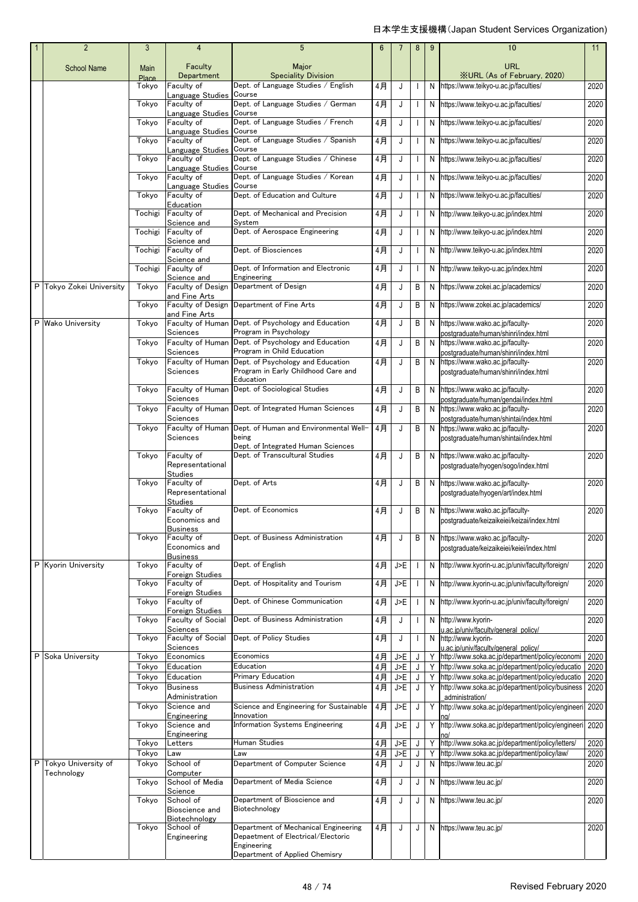| $\overline{2}$           | 3              | $\overline{4}$                        | 5                                                                                                                           | 6              | 7                 | 8           | 9      | 10                                                                                                   | 11           |
|--------------------------|----------------|---------------------------------------|-----------------------------------------------------------------------------------------------------------------------------|----------------|-------------------|-------------|--------|------------------------------------------------------------------------------------------------------|--------------|
| <b>School Name</b>       | Main           | Faculty                               | Major                                                                                                                       |                |                   |             |        | <b>URL</b>                                                                                           |              |
|                          | Place<br>Tokyo | Department<br>Faculty of              | <b>Speciality Division</b><br>Dept. of Language Studies / English                                                           | 4月             | J                 |             | N      | <b>XURL (As of February, 2020)</b><br>https://www.teikyo-u.ac.jp/faculties/                          | 2020         |
|                          |                | Language Studies                      | Course                                                                                                                      |                |                   |             |        |                                                                                                      |              |
|                          | Tokyo          | Faculty of<br>Language Studies        | Dept. of Language Studies / German<br>Course                                                                                | 4月             | J                 |             | N      | https://www.teikyo-u.ac.jp/faculties/                                                                | 2020         |
|                          | Tokyo          | Faculty of                            | Dept. of Language Studies / French                                                                                          | 4月             | J                 |             | N      | https://www.teikyo-u.ac.jp/faculties/                                                                | 2020         |
|                          | Tokyo          | Language Studies<br>Faculty of        | Course<br>Dept. of Language Studies / Spanish                                                                               | 4月             | J                 | $\mathbf I$ | N      | https://www.teikyo-u.ac.jp/faculties/                                                                | 2020         |
|                          |                | Language Studies                      | Course<br>Dept. of Language Studies / Chinese                                                                               |                |                   |             |        |                                                                                                      |              |
|                          | Tokyo          | Faculty of<br>Language Studies Course |                                                                                                                             | $4$ 月          | J                 |             | N      | https://www.teikyo-u.ac.jp/faculties/                                                                | 2020         |
|                          | Tokyo          | Faculty of<br>Language Studies Course | Dept. of Language Studies / Korean                                                                                          | 4月             | J                 |             | N      | https://www.teikyo-u.ac.jp/faculties/                                                                | 2020         |
|                          | Tokyo          | Faculty of                            | Dept. of Education and Culture                                                                                              | 4月             | J                 |             | N      | https://www.teikyo-u.ac.jp/faculties/                                                                | 2020         |
|                          | Tochigi        | Education<br>Faculty of               | Dept. of Mechanical and Precision                                                                                           | 4月             | J                 |             | N      | http://www.teikyo-u.ac.jp/index.html                                                                 | 2020         |
|                          | Tochigi        | Science and<br>Faculty of             | System<br>Dept. of Aerospace Engineering                                                                                    | 4月             | J                 |             | N      |                                                                                                      | 2020         |
|                          |                | Science and                           |                                                                                                                             |                |                   | ı           |        | http://www.teikyo-u.ac.jp/index.html                                                                 |              |
|                          | Tochigi        | Faculty of<br>Science and             | Dept. of Biosciences                                                                                                        | 4月             | J                 |             | N      | http://www.teikyo-u.ac.jp/index.html                                                                 | 2020         |
|                          | Tochigi        | Faculty of                            | Dept. of Information and Electronic                                                                                         | 4月             | J                 |             | N      | http://www.teikyo-u.ac.jp/index.html                                                                 | 2020         |
| P Tokvo Zokei Universitv | Tokyo          | Science and<br>Faculty of Design      | Engineering<br>Department of Design                                                                                         | $4$ 月          | J                 | В           | N      | https://www.zokei.ac.jp/academics/                                                                   | 2020         |
|                          |                | and Fine Arts                         |                                                                                                                             |                |                   |             |        |                                                                                                      |              |
|                          | Tokyo          | Faculty of Design<br>and Fine Arts    | Department of Fine Arts                                                                                                     | 4月             | J                 | B           | N      | https://www.zokei.ac.jp/academics/                                                                   | 2020         |
| P Wako University        | Tokyo          | Faculty of Human                      | Dept. of Psychology and Education                                                                                           | 4月             | J                 | B           | N      | https://www.wako.ac.jp/faculty-                                                                      | 2020         |
|                          | Tokyo          | Sciences                              | Program in Psychology<br>Faculty of Human Dept. of Psychology and Education                                                 | 4月             | J                 | B           | N      | postgraduate/human/shinri/index.html<br>https://www.wako.ac.jp/faculty-                              | 2020         |
|                          |                | Sciences                              | Program in Child Education                                                                                                  |                |                   |             |        | postgraduate/human/shinri/index.html                                                                 |              |
|                          | Tokyo          | Faculty of Human<br>Sciences          | Dept. of Psychology and Education<br>Program in Early Childhood Care and                                                    | 4月             | J                 | B           | N      | https://www.wako.ac.jp/faculty-<br>postgraduate/human/shinri/index.html                              | 2020         |
|                          | Tokyo          |                                       | Education<br>Faculty of Human Dept. of Sociological Studies                                                                 | 4 <sub>H</sub> | J                 | В           | N      | https://www.wako.ac.jp/faculty-                                                                      | 2020         |
|                          |                | Sciences                              |                                                                                                                             |                |                   |             |        | postgraduate/human/gendai/index.html                                                                 |              |
|                          | Tokyo          | Sciences                              | Faculty of Human Dept. of Integrated Human Sciences                                                                         | 4月             | J                 | B           | N      | https://www.wako.ac.jp/faculty-                                                                      | 2020         |
|                          | Tokyo          |                                       | Faculty of Human Dept. of Human and Environmental Well-                                                                     | 4月             | J                 | B           | N      | postgraduate/human/shintai/index.html<br>https://www.wako.ac.jp/faculty-                             | 2020         |
|                          |                | Sciences                              | being<br>Dept. of Integrated Human Sciences                                                                                 |                |                   |             |        | postgraduate/human/shintai/index.html                                                                |              |
|                          | Tokyo          | Faculty of                            | Dept. of Transcultural Studies                                                                                              | 4月             | J                 | В           | N      | https://www.wako.ac.jp/faculty-                                                                      | 2020         |
|                          |                | Representational<br><b>Studies</b>    |                                                                                                                             |                |                   |             |        | postgraduate/hyogen/sogo/index.html                                                                  |              |
|                          | Tokyo          | Faculty of                            | Dept. of Arts                                                                                                               | 4月             | J                 | В           | N      | https://www.wako.ac.jp/faculty-                                                                      | 2020         |
|                          |                | Representational<br><b>Studies</b>    |                                                                                                                             |                |                   |             |        | postgraduate/hyogen/art/index.html                                                                   |              |
|                          | Tokyo          | Faculty of<br>Economics and           | Dept. of Economics                                                                                                          | 4月             | J                 | В           | N      | https://www.wako.ac.jp/faculty-<br>postgraduate/keizaikeiei/keizai/index.html                        | 2020         |
|                          |                | <b>Business</b>                       |                                                                                                                             |                |                   |             |        |                                                                                                      |              |
|                          | Tokyo          | Faculty of<br>Economics and           | Dept. of Business Administration                                                                                            | 4月             | J                 | В           | N      | https://www.wako.ac.jp/faculty-<br>postgraduate/keizaikeiei/keiei/index.html                         | 2020         |
|                          |                | <b>Business</b>                       |                                                                                                                             |                |                   |             |        |                                                                                                      |              |
| P Kyorin University      | Tokyo          | Faculty of<br>Foreign Studies         | Dept. of English                                                                                                            | 4月             | J>E               |             | N      | http://www.kyorin-u.ac.jp/univ/faculty/foreign/                                                      | 2020         |
|                          | Tokyo          | Faculty of<br>Foreign Studies         | Dept. of Hospitality and Tourism                                                                                            | 4月             | J>E               |             | N      | http://www.kyorin-u.ac.jp/univ/faculty/foreign/                                                      | 2020         |
|                          | Tokyo          | Faculty of                            | Dept. of Chinese Communication                                                                                              | 4月             | J>E               |             | N      | http://www.kyorin-u.ac.jp/univ/faculty/foreign/                                                      | 2020         |
|                          | Tokyo          | Foreign Studies<br>Faculty of Social  | Dept. of Business Administration                                                                                            | 4月             | J                 |             | N      | http://www.kyorin-                                                                                   | 2020         |
|                          |                | Sciences                              |                                                                                                                             |                |                   |             |        | u.ac.ip/univ/faculty/general policy/                                                                 |              |
|                          | Tokyo          | Faculty of Social<br>Sciences         | Dept. of Policy Studies                                                                                                     | 4月             | J                 |             | N      | http://www.kyorin-<br>u.ac.in/univ/facultv/general policy/                                           | 2020         |
| P Soka University        | Tokyo          | Economics                             | Economics                                                                                                                   | 4月             | J>E               | J           | Y      | http://www.soka.ac.jp/department/policy/economi                                                      | 2020         |
|                          | Tokyo          | Education                             | Education                                                                                                                   | $4$ 月          | J>E               | J           | Y      | http://www.soka.ac.jp/department/policy/educatio                                                     | 2020         |
|                          | Tokyo<br>Tokyo | Education<br><b>Business</b>          | Primary Education<br>Business Administration                                                                                | 4月             | $\sqrt{E}$<br>J>E | J           | Y      | http://www.soka.ac.jp/department/policy/educatio<br>http://www.soka.ac.jp/department/policy/business | 2020         |
|                          |                | Administration                        |                                                                                                                             | 4月             |                   | J           | Υ      | administration/                                                                                      | 2020         |
|                          | Tokyo          | Science and<br>Engineering            | Science and Engineering for Sustainable<br>Innovation                                                                       | 4月             | J>E               | J           | Y      | http://www.soka.ac.jp/department/policy/engineeri                                                    | 2020         |
|                          | Tokyo          | Science and                           | <b>Information Systems Engineering</b>                                                                                      | 4月             | J>E               | J           | Υ      | http://www.soka.ac.jp/department/policy/engineeri                                                    | 2020         |
|                          |                | Engineering                           |                                                                                                                             |                |                   |             |        |                                                                                                      |              |
|                          | Tokyo<br>Tokyo | Letters<br>Law                        | Human Studies<br>Law                                                                                                        | 4月<br>4月       | J>E<br>J>E        | J<br>J      | Υ<br>Υ | http://www.soka.ac.jp/department/policy/letters/<br>http://www.soka.ac.jp/department/policy/law/     | 2020<br>2020 |
| P Tokyo University of    | Tokyo          | School of                             | Department of Computer Science                                                                                              | 4月             | J                 | J           | N      | https://www.teu.ac.jp/                                                                               | 2020         |
| Technology               |                | Computer                              |                                                                                                                             |                |                   |             |        |                                                                                                      |              |
|                          | Tokyo          | School of Media<br>Science            | Department of Media Science                                                                                                 | 4月             | J                 | J           | N      | https://www.teu.ac.jp/                                                                               | 2020         |
|                          | Tokyo          | School of                             | Department of Bioscience and<br>Biotechnology                                                                               | 4月             | J                 | J           | N      | https://www.teu.ac.jp/                                                                               | 2020         |
|                          |                | Bioscience and<br>Biotechnology       |                                                                                                                             |                |                   |             |        |                                                                                                      |              |
|                          | Tokyo          | School of<br>Engineering              | Department of Mechanical Engineering<br>Depaetment of Electrical/Electoric<br>Engineering<br>Department of Applied Chemisry | 4月             | J                 | J           | N      | https://www.teu.ac.jp/                                                                               | 2020         |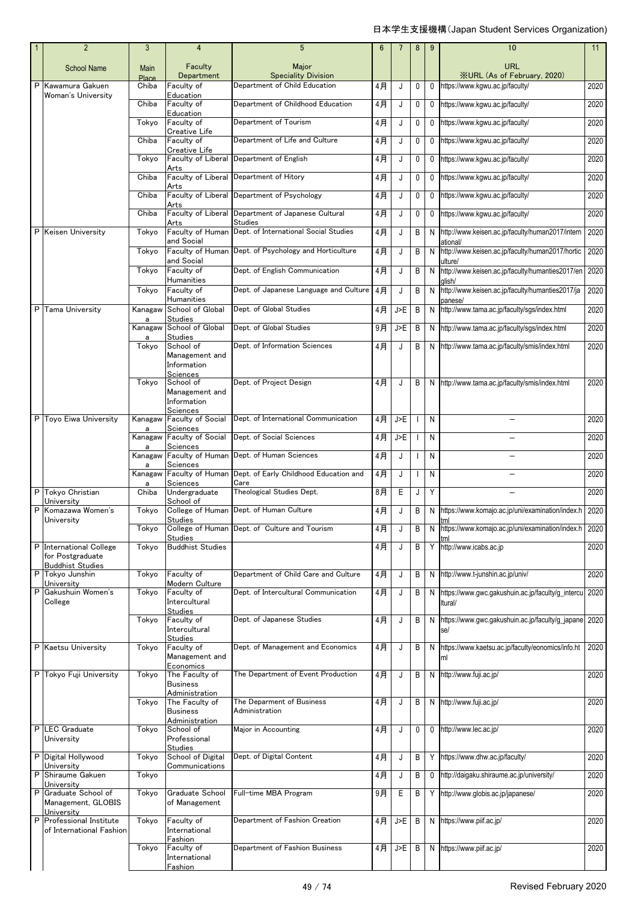|   | $\overline{2}$                                         | 3             | $\overline{4}$                                                  | $5\phantom{.0}$                                                 | 6  |     | 8 | 9            | 10                                                                        | 11   |
|---|--------------------------------------------------------|---------------|-----------------------------------------------------------------|-----------------------------------------------------------------|----|-----|---|--------------|---------------------------------------------------------------------------|------|
|   | <b>School Name</b>                                     | Main<br>Place | Faculty<br>Department                                           | Major<br><b>Speciality Division</b>                             |    |     |   |              | <b>URL</b><br><b>XURL (As of February, 2020)</b>                          |      |
| P | Kawamura Gakuen<br>Woman's University                  | Chiba         | Faculty of<br>Education                                         | Department of Child Education                                   | 4月 | J   | 0 | 0            | https://www.kgwu.ac.jp/faculty/                                           | 2020 |
|   |                                                        | Chiba         | Faculty of<br>Education                                         | Department of Childhood Education                               | 4月 | J   | 0 |              | 0 https://www.kqwu.ac.jp/faculty/                                         | 2020 |
|   |                                                        | Tokyo         | Faculty of<br>Creative Life                                     | Department of Tourism                                           | 4月 | J   | 0 |              | 0 https://www.kgwu.ac.jp/faculty/                                         | 2020 |
|   |                                                        | Chiba         | Faculty of                                                      | Department of Life and Culture                                  | 4月 | J   | 0 | $\mathbf{0}$ | https://www.kgwu.ac.jp/faculty/                                           | 2020 |
|   |                                                        | Tokvo         | Creative Life                                                   | Faculty of Liberal Department of English                        | 4月 | J   | 0 | 0            | https://www.kgwu.ac.jp/faculty/                                           | 2020 |
|   |                                                        | Chiba         | Arts<br>Arts                                                    | Faculty of Liberal Department of Hitory                         | 4月 | J   | 0 | 0            | https://www.kgwu.ac.jp/faculty/                                           | 2020 |
|   |                                                        | Chiba         |                                                                 | Faculty of Liberal Department of Psychology                     | 4月 | J   | 0 | 0            | https://www.kgwu.ac.jp/faculty/                                           | 2020 |
|   |                                                        | Chiba         | Arts                                                            | Faculty of Liberal Department of Japanese Cultural<br>Studies   | 4月 | J   | 0 |              | 0 https://www.kgwu.ac.jp/faculty/                                         | 2020 |
|   | P Keisen University                                    | Tokyo         | Arts<br>and Social                                              | Faculty of Human Dept. of International Social Studies          | 4月 | J   | В |              | N http://www.keisen.ac.jp/faculty/human2017/intern                        | 2020 |
|   |                                                        | Tokyo         | and Social                                                      | Faculty of Human Dept. of Psychology and Horticulture           | 4月 | J   | B |              | ational/<br>N http://www.keisen.ac.jp/faculty/human2017/hortic<br>ulture/ | 2020 |
|   |                                                        | Tokyo         | Faculty of                                                      | Dept. of English Communication                                  | 4月 | J   | В |              | N http://www.keisen.ac.jp/faculty/humanties2017/en                        | 2020 |
|   |                                                        | Tokyo         | Humanities<br>Faculty of                                        | Dept. of Japanese Language and Culture                          | 4月 | J   | B |              | alish/<br>N http://www.keisen.ac.jp/faculty/humanties2017/ja              | 2020 |
| P | <b>Tama University</b>                                 |               | <b>Humanities</b><br>Kanagaw School of Global<br><b>Studies</b> | Dept. of Global Studies                                         | 4月 | J>E | B |              | panese/<br>N http://www.tama.ac.jp/faculty/sqs/index.html                 | 2020 |
|   |                                                        | a<br>Kanagaw  | School of Global                                                | Dept. of Global Studies                                         | 9月 | J>E | B |              | N http://www.tama.ac.jp/faculty/sgs/index.html                            | 2020 |
|   |                                                        | a<br>Tokyo    | <b>Studies</b><br>School of                                     | Dept. of Information Sciences                                   | 4月 | J   | B |              | N http://www.tama.ac.jp/faculty/smis/index.html                           | 2020 |
|   |                                                        |               | Management and<br>Information<br>Sciences                       |                                                                 |    |     |   |              |                                                                           |      |
|   |                                                        | Tokyo         | School of                                                       | Dept. of Project Design                                         | 4月 | J   | B |              | N http://www.tama.ac.jp/faculty/smis/index.html                           | 2020 |
|   |                                                        |               | Management and<br>Information<br>Sciences                       |                                                                 |    |     |   |              |                                                                           |      |
| P | Toyo Eiwa University                                   | Kanagaw<br>a  | <b>Faculty of Social</b><br>Sciences                            | Dept. of International Communication                            | 4月 | J>E |   | N            | $\equiv$                                                                  | 2020 |
|   |                                                        |               | Kanagaw Faculty of Social<br>Sciences                           | Dept. of Social Sciences                                        | 4月 | J>E |   | N            |                                                                           | 2020 |
|   |                                                        | a             | Sciences                                                        | Kanagaw Faculty of Human Dept. of Human Sciences                | 4月 | J   |   | N            | $\equiv$                                                                  | 2020 |
|   |                                                        | a<br>Kanagaw  | Sciences                                                        | Faculty of Human Dept. of Early Childhood Education and<br>Care | 4月 | J   |   | N            |                                                                           | 2020 |
|   | P Tokyo Christian<br>Universitv                        | a<br>Chiba    | Undergraduate<br>School of                                      | Theological Studies Dept.                                       | 8月 | Е   | J | Y            |                                                                           | 2020 |
| P | Komazawa Women's<br>University                         | Tokyo         | <b>Studies</b>                                                  | College of Human Dept. of Human Culture                         | 4月 | J   | B | N            | https://www.komajo.ac.jp/uni/examination/index.h<br>tml                   | 2020 |
|   |                                                        | Tokyo         | <b>Studies</b>                                                  | College of Human Dept. of Culture and Tourism                   | 4月 | J   | В |              | N https://www.komajo.ac.jp/uni/examination/index.h 2020                   |      |
| P | <b>International College</b><br>for Postgraduate       | Tokyo         | <b>Buddhist Studies</b>                                         |                                                                 | 4月 | J   | В |              | Y http://www.icabs.ac.jp                                                  | 2020 |
|   | <b>Buddhist Studies</b><br>P Tokyo Junshin             | Tokyo         | Faculty of                                                      | Department of Child Care and Culture                            | 4月 | J   | В |              | N http://www.t-junshin.ac.jp/univ/                                        | 2020 |
| P | University<br>Gakushuin Women's                        | Tokyo         | Modern Culture<br>Faculty of                                    | Dept. of Intercultural Communication                            | 4月 | J   | В |              | N https://www.gwc.gakushuin.ac.jp/faculty/g_intercu                       | 2020 |
|   | College                                                |               | Intercultural<br><b>Studies</b>                                 |                                                                 |    |     |   |              | Itural/                                                                   |      |
|   |                                                        | Tokvo         | Faculty of<br>Intercultural                                     | Dept. of Japanese Studies                                       | 4月 | J   | B |              | N https://www.gwc.gakushuin.ac.jp/faculty/g_japane 2020<br>se/            |      |
| P | Kaetsu University                                      | Tokyo         | <b>Studies</b><br>Faculty of                                    | Dept. of Management and Economics                               | 4月 | J   | В |              | N https://www.kaetsu.ac.jp/faculty/eonomics/info.ht                       | 2020 |
|   |                                                        |               | Management and<br>Economics                                     |                                                                 |    |     |   |              | ml                                                                        |      |
| P | Tokyo Fuji University                                  | Tokyo         | The Faculty of<br><b>Business</b><br>Administration             | The Department of Event Production                              | 4月 | J   | В |              | N http://www.fuji.ac.jp/                                                  | 2020 |
|   |                                                        | Tokyo         | The Faculty of<br><b>Business</b>                               | The Deparment of Business<br>Administration                     | 4月 | J   | B |              | N http://www.fuji.ac.jp/                                                  | 2020 |
|   | P LEC Graduate                                         | Tokyo         | Administration<br>School of                                     | Major in Accounting                                             | 4月 | J   | 0 | 0            | http://www.lec.ac.jp/                                                     | 2020 |
|   | University                                             |               | Professional<br><b>Studies</b>                                  |                                                                 |    |     |   |              |                                                                           |      |
|   | P Digital Hollywood<br>University                      | Tokyo         | School of Digital<br>Communications                             | Dept. of Digital Content                                        | 4月 | J   | В |              | https://www.dhw.ac.jp/faculty/                                            | 2020 |
| P | Shiraume Gakuen<br>University                          | Tokyo         |                                                                 |                                                                 | 4月 | J   | В |              | 0 http://daigaku.shiraume.ac.jp/university/                               | 2020 |
| P | Graduate School of<br>Management, GLOBIS<br>University | Tokyo         | Graduate School<br>of Management                                | Full-time MBA Program                                           | 9月 | Е   | В |              | Y http://www.globis.ac.jp/japanese/                                       | 2020 |
|   | P Professional Institute<br>of International Fashion   | Tokyo         | Faculty of<br>International                                     | Department of Fashion Creation                                  | 4月 | J>E | B | N            | https://www.piif.ac.jp/                                                   | 2020 |
|   |                                                        | Tokyo         | Fashion<br>Faculty of<br>International<br>Fashion               | Department of Fashion Business                                  | 4月 | J>E | B |              | N https://www.piif.ac.jp/                                                 | 2020 |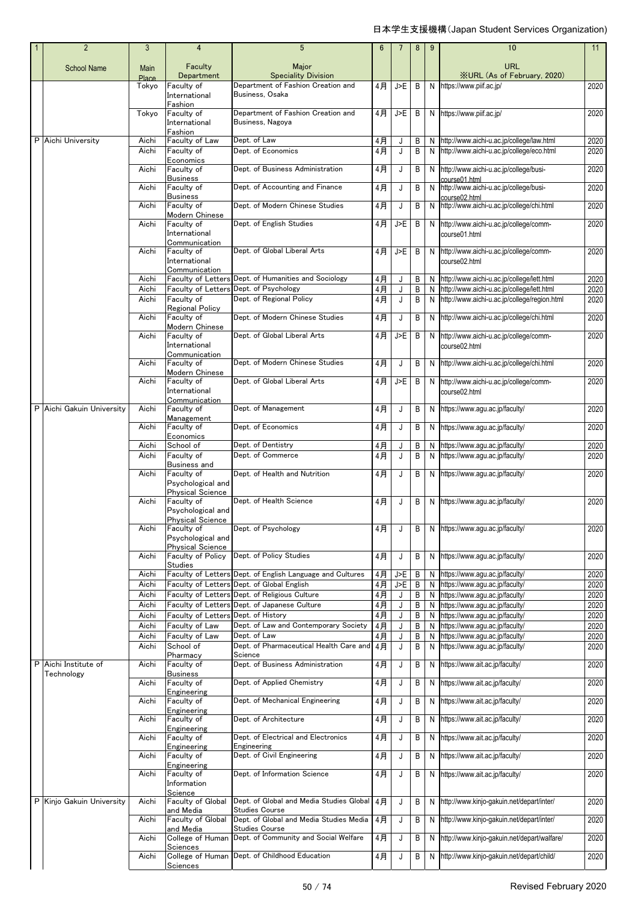| $\overline{2}$            | 3                    | 4                                                                          | 5                                                                                           | 6           | $\overline{7}$ | 8      | 9            | 10                                                                                         | 11                        |
|---------------------------|----------------------|----------------------------------------------------------------------------|---------------------------------------------------------------------------------------------|-------------|----------------|--------|--------------|--------------------------------------------------------------------------------------------|---------------------------|
| <b>School Name</b>        | <b>Main</b><br>Place | Faculty<br>Department                                                      | Major<br><b>Speciality Division</b>                                                         |             |                |        |              | <b>URL</b><br><b>XURL</b> (As of February, 2020)                                           |                           |
|                           | Tokyo                | Faculty of<br>International                                                | Department of Fashion Creation and<br>Business, Osaka                                       | 4月          | J>E            | В      | N            | https://www.piif.ac.jp/                                                                    | 2020                      |
|                           | Tokyo                | Fashion<br>Faculty of<br>International<br>Fashion                          | Department of Fashion Creation and<br>Business, Nagoya                                      | 4月          | J>E            | B      | N            | https://www.piif.ac.jp/                                                                    | 2020                      |
| P Aichi University        | Aichi<br>Aichi       | Faculty of Law<br>Faculty of                                               | Dept. of Law<br>Dept. of Economics                                                          | 4月<br>$4$ 月 | J<br>J         | В<br>В | N<br>N       | http://www.aichi-u.ac.jp/college/law.html<br>http://www.aichi-u.ac.jp/college/eco.html     | 2020<br>2020              |
|                           | Aichi                | Economics<br>Faculty of                                                    | Dept. of Business Administration                                                            | 4月          | J              | В      | N            | http://www.aichi-u.ac.jp/college/busi-                                                     | 2020                      |
|                           |                      | <b>Business</b>                                                            |                                                                                             |             |                |        |              | course01.html                                                                              |                           |
|                           | Aichi                | Faculty of<br><b>Business</b>                                              | Dept. of Accounting and Finance                                                             | 4月          | J              | В      | N            | http://www.aichi-u.ac.jp/college/busi-<br>course02.html                                    | 2020                      |
|                           | Aichi                | Faculty of<br>Modern Chinese                                               | Dept. of Modern Chinese Studies                                                             | 4月          | J              | В      | N            | http://www.aichi-u.ac.jp/college/chi.html                                                  | 2020                      |
|                           | Aichi                | Faculty of<br>International<br>Communication                               | Dept. of English Studies                                                                    | 4月          | J>E            | В      | N            | http://www.aichi-u.ac.jp/college/comm-<br>course01.html                                    | 2020                      |
|                           | Aichi                | Faculty of<br>International<br>Communication                               | Dept. of Global Liberal Arts                                                                | 4月          | J>E            | В      | N            | http://www.aichi-u.ac.jp/college/comm-<br>course02.html                                    | 2020                      |
|                           | Aichi                | <b>Faculty of Letters</b>                                                  | Dept. of Humanities and Sociology                                                           | $4$ 月       | J              | B      | $\mathsf{N}$ | http://www.aichi-u.ac.jp/college/lett.html                                                 | 2020                      |
|                           | Aichi<br>Aichi       | <b>Faculty of Letters</b><br>Faculty of                                    | Dept. of Psychology<br>Dept. of Regional Policy                                             | 4月<br>4月    | J<br>J         | В<br>В | N<br>N       | http://www.aichi-u.ac.jp/college/lett.html<br>http://www.aichi-u.ac.jp/college/region.html | 2020<br>2020              |
|                           | Aichi                | Regional Policy<br>Faculty of                                              | Dept. of Modern Chinese Studies                                                             | 4月          | J              | В      | N            | http://www.aichi-u.ac.jp/college/chi.html                                                  | 2020                      |
|                           | Aichi                | Modern Chinese<br>Faculty of<br>International                              | Dept. of Global Liberal Arts                                                                | 4月          | J>E            | В      | N            | http://www.aichi-u.ac.jp/college/comm-<br>course02.html                                    | 2020                      |
|                           | Aichi                | Communication<br>Faculty of                                                | Dept. of Modern Chinese Studies                                                             | 4月          | J              | В      | N            | http://www.aichi-u.ac.jp/college/chi.html                                                  | 2020                      |
|                           | Aichi                | Modern Chinese<br>Faculty of                                               | Dept. of Global Liberal Arts                                                                |             | J>E            |        | N            |                                                                                            | 2020                      |
|                           |                      | International<br>Communication                                             |                                                                                             | 4月          |                | В      |              | http://www.aichi-u.ac.jp/college/comm-<br>course02.html                                    |                           |
| P Aichi Gakuin University | Aichi                | Faculty of<br>Management                                                   | Dept. of Management                                                                         | 4月          | J              | В      | N            | https://www.agu.ac.jp/faculty/                                                             | 2020                      |
|                           | Aichi                | Faculty of<br>Economics                                                    | Dept. of Economics                                                                          | 4月          | J              | В      | N            | https://www.agu.ac.jp/faculty/                                                             | 2020                      |
|                           | Aichi                | School of                                                                  | Dept. of Dentistry                                                                          | 4月          | J              | В      | N            | https://www.agu.ac.jp/faculty/                                                             | 2020                      |
|                           | Aichi                | Faculty of                                                                 | Dept. of Commerce                                                                           | 4月          | J              | В      | N            | https://www.agu.ac.jp/faculty/                                                             | 2020                      |
|                           | Aichi                | Business and<br>Faculty of<br>Psychological and<br><b>Physical Science</b> | Dept. of Health and Nutrition                                                               | 4月          | J              | В      | N            | https://www.agu.ac.jp/faculty/                                                             | 2020                      |
|                           | Aichi                | Faculty of<br>Psychological and<br><b>Physical Science</b>                 | Dept. of Health Science                                                                     | 4月          | J              | B      | N            | https://www.agu.ac.jp/faculty/                                                             | 2020                      |
|                           | Aichi                | Faculty of<br>Psychological and<br><b>Physical Science</b>                 | Dept. of Psychology                                                                         | 4月          | J              | В      | N            | https://www.agu.ac.jp/faculty/                                                             | 2020                      |
|                           | Aichi                | <b>Faculty of Policy</b><br><b>Studies</b>                                 | Dept. of Policy Studies                                                                     | 4月          | J              | В      | N            | https://www.aqu.ac.jp/faculty/                                                             | 2020                      |
|                           | Aichi                |                                                                            | Faculty of Letters Dept. of English Language and Cultures                                   | $4$ 月       | $J>E$          | В      | N            | https://www.agu.ac.jp/faculty/                                                             | 2020                      |
|                           | Aichi                |                                                                            | Faculty of Letters Dept. of Global English<br>Faculty of Letters Dept. of Religious Culture | $4$ 月<br>4月 | J>E            | В      | N            | https://www.agu.ac.jp/faculty/<br>https://www.agu.ac.jp/faculty/                           | 2020                      |
|                           | Aichi<br>Aichi       |                                                                            | Faculty of Letters Dept. of Japanese Culture                                                | $4$ 月       | J<br>J         | В<br>В | N<br>N       | https://www.agu.ac.jp/faculty/                                                             | 2020<br>$\overline{20}20$ |
|                           | Aichi                | Faculty of Letters Dept. of History                                        |                                                                                             | $4$ 月       | J              | В      | N            | https://www.agu.ac.jp/faculty/                                                             | 2020                      |
|                           | Aichi                | Faculty of Law                                                             | Dept. of Law and Contemporary Society                                                       | 4月          | J              | В      | N            | https://www.agu.ac.jp/faculty/                                                             | 2020                      |
|                           | Aichi<br>Aichi       | Faculty of Law<br>School of                                                | Dept. of Law<br>Dept. of Pharmaceutical Health Care and                                     | 4月<br>$4$ 月 | J<br>J         | В<br>B | N<br>N       | https://www.agu.ac.jp/faculty/<br>https://www.aqu.ac.jp/faculty/                           | 2020<br>2020              |
| P Aichi Institute of      | Aichi                | Pharmacy<br>Faculty of                                                     | Science<br>Dept. of Business Administration                                                 | $4$ 月       | J              | В      | N            | https://www.ait.ac.jp/faculty/                                                             | 2020                      |
| Technology                | Aichi                | <b>Business</b><br>Faculty of                                              | Dept. of Applied Chemistry                                                                  | 4月          | J              | В      | N            | https://www.ait.ac.jp/faculty/                                                             | 2020                      |
|                           | Aichi                | Engineering<br>Faculty of                                                  | Dept. of Mechanical Engineering                                                             | 4月          | J              | В      | N            | https://www.ait.ac.jp/faculty/                                                             | 2020                      |
|                           | Aichi                | Engineering<br>Faculty of<br>Engineering                                   | Dept. of Architecture                                                                       | 4月          | J              | В      | N            | https://www.ait.ac.jp/faculty/                                                             | 2020                      |
|                           | Aichi                | Faculty of                                                                 | Dept. of Electrical and Electronics<br>Engineering                                          | 4月          | J              | В      | N            | https://www.ait.ac.jp/faculty/                                                             | 2020                      |
|                           | Aichi                | Engineering<br>Faculty of                                                  | Dept. of Civil Engineering                                                                  | 4月          | J              | В      | N            | https://www.ait.ac.jp/faculty/                                                             | 2020                      |
|                           | Aichi                | Engineering<br>Faculty of<br>Information                                   | Dept. of Information Science                                                                | 4月          | J              | В      | N            | https://www.ait.ac.jp/faculty/                                                             | 2020                      |
| P Kinjo Gakuin University | Aichi                | Science<br>Faculty of Global                                               | Dept. of Global and Media Studies Global                                                    | 4月          | J              | В      | N            | http://www.kinjo-gakuin.net/depart/inter/                                                  | 2020                      |
|                           | Aichi                | and Media<br>Faculty of Global                                             | <b>Studies Course</b><br>Dept. of Global and Media Studies Media                            | $4$ 月       | J              | В      | N            | http://www.kinjo-gakuin.net/depart/inter/                                                  | 2020                      |
|                           | Aichi                | and Media<br>College of Human                                              | <b>Studies Course</b><br>Dept. of Community and Social Welfare                              | 4月          | J              | В      | N            | http://www.kinjo-gakuin.net/depart/walfare/                                                | 2020                      |
|                           | Aichi                | Sciences<br>College of Human                                               | Dept. of Childhood Education                                                                | 4月          | J              | В      | N            | http://www.kinjo-gakuin.net/depart/child/                                                  | 2020                      |
|                           |                      | Sciences                                                                   |                                                                                             |             |                |        |              |                                                                                            |                           |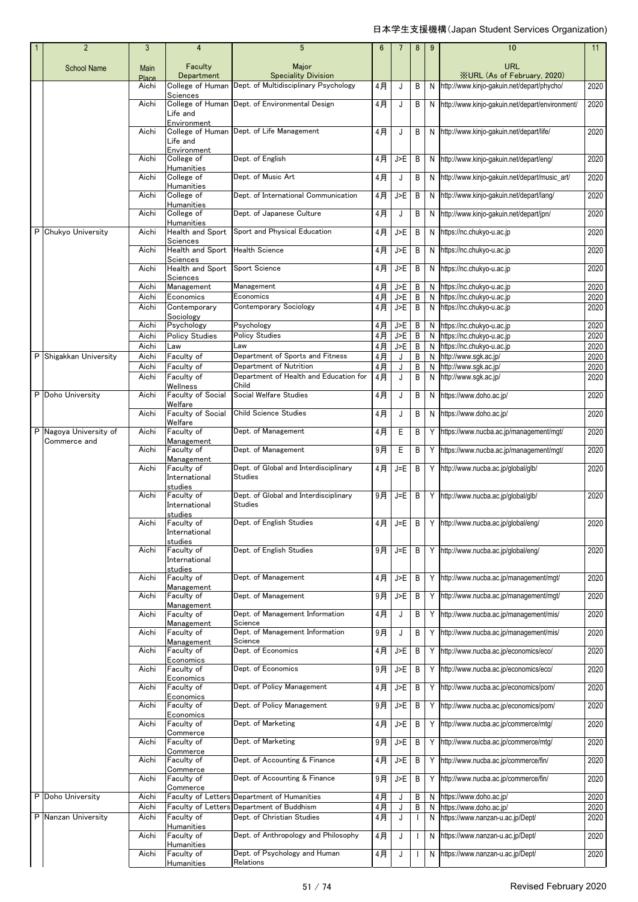| $\overline{2}$                         | 3              | $\overline{4}$                                          | 5                                                           | 6           | 7          | 8      | 9      | 10                                                     | 11           |
|----------------------------------------|----------------|---------------------------------------------------------|-------------------------------------------------------------|-------------|------------|--------|--------|--------------------------------------------------------|--------------|
| <b>School Name</b>                     | Main<br>Place  | Faculty<br>Department                                   | Major<br><b>Speciality Division</b>                         |             |            |        |        | <b>URL</b><br><b>XURL (As of February, 2020)</b>       |              |
|                                        | Aichi          | College of Human                                        | Dept. of Multidisciplinary Psychology                       | 4月          | J          | B      | N      | http://www.kinjo-gakuin.net/depart/phycho/             | 2020         |
|                                        | Aichi          | Sciences<br>College of Human<br>Life and<br>Environment | Dept. of Environmental Design                               | 4月          | J          | В      | N      | http://www.kinjo-gakuin.net/depart/environment/        | 2020         |
|                                        | Aichi          | Life and<br>Environment                                 | College of Human Dept. of Life Management                   | 4月          | J          | B      | N      | http://www.kinjo-gakuin.net/depart/life/               | 2020         |
|                                        | Aichi          | College of<br>Humanities                                | Dept. of English                                            | 4月          | J>E        | B      | N      | http://www.kinjo-gakuin.net/depart/eng/                | 2020         |
|                                        | Aichi          | College of<br><b>Humanities</b>                         | Dept. of Music Art                                          | 4月          | J          | В      | N      | http://www.kinjo-qakuin.net/depart/music_art/          | 2020         |
|                                        | Aichi          | College of<br>Humanities                                | Dept. of International Communication                        | 4月          | J>E        | В      | N      | http://www.kinjo-gakuin.net/depart/lang/               | 2020         |
|                                        | Aichi          | College of<br>Humanities                                | Dept. of Japanese Culture                                   | 4月          | J          | В      | N      | http://www.kinjo-gakuin.net/depart/jpn/                | 2020         |
| P Chukyo University                    | Aichi          | Health and Sport<br>Sciences                            | Sport and Physical Education                                | 4月          | J>E        | В      | N      | https://nc.chukyo-u.ac.jp                              | 2020         |
|                                        | Aichi          | Health and Sport<br>Sciences                            | <b>Health Science</b>                                       | 4月          | J>E        | В      | N      | https://nc.chukyo-u.ac.jp                              | 2020         |
|                                        | Aichi          | Health and Sport<br>Sciences                            | Sport Science                                               | 4月          | J>E        | B      | N      | https://nc.chukyo-u.ac.jp                              | 2020         |
|                                        | Aichi<br>Aichi | Management<br>Economics                                 | Management<br>Economics                                     | 4月<br>$4$ 月 | J>E<br>J>E | B<br>В | N<br>N | https://nc.chukyo-u.ac.jp<br>https://nc.chukyo-u.ac.jp | 2020<br>2020 |
|                                        | Aichi          | Contemporary                                            | Contemporary Sociology                                      | $4$ 月       | J>E        | В      | N      | https://nc.chukyo-u.ac.jp                              | 2020         |
|                                        |                | Sociology                                               |                                                             |             |            |        |        |                                                        |              |
|                                        | Aichi          | Psychology                                              | Psychology                                                  | 4月          | J>E        | B      | N      | https://nc.chukyo-u.ac.jp                              | 2020         |
|                                        | Aichi          | <b>Policy Studies</b>                                   | Policy Studies                                              | $4$ 月       | J>E        | В      | N      | https://nc.chukyo-u.ac.jp                              | 2020         |
|                                        | Aichi          | Law                                                     | Law                                                         | $4$ 月       | J>F        | B      | N      | https://nc.chukyo-u.ac.jp                              | 2020         |
| P Shigakkan University                 | Aichi          | Faculty of                                              | Department of Sports and Fitness<br>Department of Nutrition | $4$ 月       | J          | В      | N      | http://www.sgk.ac.jp/                                  | 2020         |
|                                        | Aichi<br>Aichi | Faculty of<br>Faculty of                                | Department of Health and Education for                      | 4月<br>4月    | J<br>J     | В<br>В | N<br>N | http://www.sgk.ac.jp/<br>http://www.sgk.ac.jp/         | 2020<br>2020 |
| P Doho University                      | Aichi          | Wellness<br><b>Faculty of Social</b>                    | Child<br>Social Welfare Studies                             | 4月          | J          | B      | N      | https://www.doho.ac.jp/                                | 2020         |
|                                        | Aichi          | Welfare<br>Faculty of Social                            | <b>Child Science Studies</b>                                | 4月          | J          | В      | N      | https://www.doho.ac.jp/                                | 2020         |
|                                        |                | Welfare                                                 |                                                             |             |            |        |        |                                                        |              |
| P Nagoya University of<br>Commerce and | Aichi          | Faculty of<br>Management                                | Dept. of Management                                         | 4月          | E          | В      | Y      | https://www.nucba.ac.jp/management/mgt/                | 2020         |
|                                        | Aichi          | Faculty of<br>Management                                | Dept. of Management                                         | $9$ 月       | Е          | В      | Y      | https://www.nucba.ac.jp/management/mgt/                | 2020         |
|                                        | Aichi          | Faculty of<br>International<br>studies                  | Dept. of Global and Interdisciplinary<br><b>Studies</b>     | 4月          | J=E        | B      | Y      | http://www.nucba.ac.jp/global/glb/                     | 2020         |
|                                        | Aichi          | Faculty of<br>International<br>studies                  | Dept. of Global and Interdisciplinary<br><b>Studies</b>     | 9月          | J=E        | B      | Y      | http://www.nucba.ac.jp/qlobal/qlb/                     | 2020         |
|                                        | Aichi          | Faculty of<br>International                             | Dept. of English Studies                                    |             |            |        |        | 4月 J=E B Y http://www.nucba.ac.jp/global/eng/          | 2020         |
|                                        | Aichi          | studies<br>Faculty of<br>International<br>studies       | Dept. of English Studies                                    | 9月          | J=E        | B      | Y      | http://www.nucba.ac.jp/global/eng/                     | 2020         |
|                                        | Aichi          | Faculty of<br>Management                                | Dept. of Management                                         | 4月          | J>E        | B      | Y      | http://www.nucba.ac.jp/management/mgt/                 | 2020         |
|                                        | Aichi          | Faculty of<br>Management                                | Dept. of Management                                         | 9月          | J>E        | B      | Y      | http://www.nucba.ac.jp/management/mgt/                 | 2020         |
|                                        | Aichi          | Faculty of<br>Management                                | Dept. of Management Information<br>Science                  | 4月          | J          | В      | Y      | http://www.nucba.ac.jp/management/mis/                 | 2020         |
|                                        | Aichi          | Faculty of<br>Management                                | Dept. of Management Information<br>Science                  | 9月          | J          | В      | Y      | http://www.nucba.ac.jp/management/mis/                 | 2020         |
|                                        | Aichi          | Faculty of<br>Economics                                 | Dept. of Economics                                          | 4月          | J>E        | В      | Y      | http://www.nucba.ac.jp/economics/eco/                  | 2020         |
|                                        | Aichi          | Faculty of<br>Economics                                 | Dept. of Economics                                          | 9月          | J>E        | В      | Y      | http://www.nucba.ac.jp/economics/eco/                  | 2020         |
|                                        | Aichi          | Faculty of<br>Economics                                 | Dept. of Policy Management                                  | 4月          | J>E        | B      | Y      | http://www.nucba.ac.jp/economics/pom/                  | 2020         |
|                                        | Aichi          | Faculty of<br>Economics                                 | Dept. of Policy Management                                  | 9月          | J>E        | В      | Y      | http://www.nucba.ac.jp/economics/pom/                  | 2020         |
|                                        | Aichi          | Faculty of<br>Commerce                                  | Dept. of Marketing                                          | 4月          | J>E        | B      | Y      | http://www.nucba.ac.jp/commerce/mtg/                   | 2020         |
|                                        | Aichi          | Faculty of<br>Commerce                                  | Dept. of Marketing                                          | $9$ 月       | J>E        | В      | Y      | http://www.nucba.ac.jp/commerce/mtg/                   | 2020         |
|                                        | Aichi          | Faculty of<br>Commerce                                  | Dept. of Accounting & Finance                               | 4月          | J>E        | В      | Y      | http://www.nucba.ac.jp/commerce/fin/                   | 2020         |
|                                        | Aichi          | Faculty of<br>Commerce                                  | Dept. of Accounting & Finance                               | 9月          | J>E        | В      | Y      | http://www.nucba.ac.jp/commerce/fin/                   | 2020         |
| P Doho University                      | Aichi          | Faculty of Letters                                      | Department of Humanities                                    | 4月          | J          | В      | N      | https://www.doho.ac.jp/                                | 2020         |
|                                        | Aichi          | Faculty of Letters                                      | Department of Buddhism                                      | 4月          | J          | Β      | N      | https://www.doho.ac.jp/                                | 2020         |
| P Nanzan University                    | Aichi          | Faculty of<br>Humanities                                | Dept. of Christian Studies                                  | 4月          | J          |        | N      | https://www.nanzan-u.ac.jp/Dept/                       | 2020         |
|                                        | Aichi          | Faculty of<br>Humanities                                | Dept. of Anthropology and Philosophy                        | 4月          | J          |        | N      | https://www.nanzan-u.ac.jp/Dept/                       | 2020         |
|                                        | Aichi          | Faculty of<br>Humanities                                | Dept. of Psychology and Human<br>Relations                  | 4月          | J          |        | N      | https://www.nanzan-u.ac.jp/Dept/                       | 2020         |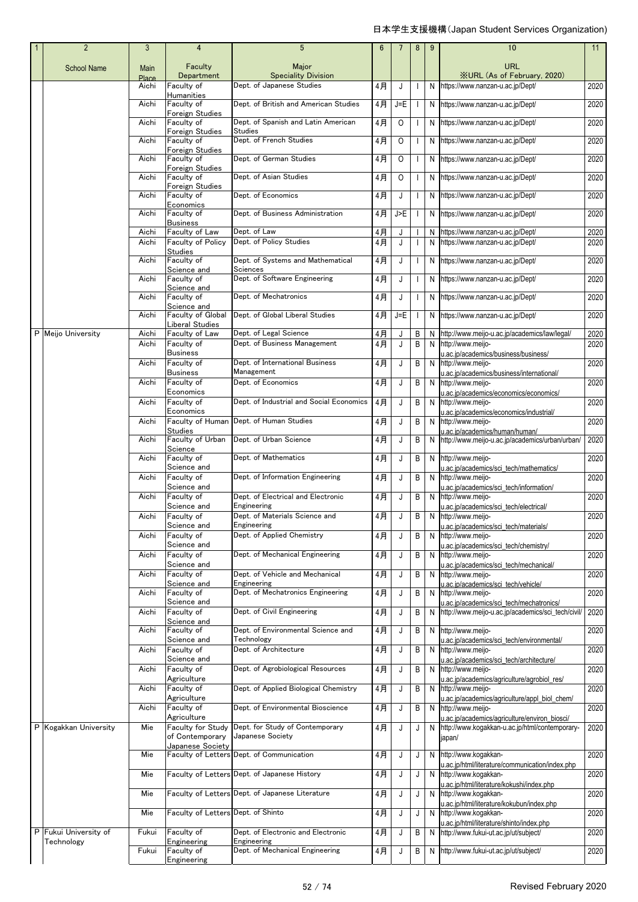| $\overline{2}$        | 3                    | $\overline{4}$                              | 5                                                      | $6\phantom{1}$ | 7       | 8            | 9      | 10                                                                                  | 11           |
|-----------------------|----------------------|---------------------------------------------|--------------------------------------------------------|----------------|---------|--------------|--------|-------------------------------------------------------------------------------------|--------------|
| <b>School Name</b>    | Main<br><b>Place</b> | Faculty<br>Department                       | Major<br><b>Speciality Division</b>                    |                |         |              |        | <b>URL</b><br><b>XURL (As of February, 2020)</b>                                    |              |
|                       | Aichi                | Faculty of                                  | Dept. of Japanese Studies                              | 4月             | J       | $\mathbf{I}$ | N      | https://www.nanzan-u.ac.jp/Dept/                                                    | 2020         |
|                       | Aichi                | Humanities<br>Faculty of<br>Foreign Studies | Dept. of British and American Studies                  | 4月             | J=E     | $\mathbf{I}$ |        | N https://www.nanzan-u.ac.jp/Dept/                                                  | 2020         |
|                       | Aichi                | Faculty of                                  | Dept. of Spanish and Latin American                    | $4$ 月          | 0       | $\mathbf{I}$ |        | N https://www.nanzan-u.ac.jp/Dept/                                                  | 2020         |
|                       | Aichi                | Foreign Studies<br>Faculty of               | <b>Studies</b><br>Dept. of French Studies              | 4月             | 0       | $\mathbf{I}$ |        | N https://www.nanzan-u.ac.jp/Dept/                                                  | 2020         |
|                       | Aichi                | Foreign Studies<br>Faculty of               | Dept. of German Studies                                | $4$ 月          | 0       | $\mathbf{I}$ |        | N https://www.nanzan-u.ac.jp/Dept/                                                  | 2020         |
|                       | Aichi                | Foreign Studies<br>Faculty of               | Dept. of Asian Studies                                 | 4月             | O       | $\mathbf{I}$ |        | N https://www.nanzan-u.ac.jp/Dept/                                                  | 2020         |
|                       | Aichi                | Foreign Studies<br>Faculty of<br>Economics  | Dept. of Economics                                     | 4月             | J       | $\mathbf{I}$ |        | N https://www.nanzan-u.ac.jp/Dept/                                                  | 2020         |
|                       | Aichi                | Faculty of<br><b>Business</b>               | Dept. of Business Administration                       | $4$ 月          | J>E     | $\mathbf{I}$ |        | N https://www.nanzan-u.ac.jp/Dept/                                                  | 2020         |
|                       | Aichi                | Faculty of Law                              | Dept. of Law                                           | $4$ 月          | J       |              | N      | https://www.nanzan-u.ac.jp/Dept/                                                    | 2020         |
|                       | Aichi                | Faculty of Policy<br><b>Studies</b>         | Dept. of Policy Studies                                | 4月             | J       | $\mathbf{I}$ | N      | https://www.nanzan-u.ac.jp/Dept/                                                    | 2020         |
|                       | Aichi                | Faculty of<br>Science and                   | Dept. of Systems and Mathematical<br>Sciences          | 4月             | J       | $\mathbf{I}$ |        | N https://www.nanzan-u.ac.jp/Dept/                                                  | 2020         |
|                       | Aichi                | Faculty of<br>Science and                   | Dept. of Software Engineering                          | 4月             | J       | $\mathbf{I}$ |        | N https://www.nanzan-u.ac.jp/Dept/                                                  | 2020         |
|                       | Aichi                | Faculty of<br>Science and                   | Dept. of Mechatronics                                  | $4$ 月          | J       | $\mathbf{I}$ |        | N https://www.nanzan-u.ac.jp/Dept/                                                  | 2020         |
|                       | Aichi                | Faculty of Global<br>Liberal Studies        | Dept. of Global Liberal Studies                        | 4月             | $J = E$ | $\mathbf{I}$ |        | N https://www.nanzan-u.ac.jp/Dept/                                                  | 2020         |
| P Meijo University    | Aichi<br>Aichi       | Faculty of Law<br>Faculty of                | Dept. of Legal Science<br>Dept. of Business Management | 4月<br>4月       | J<br>J  | В<br>B       | N<br>N | http://www.meijo-u.ac.jp/academics/law/legal/<br>http://www.meiio-                  | 2020<br>2020 |
|                       | Aichi                | <b>Business</b><br>Faculty of               | Dept. of International Business                        | 4月             | J       | B            |        | u.ac.jp/academics/business/business/<br>N http://www.meijo-                         | 2020         |
|                       | Aichi                | <b>Business</b><br>Faculty of               | Management<br>Dept. of Economics                       | 4月             | J       | B            |        | u.ac.jp/academics/business/international/<br>N http://www.meijo-                    | 2020         |
|                       | Aichi                | Economics<br>Faculty of                     | Dept. of Industrial and Social Economics               | 4月             | J       | B            |        | u.ac.jp/academics/economics/economics/<br>N http://www.meijo-                       | 2020         |
|                       | Aichi                | Economics                                   | Faculty of Human Dept. of Human Studies                | 4月             | J       | B            |        | u.ac.jp/academics/economics/industrial/<br>N http://www.meijo-                      | 2020         |
|                       | Aichi                | <b>Studies</b><br>Faculty of Urban          | Dept. of Urban Science                                 | 4月             | J       | B            | N.     | u.ac.ip/academics/human/human/<br>http://www.meijo-u.ac.jp/academics/urban/urban/   | 2020         |
|                       | Aichi                | Science<br>Faculty of                       | Dept. of Mathematics                                   | 4月             | J       | B            |        | N http://www.meijo-                                                                 | 2020         |
|                       | Aichi                | Science and<br>Faculty of                   | Dept. of Information Engineering                       | $4$ 月          | J       | B            |        | u.ac.jp/academics/sci_tech/mathematics/<br>N http://www.meijo-                      | 2020         |
|                       | Aichi                | Science and<br>Faculty of                   | Dept. of Electrical and Electronic                     | 4月             | J       | B            | N      | u.ac.jp/academics/sci_tech/information/<br>http://www.meijo-                        | 2020         |
|                       | Aichi                | Science and<br>Faculty of                   | Engineering<br>Dept. of Materials Science and          |                |         |              |        | u.ac.jp/academics/sci_tech/electrical/                                              |              |
|                       |                      | Science and                                 | Engineering                                            | 4月             | J       | B            |        | N http://www.meijo-<br>u.ac.jp/academics/sci_tech/materials/                        | 2020         |
|                       | Aichi                | Faculty of<br>Science and                   | Dept. of Applied Chemistry                             | 4月             | J       | B            | N      | http://www.meijo-<br>u.ac.jp/academics/sci_tech/chemistry/                          | 2020         |
|                       | Aichi                | Faculty of<br>Science and                   | Dept. of Mechanical Engineering                        | 4月             | J       | B            | N      | http://www.meijo-<br>u.ac.jp/academics/sci_tech/mechanical/                         | 2020         |
|                       | Aichi                | Faculty of<br>Science and                   | Dept. of Vehicle and Mechanical<br>Engineering         | 4月             | J       | B            | N      | http://www.meijo-<br>u.ac.ip/academics/sci_tech/vehicle/                            | 2020         |
|                       | Aichi                | Faculty of<br>Science and                   | Dept. of Mechatronics Engineering                      | 4月             | J       | B            | N      | http://www.meijo-<br>u.ac.jp/academics/sci_tech/mechatronics/                       | 2020         |
|                       | Aichi                | Faculty of<br>Science and                   | Dept. of Civil Engineering                             | $4$ 月          | J       | B            |        | N http://www.meijo-u.ac.jp/academics/sci_tech/civil/                                | 2020         |
|                       | Aichi                | Faculty of<br>Science and                   | Dept. of Environmental Science and<br>Technology       | 4月             | J       | B            | N      | http://www.meijo-<br>u.ac.jp/academics/sci_tech/environmental/                      | 2020         |
|                       | Aichi                | Faculty of<br>Science and                   | Dept. of Architecture                                  | $4$ 月          | J       | B            | N.     | http://www.meijo-<br>u.ac.jp/academics/sci_tech/architecture/                       | 2020         |
|                       | Aichi                | Faculty of<br>Agriculture                   | Dept. of Agrobiological Resources                      | 4月             | J       | B            |        | N http://www.meijo-<br>u.ac.jp/academics/agriculture/agrobiol_res/                  | 2020         |
|                       | Aichi                | Faculty of<br>Agriculture                   | Dept. of Applied Biological Chemistry                  | 4月             | J       | B            | N      | http://www.meijo-<br>u.ac.jp/academics/agriculture/appl_biol_chem/                  | 2020         |
|                       | Aichi                | Faculty of<br>Agriculture                   | Dept. of Environmental Bioscience                      | 4月             | J       | B            |        | N http://www.meijo-<br>u.ac.jp/academics/agriculture/environ_biosci/                | 2020         |
| P Kogakkan University | Mie                  | Faculty for Study<br>of Contemporary        | Dept. for Study of Contemporary<br>Japanese Society    | 4月             | J       | J            |        | N http://www.kogakkan-u.ac.jp/html/contemporary-<br>japan/                          | 2020         |
|                       | Mie                  | Japanese Society                            | Faculty of Letters Dept. of Communication              | 4月             | J       | J            | N      | http://www.kogakkan-                                                                | 2020         |
|                       | Mie                  |                                             | Faculty of Letters Dept. of Japanese History           | 4月             | J       | J            | N      | u.ac.jp/html/literature/communication/index.php<br>http://www.kogakkan-             | 2020         |
|                       | Mie                  |                                             | Faculty of Letters Dept. of Japanese Literature        | 4月             | J       | J            | N      | u.ac.jp/html/literature/kokushi/index.php<br>http://www.kogakkan-                   | 2020         |
|                       | Mie                  | Faculty of Letters Dept. of Shinto          |                                                        | 4月             | J       | J            | N      | u.ac.jp/html/literature/kokubun/index.php<br>http://www.kogakkan-                   | 2020         |
| P Fukui University of | Fukui                | Faculty of                                  | Dept. of Electronic and Electronic                     | 4月             | J       | B            |        | u.ac.jp/html/literature/shinto/index.php<br>N http://www.fukui-ut.ac.jp/ut/subject/ | 2020         |
| Technology            | Fukui                | Engineering<br>Faculty of                   | Engineering<br>Dept. of Mechanical Engineering         | 4月             | J       | B            |        | N http://www.fukui-ut.ac.jp/ut/subject/                                             | 2020         |
|                       |                      | Engineering                                 |                                                        |                |         |              |        |                                                                                     |              |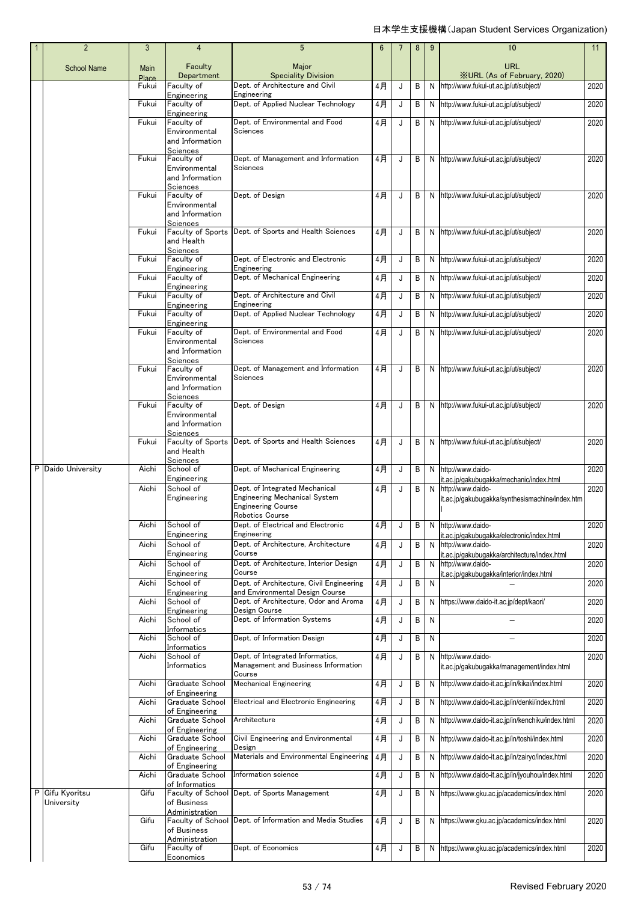|  | $\overline{2}$                | 3             | 4                                                                      | 5                                                                             | 6  |   | 8 | 9  | 10                                                                  | 11   |
|--|-------------------------------|---------------|------------------------------------------------------------------------|-------------------------------------------------------------------------------|----|---|---|----|---------------------------------------------------------------------|------|
|  | <b>School Name</b>            | Main<br>Place | Faculty<br>Department                                                  | Major<br><b>Speciality Division</b>                                           |    |   |   |    | <b>URL</b><br><b>XURL (As of February, 2020)</b>                    |      |
|  |                               | Fukui         | Faculty of                                                             | Dept. of Architecture and Civil                                               | 4月 | J | В | N  | http://www.fukui-ut.ac.jp/ut/subject/                               | 2020 |
|  |                               | Fukui         | Engineering<br>Faculty of                                              | Engineering<br>Dept. of Applied Nuclear Technology                            | 4月 | J | B | N  | http://www.fukui-ut.ac.jp/ut/subject/                               | 2020 |
|  |                               | Fukui         | Engineering<br>Faculty of                                              | Dept. of Environmental and Food                                               | 4月 |   |   |    | http://www.fukui-ut.ac.jp/ut/subject/                               |      |
|  |                               |               | Environmental<br>and Information<br>Sciences                           | Sciences                                                                      |    | J | B | N  |                                                                     | 2020 |
|  |                               | Fukui         | Faculty of<br>Environmental<br>and Information                         | Dept. of Management and Information<br>Sciences                               | 4月 | J | B |    | N http://www.fukui-ut.ac.jp/ut/subject/                             | 2020 |
|  |                               | Fukui         | Sciences<br>Faculty of<br>Environmental<br>and Information<br>Sciences | Dept. of Design                                                               | 4月 | J | В |    | N http://www.fukui-ut.ac.jp/ut/subject/                             | 2020 |
|  |                               | Fukui         | Faculty of Sports<br>and Health<br>Sciences                            | Dept. of Sports and Health Sciences                                           | 4月 | J | B |    | N http://www.fukui-ut.ac.jp/ut/subject/                             | 2020 |
|  |                               | Fukui         | Faculty of                                                             | Dept. of Electronic and Electronic                                            | 4月 | J | В | N. | http://www.fukui-ut.ac.jp/ut/subject/                               | 2020 |
|  |                               | Fukui         | Engineering<br>Faculty of                                              | Engineering<br>Dept. of Mechanical Engineering                                | 4月 | J | B | N  | http://www.fukui-ut.ac.jp/ut/subject/                               | 2020 |
|  |                               |               | Engineering                                                            |                                                                               |    |   |   |    |                                                                     |      |
|  |                               | Fukui         | Faculty of<br>Engineering                                              | Dept. of Architecture and Civil<br>Engineering                                | 4月 | J | B | N  | http://www.fukui-ut.ac.jp/ut/subject/                               | 2020 |
|  |                               | Fukui         | Faculty of<br>Engineering                                              | Dept. of Applied Nuclear Technology                                           | 4月 | J | В | N  | http://www.fukui-ut.ac.jp/ut/subject/                               | 2020 |
|  |                               | Fukui         | Faculty of<br>Environmental<br>and Information                         | Dept. of Environmental and Food<br>Sciences                                   | 4月 | J | В | N  | http://www.fukui-ut.ac.jp/ut/subject/                               | 2020 |
|  |                               | Fukui         | Sciences<br>Faculty of<br>Environmental<br>and Information             | Dept. of Management and Information<br>Sciences                               | 4月 | J | В | N  | http://www.fukui-ut.ac.jp/ut/subject/                               | 2020 |
|  |                               | Fukui         | Sciences<br>Faculty of<br>Environmental<br>and Information             | Dept. of Design                                                               | 4月 | J | B | N  | http://www.fukui-ut.ac.jp/ut/subject/                               | 2020 |
|  |                               | Fukui         | Sciences<br>Faculty of Sports<br>and Health                            | Dept. of Sports and Health Sciences                                           | 4月 | J | B | N  | http://www.fukui-ut.ac.jp/ut/subject/                               | 2020 |
|  | P Daido University            | Aichi         | Sciences<br>School of                                                  | Dept. of Mechanical Engineering                                               | 4月 | J | В | N  | http://www.daido-                                                   | 2020 |
|  |                               | Aichi         | Engineering<br>School of                                               | Dept. of Integrated Mechanical                                                | 4月 | J | В | N  | it.ac.jp/gakubugakka/mechanic/index.html<br>http://www.daido-       | 2020 |
|  |                               |               | Engineering                                                            | <b>Engineering Mechanical System</b><br>Engineering Course<br>Robotics Course |    |   |   |    | it.ac.jp/gakubugakka/synthesismachine/index.htm                     |      |
|  |                               | Aichi         | School of<br>Engineering                                               | Dept. of Electrical and Electronic<br>Engineering                             | 4月 |   |   |    | B N http://www.daido-<br>it.ac.jp/gakubugakka/electronic/index.html | 2020 |
|  |                               | Aichi         | School of                                                              | Dept. of Architecture. Architecture                                           | 4月 | J | В | N  | http://www.daido-                                                   | 2020 |
|  |                               | Aichi         | Engineering<br>School of                                               | Course<br>Dept. of Architecture, Interior Design                              | 4月 | J | В | N  | it.ac.ip/gakubugakka/architecture/index.html<br>http://www.daido-   | 2020 |
|  |                               |               | Engineering                                                            | Course                                                                        |    |   |   |    | it.ac.jp/gakubugakka/interior/index.html                            |      |
|  |                               | Aichi         | School of<br>Engineering                                               | Dept. of Architecture, Civil Engineering<br>and Environmental Design Course   | 4月 | J | В | N  |                                                                     | 2020 |
|  |                               | Aichi         | School of                                                              | Dept. of Architecture, Odor and Aroma                                         | 4月 | J | B | N  | https://www.daido-it.ac.jp/dept/kaori/                              | 2020 |
|  |                               | Aichi         | Engineering<br>School of                                               | Design Course<br>Dept. of Information Systems                                 | 4月 | J | B | N  |                                                                     | 2020 |
|  |                               | Aichi         | Informatics<br>School of                                               | Dept. of Information Design                                                   | 4月 | J | B | N  |                                                                     | 2020 |
|  |                               | Aichi         | Informatics<br>School of<br>Informatics                                | Dept. of Integrated Informatics,<br>Management and Business Information       | 4月 | J | B | N  | http://www.daido-<br>it.ac.jp/gakubugakka/management/index.html     | 2020 |
|  |                               | Aichi         | Graduate School                                                        | Course<br><b>Mechanical Engineering</b>                                       | 4月 | J | В | N  | http://www.daido-it.ac.jp/in/kikai/index.html                       | 2020 |
|  |                               | Aichi         | of Engineering<br>Graduate School                                      | <b>Electrical and Electronic Engineering</b>                                  | 4月 | J | В | N  | http://www.daido-it.ac.jp/in/denki/index.html                       | 2020 |
|  |                               |               | of Engineering                                                         | Architecture                                                                  |    |   |   |    |                                                                     |      |
|  |                               | Aichi         | Graduate School<br>of Engineering                                      |                                                                               | 4月 | J | B | N  | http://www.daido-it.ac.jp/in/kenchiku/index.html                    | 2020 |
|  |                               | Aichi         | Graduate School<br>of Engineering                                      | Civil Engineering and Environmental<br>Design                                 | 4月 | J | В | N  | http://www.daido-it.ac.jp/in/toshi/index.html                       | 2020 |
|  |                               | Aichi         | Graduate School<br>of Engineering                                      | Materials and Environmental Engineering                                       | 4月 | J | В | N  | http://www.daido-it.ac.jp/in/zairyo/index.html                      | 2020 |
|  |                               | Aichi         | Graduate School<br>of Informatics                                      | Information science                                                           | 4月 | J | B | N  | http://www.daido-it.ac.jp/in/jyouhou/index.html                     | 2020 |
|  | P Gifu Kyoritsu<br>University | Gifu          | Faculty of School<br>of Business                                       | Dept. of Sports Management                                                    | 4月 | J | В | N  | https://www.gku.ac.jp/academics/index.html                          | 2020 |
|  |                               | Gifu          | Administration<br>of Business                                          | Faculty of School Dept. of Information and Media Studies                      | 4月 | J | B | N  | https://www.gku.ac.jp/academics/index.html                          | 2020 |
|  |                               | Gifu          | Administration<br>Faculty of<br>Economics                              | Dept. of Economics                                                            | 4月 | J | В | N  | https://www.gku.ac.jp/academics/index.html                          | 2020 |
|  |                               |               |                                                                        |                                                                               |    |   |   |    |                                                                     |      |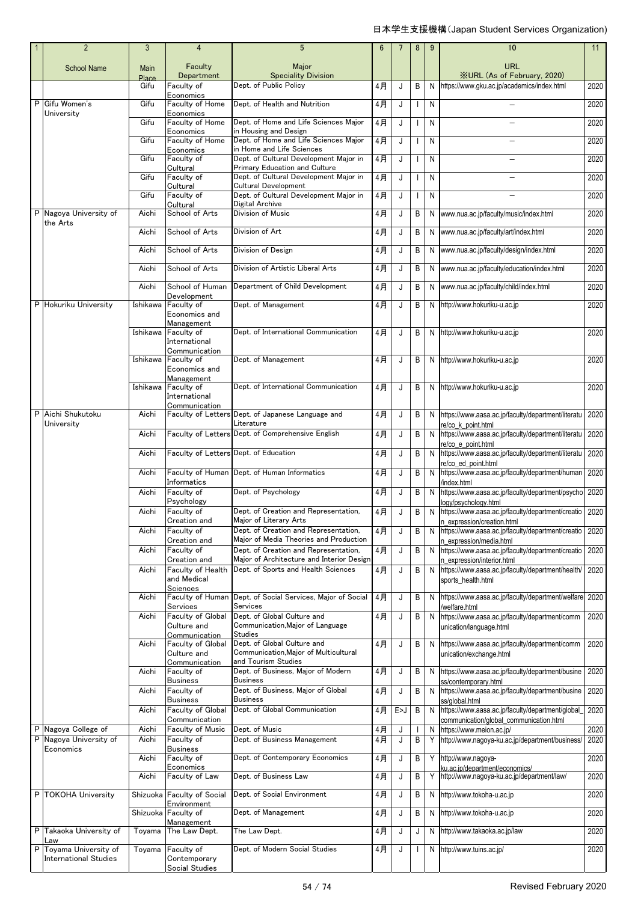|   | $\overline{2}$                    | 3             | $\overline{4}$                          | 5                                                                               | 6     |     | 8            | 9 | 10                                                                                          | 11   |
|---|-----------------------------------|---------------|-----------------------------------------|---------------------------------------------------------------------------------|-------|-----|--------------|---|---------------------------------------------------------------------------------------------|------|
|   | <b>School Name</b>                | Main          | Faculty                                 | Major                                                                           |       |     |              |   | <b>URL</b><br><b>XURL (As of February, 2020)</b>                                            |      |
|   |                                   | Place<br>Gifu | Department<br>Faculty of                | <b>Speciality Division</b><br>Dept. of Public Policy                            | 4月    | J   | B            | N | https://www.gku.ac.jp/academics/index.html                                                  | 2020 |
| P | Gifu Women's                      | Gifu          | Economics<br>Faculty of Home            | Dept. of Health and Nutrition                                                   | 4月    | J   | $\mathbf{I}$ | N |                                                                                             | 2020 |
|   | University                        | Gifu          | Economics<br>Faculty of Home            | Dept. of Home and Life Sciences Major                                           | 4月    | J   | $\mathbf{I}$ | N |                                                                                             | 2020 |
|   |                                   | Gifu          | Economics<br>Faculty of Home            | in Housing and Design<br>Dept. of Home and Life Sciences Major                  | 4月    | J   | $\mathbf{I}$ | N |                                                                                             | 2020 |
|   |                                   |               | Economics                               | in Home and Life Sciences                                                       |       |     |              |   |                                                                                             |      |
|   |                                   | Gifu          | Faculty of<br>Cultural                  | Dept. of Cultural Development Major in<br>Primary Education and Culture         | $4$ 月 | J   | T            | N |                                                                                             | 2020 |
|   |                                   | Gifu          | Faculty of<br>Cultural                  | Dept. of Cultural Development Major in<br>Cultural Development                  | 4月    | J   |              | N |                                                                                             | 2020 |
|   |                                   | Gifu          | Faculty of                              | Dept. of Cultural Development Major in                                          | 4月    | J   | $\mathbf{I}$ | N |                                                                                             | 2020 |
|   | P Nagoya University of            | Aichi         | Cultural<br>School of Arts              | Digital Archive<br><b>Division of Music</b>                                     | 4月    | J   | В            | N | www.nua.ac.jp/faculty/music/index.html                                                      | 2020 |
|   | the Arts                          | Aichi         | School of Arts                          | Division of Art                                                                 | 4月    | J   | B            | N | www.nua.ac.jp/faculty/art/index.html                                                        | 2020 |
|   |                                   | Aichi         | School of Arts                          | Division of Design                                                              | 4月    | J   | В            | N | www.nua.ac.jp/faculty/design/index.html                                                     | 2020 |
|   |                                   | Aichi         | School of Arts                          | Division of Artistic Liberal Arts                                               | 4月    | J   | B            | N | www.nua.ac.jp/faculty/education/index.html                                                  | 2020 |
|   |                                   | Aichi         | School of Human                         | Department of Child Development                                                 | 4月    | J   | В            | N | www.nua.ac.jp/faculty/child/index.html                                                      | 2020 |
|   | P Hokuriku University             | Ishikawa      | Development<br>Faculty of               | Dept. of Management                                                             | 4月    | J   | B            | N | http://www.hokuriku-u.ac.jp                                                                 | 2020 |
|   |                                   |               | Economics and<br>Management             |                                                                                 |       |     |              |   |                                                                                             |      |
|   |                                   | Ishikawa      | Faculty of                              | Dept. of International Communication                                            | 4月    | J   | B            | N | http://www.hokuriku-u.ac.jp                                                                 | 2020 |
|   |                                   |               | International<br>Communication          |                                                                                 |       |     |              |   |                                                                                             |      |
|   |                                   | Ishikawa      | Faculty of<br>Economics and             | Dept. of Management                                                             | 4月    | J   | B            | N | http://www.hokuriku-u.ac.jp                                                                 | 2020 |
|   |                                   | Ishikawa      | Management<br>Faculty of                | Dept. of International Communication                                            | 4月    | J   | B            | N | http://www.hokuriku-u.ac.jp                                                                 | 2020 |
|   |                                   |               | International                           |                                                                                 |       |     |              |   |                                                                                             |      |
| P | Aichi Shukutoku                   | Aichi         | Communication                           | Faculty of Letters Dept. of Japanese Language and                               | 4月    | J   | B            | N | https://www.aasa.ac.jp/faculty/department/literatu                                          | 2020 |
|   | University                        | Aichi         |                                         | Literature<br>Faculty of Letters Dept. of Comprehensive English                 | 4月    | J   | B            | N | re/co k point.html<br>https://www.aasa.ac.jp/faculty/department/literatu                    | 2020 |
|   |                                   |               | Faculty of Letters Dept. of Education   |                                                                                 |       |     |              |   | re/co e point.html                                                                          |      |
|   |                                   | Aichi         |                                         |                                                                                 | 4月    | J   | В            | N | https://www.aasa.ac.jp/faculty/department/literatu<br>re/co ed point.html                   | 2020 |
|   |                                   | Aichi         | Informatics                             | Faculty of Human Dept. of Human Informatics                                     | 4月    | J   | B            | N | https://www.aasa.ac.jp/faculty/department/human<br>index.html                               | 2020 |
|   |                                   | Aichi         | Faculty of<br>Psychology                | Dept. of Psychology                                                             | 4月    | J   | B            | N | https://www.aasa.ac.jp/faculty/department/psycho 2020                                       |      |
|   |                                   | Aichi         | Faculty of                              | Dept. of Creation and Representation,                                           | 4月    | J   | B            | N | ogy/psychology.html<br>https://www.aasa.ac.jp/faculty/department/creatio 2020               |      |
|   |                                   | Aichi         | Creation and<br>Faculty of              | Major of Literary Arts<br>Dept. of Creation and Representation,                 | 4月    | J   | B            | N | n expression/creation.html<br>https://www.aasa.ac.jp/faculty/department/creatio             | 2020 |
|   |                                   | Aichi         | Creation and<br>Faculty of              | Major of Media Theories and Production<br>Dept. of Creation and Representation, | 4月    | J   | В            | N | n expression/media.html<br>https://www.aasa.ac.jp/faculty/department/creatio 2020           |      |
|   |                                   |               | Creation and                            | Major of Architecture and Interior Design                                       |       |     |              |   | n expression/interior.html                                                                  |      |
|   |                                   | Aichi         | Faculty of Health<br>and Medical        | Dept. of Sports and Health Sciences                                             | 4月    | J   | В            | N | https://www.aasa.ac.jp/faculty/department/health/ 2020<br>sports_health.html                |      |
|   |                                   | Aichi         | Sciences<br>Faculty of Human            | Dept. of Social Services, Major of Social                                       | 4月    | J   | В            | N | https://www.aasa.ac.jp/faculty/department/welfare 2020                                      |      |
|   |                                   | Aichi         | Services<br>Faculty of Global           | Services<br>Dept. of Global Culture and                                         | 4月    | J   | В            | N | welfare.html<br>https://www.aasa.ac.jp/faculty/department/comm                              | 2020 |
|   |                                   |               | Culture and<br>Communication            | Communication, Major of Language<br>Studies                                     |       |     |              |   | unication/language.html                                                                     |      |
|   |                                   | Aichi         | <b>Faculty of Global</b><br>Culture and | Dept. of Global Culture and<br>Communication, Major of Multicultural            | 4月    | J   | B            | N | https://www.aasa.ac.jp/faculty/department/comm<br>unication/exchange.html                   | 2020 |
|   |                                   | Aichi         | Communication<br>Faculty of             | and Tourism Studies<br>Dept. of Business, Major of Modern                       | 4月    | J   | В            | N | https://www.aasa.ac.jp/faculty/department/busine                                            | 2020 |
|   |                                   |               | <b>Business</b>                         | <b>Business</b>                                                                 |       |     |              |   | ss/contemporary.html                                                                        |      |
|   |                                   | Aichi         | Faculty of<br><b>Business</b>           | Dept. of Business, Major of Global<br><b>Business</b>                           | 4月    | J   | В            | N | https://www.aasa.ac.jp/faculty/department/busine<br>ss/global.html                          | 2020 |
|   |                                   | Aichi         | Faculty of Global<br>Communication      | Dept. of Global Communication                                                   | 4月    | E>J | В            | N | https://www.aasa.ac.jp/faculty/department/global<br>communication/global_communication.html | 2020 |
| Ρ | Nagoya College of                 | Aichi         | Faculty of Music                        | Dept. of Music                                                                  | 4月    | J   |              | N | https://www.meion.ac.jp/                                                                    | 2020 |
| P | Nagoya University of<br>Economics | Aichi         | Faculty of<br><b>Business</b>           | Dept. of Business Management                                                    | 4月    | J   | В            | Y | http://www.nagoya-ku.ac.jp/department/business/                                             | 2020 |
|   |                                   | Aichi         | Faculty of<br>Economics                 | Dept. of Contemporary Economics                                                 | 4月    | J   | В            | Y | http://www.nagoya-<br>su.ac.ip/department/economics/                                        | 2020 |
|   |                                   | Aichi         | Faculty of Law                          | Dept. of Business Law                                                           | 4月    | J   | B            | Y | http://www.nagoya-ku.ac.jp/department/law/                                                  | 2020 |
| P | <b>TOKOHA University</b>          |               | Shizuoka Faculty of Social              | Dept. of Social Environment                                                     | 4月    | J   | В            | N | http://www.tokoha-u.ac.jp                                                                   | 2020 |
|   |                                   | Shizuoka      | Environment<br>Faculty of               | Dept. of Management                                                             | 4月    | J   | В            | N | http://www.tokoha-u.ac.jp                                                                   | 2020 |
| P | Takaoka University of             | Toyama        | Management<br>The Law Dept.             | The Law Dept.                                                                   | 4月    | J   | J            | N | http://www.takaoka.ac.jp/law                                                                | 2020 |
| Ρ | Law<br>Toyama University of       | Toyama        | Faculty of                              | Dept. of Modern Social Studies                                                  | 4月    | J   | $\mathbf{I}$ | N | http://www.tuins.ac.jp/                                                                     | 2020 |
|   | <b>International Studies</b>      |               | Contemporary<br>Social Studies          |                                                                                 |       |     |              |   |                                                                                             |      |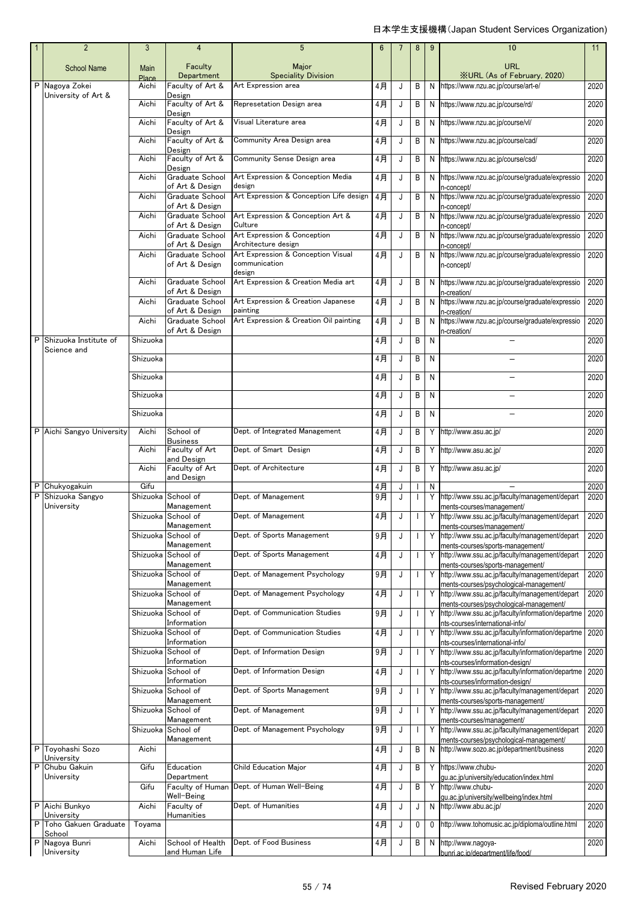| $\mathbf{1}$ | $\overline{2}$                       | 3              | 4                                            | 5                                                         | 6     |   | 8              | 9  | 10                                                                                             | 11   |
|--------------|--------------------------------------|----------------|----------------------------------------------|-----------------------------------------------------------|-------|---|----------------|----|------------------------------------------------------------------------------------------------|------|
|              | <b>School Name</b>                   | <b>Main</b>    | Faculty<br>Department                        | Major                                                     |       |   |                |    | URL                                                                                            |      |
| P            | Nagoya Zokei                         | Place<br>Aichi | Faculty of Art &                             | <b>Speciality Division</b><br>Art Expression area         | 4月    | J | B              |    | <b>XURL (As of February, 2020)</b><br>N https://www.nzu.ac.jp/course/art-e/                    | 2020 |
|              | University of Art &                  | Aichi          | Design<br>Faculty of Art &<br>Design         | Represetation Design area                                 | 4月    | J | B              |    | N https://www.nzu.ac.jp/course/rd/                                                             | 2020 |
|              |                                      | Aichi          | Faculty of Art &                             | Visual Literature area                                    | $4$ 月 | J | B              |    | N https://www.nzu.ac.jp/course/vl/                                                             | 2020 |
|              |                                      | Aichi          | Design<br>Faculty of Art &                   | Community Area Design area                                | 4月    | J | B              |    | N https://www.nzu.ac.jp/course/cad/                                                            | 2020 |
|              |                                      | Aichi          | Design<br>Faculty of Art &                   | Community Sense Design area                               | 4月    | J | B              |    | N https://www.nzu.ac.jp/course/csd/                                                            | 2020 |
|              |                                      | Aichi          | Design<br>Graduate School<br>of Art & Design | Art Expression & Conception Media<br>design               | 4月    | J | B              |    | N https://www.nzu.ac.jp/course/graduate/expressio                                              | 2020 |
|              |                                      | Aichi          | Graduate School<br>of Art & Design           | Art Expression & Conception Life design                   | 4月    | J | B              |    | n-concept/<br>N https://www.nzu.ac.jp/course/graduate/expressio<br>n-concept/                  | 2020 |
|              |                                      | Aichi          | Graduate School                              | Art Expression & Conception Art &<br>Culture              | 4月    | J | B              | N  | https://www.nzu.ac.jp/course/graduate/expressio                                                | 2020 |
|              |                                      | Aichi          | of Art & Design<br>Graduate School           | Art Expression & Conception                               | 4月    | J | B              |    | n-concept/<br>N https://www.nzu.ac.jp/course/graduate/expressio                                | 2020 |
|              |                                      | Aichi          | of Art & Design<br>Graduate School           | Architecture design<br>Art Expression & Conception Visual | 4月    | J | B              |    | n-concept/<br>N https://www.nzu.ac.jp/course/graduate/expressio                                | 2020 |
|              |                                      |                | of Art & Design                              | communication<br>design                                   |       |   |                |    | n-concept/                                                                                     |      |
|              |                                      | Aichi          | Graduate School<br>of Art & Design           | Art Expression & Creation Media art                       | 4月    | J | B              | N  | https://www.nzu.ac.jp/course/graduate/expressio<br>n-creation/                                 | 2020 |
|              |                                      | Aichi          | Graduate School<br>of Art & Design           | Art Expression & Creation Japanese<br>painting            | 4月    | J | B              | N  | https://www.nzu.ac.jp/course/graduate/expressio<br>n-creation/                                 | 2020 |
|              |                                      | Aichi          | Graduate School<br>of Art & Design           | Art Expression & Creation Oil painting                    | 4月    | J | B              | N  | https://www.nzu.ac.jp/course/graduate/expressio<br>n-creation/                                 | 2020 |
| P            | Shizuoka Institute of<br>Science and | Shizuoka       |                                              |                                                           | 4月    | J | B              | N  |                                                                                                | 2020 |
|              |                                      | Shizuoka       |                                              |                                                           | 4月    | J | B              | N  |                                                                                                | 2020 |
|              |                                      | Shizuoka       |                                              |                                                           | 4月    | J | B              | N  |                                                                                                | 2020 |
|              |                                      | Shizuoka       |                                              |                                                           | 4月    | J | B              | N  |                                                                                                | 2020 |
|              |                                      | Shizuoka       |                                              |                                                           | 4月    | J | B              | N  |                                                                                                | 2020 |
|              | P Aichi Sangyo University            | Aichi          | School of<br><b>Business</b>                 | Dept. of Integrated Management                            | 4月    | J | B              |    | Y http://www.asu.ac.jp/                                                                        | 2020 |
|              |                                      | Aichi          | Faculty of Art<br>and Design                 | Dept. of Smart Design                                     | 4月    | J | B              |    | Y http://www.asu.ac.jp/                                                                        | 2020 |
|              |                                      | Aichi          | Faculty of Art<br>and Design                 | Dept. of Architecture                                     | 4月    | J | B              |    | Y http://www.asu.ac.jp/                                                                        | 2020 |
|              | Chukyogakuin                         | Gifu           |                                              |                                                           | 4月    | J |                | N  |                                                                                                | 2020 |
| P            | Shizuoka Sangyo<br>University        |                | Shizuoka School of<br>Management             | Dept. of Management                                       | 9月    | J | $\mathbf{I}$   |    | Y http://www.ssu.ac.jp/faculty/management/depart<br>ments-courses/management/                  | 2020 |
|              |                                      |                | Shizuoka School of<br>Management             | Dept. of Management                                       | 4月    | J |                |    | Y http://www.ssu.ac.jp/faculty/management/depart<br>ments-courses/management/                  | 2020 |
|              |                                      |                | Shizuoka School of<br>Management             | Dept. of Sports Management                                | 9月    | J |                | Y  | http://www.ssu.ac.jp/faculty/management/depart<br>ments-courses/sports-management/             | 2020 |
|              |                                      |                | Shizuoka School of<br>Management             | Dept. of Sports Management                                | 4月    | J | $\overline{1}$ |    | Y http://www.ssu.ac.jp/faculty/management/depart<br>ments-courses/sports-management/           | 2020 |
|              |                                      |                | Shizuoka School of<br>Management             | Dept. of Management Psychology                            | 9月    | J | $\overline{1}$ |    | Y http://www.ssu.ac.jp/faculty/management/depart                                               | 2020 |
|              |                                      |                | Shizuoka School of                           | Dept. of Management Psychology                            | 4月    | J | $\mathbf{I}$   | Y  | ments-courses/psychological-management/<br>http://www.ssu.ac.jp/faculty/management/depart      | 2020 |
|              |                                      |                | Management<br>Shizuoka School of             | Dept. of Communication Studies                            | 9月    | J | $\overline{1}$ |    | ments-courses/psychological-management/<br>Y http://www.ssu.ac.jp/faculty/information/departme | 2020 |
|              |                                      |                | Information<br>Shizuoka School of            | Dept. of Communication Studies                            | 4月    | J | $\mathbf{I}$   | Y  | nts-courses/international-info/<br>http://www.ssu.ac.jp/faculty/information/departme           | 2020 |
|              |                                      |                | Information<br>Shizuoka School of            | Dept. of Information Design                               | 9月    | J | $\mathbf{I}$   |    | nts-courses/international-info/<br>Y http://www.ssu.ac.jp/faculty/information/departme         | 2020 |
|              |                                      |                | Information<br>Shizuoka School of            | Dept. of Information Design                               | 4月    | J | $\mathbf{I}$   | Y. | nts-courses/information-design/<br>http://www.ssu.ac.jp/faculty/information/departme           | 2020 |
|              |                                      |                | Information<br>Shizuoka School of            | Dept. of Sports Management                                | 9月    | J | $\mathbf{I}$   | Y  | nts-courses/information-design/<br>http://www.ssu.ac.jp/faculty/management/depart              | 2020 |
|              |                                      |                | Management<br>Shizuoka School of             | Dept. of Management                                       | 9月    | J | $\mathbf{I}$   |    | ments-courses/sports-management/<br>Y http://www.ssu.ac.jp/faculty/management/depart           | 2020 |
|              |                                      |                | Management<br>Shizuoka School of             | Dept. of Management Psychology                            | $9$ 月 | J | $\mathbf{I}$   | Y  | ments-courses/management/<br>http://www.ssu.ac.jp/faculty/management/depart                    | 2020 |
| P            | Toyohashi Sozo                       | Aichi          | Management                                   |                                                           | 4月    | J | B              | N  | ments-courses/psychological-management/<br>http://www.sozo.ac.jp/department/business           | 2020 |
| P            | University<br>Chubu Gakuin           | Gifu           | Education                                    | Child Education Major                                     | 4月    | J | B              | Y  | https://www.chubu-                                                                             | 2020 |
|              | University                           | Gifu           | Department<br>Faculty of Human               | Dept. of Human Well-Being                                 | 4月    | J | B              | Y  | gu.ac.jp/university/education/index.html<br>http://www.chubu-                                  | 2020 |
|              |                                      |                | Well-Being                                   |                                                           |       |   |                |    | qu.ac.jp/university/wellbeing/index.html                                                       |      |
| P            | Aichi Bunkyo<br>University           | Aichi          | Faculty of<br>Humanities                     | Dept. of Humanities                                       | 4月    | J | J              |    | N http://www.abu.ac.jp/                                                                        | 2020 |
| P            | Toho Gakuen Graduate<br>School       | Toyama         |                                              |                                                           | 4月    | J | $\mathbf 0$    | 0  | http://www.tohomusic.ac.jp/diploma/outline.html                                                | 2020 |
| P            | Nagoya Bunri<br>University           | Aichi          | School of Health<br>and Human Life           | Dept. of Food Business                                    | 4月    | J | B              | N  | http://www.nagoya-<br>bunri.ac.ip/department/life/food/                                        | 2020 |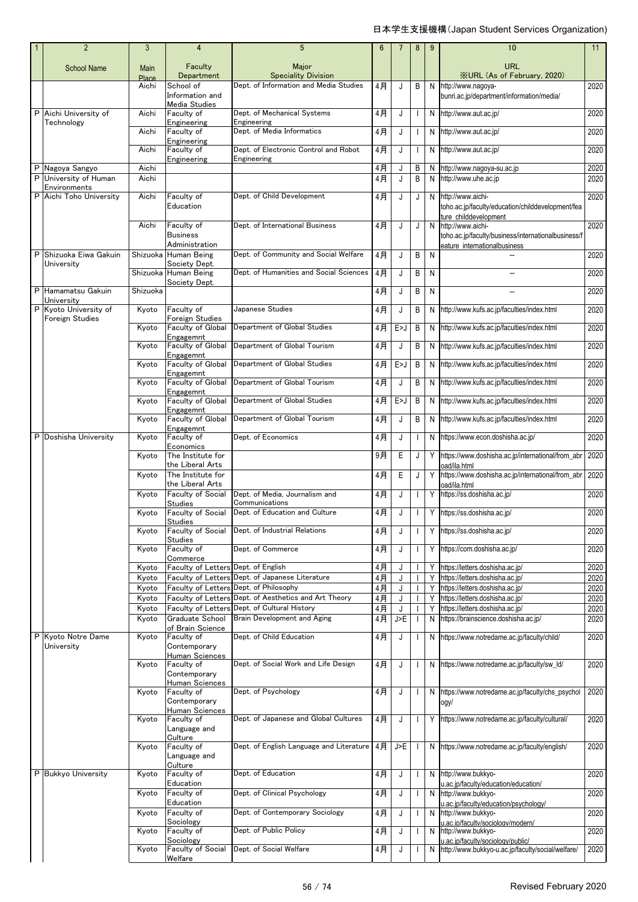| $\overline{2}$                        | 3              | 4                                                              | 5                                                                                  | 6        | $\overline{7}$ | 8 | 9      | 10                                                                                                       | 11           |
|---------------------------------------|----------------|----------------------------------------------------------------|------------------------------------------------------------------------------------|----------|----------------|---|--------|----------------------------------------------------------------------------------------------------------|--------------|
| <b>School Name</b>                    | Main<br>Place  | Faculty<br>Department                                          | Major<br><b>Speciality Division</b>                                                |          |                |   |        | URL<br><b>XURL (As of February, 2020)</b>                                                                |              |
|                                       | Aichi          | School of<br>Information and<br>Media Studies                  | Dept. of Information and Media Studies                                             | 4月       | J              | B | N      | http://www.nagoya-<br>bunri.ac.jp/department/information/media/                                          | 2020         |
| P Aichi University of<br>Technology   | Aichi          | Faculty of<br>Engineering                                      | Dept. of Mechanical Systems<br>Engineering                                         | 4月       | J              |   | N      | http://www.aut.ac.jp/                                                                                    | 2020         |
|                                       | Aichi          | Faculty of<br>Engineering                                      | Dept. of Media Informatics                                                         | 4月       | J              |   | N      | http://www.aut.ac.jp/                                                                                    | 2020         |
|                                       | Aichi          | Faculty of<br>Engineering                                      | Dept. of Electronic Control and Robot<br>Engineering                               | 4月       | J              |   | N      | http://www.aut.ac.jp/                                                                                    | 2020         |
| P Nagoya Sangyo                       | Aichi          |                                                                |                                                                                    | 4月       | J              | В | N      | http://www.nagoya-su.ac.jp                                                                               | 2020         |
| P University of Human<br>Environments | Aichi          |                                                                |                                                                                    | 4月       | J              | B | N      | http://www.uhe.ac.jp                                                                                     | 2020         |
| P Aichi Toho University               | Aichi          | Faculty of<br>Education                                        | Dept. of Child Development                                                         | 4月       | J              | J | N      | http://www.aichi-<br>toho.ac.jp/faculty/education/childdevelopment/fea<br>ture childdevelopment          | 2020         |
|                                       | Aichi          | Faculty of<br><b>Business</b><br>Administration                | Dept. of International Business                                                    | 4月       | J              | J | N      | http://www.aichi-<br>toho.ac.jp/faculty/business/internationalbusiness/f<br>eature internationalbusiness | 2020         |
| P Shizuoka Eiwa Gakuin                |                | Shizuoka Human Being                                           | Dept. of Community and Social Welfare                                              | 4月       | J              | B | N      |                                                                                                          | 2020         |
| University                            |                | Society Dept.<br>Shizuoka Human Being                          | Dept. of Humanities and Social Sciences                                            | 4月       | J              | B | N      |                                                                                                          | 2020         |
| P Hamamatsu Gakuin                    | Shizuoka       | Society Dept.                                                  |                                                                                    | 4月       | J              | B | N      |                                                                                                          | 2020         |
| University<br>P Kyoto University of   | Kyoto          | Faculty of                                                     | Japanese Studies                                                                   | 4月       | J              | B | N      | http://www.kufs.ac.jp/faculties/index.html                                                               | 2020         |
| Foreign Studies                       | Kyoto          | Foreign Studies<br>Faculty of Global                           | Department of Global Studies                                                       | 4月       | E>J            | B | N      | http://www.kufs.ac.jp/faculties/index.html                                                               | 2020         |
|                                       | Kyoto          | Engagemnt<br>Faculty of Global                                 | Department of Global Tourism                                                       | 4月       | J              | B | N      | http://www.kufs.ac.jp/faculties/index.html                                                               | 2020         |
|                                       | Kyoto          | Engagemnt<br>Faculty of Global                                 | Department of Global Studies                                                       | 4月       | E>J            | B | N      | http://www.kufs.ac.jp/faculties/index.html                                                               | 2020         |
|                                       | Kyoto          | Engagemnt<br>Faculty of Global                                 | Department of Global Tourism                                                       | 4月       | J              | B | N      | http://www.kufs.ac.jp/faculties/index.html                                                               | 2020         |
|                                       | Kyoto          | Engagemnt<br>Faculty of Global                                 | Department of Global Studies                                                       | 4月       | E>J            | B | N      | http://www.kufs.ac.jp/faculties/index.html                                                               | 2020         |
|                                       | Kyoto          | Engagemnt<br>Faculty of Global                                 | Department of Global Tourism                                                       | 4月       | J              | B | N      | http://www.kufs.ac.jp/faculties/index.html                                                               | 2020         |
| P Doshisha University                 | Kyoto          | Engagemnt<br>Faculty of                                        | Dept. of Economics                                                                 | 4月       | J              |   | N      | https://www.econ.doshisha.ac.jp/                                                                         | 2020         |
|                                       | Kyoto          | Economics<br>The Institute for<br>the Liberal Arts             |                                                                                    | 9月       | Е              | J | Y      | https://www.doshisha.ac.jp/international/from_abr<br>oad/ila.html                                        | 2020         |
|                                       | Kyoto          | The Institute for<br>the Liberal Arts                          |                                                                                    | 4月       | E              | J | Y      | https://www.doshisha.ac.jp/international/from_abr<br>oad/ila.html                                        | 2020         |
|                                       | Kyoto          | Faculty of Social<br><b>Studies</b>                            | Dept. of Media, Journalism and<br>Communications                                   | 4月       | J              |   | Y      | https://ss.doshisha.ac.jp/                                                                               | 2020         |
|                                       | Kyoto          | Faculty of Social<br><b>Studies</b>                            | Dept. of Education and Culture                                                     | 4月       | J              |   |        | Y https://ss.doshisha.ac.jp/                                                                             | 2020         |
|                                       | Kyoto          | <b>Faculty of Social</b><br><b>Studies</b>                     | Dept. of Industrial Relations                                                      | 4月       | J              |   |        | Y https://ss.doshisha.ac.jp/                                                                             | 2020         |
|                                       | Kyoto          | Faculty of<br>Commerce                                         | Dept. of Commerce                                                                  | 4月       | J              |   | Y      | https://com.doshisha.ac.jp/                                                                              | 2020         |
|                                       | Kyoto          | Faculty of Letters Dept. of English                            |                                                                                    | 4月       | J              |   | Υ      | https://letters.doshisha.ac.jp/                                                                          | 2020         |
|                                       | Kyoto          | Faculty of Letters                                             | Dept. of Japanese Literature                                                       | 4月       | J              |   | Y      | https://letters.doshisha.ac.jp/                                                                          | 2020         |
|                                       | Kyoto          | Faculty of Letters                                             | Dept. of Philosophy                                                                | $4$ 月    | J              |   | Y      | https://letters.doshisha.ac.jp/                                                                          | 2020         |
|                                       | Kyoto<br>Kyoto | Faculty of Letters                                             | Faculty of Letters Dept. of Aesthetics and Art Theory<br>Dept. of Cultural History | 4月<br>4月 | J<br>J         |   | Υ<br>Υ | https://letters.doshisha.ac.jp/<br>https://letters.doshisha.ac.jp/                                       | 2020<br>2020 |
|                                       | Kyoto          | Graduate School                                                | Brain Development and Aging                                                        | 4月       | J>E            |   | N      | https://brainscience.doshisha.ac.jp/                                                                     | 2020         |
|                                       |                | of Brain Science                                               |                                                                                    |          |                |   |        |                                                                                                          |              |
| P Kyoto Notre Dame<br>University      | Kyoto          | Faculty of<br>Contemporary                                     | Dept. of Child Education                                                           | 4月       | J              |   | N      | https://www.notredame.ac.jp/faculty/child/                                                               | 2020         |
|                                       | Kyoto          | Human Sciences<br>Faculty of<br>Contemporary                   | Dept. of Social Work and Life Design                                               | 4月       | J              |   | N      | https://www.notredame.ac.jp/faculty/sw_ld/                                                               | 2020         |
|                                       | Kyoto          | Human Sciences<br>Faculty of<br>Contemporary<br>Human Sciences | Dept. of Psychology                                                                | 4月       | J              |   | N      | https://www.notredame.ac.jp/faculty/chs_psychol<br>ogy/                                                  | 2020         |
|                                       | Kyoto          | Faculty of<br>Language and                                     | Dept. of Japanese and Global Cultures                                              | 4月       | J              |   | Y      | https://www.notredame.ac.jp/faculty/cultural/                                                            | 2020         |
|                                       |                | Culture                                                        |                                                                                    |          |                |   |        |                                                                                                          |              |
|                                       | Kyoto          | Faculty of<br>Language and<br>Culture                          | Dept. of English Language and Literature                                           | 4月       | J>E            |   | N      | https://www.notredame.ac.jp/faculty/english/                                                             | 2020         |
| P Bukkyo University                   | Kyoto          | Faculty of<br>Education                                        | Dept. of Education                                                                 | 4月       | J              |   | N      | http://www.bukkyo-<br>u.ac.jp/faculty/education/education/                                               | 2020         |
|                                       | Kyoto          | Faculty of<br>Education                                        | Dept. of Clinical Psychology                                                       | 4月       | J              |   | N      | http://www.bukkyo-<br>u.ac.jp/faculty/education/psychology/                                              | 2020         |
|                                       | Kyoto          | Faculty of<br>Sociology                                        | Dept. of Contemporary Sociology                                                    | 4月       | J              |   | N      | http://www.bukkyo-<br>u.ac.ip/faculty/sociology/modern/                                                  | 2020         |
|                                       | Kyoto          | Faculty of                                                     | Dept. of Public Policy                                                             | 4月       | J              |   | N      | http://www.bukkyo-                                                                                       | 2020         |
|                                       | Kyoto          | Sociology<br>Faculty of Social                                 | Dept. of Social Welfare                                                            | 4月       | J              |   | N      | u.ac.ip/faculty/sociology/public/<br>http://www.bukkyo-u.ac.jp/faculty/social/welfare/                   | 2020         |
|                                       |                | Welfare                                                        |                                                                                    |          |                |   |        |                                                                                                          |              |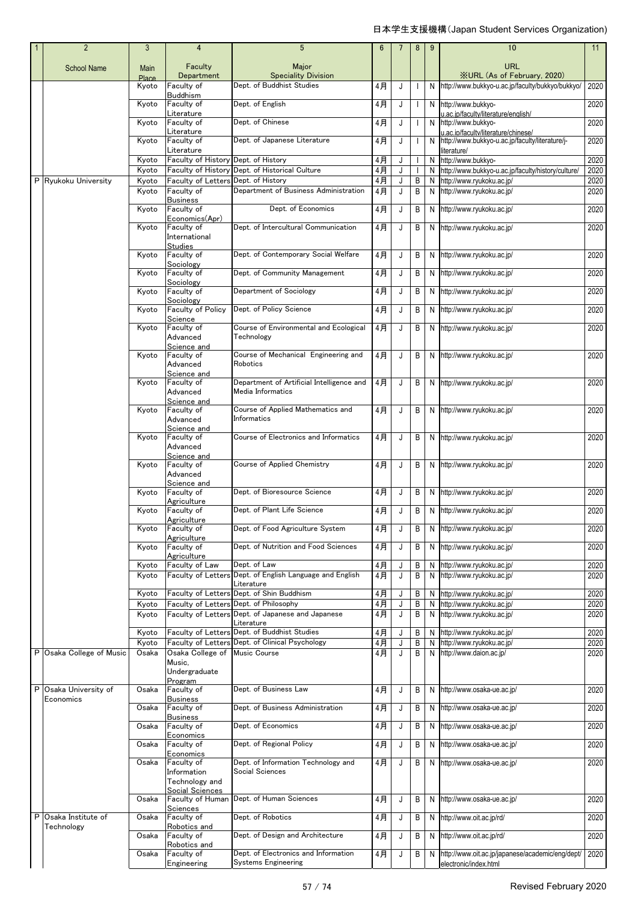|   | $\overline{2}$                   | $\mathbf{3}$         | $\overline{4}$                              | 5                                                               | 6           | 7      | 8            | 9 | 10                                                                                     | 11           |
|---|----------------------------------|----------------------|---------------------------------------------|-----------------------------------------------------------------|-------------|--------|--------------|---|----------------------------------------------------------------------------------------|--------------|
|   | <b>School Name</b>               | Main<br><b>Place</b> | Faculty<br>Department                       | Major<br><b>Speciality Division</b>                             |             |        |              |   | URL<br><b>XURL (As of February, 2020)</b>                                              |              |
|   |                                  | Kyoto                | Faculty of                                  | Dept. of Buddhist Studies                                       | 4月          | J      | $\mathbf{I}$ | N | http://www.bukkyo-u.ac.jp/faculty/bukkyo/bukkyo/                                       | 2020         |
|   |                                  | Kyoto                | <b>Buddhism</b><br>Faculty of               | Dept. of English                                                | 4月          | J      | $\mathbf{I}$ | N | http://www.bukkyo-                                                                     | 2020         |
|   |                                  | Kyoto                | Literature<br>Faculty of                    | Dept. of Chinese                                                | 4月          | J      |              |   | u.ac.ip/facultv/literature/english/<br>N http://www.bukkyo-                            | 2020         |
|   |                                  | Kyoto                | Literature<br>Faculty of                    | Dept. of Japanese Literature                                    | 4月          | J      |              | N | u.ac.ip/faculty/literature/chinese/<br>http://www.bukkyo-u.ac.jp/faculty/literature/j- | 2020         |
|   |                                  |                      | Literature                                  |                                                                 |             |        |              |   | literature/                                                                            |              |
|   |                                  | Kyoto<br>Kyoto       | Faculty of History Dept. of History         | Faculty of History Dept. of Historical Culture                  | 4月<br>$4$ 月 | J<br>J | $\mathbf{I}$ | N | http://www.bukkyo-<br>N http://www.bukkyo-u.ac.jp/faculty/history/culture/             | 2020<br>2020 |
|   | P Ryukoku University             | Kyoto                | Faculty of Letters                          | Dept. of History                                                | 4月          | J      | B            | N | http://www.ryukoku.ac.jp/                                                              | 2020         |
|   |                                  | Kyoto                | Faculty of<br><b>Business</b>               | Department of Business Administration                           | 4月          | J      | B            | N | http://www.ryukoku.ac.jp/                                                              | 2020         |
|   |                                  | Kyoto                | Faculty of                                  | Dept. of Economics                                              | 4月          | J      | B            | N | http://www.ryukoku.ac.jp/                                                              | 2020         |
|   |                                  | Kyoto                | Economics(Apr)<br>Faculty of                | Dept. of Intercultural Communication                            | 4月          | J      | B            | N | http://www.ryukoku.ac.jp/                                                              | 2020         |
|   |                                  |                      | International<br><b>Studies</b>             |                                                                 |             |        |              |   |                                                                                        |              |
|   |                                  | Kyoto                | Faculty of<br>Sociology                     | Dept. of Contemporary Social Welfare                            | 4月          | J      | B            | N | http://www.ryukoku.ac.jp/                                                              | 2020         |
|   |                                  | Kyoto                | Faculty of<br>Sociology                     | Dept. of Community Management                                   | 4月          | J      | B            | N | http://www.ryukoku.ac.jp/                                                              | 2020         |
|   |                                  | Kyoto                | Faculty of<br>Sociology                     | Department of Sociology                                         | 4月          | J      | B            | N | http://www.ryukoku.ac.jp/                                                              | 2020         |
|   |                                  | Kyoto                | Faculty of Policy                           | Dept. of Policy Science                                         | 4月          | J      | B            | N | http://www.ryukoku.ac.jp/                                                              | 2020         |
|   |                                  | Kyoto                | Science<br>Faculty of                       | Course of Environmental and Ecological                          | 4月          | J      | B            | N | http://www.ryukoku.ac.jp/                                                              | 2020         |
|   |                                  |                      | Advanced<br>Science and                     | Technology                                                      |             |        |              |   |                                                                                        |              |
|   |                                  | Kyoto                | Faculty of<br>Advanced<br>Science and       | Course of Mechanical Engineering and<br>Robotics                | 4月          | J      | B            | N | http://www.ryukoku.ac.jp/                                                              | 2020         |
|   |                                  | Kyoto                | Faculty of<br>Advanced<br>Science and       | Department of Artificial Intelligence and<br>Media Informatics  | 4月          | J      | B            | N | http://www.ryukoku.ac.jp/                                                              | 2020         |
|   |                                  | Kyoto                | Faculty of<br>Advanced                      | Course of Applied Mathematics and<br>Informatics                | 4月          | J      | B            |   | N http://www.ryukoku.ac.jp/                                                            | 2020         |
|   |                                  | Kyoto                | Science and<br>Faculty of<br>Advanced       | Course of Electronics and Informatics                           | 4月          | J      | B            |   | N http://www.ryukoku.ac.jp/                                                            | 2020         |
|   |                                  | Kyoto                | Science and<br>Faculty of<br>Advanced       | Course of Applied Chemistry                                     | 4月          | J      | B            | N | http://www.ryukoku.ac.jp/                                                              | 2020         |
|   |                                  | Kyoto                | Science and<br>Faculty of                   | Dept. of Bioresource Science                                    | 4月          | J      | B            | N | http://www.ryukoku.ac.jp/                                                              | 2020         |
|   |                                  | Kyoto                | Agriculture<br>Faculty of                   | Dept. of Plant Life Science                                     | 4月          | J      | B            |   | N http://www.ryukoku.ac.jp/                                                            | 2020         |
|   |                                  | Kyoto                | Agriculture<br>Faculty of                   | Dept. of Food Agriculture System                                | 4月          | J      | В            | N | http://www.ryukoku.ac.jp/                                                              | 2020         |
|   |                                  | Kyoto                | Agriculture<br>Faculty of                   | Dept. of Nutrition and Food Sciences                            | 4月          | J      | B            | Ν | http://www.ryukoku.ac.jp/                                                              | 2020         |
|   |                                  | Kvoto                | Agriculture<br>Faculty of Law               | Dept. of Law                                                    | 4月          | J      | Β            | N | http://www.ryukoku.ac.jp/                                                              | 2020         |
|   |                                  | Kyoto                | Faculty of Letters                          | Dept. of English Language and English                           | 4月          | J      | B            | N | http://www.ryukoku.ac.jp/                                                              | 2020         |
|   |                                  | Kyoto                |                                             | Literature<br>Faculty of Letters Dept. of Shin Buddhism         | 4月          | J      | B            | N | http://www.ryukoku.ac.jp/                                                              | 2020         |
|   |                                  | Kyoto                | Faculty of Letters                          | Dept. of Philosophy                                             | 4月          | J      | B            | N | http://www.ryukoku.ac.jp/                                                              | 2020         |
|   |                                  | Kyoto                |                                             | Faculty of Letters Dept. of Japanese and Japanese<br>Literature | 4月          | J      | B            | N | http://www.ryukoku.ac.jp/                                                              | 2020         |
|   |                                  | Kyoto                |                                             | Faculty of Letters Dept. of Buddhist Studies                    | 4月          | J      | B            | N | http://www.ryukoku.ac.jp/                                                              | 2020         |
|   |                                  | Kyoto                | Faculty of Letters                          | Dept. of Clinical Psychology                                    | 4月          | J      | B            | N | http://www.ryukoku.ac.jp/                                                              | 2020         |
|   | P Osaka College of Music         | Osaka                | Osaka College of<br>Music,<br>Undergraduate | <b>Music Course</b>                                             | 4月          | J      | B            | N | http://www.daion.ac.jp/                                                                | 2020         |
| P | Osaka University of              | Osaka                | Program<br>Faculty of                       | Dept. of Business Law                                           | 4月          | J      | B            | N | http://www.osaka-ue.ac.jp/                                                             | 2020         |
|   | Economics                        | Osaka                | <b>Business</b><br>Faculty of               | Dept. of Business Administration                                | 4月          | J      | B            | N | http://www.osaka-ue.ac.jp/                                                             | 2020         |
|   |                                  |                      | <b>Business</b><br>Faculty of               | Dept. of Economics                                              | $4$ 月       |        |              | N | http://www.osaka-ue.ac.jp/                                                             |              |
|   |                                  | Osaka                | Economics                                   |                                                                 |             | J      | B            |   |                                                                                        | 2020         |
|   |                                  | Osaka                | Faculty of<br>Economics                     | Dept. of Regional Policy                                        | 4月          | J      | B            | N | http://www.osaka-ue.ac.jp/                                                             | 2020         |
|   |                                  | Osaka                | Faculty of<br>Information<br>Technology and | Dept. of Information Technology and<br>Social Sciences          | 4月          | J      | В            |   | N http://www.osaka-ue.ac.jp/                                                           | 2020         |
|   |                                  |                      | Social Sciences                             |                                                                 |             |        |              |   |                                                                                        |              |
|   |                                  | Osaka                | Faculty of Human<br>Sciences                | Dept. of Human Sciences                                         | 4月          | J      | B            |   | N http://www.osaka-ue.ac.jp/                                                           | 2020         |
| P | Osaka Institute of<br>Technology | Osaka                | Faculty of<br>Robotics and                  | Dept. of Robotics                                               | 4月          | J      | B            | Ν | http://www.oit.ac.jp/rd/                                                               | 2020         |
|   |                                  | Osaka                | Faculty of<br>Robotics and                  | Dept. of Design and Architecture                                | 4月          | J      | В            | Ν | http://www.oit.ac.jp/rd/                                                               | 2020         |
|   |                                  | Osaka                | Faculty of<br>Engineering                   | Dept. of Electronics and Information<br>Systems Engineering     | 4月          | J      | В            | N | http://www.oit.ac.jp/japanese/academic/eng/dept/<br>electronic/index.html              | 2020         |
|   |                                  |                      |                                             |                                                                 |             |        |              |   |                                                                                        |              |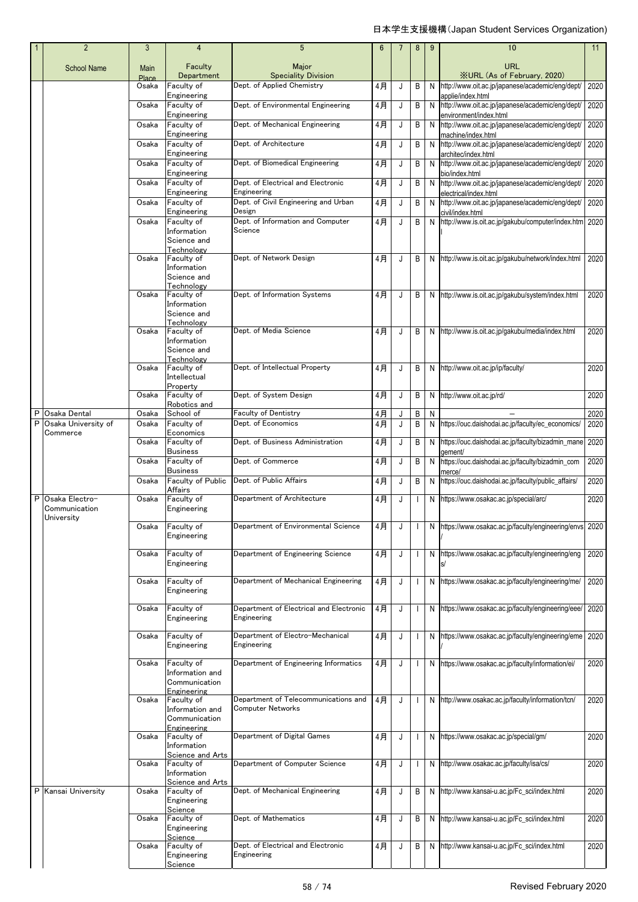|   | $\overline{2}$                    | 3             | 4                                   | 5                                                      | 6     |   | 8                        | 9  | 10                                                                      | 11   |
|---|-----------------------------------|---------------|-------------------------------------|--------------------------------------------------------|-------|---|--------------------------|----|-------------------------------------------------------------------------|------|
|   | <b>School Name</b>                | Main<br>Place | Faculty<br>Department               | Major<br><b>Speciality Division</b>                    |       |   |                          |    | <b>URL</b><br><b>XURL (As of February, 2020)</b>                        |      |
|   |                                   | Osaka         | Faculty of                          | Dept. of Applied Chemistry                             | 4月    | J | B                        | N  | http://www.oit.ac.jp/japanese/academic/eng/dept/                        | 2020 |
|   |                                   | Osaka         | Engineering<br>Faculty of           | Dept. of Environmental Engineering                     | 4月    | J | B                        | N  | applie/index.html<br>http://www.oit.ac.jp/japanese/academic/eng/dept/   | 2020 |
|   |                                   |               | Engineering                         |                                                        |       |   |                          |    | environment/index.html                                                  |      |
|   |                                   | Osaka         | Faculty of<br>Engineering           | Dept. of Mechanical Engineering                        | 4月    | J | B                        | N  | http://www.oit.ac.jp/japanese/academic/eng/dept/<br>machine/index.html  | 2020 |
|   |                                   | Osaka         | Faculty of<br>Engineering           | Dept. of Architecture                                  | 4月    | J | B                        | N  | http://www.oit.ac.jp/japanese/academic/eng/dept/<br>architec/index.html | 2020 |
|   |                                   | Osaka         | Faculty of                          | Dept. of Biomedical Engineering                        | 4月    | J | B                        | N  | http://www.oit.ac.jp/japanese/academic/eng/dept/                        | 2020 |
|   |                                   | Osaka         | Engineering<br>Faculty of           | Dept. of Electrical and Electronic                     | 4月    | J | B                        | N  | bio/index.html<br>http://www.oit.ac.jp/japanese/academic/eng/dept/      | 2020 |
|   |                                   |               | Engineering                         | Engineering                                            |       |   |                          |    | electrical/index.html                                                   |      |
|   |                                   | Osaka         | Faculty of<br>Engineering           | Dept. of Civil Engineering and Urban<br>Design         | 4月    | J | B                        | N. | http://www.oit.ac.jp/japanese/academic/eng/dept/<br>civil/index.html    | 2020 |
|   |                                   | Osaka         | Faculty of<br>Information           | Dept. of Information and Computer<br>Science           | 4月    | J | B                        | N  | http://www.is.oit.ac.jp/gakubu/computer/index.htm 2020                  |      |
|   |                                   |               | Science and                         |                                                        |       |   |                          |    |                                                                         |      |
|   |                                   | Osaka         | Technology<br>Faculty of            | Dept. of Network Design                                | $4$ 月 | J | B                        |    | N http://www.is.oit.ac.jp/gakubu/network/index.html                     | 2020 |
|   |                                   |               | Information                         |                                                        |       |   |                          |    |                                                                         |      |
|   |                                   |               | Science and<br>Technology           |                                                        |       |   |                          |    |                                                                         |      |
|   |                                   | Osaka         | Faculty of<br>Information           | Dept. of Information Systems                           | 4月    | J | B                        |    | N http://www.is.oit.ac.jp/gakubu/system/index.html                      | 2020 |
|   |                                   |               | Science and                         |                                                        |       |   |                          |    |                                                                         |      |
|   |                                   | Osaka         | Technology<br>Faculty of            | Dept. of Media Science                                 | 4月    | J | B                        |    | N http://www.is.oit.ac.jp/gakubu/media/index.html                       | 2020 |
|   |                                   |               | Information<br>Science and          |                                                        |       |   |                          |    |                                                                         |      |
|   |                                   | Osaka         | Technology<br>Faculty of            | Dept. of Intellectual Property                         | 4月    | J | B                        | N  | http://www.oit.ac.jp/ip/faculty/                                        | 2020 |
|   |                                   |               | Intellectual                        |                                                        |       |   |                          |    |                                                                         |      |
|   |                                   | Osaka         | Property<br>Faculty of              | Dept. of System Design                                 | 4月    | J | B                        | N  | http://www.oit.ac.jp/rd/                                                | 2020 |
| P | Osaka Dental                      | Osaka         | Robotics and<br>School of           | <b>Faculty of Dentistry</b>                            | 4月    | J | В                        | N  |                                                                         | 2020 |
| P | Osaka University of               | Osaka         | Faculty of                          | Dept. of Economics                                     | 4月    | J | B                        | N  | https://ouc.daishodai.ac.jp/faculty/ec_economics/                       | 2020 |
|   | Commerce                          | Osaka         | Economics<br>Faculty of             | Dept. of Business Administration                       | 4月    | J | B                        | N  | https://ouc.daishodai.ac.jp/faculty/bizadmin_mane                       | 2020 |
|   |                                   | Osaka         | <b>Business</b><br>Faculty of       | Dept. of Commerce                                      | 4月    | J | В                        | N  | gement/<br>https://ouc.daishodai.ac.jp/faculty/bizadmin_com             | 2020 |
|   |                                   |               | <b>Business</b>                     |                                                        |       |   |                          |    | merce/                                                                  |      |
|   |                                   | Osaka         | <b>Faculty of Public</b><br>Affairs | Dept. of Public Affairs                                | 4月    | J | В                        | N  | https://ouc.daishodai.ac.jp/faculty/public_affairs/                     | 2020 |
|   | P Osaka Electro-<br>Communication | Osaka         | Faculty of<br>Engineering           | Department of Architecture                             | 4月    | J |                          | N  | https://www.osakac.ac.jp/special/arc/                                   | 2020 |
|   | University                        | Osaka         | Faculty of                          | Department of Environmental Science                    | 4月    | J |                          | N  | https://www.osakac.ac.jp/faculty/engineering/envs 2020                  |      |
|   |                                   |               | Engineering                         |                                                        |       |   |                          |    |                                                                         |      |
|   |                                   | Osaka         | Faculty of                          | Department of Engineering Science                      | $4$ 月 | J | $\overline{\phantom{a}}$ | N  | https://www.osakac.ac.jp/faculty/engineering/eng                        | 2020 |
|   |                                   |               | Engineering                         |                                                        |       |   |                          |    |                                                                         |      |
|   |                                   | Osaka         | Faculty of<br>Engineering           | Department of Mechanical Engineering                   | 4月    | J |                          | N  | https://www.osakac.ac.jp/faculty/engineering/me/                        | 2020 |
|   |                                   |               |                                     |                                                        |       |   |                          |    |                                                                         |      |
|   |                                   | Osaka         | Faculty of<br>Engineering           | Department of Electrical and Electronic<br>Engineering | 4月    | J |                          |    | N https://www.osakac.ac.jp/faculty/engineering/eee/                     | 2020 |
|   |                                   | Osaka         | Faculty of                          | Department of Electro-Mechanical                       | 4月    | J | $\blacksquare$           |    | N https://www.osakac.ac.jp/faculty/engineering/eme                      | 2020 |
|   |                                   |               | Engineering                         | Engineering                                            |       |   |                          |    |                                                                         |      |
|   |                                   | Osaka         | Faculty of                          | Department of Engineering Informatics                  | 4月    | J |                          |    | N https://www.osakac.ac.jp/faculty/information/ei/                      | 2020 |
|   |                                   |               | Information and<br>Communication    |                                                        |       |   |                          |    |                                                                         |      |
|   |                                   | Osaka         | Engineering<br>Faculty of           | Department of Telecommunications and                   | 4月    | J |                          |    | N http://www.osakac.ac.jp/faculty/information/tcn/                      | 2020 |
|   |                                   |               | Information and                     | <b>Computer Networks</b>                               |       |   |                          |    |                                                                         |      |
|   |                                   |               | Communication<br>Engineering        |                                                        |       |   |                          |    |                                                                         |      |
|   |                                   | Osaka         | Faculty of<br>Information           | Department of Digital Games                            | 4月    | J |                          |    | N https://www.osakac.ac.jp/special/gm/                                  | 2020 |
|   |                                   |               | Science and Arts                    |                                                        |       |   |                          |    |                                                                         |      |
|   |                                   | Osaka         | Faculty of<br>Information           | Department of Computer Science                         | 4月    | J | $\overline{\phantom{a}}$ |    | N http://www.osakac.ac.jp/faculty/isa/cs/                               | 2020 |
|   | P Kansai University               | Osaka         | Science and Arts<br>Faculty of      | Dept. of Mechanical Engineering                        | 4月    | J | В                        | N  | http://www.kansai-u.ac.jp/Fc_sci/index.html                             | 2020 |
|   |                                   |               | Engineering                         |                                                        |       |   |                          |    |                                                                         |      |
|   |                                   | Osaka         | Science<br>Faculty of               | Dept. of Mathematics                                   | 4月    | J | B                        | N  | http://www.kansai-u.ac.jp/Fc_sci/index.html                             | 2020 |
|   |                                   |               | Engineering<br>Science              |                                                        |       |   |                          |    |                                                                         |      |
|   |                                   | Osaka         | Faculty of<br>Engineering           | Dept. of Electrical and Electronic<br>Engineering      | 4月    | J | B                        | N  | http://www.kansai-u.ac.jp/Fc_sci/index.html                             | 2020 |
|   |                                   |               | Science                             |                                                        |       |   |                          |    |                                                                         |      |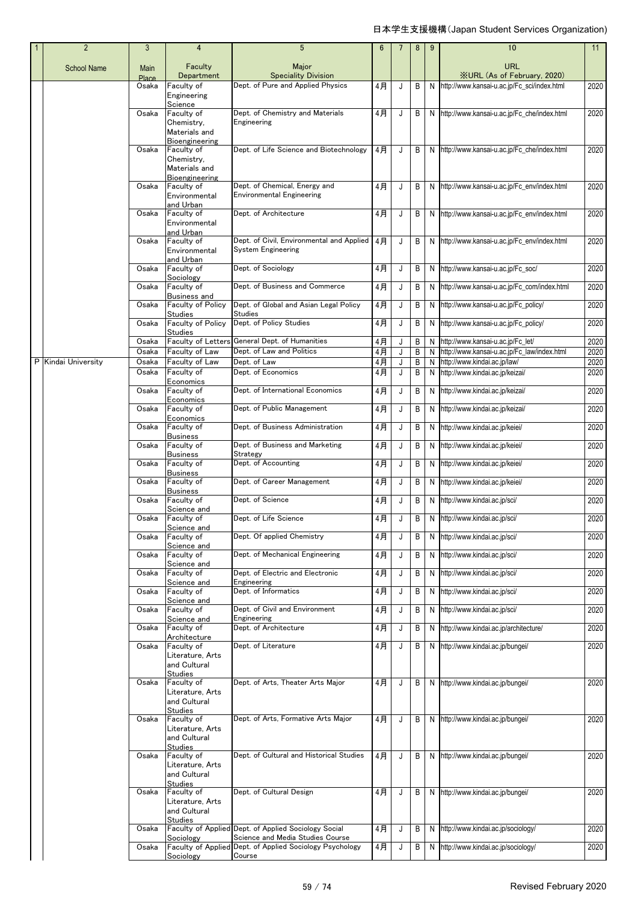| $\overline{2}$      | 3              | 4                                                                                  | 5                                                                                        | 6           | 7      | 8      | 9      | 10                                                                               | 11           |
|---------------------|----------------|------------------------------------------------------------------------------------|------------------------------------------------------------------------------------------|-------------|--------|--------|--------|----------------------------------------------------------------------------------|--------------|
| <b>School Name</b>  | Main<br>Place  | Faculty<br>Department                                                              | Major<br><b>Speciality Division</b>                                                      |             |        |        |        | <b>URL</b><br><b>XURL</b> (As of February, 2020)                                 |              |
|                     | Osaka          | Faculty of<br>Engineering                                                          | Dept. of Pure and Applied Physics                                                        | 4月          | J      | B      |        | N http://www.kansai-u.ac.jp/Fc_sci/index.html                                    | 2020         |
|                     | Osaka          | Science<br>Faculty of<br>Chemistry,                                                | Dept. of Chemistry and Materials<br>Engineering                                          | 4月          | J      | B      |        | N http://www.kansai-u.ac.jp/Fc che/index.html                                    | 2020         |
|                     | Osaka          | Materials and<br>Bioengineering<br>Faculty of                                      | Dept. of Life Science and Biotechnology                                                  | 4月          | J      | B      |        | N http://www.kansai-u.ac.jp/Fc_che/index.html                                    | 2020         |
|                     |                | Chemistry,<br>Materials and<br>Bioengineering                                      |                                                                                          |             |        |        |        |                                                                                  |              |
|                     | Osaka          | Faculty of<br>Environmental<br>and Urban                                           | Dept. of Chemical, Energy and<br><b>Environmental Engineering</b>                        | 4月          | J      | B      |        | N http://www.kansai-u.ac.jp/Fc_env/index.html                                    | 2020         |
|                     | Osaka          | Faculty of<br>Environmental                                                        | Dept. of Architecture                                                                    | 4月          | J      | B      |        | N http://www.kansai-u.ac.jp/Fc_env/index.html                                    | 2020         |
|                     | Osaka          | and Urban<br>Faculty of<br>Environmental<br>and Urban                              | Dept. of Civil, Environmental and Applied<br>System Engineering                          | 4月          | J      | B      |        | N http://www.kansai-u.ac.jp/Fc_env/index.html                                    | 2020         |
|                     | Osaka          | Faculty of<br>Sociology                                                            | Dept. of Sociology                                                                       | 4月          | J      | B      |        | N http://www.kansai-u.ac.jp/Fc_soc/                                              | 2020         |
|                     | Osaka          | Faculty of<br>Business and                                                         | Dept. of Business and Commerce                                                           | 4月          | J      | B      |        | N http://www.kansai-u.ac.jp/Fc_com/index.html                                    | 2020         |
|                     | Osaka          | Faculty of Policy<br>Studies                                                       | Dept. of Global and Asian Legal Policy<br><b>Studies</b>                                 | 4月          | J      | B      | N      | http://www.kansai-u.ac.jp/Fc_policy/                                             | 2020         |
|                     | Osaka          | Faculty of Policy<br>Studies                                                       | Dept. of Policy Studies                                                                  | 4月          | J      | B      | N      | http://www.kansai-u.ac.jp/Fc_policy/                                             | 2020         |
|                     | Osaka<br>Osaka | Faculty of Letters<br>Faculty of Law                                               | General Dept. of Humanities<br>Dept. of Law and Politics                                 | 4月<br>$4$ 月 | J<br>J | B<br>B | N<br>N | http://www.kansai-u.ac.jp/Fc_let/<br>http://www.kansai-u.ac.jp/Fc_law/index.html | 2020<br>2020 |
| P Kindai University | Osaka          | Faculty of Law                                                                     | Dept. of Law                                                                             | $4$ 月       | J      | B      | N      | http://www.kindai.ac.jp/law/                                                     | 2020         |
|                     | Osaka          | Faculty of<br>Economics                                                            | Dept. of Economics                                                                       | 4月          | J      | B      | N      | http://www.kindai.ac.jp/keizai/                                                  | 2020         |
|                     | Osaka          | Faculty of<br>Economics                                                            | Dept. of International Economics                                                         | 4月          | J      | В      |        | N http://www.kindai.ac.jp/keizai/                                                | 2020         |
|                     | Osaka          | Faculty of<br>Economics                                                            | Dept. of Public Management                                                               | 4月          | J      | B      |        | N http://www.kindai.ac.jp/keizai/                                                | 2020         |
|                     | Osaka          | Faculty of                                                                         | Dept. of Business Administration                                                         | 4月          | J      | B      | N      | http://www.kindai.ac.jp/keiei/                                                   | 2020         |
|                     | Osaka          | <b>Business</b><br>Faculty of                                                      | Dept. of Business and Marketing                                                          | 4月          | J      | B      | N      | http://www.kindai.ac.jp/keiei/                                                   | 2020         |
|                     | Osaka          | Business<br>Faculty of                                                             | Strategy<br>Dept. of Accounting                                                          | 4月          | J      | B      | N      | http://www.kindai.ac.jp/keiei/                                                   | 2020         |
|                     | Osaka          | <b>Business</b><br>Faculty of                                                      | Dept. of Career Management                                                               | 4月          | J      | В      | N      | http://www.kindai.ac.jp/keiei/                                                   | 2020         |
|                     | Osaka          | <b>Business</b><br>Faculty of<br>Science and                                       | Dept. of Science                                                                         | 4月          | J      | B      | N      | http://www.kindai.ac.jp/sci/                                                     | 2020         |
|                     | Osaka          | Faculty of<br>Science and                                                          | Dept. of Life Science                                                                    | 4月          | J      | B      |        | N http://www.kindai.ac.jp/sci/                                                   | 2020         |
|                     | Osaka          | Faculty of<br>Science and                                                          | Dept. Of applied Chemistry                                                               | 4月          | J      | B      | N.     | http://www.kindai.ac.jp/sci/                                                     | 2020         |
|                     | Osaka          | Faculty of<br>Science and                                                          | Dept. of Mechanical Engineering                                                          | 4月          | J      | B      | N      | http://www.kindai.ac.jp/sci/                                                     | 2020         |
|                     | Osaka          | Faculty of<br>Science and                                                          | Dept. of Electric and Electronic<br>Engineering                                          | 4月          | J      | B      | N      | http://www.kindai.ac.jp/sci/                                                     | 2020         |
|                     | Osaka          | Faculty of<br>Science and                                                          | Dept. of Informatics                                                                     | 4月          | J      | B      | N      | http://www.kindai.ac.jp/sci/                                                     | 2020         |
|                     | Osaka          | Faculty of<br>Science and                                                          | Dept. of Civil and Environment<br>Engineering                                            | 4月          | J      | B      | N      | http://www.kindai.ac.jp/sci/                                                     | 2020         |
|                     | Osaka          | Faculty of<br>Architecture                                                         | Dept. of Architecture                                                                    | 4月          | J      | В      | N      | http://www.kindai.ac.jp/architecture/                                            | 2020         |
|                     | Osaka          | Faculty of                                                                         | Dept. of Literature                                                                      | 4月          | J      | B      |        | N http://www.kindai.ac.jp/bungei/                                                | 2020         |
|                     |                | Literature, Arts<br>and Cultural                                                   |                                                                                          |             |        |        |        |                                                                                  |              |
|                     | Osaka          | Studies<br>Faculty of                                                              | Dept. of Arts, Theater Arts Major                                                        | 4月          | J      | B      |        | N http://www.kindai.ac.jp/bungei/                                                | 2020         |
|                     |                | Literature, Arts<br>and Cultural                                                   |                                                                                          |             |        |        |        |                                                                                  |              |
|                     | Osaka          | <b>Studies</b><br>Faculty of<br>Literature, Arts<br>and Cultural                   | Dept. of Arts, Formative Arts Major                                                      | 4月          | J      | B      |        | N http://www.kindai.ac.jp/bungei/                                                | 2020         |
|                     | Osaka          | <b>Studies</b><br>Faculty of<br>Literature, Arts<br>and Cultural<br><b>Studies</b> | Dept. of Cultural and Historical Studies                                                 | 4月          | J      | B      |        | N http://www.kindai.ac.jp/bungei/                                                | 2020         |
|                     | Osaka          | Faculty of<br>Literature, Arts<br>and Cultural<br><b>Studies</b>                   | Dept. of Cultural Design                                                                 | 4月          | J      | B      |        | N http://www.kindai.ac.jp/bungei/                                                | 2020         |
|                     | Osaka          | Sociology                                                                          | Faculty of Applied Dept. of Applied Sociology Social<br>Science and Media Studies Course | 4月          | J      | B      | N      | http://www.kindai.ac.jp/sociology/                                               | 2020         |
|                     | Osaka          | Sociology                                                                          | Faculty of Applied Dept. of Applied Sociology Psychology<br>Course                       | 4月          | J      | В      |        | N http://www.kindai.ac.jp/sociology/                                             | 2020         |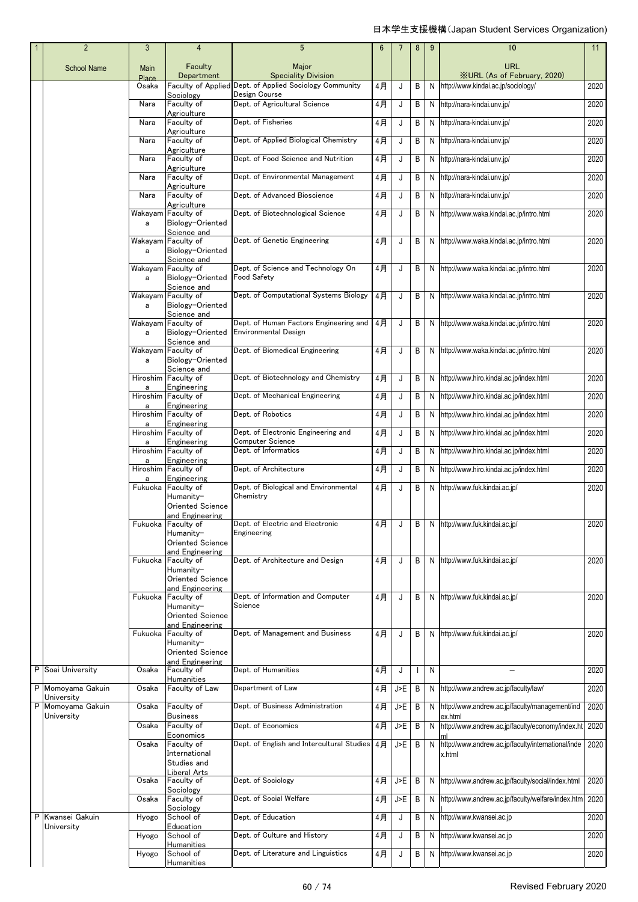|  | $\overline{2}$                  | 3             | $\overline{4}$                                        | 5                                                                     | 6     |     | 8 | 9 | 10                                                           | 11   |
|--|---------------------------------|---------------|-------------------------------------------------------|-----------------------------------------------------------------------|-------|-----|---|---|--------------------------------------------------------------|------|
|  | <b>School Name</b>              | Main<br>Place | Faculty<br>Department                                 | Major<br><b>Speciality Division</b>                                   |       |     |   |   | <b>URL</b><br><b>XURL (As of February, 2020)</b>             |      |
|  |                                 | Osaka         |                                                       | Faculty of Applied Dept. of Applied Sociology Community               | 4月    | J   | B | N | http://www.kindai.ac.jp/sociology/                           | 2020 |
|  |                                 | Nara          | Sociology<br>Faculty of                               | Design Course<br>Dept. of Agricultural Science                        | 4月    | J   | B | N | http://nara-kindai.unv.jp/                                   | 2020 |
|  |                                 | Nara          | Agriculture<br>Faculty of                             | Dept. of Fisheries                                                    | 4月    | J   | B | N | http://nara-kindai.unv.jp/                                   | 2020 |
|  |                                 | Nara          | Agriculture<br>Faculty of                             | Dept. of Applied Biological Chemistry                                 | 4月    | J   | B | N | http://nara-kindai.unv.jp/                                   | 2020 |
|  |                                 | Nara          | Agriculture<br>Faculty of                             | Dept. of Food Science and Nutrition                                   | 4月    | J   | B | N | http://nara-kindai.unv.jp/                                   | 2020 |
|  |                                 | Nara          | Agriculture<br>Faculty of                             | Dept. of Environmental Management                                     | 4月    | J   | B | N | http://nara-kindai.unv.jp/                                   | 2020 |
|  |                                 | Nara          | Agriculture<br>Faculty of                             | Dept. of Advanced Bioscience                                          | 4月    | J   | B | N | http://nara-kindai.unv.jp/                                   | 2020 |
|  |                                 | a             | Agriculture<br>Wakayam Faculty of<br>Biology-Oriented | Dept. of Biotechnological Science                                     | 4月    | J   | B | N | http://www.waka.kindai.ac.jp/intro.html                      | 2020 |
|  |                                 |               | Science and                                           |                                                                       |       |     |   |   |                                                              |      |
|  |                                 | a             | Wakayam Faculty of<br>Biology-Oriented<br>Science and | Dept. of Genetic Engineering                                          | 4月    | J   | В | N | http://www.waka.kindai.ac.jp/intro.html                      | 2020 |
|  |                                 | Wakayam       | Faculty of                                            | Dept. of Science and Technology On                                    | 4月    | J   | B | N | http://www.waka.kindai.ac.jp/intro.html                      | 2020 |
|  |                                 | a             | Biology-Oriented<br>Science and                       | <b>Food Safety</b>                                                    |       |     |   |   |                                                              |      |
|  |                                 | Wakayam<br>a  | Faculty of<br>Biology-Oriented<br>Science and         | Dept. of Computational Systems Biology                                | 4月    | J   | В | N | http://www.waka.kindai.ac.jp/intro.html                      | 2020 |
|  |                                 | Wakayam<br>a  | Faculty of<br>Biology-Oriented                        | Dept. of Human Factors Engineering and<br><b>Environmental Design</b> | 4月    | J   | B | N | http://www.waka.kindai.ac.jp/intro.html                      | 2020 |
|  |                                 |               | Science and                                           |                                                                       |       |     |   |   |                                                              |      |
|  |                                 | a             | Wakayam Faculty of<br>Biology-Oriented<br>Science and | Dept. of Biomedical Engineering                                       | 4月    | J   | В | N | http://www.waka.kindai.ac.jp/intro.html                      | 2020 |
|  |                                 | Hiroshim<br>a | Faculty of<br>Engineering                             | Dept. of Biotechnology and Chemistry                                  | 4月    | J   | B | N | http://www.hiro.kindai.ac.jp/index.html                      | 2020 |
|  |                                 |               | Hiroshim Faculty of<br>Engineering                    | Dept. of Mechanical Engineering                                       | 4月    | J   | B | N | http://www.hiro.kindai.ac.jp/index.html                      | 2020 |
|  |                                 | a             | Hiroshim Faculty of                                   | Dept. of Robotics                                                     | 4月    | J   | B | N | http://www.hiro.kindai.ac.jp/index.html                      | 2020 |
|  |                                 | a<br>Hiroshim | Engineering<br>Faculty of                             | Dept. of Electronic Engineering and                                   | 4月    | J   | B | N | http://www.hiro.kindai.ac.jp/index.html                      | 2020 |
|  |                                 | a             | Engineering<br>Hiroshim Faculty of                    | Computer Science<br>Dept. of Informatics                              | $4$ 月 | J   | B | N | http://www.hiro.kindai.ac.jp/index.html                      | 2020 |
|  |                                 | a             | Engineering<br>Hiroshim Faculty of                    | Dept. of Architecture                                                 | 4月    | J   | В | N | http://www.hiro.kindai.ac.jp/index.html                      | 2020 |
|  |                                 | a             | Engineering<br>Fukuoka Faculty of                     | Dept. of Biological and Environmental                                 | $4$ 月 | J   | B | N | http://www.fuk.kindai.ac.jp/                                 | 2020 |
|  |                                 |               | Humanity-<br>Oriented Science                         | Chemistry                                                             |       |     |   |   |                                                              |      |
|  |                                 |               | and Engineering<br>Fukuoka Faculty of                 | Dept. of Electric and Electronic                                      | 4月    |     |   |   | B N http://www.fuk.kindai.ac.jp/                             | 2020 |
|  |                                 |               | Humanity-<br>Oriented Science                         | Engineering                                                           |       |     |   |   |                                                              |      |
|  |                                 | Fukuoka       | and Engineering<br><b>Faculty of</b>                  | Dept. of Architecture and Design                                      | 4月    | J   | B | N | http://www.fuk.kindai.ac.jp/                                 | 2020 |
|  |                                 |               | Humanity-<br>Oriented Science                         |                                                                       |       |     |   |   |                                                              |      |
|  |                                 | Fukuoka       | and Engineering<br>Faculty of                         | Dept. of Information and Computer                                     | 4月    | J   | В | N | http://www.fuk.kindai.ac.jp/                                 | 2020 |
|  |                                 |               | Humanity-<br>Oriented Science                         | Science                                                               |       |     |   |   |                                                              |      |
|  |                                 |               | and Engineering<br>Fukuoka Faculty of                 | Dept. of Management and Business                                      | 4月    | J   | B | N | http://www.fuk.kindai.ac.jp/                                 | 2020 |
|  |                                 |               | Humanity-<br>Oriented Science                         |                                                                       |       |     |   |   |                                                              |      |
|  | P Soai University               | Osaka         | and Engineering<br>Faculty of                         | Dept. of Humanities                                                   | 4月    | J   |   | N |                                                              | 2020 |
|  | P Momoyama Gakuin               | Osaka         | Humanities<br>Faculty of Law                          | Department of Law                                                     | 4月    | J>E | B | N | http://www.andrew.ac.jp/faculty/law/                         | 2020 |
|  | University<br>P Momoyama Gakuin | Osaka         | Faculty of                                            | Dept. of Business Administration                                      | 4月    | J>E | B | N | http://www.andrew.ac.jp/faculty/management/ind               | 2020 |
|  | University                      | Osaka         | <b>Business</b><br>Faculty of                         | Dept. of Economics                                                    | $4$ 月 | J>E | B | N | ex.html<br>http://www.andrew.ac.jp/faculty/economy/index.ht  | 2020 |
|  |                                 |               | Economics                                             |                                                                       |       |     |   |   |                                                              |      |
|  |                                 | Osaka         | Faculty of<br>International                           | Dept. of English and Intercultural Studies                            | 4月    | J>E | B | N | http://www.andrew.ac.jp/faculty/international/inde<br>x.html | 2020 |
|  |                                 |               | Studies and<br>Liberal Arts                           |                                                                       |       |     |   |   |                                                              |      |
|  |                                 | Osaka         | Faculty of<br>Sociology                               | Dept. of Sociology                                                    | 4月    | J>E | B | N | http://www.andrew.ac.jp/faculty/social/index.html            | 2020 |
|  |                                 | Osaka         | Faculty of<br>Sociology                               | Dept. of Social Welfare                                               | 4月    | J>E | B | N | http://www.andrew.ac.jp/faculty/welfare/index.htm            | 2020 |
|  | P Kwansei Gakuin<br>University  | Hyogo         | School of<br>Education                                | Dept. of Education                                                    | 4月    | J   | B | N | http://www.kwansei.ac.jp                                     | 2020 |
|  |                                 | Hyogo         | School of<br>Humanities                               | Dept. of Culture and History                                          | 4月    | J   | В | N | http://www.kwansei.ac.jp                                     | 2020 |
|  |                                 | Hyogo         | School of<br>Humanities                               | Dept. of Literature and Linguistics                                   | 4月    | J   | B | N | http://www.kwansei.ac.jp                                     | 2020 |
|  |                                 |               |                                                       |                                                                       |       |     |   |   |                                                              |      |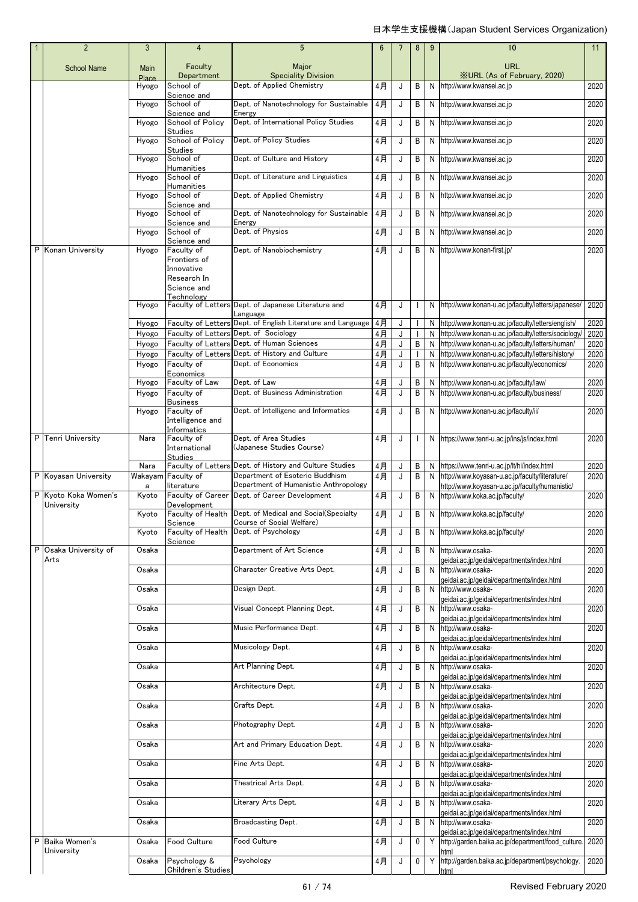|   | $\overline{2}$                     | 3                    | 4                                                                      | 5                                                                                             | 6              | $\overline{7}$ | 8            | 9      | 10                                                                                                              | 11           |
|---|------------------------------------|----------------------|------------------------------------------------------------------------|-----------------------------------------------------------------------------------------------|----------------|----------------|--------------|--------|-----------------------------------------------------------------------------------------------------------------|--------------|
|   | <b>School Name</b>                 | Main<br><b>Place</b> | Faculty<br>Department                                                  | Major<br><b>Speciality Division</b>                                                           |                |                |              |        | URL<br><b>XURL (As of February, 2020)</b>                                                                       |              |
|   |                                    | Hyogo                | School of                                                              | Dept. of Applied Chemistry                                                                    | 4月             | J              | B            |        | N http://www.kwansei.ac.jp                                                                                      | 2020         |
|   |                                    | Hyogo                | Science and<br>School of<br>Science and                                | Dept. of Nanotechnology for Sustainable<br>Energy                                             | 4月             | J              | B            |        | N http://www.kwansei.ac.jp                                                                                      | 2020         |
|   |                                    | Hyogo                | School of Policy<br><b>Studies</b>                                     | Dept. of International Policy Studies                                                         | $4$ 月          | J              | B            | N      | http://www.kwansei.ac.jp                                                                                        | 2020         |
|   |                                    | Hyogo                | School of Policy<br><b>Studies</b>                                     | Dept. of Policy Studies                                                                       | 4月             | J              | B            | N      | http://www.kwansei.ac.jp                                                                                        | 2020         |
|   |                                    | Hyogo                | School of<br><b>Humanities</b>                                         | Dept. of Culture and History                                                                  | 4月             | J              | B            |        | N http://www.kwansei.ac.jp                                                                                      | 2020         |
|   |                                    | Hyogo                | School of<br><b>Humanities</b>                                         | Dept. of Literature and Linguistics                                                           | 4月             | J              | B            |        | N http://www.kwansei.ac.jp                                                                                      | 2020         |
|   |                                    | Hyogo                | School of<br>Science and                                               | Dept. of Applied Chemistry                                                                    | 4月             | J              | B            | N      | http://www.kwansei.ac.jp                                                                                        | 2020         |
|   |                                    | Hyogo                | School of<br>Science and                                               | Dept. of Nanotechnology for Sustainable<br>Energy                                             | 4月             | J              | B            | N      | http://www.kwansei.ac.jp                                                                                        | 2020         |
|   |                                    | Hyogo                | School of<br>Science and                                               | Dept. of Physics                                                                              | $4$ 月          | J              | B            | N      | http://www.kwansei.ac.jp                                                                                        | 2020         |
|   | P Konan University                 | Hyogo                | Faculty of<br>Frontiers of<br>Innovative<br>Research In<br>Science and | Dept. of Nanobiochemistry                                                                     | 4月             | J              | B            |        | N http://www.konan-first.jp/                                                                                    | 2020         |
|   |                                    | Hyogo                | Technology                                                             | Faculty of Letters Dept. of Japanese Literature and<br>Language                               | 4月             | J              | $\mathbf{I}$ |        | N http://www.konan-u.ac.jp/faculty/letters/japanese/                                                            | 2020         |
|   |                                    | Hyogo                |                                                                        | Faculty of Letters Dept. of English Literature and Language                                   | 4月             | J              | $\mathbf{I}$ | N      | http://www.konan-u.ac.jp/faculty/letters/english/                                                               | 2020         |
|   |                                    | Hyogo                |                                                                        | Faculty of Letters Dept. of Sociology                                                         | 4月             | J              |              | N      | http://www.konan-u.ac.jp/faculty/letters/sociology/                                                             | 2020         |
|   |                                    | Hyogo<br>Hyogo       |                                                                        | Faculty of Letters Dept. of Human Sciences<br>Faculty of Letters Dept. of History and Culture | $4$ 月<br>$4$ 月 | J<br>J         | B            | N<br>N | http://www.konan-u.ac.jp/faculty/letters/human/<br>http://www.konan-u.ac.jp/faculty/letters/history/            | 2020<br>2020 |
|   |                                    | Hyogo                | Faculty of                                                             | Dept. of Economics                                                                            | 4月             | J              | B            | N      | http://www.konan-u.ac.jp/faculty/economics/                                                                     | 2020         |
|   |                                    | Hyogo                | Economics<br>Faculty of Law                                            | Dept. of Law                                                                                  | 4月             | J              | В            |        | N http://www.konan-u.ac.jp/faculty/law/                                                                         | 2020         |
|   |                                    | Hyogo                | Faculty of<br><b>Business</b>                                          | Dept. of Business Administration                                                              | 4月             | J              | B            |        | N http://www.konan-u.ac.jp/faculty/business/                                                                    | 2020         |
|   |                                    | Hyogo                | Faculty of<br>Intelligence and                                         | Dept. of Intelligenc and Informatics                                                          | 4月             | J              | B            |        | N http://www.konan-u.ac.jp/faculty/ii/                                                                          | 2020         |
|   | P Tenri University                 | Nara                 | Informatics<br>Faculty of                                              | Dept. of Area Studies                                                                         | 4月             | J              | $\mathbf{I}$ |        | N https://www.tenri-u.ac.jp/ins/js/index.html                                                                   | 2020         |
|   |                                    |                      | International<br><b>Studies</b>                                        | (Japanese Studies Course)                                                                     |                |                |              |        |                                                                                                                 |              |
|   |                                    | Nara                 | <b>Faculty of Letters</b>                                              | Dept. of History and Culture Studies                                                          | 4月             | J              | B            |        | N https://www.tenri-u.ac.jp/lt/hi/index.html                                                                    | 2020         |
|   | P Koyasan University               | Wakayam<br>a         | Faculty of<br>literature                                               | Department of Esoteric Buddhism<br>Department of Humanistic Anthropology                      | 4月             | J              | B            | N      | http://www.koyasan-u.ac.jp/faculty/literature/<br>http://www.koyasan-u.ac.jp/faculty/humanistic/                | 2020         |
|   | P Kyoto Koka Women's<br>University | Kyoto                | Faculty of Career<br>Development                                       | Dept. of Career Development                                                                   | 4月             | J              | B            |        | N http://www.koka.ac.jp/faculty/                                                                                | 2020         |
|   |                                    | Kyoto                | Faculty of Health<br>Science                                           | Dept. of Medical and Social(Specialty<br>Course of Social Welfare)                            | 4月             | J              | B            |        | N http://www.koka.ac.jp/faculty/                                                                                | 2020         |
|   |                                    | Kyoto                | Science                                                                | Faculty of Health Dept. of Psychology                                                         | 4月             | J              | B            |        | N http://www.koka.ac.jp/faculty/                                                                                | 2020         |
|   | P Osaka University of<br>Arts      | Osaka                |                                                                        | Department of Art Science                                                                     | 4月             | J              | B            |        | N http://www.osaka-<br>geidai.ac.jp/geidai/departments/index.html                                               | 2020         |
|   |                                    | Osaka                |                                                                        | Character Creative Arts Dept.                                                                 | 4月             | J              | B            | N      | http://www.osaka-<br>geidai.ac.jp/geidai/departments/index.html                                                 | 2020         |
|   |                                    | Osaka                |                                                                        | Design Dept.                                                                                  | 4月             | J              | B            | N      | http://www.osaka-<br>geidai.ac.jp/geidai/departments/index.html                                                 | 2020         |
|   |                                    | Osaka                |                                                                        | Visual Concept Planning Dept.                                                                 | 4月             | J              | В            | N      | http://www.osaka-<br>geidai.ac.jp/geidai/departments/index.html                                                 | 2020         |
|   |                                    | Osaka                |                                                                        | Music Performance Dept.                                                                       | 4月             | J              | B            | N      | http://www.osaka-<br>geidai.ac.jp/geidai/departments/index.html                                                 | 2020         |
|   |                                    | Osaka                |                                                                        | Musicology Dept.                                                                              | 4月             | J              | В            |        | N http://www.osaka-<br>geidai.ac.jp/geidai/departments/index.html                                               | 2020         |
|   |                                    | Osaka                |                                                                        | Art Planning Dept.                                                                            | 4月             | J              | В            |        | N http://www.osaka-<br>geidai.ac.jp/geidai/departments/index.html                                               | 2020         |
|   |                                    | Osaka                |                                                                        | Architecture Dept.                                                                            | 4月             | J              | В            |        | N http://www.osaka-<br>geidai.ac.jp/geidai/departments/index.html                                               | 2020         |
|   |                                    | Osaka                |                                                                        | Crafts Dept.                                                                                  | 4月             | J              | B            |        | N http://www.osaka-<br>geidai.ac.jp/geidai/departments/index.html                                               | 2020         |
|   |                                    | Osaka                |                                                                        | Photography Dept.                                                                             | 4月             | J              | В            | N      | http://www.osaka-<br>geidai.ac.jp/geidai/departments/index.html                                                 | 2020         |
|   |                                    | Osaka                |                                                                        | Art and Primary Education Dept.                                                               | 4月             | J              | В            | N      | http://www.osaka-<br>geidai.ac.jp/geidai/departments/index.html                                                 | 2020         |
|   |                                    | Osaka                |                                                                        | Fine Arts Dept.                                                                               | 4月             | J              | В            | N      | http://www.osaka-<br>geidai.ac.jp/geidai/departments/index.html                                                 | 2020         |
|   |                                    | Osaka                |                                                                        | Theatrical Arts Dept.                                                                         | 4月             | J              | B            | N      | http://www.osaka-<br>geidai.ac.jp/geidai/departments/index.html                                                 | 2020         |
|   |                                    |                      |                                                                        |                                                                                               | 4月             | J              | В            | N      | http://www.osaka-                                                                                               | 2020         |
|   |                                    | Osaka                |                                                                        | Literary Arts Dept.                                                                           |                |                |              |        |                                                                                                                 |              |
|   |                                    | Osaka                |                                                                        | Broadcasting Dept.                                                                            | 4月             | J              | В            |        | geidai.ac.jp/geidai/departments/index.html<br>N http://www.osaka-<br>geidai.ac.jp/geidai/departments/index.html | 2020         |
| P | Baika Women's<br>University        | Osaka                | Food Culture                                                           | Food Culture                                                                                  | 4月             | J              | 0            | Y.     | http://garden.baika.ac.jp/department/food_culture.<br>html                                                      | 2020         |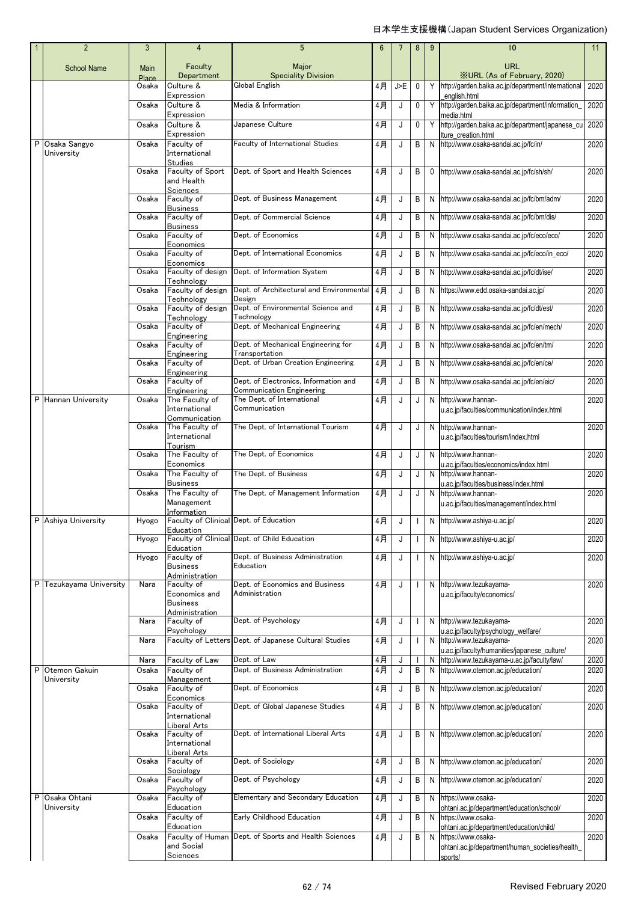|    | $\overline{2}$             | 3             | $\overline{4}$                                            | 5                                                                         | 6        |        | 8            | 9  | 10                                                                                 | 11           |
|----|----------------------------|---------------|-----------------------------------------------------------|---------------------------------------------------------------------------|----------|--------|--------------|----|------------------------------------------------------------------------------------|--------------|
|    | <b>School Name</b>         | Main<br>Place | Faculty<br>Department                                     | Major<br><b>Speciality Division</b>                                       |          |        |              |    | <b>URL</b><br><b>XURL (As of February, 2020)</b>                                   |              |
|    |                            | Osaka         | Culture &                                                 | Global English                                                            | 4月       | J>E    | 0            | Y  | http://garden.baika.ac.jp/department/international                                 | 2020         |
|    |                            | Osaka         | Expression<br>Culture &                                   | Media & Information                                                       | 4月       | J      | 0            | Y. | english.html<br>http://garden.baika.ac.jp/department/information_                  | 2020         |
|    |                            |               | Expression                                                |                                                                           |          |        |              |    | media.html                                                                         |              |
|    |                            | Osaka         | Culture &<br>Expression                                   | Japanese Culture                                                          | 4月       | J      | 0            | Y  | http://garden.baika.ac.jp/department/japanese_cu<br>lture creation.html            | 2020         |
| P. | Osaka Sangyo<br>University | Osaka         | Faculty of<br>International                               | <b>Faculty of International Studies</b>                                   | 4月       | J      | B            |    | N http://www.osaka-sandai.ac.jp/fc/in/                                             | 2020         |
|    |                            | Osaka         | Studies<br>Faculty of Sport<br>and Health<br>Sciences     | Dept. of Sport and Health Sciences                                        | 4月       | J      | В            | 0  | http://www.osaka-sandai.ac.jp/fc/sh/sh/                                            | 2020         |
|    |                            | Osaka         | Faculty of<br><b>Business</b>                             | Dept. of Business Management                                              | 4月       | J      | B            |    | N http://www.osaka-sandai.ac.jp/fc/bm/adm/                                         | 2020         |
|    |                            | Osaka         | Faculty of                                                | Dept. of Commercial Science                                               | 4月       | J      | B            |    | N http://www.osaka-sandai.ac.jp/fc/bm/dis/                                         | 2020         |
|    |                            | Osaka         | <b>Business</b><br>Faculty of                             | Dept. of Economics                                                        | 4月       | J      | В            | N  | http://www.osaka-sandai.ac.jp/fc/eco/eco/                                          | 2020         |
|    |                            | Osaka         | Economics<br>Faculty of                                   | Dept. of International Economics                                          | 4月       | J      | B            |    | N http://www.osaka-sandai.ac.jp/fc/eco/in_eco/                                     | 2020         |
|    |                            |               | Economics                                                 |                                                                           |          |        |              |    |                                                                                    |              |
|    |                            | Osaka         | Faculty of design<br>Technology                           | Dept. of Information System                                               | 4月       | J      | В            |    | N http://www.osaka-sandai.ac.jp/fc/dt/ise/                                         | 2020         |
|    |                            | Osaka         | Faculty of design<br>Technology                           | Dept. of Architectural and Environmental<br>Design                        | 4月       | J      | B            | N  | https://www.edd.osaka-sandai.ac.jp/                                                | 2020         |
|    |                            | Osaka         | Faculty of design                                         | Dept. of Environmental Science and                                        | 4月       | J      | B            | N  | http://www.osaka-sandai.ac.jp/fc/dt/est/                                           | 2020         |
|    |                            | Osaka         | Technology<br>Faculty of                                  | Technology<br>Dept. of Mechanical Engineering                             | 4月       | J      | B            | N  | http://www.osaka-sandai.ac.jp/fc/en/mech/                                          | 2020         |
|    |                            | Osaka         | Engineering<br>Faculty of                                 | Dept. of Mechanical Engineering for                                       | 4月       | J      | B            | N  | http://www.osaka-sandai.ac.jp/fc/en/tm/                                            | 2020         |
|    |                            |               | Engineering                                               | Transportation                                                            |          |        |              |    |                                                                                    |              |
|    |                            | Osaka         | Faculty of<br>Engineering                                 | Dept. of Urban Creation Engineering                                       | 4月       | J      | В            | N  | http://www.osaka-sandai.ac.jp/fc/en/ce/                                            | 2020         |
|    |                            | Osaka         | Faculty of                                                | Dept. of Electronics, Information and<br><b>Communication Engineering</b> | 4月       | J      | B            |    | N http://www.osaka-sandai.ac.jp/fc/en/eic/                                         | 2020         |
|    | P Hannan University        | Osaka         | Engineering<br>The Faculty of<br>International            | The Dept. of International<br>Communication                               | 4月       | J      | J            | N  | http://www.hannan-<br>u.ac.jp/faculties/communication/index.html                   | 2020         |
|    |                            | Osaka         | Communication<br>The Faculty of                           | The Dept. of International Tourism                                        | 4月       | J      | J            |    | N http://www.hannan-                                                               | 2020         |
|    |                            |               | International                                             |                                                                           |          |        |              |    | u.ac.jp/faculties/tourism/index.html                                               |              |
|    |                            | Osaka         | Tourism<br>The Faculty of                                 | The Dept. of Economics                                                    | 4月       | J      | J            | N  | http://www.hannan-                                                                 | 2020         |
|    |                            | Osaka         | Economics<br>The Faculty of                               | The Dept. of Business                                                     | 4月       | J      | J            | N  | u.ac.jp/faculties/economics/index.html<br>http://www.hannan-                       | 2020         |
|    |                            | Osaka         | <b>Business</b><br>The Faculty of                         | The Dept. of Management Information                                       | 4月       | J      | J            | N  | u.ac.jp/faculties/business/index.html<br>http://www.hannan-                        | 2020         |
|    |                            |               | Management<br>Information                                 |                                                                           |          |        |              |    | u.ac.jp/faculties/management/index.html                                            |              |
|    | P Ashiya University        |               | Hyogo Faculty of Clinical Dept. of Education<br>Education |                                                                           | 4月       |        |              |    | N http://www.ashiya-u.ac.jp/                                                       | 2020         |
|    |                            | Hyogo         | Education                                                 | Faculty of Clinical Dept. of Child Education                              | 4月       | J      | $\mathbf{I}$ |    | N http://www.ashiya-u.ac.jp/                                                       | 2020         |
|    |                            | Hyogo         | Faculty of<br><b>Business</b>                             | Dept. of Business Administration<br>Education                             | 4月       | J      | $\mathbf{I}$ |    | N http://www.ashiya-u.ac.jp/                                                       | 2020         |
|    | P Tezukayama University    | Nara          | Administration<br>Faculty of                              | Dept. of Economics and Business                                           | 4月       | J      | $\mathbf{I}$ |    | N http://www.tezukayama-                                                           | 2020         |
|    |                            |               | Economics and<br><b>Business</b>                          | Administration                                                            |          |        |              |    | u.ac.jp/faculty/economics/                                                         |              |
|    |                            | Nara          | Administration<br>Faculty of                              | Dept. of Psychology                                                       | 4月       | J      | $\mathbf{I}$ |    | N http://www.tezukayama-                                                           | 2020         |
|    |                            |               | Psychology                                                | Faculty of Letters Dept. of Japanese Cultural Studies                     |          |        |              |    | u.ac.jp/faculty/psychology_welfare/<br>http://www.tezukayama-                      |              |
|    |                            | Nara          |                                                           |                                                                           | 4月       | J      |              | N  | u.ac.jp/faculty/humanities/japanese_culture/                                       | 2020         |
| P  | Otemon Gakuin              | Nara<br>Osaka | Faculty of Law<br>Faculty of                              | Dept. of Law<br>Dept. of Business Administration                          | 4月<br>4月 | J<br>J | B            | N  | http://www.tezukayama-u.ac.jp/faculty/law/<br>N http://www.otemon.ac.jp/education/ | 2020<br>2020 |
|    | University                 |               | Management                                                |                                                                           |          |        |              |    |                                                                                    |              |
|    |                            | Osaka         | Faculty of<br>Economics                                   | Dept. of Economics                                                        | 4月       | J      | B            | N  | http://www.otemon.ac.jp/education/                                                 | 2020         |
|    |                            | Osaka         | Faculty of<br>International                               | Dept. of Global Japanese Studies                                          | 4月       | J      | В            | N  | http://www.otemon.ac.jp/education/                                                 | 2020         |
|    |                            |               | Liberal Arts                                              |                                                                           |          |        |              |    |                                                                                    |              |
|    |                            | Osaka         | Faculty of<br>International                               | Dept. of International Liberal Arts                                       | 4月       | J      | В            |    | N http://www.otemon.ac.jp/education/                                               | 2020         |
|    |                            | Osaka         | Liberal Arts<br>Faculty of                                | Dept. of Sociology                                                        | 4月       | J      | В            |    | N http://www.otemon.ac.jp/education/                                               | 2020         |
|    |                            | Osaka         | Sociology<br>Faculty of                                   | Dept. of Psychology                                                       | 4月       | J      | В            |    | N http://www.otemon.ac.jp/education/                                               | 2020         |
| P  | Osaka Ohtani               | Osaka         | Psychology<br>Faculty of                                  | Elementary and Secondary Education                                        | 4月       | J      | B            | N  | https://www.osaka-                                                                 | 2020         |
|    | University                 | Osaka         | Education<br>Faculty of                                   | Early Childhood Education                                                 | 4月       | J      | В            | N  | ohtani.ac.jp/department/education/school/<br>https://www.osaka-                    | 2020         |
|    |                            |               | Education                                                 |                                                                           |          |        |              |    | ohtani.ac.jp/department/education/child/                                           |              |
|    |                            | Osaka         | Faculty of Human<br>and Social                            | Dept. of Sports and Health Sciences                                       | 4月       | J      | B            | N  | https://www.osaka-<br>ohtani.ac.jp/department/human_societies/health_              | 2020         |
|    |                            |               | Sciences                                                  |                                                                           |          |        |              |    | sports/                                                                            |              |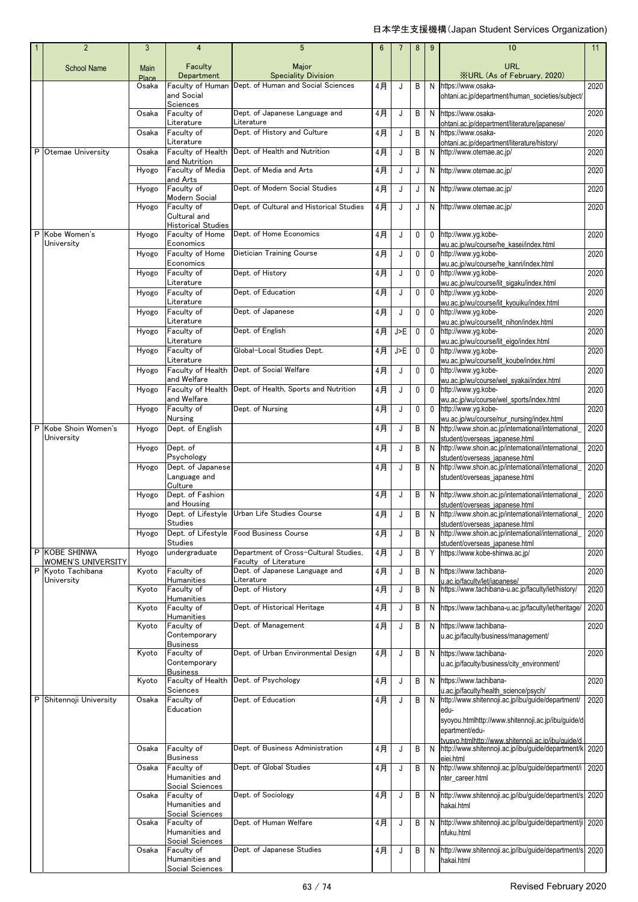|   | $\overline{2}$                               | 3              | $\overline{4}$                                  | 5                                                                | $6\phantom{1}$ |     | 8            | 9            | 10                                                                                                         | 11   |
|---|----------------------------------------------|----------------|-------------------------------------------------|------------------------------------------------------------------|----------------|-----|--------------|--------------|------------------------------------------------------------------------------------------------------------|------|
|   | <b>School Name</b>                           | <b>Main</b>    | Faculty                                         | Major                                                            |                |     |              |              | <b>URL</b>                                                                                                 |      |
|   |                                              | Place<br>Osaka | Department<br>Faculty of Human                  | <b>Speciality Division</b><br>Dept. of Human and Social Sciences | 4月             | J   | B            | N            | <b>XURL (As of February, 2020)</b><br>https://www.osaka-                                                   | 2020 |
|   |                                              |                | and Social<br>Sciences                          |                                                                  |                |     |              |              | ohtani.ac.jp/department/human_societies/subject/                                                           |      |
|   |                                              | Osaka          | Faculty of<br>Literature                        | Dept. of Japanese Language and<br>Literature                     | 4月             | J   | B            |              | N https://www.osaka-<br>ohtani.ac.jp/department/literature/japanese/                                       | 2020 |
|   |                                              | Osaka          | Faculty of<br>Literature                        | Dept. of History and Culture                                     | $4$ 月          | J   | B            | N.           | https://www.osaka-                                                                                         | 2020 |
| P | Otemae University                            | Osaka          | Faculty of Health                               | Dept. of Health and Nutrition                                    | 4月             | J   | B            |              | ohtani.ac.jp/department/literature/history/<br>N http://www.otemae.ac.jp/                                  | 2020 |
|   |                                              | Hyogo          | and Nutrition<br>Faculty of Media               | Dept. of Media and Arts                                          | 4月             | J   | J            |              | N http://www.otemae.ac.jp/                                                                                 | 2020 |
|   |                                              | Hyogo          | and Arts<br>Faculty of                          | Dept. of Modern Social Studies                                   | 4月             | J   | J            |              | N http://www.otemae.ac.jp/                                                                                 | 2020 |
|   |                                              | Hyogo          | Modern Social<br>Faculty of                     | Dept. of Cultural and Historical Studies                         | 4月             | J   | J            |              | N http://www.otemae.ac.jp/                                                                                 | 2020 |
|   |                                              |                | Cultural and<br><b>Historical Studies</b>       |                                                                  |                |     |              |              |                                                                                                            |      |
|   | P Kobe Women's<br>University                 | Hyogo          | Faculty of Home<br>Economics                    | Dept. of Home Economics                                          | 4月             | J   | $\mathbf{0}$ | $\mathbf 0$  | http://www.yg.kobe-                                                                                        | 2020 |
|   |                                              | Hyogo          | Faculty of Home                                 | Dietician Training Course                                        | 4月             | J   | 0            | $\mathbf{0}$ | wu.ac.jp/wu/course/he_kasei/index.html<br>http://www.yg.kobe-                                              | 2020 |
|   |                                              | Hyogo          | Economics<br>Faculty of                         | Dept. of History                                                 | 4月             | J   | 0            | $\mathbf 0$  | wu.ac.jp/wu/course/he_kanri/index.html<br>http://www.yg.kobe-                                              | 2020 |
|   |                                              | Hyogo          | Literature<br>Faculty of                        | Dept. of Education                                               | 4月             | J   | $\mathbf 0$  | $\mathbf{0}$ | wu.ac.jp/wu/course/lit_sigaku/index.html<br>http://www.va.kobe-                                            | 2020 |
|   |                                              |                | Literature<br>Faculty of                        | Dept. of Japanese                                                | 4月             | J   | $\mathbf 0$  | $\mathbf{0}$ | wu.ac.jp/wu/course/lit_kyouiku/index.html<br>http://www.yg.kobe-                                           | 2020 |
|   |                                              | Hyogo          | Literature                                      |                                                                  |                |     |              |              | wu.ac.jp/wu/course/lit_nihon/index.html                                                                    |      |
|   |                                              | Hyogo          | Faculty of<br>Literature                        | Dept. of English                                                 | 4月             | J>E | $\mathbf 0$  | $\mathbf{0}$ | http://www.yg.kobe-<br>wu.ac.jp/wu/course/lit_eigo/index.html                                              | 2020 |
|   |                                              | Hyogo          | Faculty of<br>Literature                        | Global-Local Studies Dept.                                       | 4月             | J>E | $\mathbf 0$  | $\mathbf{0}$ | http://www.yg.kobe-<br>wu.ac.jp/wu/course/lit_koube/index.html                                             | 2020 |
|   |                                              | Hyogo          | Faculty of Health<br>and Welfare                | Dept. of Social Welfare                                          | 4月             | J   | $\mathbf{0}$ | $\mathbf{0}$ | http://www.yg.kobe-<br>wu.ac.jp/wu/course/wel_syakai/index.html                                            | 2020 |
|   |                                              | Hyogo          |                                                 | Faculty of Health Dept. of Health, Sports and Nutrition          | 4月             | J   | 0            |              | 0 http://www.yg.kobe-                                                                                      | 2020 |
|   |                                              | Hyogo          | and Welfare<br>Faculty of                       | Dept. of Nursing                                                 | 4月             | J   | 0            | $\mathbf{0}$ | wu.ac.jp/wu/course/wel_sports/index.html<br>http://www.yg.kobe-                                            | 2020 |
| P | Kobe Shoin Women's                           | Hyogo          | <b>Nursing</b><br>Dept. of English              |                                                                  | 4月             | J   | B            |              | wu.ac.jp/wu/course/nur_nursing/index.html<br>N http://www.shoin.ac.jp/international/international          | 2020 |
|   | University                                   | Hyogo          | Dept. of                                        |                                                                  | 4月             | J   | B            |              | student/overseas_japanese.html<br>N http://www.shoin.ac.jp/international/international                     | 2020 |
|   |                                              |                | Psychology                                      |                                                                  |                |     |              |              | student/overseas japanese.html                                                                             |      |
|   |                                              | Hyogo          | Dept. of Japanese<br>Language and<br>Culture    |                                                                  | 4月             | J   | B            |              | N http://www.shoin.ac.jp/international/international<br>student/overseas japanese.html                     | 2020 |
|   |                                              | Hyogo          | Dept. of Fashion<br>and Housing                 |                                                                  | 4月             | J   | B            | N            | http://www.shoin.ac.jp/international/international<br>student/overseas_japanese.html                       | 2020 |
|   |                                              | Hyogo          | Studies                                         | Dept. of Lifestyle Urban Life Studies Course                     | 4月             | J   | B            |              | N http://www.shoin.ac.jp/international/international<br>student/overseas_japanese.html                     | 2020 |
|   |                                              | Hyogo          | Dept. of Lifestyle<br><b>Studies</b>            | <b>Food Business Course</b>                                      | 4月             | J   | B            | N            | http://www.shoin.ac.jp/international/international                                                         | 2020 |
|   | P KOBE SHINWA                                | Hyogo          | undergraduate                                   | Department of Cross-Cultural Studies,                            | 4月             | J   | B            |              | student/overseas japanese.html<br>Y https://www.kobe-shinwa.ac.jp/                                         | 2020 |
| P | <b>WOMEN'S UNIVERSITY</b><br>Kyoto Tachibana | Kyoto          | Faculty of                                      | Faculty of Literature<br>Dept. of Japanese Language and          | 4月             | J   | B            | N            | https://www.tachibana-                                                                                     | 2020 |
|   | University                                   | Kyoto          | Humanities<br>Faculty of                        | Literature<br>Dept. of History                                   | 4月             | J   | B            | N            | u.ac.ip/faculty/let/iapanese/<br>https://www.tachibana-u.ac.jp/faculty/let/history/                        | 2020 |
|   |                                              | Kyoto          | Humanities<br>Faculty of                        | Dept. of Historical Heritage                                     | 4月             | J   | B            |              | N https://www.tachibana-u.ac.jp/faculty/let/heritage/                                                      | 2020 |
|   |                                              | Kyoto          | Humanities<br>Faculty of                        | Dept. of Management                                              | 4月             | J   | B            |              | N https://www.tachibana-                                                                                   | 2020 |
|   |                                              |                | Contemporary<br><b>Business</b>                 |                                                                  |                |     |              |              | u.ac.jp/faculty/business/management/                                                                       |      |
|   |                                              | Kyoto          | Faculty of<br>Contemporary                      | Dept. of Urban Environmental Design                              | 4月             | J   | B            |              | N https://www.tachibana-                                                                                   | 2020 |
|   |                                              |                | <b>Business</b>                                 |                                                                  |                |     |              |              | u.ac.jp/faculty/business/city_environment/                                                                 |      |
|   |                                              | Kyoto          | Faculty of Health<br>Sciences                   | Dept. of Psychology                                              | 4月             | J   | B            |              | N https://www.tachibana-<br>u.ac.jp/faculty/health_science/psych/                                          | 2020 |
| P | Shitennoji University                        | Osaka          | Faculty of<br>Education                         | Dept. of Education                                               | 4月             | J   | B            | N            | http://www.shitennoji.ac.jp/ibu/guide/department/<br>edu-                                                  | 2020 |
|   |                                              |                |                                                 |                                                                  |                |     |              |              | syoyou.htmlhttp://www.shitennoji.ac.jp/ibu/guide/d<br>epartment/edu-                                       |      |
|   |                                              | Osaka          | Faculty of                                      | Dept. of Business Administration                                 | 4月             | J   | В            |              | tvusvo.htmlhttp://www.shitennoii.ac.ip/ibu/quide/d<br>N http://www.shitennoji.ac.jp/ibu/guide/department/k | 2020 |
|   |                                              |                | <b>Business</b>                                 |                                                                  |                |     |              |              | eiei.html                                                                                                  |      |
|   |                                              | Osaka          | Faculty of<br>Humanities and                    | Dept. of Global Studies                                          | 4月             | J   | В            |              | N http://www.shitennoji.ac.jp/ibu/guide/department/i<br>nter career.html                                   | 2020 |
|   |                                              | Osaka          | Social Sciences<br>Faculty of                   | Dept. of Sociology                                               | 4月             | J   | B            |              | N http://www.shitennoji.ac.jp/ibu/guide/department/s 2020                                                  |      |
|   |                                              |                | Humanities and<br>Social Sciences               |                                                                  |                |     |              |              | hakai.html                                                                                                 |      |
|   |                                              | Osaka          | Faculty of<br>Humanities and<br>Social Sciences | Dept. of Human Welfare                                           | 4月             | J   | В            |              | N http://www.shitennoji.ac.jp/ibu/guide/department/ji 2020<br>nfuku.html                                   |      |
|   |                                              | Osaka          | Faculty of                                      | Dept. of Japanese Studies                                        | 4月             | J   | B            | N            | http://www.shitennoji.ac.jp/ibu/guide/department/s 2020                                                    |      |
|   |                                              |                | Humanities and<br>Social Sciences               |                                                                  |                |     |              |              | hakai.html                                                                                                 |      |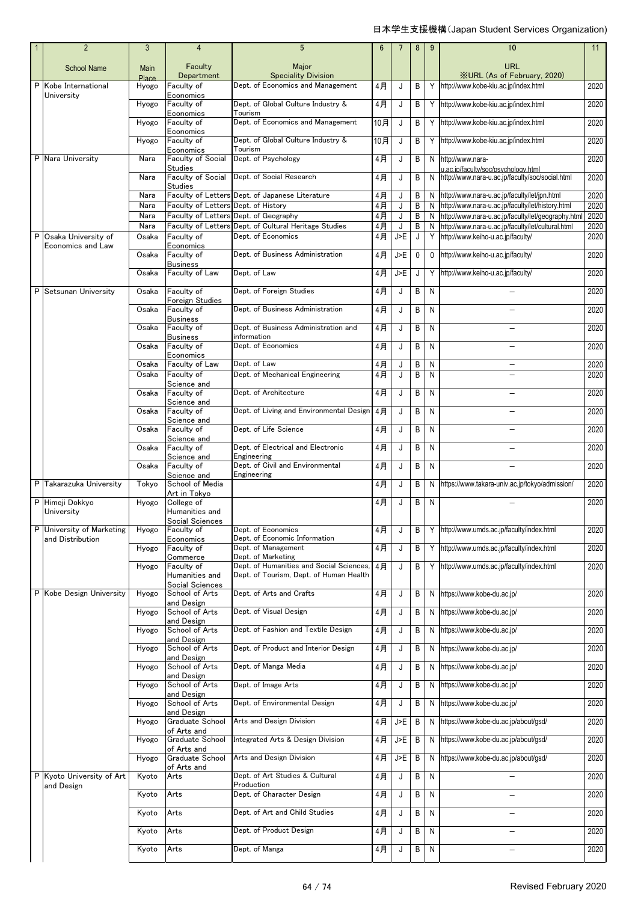|   | $\overline{2}$           | 3                     | $\overline{4}$                       | 5                                                                                              | 6           |          | 8            | 9 | 10                                                                                         | 11           |
|---|--------------------------|-----------------------|--------------------------------------|------------------------------------------------------------------------------------------------|-------------|----------|--------------|---|--------------------------------------------------------------------------------------------|--------------|
|   | <b>School Name</b>       | <b>Main</b>           | Faculty<br>Department                | Major<br><b>Speciality Division</b>                                                            |             |          |              |   | URL<br><b>XURL (As of February, 2020)</b>                                                  |              |
| P | Kobe International       | <b>Place</b><br>Hyogo | Faculty of                           | Dept. of Economics and Management                                                              | 4月          | J        | B            | Y | http://www.kobe-kiu.ac.jp/index.html                                                       | 2020         |
|   | University               | Hyogo                 | Economics<br>Faculty of<br>Economics | Dept. of Global Culture Industry &<br>Tourism                                                  | 4月          | J        | B            |   | Y http://www.kobe-kiu.ac.jp/index.html                                                     | 2020         |
|   |                          | Hyogo                 | Faculty of<br>Economics              | Dept. of Economics and Management                                                              | 10月         | J        | В            | Υ | http://www.kobe-kiu.ac.jp/index.html                                                       | 2020         |
|   |                          | Hyogo                 | Faculty of<br>Economics              | Dept. of Global Culture Industry &<br>Tourism                                                  | 10月         | J        | B            | Y | http://www.kobe-kiu.ac.jp/index.html                                                       | 2020         |
|   | P Nara University        | Nara                  | Faculty of Social<br><b>Studies</b>  | Dept. of Psychology                                                                            | 4月          | J        | B            |   | N http://www.nara-                                                                         | 2020         |
|   |                          | Nara                  | Faculty of Social                    | Dept. of Social Research                                                                       | 4月          | J        | B            | N | u.ac.ip/faculty/soc/psychology.html<br>http://www.nara-u.ac.jp/faculty/soc/social.html     | 2020         |
|   |                          | Nara                  | <b>Studies</b>                       | Faculty of Letters Dept. of Japanese Literature                                                | 4月          | J        | B            |   | N http://www.nara-u.ac.jp/faculty/let/jpn.html                                             | 2020         |
|   |                          | Nara                  | Faculty of Letters Dept. of History  |                                                                                                | 4月          | J        | B            |   | N http://www.nara-u.ac.jp/faculty/let/history.html                                         | 2020         |
|   |                          | Nara<br>Nara          |                                      | Faculty of Letters Dept. of Geography<br>Faculty of Letters Dept. of Cultural Heritage Studies | 4月          | J        | B            | N | http://www.nara-u.ac.jp/faculty/let/geography.html                                         | 2020         |
| P | Osaka University of      | Osaka                 | Faculty of                           | Dept. of Economics                                                                             | $4$ 月<br>4月 | J<br>J>E | B<br>J       |   | N http://www.nara-u.ac.jp/faculty/let/cultural.html<br>Y http://www.keiho-u.ac.jp/faculty/ | 2020<br>2020 |
|   | Economics and Law        |                       | Economics                            |                                                                                                |             |          |              |   |                                                                                            |              |
|   |                          | Osaka                 | Faculty of<br><b>Business</b>        | Dept. of Business Administration                                                               | 4月          | J>E      | $\mathbf 0$  | 0 | http://www.keiho-u.ac.jp/faculty/                                                          | 2020         |
|   |                          | Osaka                 | Faculty of Law                       | Dept. of Law                                                                                   | 4月          | J>E      | J            |   | Y http://www.keiho-u.ac.jp/faculty/                                                        | 2020         |
|   | P Setsunan University    | Osaka                 | Faculty of<br>Foreign Studies        | Dept. of Foreign Studies                                                                       | 4月          | J        | B            | N |                                                                                            | 2020         |
|   |                          | Osaka                 | Faculty of<br><b>Business</b>        | Dept. of Business Administration                                                               | 4月          | J        | $\, {\sf B}$ | N |                                                                                            | 2020         |
|   |                          | Osaka                 | Faculty of<br><b>Business</b>        | Dept. of Business Administration and<br>information                                            | 4月          | J        | B            | N |                                                                                            | 2020         |
|   |                          | Osaka                 | Faculty of<br>Economics              | Dept. of Economics                                                                             | 4月          | J        | B            | N |                                                                                            | 2020         |
|   |                          | Osaka                 | Faculty of Law                       | Dept. of Law                                                                                   | 4月          | J        | B            | N |                                                                                            | 2020         |
|   |                          | Osaka                 | Faculty of<br>Science and            | Dept. of Mechanical Engineering                                                                | 4月          | J        | B            | N |                                                                                            | 2020         |
|   |                          | Osaka                 | Faculty of<br>Science and            | Dept. of Architecture                                                                          | 4月          | J        | B            | N | $\overline{\phantom{0}}$                                                                   | 2020         |
|   |                          | Osaka                 | Faculty of<br>Science and            | Dept. of Living and Environmental Design                                                       | 4月          | J        | B            | N |                                                                                            | 2020         |
|   |                          | Osaka                 | Faculty of                           | Dept. of Life Science                                                                          | 4月          | J        | B            | N |                                                                                            | 2020         |
|   |                          | Osaka                 | Science and<br>Faculty of            | Dept. of Electrical and Electronic                                                             | 4月          | J        | B            | N |                                                                                            | 2020         |
|   |                          | Osaka                 | Science and<br>Faculty of            | Engineering<br>Dept. of Civil and Environmental                                                | 4月          | J        | B            | N |                                                                                            | 2020         |
|   | P Takarazuka University  | Tokyo                 | Science and<br>School of Media       | Engineering                                                                                    | 4月          | J        | B            | N | https://www.takara-univ.ac.jp/tokyo/admission/                                             | 2020         |
| P | Himeji Dokkyo            | Hyogo                 | Art in Tokvo<br>College of           |                                                                                                | 4月          | J        | B            | N |                                                                                            | 2020         |
|   | University               |                       | Humanities and<br>Social Sciences    |                                                                                                |             |          |              |   |                                                                                            |              |
|   | University of Marketing  | Hyogo                 | Faculty of                           | Dept. of Economics<br>Dept. of Economic Information                                            | 4月          | J        | B            |   | Y http://www.umds.ac.jp/faculty/index.html                                                 | 2020         |
|   | and Distribution         | Hyogo                 | Economics<br>Faculty of              | Dept. of Management                                                                            | 4月          | J        | B            |   | Y http://www.umds.ac.jp/faculty/index.html                                                 | 2020         |
|   |                          | Hyogo                 | Commerce<br>Faculty of               | Dept. of Marketing<br>Dept. of Humanities and Social Sciences                                  | 4月          | J        | В            | Υ | http://www.umds.ac.jp/faculty/index.html                                                   | 2020         |
|   |                          |                       | Humanities and<br>Social Sciences    | Dept. of Tourism, Dept. of Human Health                                                        |             |          |              |   |                                                                                            |              |
|   | P Kobe Design University | Hyogo                 | School of Arts<br>and Design         | Dept. of Arts and Crafts                                                                       | 4月          | J        | В            |   | N https://www.kobe-du.ac.jp/                                                               | 2020         |
|   |                          | Hyogo                 | School of Arts<br>and Design         | Dept. of Visual Design                                                                         | 4月          | J        | B            | Ν | https://www.kobe-du.ac.jp/                                                                 | 2020         |
|   |                          | Hyogo                 | School of Arts                       | Dept. of Fashion and Textile Design                                                            | 4月          | J        | B            | N | https://www.kobe-du.ac.jp/                                                                 | 2020         |
|   |                          | Hyogo                 | and Design<br>School of Arts         | Dept. of Product and Interior Design                                                           | 4月          | J        | B            | N | https://www.kobe-du.ac.jp/                                                                 | 2020         |
|   |                          | Hyogo                 | and Design<br>School of Arts         | Dept. of Manga Media                                                                           | 4月          | J        | В            | N | https://www.kobe-du.ac.jp/                                                                 | 2020         |
|   |                          | Hyogo                 | and Design<br>School of Arts         | Dept. of Image Arts                                                                            | 4月          | J        | В            | N | https://www.kobe-du.ac.jp/                                                                 | 2020         |
|   |                          | Hyogo                 | and Design<br>School of Arts         | Dept. of Environmental Design                                                                  | 4月          | J        | B            | N | https://www.kobe-du.ac.jp/                                                                 | 2020         |
|   |                          | Hyogo                 | and Design<br>Graduate School        | Arts and Design Division                                                                       | 4月          | J>F      | B            | N | https://www.kobe-du.ac.jp/about/gsd/                                                       | 2020         |
|   |                          | Hyogo                 | of Arts and<br>Graduate School       | Integrated Arts & Design Division                                                              | $4$ 月       | J>E      | B            | Ν | https://www.kobe-du.ac.jp/about/gsd/                                                       | 2020         |
|   |                          | Hyogo                 | of Arts and<br>Graduate School       | Arts and Design Division                                                                       | 4月          | J>E      | В            | Ν | https://www.kobe-du.ac.jp/about/gsd/                                                       | 2020         |
| P | Kyoto University of Art  | Kyoto                 | of Arts and<br>Arts                  | Dept. of Art Studies & Cultural                                                                | 4月          | J        | B            | N |                                                                                            | 2020         |
|   | and Design               | Kyoto                 | Arts                                 | Production<br>Dept. of Character Design                                                        | 4月          | J        | В            | N | $\overline{\phantom{0}}$                                                                   | 2020         |
|   |                          | Kyoto                 | Arts                                 | Dept. of Art and Child Studies                                                                 | 4月          | J        | B            | N |                                                                                            | 2020         |
|   |                          | Kyoto                 | Arts                                 | Dept. of Product Design                                                                        | $4$ 月       | J        | B            | N | $\overline{\phantom{0}}$                                                                   | 2020         |
|   |                          | Kyoto                 | Arts                                 | Dept. of Manga                                                                                 | 4月          | J        | B            | N | $\overline{\phantom{0}}$                                                                   | 2020         |
|   |                          |                       |                                      |                                                                                                |             |          |              |   |                                                                                            |              |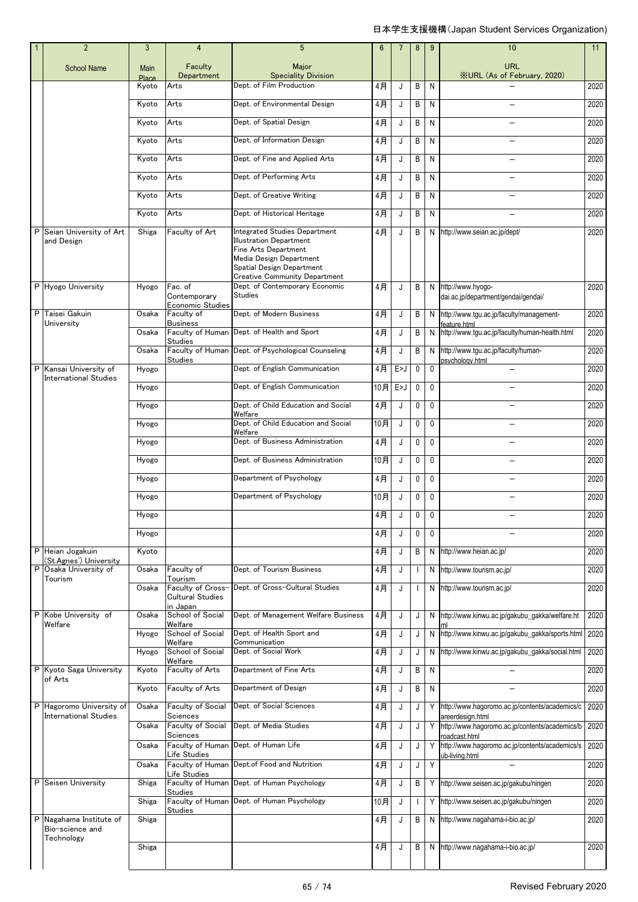|   | $\overline{2}$                                           | 3                    | 4                                            | 5                                                                                                                                                                                              | $6\phantom{1}6$ | $\overline{7}$ | 8              | 9            | 10                                                                   | 11   |
|---|----------------------------------------------------------|----------------------|----------------------------------------------|------------------------------------------------------------------------------------------------------------------------------------------------------------------------------------------------|-----------------|----------------|----------------|--------------|----------------------------------------------------------------------|------|
|   | <b>School Name</b>                                       | Main<br><b>Place</b> | Faculty<br>Department                        | Major<br><b>Speciality Division</b>                                                                                                                                                            |                 |                |                |              | <b>URL</b><br>XURL (As of February, 2020)                            |      |
|   |                                                          | Kyoto                | Arts                                         | Dept. of Film Production                                                                                                                                                                       | 4月              | J              | B              | N            |                                                                      | 2020 |
|   |                                                          | Kyoto                | Arts                                         | Dept. of Environmental Design                                                                                                                                                                  | 4月              | J              | B              | N            |                                                                      | 2020 |
|   |                                                          | Kyoto                | Arts                                         | Dept. of Spatial Design                                                                                                                                                                        | 4月              | J              | B              | N            |                                                                      | 2020 |
|   |                                                          | Kyoto                | Arts                                         | Dept. of Information Design                                                                                                                                                                    | 4月              | J              | B              | N            | $\overline{\phantom{0}}$                                             | 2020 |
|   |                                                          | Kyoto                | Arts                                         | Dept. of Fine and Applied Arts                                                                                                                                                                 | 4月              | J              | B              | N            |                                                                      | 2020 |
|   |                                                          | Kyoto                | Arts                                         | Dept. of Performing Arts                                                                                                                                                                       | 4月              | J              | B              | N            |                                                                      | 2020 |
|   |                                                          | Kyoto                | Arts                                         | Dept. of Creative Writing                                                                                                                                                                      | 4月              | J              | B              | N            |                                                                      | 2020 |
|   |                                                          | Kyoto                | Arts                                         | Dept. of Historical Heritage                                                                                                                                                                   | 4月              | J              | B              | N            |                                                                      | 2020 |
| P | Seian University of Art<br>and Design                    | Shiga                | Faculty of Art                               | <b>Integrated Studies Department</b><br><b>Illustration Department</b><br>Fine Arts Department<br>Media Design Department<br>Spatial Design Department<br><b>Creative Community Department</b> | 4月              | J              | B              |              | N http://www.seian.ac.jp/dept/                                       | 2020 |
|   | P Hyogo University                                       | Hyogo                | Fac. of<br>Contemporary                      | Dept. of Contemporary Economic<br>Studies                                                                                                                                                      | 4月              | J              | B              |              | N http://www.hyogo-<br>dai.ac.jp/department/gendai/gendai/           | 2020 |
| P | Taisei Gakuin                                            | Osaka                | Economic Studies<br>Faculty of               | Dept. of Modern Business                                                                                                                                                                       | 4月              | J              | B              |              | N http://www.tgu.ac.jp/faculty/management-                           | 2020 |
|   | University                                               | Osaka                | <b>Business</b>                              | Faculty of Human Dept. of Health and Sport                                                                                                                                                     | 4月              | J              | B              |              | feature.html<br>N http://www.tgu.ac.jp/faculty/human-health.html     | 2020 |
|   |                                                          | Osaka                | <b>Studies</b>                               | Faculty of Human Dept. of Psychological Counseling                                                                                                                                             | 4月              | J              | B              |              | N http://www.tgu.ac.jp/faculty/human-                                | 2020 |
|   | P Kansai University of<br><b>International Studies</b>   | Hyogo                | <b>Studies</b>                               | Dept. of English Communication                                                                                                                                                                 | 4月              | E>J            | $\mathbf{0}$   | $\mathbf{0}$ | psychology.html                                                      | 2020 |
|   |                                                          | Hyogo                |                                              | Dept. of English Communication                                                                                                                                                                 | 10月             | E>J            | $\mathbf 0$    | $\mathbf{0}$ |                                                                      | 2020 |
|   |                                                          | Hyogo                |                                              | Dept. of Child Education and Social<br>Welfare                                                                                                                                                 | 4月              | J              | 0              | 0            | $\overline{\phantom{0}}$                                             | 2020 |
|   |                                                          | Hyogo                |                                              | Dept. of Child Education and Social<br>Welfare                                                                                                                                                 | 10月             | J              | $\mathbf{0}$   | $\mathbf{0}$ |                                                                      | 2020 |
|   |                                                          | Hyogo                |                                              | Dept. of Business Administration                                                                                                                                                               | 4月              | J              | 0              | $\mathbf{0}$ |                                                                      | 2020 |
|   |                                                          | Hyogo                |                                              | Dept. of Business Administration                                                                                                                                                               | 10月             | J              | $\mathbf 0$    | $\mathbf{0}$ |                                                                      | 2020 |
|   |                                                          | Hyogo                |                                              | Department of Psychology                                                                                                                                                                       | 4月              | J              | $\mathbf 0$    | $\mathbf{0}$ |                                                                      | 2020 |
|   |                                                          | Hyogo                |                                              | Department of Psychology                                                                                                                                                                       | 10月             | J              | $\pmb{0}$      | $\mathbf 0$  |                                                                      | 2020 |
|   |                                                          | Hyogo                |                                              |                                                                                                                                                                                                | 4月              | J              | 0              | $\mathbf 0$  |                                                                      | 2020 |
|   |                                                          | Hyogo                |                                              |                                                                                                                                                                                                | 4月              | J              | 0              | $\mathbf 0$  |                                                                      | 2020 |
|   | P Heian Jogakuin<br>(St.Agnes') University               | Kyoto                |                                              |                                                                                                                                                                                                | 4月              | J              | B              |              | N http://www.heian.ac.jp/                                            | 2020 |
| P | Osaka University of<br>Tourism                           | Osaka                | Faculty of<br>Tourism                        | Dept. of Tourism Business                                                                                                                                                                      | 4月              | J              | $\mathbf{I}$   |              | N http://www.tourism.ac.jp/                                          | 2020 |
|   |                                                          | Osaka                | Faculty of Cross-<br><b>Cultural Studies</b> | Dept. of Cross-Cultural Studies                                                                                                                                                                | 4月              | J              | $\overline{1}$ |              | N http://www.tourism.ac.jp/                                          | 2020 |
|   | P Kobe University of<br>Welfare                          | Osaka                | in Japan<br>School of Social<br>Welfare      | Dept. of Management Welfare Business                                                                                                                                                           | 4月              | J              | J              |              | N http://www.kinwu.ac.jp/gakubu_gakka/welfare.ht                     | 2020 |
|   |                                                          | Hyogo                | School of Social<br>Welfare                  | Dept. of Health Sport and<br>Communication                                                                                                                                                     | 4月              | J              | J              |              | N http://www.kinwu.ac.jp/gakubu_gakka/sports.html                    | 2020 |
|   |                                                          | Hyogo                | School of Social<br>Welfare                  | Dept. of Social Work                                                                                                                                                                           | 4月              | J              | J              |              | N http://www.kinwu.ac.jp/gakubu_gakka/social.html                    | 2020 |
|   | P Kyoto Saga University<br>of Arts                       | Kyoto                | Faculty of Arts                              | Department of Fine Arts                                                                                                                                                                        | 4月              | J              | B              | N            |                                                                      | 2020 |
|   |                                                          | Kyoto                | Faculty of Arts                              | Department of Design                                                                                                                                                                           | 4月              | J              | B              | N            | $\overline{\phantom{0}}$                                             | 2020 |
|   | P Hagoromo University of<br><b>International Studies</b> | Osaka                | Faculty of Social<br>Sciences                | Dept. of Social Sciences                                                                                                                                                                       | 4月              | J              | J              |              | Y http://www.hagoromo.ac.jp/contents/academics/c<br>areerdesign.html | 2020 |
|   |                                                          | Osaka                | Faculty of Social<br>Sciences                | Dept. of Media Studies                                                                                                                                                                         | 4月              | J              | J              |              | Y http://www.hagoromo.ac.jp/contents/academics/b<br>roadcast.html    | 2020 |
|   |                                                          | Osaka                | Life Studies                                 | Faculty of Human Dept. of Human Life                                                                                                                                                           | 4月              | J              | J              |              | Y http://www.hagoromo.ac.jp/contents/academics/s<br>ub-living.html   | 2020 |
|   |                                                          | Osaka                | Faculty of Human<br>Life Studies             | Dept.of Food and Nutrition                                                                                                                                                                     | 4月              | J              | J              | Y            |                                                                      | 2020 |
|   | P Seisen University                                      | Shiga                | <b>Studies</b>                               | Faculty of Human Dept. of Human Psychology                                                                                                                                                     | 4月              | J              | B              |              | Y http://www.seisen.ac.jp/gakubu/ningen                              | 2020 |
|   |                                                          | Shiga                | <b>Studies</b>                               | Faculty of Human Dept. of Human Psychology                                                                                                                                                     | 10月             | J              | $\mathbf{I}$   |              | Y http://www.seisen.ac.jp/gakubu/ningen                              | 2020 |
| P | Nagahama Institute of<br>Bio-science and                 | Shiga                |                                              |                                                                                                                                                                                                | 4月              | J              | B              |              | N http://www.nagahama-i-bio.ac.jp/                                   | 2020 |
|   | Technology                                               | Shiga                |                                              |                                                                                                                                                                                                | 4月              | J              | B              |              | N http://www.nagahama-i-bio.ac.jp/                                   | 2020 |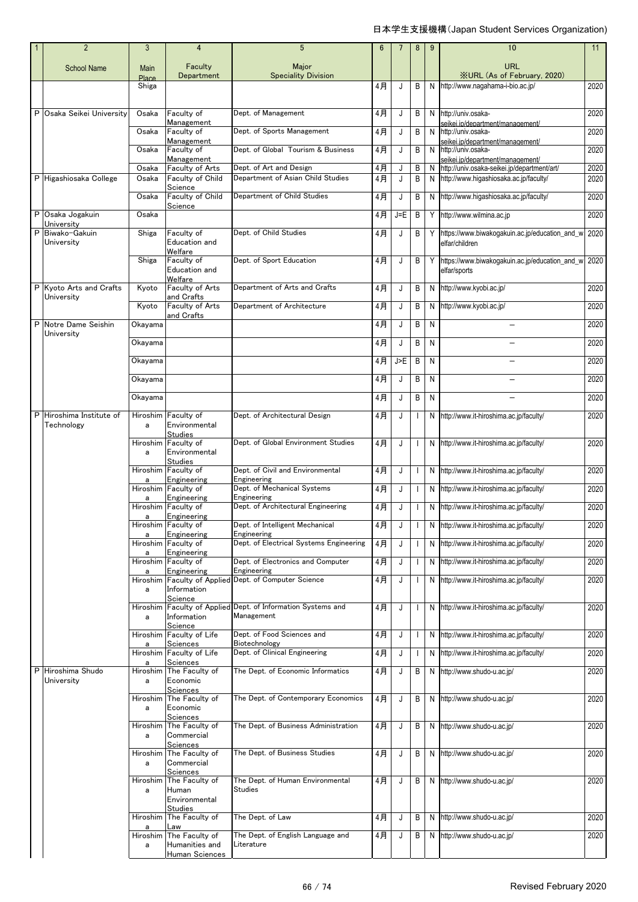|   | $\overline{2}$                       | 3             | 4                                                                        | 5                                                                          | $6\phantom{1}6$ | $\overline{7}$ | 8            | 9 | 10                                                                                | 11   |
|---|--------------------------------------|---------------|--------------------------------------------------------------------------|----------------------------------------------------------------------------|-----------------|----------------|--------------|---|-----------------------------------------------------------------------------------|------|
|   | <b>School Name</b>                   | Main<br>Place | Faculty<br>Department                                                    | Major<br><b>Speciality Division</b>                                        |                 |                |              |   | <b>URL</b><br><b>XURL (As of February, 2020)</b>                                  |      |
|   |                                      | Shiga         |                                                                          |                                                                            | 4月              | J              | B            |   | N http://www.nagahama-i-bio.ac.jp/                                                | 2020 |
| P | Osaka Seikei University              | Osaka         | Faculty of<br>Management                                                 | Dept. of Management                                                        | 4月              | J              | B            |   | N http://univ.osaka-<br>seikei.ip/department/management/                          | 2020 |
|   |                                      | Osaka         | Faculty of                                                               | Dept. of Sports Management                                                 | 4月              | J              | B            | N | http://univ.osaka-                                                                | 2020 |
|   |                                      | Osaka         | Management<br>Faculty of                                                 | Dept. of Global Tourism & Business                                         | 4月              | J              | B            |   | seikei.ip/department/management/<br>N http://univ.osaka-                          | 2020 |
|   |                                      | Osaka         | Management<br>Faculty of Arts                                            | Dept. of Art and Design                                                    | 4月              | J              | B            |   | seikei.in/denartment/management/<br>N http://univ.osaka-seikei.jp/department/art/ | 2020 |
|   | P Higashiosaka College               | Osaka         | Faculty of Child<br>Science                                              | Department of Asian Child Studies                                          | 4月              | J              | B            |   | N http://www.higashiosaka.ac.jp/faculty/                                          | 2020 |
|   |                                      | Osaka         | Faculty of Child                                                         | Department of Child Studies                                                | 4月              | J              | B            |   | N http://www.higashiosaka.ac.jp/faculty/                                          | 2020 |
|   | P Osaka Jogakuin<br>University       | Osaka         | Science                                                                  |                                                                            | 4月              | $J = E$        | B            |   | Y http://www.wilmina.ac.jp                                                        | 2020 |
| P | Biwako-Gakuin<br>University          | Shiga         | Faculty of<br>Education and                                              | Dept. of Child Studies                                                     | 4月              | J              | B            |   | Y https://www.biwakogakuin.ac.jp/education_and_w<br>elfar/children                | 2020 |
|   |                                      | Shiga         | Welfare<br>Faculty of<br>Education and<br>Welfare                        | Dept. of Sport Education                                                   | 4月              | J              | B            |   | Y https://www.biwakogakuin.ac.jp/education and w<br>elfar/sports                  | 2020 |
|   | P Kvoto Arts and Crafts              | Kyoto         | Faculty of Arts                                                          | Department of Arts and Crafts                                              | 4月              | J              | B            |   | N http://www.kyobi.ac.jp/                                                         | 2020 |
|   | University                           | Kyoto         | and Crafts<br>Faculty of Arts                                            | Department of Architecture                                                 | 4月              | J              | B            |   | N http://www.kyobi.ac.jp/                                                         | 2020 |
| P | Notre Dame Seishin                   | Okavama       | and Crafts                                                               |                                                                            | 4月              | J              | B            | N |                                                                                   | 2020 |
|   | University                           | Okavama       |                                                                          |                                                                            | 4月              | J              | B            | N |                                                                                   | 2020 |
|   |                                      | Okayama       |                                                                          |                                                                            | 4月              | J>E            | B            | N |                                                                                   | 2020 |
|   |                                      | Okayama       |                                                                          |                                                                            | 4月              | J              | B            | N |                                                                                   | 2020 |
|   |                                      | Okayama       |                                                                          |                                                                            | 4月              | J              | B            | N |                                                                                   | 2020 |
| P | Hiroshima Institute of<br>Technology | a             | Hiroshim Faculty of<br>Environmental                                     | Dept. of Architectural Design                                              | 4月              | J              |              |   | N http://www.it-hiroshima.ac.jp/faculty/                                          | 2020 |
|   |                                      | a             | <b>Studies</b><br>Hiroshim Faculty of<br>Environmental<br><b>Studies</b> | Dept. of Global Environment Studies                                        | 4月              | J              | $\mathbf{I}$ |   | N http://www.it-hiroshima.ac.jp/faculty/                                          | 2020 |
|   |                                      |               | Hiroshim Faculty of<br>Engineering                                       | Dept. of Civil and Environmental<br>Engineering                            | 4月              | J              | $\mathbf{I}$ |   | N http://www.it-hiroshima.ac.jp/faculty/                                          | 2020 |
|   |                                      | a             | Hiroshim Faculty of                                                      | Dept. of Mechanical Systems                                                | 4月              | J              | $\mathbf{I}$ |   | N http://www.it-hiroshima.ac.jp/faculty/                                          | 2020 |
|   |                                      | a             | Engineering<br>Hiroshim Faculty of                                       | Engineering<br>Dept. of Architectural Engineering                          | 4月              | J              | $\mathbf{I}$ |   | N http://www.it-hiroshima.ac.jp/faculty/                                          | 2020 |
|   |                                      | а             | Engineering<br>Hiroshim Faculty of                                       | Dept. of Intelligent Mechanical                                            | $4$ 月           |                |              |   | N http://www.it-hiroshima.ac.jp/faculty/                                          | 2020 |
|   |                                      | a             | Engineering<br>Hiroshim Faculty of                                       | Engineering<br>Dept. of Electrical Systems Engineering                     | 4月              | J              |              |   | N http://www.it-hiroshima.ac.jp/faculty/                                          | 2020 |
|   |                                      | a             | Engineering<br>Hiroshim Faculty of                                       | Dept. of Electronics and Computer                                          | 4月              | J              | $\mathbf{I}$ |   | N http://www.it-hiroshima.ac.jp/faculty/                                          | 2020 |
|   |                                      | a             | Engineering                                                              | Engineering<br>Hiroshim Faculty of Applied Dept. of Computer Science       | 4月              | J              | $\mathbf{I}$ |   | N http://www.it-hiroshima.ac.jp/faculty/                                          | 2020 |
|   |                                      | a             | Information<br>Science                                                   |                                                                            |                 |                |              |   |                                                                                   |      |
|   |                                      | a             | Information<br>Science                                                   | Hiroshim Faculty of Applied Dept. of Information Systems and<br>Management | 4月              | J              | $\mathbf{I}$ |   | N http://www.it-hiroshima.ac.jp/faculty/                                          | 2020 |
|   |                                      |               | Hiroshim Faculty of Life<br>Sciences                                     | Dept. of Food Sciences and<br>Biotechnology                                | 4月              | J              | $\mathbf{I}$ |   | N http://www.it-hiroshima.ac.jp/faculty/                                          | 2020 |
|   |                                      |               | Hiroshim Faculty of Life                                                 | Dept. of Clinical Engineering                                              | 4月              | J              | $\mathbf{I}$ |   | N http://www.it-hiroshima.ac.jp/faculty/                                          | 2020 |
| P | Hiroshima Shudo<br>University        | a<br>a        | Sciences<br>Hiroshim The Faculty of<br>Economic                          | The Dept. of Economic Informatics                                          | 4月              | J              | B            |   | N http://www.shudo-u.ac.jp/                                                       | 2020 |
|   |                                      | Hiroshim<br>a | Sciences<br>The Faculty of<br>Economic<br>Sciences                       | The Dept. of Contemporary Economics                                        | 4月              | J              | B            |   | N http://www.shudo-u.ac.jp/                                                       | 2020 |
|   |                                      | Hiroshim<br>a | The Faculty of<br>Commercial<br>Sciences                                 | The Dept. of Business Administration                                       | 4月              | J              | B            |   | N http://www.shudo-u.ac.jp/                                                       | 2020 |
|   |                                      | Hiroshim<br>a | The Faculty of<br>Commercial<br>Sciences                                 | The Dept. of Business Studies                                              | 4月              | J              | B            |   | N http://www.shudo-u.ac.jp/                                                       | 2020 |
|   |                                      | Hiroshim<br>a | The Faculty of<br>Human<br>Environmental                                 | The Dept. of Human Environmental<br>Studies                                | 4月              | J              | B            |   | N http://www.shudo-u.ac.jp/                                                       | 2020 |
|   |                                      |               | <b>Studies</b>                                                           |                                                                            |                 |                |              |   |                                                                                   |      |
|   |                                      | a             | Hiroshim The Faculty of<br>Law                                           | The Dept. of Law                                                           | 4月              | J              | B            |   | N http://www.shudo-u.ac.jp/                                                       | 2020 |
|   |                                      | a             | Hiroshim The Faculty of<br>Humanities and<br>Human Sciences              | The Dept. of English Language and<br>Literature                            | 4月              | J              | В            |   | N http://www.shudo-u.ac.jp/                                                       | 2020 |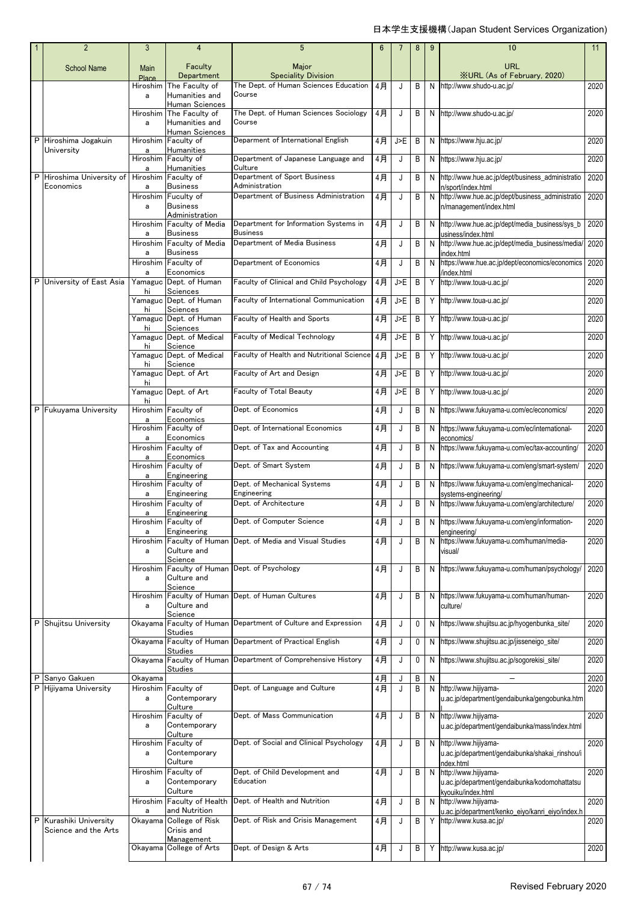|   | $\overline{2}$                                 | 3                    | 4                                                     | 5                                                            | 6  |     | 8 | 9  | 10                                                                                                | 11   |
|---|------------------------------------------------|----------------------|-------------------------------------------------------|--------------------------------------------------------------|----|-----|---|----|---------------------------------------------------------------------------------------------------|------|
|   | <b>School Name</b>                             | <b>Main</b><br>Place | Faculty<br>Department                                 | Major<br><b>Speciality Division</b>                          |    |     |   |    | <b>URL</b><br><b>XURL</b> (As of February, 2020)                                                  |      |
|   |                                                | Hiroshim<br>a        | The Faculty of<br>Humanities and                      | The Dept. of Human Sciences Education<br>Course              | 4月 | J   | В | N  | http://www.shudo-u.ac.jp/                                                                         | 2020 |
|   |                                                | Hiroshim<br>a        | Human Sciences<br>The Faculty of<br>Humanities and    | The Dept. of Human Sciences Sociology<br>Course              | 4月 | J   | В | N  | http://www.shudo-u.ac.jp/                                                                         | 2020 |
|   | P Hiroshima Jogakuin<br>University             | Hiroshim<br>a        | Human Sciences<br>Faculty of<br>Humanities            | Deparment of International English                           | 4月 | J>E | B | N  | https://www.hju.ac.jp/                                                                            | 2020 |
|   |                                                | Hiroshim<br>a        | Faculty of<br>Humanities                              | Department of Japanese Language and<br>Culture               | 4月 | J   | В | N  | https://www.hju.ac.jp/                                                                            | 2020 |
|   | P Hiroshima University of                      | Hiroshim             | Faculty of                                            | Department of Sport Business<br>Administration               | 4月 | J   | В | N  | http://www.hue.ac.jp/dept/business_administratio                                                  | 2020 |
|   | Economics                                      | a<br>Hiroshim<br>a   | <b>Business</b><br>Fuculty of<br><b>Business</b>      | Department of Business Administration                        | 4月 | J   | В | N  | n/sport/index.html<br>http://www.hue.ac.jp/dept/business_administratio<br>n/management/index.html | 2020 |
|   |                                                | Hiroshim<br>a        | Administration<br>Faculty of Media<br><b>Business</b> | Department for Information Systems in<br><b>Business</b>     | 4月 | J   | В | N  | http://www.hue.ac.jp/dept/media_business/sys_b<br>usiness/index.html                              | 2020 |
|   |                                                | Hiroshim<br>a        | Faculty of Media<br><b>Business</b>                   | Department of Media Business                                 | 4月 | J   | В | N  | http://www.hue.ac.jp/dept/media_business/media/<br>index.html                                     | 2020 |
|   |                                                |                      | Hiroshim Faculty of                                   | Department of Economics                                      | 4月 | J   | В | N  | https://www.hue.ac.jp/dept/economics/economics                                                    | 2020 |
| P | University of East Asia                        | a<br>Yamaguc         | Economics<br>Dept. of Human                           | Faculty of Clinical and Child Psychology                     | 4月 | J>E | В | Y  | index.html<br>http://www.toua-u.ac.jp/                                                            | 2020 |
|   |                                                | hi<br>hi             | Sciences<br>Yamaguc Dept. of Human<br>Sciences        | Faculty of International Communication                       | 4月 | J>E | B |    | Y http://www.toua-u.ac.jp/                                                                        | 2020 |
|   |                                                | hi                   | Yamaguc Dept. of Human<br>Sciences                    | Faculty of Health and Sports                                 | 4月 | J>E | В | Y  | http://www.toua-u.ac.jp/                                                                          | 2020 |
|   |                                                |                      | Yamaguc Dept. of Medical                              | Faculty of Medical Technology                                | 4月 | J>E | В |    | Y http://www.toua-u.ac.jp/                                                                        | 2020 |
|   |                                                | hi<br>hi             | Science<br>Yamaguc Dept. of Medical<br>Science        | Faculty of Health and Nutritional Science 4月                 |    | J>E | В | Y  | http://www.toua-u.ac.jp/                                                                          | 2020 |
|   |                                                |                      | Yamaguc Dept. of Art                                  | Faculty of Art and Design                                    | 4月 | J>E | В | Y  | http://www.toua-u.ac.jp/                                                                          | 2020 |
|   |                                                | hi<br>hi             | Yamaguc Dept. of Art                                  | Faculty of Total Beauty                                      | 4月 | J>E | В | Y. | http://www.toua-u.ac.jp/                                                                          | 2020 |
|   | P Fukuyama University                          |                      | Hiroshim Faculty of                                   | Dept. of Economics                                           | 4月 | J   | В | N  | https://www.fukuyama-u.com/ec/economics/                                                          | 2020 |
|   |                                                | a                    | Economics<br>Hiroshim Faculty of                      | Dept. of International Economics                             | 4月 | J   | В | N  | https://www.fukuyama-u.com/ec/international-                                                      | 2020 |
|   |                                                | a<br>Hiroshim        | Economics<br>Faculty of                               | Dept. of Tax and Accounting                                  | 4月 | J   | В | N  | economics/<br>https://www.fukuyama-u.com/ec/tax-accounting/                                       | 2020 |
|   |                                                | a<br>Hiroshim        | Economics<br>Faculty of                               | Dept. of Smart System                                        | 4月 | J   | В | N  | https://www.fukuyama-u.com/eng/smart-system/                                                      | 2020 |
|   |                                                | a<br>a               | Engineering<br>Hiroshim Faculty of<br>Engineering     | Dept. of Mechanical Systems<br>Engineering                   | 4月 | J   | В | N  | https://www.fukuyama-u.com/eng/mechanical-<br>systems-engineering/                                | 2020 |
|   |                                                | a                    | Hiroshim Faculty of<br>Engineering                    | Dept. of Architecture                                        | 4月 | J   | B | N  | https://www.fukuyama-u.com/eng/architecture/                                                      | 2020 |
|   |                                                | a                    | Hiroshim Faculty of<br>Engineering                    | Dept. of Computer Science                                    | 4月 |     | B |    | N https://www.fukuyama-u.com/eng/information-<br>engineering/                                     | 2020 |
|   |                                                | Hiroshim<br>a        | Faculty of Human<br>Culture and<br>Science            | Dept. of Media and Visual Studies                            | 4月 | J   | В | N  | https://www.fukuyama-u.com/human/media-<br>visual/                                                | 2020 |
|   |                                                | Hiroshim<br>a        | Culture and                                           | Faculty of Human Dept. of Psychology                         | 4月 | J   | B | N  | https://www.fukuyama-u.com/human/psychology/                                                      | 2020 |
|   |                                                | Hiroshim<br>a        | Science<br>Culture and<br>Science                     | Faculty of Human Dept. of Human Cultures                     | 4月 | J   | В |    | N https://www.fukuyama-u.com/human/human-<br>culture/                                             | 2020 |
|   | P Shujitsu University                          | Okayama              | <b>Studies</b>                                        | Faculty of Human Department of Culture and Expression        | 4月 | J   | 0 | N  | https://www.shujitsu.ac.jp/hyogenbunka_site/                                                      | 2020 |
|   |                                                |                      | <b>Studies</b>                                        | Okayama Faculty of Human Department of Practical English     | 4月 | J   | 0 | N  | https://www.shujitsu.ac.jp/jisseneigo_site/                                                       | 2020 |
|   |                                                |                      | <b>Studies</b>                                        | Okayama Faculty of Human Department of Comprehensive History | 4月 | J   | 0 | N  | https://www.shujitsu.ac.jp/sogorekisi_site/                                                       | 2020 |
| P | Sanyo Gakuen                                   | Okayama              |                                                       |                                                              | 4月 | J   | В | N  |                                                                                                   | 2020 |
| P | Hijiyama University                            | Hiroshim<br>a        | Faculty of<br>Contemporary                            | Dept. of Language and Culture                                | 4月 | J   | В | N  | http://www.hijiyama-<br>u.ac.jp/department/gendaibunka/gengobunka.htm                             | 2020 |
|   |                                                | Hiroshim<br>a        | Culture<br>Faculty of<br>Contemporary                 | Dept. of Mass Communication                                  | 4月 | J   | В | N  | http://www.hijiyama-<br>u.ac.jp/department/gendaibunka/mass/index.html                            | 2020 |
|   |                                                | Hiroshim<br>a        | Culture<br>Faculty of<br>Contemporary<br>Culture      | Dept. of Social and Clinical Psychology                      | 4月 | J   | В |    | N http://www.hijiyama-<br>u.ac.jp/department/gendaibunka/shakai_rinshou/i                         | 2020 |
|   |                                                | Hiroshim<br>a        | Faculty of<br>Contemporary                            | Dept. of Child Development and<br>Education                  | 4月 | J   | В | N  | ndex.html<br>http://www.hijiyama-<br>u.ac.jp/department/gendaibunka/kodomohattatsu                | 2020 |
|   |                                                | Hiroshim             | Culture<br>Faculty of Health                          | Dept. of Health and Nutrition                                | 4月 | J   | В | N  | kyouiku/index.html<br>http://www.hijiyama-                                                        | 2020 |
|   | P Kurashiki University<br>Science and the Arts | a<br>Okayama         | and Nutrition<br>College of Risk<br>Crisis and        | Dept. of Risk and Crisis Management                          | 4月 | J   | B | Y  | u.ac.jp/department/kenko_eiyo/kanri_eiyo/index.h<br>http://www.kusa.ac.jp/                        | 2020 |
|   |                                                | Okayama              | Management<br>College of Arts                         | Dept. of Design & Arts                                       | 4月 | J   | В | Y  | http://www.kusa.ac.jp/                                                                            | 2020 |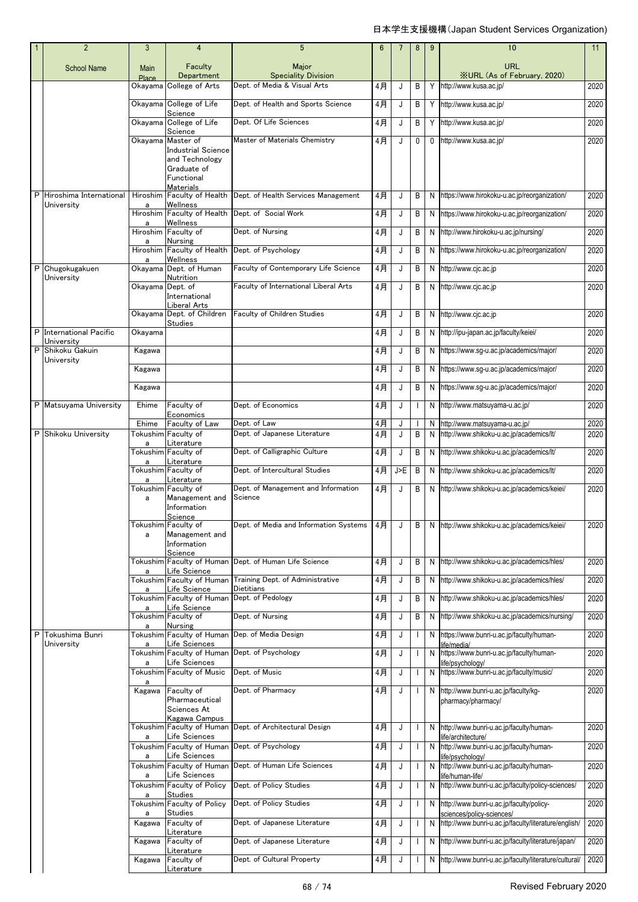|   | $\overline{2}$               | 3                | 4                                            | 5                                                       | $6\phantom{1}$ | 7   | 8            | 9  | 10                                                                                | 11   |
|---|------------------------------|------------------|----------------------------------------------|---------------------------------------------------------|----------------|-----|--------------|----|-----------------------------------------------------------------------------------|------|
|   | <b>School Name</b>           | Main             | Faculty<br>Department                        | Major<br><b>Speciality Division</b>                     |                |     |              |    | URL<br><b>XURL (As of February, 2020)</b>                                         |      |
|   |                              | Place<br>Okayama | College of Arts                              | Dept. of Media & Visual Arts                            | 4月             | J   | B            | Y  | http://www.kusa.ac.jp/                                                            | 2020 |
|   |                              |                  | Okayama College of Life                      | Dept. of Health and Sports Science                      | 4月             | J   | B            | Y  | http://www.kusa.ac.jp/                                                            | 2020 |
|   |                              |                  | Science<br>Okayama College of Life           | Dept. Of Life Sciences                                  | 4月             | J   | В            | Y  | http://www.kusa.ac.jp/                                                            | 2020 |
|   |                              |                  | Science<br>Okayama Master of                 | Master of Materials Chemistry                           |                |     |              |    |                                                                                   |      |
|   |                              |                  | <b>Industrial Science</b>                    |                                                         | 4月             | J   | 0            |    | 0 http://www.kusa.ac.jp/                                                          | 2020 |
|   |                              |                  | and Technology<br>Graduate of                |                                                         |                |     |              |    |                                                                                   |      |
|   |                              |                  | Functional<br><b>Materials</b>               |                                                         |                |     |              |    |                                                                                   |      |
| P | Hiroshima International      | Hiroshim         | Faculty of Health                            | Dept. of Health Services Management                     | 4月             | J   | В            | N  | https://www.hirokoku-u.ac.jp/reorganization/                                      | 2020 |
|   | University                   | a                | Wellness<br>Hiroshim Faculty of Health       | Dept. of Social Work                                    | 4月             | J   | В            | N  | https://www.hirokoku-u.ac.jp/reorganization/                                      | 2020 |
|   |                              | a                | Wellness<br>Hiroshim Faculty of              | Dept. of Nursing                                        | 4月             | J   | В            | N  | http://www.hirokoku-u.ac.jp/nursing/                                              | 2020 |
|   |                              | a                | <b>Nursing</b><br>Hiroshim Faculty of Health | Dept. of Psychology                                     | 4月             | J   | В            | N  | https://www.hirokoku-u.ac.jp/reorganization/                                      | 2020 |
|   | Chugokugakuen                | a                | Wellness<br>Okayama Dept. of Human           | Faculty of Contemporary Life Science                    |                |     |              |    |                                                                                   |      |
| Р | University                   |                  | Nutrition                                    |                                                         | 4月             | J   | В            | N  | http://www.cjc.ac.jp                                                              | 2020 |
|   |                              | Okavama Dept. of | International                                | Faculty of International Liberal Arts                   | 4月             | J   | В            | N  | http://www.cjc.ac.jp                                                              | 2020 |
|   |                              |                  | Liberal Arts<br>Okayama Dept. of Children    | <b>Faculty of Children Studies</b>                      | 4月             | J   | В            | N  | http://www.cjc.ac.jp                                                              | 2020 |
|   | P International Pacific      | Okayama          | Studies                                      |                                                         | 4月             |     |              |    | http://ipu-japan.ac.jp/faculty/keiei/                                             |      |
|   | University                   |                  |                                              |                                                         |                | J   | B            | N  |                                                                                   | 2020 |
| P | Shikoku Gakuin<br>University | Kagawa           |                                              |                                                         | 4月             | J   | B            | N  | https://www.sg-u.ac.jp/academics/major/                                           | 2020 |
|   |                              | Kagawa           |                                              |                                                         | 4月             | J   | В            | N  | https://www.sg-u.ac.jp/academics/major/                                           | 2020 |
|   |                              | Kagawa           |                                              |                                                         | 4月             | J   | В            | N  | https://www.sg-u.ac.jp/academics/major/                                           | 2020 |
|   | P Matsuyama University       | Ehime            | Faculty of<br>Economics                      | Dept. of Economics                                      | 4月             | J   | $\mathbf{I}$ | N  | http://www.matsuyama-u.ac.jp/                                                     | 2020 |
|   |                              | Ehime            | Faculty of Law                               | Dept. of Law                                            | 4月             | J   |              | N. | http://www.matsuyama-u.ac.jp/                                                     | 2020 |
| P | Shikoku University           | a                | Tokushim Faculty of<br>Literature            | Dept. of Japanese Literature                            | 4月             | J   | B            | N  | http://www.shikoku-u.ac.jp/academics/lt/                                          | 2020 |
|   |                              | a                | Tokushim Faculty of<br>Literature            | Dept. of Calligraphic Culture                           | 4月             | J   | В            | N  | http://www.shikoku-u.ac.jp/academics/lt/                                          | 2020 |
|   |                              | a                | Tokushim Faculty of<br>Literature            | Dept. of Intercultural Studies                          | 4月             | J>E | В            | N  | http://www.shikoku-u.ac.jp/academics/lt/                                          | 2020 |
|   |                              |                  | Tokushim Faculty of                          | Dept. of Management and Information<br>Science          | 4月             | J   | B            | N  | http://www.shikoku-u.ac.jp/academics/keiei/                                       | 2020 |
|   |                              | a                | Management and<br>Information                |                                                         |                |     |              |    |                                                                                   |      |
|   |                              |                  | Science<br>Tokushim Faculty of               | Dept. of Media and Information Systems                  | 4月             |     |              |    | N http://www.shikoku-u.ac.jp/academics/keiei/                                     | 2020 |
|   |                              | a                | Management and<br>Information                |                                                         |                |     |              |    |                                                                                   |      |
|   |                              |                  | Science                                      | Tokushim Faculty of Human Dept. of Human Life Science   | 4月             | J   | В            |    | N http://www.shikoku-u.ac.jp/academics/hles/                                      | 2020 |
|   |                              | a                | Life Science                                 |                                                         |                |     |              |    |                                                                                   |      |
|   |                              | a                | Tokushim Faculty of Human<br>Life Science    | Training Dept. of Administrative<br>Dietitians          | 4月             | J   | В            | N  | http://www.shikoku-u.ac.jp/academics/hles/                                        | 2020 |
|   |                              | a                | Tokushim Faculty of Human<br>Life Science    | Dept. of Pedology                                       | 4月             | J   | В            | N  | http://www.shikoku-u.ac.jp/academics/hles/                                        | 2020 |
|   |                              | a                | Tokushim Faculty of<br><b>Nursing</b>        | Dept. of Nursing                                        | 4月             | J   | В            | N  | http://www.shikoku-u.ac.jp/academics/nursing/                                     | 2020 |
| Р | Tokushima Bunri              |                  | Life Sciences                                | Tokushim Faculty of Human Dep. of Media Design          | 4月             | J   | $\mathbf{I}$ | N  | https://www.bunri-u.ac.jp/faculty/human-                                          | 2020 |
|   | University                   | a                |                                              | Tokushim Faculty of Human Dept. of Psychology           | 4月             | J   |              | N  | ife/media/<br>https://www.bunri-u.ac.jp/faculty/human-                            | 2020 |
|   |                              | a                | Life Sciences<br>Tokushim Faculty of Music   | Dept. of Music                                          | 4月             | J   | $\mathbf{I}$ | N  | ife/psychology/<br>https://www.bunri-u.ac.jp/faculty/music/                       | 2020 |
|   |                              | a<br>Kagawa      | Faculty of                                   | Dept. of Pharmacy                                       | 4月             | J   | $\mathbf{I}$ | N  | http://www.bunri-u.ac.jp/faculty/kg-                                              | 2020 |
|   |                              |                  | Pharmaceutical<br>Sciences At                |                                                         |                |     |              |    | pharmacy/pharmacy/                                                                |      |
|   |                              |                  | Kagawa Campus                                | Tokushim Faculty of Human Dept. of Architectural Design |                |     |              |    |                                                                                   |      |
|   |                              | a                | Life Sciences                                |                                                         | 4月             | J   | $\mathbf{I}$ | N  | http://www.bunri-u.ac.jp/faculty/human-<br>ife/architecture/                      | 2020 |
|   |                              | a                | Tokushim Faculty of Human<br>Life Sciences   | Dept. of Psychology                                     | 4月             | J   | T            | N  | http://www.bunri-u.ac.jp/faculty/human-<br>ife/psychology/                        | 2020 |
|   |                              | a                | Tokushim Faculty of Human<br>Life Sciences   | Dept. of Human Life Sciences                            | 4月             | J   | $\mathbf{I}$ | N  | http://www.bunri-u.ac.jp/faculty/human-<br>ife/human-life/                        | 2020 |
|   |                              |                  | Tokushim Faculty of Policy                   | Dept. of Policy Studies                                 | 4月             | J   | $\mathbf{I}$ | N  | http://www.bunri-u.ac.jp/faculty/policy-sciences/                                 | 2020 |
|   |                              | a                | Studies<br>Tokushim Faculty of Policy        | Dept. of Policy Studies                                 | 4月             | J   | $\mathbf{I}$ | N  | http://www.bunri-u.ac.jp/faculty/policy-                                          | 2020 |
|   |                              | a<br>Kagawa      | <b>Studies</b><br>Faculty of                 | Dept. of Japanese Literature                            | 4月             | J   | $\mathbf{I}$ | N  | sciences/policy-sciences/<br>http://www.bunri-u.ac.jp/faculty/literature/english/ | 2020 |
|   |                              | Kagawa           | Literature<br>Faculty of                     | Dept. of Japanese Literature                            | 4月             | J   | $\mathbf{I}$ | N  | http://www.bunri-u.ac.jp/faculty/literature/japan/                                | 2020 |
|   |                              |                  | Literature<br>Faculty of                     | Dept. of Cultural Property                              |                |     |              |    | http://www.bunri-u.ac.jp/faculty/literature/cultural/                             | 2020 |
|   |                              | Kagawa           | Literature                                   |                                                         | 4月             | J   |              | N  |                                                                                   |      |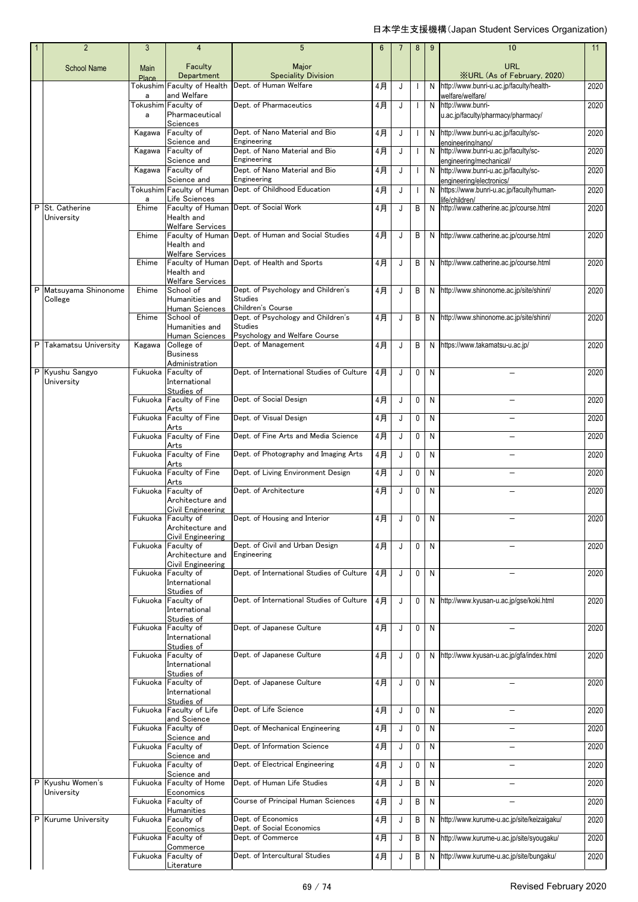| $\overline{2}$                 | 3          | 4                                     | 5                                                    | 6     | 7  | 8            | 9            | 10                                                                 | 11   |
|--------------------------------|------------|---------------------------------------|------------------------------------------------------|-------|----|--------------|--------------|--------------------------------------------------------------------|------|
| <b>School Name</b>             | Main       | Faculty                               | Major                                                |       |    |              |              | <b>URL</b>                                                         |      |
|                                | Place      | Department                            | <b>Speciality Division</b>                           |       |    |              |              | <b>XURL (As of February, 2020)</b>                                 |      |
|                                |            | Tokushim Faculty of Health            | Dept. of Human Welfare                               | 4月    | J  | H            | N            | http://www.bunri-u.ac.jp/faculty/health-                           | 2020 |
|                                | a          | and Welfare<br>Tokushim Faculty of    | Dept. of Pharmaceutics                               | 4月    | J  | $\mathbf{I}$ |              | welfare/welfare/<br>N http://www.bunri-                            | 2020 |
|                                | a          | Pharmaceutical                        |                                                      |       |    |              |              | u.ac.jp/faculty/pharmacy/pharmacy/                                 |      |
|                                |            | Sciences                              | Dept. of Nano Material and Bio                       |       |    |              |              |                                                                    |      |
|                                | Kagawa     | Faculty of<br>Science and             | Engineering                                          | 4月    | J  | $\mathbf{I}$ |              | N http://www.bunri-u.ac.jp/faculty/sc-<br>engineering/nano/        | 2020 |
|                                | Kagawa     | Faculty of                            | Dept. of Nano Material and Bio                       | 4月    | J. |              | N            | http://www.bunri-u.ac.jp/faculty/sc-                               | 2020 |
|                                |            | Science and<br>Faculty of             | Engineering<br>Dept. of Nano Material and Bio        | 4月    | J  |              |              | engineering/mechanical/                                            | 2020 |
|                                | Kagawa     | Science and                           | Engineering                                          |       |    | J            |              | N http://www.bunri-u.ac.jp/faculty/sc-<br>engineering/electronics/ |      |
|                                |            | Tokushim Faculty of Human             | Dept. of Childhood Education                         | 4月    | J  |              | N            | https://www.bunri-u.ac.jp/faculty/human-                           | 2020 |
| P St. Catherine                | a<br>Ehime | Life Sciences                         | Faculty of Human Dept. of Social Work                | 4月    | J  | B            |              | life/children/<br>http://www.catherine.ac.jp/course.html           | 2020 |
| University                     |            | Health and                            |                                                      |       |    |              | N            |                                                                    |      |
|                                |            | <b>Welfare Services</b>               |                                                      |       |    |              |              |                                                                    |      |
|                                | Ehime      | Health and                            | Faculty of Human Dept. of Human and Social Studies   | 4月    | J  | B            |              | N http://www.catherine.ac.jp/course.html                           | 2020 |
|                                |            | <b>Welfare Services</b>               |                                                      |       |    |              |              |                                                                    |      |
|                                | Ehime      | Health and                            | Faculty of Human Dept. of Health and Sports          | 4月    | J  | В            |              | N http://www.catherine.ac.jp/course.html                           | 2020 |
|                                |            | <b>Welfare Services</b>               |                                                      |       |    |              |              |                                                                    |      |
| P Matsuyama Shinonome          | Ehime      | School of                             | Dept. of Psychology and Children's                   | 4月    | J  | В            |              | N http://www.shinonome.ac.jp/site/shinri/                          | 2020 |
| College                        |            | Humanities and<br>Human Sciences      | <b>Studies</b><br>Children's Course                  |       |    |              |              |                                                                    |      |
|                                | Ehime      | School of                             | Dept. of Psychology and Children's                   | 4月    | J  | B            |              | N http://www.shinonome.ac.jp/site/shinri/                          | 2020 |
|                                |            | Humanities and                        | <b>Studies</b>                                       |       |    |              |              |                                                                    |      |
| P Takamatsu University         | Kagawa     | Human Sciences<br>College of          | Psychology and Welfare Course<br>Dept. of Management | 4月    | J  | B            |              | N https://www.takamatsu-u.ac.jp/                                   | 2020 |
|                                |            | <b>Business</b>                       |                                                      |       |    |              |              |                                                                    |      |
| P Kyushu Sangyo                | Fukuoka    | Administration<br>Faculty of          | Dept. of International Studies of Culture            | 4月    | J  | 0            | N            |                                                                    | 2020 |
| University                     |            | International                         |                                                      |       |    |              |              |                                                                    |      |
|                                |            | Studies of                            |                                                      |       |    |              |              |                                                                    |      |
|                                | Fukuoka    | Faculty of Fine<br>Arts               | Dept. of Social Design                               | $4$ 月 | J  | 0            | N            |                                                                    | 2020 |
|                                | Fukuoka    | Faculty of Fine                       | Dept. of Visual Design                               | 4月    | J  | 0            | N            |                                                                    | 2020 |
|                                |            | Arts<br>Faculty of Fine               | Dept. of Fine Arts and Media Science                 | 4月    |    |              | N            |                                                                    | 2020 |
|                                | Fukuoka    | Arts                                  |                                                      |       | J  | 0            |              |                                                                    |      |
|                                | Fukuoka    | Faculty of Fine                       | Dept. of Photography and Imaging Arts                | 4月    | J  | 0            | N            |                                                                    | 2020 |
|                                | Fukuoka    | Arts<br>Faculty of Fine               | Dept. of Living Environment Design                   | 4月    | J  | 0            | N            |                                                                    | 2020 |
|                                |            | Arts                                  |                                                      |       |    |              |              |                                                                    |      |
|                                | Fukuoka    | Faculty of<br>Architecture and        | Dept. of Architecture                                | 4月    | J  | 0            | N            |                                                                    | 2020 |
|                                |            | Civil Engineering                     |                                                      |       |    |              |              |                                                                    |      |
|                                |            | Fukuoka Faculty of                    | Dept. of Housing and Interior                        | 4月    | J  | 0            | N            |                                                                    | 2020 |
|                                |            | Architecture and<br>Civil Engineering |                                                      |       |    |              |              |                                                                    |      |
|                                | Fukuoka    | Faculty of                            | Dept. of Civil and Urban Design                      | 4月    | J  | 0            | N            |                                                                    | 2020 |
|                                |            | Architecture and                      | Engineering                                          |       |    |              |              |                                                                    |      |
|                                | Fukuoka    | Civil Engineering<br>Faculty of       | Dept. of International Studies of Culture            | 4月    | J  | 0            | N            |                                                                    | 2020 |
|                                |            | International                         |                                                      |       |    |              |              |                                                                    |      |
|                                | Fukuoka    | Studies of<br>Faculty of              | Dept. of International Studies of Culture            | 4月    | J  | 0            |              | N http://www.kyusan-u.ac.jp/gse/koki.html                          | 2020 |
|                                |            | International                         |                                                      |       |    |              |              |                                                                    |      |
|                                | Fukuoka    | Studies of<br>Faculty of              | Dept. of Japanese Culture                            |       |    | 0            | N            |                                                                    |      |
|                                |            | International                         |                                                      | 4月    | J  |              |              |                                                                    | 2020 |
|                                |            | Studies of                            |                                                      |       |    |              |              |                                                                    |      |
|                                |            | Fukuoka Faculty of<br>International   | Dept. of Japanese Culture                            | 4月    | J  | 0            |              | N http://www.kyusan-u.ac.jp/qfa/index.html                         | 2020 |
|                                |            | Studies of                            |                                                      |       |    |              |              |                                                                    |      |
|                                | Fukuoka    | Faculty of<br>International           | Dept. of Japanese Culture                            | 4月    | J  | 0            | $\mathsf{N}$ |                                                                    | 2020 |
|                                |            | Studies of                            |                                                      |       |    |              |              |                                                                    |      |
|                                | Fukuoka    | Faculty of Life                       | Dept. of Life Science                                | 4月    | J  | 0            | N            |                                                                    | 2020 |
|                                | Fukuoka    | and Science<br>Faculty of             | Dept. of Mechanical Engineering                      | 4月    | J  | 0            | N            | $\overline{\phantom{0}}$                                           | 2020 |
|                                |            | Science and                           |                                                      |       |    |              |              |                                                                    |      |
|                                | Fukuoka    | Faculty of<br>Science and             | Dept. of Information Science                         | 4月    | J  | 0            | $\mathsf{N}$ | $\overline{\phantom{0}}$                                           | 2020 |
|                                | Fukuoka    | Faculty of                            | Dept. of Electrical Engineering                      | 4月    | J  | 0            | N            | $\overline{\phantom{0}}$                                           | 2020 |
|                                |            | Science and                           |                                                      |       |    |              |              |                                                                    |      |
| P Kyushu Women's<br>University | Fukuoka    | <b>Faculty of Home</b><br>Economics   | Dept. of Human Life Studies                          | 4月    | J  | В            | N            | $\overline{\phantom{0}}$                                           | 2020 |
|                                | Fukuoka    | Faculty of                            | Course of Principal Human Sciences                   | 4月    | J  | B            | N            | L,                                                                 | 2020 |
| P Kurume University            | Fukuoka    | <b>Humanities</b><br>Faculty of       | Dept. of Economics                                   | 4月    | J  | B            | N            | http://www.kurume-u.ac.jp/site/keizaigaku/                         | 2020 |
|                                |            | Economics                             | Dept. of Social Economics                            |       |    |              |              |                                                                    |      |
|                                | Fukuoka    | Faculty of                            | Dept. of Commerce                                    | 4月    | J  | B            | N            | http://www.kurume-u.ac.jp/site/syougaku/                           | 2020 |
|                                | Fukuoka    | Commerce<br>Faculty of                | Dept. of Intercultural Studies                       | 4月    | J  | В            | N            | http://www.kurume-u.ac.jp/site/bungaku/                            | 2020 |
|                                |            | Literature                            |                                                      |       |    |              |              |                                                                    |      |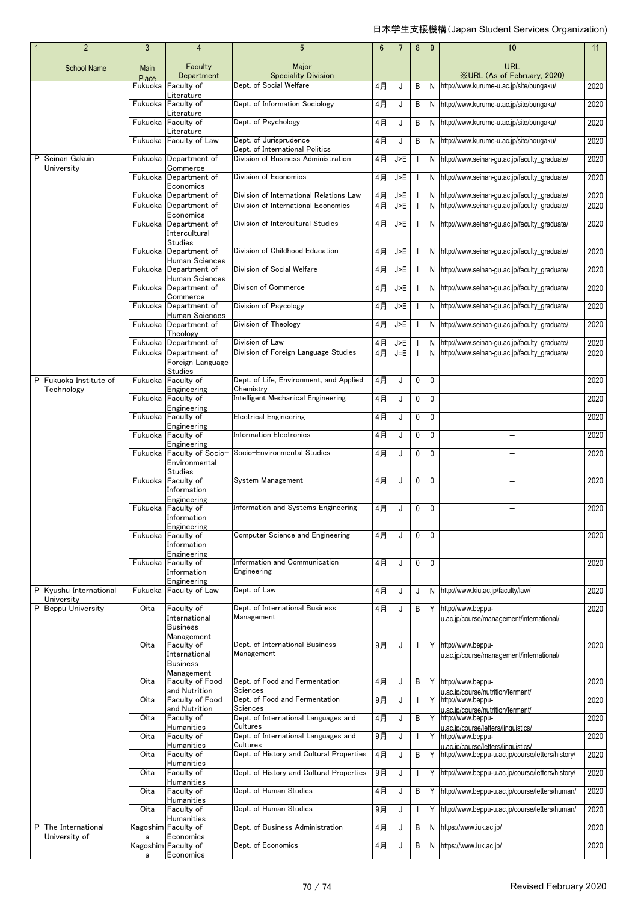|   | $\overline{2}$                     | 3                | $\overline{4}$                                 | 5                                                       | 6        | 7              | 8                        | 9            | 10                                                                                             | 11           |
|---|------------------------------------|------------------|------------------------------------------------|---------------------------------------------------------|----------|----------------|--------------------------|--------------|------------------------------------------------------------------------------------------------|--------------|
|   | <b>School Name</b>                 | Main             | Faculty                                        | Major                                                   |          |                |                          |              | URL                                                                                            |              |
|   |                                    | Place<br>Fukuoka | Department<br>Faculty of                       | <b>Speciality Division</b><br>Dept. of Social Welfare   | 4月       | J              | B                        | N            | <b>XURL (As of February, 2020)</b><br>http://www.kurume-u.ac.jp/site/bungaku/                  | 2020         |
|   |                                    |                  | Literature                                     |                                                         |          |                |                          |              |                                                                                                |              |
|   |                                    |                  | Fukuoka Faculty of                             | Dept. of Information Sociology                          | 4月       | J              | В                        | N            | http://www.kurume-u.ac.jp/site/bungaku/                                                        | 2020         |
|   |                                    |                  | Literature<br>Fukuoka Faculty of               | Dept. of Psychology                                     | 4月       | J              | В                        | N            | http://www.kurume-u.ac.jp/site/bungaku/                                                        | 2020         |
|   |                                    |                  | Literature<br>Fukuoka Faculty of Law           | Dept. of Jurisprudence                                  |          |                |                          |              |                                                                                                |              |
|   |                                    |                  |                                                | Dept. of International Politics                         | 4月       | J              | B                        | N            | http://www.kurume-u.ac.jp/site/hougaku/                                                        | 2020         |
| P | Seinan Gakuin<br>University        |                  | Fukuoka Department of<br>Commerce              | Division of Business Administration                     | $4$ 月    | J>E            |                          | N            | http://www.seinan-gu.ac.jp/faculty_graduate/                                                   | 2020         |
|   |                                    | Fukuoka          | Department of                                  | Division of Economics                                   | 4月       | J>E            |                          |              | N http://www.seinan-qu.ac.jp/faculty graduate/                                                 | 2020         |
|   |                                    |                  | Economics<br>Fukuoka Department of             | Division of International Relations Law                 | 4月       | J>E            |                          |              | N http://www.seinan-gu.ac.jp/faculty_graduate/                                                 | 2020         |
|   |                                    |                  | Fukuoka Department of                          | Division of International Economics                     | $4$ 月    | J>E            | $\mathbf{I}$             |              | N http://www.seinan-gu.ac.jp/faculty_graduate/                                                 | 2020         |
|   |                                    |                  | Economics<br>Fukuoka Department of             | Division of Intercultural Studies                       | 4月       | J>E            |                          |              | N http://www.seinan-gu.ac.jp/faculty_graduate/                                                 | 2020         |
|   |                                    |                  | Intercultural                                  |                                                         |          |                |                          |              |                                                                                                |              |
|   |                                    |                  | Studies<br>Fukuoka Department of               | Division of Childhood Education                         | 4月       | J>E            | $\overline{\phantom{a}}$ |              | N http://www.seinan-qu.ac.jp/faculty graduate/                                                 | 2020         |
|   |                                    |                  | Human Sciences                                 | Division of Social Welfare                              |          |                |                          |              |                                                                                                |              |
|   |                                    | Fukuoka          | Department of<br>Human Sciences                |                                                         | 4月       | J>E            | $\mathbf{I}$             |              | N http://www.seinan-gu.ac.jp/faculty_graduate/                                                 | 2020         |
|   |                                    |                  | Fukuoka Department of<br>Commerce              | Divison of Commerce                                     | 4月       | J>E            |                          |              | N http://www.seinan-gu.ac.jp/faculty_graduate/                                                 | 2020         |
|   |                                    | Fukuoka          | Department of                                  | Division of Psycology                                   | 4月       | J>E            |                          |              | N http://www.seinan-qu.ac.jp/faculty graduate/                                                 | 2020         |
|   |                                    |                  | Human Sciences<br>Fukuoka Department of        | Division of Theology                                    | $4$ 月    | J>E            | ı                        |              | N http://www.seinan-gu.ac.jp/faculty_graduate/                                                 | 2020         |
|   |                                    |                  | Theology                                       |                                                         |          |                |                          |              |                                                                                                |              |
|   |                                    |                  | Fukuoka Department of<br>Fukuoka Department of | Division of Law<br>Division of Foreign Language Studies | 4月<br>4月 | J>E<br>$J = E$ | $\blacksquare$           | N            | http://www.seinan-gu.ac.jp/faculty_graduate/<br>N http://www.seinan-qu.ac.jp/faculty graduate/ | 2020<br>2020 |
|   |                                    |                  | Foreign Language                               |                                                         |          |                |                          |              |                                                                                                |              |
| P | Fukuoka Institute of               |                  | <b>Studies</b><br>Fukuoka Faculty of           | Dept. of Life, Environment, and Applied                 | 4月       | J              | $\mathbf 0$              | $\mathbf 0$  | $\equiv$                                                                                       | 2020         |
|   | Technology                         |                  | Engineering                                    | Chemistry                                               |          |                |                          |              |                                                                                                |              |
|   |                                    |                  | Fukuoka Faculty of<br>Engineering              | Intelligent Mechanical Engineering                      | 4月       | J              | 0                        | 0            |                                                                                                | 2020         |
|   |                                    |                  | Fukuoka Faculty of                             | <b>Electrical Engineering</b>                           | 4月       | J              | 0                        | $\mathbf{0}$ |                                                                                                | 2020         |
|   |                                    |                  | Engineering<br>Fukuoka Faculty of              | <b>Information Electronics</b>                          | 4月       | J              | 0                        | $\mathbf 0$  |                                                                                                | 2020         |
|   |                                    |                  | Engineering                                    | Socio-Environmental Studies                             |          |                |                          | $\mathbf 0$  |                                                                                                |              |
|   |                                    |                  | Fukuoka Faculty of Socio-<br>Environmental     |                                                         | 4月       | J              | 0                        |              |                                                                                                | 2020         |
|   |                                    |                  | <b>Studies</b><br>Fukuoka Faculty of           | System Management                                       | 4月       | J              | 0                        | $\mathbf 0$  |                                                                                                | 2020         |
|   |                                    |                  | Information                                    |                                                         |          |                |                          |              |                                                                                                |              |
|   |                                    |                  | Engineering<br>Fukuoka Faculty of              | Information and Systems Engineering                     | 4月       | J              | 0                        | $\mathbf 0$  |                                                                                                | 2020         |
|   |                                    |                  | Information                                    |                                                         |          |                |                          |              |                                                                                                |              |
|   |                                    | Fukuoka          | <b>Engineering</b><br>Faculty of               | Computer Science and Engineering                        | 4月       | J              | 0                        | $\mathbf{0}$ |                                                                                                | 2020         |
|   |                                    |                  | Information                                    |                                                         |          |                |                          |              |                                                                                                |              |
|   |                                    |                  | Engineering<br>Fukuoka Faculty of              | Information and Communication                           | 4月       | J              | 0                        | $\mathbf 0$  |                                                                                                | 2020         |
|   |                                    |                  | Information                                    | Engineering                                             |          |                |                          |              |                                                                                                |              |
|   | P Kyushu International             | Fukuoka          | Engineering<br><b>Faculty of Law</b>           | Dept. of Law                                            | 4月       | J              | J                        | N            | http://www.kiu.ac.jp/faculty/law/                                                              | 2020         |
|   | University<br>P Beppu University   | Oita             | Faculty of                                     | Dept. of International Business                         | $4$ 月    | J              | B                        |              | Y http://www.beppu-                                                                            | 2020         |
|   |                                    |                  | International                                  | Management                                              |          |                |                          |              | u.ac.jp/course/management/international/                                                       |              |
|   |                                    |                  | <b>Business</b><br>Management                  |                                                         |          |                |                          |              |                                                                                                |              |
|   |                                    | Oita             | Faculty of                                     | Dept. of International Business                         | 9月       | J              | $\mathbf{I}$             |              | Y http://www.beppu-                                                                            | 2020         |
|   |                                    |                  | International<br><b>Business</b>               | Management                                              |          |                |                          |              | u.ac.jp/course/management/international/                                                       |              |
|   |                                    |                  | Management                                     |                                                         |          |                |                          |              |                                                                                                |              |
|   |                                    | Oita             | Faculty of Food<br>and Nutrition               | Dept. of Food and Fermentation<br>Sciences              | $4$ 月    | J              | В                        | Y            | http://www.beppu-<br>u.ac.ip/course/nutrition/ferment/                                         | 2020         |
|   |                                    | Oita             | Faculty of Food                                | Dept. of Food and Fermentation<br>Sciences              | 9月       | J              | $\mathbf{I}$             |              | Y http://www.beppu-                                                                            | 2020         |
|   |                                    | Oita             | and Nutrition<br>Faculty of                    | Dept. of International Languages and                    | 4月       | J              | В                        | Y            | u.ac.ip/course/nutrition/ferment/<br>http://www.beppu-                                         | 2020         |
|   |                                    | Oita             | Humanities<br>Faculty of                       | Cultures<br>Dept. of International Languages and        | 9月       | J              |                          | Y            | u.ac.ip/course/letters/linguistics/<br>http://www.beppu-                                       | 2020         |
|   |                                    |                  | Humanities                                     | Cultures                                                |          |                |                          |              | u.ac.ip/course/letters/linguistics/                                                            |              |
|   |                                    | Oita             | Faculty of<br>Humanities                       | Dept. of History and Cultural Properties                | $4$ 月    | J              | B                        |              | Y http://www.beppu-u.ac.jp/course/letters/history/                                             | 2020         |
|   |                                    | Oita             | Faculty of                                     | Dept. of History and Cultural Properties                | 9月       | J              | $\mathbf{I}$             |              | Y http://www.beppu-u.ac.jp/course/letters/history/                                             | 2020         |
|   |                                    | Oita             | Humanities<br>Faculty of                       | Dept. of Human Studies                                  | $4$ 月    | J              | B                        |              | Y http://www.beppu-u.ac.jp/course/letters/human/                                               | 2020         |
|   |                                    | Oita             | Humanities<br>Faculty of                       | Dept. of Human Studies                                  | 9月       | J              | $\mathbf{I}$             |              | Y http://www.beppu-u.ac.jp/course/letters/human/                                               | 2020         |
|   |                                    |                  | Humanities                                     |                                                         |          |                |                          |              |                                                                                                |              |
| P | The International<br>University of | a                | Kagoshim Faculty of<br>Economics               | Dept. of Business Administration                        | 4月       | J              | B                        | N            | https://www.iuk.ac.jp/                                                                         | 2020         |
|   |                                    | a                | Kagoshim Faculty of<br>Economics               | Dept. of Economics                                      | 4月       | J              | B                        |              | N https://www.iuk.ac.jp/                                                                       | 2020         |
|   |                                    |                  |                                                |                                                         |          |                |                          |              |                                                                                                |              |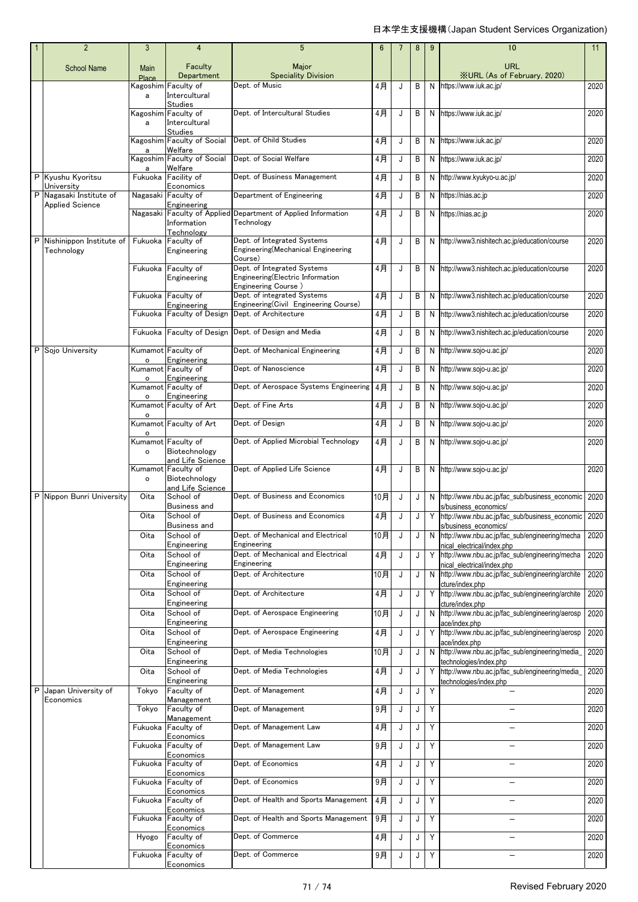|   | $\overline{2}$                                    | 3              | 4                                                        | 5                                                                                      | $6\phantom{1}6$ | $\overline{7}$ | 8 | 9  | 10                                                                               | 11   |
|---|---------------------------------------------------|----------------|----------------------------------------------------------|----------------------------------------------------------------------------------------|-----------------|----------------|---|----|----------------------------------------------------------------------------------|------|
|   | <b>School Name</b>                                | Main<br>Place  | Faculty<br>Department                                    | Major<br><b>Speciality Division</b>                                                    |                 |                |   |    | URL<br><b>XURL (As of February, 2020)</b>                                        |      |
|   |                                                   | a              | Kagoshim Faculty of<br>Intercultural                     | Dept. of Music                                                                         | 4月              | J              | B | N  | https://www.iuk.ac.jp/                                                           | 2020 |
|   |                                                   | a              | <b>Studies</b><br>Kagoshim Faculty of<br>Intercultural   | Dept. of Intercultural Studies                                                         | 4月              | J              | B |    | N https://www.iuk.ac.jp/                                                         | 2020 |
|   |                                                   | a              | <b>Studies</b><br>Kagoshim Faculty of Social<br>Welfare  | Dept. of Child Studies                                                                 | 4月              | J              | В |    | N https://www.iuk.ac.jp/                                                         | 2020 |
|   |                                                   | a              | Kagoshim Faculty of Social<br>Welfare                    | Dept. of Social Welfare                                                                | 4月              | J              | В |    | N https://www.iuk.ac.jp/                                                         | 2020 |
|   | P Kyushu Kyoritsu<br>University                   |                | Fukuoka Facility of<br>Economics                         | Dept. of Business Management                                                           | 4月              | J              | B | N  | http://www.kyukyo-u.ac.jp/                                                       | 2020 |
|   | P Nagasaki Institute of<br><b>Applied Science</b> |                | Nagasaki Faculty of<br>Engineering                       | Department of Engineering                                                              | $4$ 月           | J              | В | N. | https://nias.ac.jp                                                               | 2020 |
|   |                                                   |                | Nagasaki Faculty of Applied<br>Information<br>Technology | Department of Applied Information<br>Technology                                        | 4月              | J              | B | N  | https://nias.ac.jp                                                               | 2020 |
|   | P Nishinippon Institute of<br>Technology          |                | Fukuoka Faculty of<br>Engineering                        | Dept. of Integrated Systems<br>Engineering(Mechanical Engineering<br>Course)           | 4月              | J              | В | N  | http://www3.nishitech.ac.jp/education/course                                     | 2020 |
|   |                                                   |                | Fukuoka Faculty of<br>Engineering                        | Dept. of Integrated Systems<br>Engineering(Electric Information<br>Engineering Course) | 4月              | J              | B |    | N http://www3.nishitech.ac.jp/education/course                                   | 2020 |
|   |                                                   |                | Fukuoka Faculty of<br>Engineering                        | Dept. of integrated Systems<br>Engineering(Civil Engineering Course)                   | 4月              | J              | В |    | N http://www3.nishitech.ac.jp/education/course                                   | 2020 |
|   |                                                   |                | Fukuoka Faculty of Design                                | Dept. of Architecture                                                                  | 4月              | J              | B |    | N http://www3.nishitech.ac.jp/education/course                                   | 2020 |
|   |                                                   |                | Fukuoka Faculty of Design                                | Dept. of Design and Media                                                              | 4月              | J              | В | N  | http://www3.nishitech.ac.jp/education/course                                     | 2020 |
| P | Soio University                                   | $\mathsf{o}\,$ | Kumamot Faculty of<br>Engineering                        | Dept. of Mechanical Engineering                                                        | 4月              | J              | B | N  | http://www.sojo-u.ac.jp/                                                         | 2020 |
|   |                                                   | $\circ$        | Kumamot Faculty of<br>Engineering                        | Dept. of Nanoscience                                                                   | 4月              | J              | B |    | N http://www.sojo-u.ac.jp/                                                       | 2020 |
|   |                                                   | $\circ$        | Kumamot Faculty of<br>Engineering                        | Dept. of Aerospace Systems Engineering                                                 | 4月              | J              | В | N  | http://www.sojo-u.ac.jp/                                                         | 2020 |
|   |                                                   | $\circ$        | Kumamot Faculty of Art                                   | Dept. of Fine Arts                                                                     | 4月              | J              | B | N  | http://www.sojo-u.ac.jp/                                                         | 2020 |
|   |                                                   | $\circ$        | Kumamot Faculty of Art                                   | Dept. of Design                                                                        | 4月              | J              | B |    | N http://www.sojo-u.ac.jp/                                                       | 2020 |
|   |                                                   | $\circ$        | Kumamot Faculty of<br>Biotechnology                      | Dept. of Applied Microbial Technology                                                  | 4月              | J              | В |    | N http://www.sojo-u.ac.jp/                                                       | 2020 |
|   |                                                   | $\circ$        | and Life Science<br>Kumamot Faculty of<br>Biotechnology  | Dept. of Applied Life Science                                                          | 4月              | J              | B |    | N http://www.sojo-u.ac.jp/                                                       | 2020 |
|   | P Nippon Bunri University                         | Oita           | and Life Science<br>School of                            | Dept. of Business and Economics                                                        | 10月             | J              | J |    | N http://www.nbu.ac.jp/fac_sub/business_economic                                 | 2020 |
|   |                                                   | Oita           | Business and<br>School of<br><b>Business and</b>         | Dept. of Business and Economics                                                        | 4月              | J              | J |    | s/business economics/<br>Y http://www.nbu.ac.jp/fac_sub/business_economic 2020   |      |
|   |                                                   | Oita           | School of<br>Engineering                                 | Dept. of Mechanical and Electrical<br>Engineering                                      | 10月             | J              | J | N. | s/business_economics/<br>http://www.nbu.ac.jp/fac_sub/engineering/mecha          | 2020 |
|   |                                                   | Oita           | School of                                                | Dept, of Mechanical and Electrical                                                     | $4$ 月           | J              | J |    | nical electrical/index.php<br>Y http://www.nbu.ac.jp/fac_sub/engineering/mecha   | 2020 |
|   |                                                   | Oita           | Engineering<br>School of                                 | Engineering<br>Dept. of Architecture                                                   | 10月             | J              | J |    | nical electrical/index.php<br>N http://www.nbu.ac.jp/fac_sub/engineering/archite | 2020 |
|   |                                                   | Oita           | Engineering<br>School of                                 | Dept. of Architecture                                                                  | 4月              | J              | J |    | cture/index.php<br>Y http://www.nbu.ac.jp/fac_sub/engineering/archite            | 2020 |
|   |                                                   | Oita           | Engineering<br>School of                                 | Dept. of Aerospace Engineering                                                         | 10月             | J              | J |    | cture/index.php<br>N http://www.nbu.ac.jp/fac_sub/engineering/aerosp             | 2020 |
|   |                                                   | Oita           | Engineering<br>School of                                 | Dept. of Aerospace Engineering                                                         | $4$ 月           | J              | J |    | ace/index.php<br>Y http://www.nbu.ac.jp/fac_sub/engineering/aerosp               | 2020 |
|   |                                                   | Oita           | Engineering<br>School of                                 | Dept. of Media Technologies                                                            | 10月             | J              | J |    | ace/index.php<br>N http://www.nbu.ac.jp/fac_sub/engineering/media_               | 2020 |
|   |                                                   | Oita           | Engineering<br>School of                                 | Dept. of Media Technologies                                                            | $4$ 月           | J              | J | Y  | technologies/index.php<br>http://www.nbu.ac.jp/fac_sub/engineering/media_        | 2020 |
| P | Japan University of                               | Tokyo          | Engineering<br>Faculty of                                | Dept. of Management                                                                    | $4$ 月           | J              | J | Y  | technologies/index.php                                                           | 2020 |
|   | Economics                                         | Tokyo          | Management<br>Faculty of                                 | Dept. of Management                                                                    | 9月              | J              | J | Υ  |                                                                                  | 2020 |
|   |                                                   | Fukuoka        | Management<br>Faculty of                                 | Dept. of Management Law                                                                | 4月              | J              | J | Υ  |                                                                                  | 2020 |
|   |                                                   |                | Economics<br>Fukuoka Faculty of                          | Dept. of Management Law                                                                | 9月              | J              | J | Υ  | $\overline{\phantom{0}}$                                                         | 2020 |
|   |                                                   | Fukuoka        | Economics<br>Faculty of                                  | Dept. of Economics                                                                     | 4月              | J              | J | Y  |                                                                                  | 2020 |
|   |                                                   |                | Economics<br>Fukuoka Faculty of                          | Dept. of Economics                                                                     | $9$ 月           | J              | J | Y  | L,                                                                               | 2020 |
|   |                                                   |                | Economics<br>Fukuoka Faculty of                          | Dept. of Health and Sports Management                                                  | 4月              | J              | J | Y  |                                                                                  | 2020 |
|   |                                                   |                | Economics<br>Fukuoka Faculty of                          | Dept. of Health and Sports Management                                                  | 9月              | J              | J | Υ  |                                                                                  | 2020 |
|   |                                                   | Hyogo          | Economics<br>Faculty of                                  | Dept. of Commerce                                                                      | 4月              | J              | J | Υ  |                                                                                  | 2020 |
|   |                                                   |                | Economics<br>Fukuoka Faculty of<br>Economics             | Dept. of Commerce                                                                      | 9月              | J              | J | Υ  | $\equiv$                                                                         | 2020 |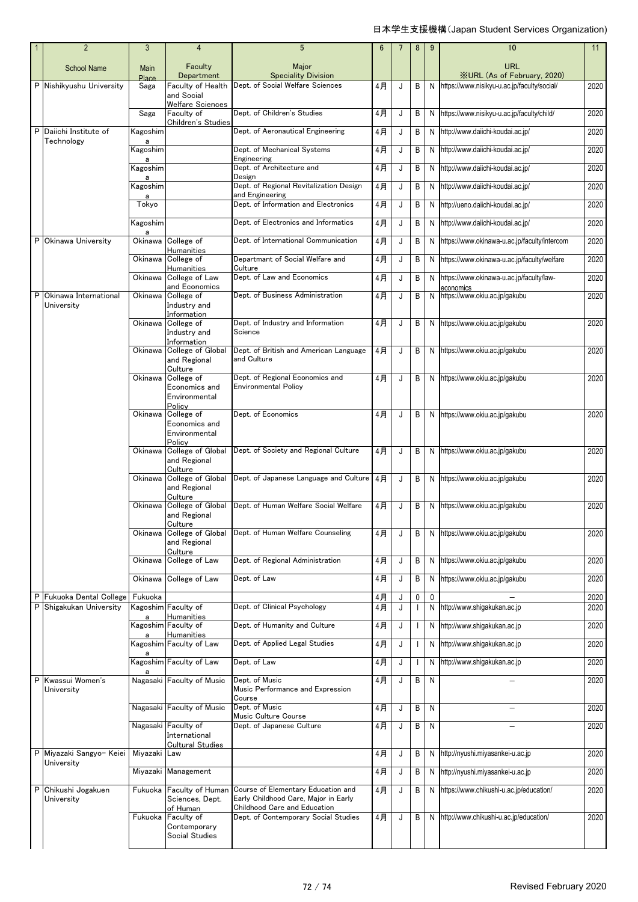|        | $\overline{2}$                                         | 3                    | 4                                                               | $5\phantom{.0}$                                                                                            | 6        | 7      | 8            | 9      | 10                                               | 11           |
|--------|--------------------------------------------------------|----------------------|-----------------------------------------------------------------|------------------------------------------------------------------------------------------------------------|----------|--------|--------------|--------|--------------------------------------------------|--------------|
|        | <b>School Name</b>                                     | Main<br><b>Place</b> | Faculty<br>Department                                           | Major<br><b>Speciality Division</b>                                                                        |          |        |              |        | <b>URL</b><br><b>XURL (As of February, 2020)</b> |              |
|        | P Nishikyushu University                               | Saga                 | Faculty of Health<br>and Social<br>Welfare Sciences             | Dept. of Social Welfare Sciences                                                                           | 4月       | J      | B            | N      | https://www.nisikyu-u.ac.jp/faculty/social/      | 2020         |
|        |                                                        | Saga                 | Faculty of                                                      | Dept. of Children's Studies                                                                                | 4月       | J      | B            | N      | https://www.nisikyu-u.ac.jp/faculty/child/       | 2020         |
|        | P Daiichi Institute of                                 | Kagoshim             | Children's Studies                                              | Dept. of Aeronautical Engineering                                                                          | 4月       | J      | В            | N      | http://www.daiichi-koudai.ac.jp/                 | 2020         |
|        | Technology                                             | a<br>Kagoshim        |                                                                 | Dept. of Mechanical Systems                                                                                | 4月       | J      | В            | N      | http://www.daiichi-koudai.ac.jp/                 | 2020         |
|        |                                                        | a<br>Kagoshim        |                                                                 | Engineering<br>Dept. of Architecture and                                                                   | 4月       | J      | В            | N      | http://www.daiichi-koudai.ac.jp/                 | 2020         |
|        |                                                        | a<br>Kagoshim        |                                                                 | Design<br>Dept. of Regional Revitalization Design                                                          | 4月       | J      | В            | N      | http://www.daiichi-koudai.ac.jp/                 | 2020         |
|        |                                                        | a<br>Tokyo           |                                                                 | and Engineering<br>Dept. of Information and Electronics                                                    | 4月       | J      | В            | N      | http://ueno.daiichi-koudai.ac.jp/                | 2020         |
|        |                                                        | Kagoshim             |                                                                 | Dept. of Electronics and Informatics                                                                       | 4月       | J      | В            | N      | http://www.daiichi-koudai.ac.jp/                 | 2020         |
|        | P Okinawa University                                   | a<br>Okinawa         | College of                                                      | Dept. of International Communication                                                                       | 4月       | J      | B            | N      | https://www.okinawa-u.ac.jp/faculty/intercom     | 2020         |
|        |                                                        | Okinawa              | <b>Humanities</b><br>College of<br><b>Humanities</b>            | Departmant of Social Welfare and<br>Culture                                                                | 4月       | J      | В            | N      | https://www.okinawa-u.ac.jp/faculty/welfare      | 2020         |
|        |                                                        | Okinawa              | College of Law<br>and Economics                                 | Dept. of Law and Economics                                                                                 | 4月       | J      | В            | N      | https://www.okinawa-u.ac.jp/faculty/law-         | 2020         |
| P      | Okinawa International<br>University                    | Okinawa              | College of<br>Industry and                                      | Dept. of Business Administration                                                                           | $4$ 月    | J      | В            | N      | economics<br>https://www.okiu.ac.jp/gakubu       | 2020         |
|        |                                                        | Okinawa              | Information<br>College of<br>Industry and                       | Dept. of Industry and Information<br>Science                                                               | 4月       | J      | В            | N      | https://www.okiu.ac.jp/gakubu                    | 2020         |
|        |                                                        | Okinawa              | Information<br>College of Global<br>and Regional<br>Culture     | Dept. of British and American Language<br>and Culture                                                      | 4月       | J      | В            | N      | https://www.okiu.ac.jp/gakubu                    | 2020         |
|        |                                                        | Okinawa              | College of<br>Economics and<br>Environmental<br>Policy          | Dept. of Regional Economics and<br><b>Environmental Policy</b>                                             | 4月       | J      | B            | N      | https://www.okiu.ac.jp/gakubu                    | 2020         |
|        |                                                        | Okinawa              | College of<br>Economics and<br>Environmental                    | Dept. of Economics                                                                                         | 4月       | J      | B            | N      | https://www.okiu.ac.jp/gakubu                    | 2020         |
|        |                                                        | Okinawa              | Policy<br>College of Global<br>and Regional<br>Culture          | Dept. of Society and Regional Culture                                                                      | 4月       | J      | B            | N      | https://www.okiu.ac.jp/gakubu                    | 2020         |
|        |                                                        | Okinawa              | College of Global<br>and Regional<br>Culture                    | Dept. of Japanese Language and Culture                                                                     | 4月       | J      | В            | N      | https://www.okiu.ac.jp/gakubu                    | 2020         |
|        |                                                        | Okinawa              | College of Global<br>and Regional<br>Culture                    | Dept. of Human Welfare Social Welfare                                                                      | 4月       | J      | B            | N      | https://www.okiu.ac.jp/gakubu                    | 2020         |
|        |                                                        | Okinawa              | College of Global<br>and Regional<br>Culture                    | Dept. of Human Welfare Counseling                                                                          | 4月       | J      | В            | N      | https://www.okiu.ac.jp/gakubu                    | 2020         |
|        |                                                        | Okinawa              | College of Law                                                  | Dept. of Regional Administration                                                                           | 4月       | J      | В            | N      | https://www.okiu.ac.jp/gakubu                    | 2020         |
|        |                                                        | Okinawa              | College of Law                                                  | Dept. of Law                                                                                               | 4月       | J      | В            | N      | https://www.okiu.ac.jp/gakubu                    | 2020         |
| Ρ<br>P | <b>Fukuoka Dental College</b><br>Shigakukan University | Fukuoka<br>a         | Kagoshim Faculty of<br>Humanities                               | Dept. of Clinical Psychology                                                                               | 4月<br>4月 | J<br>J | 0            | 0<br>N | http://www.shigakukan.ac.jp                      | 2020<br>2020 |
|        |                                                        | a                    | Kagoshim Faculty of<br>Humanities                               | Dept. of Humanity and Culture                                                                              | 4月       | J      |              | N      | http://www.shigakukan.ac.jp                      | 2020         |
|        |                                                        | а                    | Kagoshim Faculty of Law                                         | Dept. of Applied Legal Studies                                                                             | 4月       | J      |              | N      | http://www.shigakukan.ac.jp                      | 2020         |
|        |                                                        |                      | Kagoshim Faculty of Law                                         | Dept. of Law                                                                                               | 4月       | J      |              | N      | http://www.shigakukan.ac.jp                      | 2020         |
| P      | Kwassui Women's<br>University                          |                      | Nagasaki Faculty of Music                                       | Dept. of Music<br>Music Performance and Expression<br>Course                                               | 4月       | J      | В            | N      |                                                  | 2020         |
|        |                                                        |                      | Nagasaki Faculty of Music                                       | Dept. of Music<br>Music Culture Course                                                                     | 4月       | J      | В            | N      |                                                  | 2020         |
|        |                                                        |                      | Nagasaki Faculty of<br>International<br><b>Cultural Studies</b> | Dept. of Japanese Culture                                                                                  | 4月       | J      | $\mathsf{B}$ | N      |                                                  | 2020         |
|        | P Miyazaki Sangyo- Keiei<br>University                 | Miyazaki Law         |                                                                 |                                                                                                            | 4月       | J      | В            | N      | http://nyushi.miyasankei-u.ac.jp                 | 2020         |
|        |                                                        |                      | Miyazaki Management                                             |                                                                                                            | 4月       | J      | В            | N      | http://nyushi.miyasankei-u.ac.jp                 | 2020         |
| Ρ      | Chikushi Jogakuen<br>University                        | Fukuoka              | Faculty of Human<br>Sciences, Dept.<br>of Human                 | Course of Elementary Education and<br>Early Childhood Care, Major in Early<br>Childhood Care and Education | 4月       | J      | В            | N      | https://www.chikushi-u.ac.jp/education/          | 2020         |
|        |                                                        | Fukuoka              | Faculty of<br>Contemporary<br>Social Studies                    | Dept. of Contemporary Social Studies                                                                       | 4月       | J      | В            | N      | http://www.chikushi-u.ac.jp/education/           | 2020         |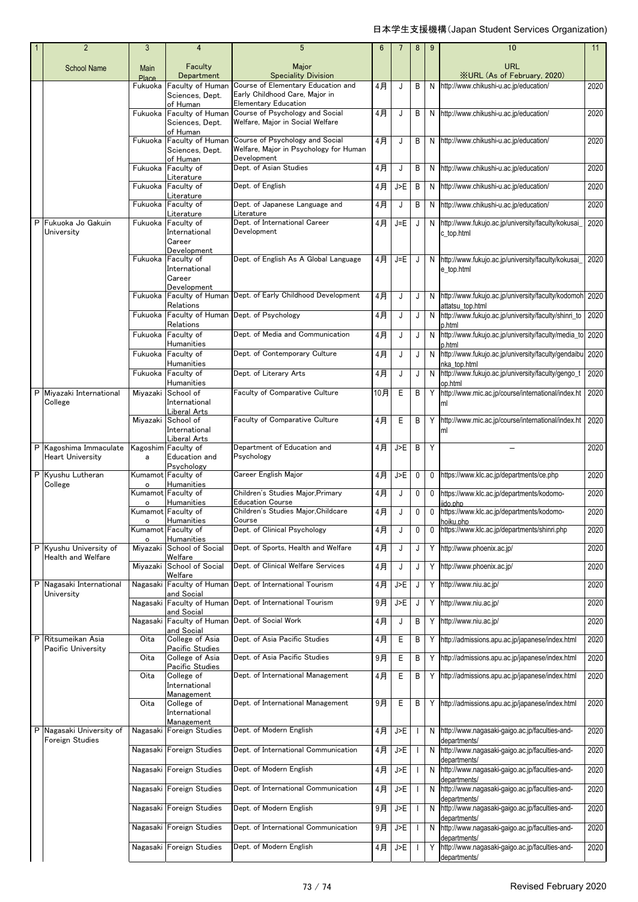|  | $\overline{2}$                                    | 3              | $\overline{4}$                                                 | 5                                                                                                  | 6   |             | 8 | 9 | 10                                                                             | 11   |
|--|---------------------------------------------------|----------------|----------------------------------------------------------------|----------------------------------------------------------------------------------------------------|-----|-------------|---|---|--------------------------------------------------------------------------------|------|
|  | <b>School Name</b>                                | Main<br>Place  | Faculty<br>Department                                          | Major<br><b>Speciality Division</b>                                                                |     |             |   |   | <b>URL</b><br><b>XURL (As of February, 2020)</b>                               |      |
|  | P Fukuoka Jo Gakuin<br>University                 | Fukuoka        | Faculty of Human<br>Sciences, Dept.                            | Course of Elementary Education and<br>Early Childhood Care, Major in                               | 4月  | J           | B | N | http://www.chikushi-u.ac.jp/education/                                         | 2020 |
|  |                                                   | Fukuoka        | of Human<br>Faculty of Human<br>Sciences, Dept.                | <b>Elementary Education</b><br>Course of Psychology and Social<br>Welfare, Major in Social Welfare | 4月  | J           | В |   | N http://www.chikushi-u.ac.jp/education/                                       | 2020 |
|  |                                                   | Fukuoka        | of Human<br>Faculty of Human<br>Sciences, Dept.                | Course of Psychology and Social<br>Welfare, Major in Psychology for Human<br>Development           | 4月  | J           | B |   | N http://www.chikushi-u.ac.jp/education/                                       | 2020 |
|  |                                                   | Fukuoka        | of Human<br>Faculty of<br>Literature                           | Dept. of Asian Studies                                                                             | 4月  | J           | В |   | N http://www.chikushi-u.ac.jp/education/                                       | 2020 |
|  |                                                   | Fukuoka        | Faculty of                                                     | Dept. of English                                                                                   | 4月  | J>E         | В |   | N http://www.chikushi-u.ac.jp/education/                                       | 2020 |
|  |                                                   | Fukuoka        | Literature<br>Faculty of                                       | Dept. of Japanese Language and                                                                     | 4月  | J           | В |   | N http://www.chikushi-u.ac.jp/education/                                       | 2020 |
|  |                                                   | Fukuoka        | Literature<br>Faculty of<br>International                      | Literature<br>Dept. of International Career<br>Development                                         | 4月  | J=E         | J |   | N http://www.fukujo.ac.jp/university/faculty/kokusai<br>c_top.html             | 2020 |
|  |                                                   | Fukuoka        | Career<br>Development<br>Faculty of<br>International<br>Career | Dept. of English As A Global Language                                                              | 4月  | J=E         | J |   | N http://www.fukujo.ac.jp/university/faculty/kokusai_<br>e_top.html            | 2020 |
|  |                                                   | Fukuoka        | Development<br>Relations                                       | Faculty of Human Dept. of Early Childhood Development                                              | 4月  | J           | J |   | N http://www.fukujo.ac.jp/university/faculty/kodomoh 2020<br>attatsu top.html  |      |
|  |                                                   | Fukuoka        | Relations                                                      | Faculty of Human Dept. of Psychology                                                               | 4月  | J           | J |   | N http://www.fukujo.ac.jp/university/faculty/shinri to<br>p.html               | 2020 |
|  |                                                   | Fukuoka        | Faculty of<br>Humanities                                       | Dept. of Media and Communication                                                                   | 4月  | J           | J | N | http://www.fukujo.ac.jp/university/faculty/media_to<br>p.html                  | 2020 |
|  |                                                   | Fukuoka        | Faculty of<br>Humanities                                       | Dept. of Contemporary Culture                                                                      | 4月  | J           | J | N | http://www.fukujo.ac.jp/university/faculty/gendaibu<br>nka top.html            | 2020 |
|  |                                                   | Fukuoka        | Faculty of<br>Humanities                                       | Dept. of Literary Arts                                                                             | 4月  | J           | J | N | http://www.fukujo.ac.jp/university/faculty/gengo_t<br>op.html                  | 2020 |
|  | P Miyazaki International<br>College               | Miyazaki       | School of<br>International<br>Liberal Arts                     | Faculty of Comparative Culture                                                                     | 10月 | E           | B | Y | http://www.mic.ac.jp/course/international/index.ht<br>ml                       | 2020 |
|  |                                                   | Miyazaki       | School of<br>International<br>Liberal Arts                     | Faculty of Comparative Culture                                                                     | 4月  | Ε           | В | Y | http://www.mic.ac.jp/course/international/index.ht<br>ml                       | 2020 |
|  | P Kagoshima Immaculate<br><b>Heart University</b> | a              | Kagoshim Faculty of<br>Education and<br>Psychology             | Department of Education and<br>Psychology                                                          | 4月  | J>E         | B | Y |                                                                                | 2020 |
|  | P Kyushu Lutheran<br>College                      | $\mathsf{o}\,$ | Kumamot Faculty of<br>Humanities                               | Career English Major                                                                               | 4月  | J>E         | 0 | 0 | https://www.klc.ac.jp/departments/ce.php                                       | 2020 |
|  |                                                   | $\circ$        | Kumamot Faculty of<br>Humanities                               | Children's Studies Major, Primary<br>Education Course                                              | 4月  | J           | 0 | 0 | https://www.klc.ac.jp/departments/kodomo-<br>iido.php                          | 2020 |
|  |                                                   | $\circ$        | Kumamot Faculty of<br>Humanities                               | Children's Studies Major, Childcare<br>Course                                                      | 4月  | J           | 0 | 0 | https://www.klc.ac.jp/departments/kodomo-<br>hoiku.php                         | 2020 |
|  |                                                   | $\circ$        | Kumamot Faculty of<br><b>Humanities</b>                        | Dept. of Clinical Psychology                                                                       | 4月  | J           | 0 | 0 | https://www.klc.ac.jp/departments/shinri.php                                   | 2020 |
|  | P Kyushu University of<br>Health and Welfare      | Miyazaki       | School of Social<br>Welfare                                    | Dept. of Sports, Health and Welfare                                                                | 4月  | J           | J | Y | http://www.phoenix.ac.jp/                                                      | 2020 |
|  |                                                   | Miyazaki       | School of Social<br>Welfare                                    | Dept. of Clinical Welfare Services                                                                 | 4月  | J           | J |   | Y http://www.phoenix.ac.jp/                                                    | 2020 |
|  | P Nagasaki International<br>University            |                | Nagasaki Faculty of Human                                      | Dept. of International Tourism                                                                     | 4月  | J>E         | J |   | Y http://www.niu.ac.jp/                                                        | 2020 |
|  |                                                   |                | and Social<br>Nagasaki Faculty of Human                        | Dept. of International Tourism                                                                     | 9月  | J>E         | J | Y | http://www.niu.ac.jp/                                                          | 2020 |
|  |                                                   | Nagasaki       | and Social<br>and Social                                       | Faculty of Human Dept. of Social Work                                                              | 4月  | J           | B | Y | http://www.niu.ac.jp/                                                          | 2020 |
|  | P Ritsumeikan Asia<br>Pacific University          | Oita           | College of Asia<br>Pacific Studies                             | Dept. of Asia Pacific Studies                                                                      | 4月  | $\mathsf E$ | В | Y | http://admissions.apu.ac.jp/japanese/index.html                                | 2020 |
|  |                                                   | Oita           | College of Asia                                                | Dept. of Asia Pacific Studies                                                                      | 9月  | E           | B | Y | http://admissions.apu.ac.jp/japanese/index.html                                | 2020 |
|  |                                                   | Oita           | Pacific Studies<br>College of<br>International                 | Dept. of International Management                                                                  | 4月  | Е           | B |   | Y http://admissions.apu.ac.jp/japanese/index.html                              | 2020 |
|  |                                                   | Oita           | Management<br>College of<br>International                      | Dept. of International Management                                                                  | 9月  | Ε           | В |   | Y http://admissions.apu.ac.jp/japanese/index.html                              | 2020 |
|  | P Nagasaki University of<br>Foreign Studies       | Nagasaki       | Management<br>Foreign Studies                                  | Dept. of Modern English                                                                            | 4月  | J>E         |   |   | N http://www.nagasaki-gaigo.ac.jp/faculties-and-                               | 2020 |
|  |                                                   |                | Nagasaki Foreign Studies                                       | Dept. of International Communication                                                               | 4月  | $J>E$       |   | N | departments/<br>http://www.nagasaki-gaigo.ac.jp/faculties-and-<br>departments/ | 2020 |
|  |                                                   |                | Nagasaki Foreign Studies                                       | Dept. of Modern English                                                                            | 4月  | J>E         |   | N | http://www.nagasaki-gaigo.ac.jp/faculties-and-<br>departments/                 | 2020 |
|  |                                                   |                | Nagasaki Foreign Studies                                       | Dept. of International Communication                                                               | 4月  | J>E         |   | N | http://www.nagasaki-gaigo.ac.jp/faculties-and-<br>departments/                 | 2020 |
|  |                                                   |                | Nagasaki Foreign Studies                                       | Dept. of Modern English                                                                            | 9月  | $J>E$       |   |   | N http://www.nagasaki-gaigo.ac.jp/faculties-and-<br>departments/               | 2020 |
|  |                                                   |                | Nagasaki Foreign Studies                                       | Dept. of International Communication                                                               | 9月  | J>E         |   |   | N http://www.nagasaki-gaigo.ac.jp/faculties-and-<br>departments/               | 2020 |
|  |                                                   |                | Nagasaki Foreign Studies                                       | Dept. of Modern English                                                                            | 4月  | $J>E$       |   | Υ | http://www.nagasaki-gaigo.ac.jp/faculties-and-<br>departments/                 | 2020 |